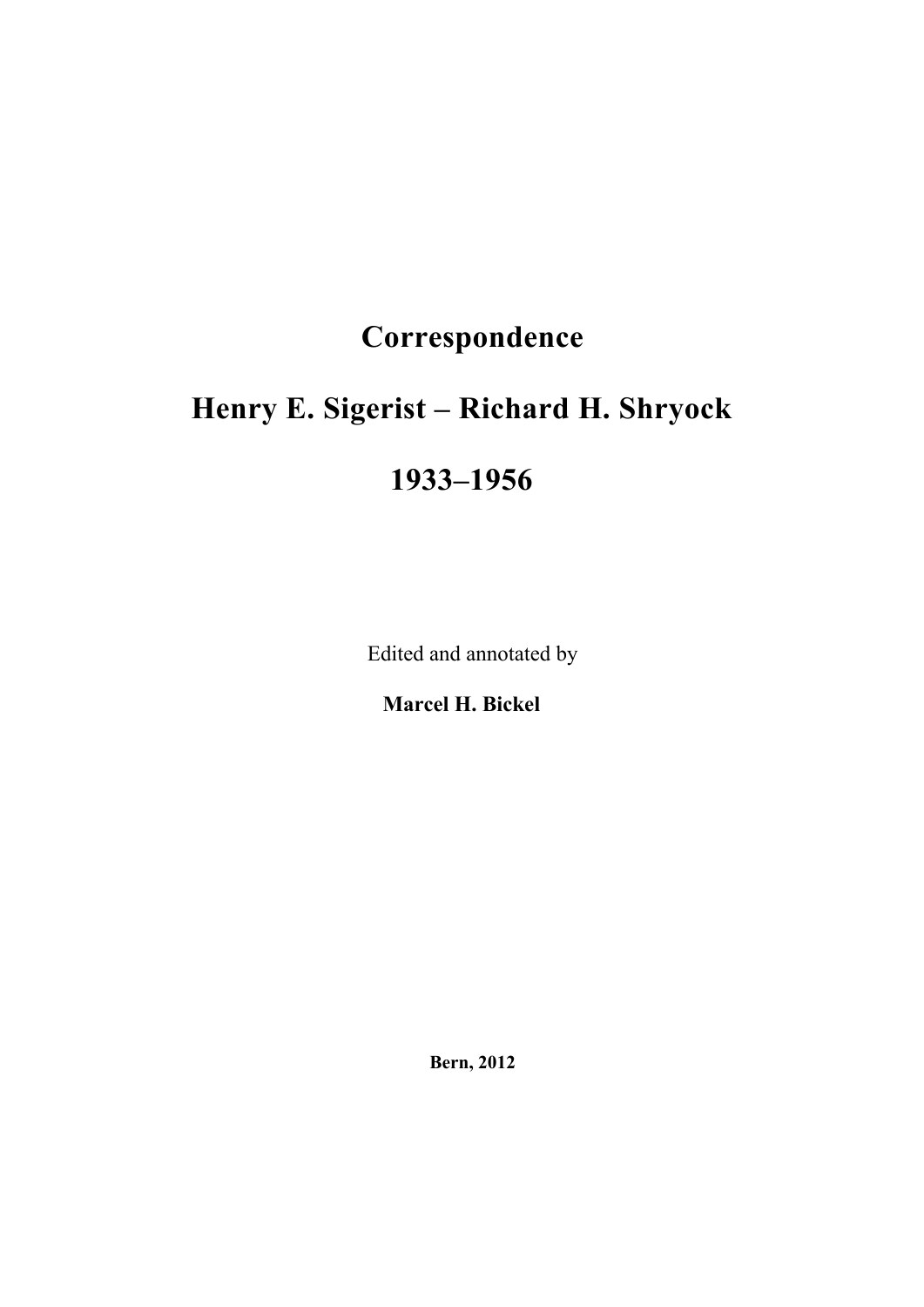# **Correspondence**

# **Henry E. Sigerist – Richard H. Shryock**

## **1933–1956**

Edited and annotated by

**Marcel H. Bickel** 

**Bern, 2012**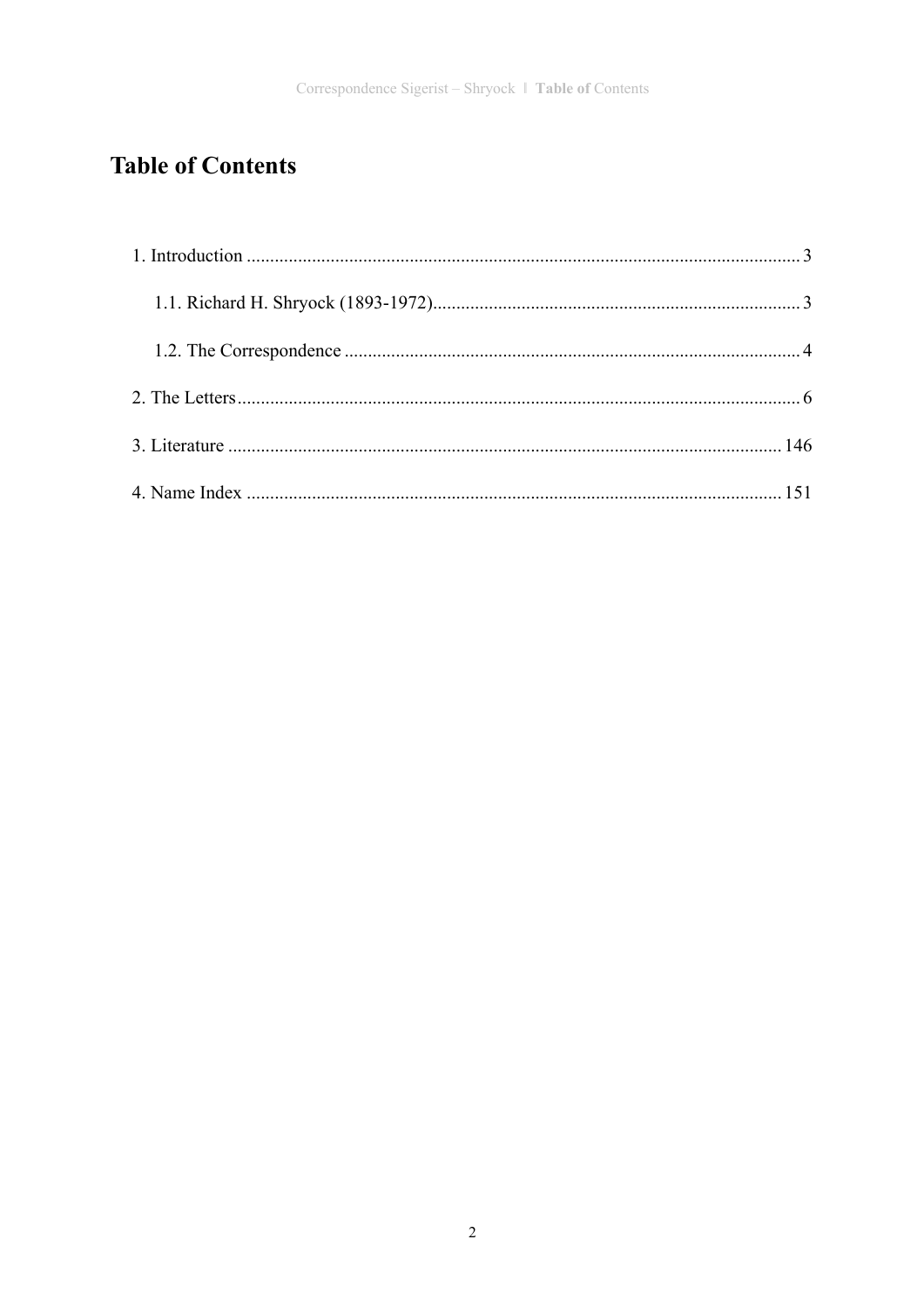## **Table of Contents**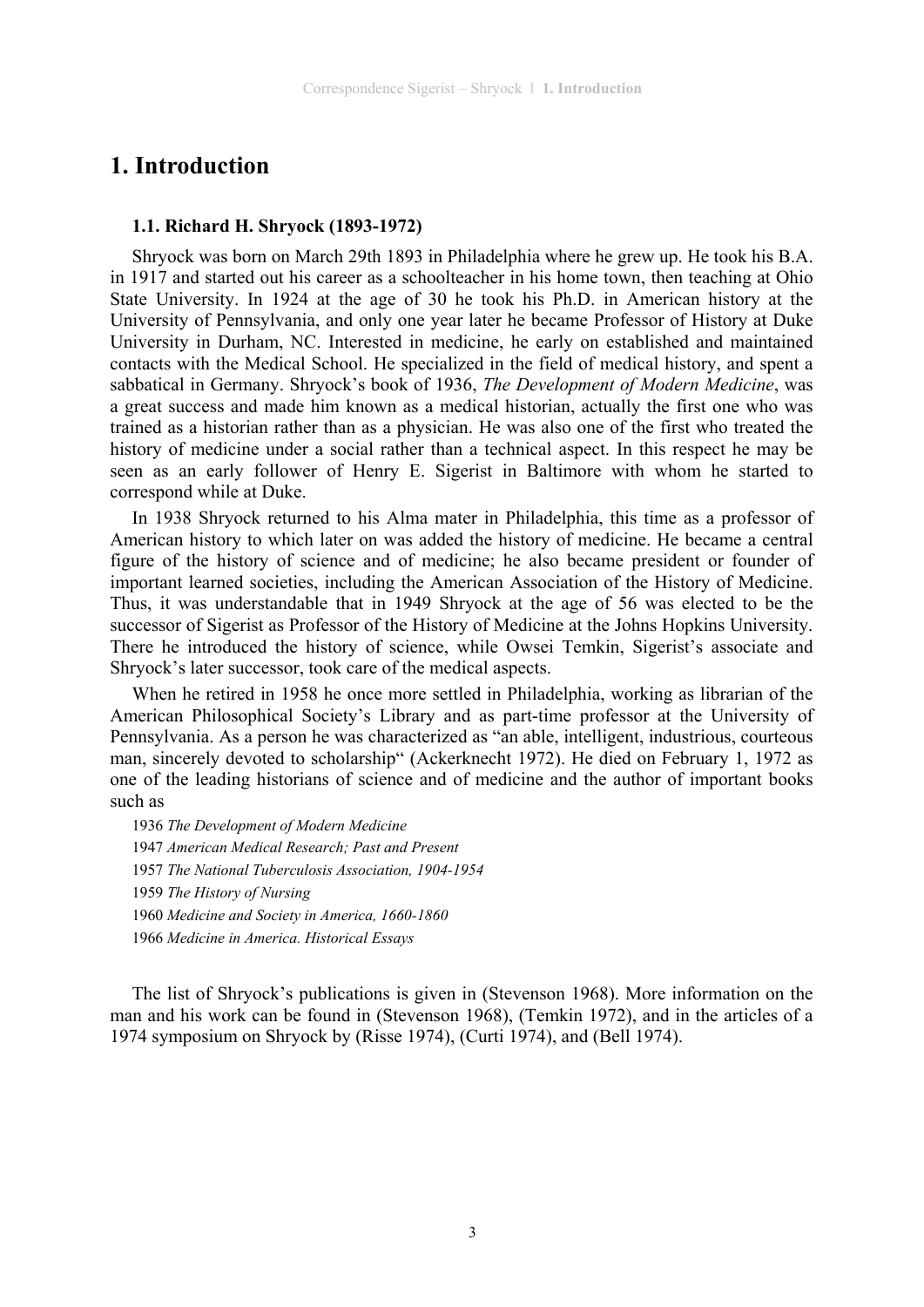## **1. Introduction**

#### **1.1. Richard H. Shryock (1893-1972)**

Shryock was born on March 29th 1893 in Philadelphia where he grew up. He took his B.A. in 1917 and started out his career as a schoolteacher in his home town, then teaching at Ohio State University. In 1924 at the age of 30 he took his Ph.D. in American history at the University of Pennsylvania, and only one year later he became Professor of History at Duke University in Durham, NC. Interested in medicine, he early on established and maintained contacts with the Medical School. He specialized in the field of medical history, and spent a sabbatical in Germany. Shryock's book of 1936, *The Development of Modern Medicine*, was a great success and made him known as a medical historian, actually the first one who was trained as a historian rather than as a physician. He was also one of the first who treated the history of medicine under a social rather than a technical aspect. In this respect he may be seen as an early follower of Henry E. Sigerist in Baltimore with whom he started to correspond while at Duke.

In 1938 Shryock returned to his Alma mater in Philadelphia, this time as a professor of American history to which later on was added the history of medicine. He became a central figure of the history of science and of medicine; he also became president or founder of important learned societies, including the American Association of the History of Medicine. Thus, it was understandable that in 1949 Shryock at the age of 56 was elected to be the successor of Sigerist as Professor of the History of Medicine at the Johns Hopkins University. There he introduced the history of science, while Owsei Temkin, Sigerist's associate and Shryock's later successor, took care of the medical aspects.

When he retired in 1958 he once more settled in Philadelphia, working as librarian of the American Philosophical Society's Library and as part-time professor at the University of Pennsylvania. As a person he was characterized as "an able, intelligent, industrious, courteous man, sincerely devoted to scholarship" (Ackerknecht 1972). He died on February 1, 1972 as one of the leading historians of science and of medicine and the author of important books such as

*The Development of Modern Medicine American Medical Research; Past and Present The National Tuberculosis Association, 1904-1954 The History of Nursing Medicine and Society in America, 1660-1860 Medicine in America. Historical Essays* 

The list of Shryock's publications is given in (Stevenson 1968). More information on the man and his work can be found in (Stevenson 1968), (Temkin 1972), and in the articles of a 1974 symposium on Shryock by (Risse 1974), (Curti 1974), and (Bell 1974).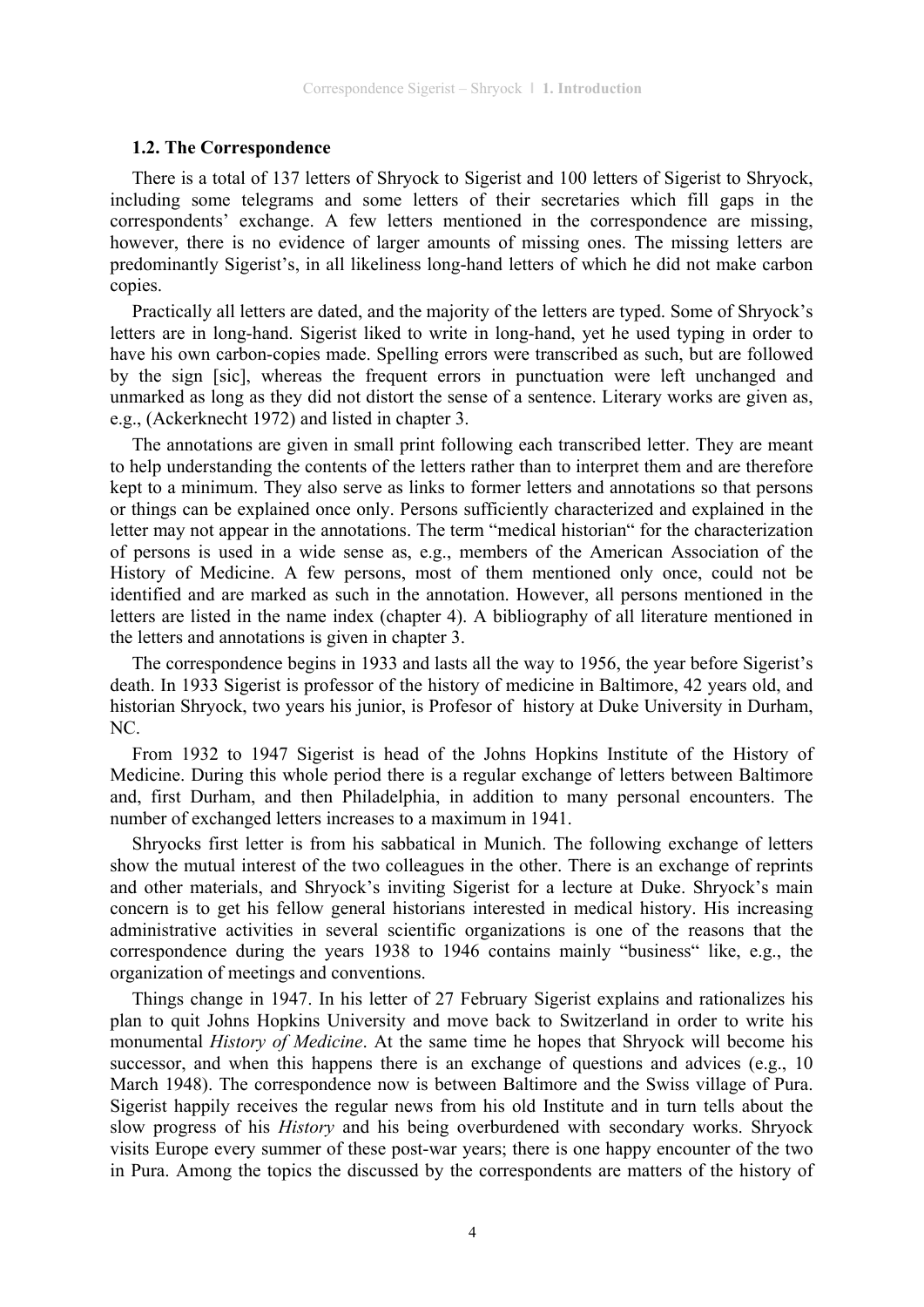#### **1.2. The Correspondence**

There is a total of 137 letters of Shryock to Sigerist and 100 letters of Sigerist to Shryock, including some telegrams and some letters of their secretaries which fill gaps in the correspondents' exchange. A few letters mentioned in the correspondence are missing, however, there is no evidence of larger amounts of missing ones. The missing letters are predominantly Sigerist's, in all likeliness long-hand letters of which he did not make carbon copies.

Practically all letters are dated, and the majority of the letters are typed. Some of Shryock's letters are in long-hand. Sigerist liked to write in long-hand, yet he used typing in order to have his own carbon-copies made. Spelling errors were transcribed as such, but are followed by the sign [sic], whereas the frequent errors in punctuation were left unchanged and unmarked as long as they did not distort the sense of a sentence. Literary works are given as, e.g., (Ackerknecht 1972) and listed in chapter 3.

The annotations are given in small print following each transcribed letter. They are meant to help understanding the contents of the letters rather than to interpret them and are therefore kept to a minimum. They also serve as links to former letters and annotations so that persons or things can be explained once only. Persons sufficiently characterized and explained in the letter may not appear in the annotations. The term "medical historian" for the characterization of persons is used in a wide sense as, e.g., members of the American Association of the History of Medicine. A few persons, most of them mentioned only once, could not be identified and are marked as such in the annotation. However, all persons mentioned in the letters are listed in the name index (chapter 4). A bibliography of all literature mentioned in the letters and annotations is given in chapter 3.

The correspondence begins in 1933 and lasts all the way to 1956, the year before Sigerist's death. In 1933 Sigerist is professor of the history of medicine in Baltimore, 42 years old, and historian Shryock, two years his junior, is Profesor of history at Duke University in Durham, NC.

From 1932 to 1947 Sigerist is head of the Johns Hopkins Institute of the History of Medicine. During this whole period there is a regular exchange of letters between Baltimore and, first Durham, and then Philadelphia, in addition to many personal encounters. The number of exchanged letters increases to a maximum in 1941.

Shryocks first letter is from his sabbatical in Munich. The following exchange of letters show the mutual interest of the two colleagues in the other. There is an exchange of reprints and other materials, and Shryock's inviting Sigerist for a lecture at Duke. Shryock's main concern is to get his fellow general historians interested in medical history. His increasing administrative activities in several scientific organizations is one of the reasons that the correspondence during the years 1938 to 1946 contains mainly "business" like, e.g., the organization of meetings and conventions.

Things change in 1947. In his letter of 27 February Sigerist explains and rationalizes his plan to quit Johns Hopkins University and move back to Switzerland in order to write his monumental *History of Medicine*. At the same time he hopes that Shryock will become his successor, and when this happens there is an exchange of questions and advices (e.g., 10) March 1948). The correspondence now is between Baltimore and the Swiss village of Pura. Sigerist happily receives the regular news from his old Institute and in turn tells about the slow progress of his *History* and his being overburdened with secondary works. Shryock visits Europe every summer of these post-war years; there is one happy encounter of the two in Pura. Among the topics the discussed by the correspondents are matters of the history of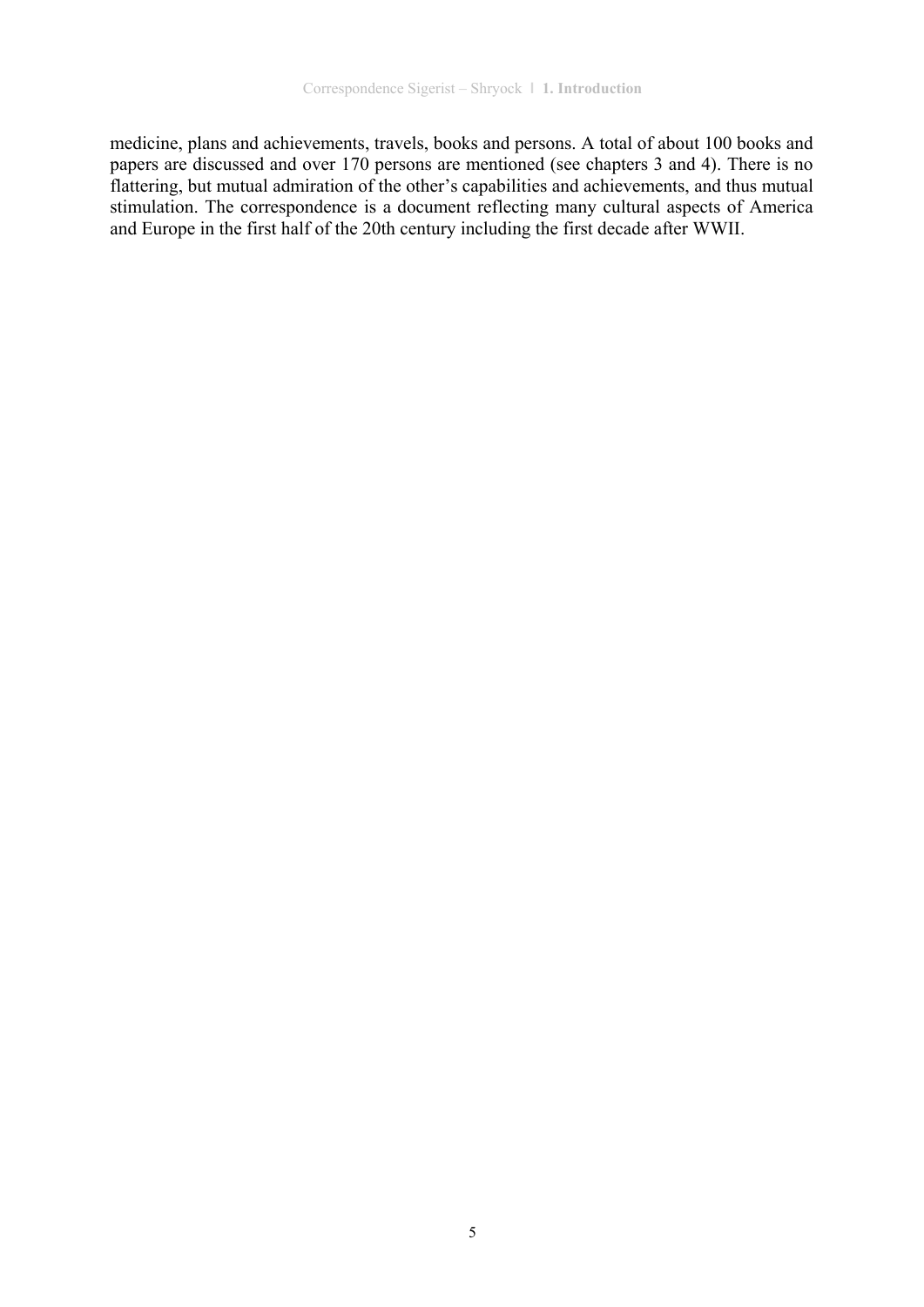medicine, plans and achievements, travels, books and persons. A total of about 100 books and papers are discussed and over 170 persons are mentioned (see chapters 3 and 4). There is no flattering, but mutual admiration of the other's capabilities and achievements, and thus mutual stimulation. The correspondence is a document reflecting many cultural aspects of America and Europe in the first half of the 20th century including the first decade after WWII.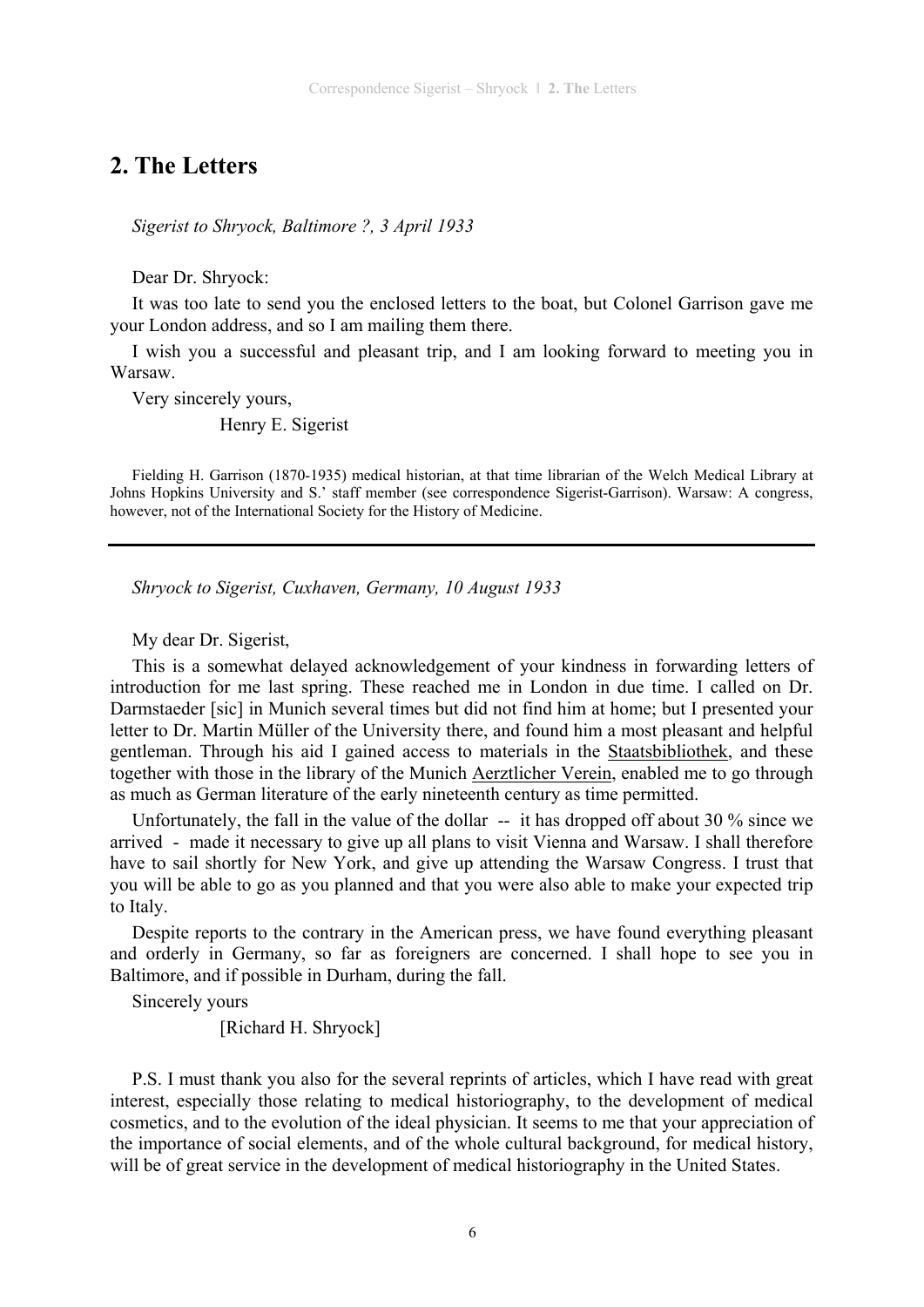## **2. The Letters**

*Sigerist to Shryock, Baltimore ?, 3 April 1933* 

Dear Dr. Shryock:

It was too late to send you the enclosed letters to the boat, but Colonel Garrison gave me your London address, and so I am mailing them there.

I wish you a successful and pleasant trip, and I am looking forward to meeting you in Warsaw.

Very sincerely yours,

Henry E. Sigerist

Fielding H. Garrison (1870-1935) medical historian, at that time librarian of the Welch Medical Library at Johns Hopkins University and S.' staff member (see correspondence Sigerist-Garrison). Warsaw: A congress, however, not of the International Society for the History of Medicine.

*Shryock to Sigerist, Cuxhaven, Germany, 10 August 1933* 

My dear Dr. Sigerist,

This is a somewhat delayed acknowledgement of your kindness in forwarding letters of introduction for me last spring. These reached me in London in due time. I called on Dr. Darmstaeder [sic] in Munich several times but did not find him at home; but I presented your letter to Dr. Martin Müller of the University there, and found him a most pleasant and helpful gentleman. Through his aid I gained access to materials in the Staatsbibliothek, and these together with those in the library of the Munich Aerztlicher Verein, enabled me to go through as much as German literature of the early nineteenth century as time permitted.

Unfortunately, the fall in the value of the dollar -- it has dropped off about 30 % since we arrived - made it necessary to give up all plans to visit Vienna and Warsaw. I shall therefore have to sail shortly for New York, and give up attending the Warsaw Congress. I trust that you will be able to go as you planned and that you were also able to make your expected trip to Italy.

Despite reports to the contrary in the American press, we have found everything pleasant and orderly in Germany, so far as foreigners are concerned. I shall hope to see you in Baltimore, and if possible in Durham, during the fall.

Sincerely yours

[Richard H. Shryock]

P.S. I must thank you also for the several reprints of articles, which I have read with great interest, especially those relating to medical historiography, to the development of medical cosmetics, and to the evolution of the ideal physician. It seems to me that your appreciation of the importance of social elements, and of the whole cultural background, for medical history, will be of great service in the development of medical historiography in the United States.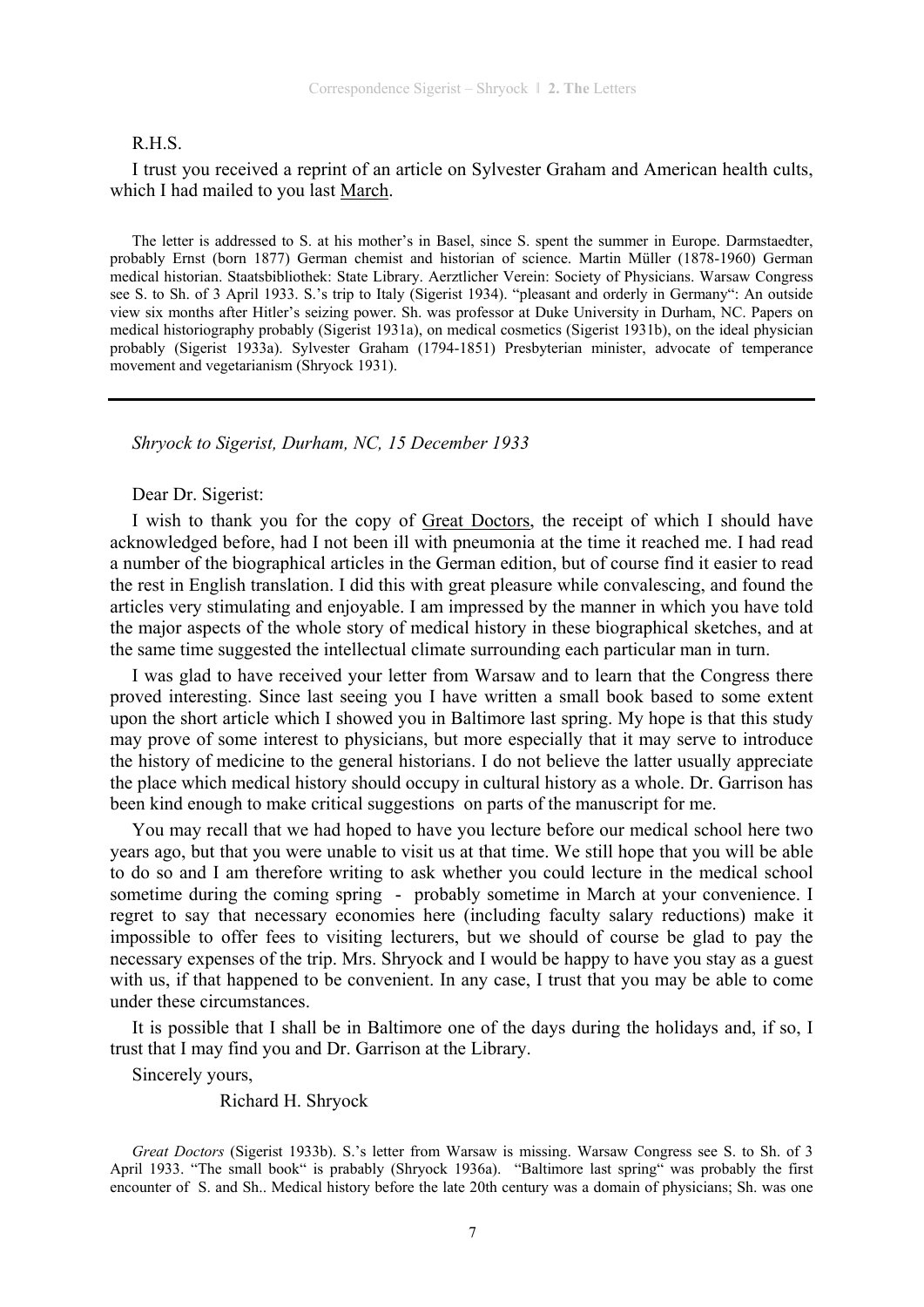#### R.H.S.

I trust you received a reprint of an article on Sylvester Graham and American health cults, which I had mailed to you last March.

The letter is addressed to S. at his mother's in Basel, since S. spent the summer in Europe. Darmstaedter, probably Ernst (born 1877) German chemist and historian of science. Martin Müller (1878-1960) German medical historian. Staatsbibliothek: State Library. Aerztlicher Verein: Society of Physicians. Warsaw Congress see S. to Sh. of 3 April 1933. S.'s trip to Italy (Sigerist 1934). "pleasant and orderly in Germany": An outside view six months after Hitler's seizing power. Sh. was professor at Duke University in Durham, NC. Papers on medical historiography probably (Sigerist 1931a), on medical cosmetics (Sigerist 1931b), on the ideal physician probably (Sigerist 1933a). Sylvester Graham (1794-1851) Presbyterian minister, advocate of temperance movement and vegetarianism (Shryock 1931).

*Shryock to Sigerist, Durham, NC, 15 December 1933* 

#### Dear Dr. Sigerist:

I wish to thank you for the copy of Great Doctors, the receipt of which I should have acknowledged before, had I not been ill with pneumonia at the time it reached me. I had read a number of the biographical articles in the German edition, but of course find it easier to read the rest in English translation. I did this with great pleasure while convalescing, and found the articles very stimulating and enjoyable. I am impressed by the manner in which you have told the major aspects of the whole story of medical history in these biographical sketches, and at the same time suggested the intellectual climate surrounding each particular man in turn.

I was glad to have received your letter from Warsaw and to learn that the Congress there proved interesting. Since last seeing you I have written a small book based to some extent upon the short article which I showed you in Baltimore last spring. My hope is that this study may prove of some interest to physicians, but more especially that it may serve to introduce the history of medicine to the general historians. I do not believe the latter usually appreciate the place which medical history should occupy in cultural history as a whole. Dr. Garrison has been kind enough to make critical suggestions on parts of the manuscript for me.

You may recall that we had hoped to have you lecture before our medical school here two years ago, but that you were unable to visit us at that time. We still hope that you will be able to do so and I am therefore writing to ask whether you could lecture in the medical school sometime during the coming spring - probably sometime in March at your convenience. I regret to say that necessary economies here (including faculty salary reductions) make it impossible to offer fees to visiting lecturers, but we should of course be glad to pay the necessary expenses of the trip. Mrs. Shryock and I would be happy to have you stay as a guest with us, if that happened to be convenient. In any case, I trust that you may be able to come under these circumstances.

It is possible that I shall be in Baltimore one of the days during the holidays and, if so, I trust that I may find you and Dr. Garrison at the Library.

Sincerely yours,

Richard H. Shryock

*Great Doctors* (Sigerist 1933b). S.'s letter from Warsaw is missing. Warsaw Congress see S. to Sh. of 3 April 1933. "The small book" is prabably (Shryock 1936a). "Baltimore last spring" was probably the first encounter of S. and Sh.. Medical history before the late 20th century was a domain of physicians; Sh. was one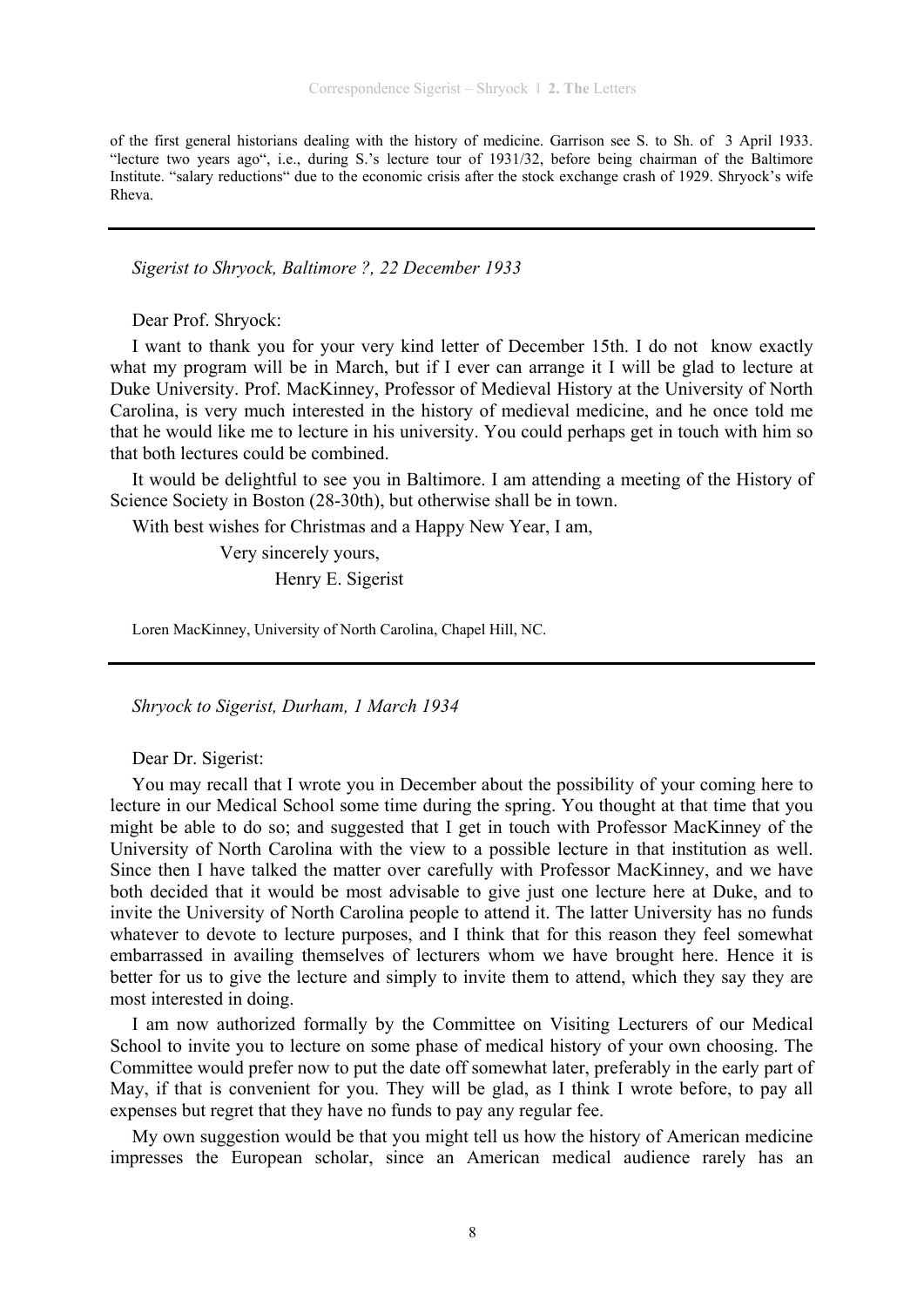of the first general historians dealing with the history of medicine. Garrison see S. to Sh. of 3 April 1933. "lecture two years ago", i.e., during S.'s lecture tour of 1931/32, before being chairman of the Baltimore Institute. "salary reductions" due to the economic crisis after the stock exchange crash of 1929. Shryock's wife Rheva.

*Sigerist to Shryock, Baltimore ?, 22 December 1933* 

Dear Prof. Shryock:

I want to thank you for your very kind letter of December 15th. I do not know exactly what my program will be in March, but if I ever can arrange it I will be glad to lecture at Duke University. Prof. MacKinney, Professor of Medieval History at the University of North Carolina, is very much interested in the history of medieval medicine, and he once told me that he would like me to lecture in his university. You could perhaps get in touch with him so that both lectures could be combined.

It would be delightful to see you in Baltimore. I am attending a meeting of the History of Science Society in Boston (28-30th), but otherwise shall be in town.

With best wishes for Christmas and a Happy New Year, I am,

 Very sincerely yours, Henry E. Sigerist

Loren MacKinney, University of North Carolina, Chapel Hill, NC.

*Shryock to Sigerist, Durham, 1 March 1934* 

Dear Dr. Sigerist:

You may recall that I wrote you in December about the possibility of your coming here to lecture in our Medical School some time during the spring. You thought at that time that you might be able to do so; and suggested that I get in touch with Professor MacKinney of the University of North Carolina with the view to a possible lecture in that institution as well. Since then I have talked the matter over carefully with Professor MacKinney, and we have both decided that it would be most advisable to give just one lecture here at Duke, and to invite the University of North Carolina people to attend it. The latter University has no funds whatever to devote to lecture purposes, and I think that for this reason they feel somewhat embarrassed in availing themselves of lecturers whom we have brought here. Hence it is better for us to give the lecture and simply to invite them to attend, which they say they are most interested in doing.

I am now authorized formally by the Committee on Visiting Lecturers of our Medical School to invite you to lecture on some phase of medical history of your own choosing. The Committee would prefer now to put the date off somewhat later, preferably in the early part of May, if that is convenient for you. They will be glad, as I think I wrote before, to pay all expenses but regret that they have no funds to pay any regular fee.

My own suggestion would be that you might tell us how the history of American medicine impresses the European scholar, since an American medical audience rarely has an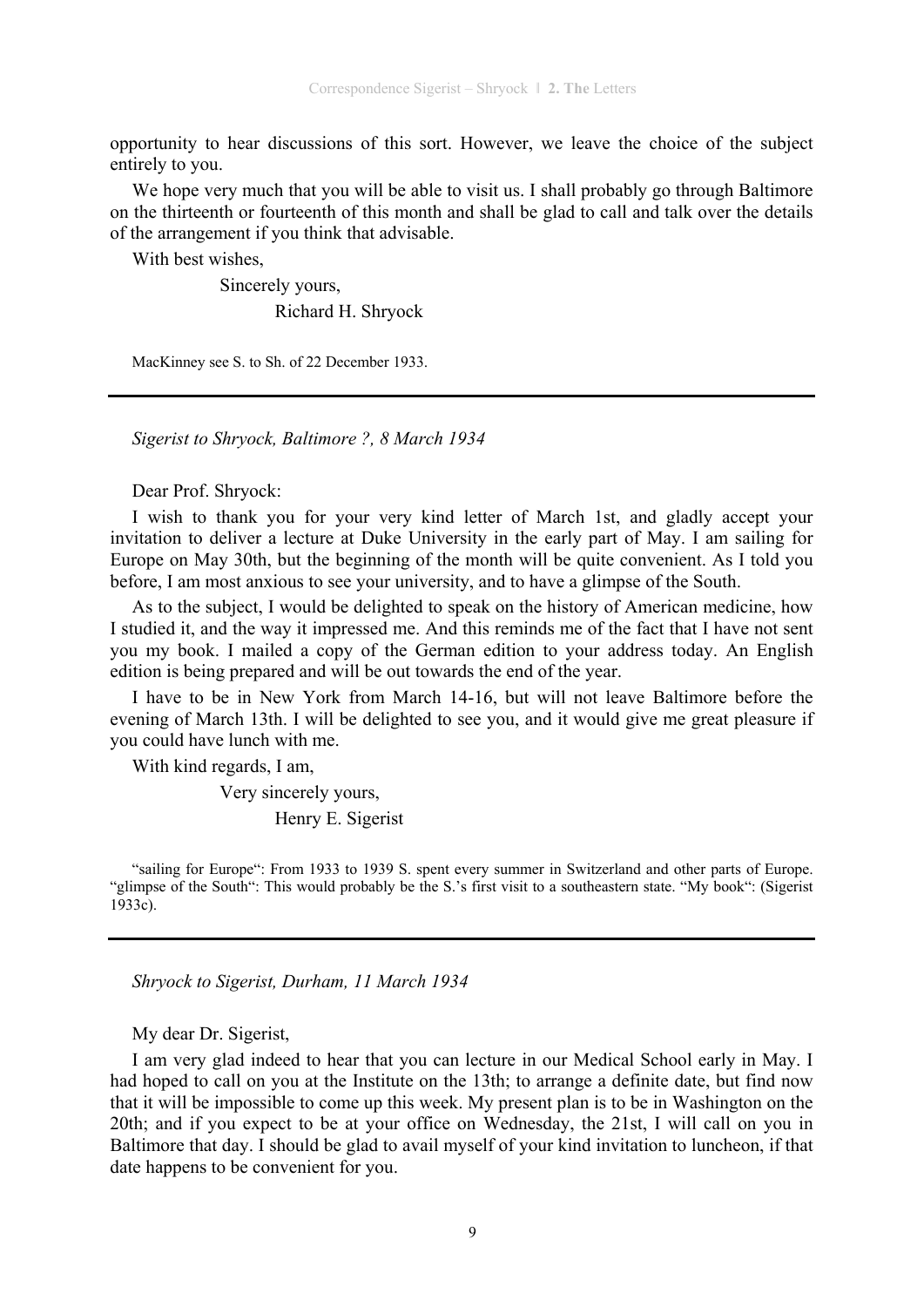opportunity to hear discussions of this sort. However, we leave the choice of the subject entirely to you.

We hope very much that you will be able to visit us. I shall probably go through Baltimore on the thirteenth or fourteenth of this month and shall be glad to call and talk over the details of the arrangement if you think that advisable.

With best wishes,

 Sincerely yours, Richard H. Shryock

MacKinney see S. to Sh. of 22 December 1933.

*Sigerist to Shryock, Baltimore ?, 8 March 1934* 

Dear Prof. Shryock:

I wish to thank you for your very kind letter of March 1st, and gladly accept your invitation to deliver a lecture at Duke University in the early part of May. I am sailing for Europe on May 30th, but the beginning of the month will be quite convenient. As I told you before, I am most anxious to see your university, and to have a glimpse of the South.

As to the subject, I would be delighted to speak on the history of American medicine, how I studied it, and the way it impressed me. And this reminds me of the fact that I have not sent you my book. I mailed a copy of the German edition to your address today. An English edition is being prepared and will be out towards the end of the year.

I have to be in New York from March 14-16, but will not leave Baltimore before the evening of March 13th. I will be delighted to see you, and it would give me great pleasure if you could have lunch with me.

With kind regards, I am,

Very sincerely yours,

Henry E. Sigerist

"sailing for Europe": From 1933 to 1939 S. spent every summer in Switzerland and other parts of Europe. "glimpse of the South": This would probably be the S.'s first visit to a southeastern state. "My book": (Sigerist 1933c).

*Shryock to Sigerist, Durham, 11 March 1934* 

My dear Dr. Sigerist,

I am very glad indeed to hear that you can lecture in our Medical School early in May. I had hoped to call on you at the Institute on the 13th; to arrange a definite date, but find now that it will be impossible to come up this week. My present plan is to be in Washington on the 20th; and if you expect to be at your office on Wednesday, the 21st, I will call on you in Baltimore that day. I should be glad to avail myself of your kind invitation to luncheon, if that date happens to be convenient for you.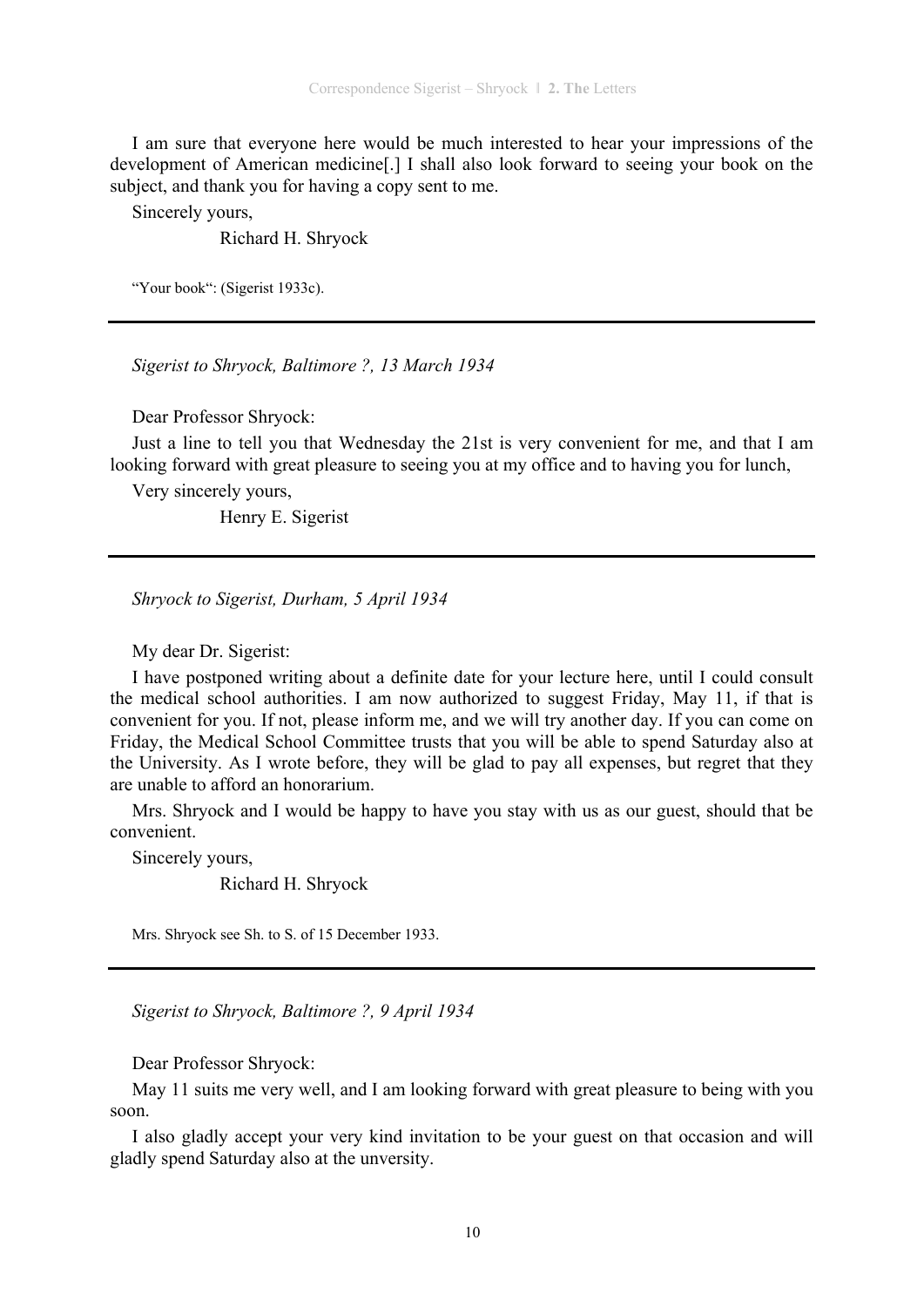I am sure that everyone here would be much interested to hear your impressions of the development of American medicine[.] I shall also look forward to seeing your book on the subject, and thank you for having a copy sent to me.

Sincerely yours,

Richard H. Shryock

"Your book": (Sigerist 1933c).

*Sigerist to Shryock, Baltimore ?, 13 March 1934* 

Dear Professor Shryock:

Just a line to tell you that Wednesday the 21st is very convenient for me, and that I am looking forward with great pleasure to seeing you at my office and to having you for lunch,

Very sincerely yours,

Henry E. Sigerist

*Shryock to Sigerist, Durham, 5 April 1934* 

My dear Dr. Sigerist:

I have postponed writing about a definite date for your lecture here, until I could consult the medical school authorities. I am now authorized to suggest Friday, May 11, if that is convenient for you. If not, please inform me, and we will try another day. If you can come on Friday, the Medical School Committee trusts that you will be able to spend Saturday also at the University. As I wrote before, they will be glad to pay all expenses, but regret that they are unable to afford an honorarium.

Mrs. Shryock and I would be happy to have you stay with us as our guest, should that be convenient.

Sincerely yours,

Richard H. Shryock

Mrs. Shryock see Sh. to S. of 15 December 1933.

*Sigerist to Shryock, Baltimore ?, 9 April 1934* 

Dear Professor Shryock:

May 11 suits me very well, and I am looking forward with great pleasure to being with you soon.

I also gladly accept your very kind invitation to be your guest on that occasion and will gladly spend Saturday also at the unversity.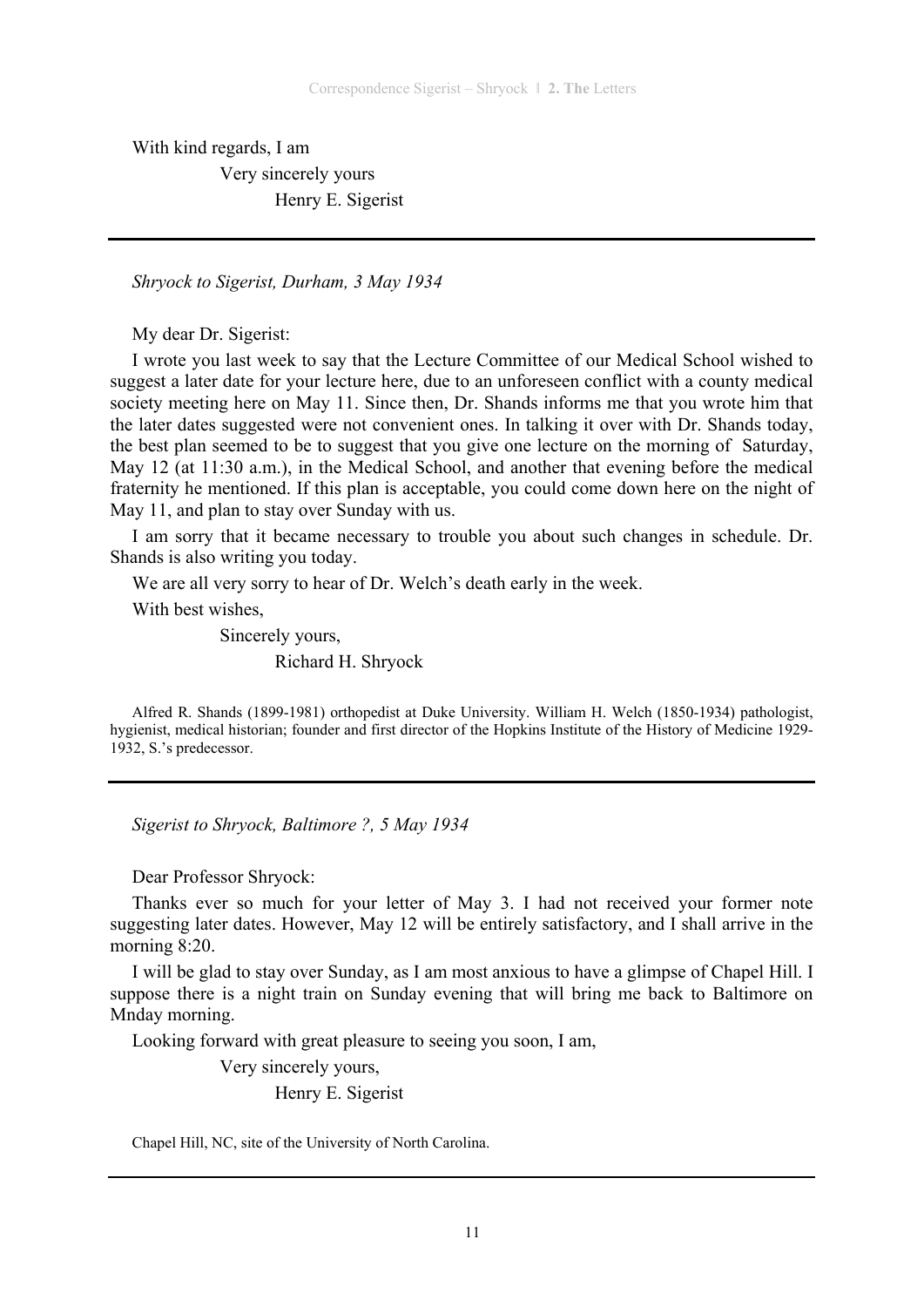With kind regards, I am Very sincerely yours Henry E. Sigerist

*Shryock to Sigerist, Durham, 3 May 1934* 

My dear Dr. Sigerist:

I wrote you last week to say that the Lecture Committee of our Medical School wished to suggest a later date for your lecture here, due to an unforeseen conflict with a county medical society meeting here on May 11. Since then, Dr. Shands informs me that you wrote him that the later dates suggested were not convenient ones. In talking it over with Dr. Shands today, the best plan seemed to be to suggest that you give one lecture on the morning of Saturday, May 12 (at 11:30 a.m.), in the Medical School, and another that evening before the medical fraternity he mentioned. If this plan is acceptable, you could come down here on the night of May 11, and plan to stay over Sunday with us.

I am sorry that it became necessary to trouble you about such changes in schedule. Dr. Shands is also writing you today.

We are all very sorry to hear of Dr. Welch's death early in the week.

With best wishes,

 Sincerely yours, Richard H. Shryock

Alfred R. Shands (1899-1981) orthopedist at Duke University. William H. Welch (1850-1934) pathologist, hygienist, medical historian; founder and first director of the Hopkins Institute of the History of Medicine 1929- 1932, S.'s predecessor.

*Sigerist to Shryock, Baltimore ?, 5 May 1934* 

Dear Professor Shryock:

Thanks ever so much for your letter of May 3. I had not received your former note suggesting later dates. However, May 12 will be entirely satisfactory, and I shall arrive in the morning 8:20.

I will be glad to stay over Sunday, as I am most anxious to have a glimpse of Chapel Hill. I suppose there is a night train on Sunday evening that will bring me back to Baltimore on Mnday morning.

Looking forward with great pleasure to seeing you soon, I am,

 Very sincerely yours, Henry E. Sigerist

Chapel Hill, NC, site of the University of North Carolina.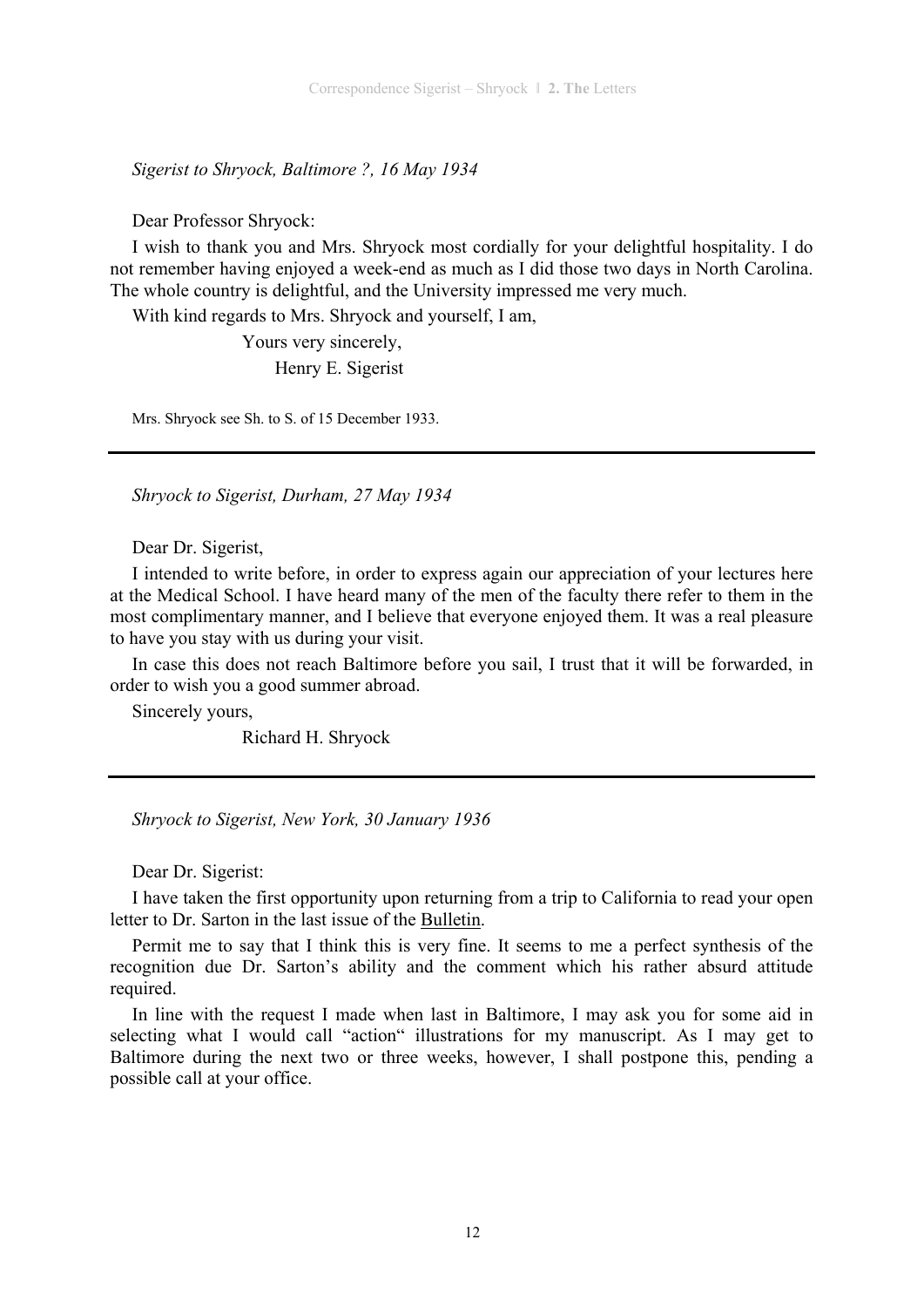*Sigerist to Shryock, Baltimore ?, 16 May 1934* 

Dear Professor Shryock:

I wish to thank you and Mrs. Shryock most cordially for your delightful hospitality. I do not remember having enjoyed a week-end as much as I did those two days in North Carolina. The whole country is delightful, and the University impressed me very much.

With kind regards to Mrs. Shryock and yourself, I am,

 Yours very sincerely, Henry E. Sigerist

Mrs. Shryock see Sh. to S. of 15 December 1933.

*Shryock to Sigerist, Durham, 27 May 1934* 

Dear Dr. Sigerist,

I intended to write before, in order to express again our appreciation of your lectures here at the Medical School. I have heard many of the men of the faculty there refer to them in the most complimentary manner, and I believe that everyone enjoyed them. It was a real pleasure to have you stay with us during your visit.

In case this does not reach Baltimore before you sail, I trust that it will be forwarded, in order to wish you a good summer abroad.

Sincerely yours,

Richard H. Shryock

*Shryock to Sigerist, New York, 30 January 1936* 

Dear Dr. Sigerist:

I have taken the first opportunity upon returning from a trip to California to read your open letter to Dr. Sarton in the last issue of the Bulletin.

Permit me to say that I think this is very fine. It seems to me a perfect synthesis of the recognition due Dr. Sarton's ability and the comment which his rather absurd attitude required.

In line with the request I made when last in Baltimore, I may ask you for some aid in selecting what I would call "action" illustrations for my manuscript. As I may get to Baltimore during the next two or three weeks, however, I shall postpone this, pending a possible call at your office.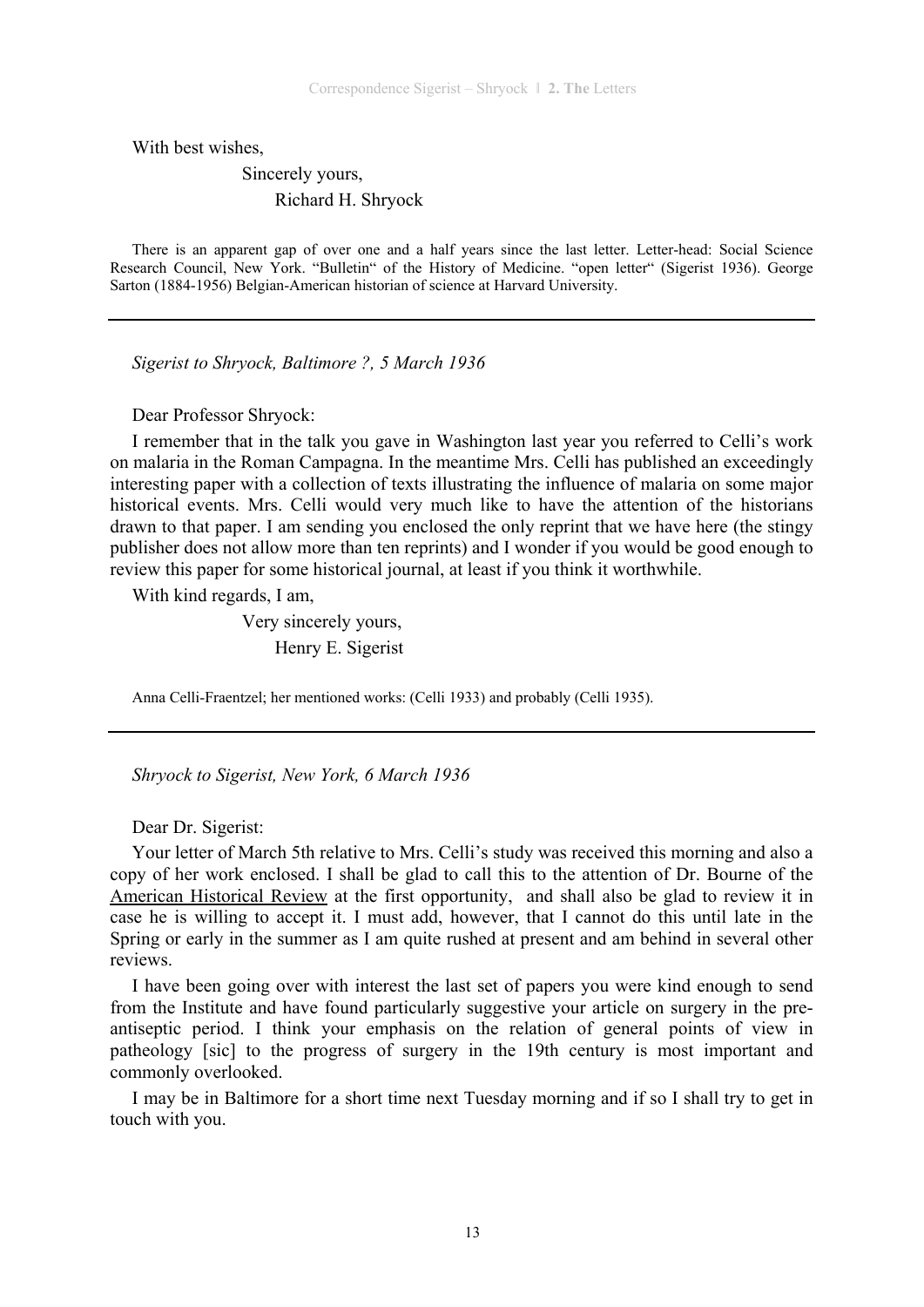With best wishes,

 Sincerely yours, Richard H. Shryock

There is an apparent gap of over one and a half years since the last letter. Letter-head: Social Science Research Council, New York. "Bulletin" of the History of Medicine. "open letter" (Sigerist 1936). George Sarton (1884-1956) Belgian-American historian of science at Harvard University.

*Sigerist to Shryock, Baltimore ?, 5 March 1936* 

Dear Professor Shryock:

I remember that in the talk you gave in Washington last year you referred to Celli's work on malaria in the Roman Campagna. In the meantime Mrs. Celli has published an exceedingly interesting paper with a collection of texts illustrating the influence of malaria on some major historical events. Mrs. Celli would very much like to have the attention of the historians drawn to that paper. I am sending you enclosed the only reprint that we have here (the stingy publisher does not allow more than ten reprints) and I wonder if you would be good enough to review this paper for some historical journal, at least if you think it worthwhile.

With kind regards, I am,

 Very sincerely yours, Henry E. Sigerist

Anna Celli-Fraentzel; her mentioned works: (Celli 1933) and probably (Celli 1935).

*Shryock to Sigerist, New York, 6 March 1936* 

Dear Dr. Sigerist:

Your letter of March 5th relative to Mrs. Celli's study was received this morning and also a copy of her work enclosed. I shall be glad to call this to the attention of Dr. Bourne of the American Historical Review at the first opportunity, and shall also be glad to review it in case he is willing to accept it. I must add, however, that I cannot do this until late in the Spring or early in the summer as I am quite rushed at present and am behind in several other reviews.

I have been going over with interest the last set of papers you were kind enough to send from the Institute and have found particularly suggestive your article on surgery in the preantiseptic period. I think your emphasis on the relation of general points of view in patheology [sic] to the progress of surgery in the 19th century is most important and commonly overlooked.

I may be in Baltimore for a short time next Tuesday morning and if so I shall try to get in touch with you.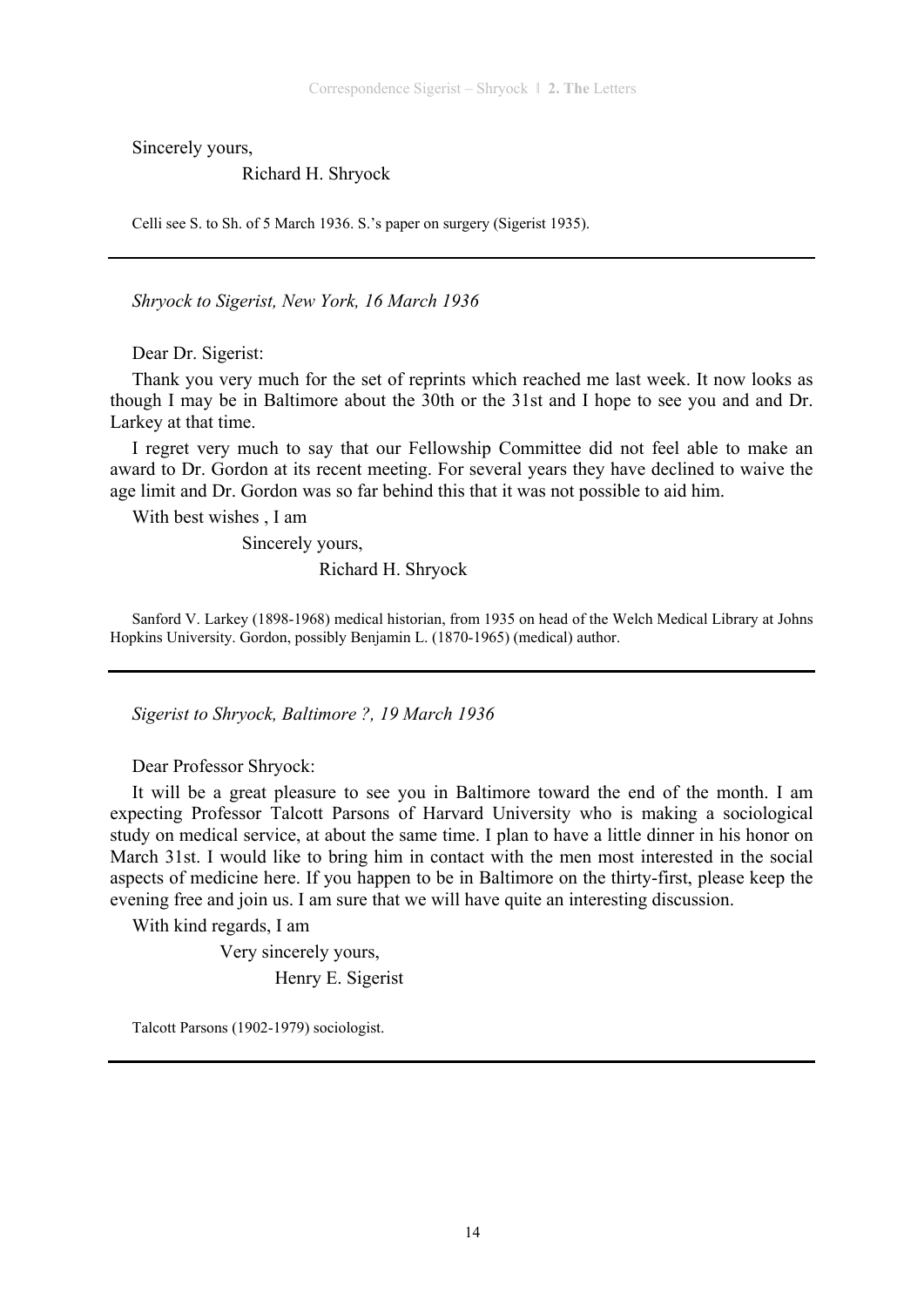Sincerely yours,

#### Richard H. Shryock

Celli see S. to Sh. of 5 March 1936. S.'s paper on surgery (Sigerist 1935).

*Shryock to Sigerist, New York, 16 March 1936* 

Dear Dr. Sigerist:

Thank you very much for the set of reprints which reached me last week. It now looks as though I may be in Baltimore about the 30th or the 31st and I hope to see you and and Dr. Larkey at that time.

I regret very much to say that our Fellowship Committee did not feel able to make an award to Dr. Gordon at its recent meeting. For several years they have declined to waive the age limit and Dr. Gordon was so far behind this that it was not possible to aid him.

With best wishes , I am

 Sincerely yours, Richard H. Shryock

Sanford V. Larkey (1898-1968) medical historian, from 1935 on head of the Welch Medical Library at Johns Hopkins University. Gordon, possibly Benjamin L. (1870-1965) (medical) author.

*Sigerist to Shryock, Baltimore ?, 19 March 1936* 

Dear Professor Shryock:

It will be a great pleasure to see you in Baltimore toward the end of the month. I am expecting Professor Talcott Parsons of Harvard University who is making a sociological study on medical service, at about the same time. I plan to have a little dinner in his honor on March 31st. I would like to bring him in contact with the men most interested in the social aspects of medicine here. If you happen to be in Baltimore on the thirty-first, please keep the evening free and join us. I am sure that we will have quite an interesting discussion.

With kind regards, I am

 Very sincerely yours, Henry E. Sigerist

Talcott Parsons (1902-1979) sociologist.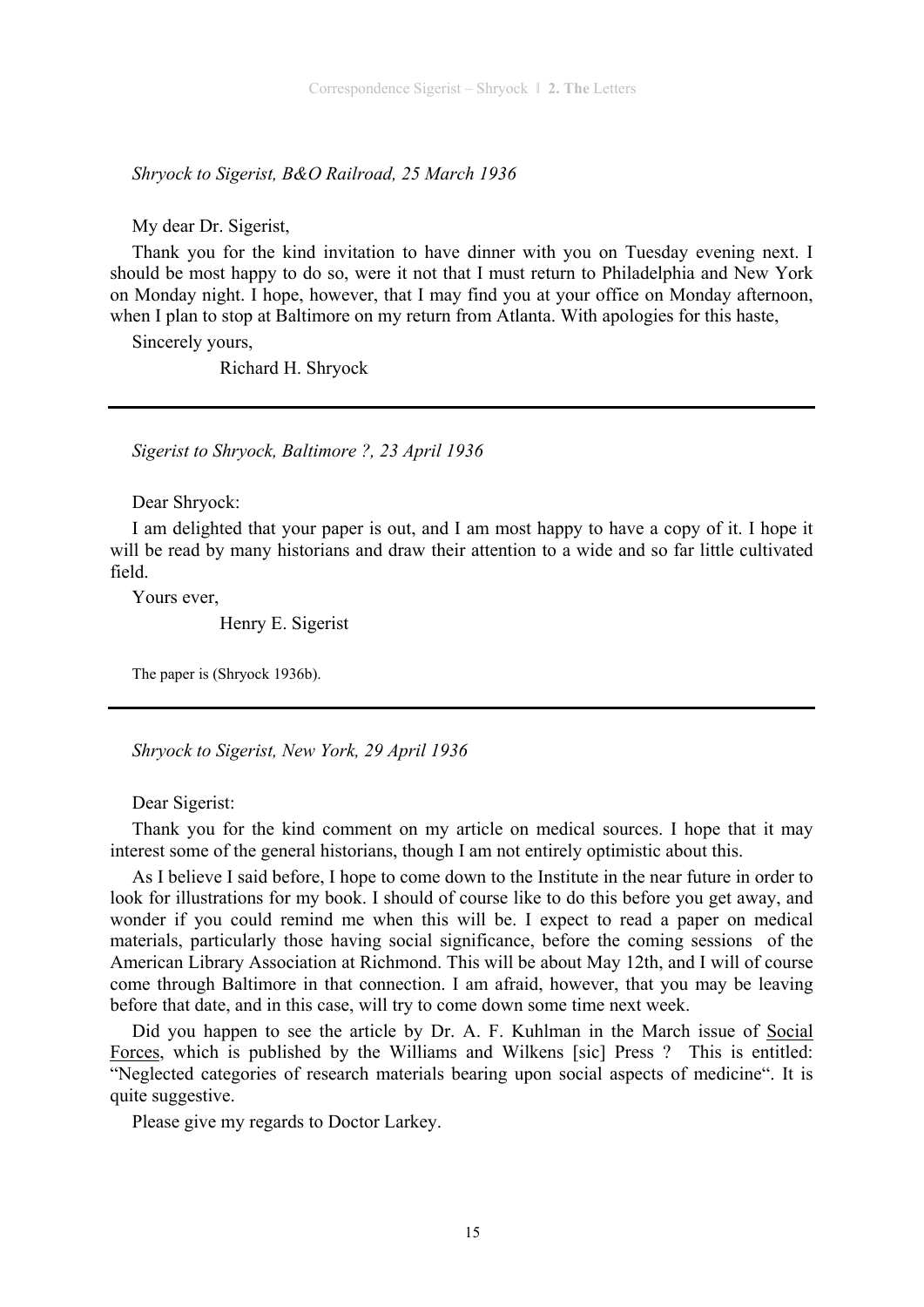*Shryock to Sigerist, B&O Railroad, 25 March 1936* 

My dear Dr. Sigerist,

Thank you for the kind invitation to have dinner with you on Tuesday evening next. I should be most happy to do so, were it not that I must return to Philadelphia and New York on Monday night. I hope, however, that I may find you at your office on Monday afternoon, when I plan to stop at Baltimore on my return from Atlanta. With apologies for this haste,

Sincerely yours,

Richard H. Shryock

*Sigerist to Shryock, Baltimore ?, 23 April 1936* 

Dear Shryock:

I am delighted that your paper is out, and I am most happy to have a copy of it. I hope it will be read by many historians and draw their attention to a wide and so far little cultivated field.

Yours ever,

Henry E. Sigerist

The paper is (Shryock 1936b).

*Shryock to Sigerist, New York, 29 April 1936* 

Dear Sigerist:

Thank you for the kind comment on my article on medical sources. I hope that it may interest some of the general historians, though I am not entirely optimistic about this.

As I believe I said before, I hope to come down to the Institute in the near future in order to look for illustrations for my book. I should of course like to do this before you get away, and wonder if you could remind me when this will be. I expect to read a paper on medical materials, particularly those having social significance, before the coming sessions of the American Library Association at Richmond. This will be about May 12th, and I will of course come through Baltimore in that connection. I am afraid, however, that you may be leaving before that date, and in this case, will try to come down some time next week.

Did you happen to see the article by Dr. A. F. Kuhlman in the March issue of Social Forces, which is published by the Williams and Wilkens [sic] Press ? This is entitled: "Neglected categories of research materials bearing upon social aspects of medicine". It is quite suggestive.

Please give my regards to Doctor Larkey.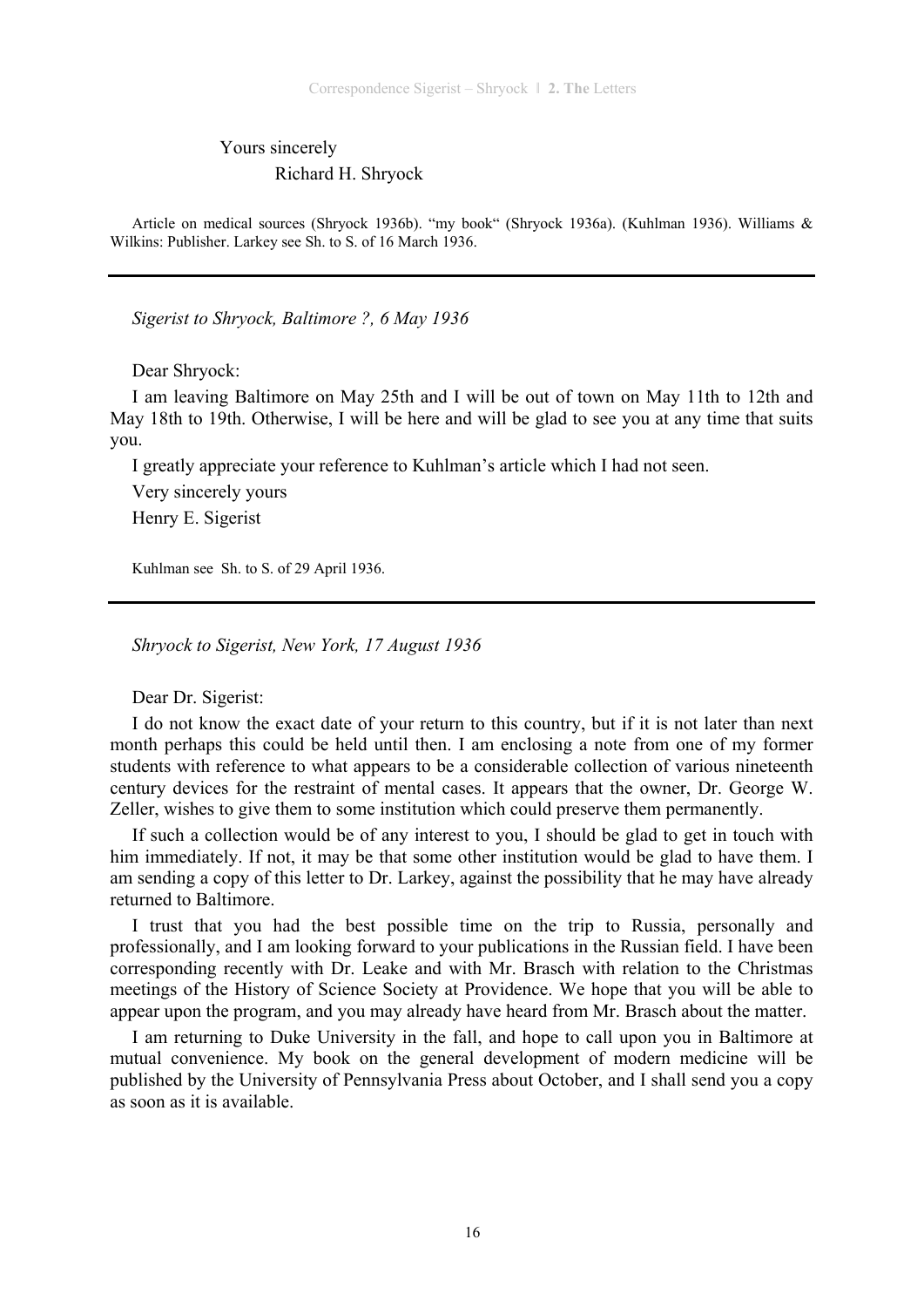### Yours sincerely Richard H. Shryock

Article on medical sources (Shryock 1936b). "my book" (Shryock 1936a). (Kuhlman 1936). Williams & Wilkins: Publisher. Larkey see Sh. to S. of 16 March 1936.

*Sigerist to Shryock, Baltimore ?, 6 May 1936* 

Dear Shryock:

I am leaving Baltimore on May 25th and I will be out of town on May 11th to 12th and May 18th to 19th. Otherwise, I will be here and will be glad to see you at any time that suits you.

I greatly appreciate your reference to Kuhlman's article which I had not seen. Very sincerely yours Henry E. Sigerist

Kuhlman see Sh. to S. of 29 April 1936.

*Shryock to Sigerist, New York, 17 August 1936* 

Dear Dr. Sigerist:

I do not know the exact date of your return to this country, but if it is not later than next month perhaps this could be held until then. I am enclosing a note from one of my former students with reference to what appears to be a considerable collection of various nineteenth century devices for the restraint of mental cases. It appears that the owner, Dr. George W. Zeller, wishes to give them to some institution which could preserve them permanently.

If such a collection would be of any interest to you, I should be glad to get in touch with him immediately. If not, it may be that some other institution would be glad to have them. I am sending a copy of this letter to Dr. Larkey, against the possibility that he may have already returned to Baltimore.

I trust that you had the best possible time on the trip to Russia, personally and professionally, and I am looking forward to your publications in the Russian field. I have been corresponding recently with Dr. Leake and with Mr. Brasch with relation to the Christmas meetings of the History of Science Society at Providence. We hope that you will be able to appear upon the program, and you may already have heard from Mr. Brasch about the matter.

I am returning to Duke University in the fall, and hope to call upon you in Baltimore at mutual convenience. My book on the general development of modern medicine will be published by the University of Pennsylvania Press about October, and I shall send you a copy as soon as it is available.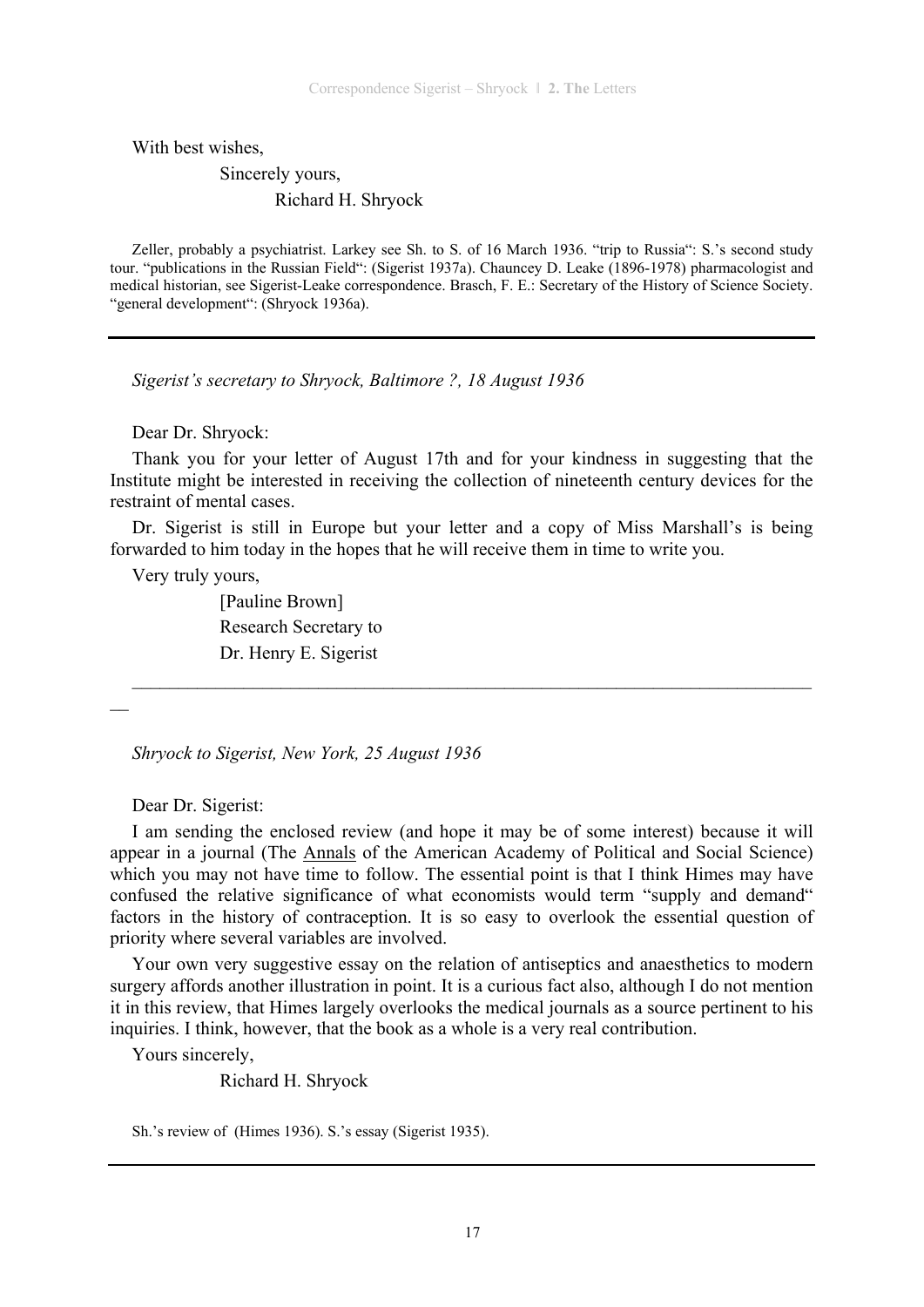With best wishes,

### Sincerely yours, Richard H. Shryock

Zeller, probably a psychiatrist. Larkey see Sh. to S. of 16 March 1936. "trip to Russia": S.'s second study tour. "publications in the Russian Field": (Sigerist 1937a). Chauncey D. Leake (1896-1978) pharmacologist and medical historian, see Sigerist-Leake correspondence. Brasch, F. E.: Secretary of the History of Science Society. "general development": (Shryock 1936a).

*Sigerist's secretary to Shryock, Baltimore ?, 18 August 1936* 

Dear Dr. Shryock:

Thank you for your letter of August 17th and for your kindness in suggesting that the Institute might be interested in receiving the collection of nineteenth century devices for the restraint of mental cases.

Dr. Sigerist is still in Europe but your letter and a copy of Miss Marshall's is being forwarded to him today in the hopes that he will receive them in time to write you.

 $\_$  , and the contribution of the contribution of  $\mathcal{L}_\mathcal{A}$  , and the contribution of  $\mathcal{L}_\mathcal{A}$ 

Very truly yours,

 [Pauline Brown] Research Secretary to Dr. Henry E. Sigerist

 $\overline{\phantom{a}}$ 

*Shryock to Sigerist, New York, 25 August 1936* 

Dear Dr. Sigerist:

I am sending the enclosed review (and hope it may be of some interest) because it will appear in a journal (The Annals of the American Academy of Political and Social Science) which you may not have time to follow. The essential point is that I think Himes may have confused the relative significance of what economists would term "supply and demand" factors in the history of contraception. It is so easy to overlook the essential question of priority where several variables are involved.

Your own very suggestive essay on the relation of antiseptics and anaesthetics to modern surgery affords another illustration in point. It is a curious fact also, although I do not mention it in this review, that Himes largely overlooks the medical journals as a source pertinent to his inquiries. I think, however, that the book as a whole is a very real contribution.

Yours sincerely,

Richard H. Shryock

Sh.'s review of (Himes 1936). S.'s essay (Sigerist 1935).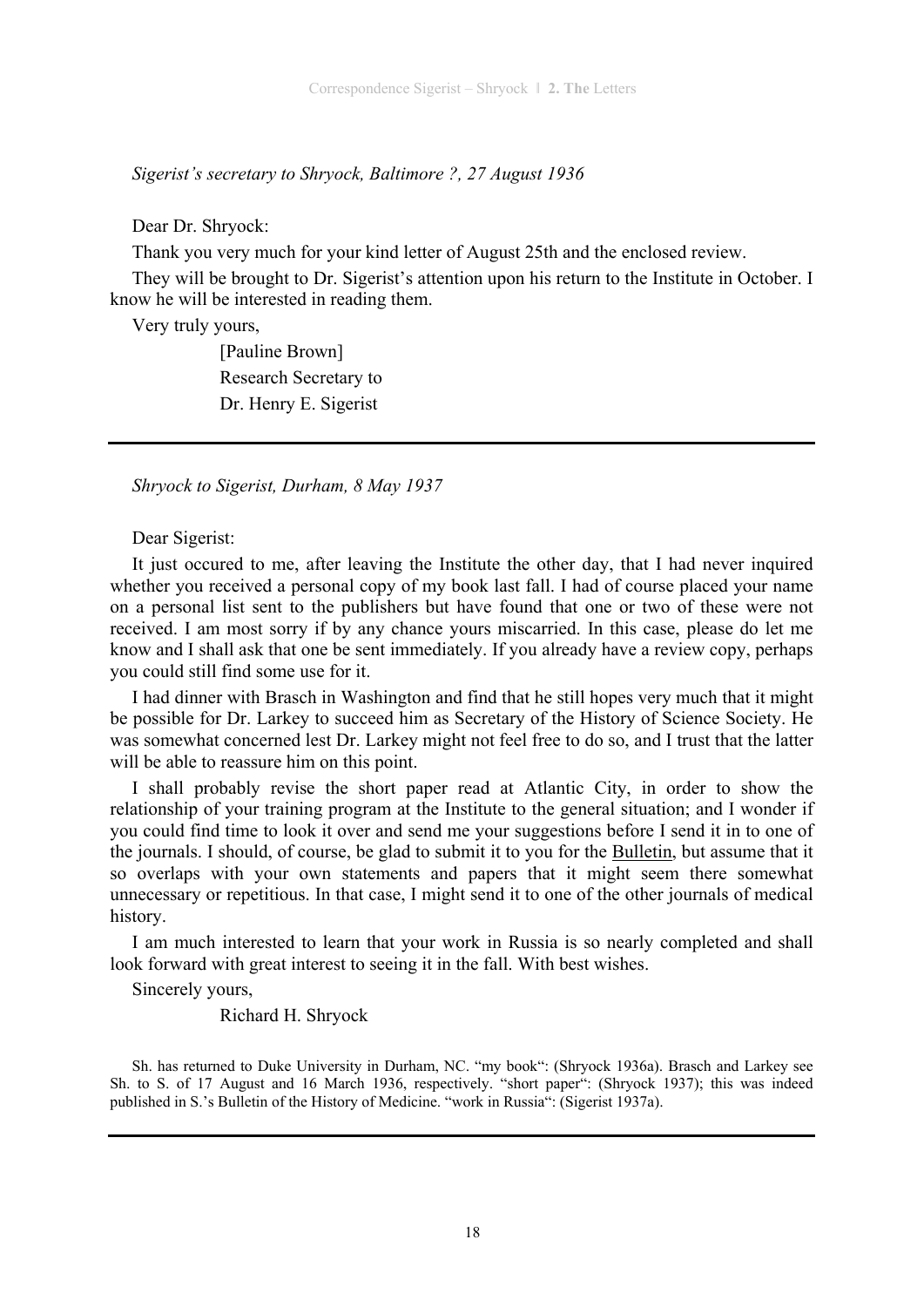*Sigerist's secretary to Shryock, Baltimore ?, 27 August 1936* 

Dear Dr. Shryock:

Thank you very much for your kind letter of August 25th and the enclosed review.

They will be brought to Dr. Sigerist's attention upon his return to the Institute in October. I know he will be interested in reading them.

Very truly yours,

 [Pauline Brown] Research Secretary to Dr. Henry E. Sigerist

*Shryock to Sigerist, Durham, 8 May 1937* 

Dear Sigerist:

It just occured to me, after leaving the Institute the other day, that I had never inquired whether you received a personal copy of my book last fall. I had of course placed your name on a personal list sent to the publishers but have found that one or two of these were not received. I am most sorry if by any chance yours miscarried. In this case, please do let me know and I shall ask that one be sent immediately. If you already have a review copy, perhaps you could still find some use for it.

I had dinner with Brasch in Washington and find that he still hopes very much that it might be possible for Dr. Larkey to succeed him as Secretary of the History of Science Society. He was somewhat concerned lest Dr. Larkey might not feel free to do so, and I trust that the latter will be able to reassure him on this point.

I shall probably revise the short paper read at Atlantic City, in order to show the relationship of your training program at the Institute to the general situation; and I wonder if you could find time to look it over and send me your suggestions before I send it in to one of the journals. I should, of course, be glad to submit it to you for the Bulletin, but assume that it so overlaps with your own statements and papers that it might seem there somewhat unnecessary or repetitious. In that case, I might send it to one of the other journals of medical history.

I am much interested to learn that your work in Russia is so nearly completed and shall look forward with great interest to seeing it in the fall. With best wishes.

Sincerely yours,

Richard H. Shryock

Sh. has returned to Duke University in Durham, NC. "my book": (Shryock 1936a). Brasch and Larkey see Sh. to S. of 17 August and 16 March 1936, respectively. "short paper": (Shryock 1937); this was indeed published in S.'s Bulletin of the History of Medicine. "work in Russia": (Sigerist 1937a).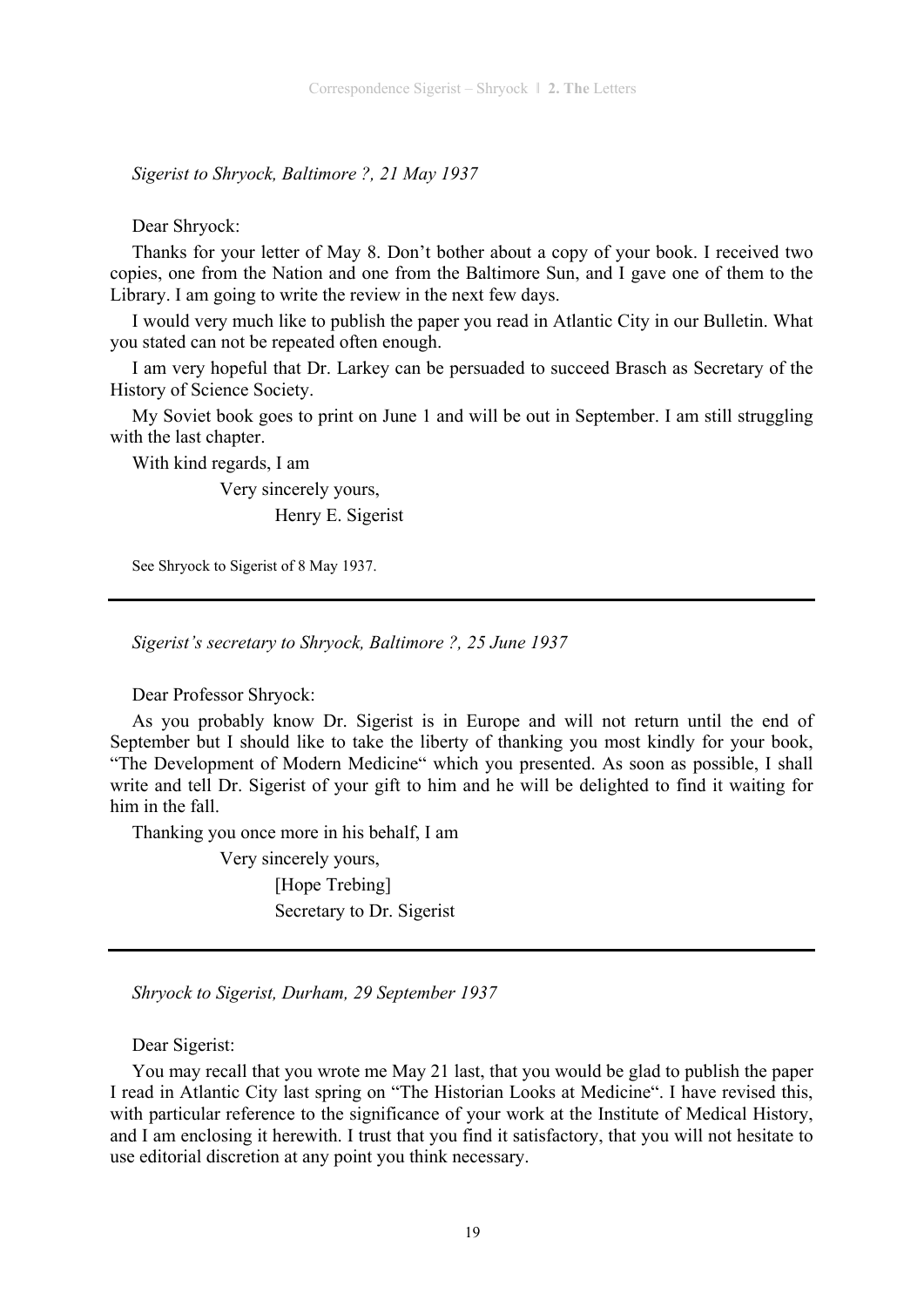*Sigerist to Shryock, Baltimore ?, 21 May 1937* 

Dear Shryock:

Thanks for your letter of May 8. Don't bother about a copy of your book. I received two copies, one from the Nation and one from the Baltimore Sun, and I gave one of them to the Library. I am going to write the review in the next few days.

I would very much like to publish the paper you read in Atlantic City in our Bulletin. What you stated can not be repeated often enough.

I am very hopeful that Dr. Larkey can be persuaded to succeed Brasch as Secretary of the History of Science Society.

My Soviet book goes to print on June 1 and will be out in September. I am still struggling with the last chapter.

With kind regards, I am

 Very sincerely yours, Henry E. Sigerist

See Shryock to Sigerist of 8 May 1937.

*Sigerist's secretary to Shryock, Baltimore ?, 25 June 1937* 

Dear Professor Shryock:

As you probably know Dr. Sigerist is in Europe and will not return until the end of September but I should like to take the liberty of thanking you most kindly for your book, "The Development of Modern Medicine" which you presented. As soon as possible, I shall write and tell Dr. Sigerist of your gift to him and he will be delighted to find it waiting for him in the fall.

Thanking you once more in his behalf, I am

 Very sincerely yours, [Hope Trebing] Secretary to Dr. Sigerist

*Shryock to Sigerist, Durham, 29 September 1937* 

Dear Sigerist:

You may recall that you wrote me May 21 last, that you would be glad to publish the paper I read in Atlantic City last spring on "The Historian Looks at Medicine". I have revised this, with particular reference to the significance of your work at the Institute of Medical History, and I am enclosing it herewith. I trust that you find it satisfactory, that you will not hesitate to use editorial discretion at any point you think necessary.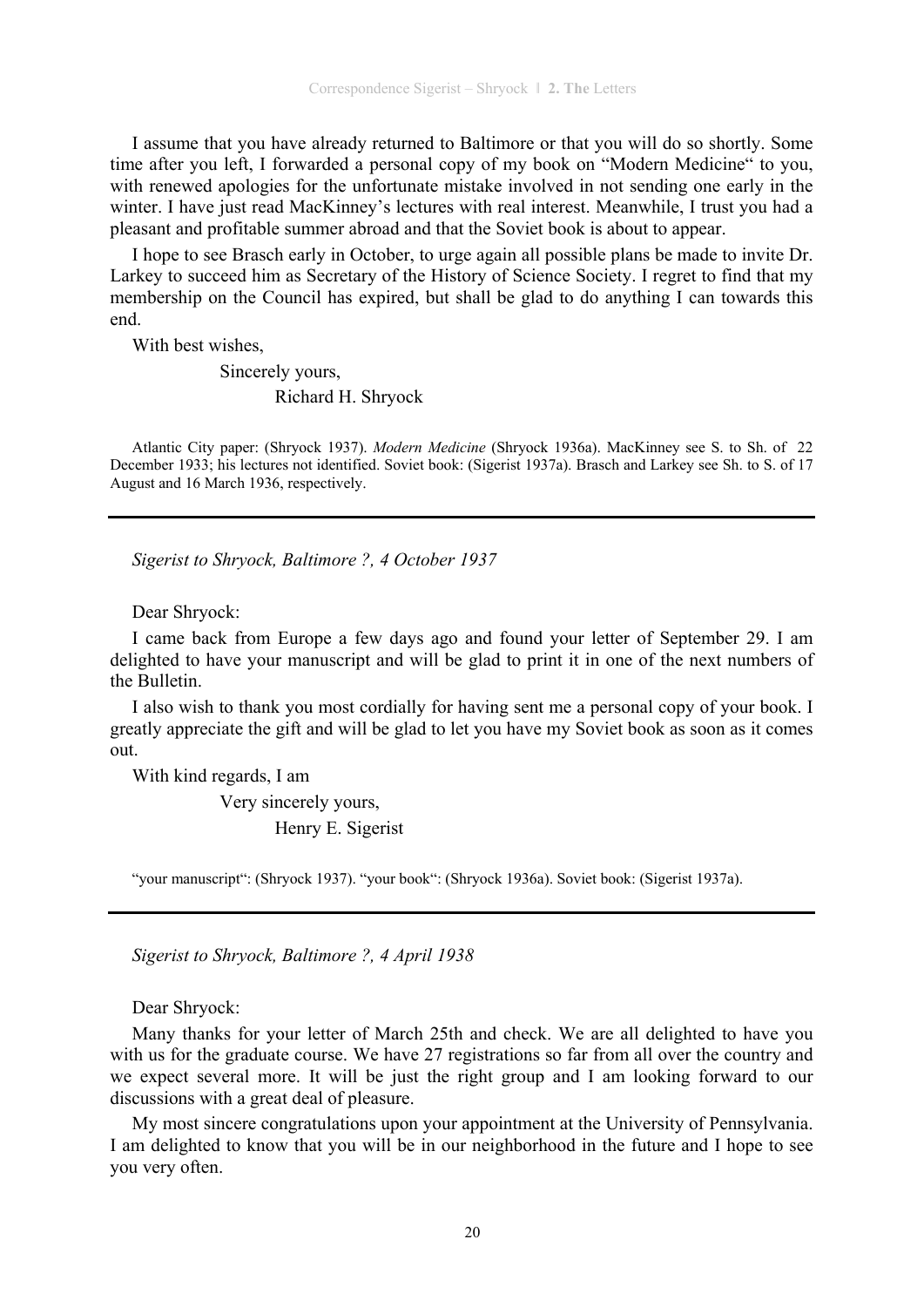I assume that you have already returned to Baltimore or that you will do so shortly. Some time after you left, I forwarded a personal copy of my book on "Modern Medicine" to you, with renewed apologies for the unfortunate mistake involved in not sending one early in the winter. I have just read MacKinney's lectures with real interest. Meanwhile, I trust you had a pleasant and profitable summer abroad and that the Soviet book is about to appear.

I hope to see Brasch early in October, to urge again all possible plans be made to invite Dr. Larkey to succeed him as Secretary of the History of Science Society. I regret to find that my membership on the Council has expired, but shall be glad to do anything I can towards this end.

With best wishes,

Sincerely yours,

Richard H. Shryock

Atlantic City paper: (Shryock 1937). *Modern Medicine* (Shryock 1936a). MacKinney see S. to Sh. of 22 December 1933; his lectures not identified. Soviet book: (Sigerist 1937a). Brasch and Larkey see Sh. to S. of 17 August and 16 March 1936, respectively.

*Sigerist to Shryock, Baltimore ?, 4 October 1937* 

Dear Shryock:

I came back from Europe a few days ago and found your letter of September 29. I am delighted to have your manuscript and will be glad to print it in one of the next numbers of the Bulletin.

I also wish to thank you most cordially for having sent me a personal copy of your book. I greatly appreciate the gift and will be glad to let you have my Soviet book as soon as it comes out.

With kind regards, I am

 Very sincerely yours, Henry E. Sigerist

"your manuscript": (Shryock 1937). "your book": (Shryock 1936a). Soviet book: (Sigerist 1937a).

*Sigerist to Shryock, Baltimore ?, 4 April 1938* 

Dear Shryock:

Many thanks for your letter of March 25th and check. We are all delighted to have you with us for the graduate course. We have 27 registrations so far from all over the country and we expect several more. It will be just the right group and I am looking forward to our discussions with a great deal of pleasure.

My most sincere congratulations upon your appointment at the University of Pennsylvania. I am delighted to know that you will be in our neighborhood in the future and I hope to see you very often.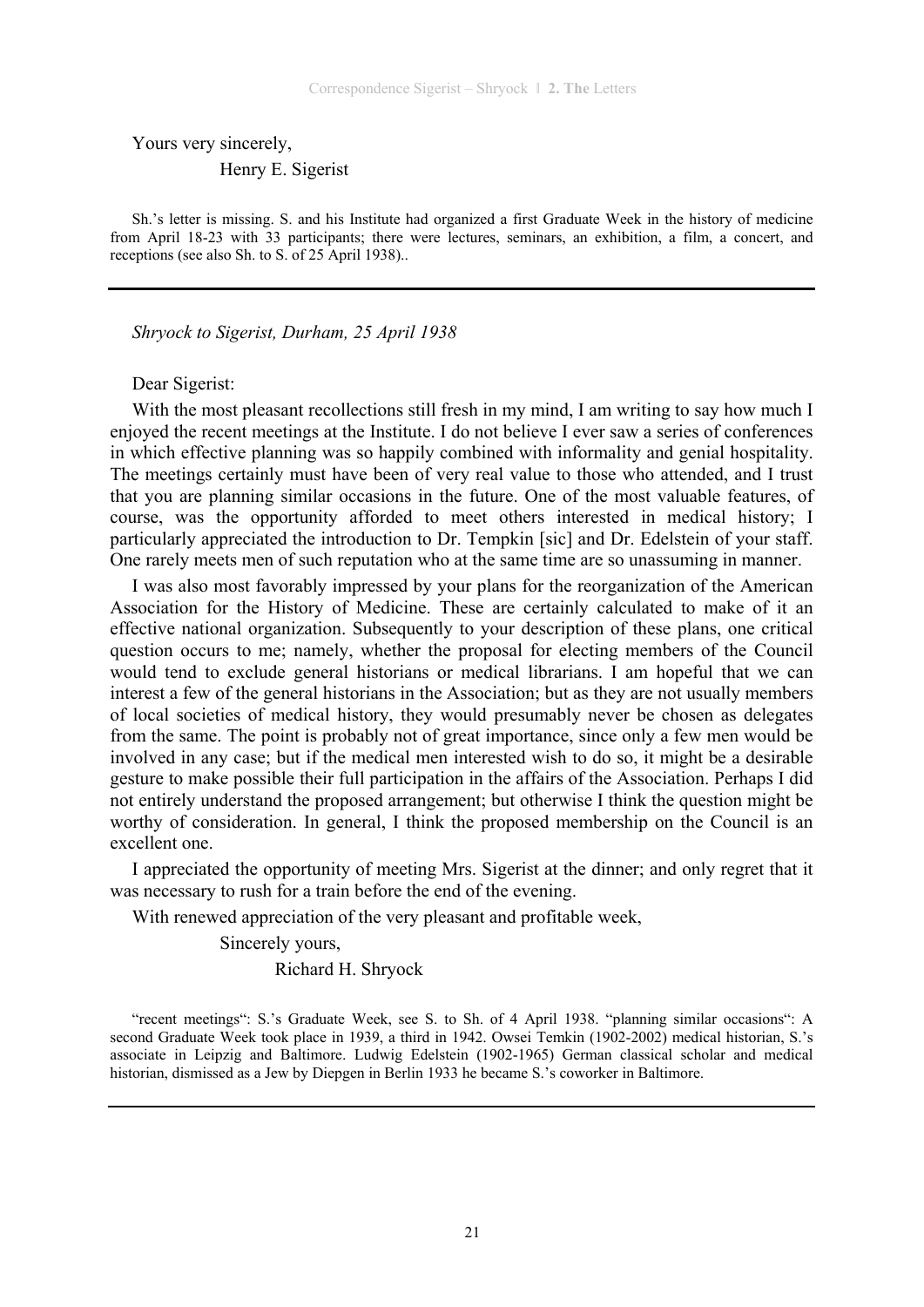Yours very sincerely,

Henry E. Sigerist

Sh.'s letter is missing. S. and his Institute had organized a first Graduate Week in the history of medicine from April 18-23 with 33 participants; there were lectures, seminars, an exhibition, a film, a concert, and receptions (see also Sh. to S. of 25 April 1938)..

*Shryock to Sigerist, Durham, 25 April 1938* 

#### Dear Sigerist:

With the most pleasant recollections still fresh in my mind, I am writing to say how much I enjoyed the recent meetings at the Institute. I do not believe I ever saw a series of conferences in which effective planning was so happily combined with informality and genial hospitality. The meetings certainly must have been of very real value to those who attended, and I trust that you are planning similar occasions in the future. One of the most valuable features, of course, was the opportunity afforded to meet others interested in medical history; I particularly appreciated the introduction to Dr. Tempkin [sic] and Dr. Edelstein of your staff. One rarely meets men of such reputation who at the same time are so unassuming in manner.

I was also most favorably impressed by your plans for the reorganization of the American Association for the History of Medicine. These are certainly calculated to make of it an effective national organization. Subsequently to your description of these plans, one critical question occurs to me; namely, whether the proposal for electing members of the Council would tend to exclude general historians or medical librarians. I am hopeful that we can interest a few of the general historians in the Association; but as they are not usually members of local societies of medical history, they would presumably never be chosen as delegates from the same. The point is probably not of great importance, since only a few men would be involved in any case; but if the medical men interested wish to do so, it might be a desirable gesture to make possible their full participation in the affairs of the Association. Perhaps I did not entirely understand the proposed arrangement; but otherwise I think the question might be worthy of consideration. In general, I think the proposed membership on the Council is an excellent one.

I appreciated the opportunity of meeting Mrs. Sigerist at the dinner; and only regret that it was necessary to rush for a train before the end of the evening.

With renewed appreciation of the very pleasant and profitable week,

Sincerely yours,

Richard H. Shryock

"recent meetings": S.'s Graduate Week, see S. to Sh. of 4 April 1938. "planning similar occasions": A second Graduate Week took place in 1939, a third in 1942. Owsei Temkin (1902-2002) medical historian, S.'s associate in Leipzig and Baltimore. Ludwig Edelstein (1902-1965) German classical scholar and medical historian, dismissed as a Jew by Diepgen in Berlin 1933 he became S.'s coworker in Baltimore.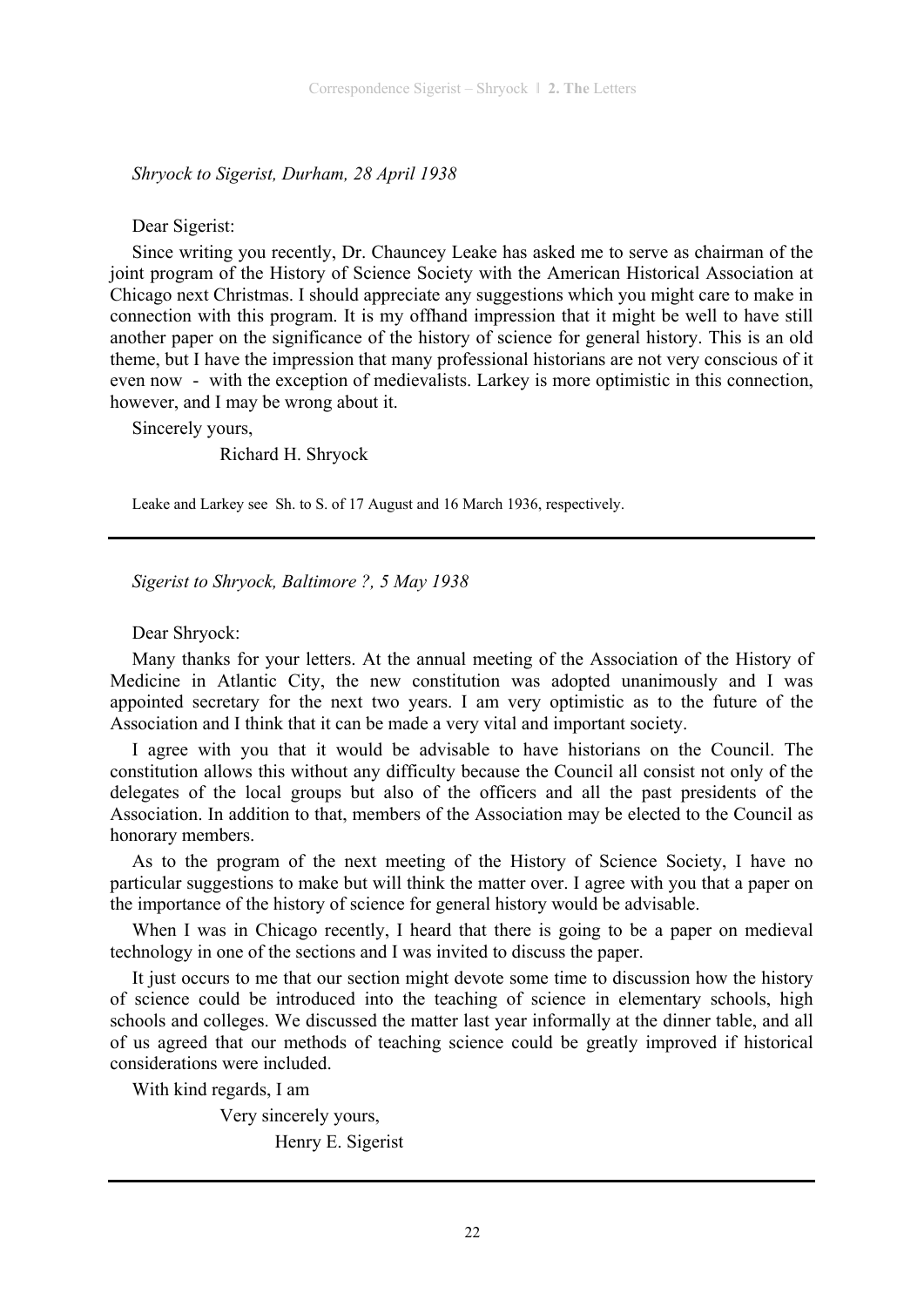*Shryock to Sigerist, Durham, 28 April 1938* 

Dear Sigerist:

Since writing you recently, Dr. Chauncey Leake has asked me to serve as chairman of the joint program of the History of Science Society with the American Historical Association at Chicago next Christmas. I should appreciate any suggestions which you might care to make in connection with this program. It is my offhand impression that it might be well to have still another paper on the significance of the history of science for general history. This is an old theme, but I have the impression that many professional historians are not very conscious of it even now - with the exception of medievalists. Larkey is more optimistic in this connection, however, and I may be wrong about it.

Sincerely yours,

Richard H. Shryock

Leake and Larkey see Sh. to S. of 17 August and 16 March 1936, respectively.

*Sigerist to Shryock, Baltimore ?, 5 May 1938* 

Dear Shryock:

Many thanks for your letters. At the annual meeting of the Association of the History of Medicine in Atlantic City, the new constitution was adopted unanimously and I was appointed secretary for the next two years. I am very optimistic as to the future of the Association and I think that it can be made a very vital and important society.

I agree with you that it would be advisable to have historians on the Council. The constitution allows this without any difficulty because the Council all consist not only of the delegates of the local groups but also of the officers and all the past presidents of the Association. In addition to that, members of the Association may be elected to the Council as honorary members.

As to the program of the next meeting of the History of Science Society, I have no particular suggestions to make but will think the matter over. I agree with you that a paper on the importance of the history of science for general history would be advisable.

When I was in Chicago recently, I heard that there is going to be a paper on medieval technology in one of the sections and I was invited to discuss the paper.

It just occurs to me that our section might devote some time to discussion how the history of science could be introduced into the teaching of science in elementary schools, high schools and colleges. We discussed the matter last year informally at the dinner table, and all of us agreed that our methods of teaching science could be greatly improved if historical considerations were included.

With kind regards, I am

 Very sincerely yours, Henry E. Sigerist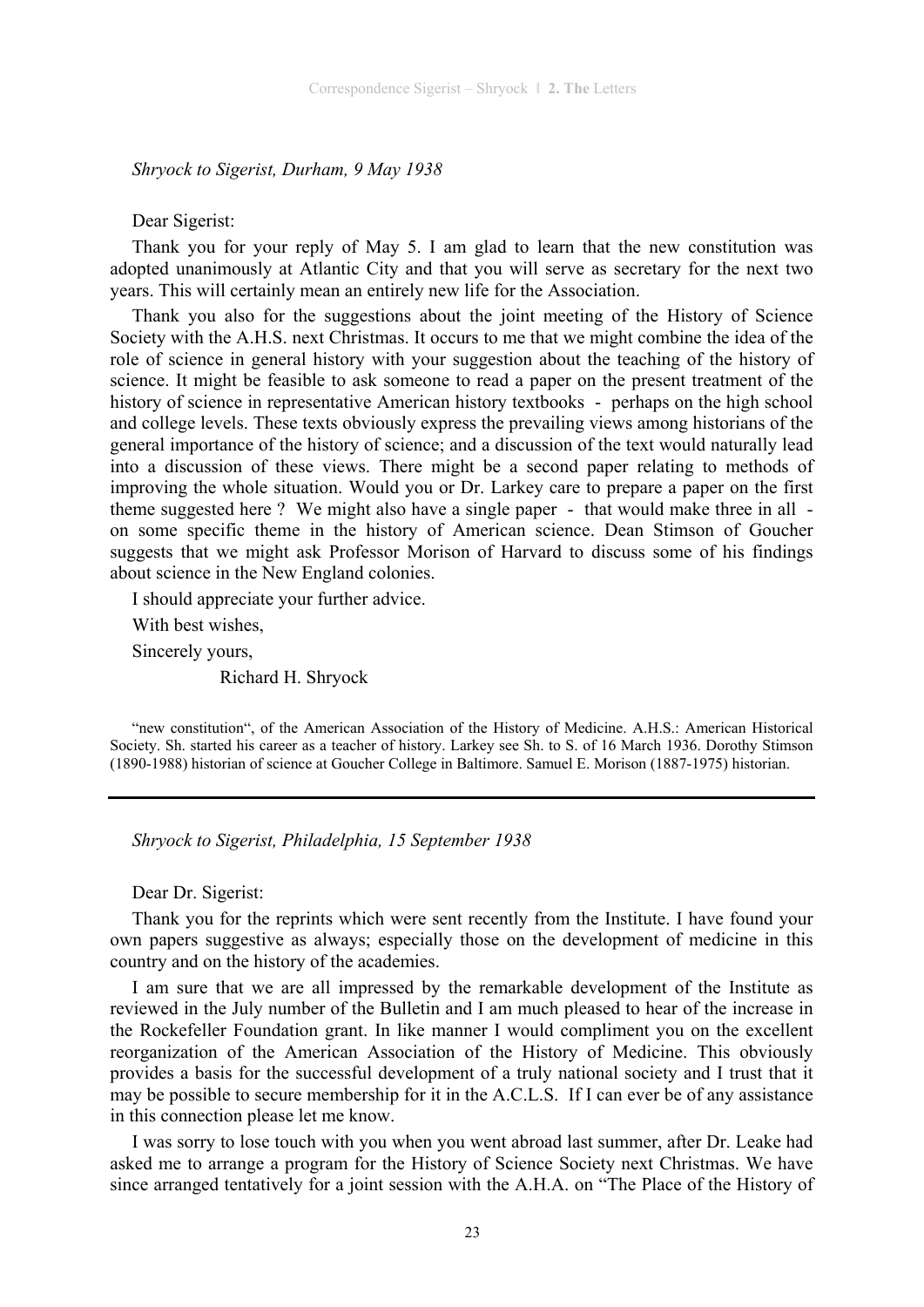*Shryock to Sigerist, Durham, 9 May 1938* 

Dear Sigerist:

Thank you for your reply of May 5. I am glad to learn that the new constitution was adopted unanimously at Atlantic City and that you will serve as secretary for the next two years. This will certainly mean an entirely new life for the Association.

Thank you also for the suggestions about the joint meeting of the History of Science Society with the A.H.S. next Christmas. It occurs to me that we might combine the idea of the role of science in general history with your suggestion about the teaching of the history of science. It might be feasible to ask someone to read a paper on the present treatment of the history of science in representative American history textbooks - perhaps on the high school and college levels. These texts obviously express the prevailing views among historians of the general importance of the history of science; and a discussion of the text would naturally lead into a discussion of these views. There might be a second paper relating to methods of improving the whole situation. Would you or Dr. Larkey care to prepare a paper on the first theme suggested here ? We might also have a single paper - that would make three in all on some specific theme in the history of American science. Dean Stimson of Goucher suggests that we might ask Professor Morison of Harvard to discuss some of his findings about science in the New England colonies.

I should appreciate your further advice.

With best wishes,

Sincerely yours,

Richard H. Shryock

"new constitution", of the American Association of the History of Medicine. A.H.S.: American Historical Society. Sh. started his career as a teacher of history. Larkey see Sh. to S. of 16 March 1936. Dorothy Stimson (1890-1988) historian of science at Goucher College in Baltimore. Samuel E. Morison (1887-1975) historian.

*Shryock to Sigerist, Philadelphia, 15 September 1938* 

Dear Dr. Sigerist:

Thank you for the reprints which were sent recently from the Institute. I have found your own papers suggestive as always; especially those on the development of medicine in this country and on the history of the academies.

I am sure that we are all impressed by the remarkable development of the Institute as reviewed in the July number of the Bulletin and I am much pleased to hear of the increase in the Rockefeller Foundation grant. In like manner I would compliment you on the excellent reorganization of the American Association of the History of Medicine. This obviously provides a basis for the successful development of a truly national society and I trust that it may be possible to secure membership for it in the A.C.L.S. If I can ever be of any assistance in this connection please let me know.

I was sorry to lose touch with you when you went abroad last summer, after Dr. Leake had asked me to arrange a program for the History of Science Society next Christmas. We have since arranged tentatively for a joint session with the A.H.A. on "The Place of the History of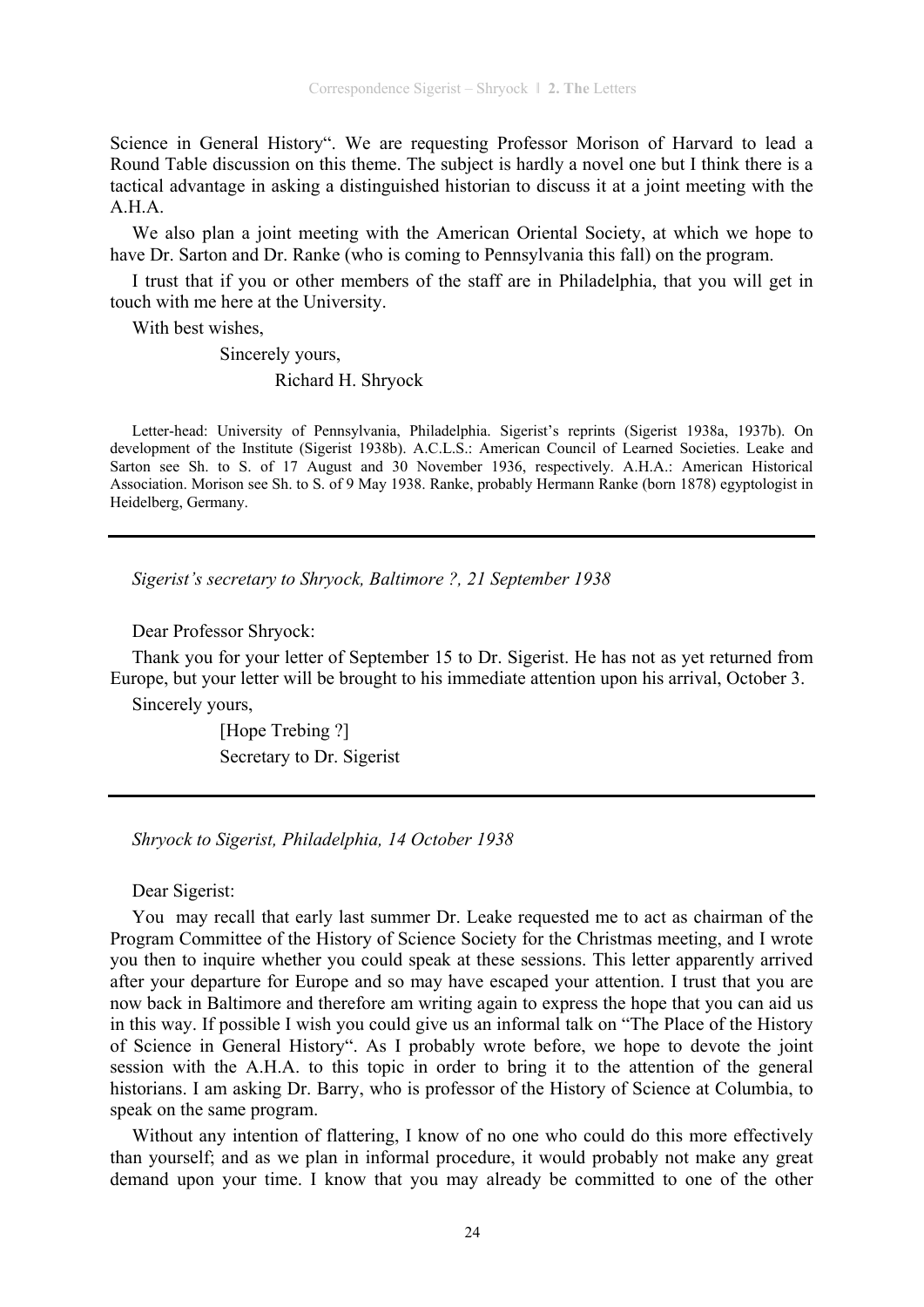Science in General History". We are requesting Professor Morison of Harvard to lead a Round Table discussion on this theme. The subject is hardly a novel one but I think there is a tactical advantage in asking a distinguished historian to discuss it at a joint meeting with the A.H.A.

We also plan a joint meeting with the American Oriental Society, at which we hope to have Dr. Sarton and Dr. Ranke (who is coming to Pennsylvania this fall) on the program.

I trust that if you or other members of the staff are in Philadelphia, that you will get in touch with me here at the University.

With best wishes,

 Sincerely yours, Richard H. Shryock

Letter-head: University of Pennsylvania, Philadelphia. Sigerist's reprints (Sigerist 1938a, 1937b). On development of the Institute (Sigerist 1938b). A.C.L.S.: American Council of Learned Societies. Leake and Sarton see Sh. to S. of 17 August and 30 November 1936, respectively. A.H.A.: American Historical Association. Morison see Sh. to S. of 9 May 1938. Ranke, probably Hermann Ranke (born 1878) egyptologist in Heidelberg, Germany.

*Sigerist's secretary to Shryock, Baltimore ?, 21 September 1938* 

Dear Professor Shryock:

Thank you for your letter of September 15 to Dr. Sigerist. He has not as yet returned from Europe, but your letter will be brought to his immediate attention upon his arrival, October 3.

Sincerely yours,

[Hope Trebing ?] Secretary to Dr. Sigerist

*Shryock to Sigerist, Philadelphia, 14 October 1938* 

Dear Sigerist:

You may recall that early last summer Dr. Leake requested me to act as chairman of the Program Committee of the History of Science Society for the Christmas meeting, and I wrote you then to inquire whether you could speak at these sessions. This letter apparently arrived after your departure for Europe and so may have escaped your attention. I trust that you are now back in Baltimore and therefore am writing again to express the hope that you can aid us in this way. If possible I wish you could give us an informal talk on "The Place of the History of Science in General History". As I probably wrote before, we hope to devote the joint session with the A.H.A. to this topic in order to bring it to the attention of the general historians. I am asking Dr. Barry, who is professor of the History of Science at Columbia, to speak on the same program.

Without any intention of flattering, I know of no one who could do this more effectively than yourself; and as we plan in informal procedure, it would probably not make any great demand upon your time. I know that you may already be committed to one of the other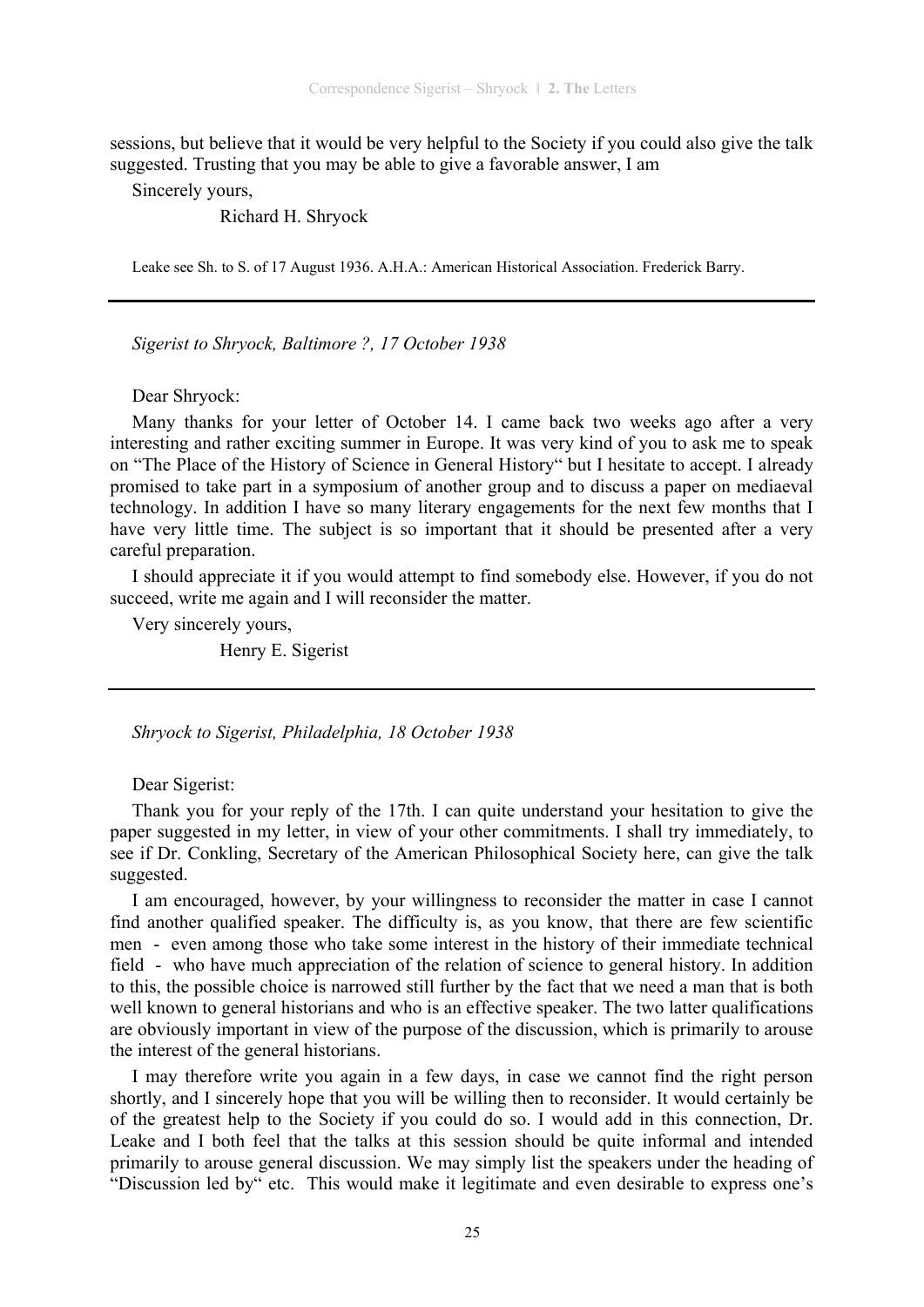sessions, but believe that it would be very helpful to the Society if you could also give the talk suggested. Trusting that you may be able to give a favorable answer, I am

Sincerely yours,

Richard H. Shryock

Leake see Sh. to S. of 17 August 1936. A.H.A.: American Historical Association. Frederick Barry.

*Sigerist to Shryock, Baltimore ?, 17 October 1938* 

Dear Shryock:

Many thanks for your letter of October 14. I came back two weeks ago after a very interesting and rather exciting summer in Europe. It was very kind of you to ask me to speak on "The Place of the History of Science in General History" but I hesitate to accept. I already promised to take part in a symposium of another group and to discuss a paper on mediaeval technology. In addition I have so many literary engagements for the next few months that I have very little time. The subject is so important that it should be presented after a very careful preparation.

I should appreciate it if you would attempt to find somebody else. However, if you do not succeed, write me again and I will reconsider the matter.

Very sincerely yours,

Henry E. Sigerist

*Shryock to Sigerist, Philadelphia, 18 October 1938* 

Dear Sigerist:

Thank you for your reply of the 17th. I can quite understand your hesitation to give the paper suggested in my letter, in view of your other commitments. I shall try immediately, to see if Dr. Conkling, Secretary of the American Philosophical Society here, can give the talk suggested.

I am encouraged, however, by your willingness to reconsider the matter in case I cannot find another qualified speaker. The difficulty is, as you know, that there are few scientific men - even among those who take some interest in the history of their immediate technical field - who have much appreciation of the relation of science to general history. In addition to this, the possible choice is narrowed still further by the fact that we need a man that is both well known to general historians and who is an effective speaker. The two latter qualifications are obviously important in view of the purpose of the discussion, which is primarily to arouse the interest of the general historians.

I may therefore write you again in a few days, in case we cannot find the right person shortly, and I sincerely hope that you will be willing then to reconsider. It would certainly be of the greatest help to the Society if you could do so. I would add in this connection, Dr. Leake and I both feel that the talks at this session should be quite informal and intended primarily to arouse general discussion. We may simply list the speakers under the heading of "Discussion led by" etc. This would make it legitimate and even desirable to express one's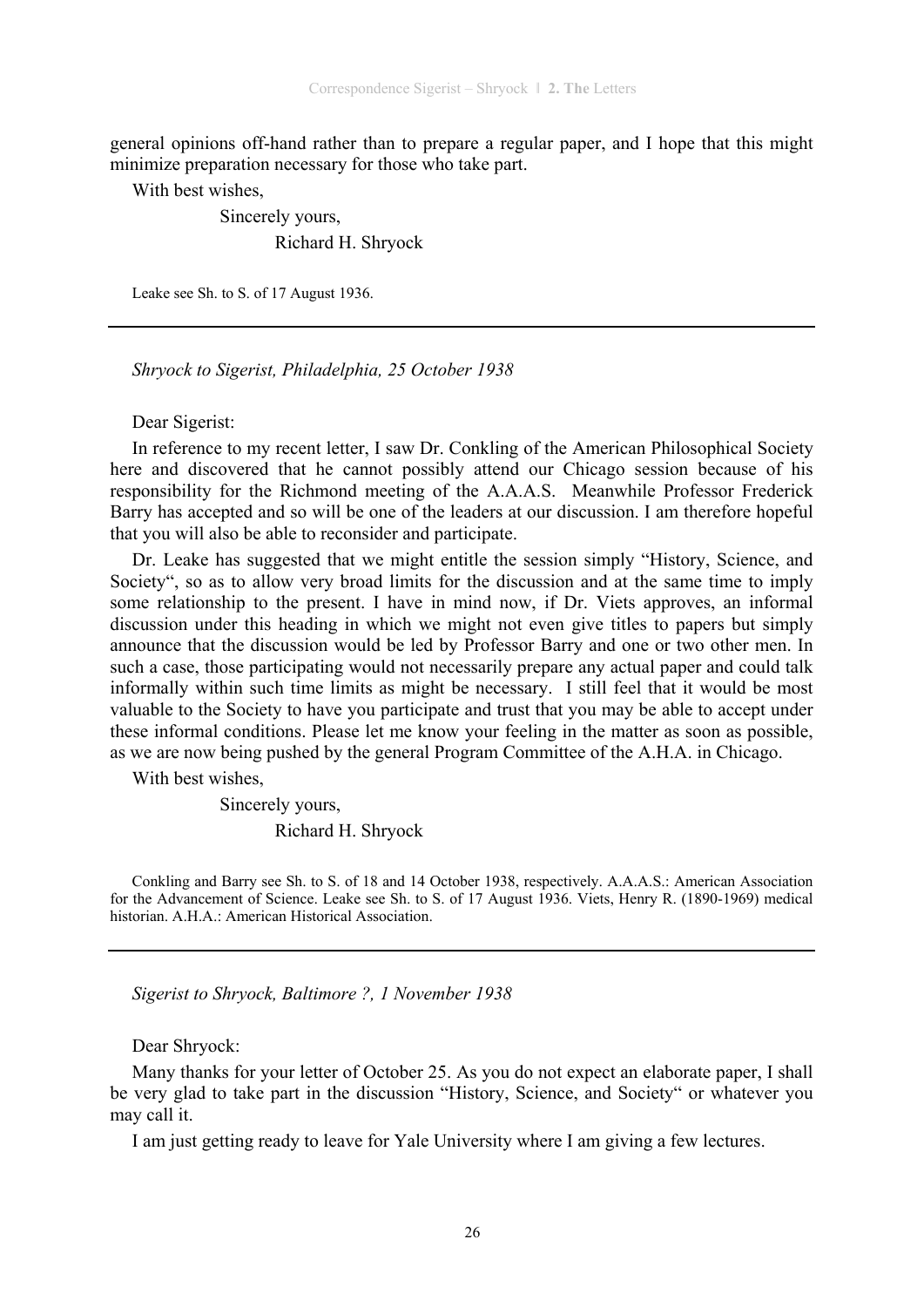general opinions off-hand rather than to prepare a regular paper, and I hope that this might minimize preparation necessary for those who take part.

With best wishes,

 Sincerely yours, Richard H. Shryock

Leake see Sh. to S. of 17 August 1936.

*Shryock to Sigerist, Philadelphia, 25 October 1938* 

Dear Sigerist:

In reference to my recent letter, I saw Dr. Conkling of the American Philosophical Society here and discovered that he cannot possibly attend our Chicago session because of his responsibility for the Richmond meeting of the A.A.A.S. Meanwhile Professor Frederick Barry has accepted and so will be one of the leaders at our discussion. I am therefore hopeful that you will also be able to reconsider and participate.

Dr. Leake has suggested that we might entitle the session simply "History, Science, and Society", so as to allow very broad limits for the discussion and at the same time to imply some relationship to the present. I have in mind now, if Dr. Viets approves, an informal discussion under this heading in which we might not even give titles to papers but simply announce that the discussion would be led by Professor Barry and one or two other men. In such a case, those participating would not necessarily prepare any actual paper and could talk informally within such time limits as might be necessary. I still feel that it would be most valuable to the Society to have you participate and trust that you may be able to accept under these informal conditions. Please let me know your feeling in the matter as soon as possible, as we are now being pushed by the general Program Committee of the A.H.A. in Chicago.

With best wishes,

Sincerely yours,

Richard H. Shryock

Conkling and Barry see Sh. to S. of 18 and 14 October 1938, respectively. A.A.A.S.: American Association for the Advancement of Science. Leake see Sh. to S. of 17 August 1936. Viets, Henry R. (1890-1969) medical historian. A.H.A.: American Historical Association.

*Sigerist to Shryock, Baltimore ?, 1 November 1938* 

Dear Shryock:

Many thanks for your letter of October 25. As you do not expect an elaborate paper, I shall be very glad to take part in the discussion "History, Science, and Society" or whatever you may call it.

I am just getting ready to leave for Yale University where I am giving a few lectures.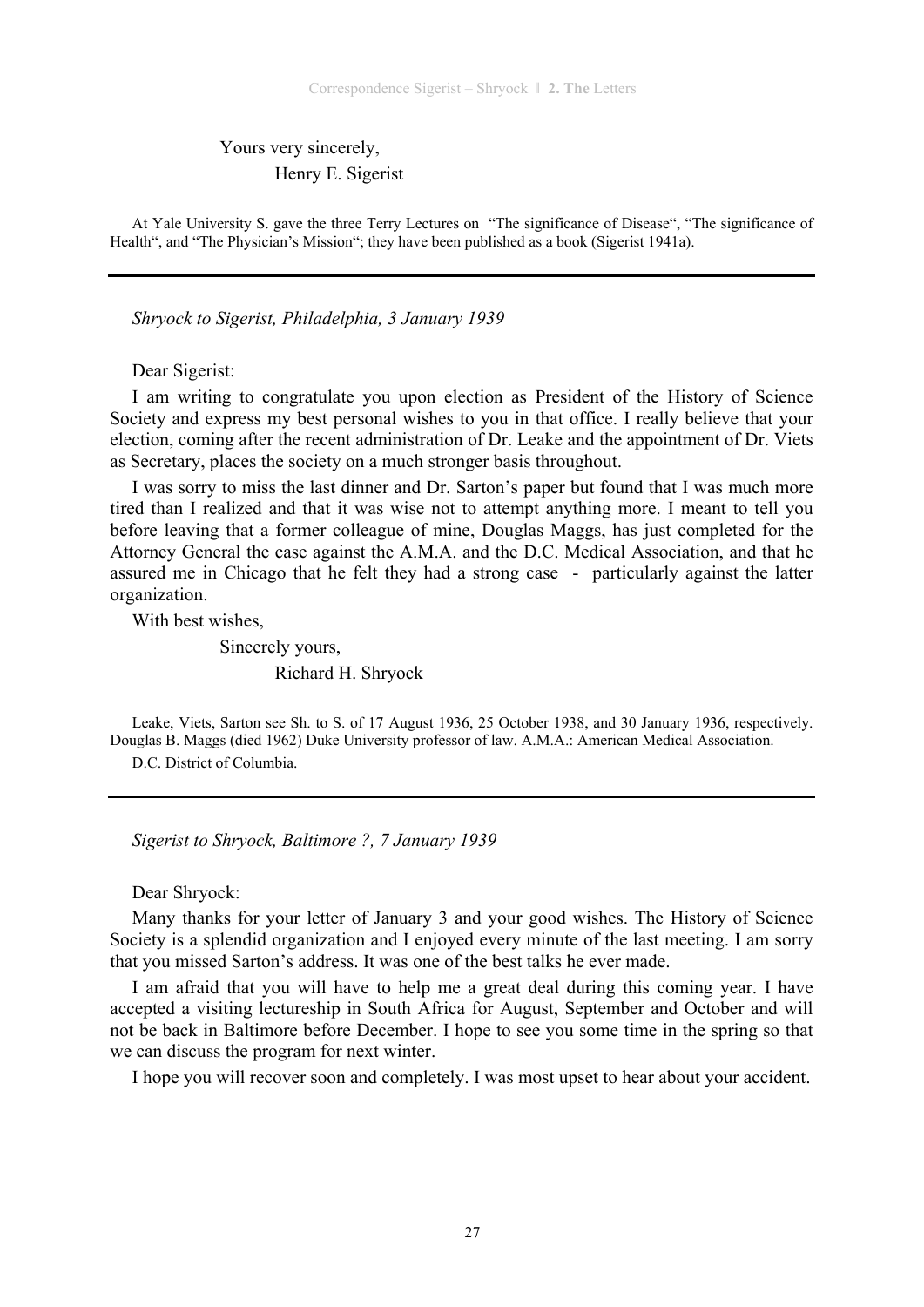Yours very sincerely, Henry E. Sigerist

At Yale University S. gave the three Terry Lectures on "The significance of Disease", "The significance of Health", and "The Physician's Mission"; they have been published as a book (Sigerist 1941a).

*Shryock to Sigerist, Philadelphia, 3 January 1939* 

Dear Sigerist:

I am writing to congratulate you upon election as President of the History of Science Society and express my best personal wishes to you in that office. I really believe that your election, coming after the recent administration of Dr. Leake and the appointment of Dr. Viets as Secretary, places the society on a much stronger basis throughout.

I was sorry to miss the last dinner and Dr. Sarton's paper but found that I was much more tired than I realized and that it was wise not to attempt anything more. I meant to tell you before leaving that a former colleague of mine, Douglas Maggs, has just completed for the Attorney General the case against the A.M.A. and the D.C. Medical Association, and that he assured me in Chicago that he felt they had a strong case - particularly against the latter organization.

With best wishes,

 Sincerely yours, Richard H. Shryock

Leake, Viets, Sarton see Sh. to S. of 17 August 1936, 25 October 1938, and 30 January 1936, respectively. Douglas B. Maggs (died 1962) Duke University professor of law. A.M.A.: American Medical Association. D.C. District of Columbia.

*Sigerist to Shryock, Baltimore ?, 7 January 1939* 

Dear Shryock:

Many thanks for your letter of January 3 and your good wishes. The History of Science Society is a splendid organization and I enjoyed every minute of the last meeting. I am sorry that you missed Sarton's address. It was one of the best talks he ever made.

I am afraid that you will have to help me a great deal during this coming year. I have accepted a visiting lectureship in South Africa for August, September and October and will not be back in Baltimore before December. I hope to see you some time in the spring so that we can discuss the program for next winter.

I hope you will recover soon and completely. I was most upset to hear about your accident.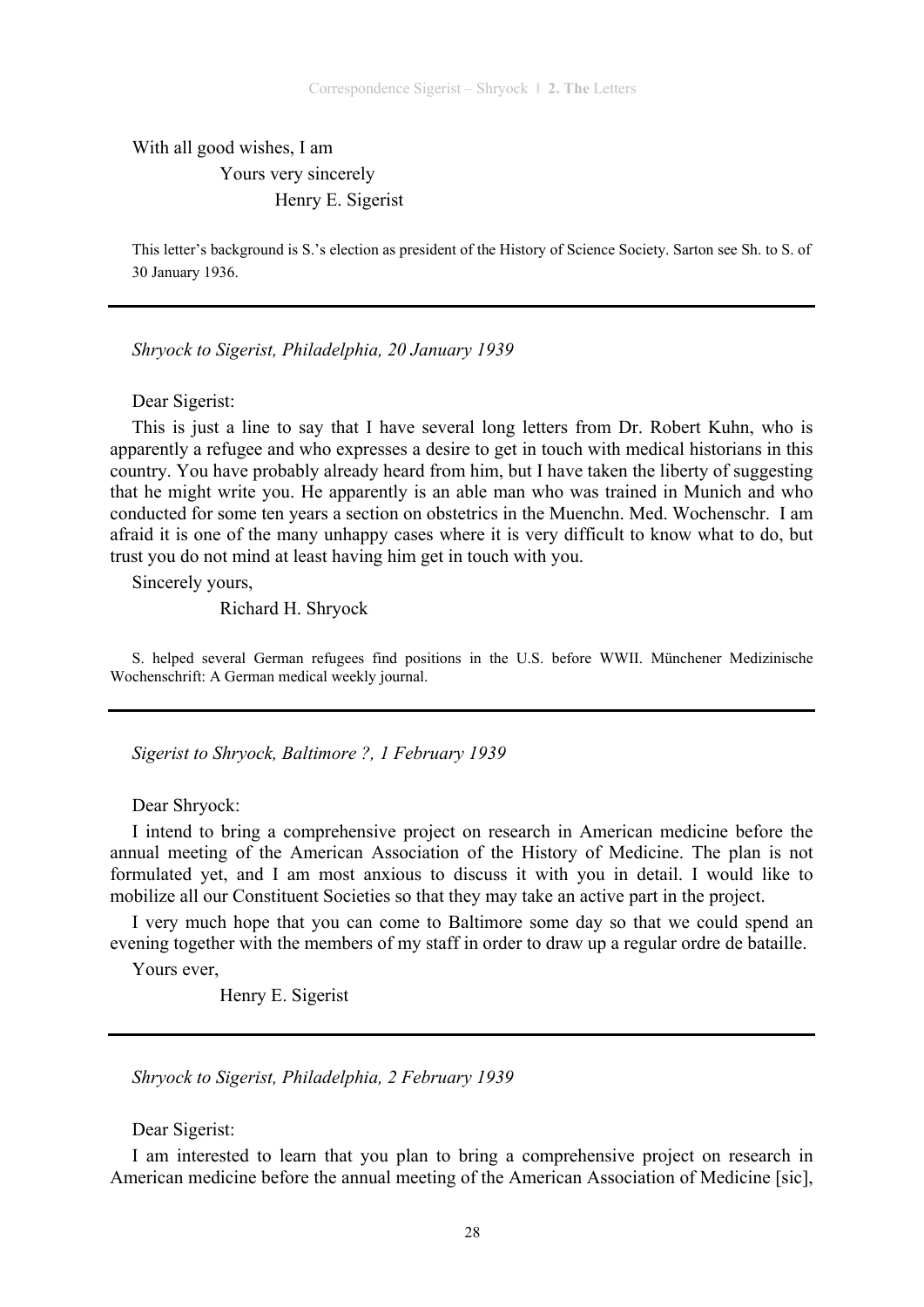With all good wishes, I am Yours very sincerely Henry E. Sigerist

This letter's background is S.'s election as president of the History of Science Society. Sarton see Sh. to S. of 30 January 1936.

*Shryock to Sigerist, Philadelphia, 20 January 1939* 

Dear Sigerist:

This is just a line to say that I have several long letters from Dr. Robert Kuhn, who is apparently a refugee and who expresses a desire to get in touch with medical historians in this country. You have probably already heard from him, but I have taken the liberty of suggesting that he might write you. He apparently is an able man who was trained in Munich and who conducted for some ten years a section on obstetrics in the Muenchn. Med. Wochenschr. I am afraid it is one of the many unhappy cases where it is very difficult to know what to do, but trust you do not mind at least having him get in touch with you.

Sincerely yours,

Richard H. Shryock

S. helped several German refugees find positions in the U.S. before WWII. Münchener Medizinische Wochenschrift: A German medical weekly journal.

*Sigerist to Shryock, Baltimore ?, 1 February 1939* 

Dear Shryock:

I intend to bring a comprehensive project on research in American medicine before the annual meeting of the American Association of the History of Medicine. The plan is not formulated yet, and I am most anxious to discuss it with you in detail. I would like to mobilize all our Constituent Societies so that they may take an active part in the project.

I very much hope that you can come to Baltimore some day so that we could spend an evening together with the members of my staff in order to draw up a regular ordre de bataille.

Yours ever,

Henry E. Sigerist

*Shryock to Sigerist, Philadelphia, 2 February 1939* 

Dear Sigerist:

I am interested to learn that you plan to bring a comprehensive project on research in American medicine before the annual meeting of the American Association of Medicine [sic],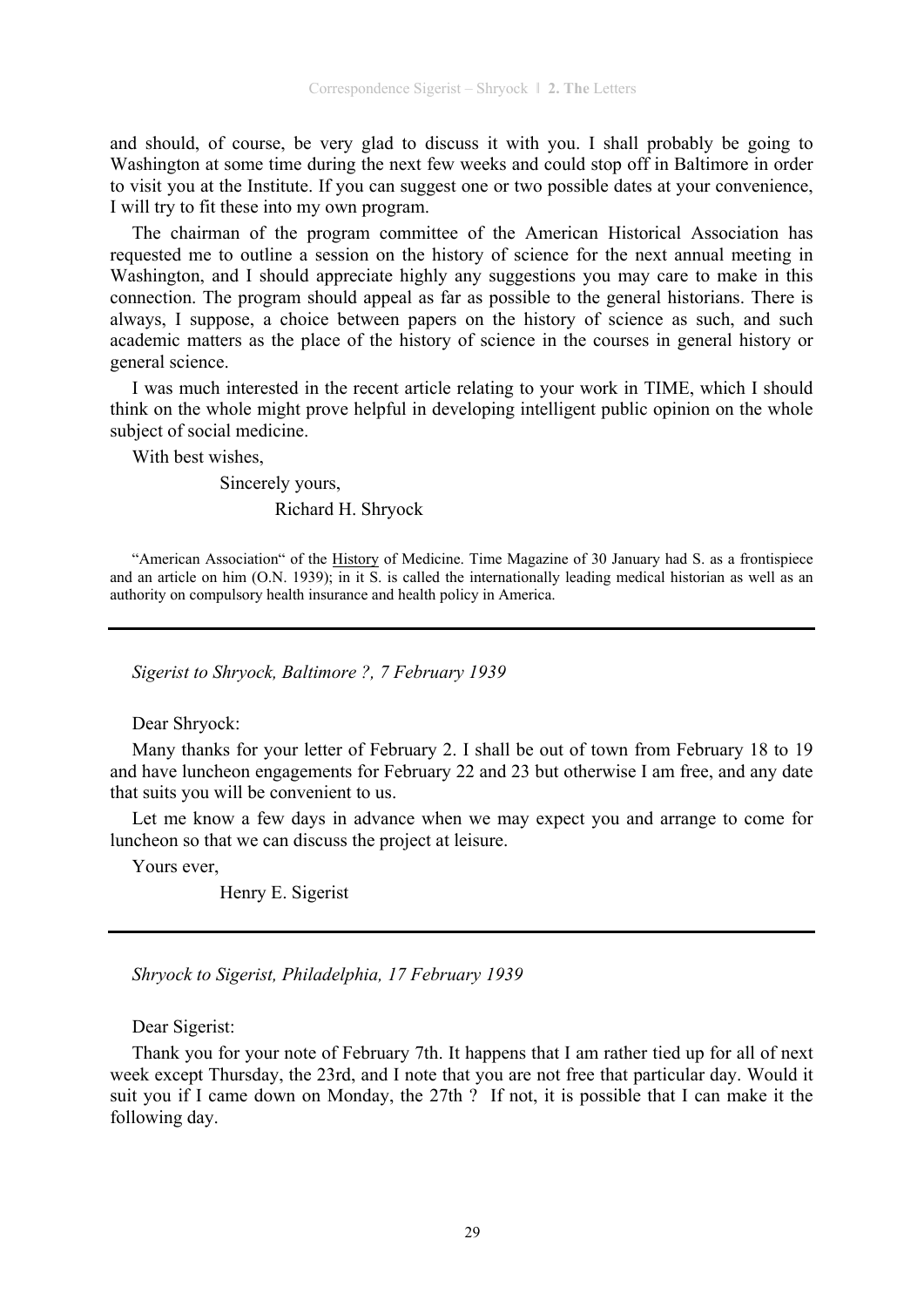and should, of course, be very glad to discuss it with you. I shall probably be going to Washington at some time during the next few weeks and could stop off in Baltimore in order to visit you at the Institute. If you can suggest one or two possible dates at your convenience, I will try to fit these into my own program.

The chairman of the program committee of the American Historical Association has requested me to outline a session on the history of science for the next annual meeting in Washington, and I should appreciate highly any suggestions you may care to make in this connection. The program should appeal as far as possible to the general historians. There is always, I suppose, a choice between papers on the history of science as such, and such academic matters as the place of the history of science in the courses in general history or general science.

I was much interested in the recent article relating to your work in TIME, which I should think on the whole might prove helpful in developing intelligent public opinion on the whole subject of social medicine.

With best wishes,

Sincerely yours,

Richard H. Shryock

"American Association" of the History of Medicine. Time Magazine of 30 January had S. as a frontispiece and an article on him (O.N. 1939); in it S. is called the internationally leading medical historian as well as an authority on compulsory health insurance and health policy in America.

*Sigerist to Shryock, Baltimore ?, 7 February 1939* 

Dear Shryock:

Many thanks for your letter of February 2. I shall be out of town from February 18 to 19 and have luncheon engagements for February 22 and 23 but otherwise I am free, and any date that suits you will be convenient to us.

Let me know a few days in advance when we may expect you and arrange to come for luncheon so that we can discuss the project at leisure.

Yours ever,

Henry E. Sigerist

*Shryock to Sigerist, Philadelphia, 17 February 1939* 

Dear Sigerist:

Thank you for your note of February 7th. It happens that I am rather tied up for all of next week except Thursday, the 23rd, and I note that you are not free that particular day. Would it suit you if I came down on Monday, the 27th ? If not, it is possible that I can make it the following day.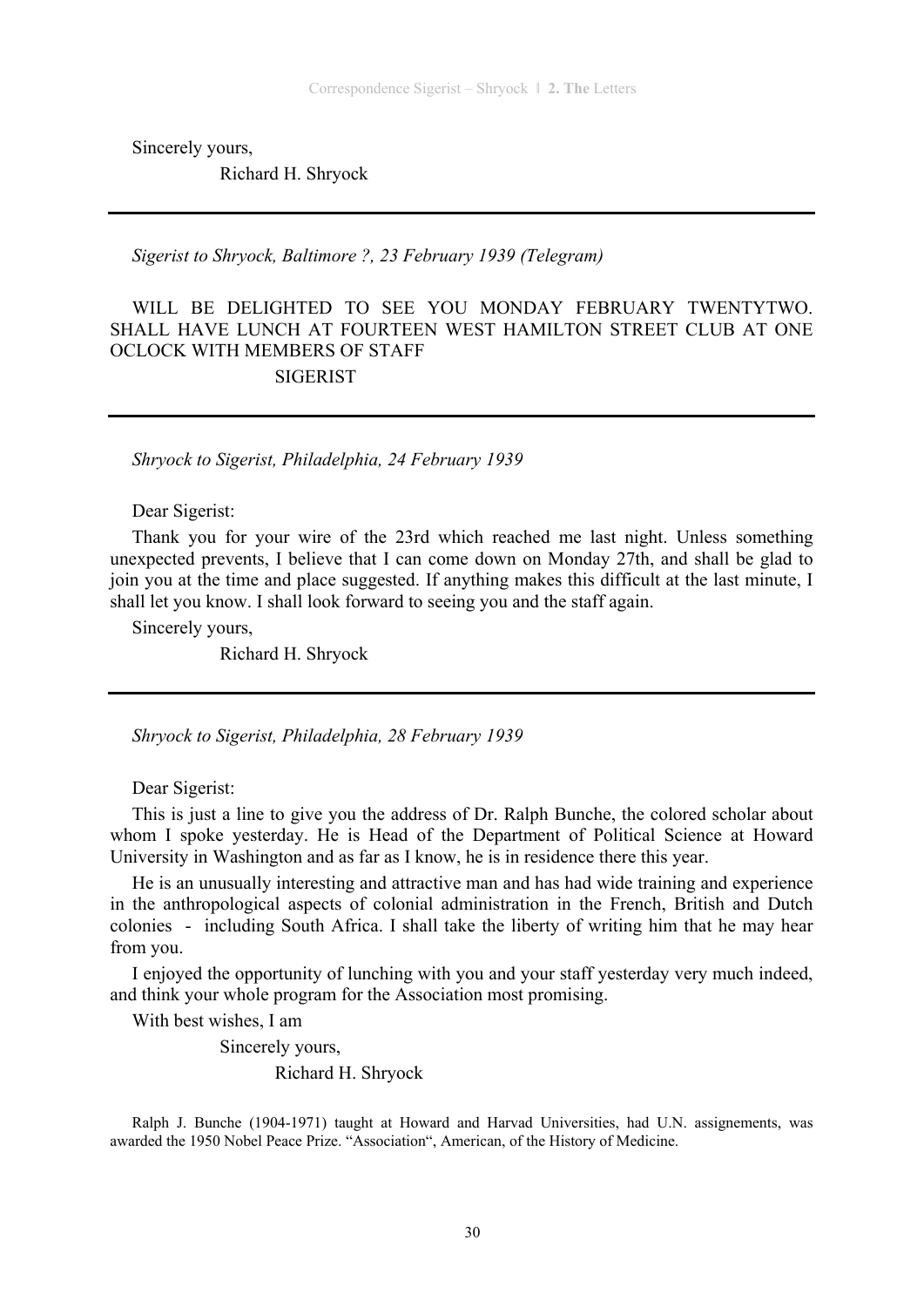Sincerely yours,

Richard H. Shryock

*Sigerist to Shryock, Baltimore ?, 23 February 1939 (Telegram)* 

WILL BE DELIGHTED TO SEE YOU MONDAY FEBRUARY TWENTYTWO. SHALL HAVE LUNCH AT FOURTEEN WEST HAMILTON STREET CLUB AT ONE OCLOCK WITH MEMBERS OF STAFF **SIGERIST** 

*Shryock to Sigerist, Philadelphia, 24 February 1939* 

Dear Sigerist:

Thank you for your wire of the 23rd which reached me last night. Unless something unexpected prevents, I believe that I can come down on Monday 27th, and shall be glad to join you at the time and place suggested. If anything makes this difficult at the last minute, I shall let you know. I shall look forward to seeing you and the staff again.

Sincerely yours,

Richard H. Shryock

*Shryock to Sigerist, Philadelphia, 28 February 1939* 

Dear Sigerist:

This is just a line to give you the address of Dr. Ralph Bunche, the colored scholar about whom I spoke yesterday. He is Head of the Department of Political Science at Howard University in Washington and as far as I know, he is in residence there this year.

He is an unusually interesting and attractive man and has had wide training and experience in the anthropological aspects of colonial administration in the French, British and Dutch colonies - including South Africa. I shall take the liberty of writing him that he may hear from you.

I enjoyed the opportunity of lunching with you and your staff yesterday very much indeed, and think your whole program for the Association most promising.

With best wishes, I am

Sincerely yours,

Richard H. Shryock

Ralph J. Bunche (1904-1971) taught at Howard and Harvad Universities, had U.N. assignements, was awarded the 1950 Nobel Peace Prize. "Association", American, of the History of Medicine.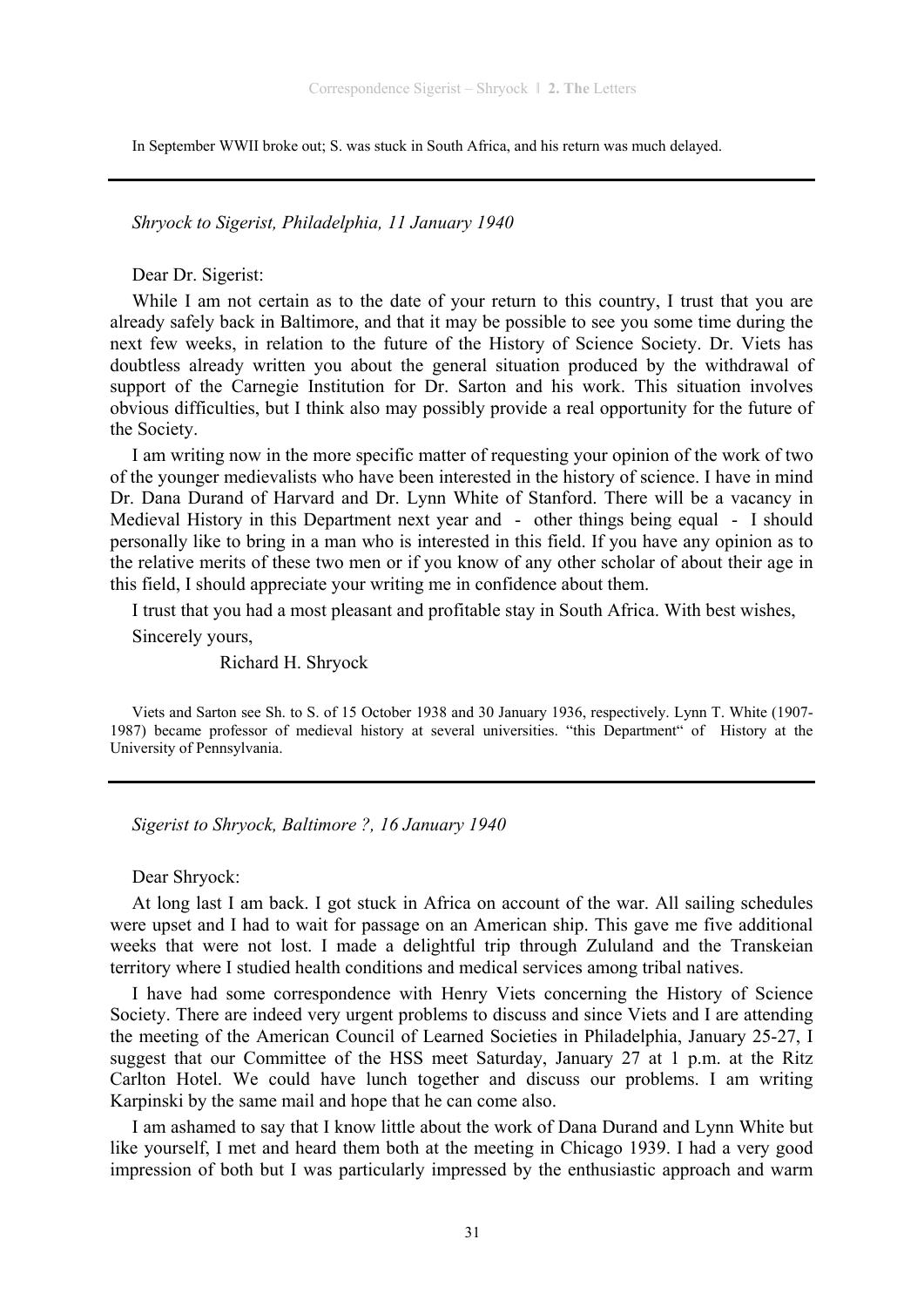In September WWII broke out; S. was stuck in South Africa, and his return was much delayed.

*Shryock to Sigerist, Philadelphia, 11 January 1940* 

Dear Dr. Sigerist:

While I am not certain as to the date of your return to this country, I trust that you are already safely back in Baltimore, and that it may be possible to see you some time during the next few weeks, in relation to the future of the History of Science Society. Dr. Viets has doubtless already written you about the general situation produced by the withdrawal of support of the Carnegie Institution for Dr. Sarton and his work. This situation involves obvious difficulties, but I think also may possibly provide a real opportunity for the future of the Society.

I am writing now in the more specific matter of requesting your opinion of the work of two of the younger medievalists who have been interested in the history of science. I have in mind Dr. Dana Durand of Harvard and Dr. Lynn White of Stanford. There will be a vacancy in Medieval History in this Department next year and - other things being equal - I should personally like to bring in a man who is interested in this field. If you have any opinion as to the relative merits of these two men or if you know of any other scholar of about their age in this field, I should appreciate your writing me in confidence about them.

I trust that you had a most pleasant and profitable stay in South Africa. With best wishes,

Sincerely yours,

Richard H. Shryock

Viets and Sarton see Sh. to S. of 15 October 1938 and 30 January 1936, respectively. Lynn T. White (1907- 1987) became professor of medieval history at several universities. "this Department" of History at the University of Pennsylvania.

*Sigerist to Shryock, Baltimore ?, 16 January 1940* 

Dear Shryock:

At long last I am back. I got stuck in Africa on account of the war. All sailing schedules were upset and I had to wait for passage on an American ship. This gave me five additional weeks that were not lost. I made a delightful trip through Zululand and the Transkeian territory where I studied health conditions and medical services among tribal natives.

I have had some correspondence with Henry Viets concerning the History of Science Society. There are indeed very urgent problems to discuss and since Viets and I are attending the meeting of the American Council of Learned Societies in Philadelphia, January 25-27, I suggest that our Committee of the HSS meet Saturday, January 27 at 1 p.m. at the Ritz Carlton Hotel. We could have lunch together and discuss our problems. I am writing Karpinski by the same mail and hope that he can come also.

I am ashamed to say that I know little about the work of Dana Durand and Lynn White but like yourself, I met and heard them both at the meeting in Chicago 1939. I had a very good impression of both but I was particularly impressed by the enthusiastic approach and warm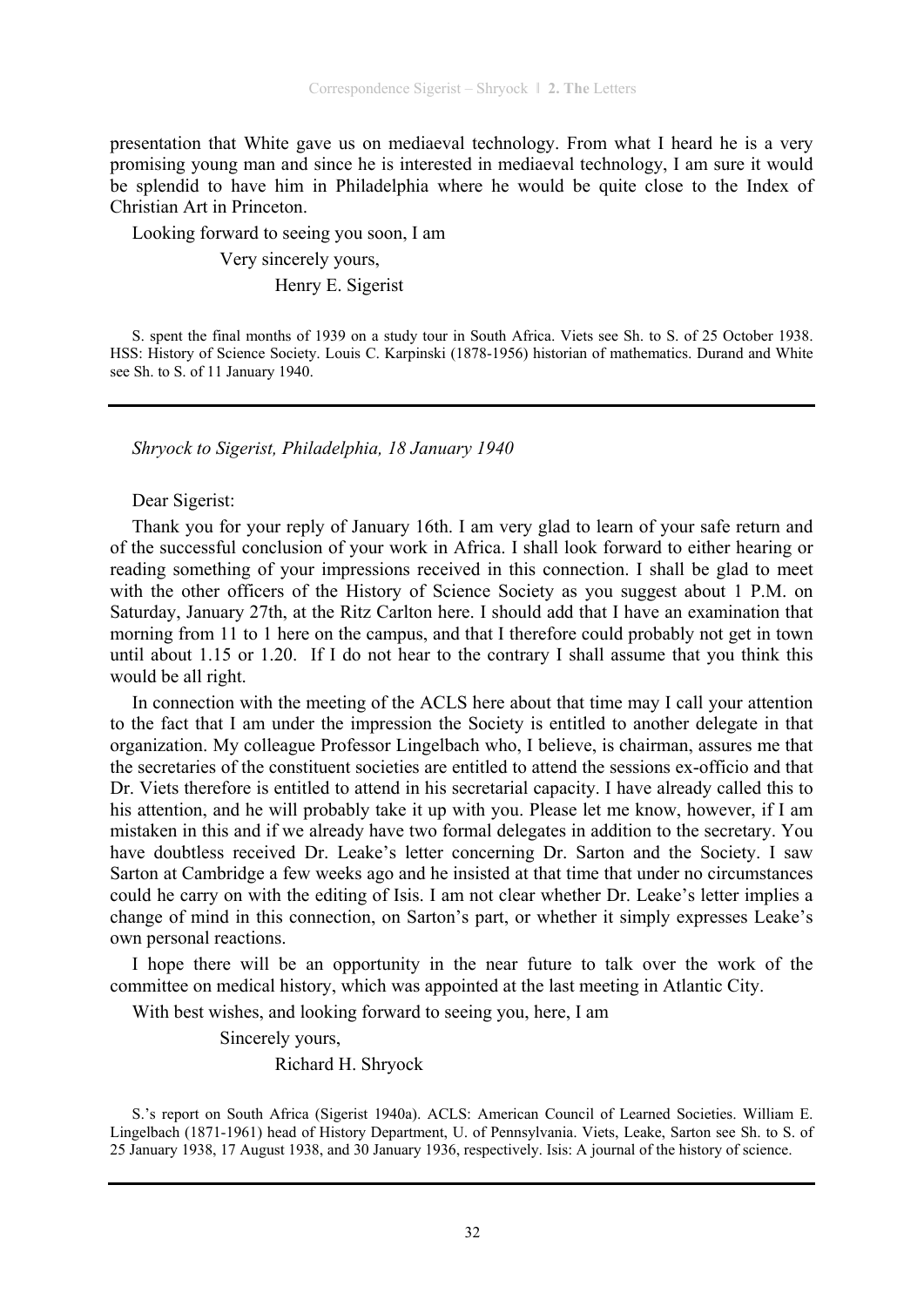presentation that White gave us on mediaeval technology. From what I heard he is a very promising young man and since he is interested in mediaeval technology, I am sure it would be splendid to have him in Philadelphia where he would be quite close to the Index of Christian Art in Princeton.

Looking forward to seeing you soon, I am

Very sincerely yours,

Henry E. Sigerist

S. spent the final months of 1939 on a study tour in South Africa. Viets see Sh. to S. of 25 October 1938. HSS: History of Science Society. Louis C. Karpinski (1878-1956) historian of mathematics. Durand and White see Sh. to S. of 11 January 1940.

*Shryock to Sigerist, Philadelphia, 18 January 1940* 

Dear Sigerist:

Thank you for your reply of January 16th. I am very glad to learn of your safe return and of the successful conclusion of your work in Africa. I shall look forward to either hearing or reading something of your impressions received in this connection. I shall be glad to meet with the other officers of the History of Science Society as you suggest about 1 P.M. on Saturday, January 27th, at the Ritz Carlton here. I should add that I have an examination that morning from 11 to 1 here on the campus, and that I therefore could probably not get in town until about 1.15 or 1.20. If I do not hear to the contrary I shall assume that you think this would be all right.

In connection with the meeting of the ACLS here about that time may I call your attention to the fact that I am under the impression the Society is entitled to another delegate in that organization. My colleague Professor Lingelbach who, I believe, is chairman, assures me that the secretaries of the constituent societies are entitled to attend the sessions ex-officio and that Dr. Viets therefore is entitled to attend in his secretarial capacity. I have already called this to his attention, and he will probably take it up with you. Please let me know, however, if I am mistaken in this and if we already have two formal delegates in addition to the secretary. You have doubtless received Dr. Leake's letter concerning Dr. Sarton and the Society. I saw Sarton at Cambridge a few weeks ago and he insisted at that time that under no circumstances could he carry on with the editing of Isis. I am not clear whether Dr. Leake's letter implies a change of mind in this connection, on Sarton's part, or whether it simply expresses Leake's own personal reactions.

I hope there will be an opportunity in the near future to talk over the work of the committee on medical history, which was appointed at the last meeting in Atlantic City.

With best wishes, and looking forward to seeing you, here, I am

Sincerely yours,

Richard H. Shryock

S.'s report on South Africa (Sigerist 1940a). ACLS: American Council of Learned Societies. William E. Lingelbach (1871-1961) head of History Department, U. of Pennsylvania. Viets, Leake, Sarton see Sh. to S. of 25 January 1938, 17 August 1938, and 30 January 1936, respectively. Isis: A journal of the history of science.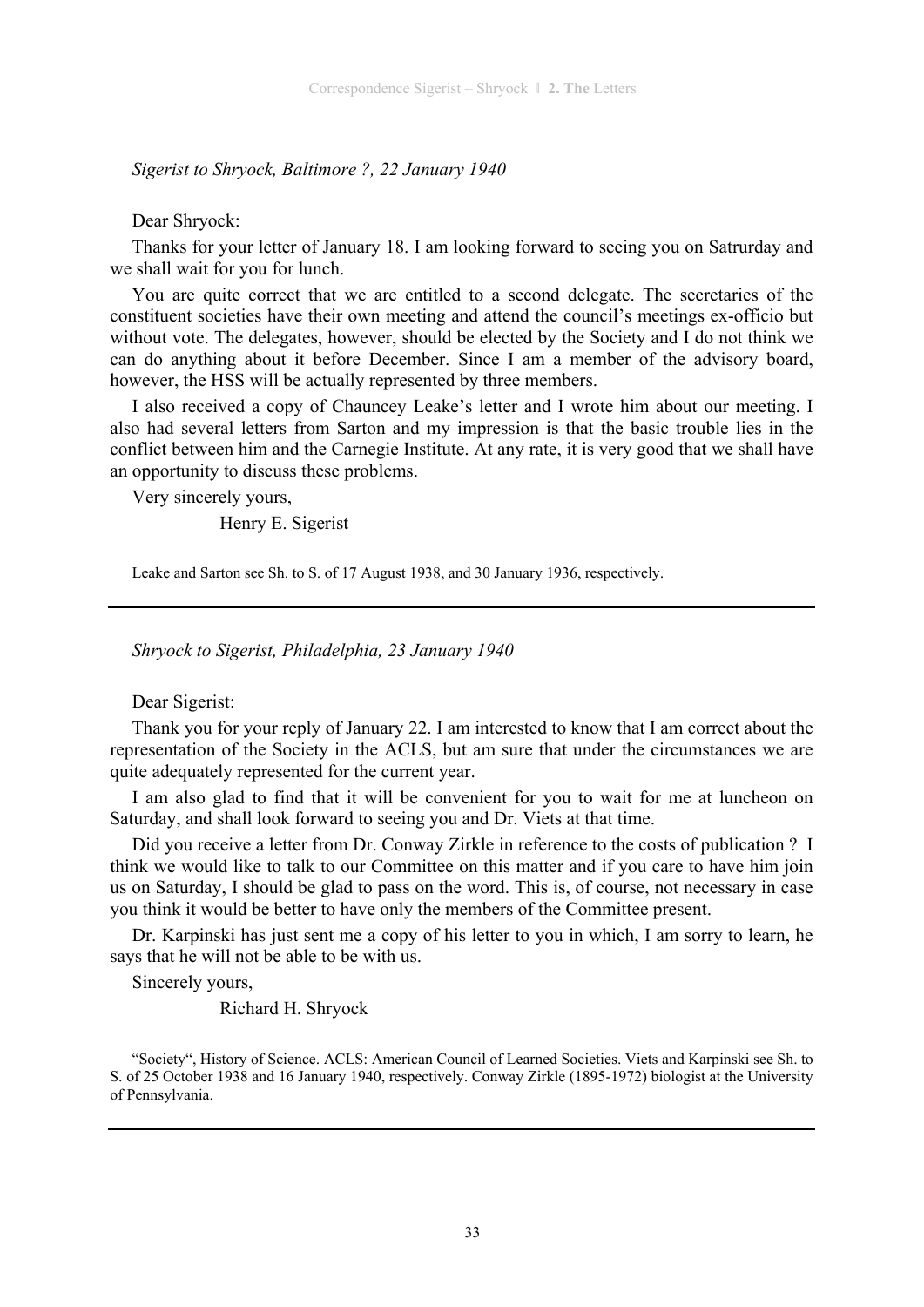*Sigerist to Shryock, Baltimore ?, 22 January 1940* 

Dear Shryock:

Thanks for your letter of January 18. I am looking forward to seeing you on Satrurday and we shall wait for you for lunch.

You are quite correct that we are entitled to a second delegate. The secretaries of the constituent societies have their own meeting and attend the council's meetings ex-officio but without vote. The delegates, however, should be elected by the Society and I do not think we can do anything about it before December. Since I am a member of the advisory board, however, the HSS will be actually represented by three members.

I also received a copy of Chauncey Leake's letter and I wrote him about our meeting. I also had several letters from Sarton and my impression is that the basic trouble lies in the conflict between him and the Carnegie Institute. At any rate, it is very good that we shall have an opportunity to discuss these problems.

Very sincerely yours,

Henry E. Sigerist

Leake and Sarton see Sh. to S. of 17 August 1938, and 30 January 1936, respectively.

*Shryock to Sigerist, Philadelphia, 23 January 1940* 

Dear Sigerist:

Thank you for your reply of January 22. I am interested to know that I am correct about the representation of the Society in the ACLS, but am sure that under the circumstances we are quite adequately represented for the current year.

I am also glad to find that it will be convenient for you to wait for me at luncheon on Saturday, and shall look forward to seeing you and Dr. Viets at that time.

Did you receive a letter from Dr. Conway Zirkle in reference to the costs of publication ? I think we would like to talk to our Committee on this matter and if you care to have him join us on Saturday, I should be glad to pass on the word. This is, of course, not necessary in case you think it would be better to have only the members of the Committee present.

Dr. Karpinski has just sent me a copy of his letter to you in which, I am sorry to learn, he says that he will not be able to be with us.

Sincerely yours,

Richard H. Shryock

"Society", History of Science. ACLS: American Council of Learned Societies. Viets and Karpinski see Sh. to S. of 25 October 1938 and 16 January 1940, respectively. Conway Zirkle (1895-1972) biologist at the University of Pennsylvania.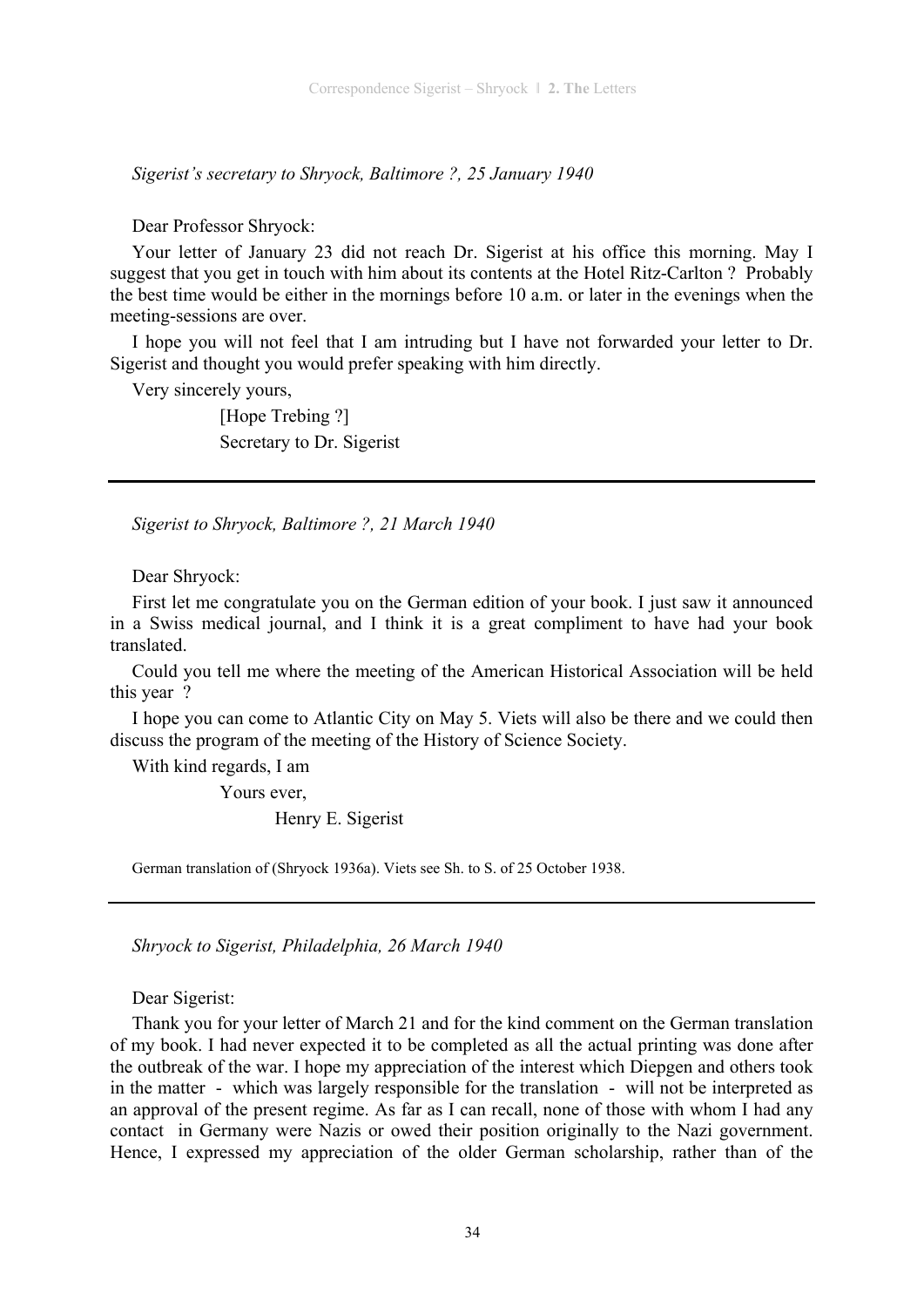*Sigerist's secretary to Shryock, Baltimore ?, 25 January 1940* 

Dear Professor Shryock:

Your letter of January 23 did not reach Dr. Sigerist at his office this morning. May I suggest that you get in touch with him about its contents at the Hotel Ritz-Carlton ? Probably the best time would be either in the mornings before 10 a.m. or later in the evenings when the meeting-sessions are over.

I hope you will not feel that I am intruding but I have not forwarded your letter to Dr. Sigerist and thought you would prefer speaking with him directly.

Very sincerely yours,

[Hope Trebing ?] Secretary to Dr. Sigerist

*Sigerist to Shryock, Baltimore ?, 21 March 1940* 

Dear Shryock:

First let me congratulate you on the German edition of your book. I just saw it announced in a Swiss medical journal, and I think it is a great compliment to have had your book translated.

Could you tell me where the meeting of the American Historical Association will be held this year ?

I hope you can come to Atlantic City on May 5. Viets will also be there and we could then discuss the program of the meeting of the History of Science Society.

With kind regards, I am

Yours ever,

Henry E. Sigerist

German translation of (Shryock 1936a). Viets see Sh. to S. of 25 October 1938.

*Shryock to Sigerist, Philadelphia, 26 March 1940* 

Dear Sigerist:

Thank you for your letter of March 21 and for the kind comment on the German translation of my book. I had never expected it to be completed as all the actual printing was done after the outbreak of the war. I hope my appreciation of the interest which Diepgen and others took in the matter - which was largely responsible for the translation - will not be interpreted as an approval of the present regime. As far as I can recall, none of those with whom I had any contact in Germany were Nazis or owed their position originally to the Nazi government. Hence, I expressed my appreciation of the older German scholarship, rather than of the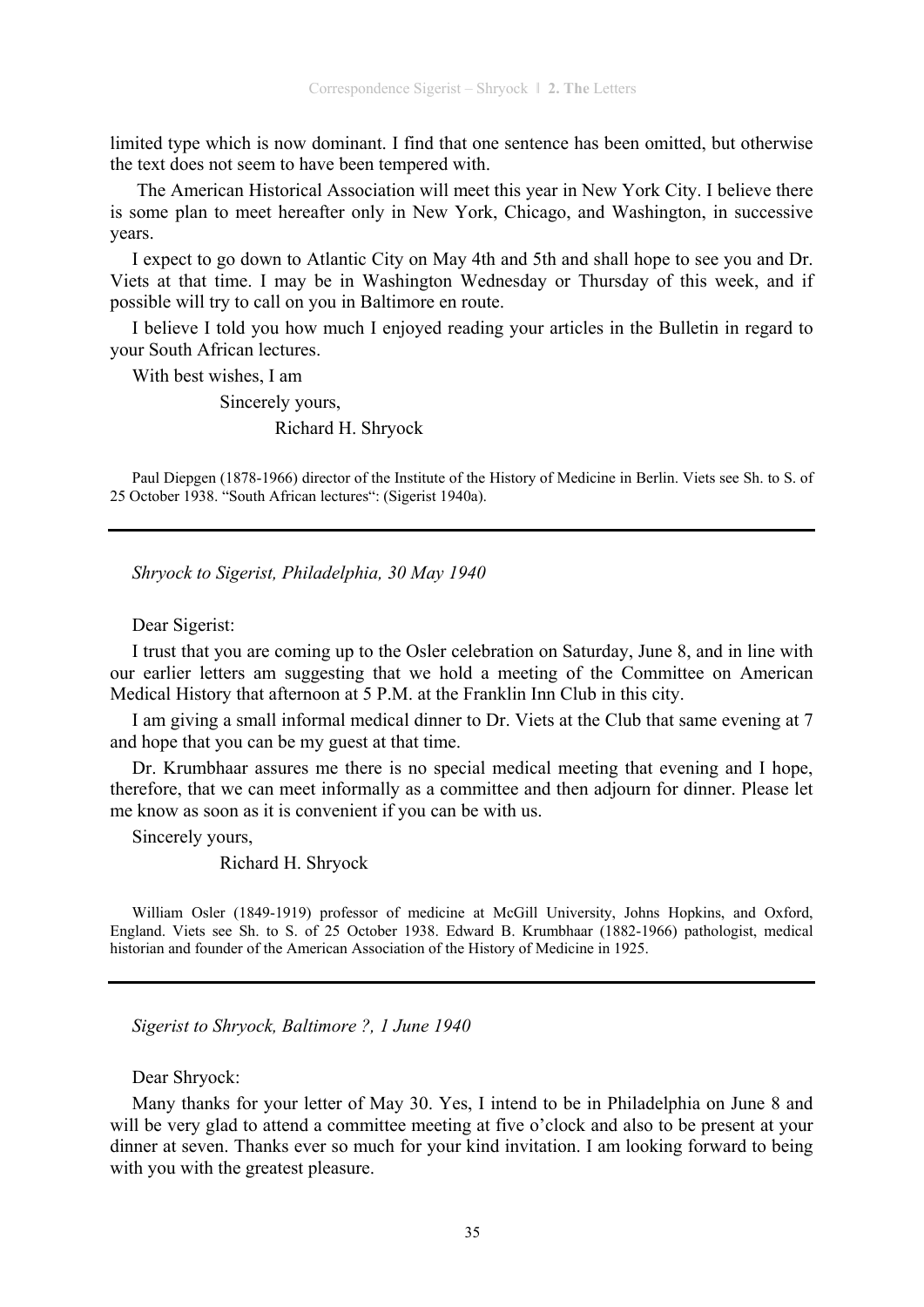limited type which is now dominant. I find that one sentence has been omitted, but otherwise the text does not seem to have been tempered with.

 The American Historical Association will meet this year in New York City. I believe there is some plan to meet hereafter only in New York, Chicago, and Washington, in successive years.

I expect to go down to Atlantic City on May 4th and 5th and shall hope to see you and Dr. Viets at that time. I may be in Washington Wednesday or Thursday of this week, and if possible will try to call on you in Baltimore en route.

I believe I told you how much I enjoyed reading your articles in the Bulletin in regard to your South African lectures.

With best wishes, I am

 Sincerely yours, Richard H. Shryock

Paul Diepgen (1878-1966) director of the Institute of the History of Medicine in Berlin. Viets see Sh. to S. of 25 October 1938. "South African lectures": (Sigerist 1940a).

*Shryock to Sigerist, Philadelphia, 30 May 1940* 

#### Dear Sigerist:

I trust that you are coming up to the Osler celebration on Saturday, June 8, and in line with our earlier letters am suggesting that we hold a meeting of the Committee on American Medical History that afternoon at 5 P.M. at the Franklin Inn Club in this city.

I am giving a small informal medical dinner to Dr. Viets at the Club that same evening at 7 and hope that you can be my guest at that time.

Dr. Krumbhaar assures me there is no special medical meeting that evening and I hope, therefore, that we can meet informally as a committee and then adjourn for dinner. Please let me know as soon as it is convenient if you can be with us.

Sincerely yours,

Richard H. Shryock

William Osler (1849-1919) professor of medicine at McGill University, Johns Hopkins, and Oxford, England. Viets see Sh. to S. of 25 October 1938. Edward B. Krumbhaar (1882-1966) pathologist, medical historian and founder of the American Association of the History of Medicine in 1925.

*Sigerist to Shryock, Baltimore ?, 1 June 1940* 

#### Dear Shryock:

Many thanks for your letter of May 30. Yes, I intend to be in Philadelphia on June 8 and will be very glad to attend a committee meeting at five o'clock and also to be present at your dinner at seven. Thanks ever so much for your kind invitation. I am looking forward to being with you with the greatest pleasure.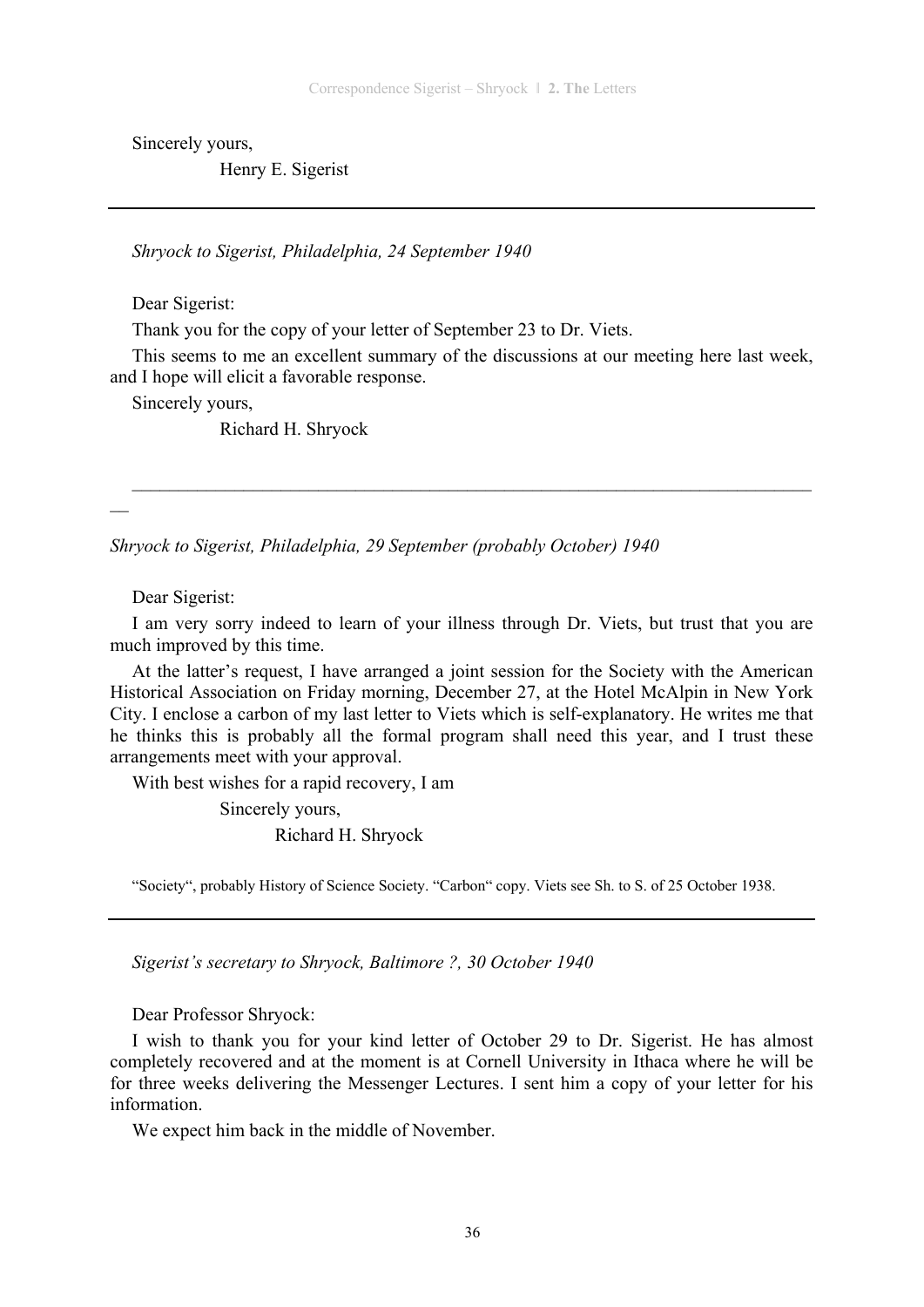Sincerely yours,

Henry E. Sigerist

*Shryock to Sigerist, Philadelphia, 24 September 1940* 

Dear Sigerist:

Thank you for the copy of your letter of September 23 to Dr. Viets.

This seems to me an excellent summary of the discussions at our meeting here last week, and I hope will elicit a favorable response.

 $\mathcal{L}_\text{max} = \mathcal{L}_\text{max} = \mathcal{L}_\text{max} = \mathcal{L}_\text{max} = \mathcal{L}_\text{max} = \mathcal{L}_\text{max} = \mathcal{L}_\text{max} = \mathcal{L}_\text{max} = \mathcal{L}_\text{max} = \mathcal{L}_\text{max} = \mathcal{L}_\text{max} = \mathcal{L}_\text{max} = \mathcal{L}_\text{max} = \mathcal{L}_\text{max} = \mathcal{L}_\text{max} = \mathcal{L}_\text{max} = \mathcal{L}_\text{max} = \mathcal{L}_\text{max} = \mathcal{$ 

Sincerely yours,

Richard H. Shryock

*Shryock to Sigerist, Philadelphia, 29 September (probably October) 1940* 

Dear Sigerist:

 $\overline{\phantom{a}}$ 

I am very sorry indeed to learn of your illness through Dr. Viets, but trust that you are much improved by this time.

At the latter's request, I have arranged a joint session for the Society with the American Historical Association on Friday morning, December 27, at the Hotel McAlpin in New York City. I enclose a carbon of my last letter to Viets which is self-explanatory. He writes me that he thinks this is probably all the formal program shall need this year, and I trust these arrangements meet with your approval.

With best wishes for a rapid recovery, I am

Sincerely yours,

Richard H. Shryock

"Society", probably History of Science Society. "Carbon" copy. Viets see Sh. to S. of 25 October 1938.

*Sigerist's secretary to Shryock, Baltimore ?, 30 October 1940* 

Dear Professor Shryock:

I wish to thank you for your kind letter of October 29 to Dr. Sigerist. He has almost completely recovered and at the moment is at Cornell University in Ithaca where he will be for three weeks delivering the Messenger Lectures. I sent him a copy of your letter for his information.

We expect him back in the middle of November.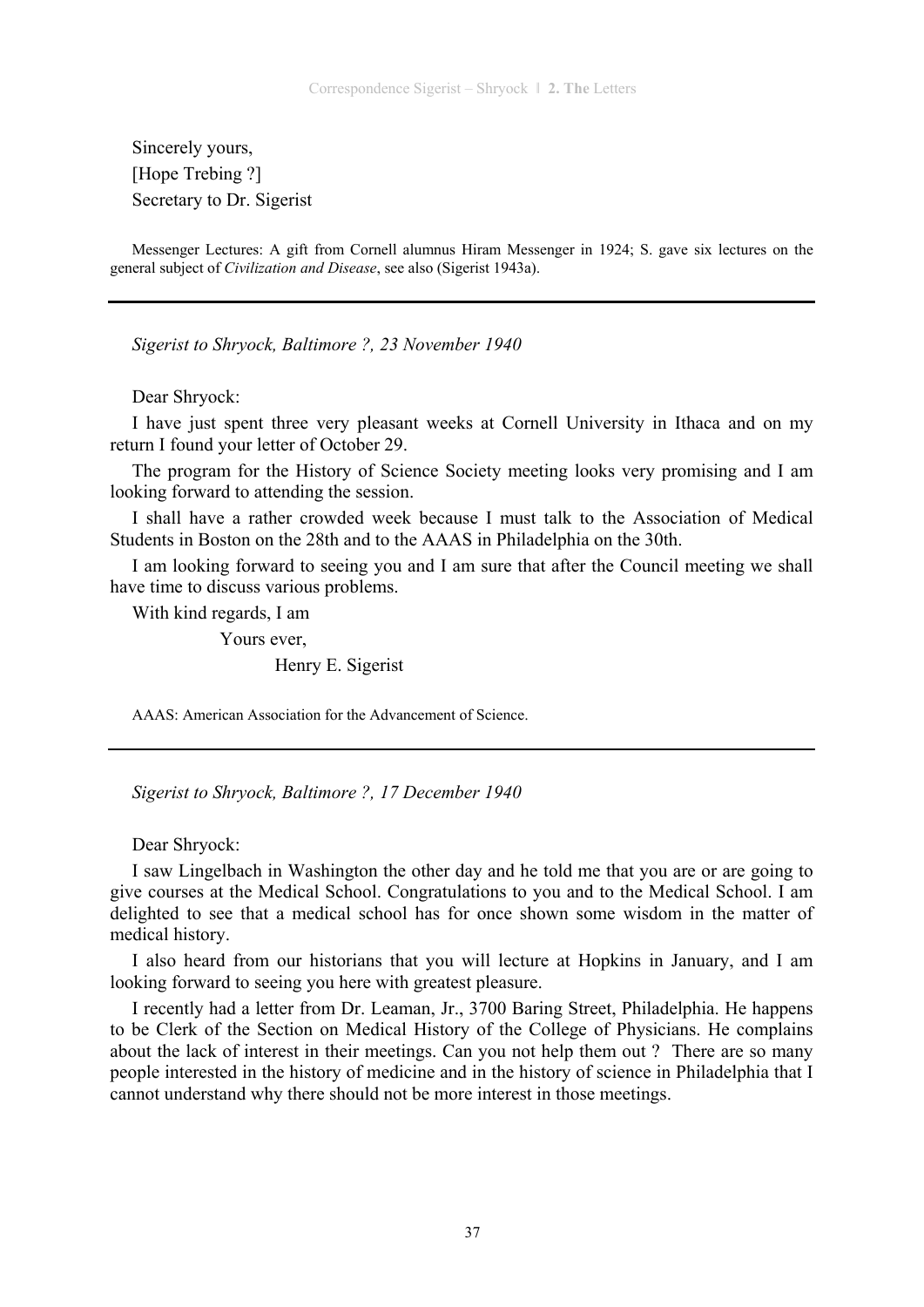Sincerely yours, [Hope Trebing ?] Secretary to Dr. Sigerist

Messenger Lectures: A gift from Cornell alumnus Hiram Messenger in 1924; S. gave six lectures on the general subject of *Civilization and Disease*, see also (Sigerist 1943a).

*Sigerist to Shryock, Baltimore ?, 23 November 1940* 

Dear Shryock:

I have just spent three very pleasant weeks at Cornell University in Ithaca and on my return I found your letter of October 29.

The program for the History of Science Society meeting looks very promising and I am looking forward to attending the session.

I shall have a rather crowded week because I must talk to the Association of Medical Students in Boston on the 28th and to the AAAS in Philadelphia on the 30th.

I am looking forward to seeing you and I am sure that after the Council meeting we shall have time to discuss various problems.

With kind regards, I am

Yours ever,

Henry E. Sigerist

AAAS: American Association for the Advancement of Science.

*Sigerist to Shryock, Baltimore ?, 17 December 1940* 

Dear Shryock:

I saw Lingelbach in Washington the other day and he told me that you are or are going to give courses at the Medical School. Congratulations to you and to the Medical School. I am delighted to see that a medical school has for once shown some wisdom in the matter of medical history.

I also heard from our historians that you will lecture at Hopkins in January, and I am looking forward to seeing you here with greatest pleasure.

I recently had a letter from Dr. Leaman, Jr., 3700 Baring Street, Philadelphia. He happens to be Clerk of the Section on Medical History of the College of Physicians. He complains about the lack of interest in their meetings. Can you not help them out ? There are so many people interested in the history of medicine and in the history of science in Philadelphia that I cannot understand why there should not be more interest in those meetings.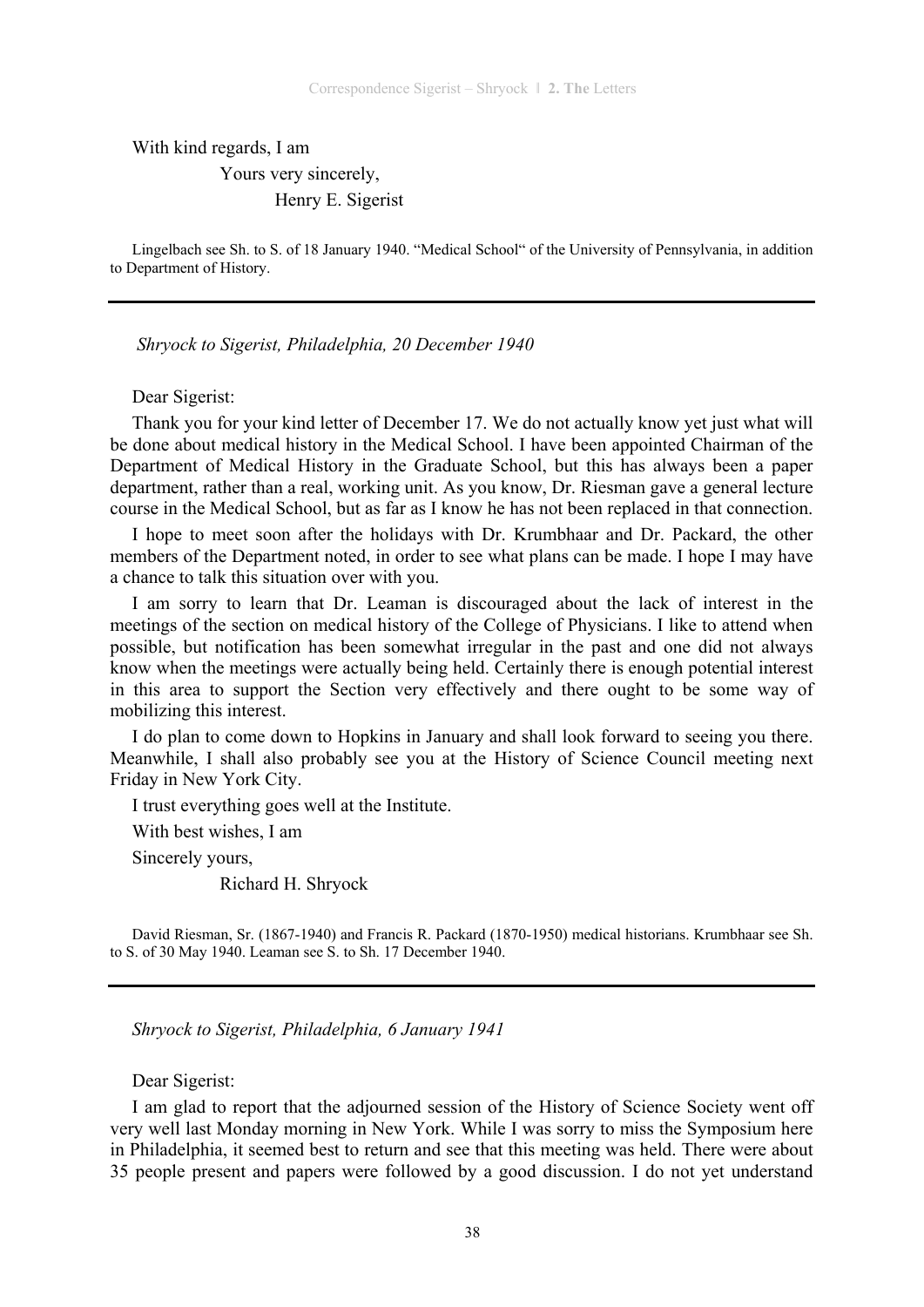With kind regards, I am

Yours very sincerely,

Henry E. Sigerist

Lingelbach see Sh. to S. of 18 January 1940. "Medical School" of the University of Pennsylvania, in addition to Department of History.

*Shryock to Sigerist, Philadelphia, 20 December 1940* 

Dear Sigerist:

Thank you for your kind letter of December 17. We do not actually know yet just what will be done about medical history in the Medical School. I have been appointed Chairman of the Department of Medical History in the Graduate School, but this has always been a paper department, rather than a real, working unit. As you know, Dr. Riesman gave a general lecture course in the Medical School, but as far as I know he has not been replaced in that connection.

I hope to meet soon after the holidays with Dr. Krumbhaar and Dr. Packard, the other members of the Department noted, in order to see what plans can be made. I hope I may have a chance to talk this situation over with you.

I am sorry to learn that Dr. Leaman is discouraged about the lack of interest in the meetings of the section on medical history of the College of Physicians. I like to attend when possible, but notification has been somewhat irregular in the past and one did not always know when the meetings were actually being held. Certainly there is enough potential interest in this area to support the Section very effectively and there ought to be some way of mobilizing this interest.

I do plan to come down to Hopkins in January and shall look forward to seeing you there. Meanwhile, I shall also probably see you at the History of Science Council meeting next Friday in New York City.

I trust everything goes well at the Institute.

With best wishes, I am

Sincerely yours,

Richard H. Shryock

David Riesman, Sr. (1867-1940) and Francis R. Packard (1870-1950) medical historians. Krumbhaar see Sh. to S. of 30 May 1940. Leaman see S. to Sh. 17 December 1940.

*Shryock to Sigerist, Philadelphia, 6 January 1941* 

Dear Sigerist:

I am glad to report that the adjourned session of the History of Science Society went off very well last Monday morning in New York. While I was sorry to miss the Symposium here in Philadelphia, it seemed best to return and see that this meeting was held. There were about 35 people present and papers were followed by a good discussion. I do not yet understand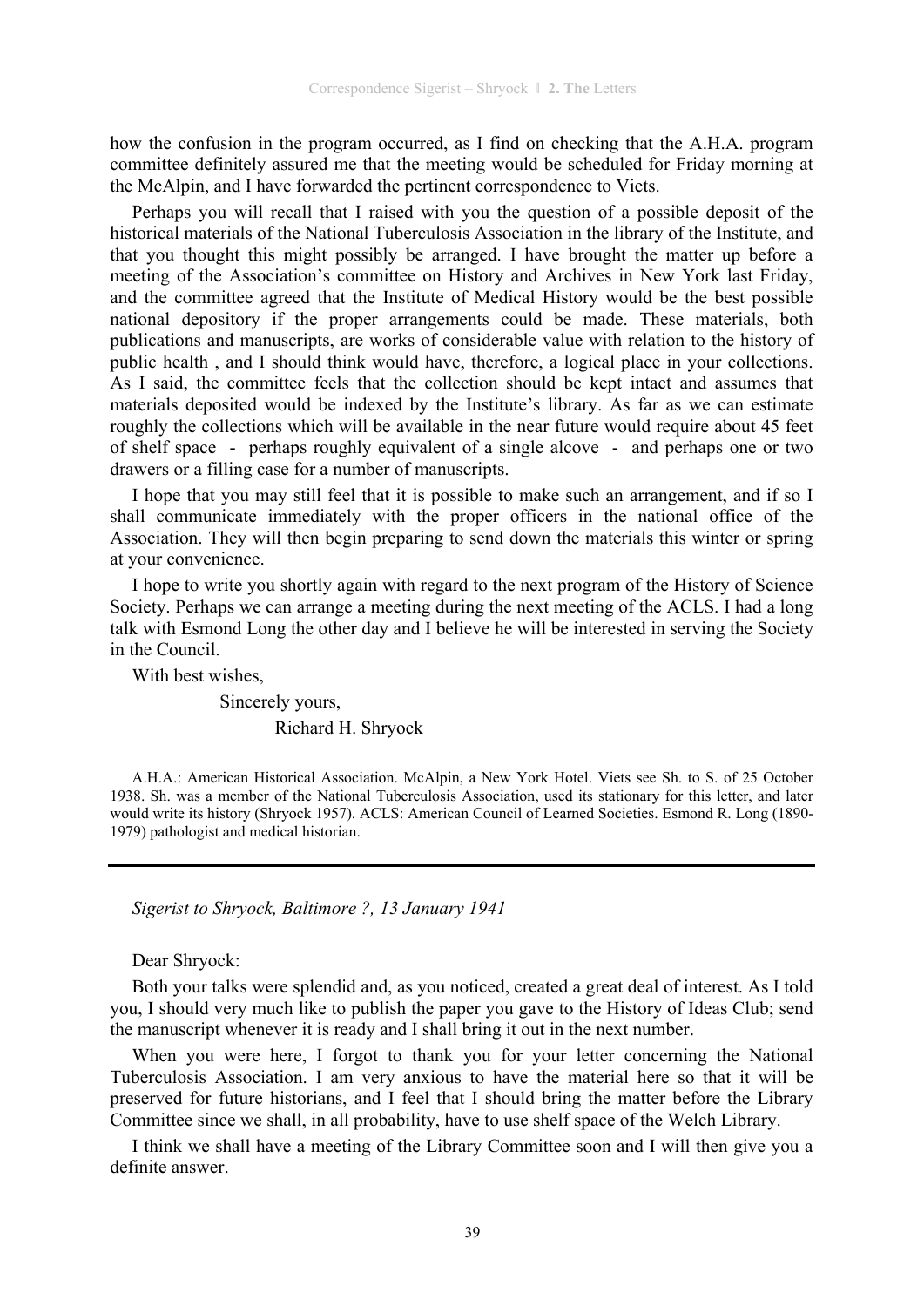how the confusion in the program occurred, as I find on checking that the A.H.A. program committee definitely assured me that the meeting would be scheduled for Friday morning at the McAlpin, and I have forwarded the pertinent correspondence to Viets.

Perhaps you will recall that I raised with you the question of a possible deposit of the historical materials of the National Tuberculosis Association in the library of the Institute, and that you thought this might possibly be arranged. I have brought the matter up before a meeting of the Association's committee on History and Archives in New York last Friday, and the committee agreed that the Institute of Medical History would be the best possible national depository if the proper arrangements could be made. These materials, both publications and manuscripts, are works of considerable value with relation to the history of public health , and I should think would have, therefore, a logical place in your collections. As I said, the committee feels that the collection should be kept intact and assumes that materials deposited would be indexed by the Institute's library. As far as we can estimate roughly the collections which will be available in the near future would require about 45 feet of shelf space - perhaps roughly equivalent of a single alcove - and perhaps one or two drawers or a filling case for a number of manuscripts.

I hope that you may still feel that it is possible to make such an arrangement, and if so I shall communicate immediately with the proper officers in the national office of the Association. They will then begin preparing to send down the materials this winter or spring at your convenience.

I hope to write you shortly again with regard to the next program of the History of Science Society. Perhaps we can arrange a meeting during the next meeting of the ACLS. I had a long talk with Esmond Long the other day and I believe he will be interested in serving the Society in the Council.

With best wishes,

# Sincerely yours,

### Richard H. Shryock

A.H.A.: American Historical Association. McAlpin, a New York Hotel. Viets see Sh. to S. of 25 October 1938. Sh. was a member of the National Tuberculosis Association, used its stationary for this letter, and later would write its history (Shryock 1957). ACLS: American Council of Learned Societies. Esmond R. Long (1890- 1979) pathologist and medical historian.

*Sigerist to Shryock, Baltimore ?, 13 January 1941* 

Dear Shryock:

Both your talks were splendid and, as you noticed, created a great deal of interest. As I told you, I should very much like to publish the paper you gave to the History of Ideas Club; send the manuscript whenever it is ready and I shall bring it out in the next number.

When you were here, I forgot to thank you for your letter concerning the National Tuberculosis Association. I am very anxious to have the material here so that it will be preserved for future historians, and I feel that I should bring the matter before the Library Committee since we shall, in all probability, have to use shelf space of the Welch Library.

I think we shall have a meeting of the Library Committee soon and I will then give you a definite answer.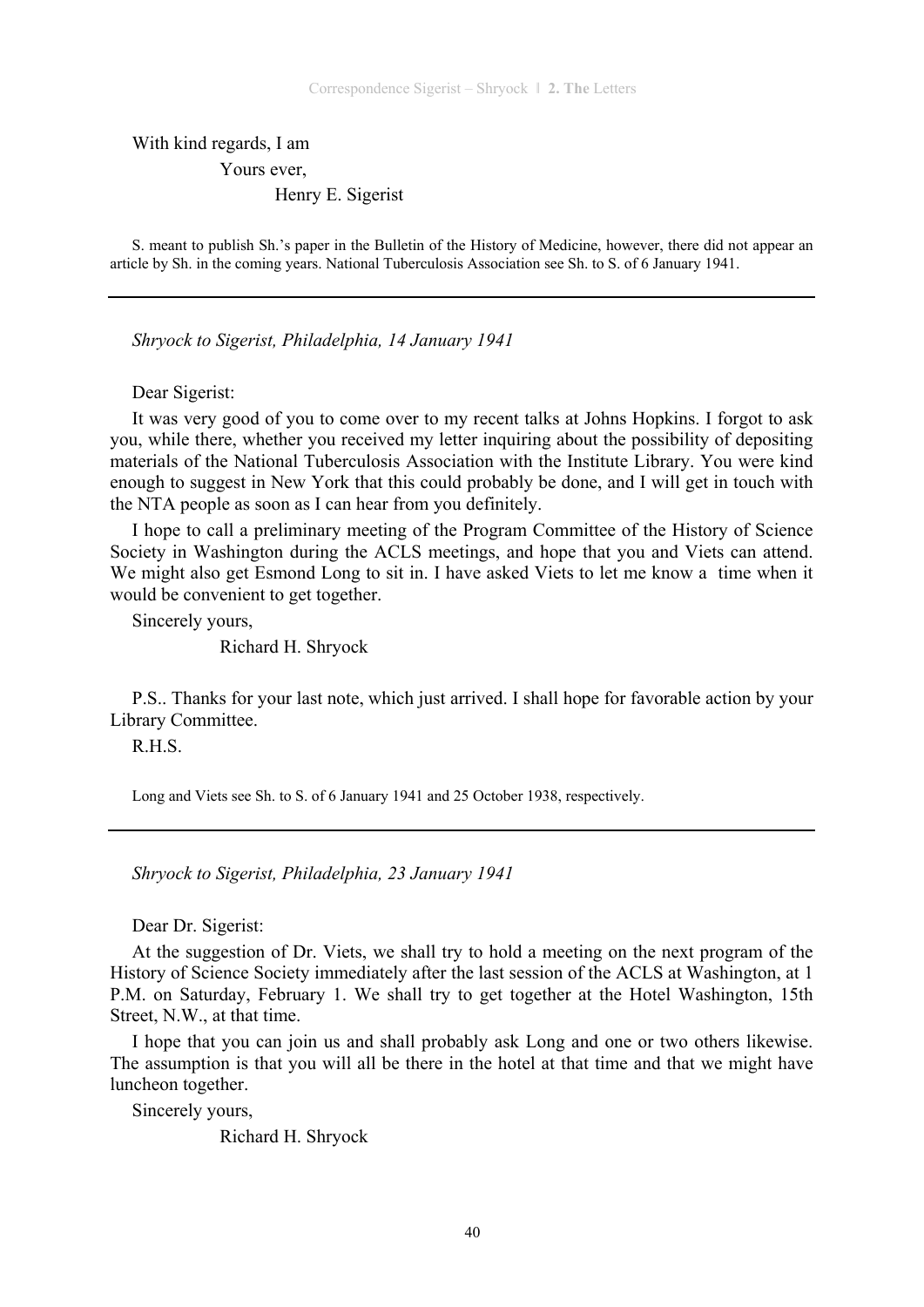With kind regards, I am Yours ever,

Henry E. Sigerist

S. meant to publish Sh.'s paper in the Bulletin of the History of Medicine, however, there did not appear an article by Sh. in the coming years. National Tuberculosis Association see Sh. to S. of 6 January 1941.

*Shryock to Sigerist, Philadelphia, 14 January 1941* 

Dear Sigerist:

It was very good of you to come over to my recent talks at Johns Hopkins. I forgot to ask you, while there, whether you received my letter inquiring about the possibility of depositing materials of the National Tuberculosis Association with the Institute Library. You were kind enough to suggest in New York that this could probably be done, and I will get in touch with the NTA people as soon as I can hear from you definitely.

I hope to call a preliminary meeting of the Program Committee of the History of Science Society in Washington during the ACLS meetings, and hope that you and Viets can attend. We might also get Esmond Long to sit in. I have asked Viets to let me know a time when it would be convenient to get together.

Sincerely yours,

Richard H. Shryock

P.S.. Thanks for your last note, which just arrived. I shall hope for favorable action by your Library Committee.

R.H.S.

Long and Viets see Sh. to S. of 6 January 1941 and 25 October 1938, respectively.

*Shryock to Sigerist, Philadelphia, 23 January 1941* 

Dear Dr. Sigerist:

At the suggestion of Dr. Viets, we shall try to hold a meeting on the next program of the History of Science Society immediately after the last session of the ACLS at Washington, at 1 P.M. on Saturday, February 1. We shall try to get together at the Hotel Washington, 15th Street, N.W., at that time.

I hope that you can join us and shall probably ask Long and one or two others likewise. The assumption is that you will all be there in the hotel at that time and that we might have luncheon together.

Sincerely yours,

Richard H. Shryock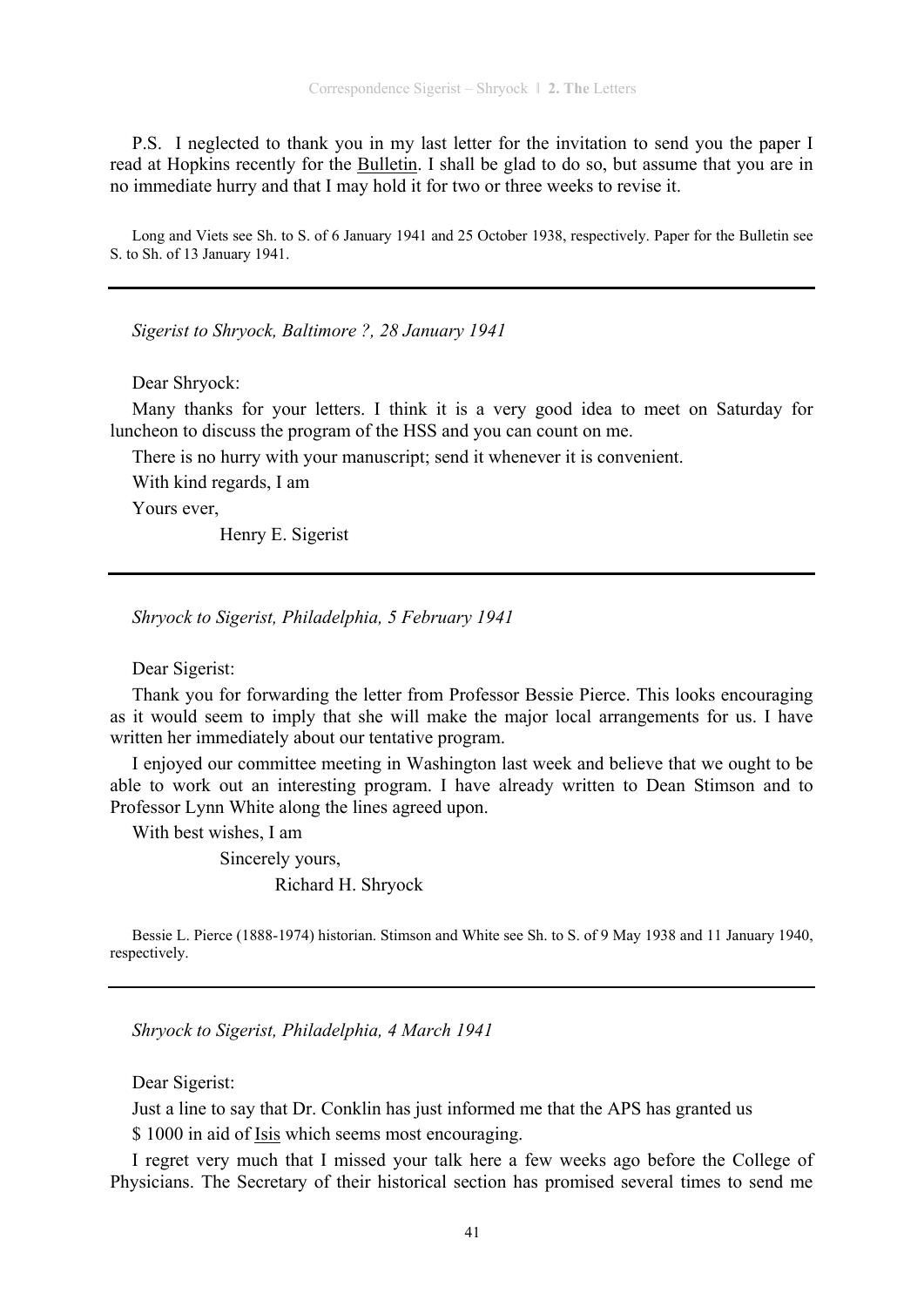P.S. I neglected to thank you in my last letter for the invitation to send you the paper I read at Hopkins recently for the Bulletin. I shall be glad to do so, but assume that you are in no immediate hurry and that I may hold it for two or three weeks to revise it.

Long and Viets see Sh. to S. of 6 January 1941 and 25 October 1938, respectively. Paper for the Bulletin see S. to Sh. of 13 January 1941.

*Sigerist to Shryock, Baltimore ?, 28 January 1941* 

Dear Shryock:

Many thanks for your letters. I think it is a very good idea to meet on Saturday for luncheon to discuss the program of the HSS and you can count on me.

There is no hurry with your manuscript; send it whenever it is convenient.

With kind regards, I am

Yours ever,

Henry E. Sigerist

*Shryock to Sigerist, Philadelphia, 5 February 1941* 

Dear Sigerist:

Thank you for forwarding the letter from Professor Bessie Pierce. This looks encouraging as it would seem to imply that she will make the major local arrangements for us. I have written her immediately about our tentative program.

I enjoyed our committee meeting in Washington last week and believe that we ought to be able to work out an interesting program. I have already written to Dean Stimson and to Professor Lynn White along the lines agreed upon.

With best wishes, I am

Sincerely yours,

Richard H. Shryock

Bessie L. Pierce (1888-1974) historian. Stimson and White see Sh. to S. of 9 May 1938 and 11 January 1940, respectively.

*Shryock to Sigerist, Philadelphia, 4 March 1941* 

Dear Sigerist:

Just a line to say that Dr. Conklin has just informed me that the APS has granted us

\$ 1000 in aid of Isis which seems most encouraging.

I regret very much that I missed your talk here a few weeks ago before the College of Physicians. The Secretary of their historical section has promised several times to send me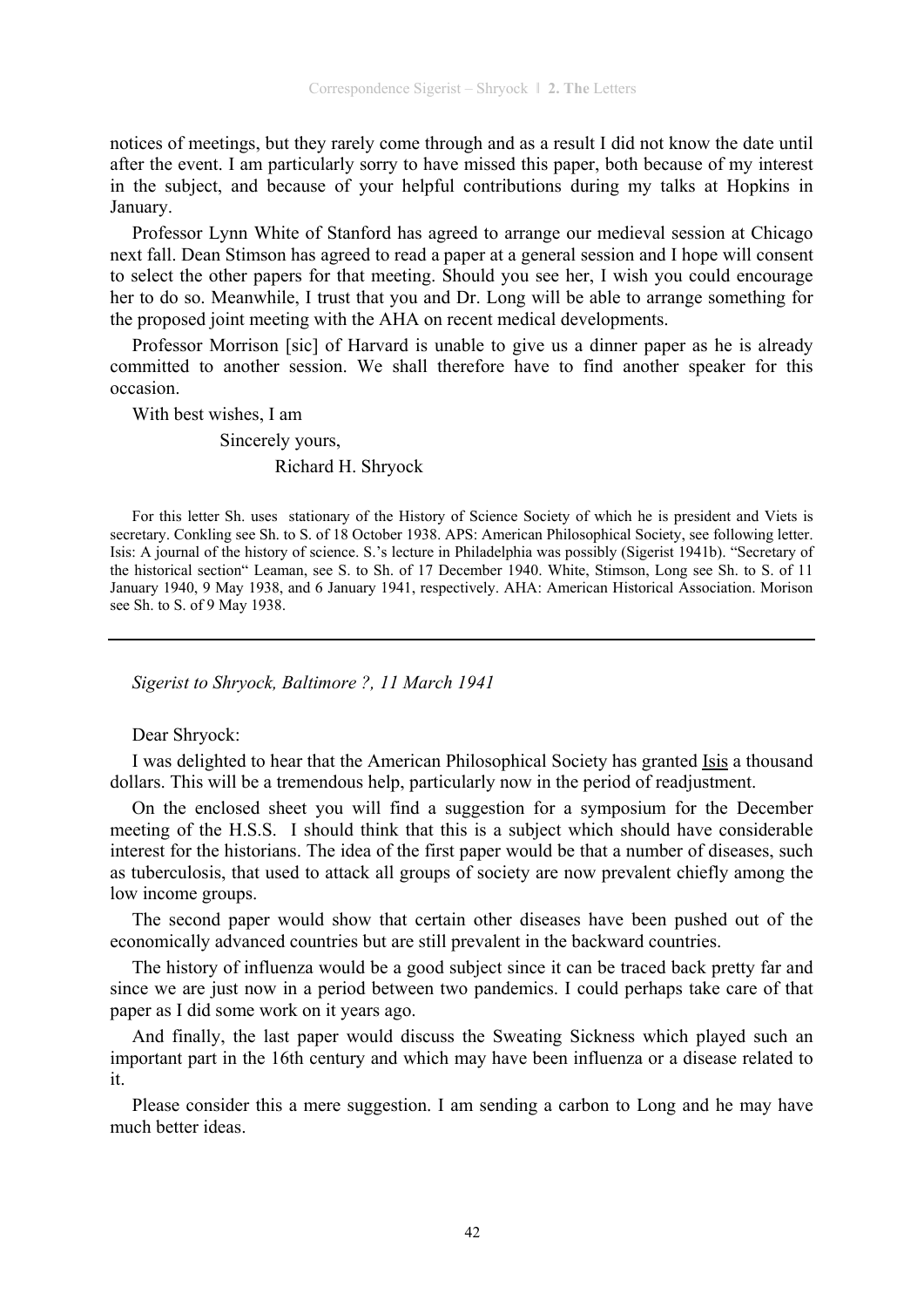notices of meetings, but they rarely come through and as a result I did not know the date until after the event. I am particularly sorry to have missed this paper, both because of my interest in the subject, and because of your helpful contributions during my talks at Hopkins in January.

Professor Lynn White of Stanford has agreed to arrange our medieval session at Chicago next fall. Dean Stimson has agreed to read a paper at a general session and I hope will consent to select the other papers for that meeting. Should you see her, I wish you could encourage her to do so. Meanwhile, I trust that you and Dr. Long will be able to arrange something for the proposed joint meeting with the AHA on recent medical developments.

Professor Morrison [sic] of Harvard is unable to give us a dinner paper as he is already committed to another session. We shall therefore have to find another speaker for this occasion.

With best wishes, I am Sincerely yours, Richard H. Shryock

For this letter Sh. uses stationary of the History of Science Society of which he is president and Viets is secretary. Conkling see Sh. to S. of 18 October 1938. APS: American Philosophical Society, see following letter. Isis: A journal of the history of science. S.'s lecture in Philadelphia was possibly (Sigerist 1941b). "Secretary of the historical section" Leaman, see S. to Sh. of 17 December 1940. White, Stimson, Long see Sh. to S. of 11 January 1940, 9 May 1938, and 6 January 1941, respectively. AHA: American Historical Association. Morison see Sh. to S. of 9 May 1938.

*Sigerist to Shryock, Baltimore ?, 11 March 1941* 

Dear Shryock:

I was delighted to hear that the American Philosophical Society has granted Isis a thousand dollars. This will be a tremendous help, particularly now in the period of readjustment.

On the enclosed sheet you will find a suggestion for a symposium for the December meeting of the H.S.S. I should think that this is a subject which should have considerable interest for the historians. The idea of the first paper would be that a number of diseases, such as tuberculosis, that used to attack all groups of society are now prevalent chiefly among the low income groups.

The second paper would show that certain other diseases have been pushed out of the economically advanced countries but are still prevalent in the backward countries.

The history of influenza would be a good subject since it can be traced back pretty far and since we are just now in a period between two pandemics. I could perhaps take care of that paper as I did some work on it years ago.

And finally, the last paper would discuss the Sweating Sickness which played such an important part in the 16th century and which may have been influenza or a disease related to it.

Please consider this a mere suggestion. I am sending a carbon to Long and he may have much better ideas.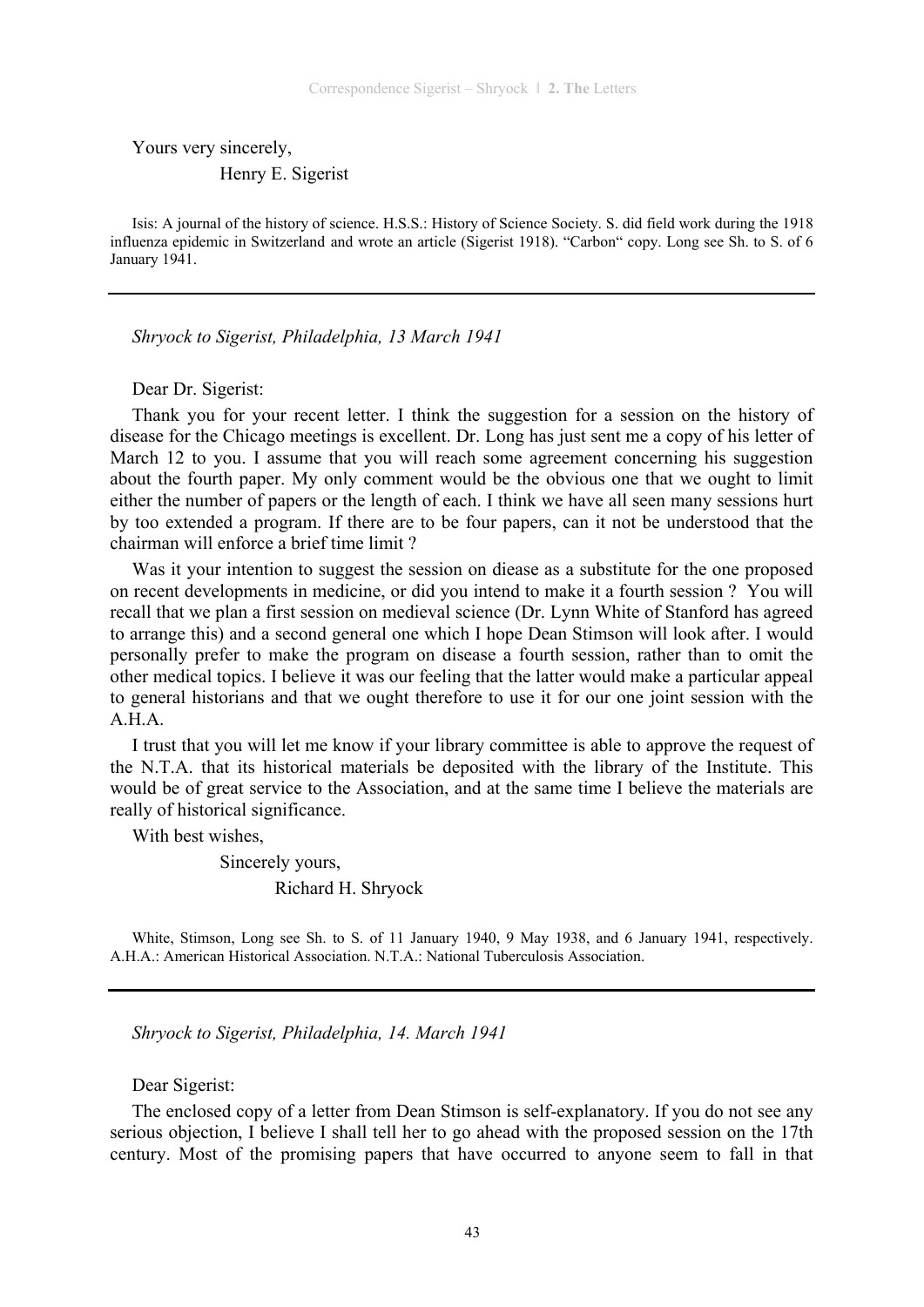Yours very sincerely,

### Henry E. Sigerist

Isis: A journal of the history of science. H.S.S.: History of Science Society. S. did field work during the 1918 influenza epidemic in Switzerland and wrote an article (Sigerist 1918). "Carbon" copy. Long see Sh. to S. of 6 January 1941.

*Shryock to Sigerist, Philadelphia, 13 March 1941* 

Dear Dr. Sigerist:

Thank you for your recent letter. I think the suggestion for a session on the history of disease for the Chicago meetings is excellent. Dr. Long has just sent me a copy of his letter of March 12 to you. I assume that you will reach some agreement concerning his suggestion about the fourth paper. My only comment would be the obvious one that we ought to limit either the number of papers or the length of each. I think we have all seen many sessions hurt by too extended a program. If there are to be four papers, can it not be understood that the chairman will enforce a brief time limit ?

Was it your intention to suggest the session on diease as a substitute for the one proposed on recent developments in medicine, or did you intend to make it a fourth session ? You will recall that we plan a first session on medieval science (Dr. Lynn White of Stanford has agreed to arrange this) and a second general one which I hope Dean Stimson will look after. I would personally prefer to make the program on disease a fourth session, rather than to omit the other medical topics. I believe it was our feeling that the latter would make a particular appeal to general historians and that we ought therefore to use it for our one joint session with the A.H.A.

I trust that you will let me know if your library committee is able to approve the request of the N.T.A. that its historical materials be deposited with the library of the Institute. This would be of great service to the Association, and at the same time I believe the materials are really of historical significance.

With best wishes,

 Sincerely yours, Richard H. Shryock

White, Stimson, Long see Sh. to S. of 11 January 1940, 9 May 1938, and 6 January 1941, respectively. A.H.A.: American Historical Association. N.T.A.: National Tuberculosis Association.

*Shryock to Sigerist, Philadelphia, 14. March 1941* 

Dear Sigerist:

The enclosed copy of a letter from Dean Stimson is self-explanatory. If you do not see any serious objection, I believe I shall tell her to go ahead with the proposed session on the 17th century. Most of the promising papers that have occurred to anyone seem to fall in that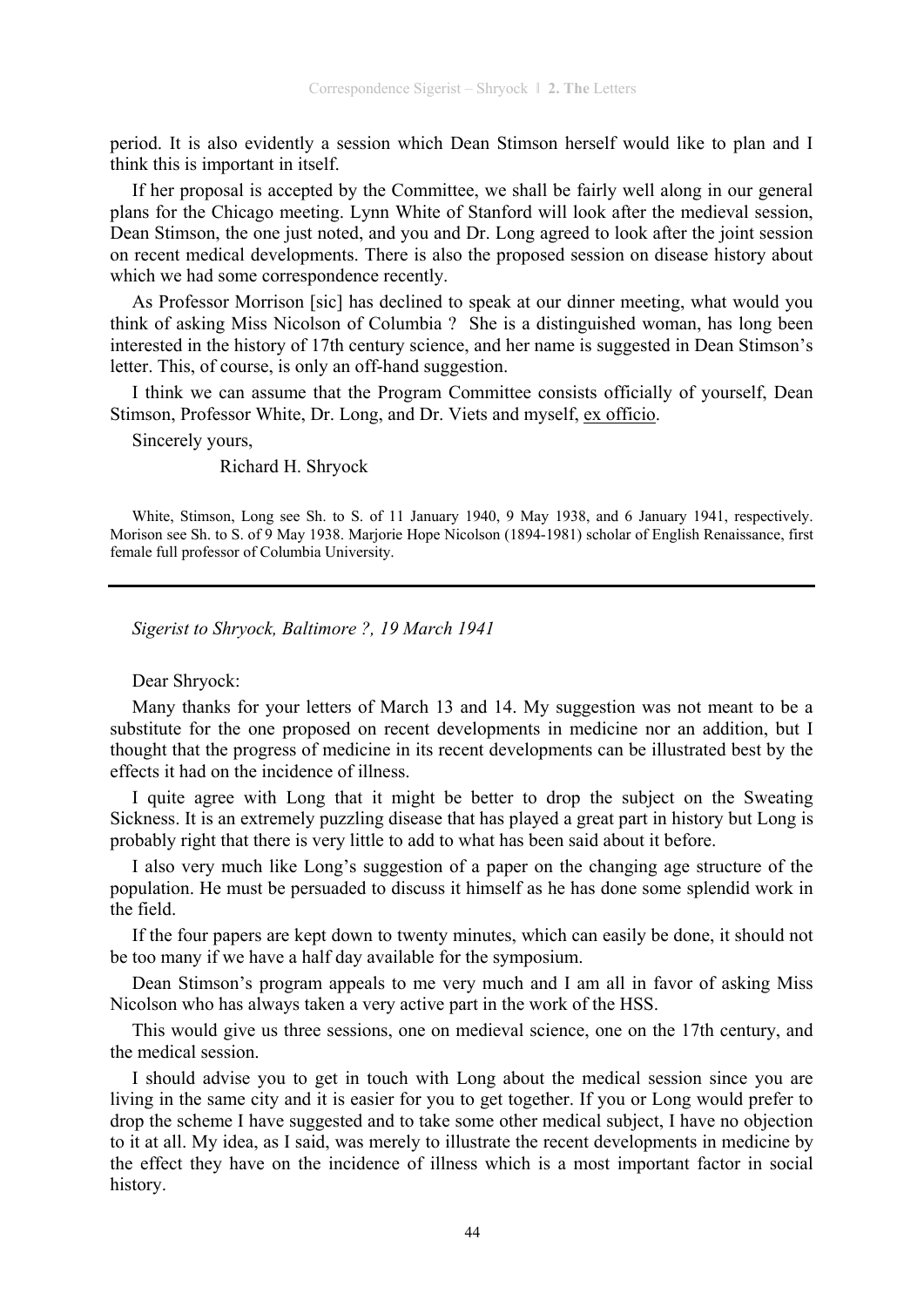period. It is also evidently a session which Dean Stimson herself would like to plan and I think this is important in itself.

If her proposal is accepted by the Committee, we shall be fairly well along in our general plans for the Chicago meeting. Lynn White of Stanford will look after the medieval session, Dean Stimson, the one just noted, and you and Dr. Long agreed to look after the joint session on recent medical developments. There is also the proposed session on disease history about which we had some correspondence recently.

As Professor Morrison [sic] has declined to speak at our dinner meeting, what would you think of asking Miss Nicolson of Columbia ? She is a distinguished woman, has long been interested in the history of 17th century science, and her name is suggested in Dean Stimson's letter. This, of course, is only an off-hand suggestion.

I think we can assume that the Program Committee consists officially of yourself, Dean Stimson, Professor White, Dr. Long, and Dr. Viets and myself, ex officio.

Sincerely yours,

Richard H. Shryock

White, Stimson, Long see Sh. to S. of 11 January 1940, 9 May 1938, and 6 January 1941, respectively. Morison see Sh. to S. of 9 May 1938. Marjorie Hope Nicolson (1894-1981) scholar of English Renaissance, first female full professor of Columbia University.

*Sigerist to Shryock, Baltimore ?, 19 March 1941* 

### Dear Shryock:

Many thanks for your letters of March 13 and 14. My suggestion was not meant to be a substitute for the one proposed on recent developments in medicine nor an addition, but I thought that the progress of medicine in its recent developments can be illustrated best by the effects it had on the incidence of illness.

I quite agree with Long that it might be better to drop the subject on the Sweating Sickness. It is an extremely puzzling disease that has played a great part in history but Long is probably right that there is very little to add to what has been said about it before.

I also very much like Long's suggestion of a paper on the changing age structure of the population. He must be persuaded to discuss it himself as he has done some splendid work in the field.

If the four papers are kept down to twenty minutes, which can easily be done, it should not be too many if we have a half day available for the symposium.

Dean Stimson's program appeals to me very much and I am all in favor of asking Miss Nicolson who has always taken a very active part in the work of the HSS.

This would give us three sessions, one on medieval science, one on the 17th century, and the medical session.

I should advise you to get in touch with Long about the medical session since you are living in the same city and it is easier for you to get together. If you or Long would prefer to drop the scheme I have suggested and to take some other medical subject, I have no objection to it at all. My idea, as I said, was merely to illustrate the recent developments in medicine by the effect they have on the incidence of illness which is a most important factor in social history.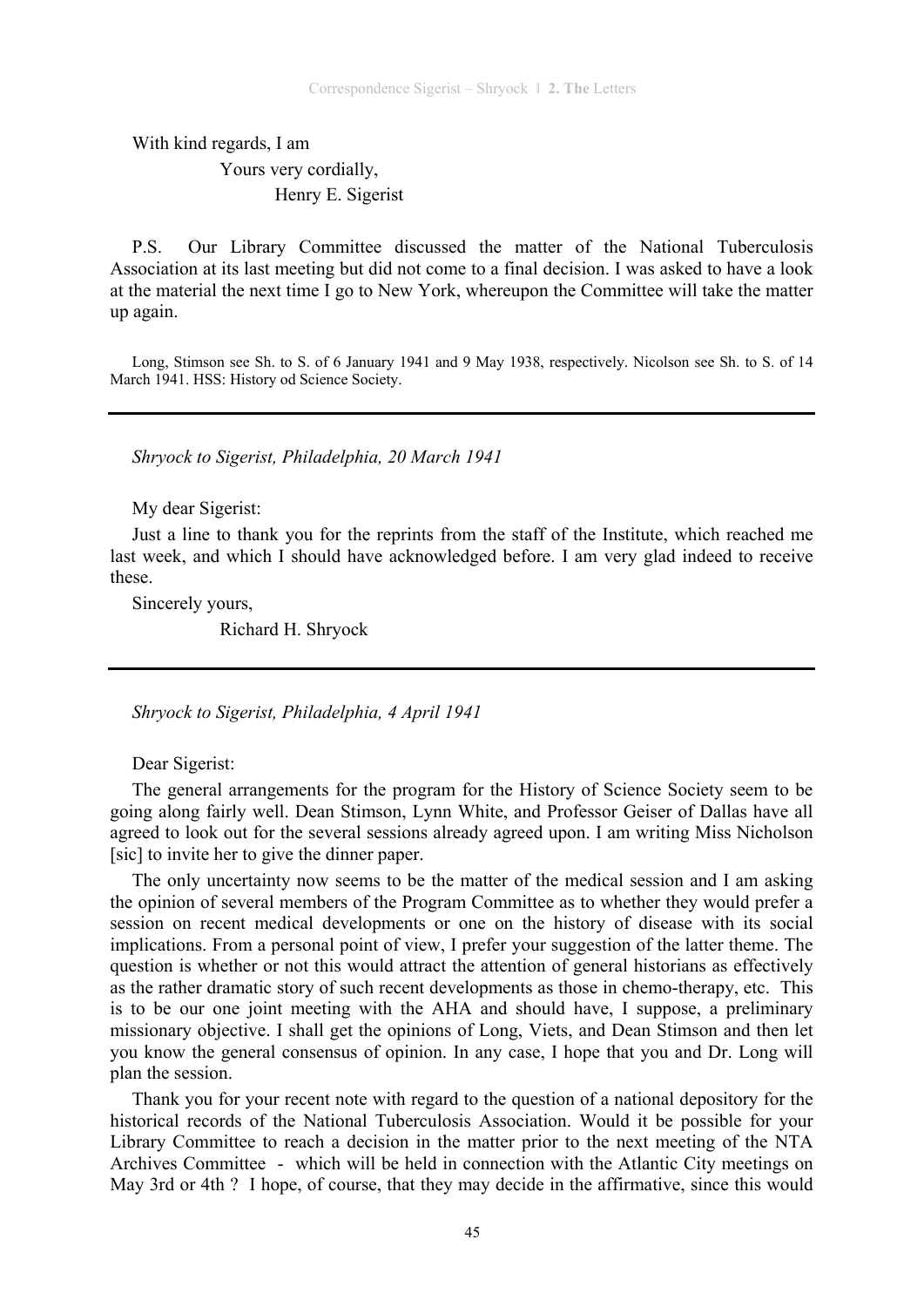With kind regards, I am

 Yours very cordially, Henry E. Sigerist

P.S. Our Library Committee discussed the matter of the National Tuberculosis Association at its last meeting but did not come to a final decision. I was asked to have a look at the material the next time I go to New York, whereupon the Committee will take the matter up again.

Long, Stimson see Sh. to S. of 6 January 1941 and 9 May 1938, respectively. Nicolson see Sh. to S. of 14 March 1941. HSS: History od Science Society.

*Shryock to Sigerist, Philadelphia, 20 March 1941* 

My dear Sigerist:

Just a line to thank you for the reprints from the staff of the Institute, which reached me last week, and which I should have acknowledged before. I am very glad indeed to receive these.

Sincerely yours,

Richard H. Shryock

*Shryock to Sigerist, Philadelphia, 4 April 1941* 

Dear Sigerist:

The general arrangements for the program for the History of Science Society seem to be going along fairly well. Dean Stimson, Lynn White, and Professor Geiser of Dallas have all agreed to look out for the several sessions already agreed upon. I am writing Miss Nicholson [sic] to invite her to give the dinner paper.

The only uncertainty now seems to be the matter of the medical session and I am asking the opinion of several members of the Program Committee as to whether they would prefer a session on recent medical developments or one on the history of disease with its social implications. From a personal point of view, I prefer your suggestion of the latter theme. The question is whether or not this would attract the attention of general historians as effectively as the rather dramatic story of such recent developments as those in chemo-therapy, etc. This is to be our one joint meeting with the AHA and should have, I suppose, a preliminary missionary objective. I shall get the opinions of Long, Viets, and Dean Stimson and then let you know the general consensus of opinion. In any case, I hope that you and Dr. Long will plan the session.

Thank you for your recent note with regard to the question of a national depository for the historical records of the National Tuberculosis Association. Would it be possible for your Library Committee to reach a decision in the matter prior to the next meeting of the NTA Archives Committee - which will be held in connection with the Atlantic City meetings on May 3rd or 4th ? I hope, of course, that they may decide in the affirmative, since this would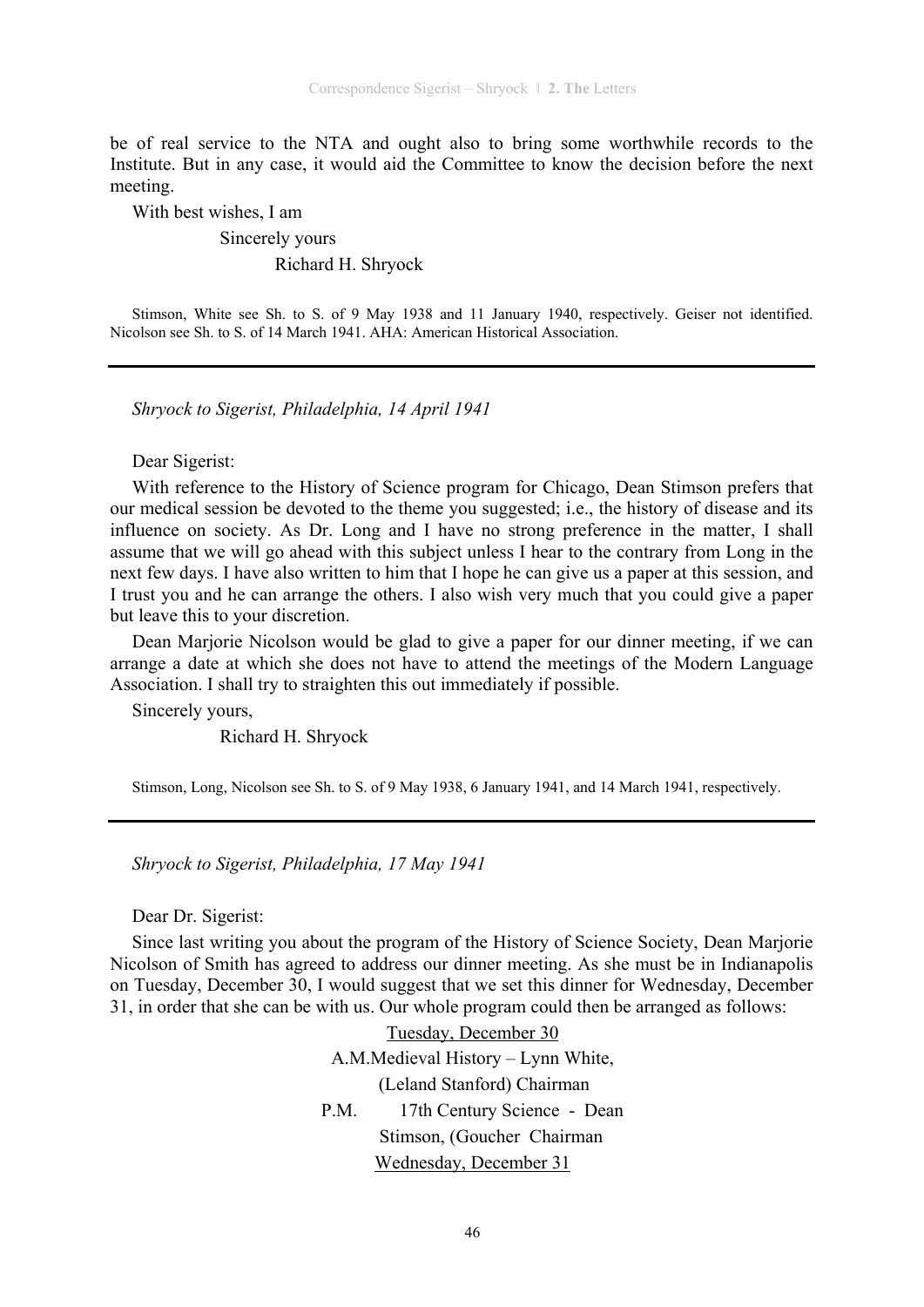be of real service to the NTA and ought also to bring some worthwhile records to the Institute. But in any case, it would aid the Committee to know the decision before the next meeting.

With best wishes, I am

# Sincerely yours Richard H. Shryock

Stimson, White see Sh. to S. of 9 May 1938 and 11 January 1940, respectively. Geiser not identified. Nicolson see Sh. to S. of 14 March 1941. AHA: American Historical Association.

*Shryock to Sigerist, Philadelphia, 14 April 1941* 

Dear Sigerist:

With reference to the History of Science program for Chicago, Dean Stimson prefers that our medical session be devoted to the theme you suggested; i.e., the history of disease and its influence on society. As Dr. Long and I have no strong preference in the matter, I shall assume that we will go ahead with this subject unless I hear to the contrary from Long in the next few days. I have also written to him that I hope he can give us a paper at this session, and I trust you and he can arrange the others. I also wish very much that you could give a paper but leave this to your discretion.

Dean Marjorie Nicolson would be glad to give a paper for our dinner meeting, if we can arrange a date at which she does not have to attend the meetings of the Modern Language Association. I shall try to straighten this out immediately if possible.

Sincerely yours,

Richard H. Shryock

Stimson, Long, Nicolson see Sh. to S. of 9 May 1938, 6 January 1941, and 14 March 1941, respectively.

*Shryock to Sigerist, Philadelphia, 17 May 1941* 

Dear Dr. Sigerist:

Since last writing you about the program of the History of Science Society, Dean Marjorie Nicolson of Smith has agreed to address our dinner meeting. As she must be in Indianapolis on Tuesday, December 30, I would suggest that we set this dinner for Wednesday, December 31, in order that she can be with us. Our whole program could then be arranged as follows:

> Tuesday, December 30 A.M.Medieval History – Lynn White, (Leland Stanford) Chairman P.M. 17th Century Science - Dean Stimson, (Goucher Chairman Wednesday, December 31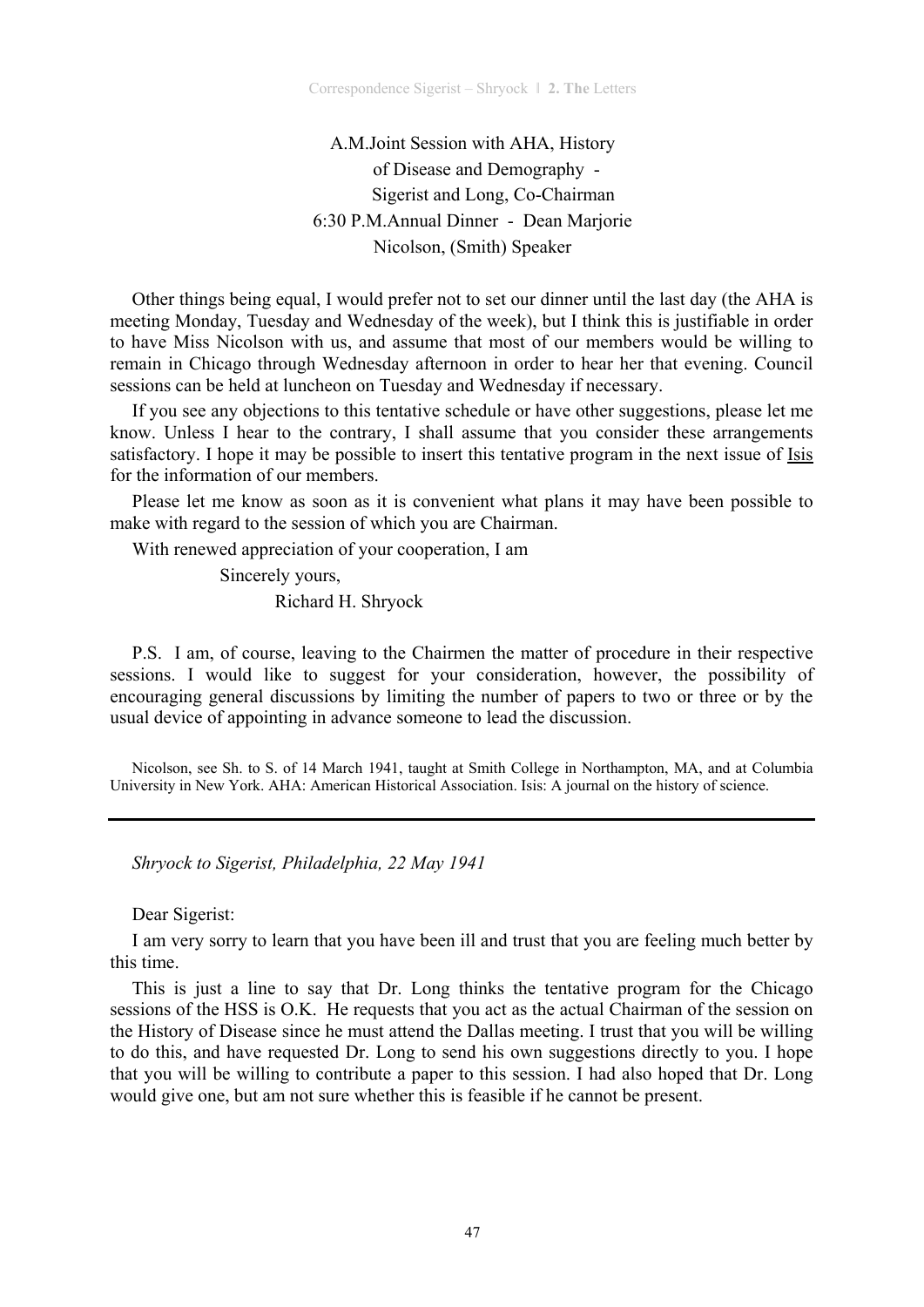A.M.Joint Session with AHA, History of Disease and Demography - Sigerist and Long, Co-Chairman 6:30 P.M.Annual Dinner - Dean Marjorie Nicolson, (Smith) Speaker

Other things being equal, I would prefer not to set our dinner until the last day (the AHA is meeting Monday, Tuesday and Wednesday of the week), but I think this is justifiable in order to have Miss Nicolson with us, and assume that most of our members would be willing to remain in Chicago through Wednesday afternoon in order to hear her that evening. Council sessions can be held at luncheon on Tuesday and Wednesday if necessary.

If you see any objections to this tentative schedule or have other suggestions, please let me know. Unless I hear to the contrary, I shall assume that you consider these arrangements satisfactory. I hope it may be possible to insert this tentative program in the next issue of Isis for the information of our members.

Please let me know as soon as it is convenient what plans it may have been possible to make with regard to the session of which you are Chairman.

With renewed appreciation of your cooperation, I am

 Sincerely yours, Richard H. Shryock

P.S. I am, of course, leaving to the Chairmen the matter of procedure in their respective sessions. I would like to suggest for your consideration, however, the possibility of encouraging general discussions by limiting the number of papers to two or three or by the usual device of appointing in advance someone to lead the discussion.

Nicolson, see Sh. to S. of 14 March 1941, taught at Smith College in Northampton, MA, and at Columbia University in New York. AHA: American Historical Association. Isis: A journal on the history of science.

*Shryock to Sigerist, Philadelphia, 22 May 1941* 

Dear Sigerist:

I am very sorry to learn that you have been ill and trust that you are feeling much better by this time.

This is just a line to say that Dr. Long thinks the tentative program for the Chicago sessions of the HSS is O.K. He requests that you act as the actual Chairman of the session on the History of Disease since he must attend the Dallas meeting. I trust that you will be willing to do this, and have requested Dr. Long to send his own suggestions directly to you. I hope that you will be willing to contribute a paper to this session. I had also hoped that Dr. Long would give one, but am not sure whether this is feasible if he cannot be present.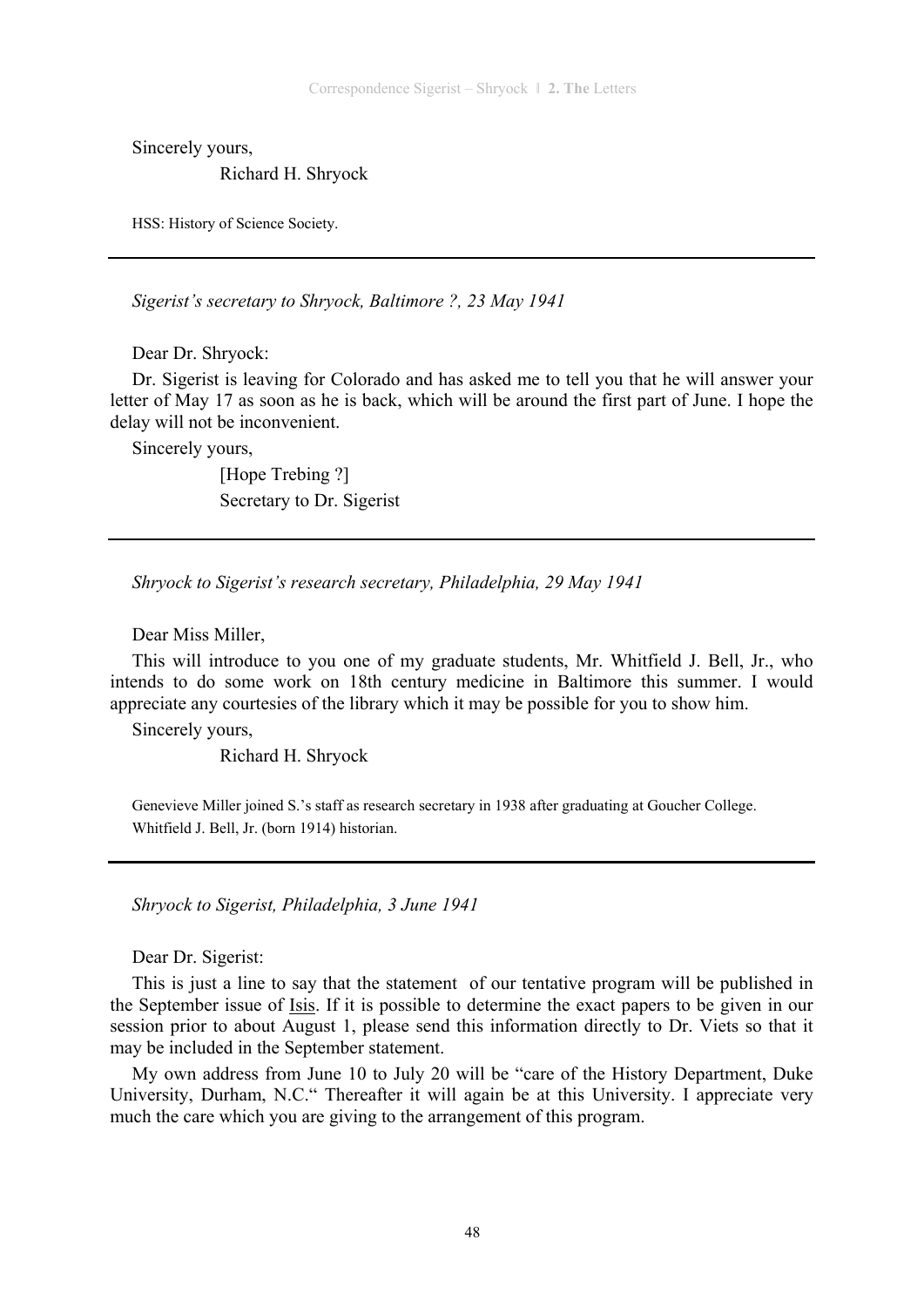Sincerely yours,

Richard H. Shryock

HSS: History of Science Society.

*Sigerist's secretary to Shryock, Baltimore ?, 23 May 1941* 

Dear Dr. Shryock:

Dr. Sigerist is leaving for Colorado and has asked me to tell you that he will answer your letter of May 17 as soon as he is back, which will be around the first part of June. I hope the delay will not be inconvenient.

Sincerely yours,

 [Hope Trebing ?] Secretary to Dr. Sigerist

*Shryock to Sigerist's research secretary, Philadelphia, 29 May 1941* 

Dear Miss Miller,

This will introduce to you one of my graduate students, Mr. Whitfield J. Bell, Jr., who intends to do some work on 18th century medicine in Baltimore this summer. I would appreciate any courtesies of the library which it may be possible for you to show him.

Sincerely yours,

Richard H. Shryock

Genevieve Miller joined S.'s staff as research secretary in 1938 after graduating at Goucher College. Whitfield J. Bell, Jr. (born 1914) historian.

*Shryock to Sigerist, Philadelphia, 3 June 1941* 

Dear Dr. Sigerist:

This is just a line to say that the statement of our tentative program will be published in the September issue of Isis. If it is possible to determine the exact papers to be given in our session prior to about August 1, please send this information directly to Dr. Viets so that it may be included in the September statement.

My own address from June 10 to July 20 will be "care of the History Department, Duke University, Durham, N.C." Thereafter it will again be at this University. I appreciate very much the care which you are giving to the arrangement of this program.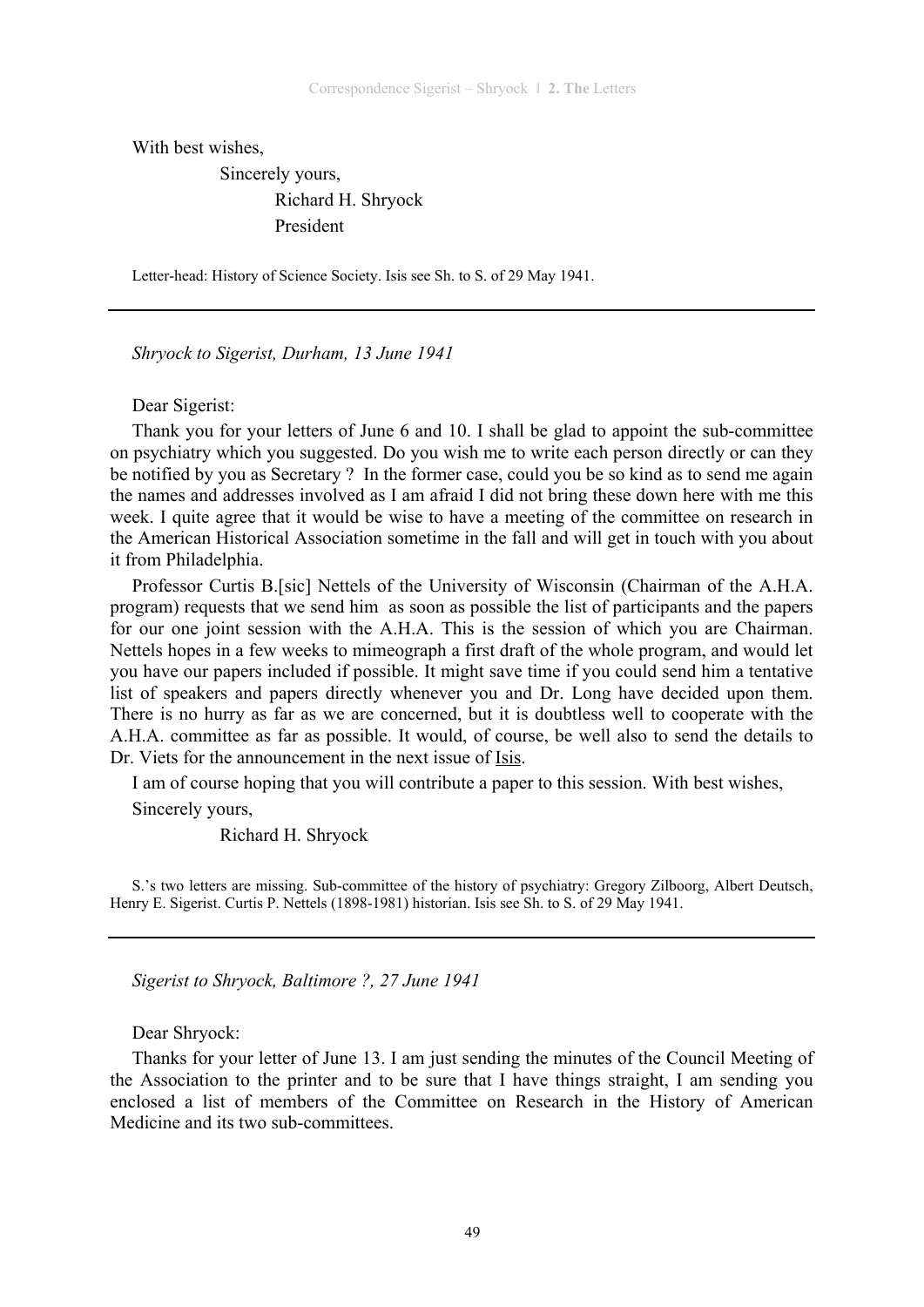With best wishes,

 Sincerely yours, Richard H. Shryock President

Letter-head: History of Science Society. Isis see Sh. to S. of 29 May 1941.

*Shryock to Sigerist, Durham, 13 June 1941* 

Dear Sigerist:

Thank you for your letters of June 6 and 10. I shall be glad to appoint the sub-committee on psychiatry which you suggested. Do you wish me to write each person directly or can they be notified by you as Secretary ? In the former case, could you be so kind as to send me again the names and addresses involved as I am afraid I did not bring these down here with me this week. I quite agree that it would be wise to have a meeting of the committee on research in the American Historical Association sometime in the fall and will get in touch with you about it from Philadelphia.

Professor Curtis B.[sic] Nettels of the University of Wisconsin (Chairman of the A.H.A. program) requests that we send him as soon as possible the list of participants and the papers for our one joint session with the A.H.A. This is the session of which you are Chairman. Nettels hopes in a few weeks to mimeograph a first draft of the whole program, and would let you have our papers included if possible. It might save time if you could send him a tentative list of speakers and papers directly whenever you and Dr. Long have decided upon them. There is no hurry as far as we are concerned, but it is doubtless well to cooperate with the A.H.A. committee as far as possible. It would, of course, be well also to send the details to Dr. Viets for the announcement in the next issue of Isis.

I am of course hoping that you will contribute a paper to this session. With best wishes,

Sincerely yours,

Richard H. Shryock

S.'s two letters are missing. Sub-committee of the history of psychiatry: Gregory Zilboorg, Albert Deutsch, Henry E. Sigerist. Curtis P. Nettels (1898-1981) historian. Isis see Sh. to S. of 29 May 1941.

*Sigerist to Shryock, Baltimore ?, 27 June 1941* 

Dear Shryock:

Thanks for your letter of June 13. I am just sending the minutes of the Council Meeting of the Association to the printer and to be sure that I have things straight, I am sending you enclosed a list of members of the Committee on Research in the History of American Medicine and its two sub-committees.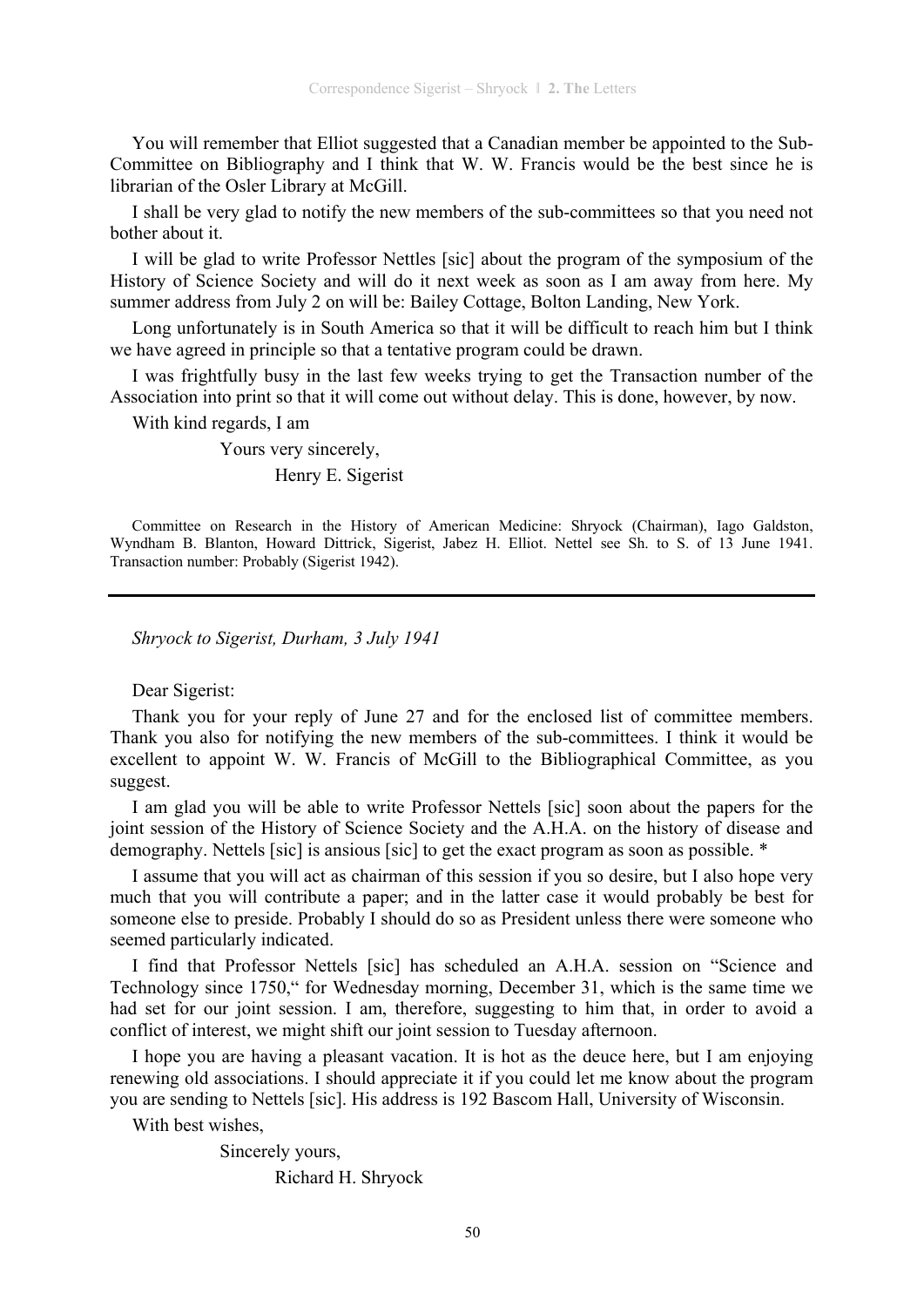You will remember that Elliot suggested that a Canadian member be appointed to the Sub-Committee on Bibliography and I think that W. W. Francis would be the best since he is librarian of the Osler Library at McGill.

I shall be very glad to notify the new members of the sub-committees so that you need not bother about it.

I will be glad to write Professor Nettles [sic] about the program of the symposium of the History of Science Society and will do it next week as soon as I am away from here. My summer address from July 2 on will be: Bailey Cottage, Bolton Landing, New York.

Long unfortunately is in South America so that it will be difficult to reach him but I think we have agreed in principle so that a tentative program could be drawn.

I was frightfully busy in the last few weeks trying to get the Transaction number of the Association into print so that it will come out without delay. This is done, however, by now.

With kind regards, I am

Yours very sincerely,

Henry E. Sigerist

Committee on Research in the History of American Medicine: Shryock (Chairman), Iago Galdston, Wyndham B. Blanton, Howard Dittrick, Sigerist, Jabez H. Elliot. Nettel see Sh. to S. of 13 June 1941. Transaction number: Probably (Sigerist 1942).

*Shryock to Sigerist, Durham, 3 July 1941* 

Dear Sigerist:

Thank you for your reply of June 27 and for the enclosed list of committee members. Thank you also for notifying the new members of the sub-committees. I think it would be excellent to appoint W. W. Francis of McGill to the Bibliographical Committee, as you suggest.

I am glad you will be able to write Professor Nettels [sic] soon about the papers for the joint session of the History of Science Society and the A.H.A. on the history of disease and demography. Nettels [sic] is ansious [sic] to get the exact program as soon as possible. \*

I assume that you will act as chairman of this session if you so desire, but I also hope very much that you will contribute a paper; and in the latter case it would probably be best for someone else to preside. Probably I should do so as President unless there were someone who seemed particularly indicated.

I find that Professor Nettels [sic] has scheduled an A.H.A. session on "Science and Technology since 1750," for Wednesday morning, December 31, which is the same time we had set for our joint session. I am, therefore, suggesting to him that, in order to avoid a conflict of interest, we might shift our joint session to Tuesday afternoon.

I hope you are having a pleasant vacation. It is hot as the deuce here, but I am enjoying renewing old associations. I should appreciate it if you could let me know about the program you are sending to Nettels [sic]. His address is 192 Bascom Hall, University of Wisconsin.

With best wishes,

 Sincerely yours, Richard H. Shryock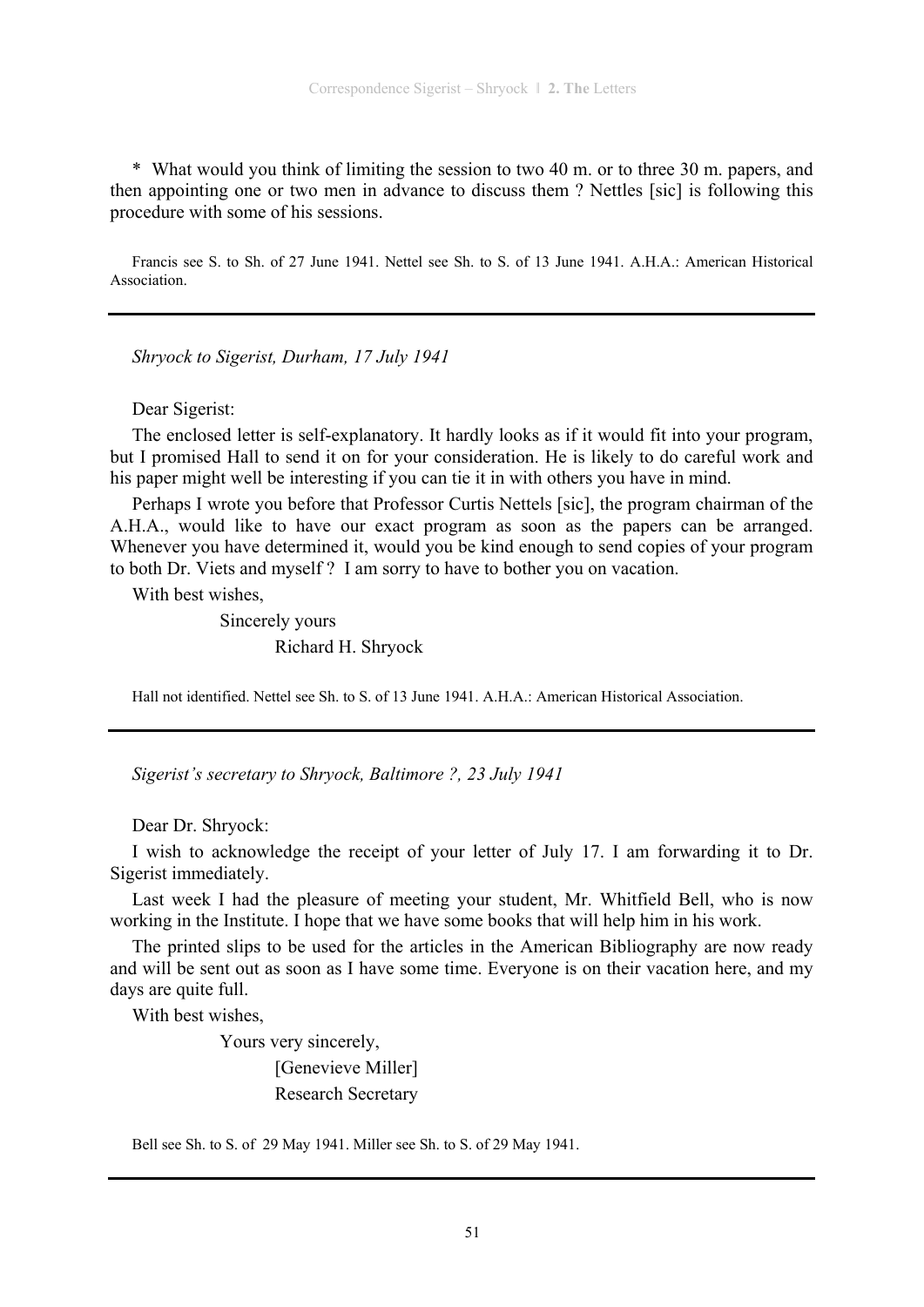\* What would you think of limiting the session to two 40 m. or to three 30 m. papers, and then appointing one or two men in advance to discuss them ? Nettles [sic] is following this procedure with some of his sessions.

Francis see S. to Sh. of 27 June 1941. Nettel see Sh. to S. of 13 June 1941. A.H.A.: American Historical Association.

*Shryock to Sigerist, Durham, 17 July 1941* 

Dear Sigerist:

The enclosed letter is self-explanatory. It hardly looks as if it would fit into your program, but I promised Hall to send it on for your consideration. He is likely to do careful work and his paper might well be interesting if you can tie it in with others you have in mind.

Perhaps I wrote you before that Professor Curtis Nettels [sic], the program chairman of the A.H.A., would like to have our exact program as soon as the papers can be arranged. Whenever you have determined it, would you be kind enough to send copies of your program to both Dr. Viets and myself ? I am sorry to have to bother you on vacation.

With best wishes,

 Sincerely yours Richard H. Shryock

Hall not identified. Nettel see Sh. to S. of 13 June 1941. A.H.A.: American Historical Association.

*Sigerist's secretary to Shryock, Baltimore ?, 23 July 1941* 

Dear Dr. Shryock:

I wish to acknowledge the receipt of your letter of July 17. I am forwarding it to Dr. Sigerist immediately.

Last week I had the pleasure of meeting your student, Mr. Whitfield Bell, who is now working in the Institute. I hope that we have some books that will help him in his work.

The printed slips to be used for the articles in the American Bibliography are now ready and will be sent out as soon as I have some time. Everyone is on their vacation here, and my days are quite full.

With best wishes,

Yours very sincerely,

[Genevieve Miller] Research Secretary

Bell see Sh. to S. of 29 May 1941. Miller see Sh. to S. of 29 May 1941.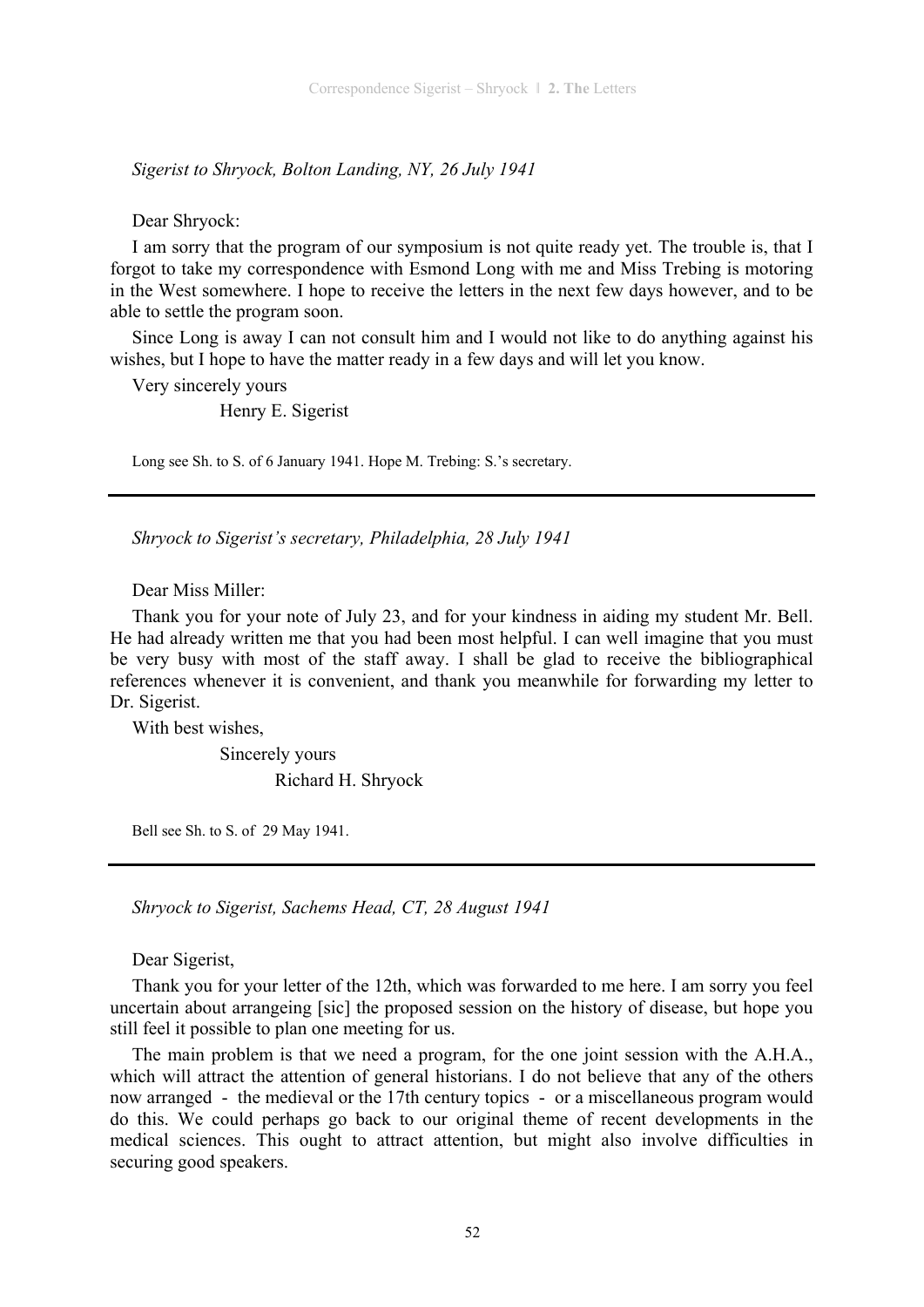*Sigerist to Shryock, Bolton Landing, NY, 26 July 1941* 

Dear Shryock:

I am sorry that the program of our symposium is not quite ready yet. The trouble is, that I forgot to take my correspondence with Esmond Long with me and Miss Trebing is motoring in the West somewhere. I hope to receive the letters in the next few days however, and to be able to settle the program soon.

Since Long is away I can not consult him and I would not like to do anything against his wishes, but I hope to have the matter ready in a few days and will let you know.

Very sincerely yours

Henry E. Sigerist

Long see Sh. to S. of 6 January 1941. Hope M. Trebing: S.'s secretary.

*Shryock to Sigerist's secretary, Philadelphia, 28 July 1941* 

Dear Miss Miller:

Thank you for your note of July 23, and for your kindness in aiding my student Mr. Bell. He had already written me that you had been most helpful. I can well imagine that you must be very busy with most of the staff away. I shall be glad to receive the bibliographical references whenever it is convenient, and thank you meanwhile for forwarding my letter to Dr. Sigerist.

With best wishes,

 Sincerely yours Richard H. Shryock

Bell see Sh. to S. of 29 May 1941.

*Shryock to Sigerist, Sachems Head, CT, 28 August 1941* 

Dear Sigerist,

Thank you for your letter of the 12th, which was forwarded to me here. I am sorry you feel uncertain about arrangeing [sic] the proposed session on the history of disease, but hope you still feel it possible to plan one meeting for us.

The main problem is that we need a program, for the one joint session with the A.H.A., which will attract the attention of general historians. I do not believe that any of the others now arranged - the medieval or the 17th century topics - or a miscellaneous program would do this. We could perhaps go back to our original theme of recent developments in the medical sciences. This ought to attract attention, but might also involve difficulties in securing good speakers.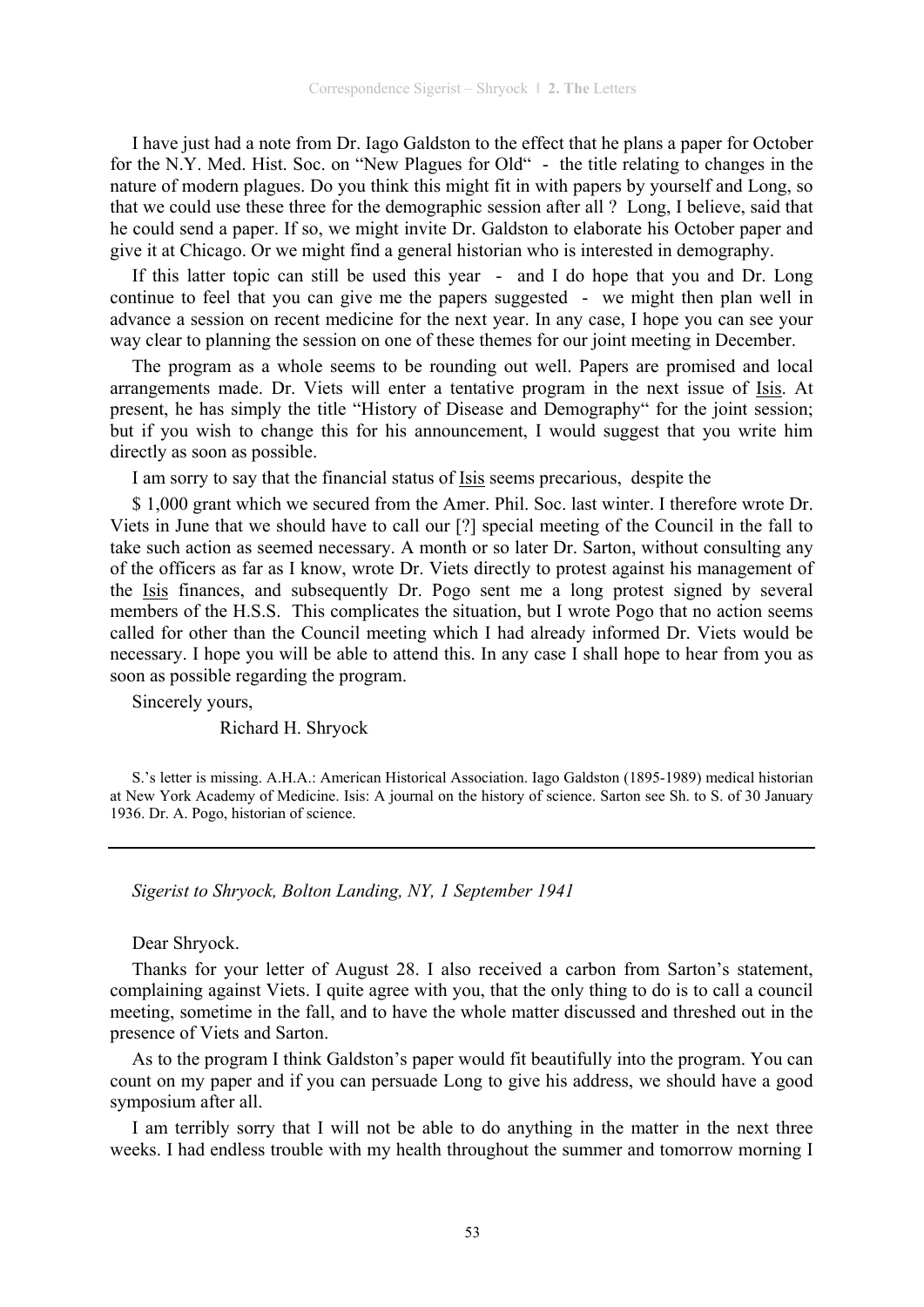I have just had a note from Dr. Iago Galdston to the effect that he plans a paper for October for the N.Y. Med. Hist. Soc. on "New Plagues for Old" - the title relating to changes in the nature of modern plagues. Do you think this might fit in with papers by yourself and Long, so that we could use these three for the demographic session after all ? Long, I believe, said that he could send a paper. If so, we might invite Dr. Galdston to elaborate his October paper and give it at Chicago. Or we might find a general historian who is interested in demography.

If this latter topic can still be used this year - and I do hope that you and Dr. Long continue to feel that you can give me the papers suggested - we might then plan well in advance a session on recent medicine for the next year. In any case, I hope you can see your way clear to planning the session on one of these themes for our joint meeting in December.

The program as a whole seems to be rounding out well. Papers are promised and local arrangements made. Dr. Viets will enter a tentative program in the next issue of Isis. At present, he has simply the title "History of Disease and Demography" for the joint session; but if you wish to change this for his announcement, I would suggest that you write him directly as soon as possible.

I am sorry to say that the financial status of Isis seems precarious, despite the

\$ 1,000 grant which we secured from the Amer. Phil. Soc. last winter. I therefore wrote Dr. Viets in June that we should have to call our [?] special meeting of the Council in the fall to take such action as seemed necessary. A month or so later Dr. Sarton, without consulting any of the officers as far as I know, wrote Dr. Viets directly to protest against his management of the Isis finances, and subsequently Dr. Pogo sent me a long protest signed by several members of the H.S.S. This complicates the situation, but I wrote Pogo that no action seems called for other than the Council meeting which I had already informed Dr. Viets would be necessary. I hope you will be able to attend this. In any case I shall hope to hear from you as soon as possible regarding the program.

Sincerely yours,

Richard H. Shryock

S.'s letter is missing. A.H.A.: American Historical Association. Iago Galdston (1895-1989) medical historian at New York Academy of Medicine. Isis: A journal on the history of science. Sarton see Sh. to S. of 30 January 1936. Dr. A. Pogo, historian of science.

*Sigerist to Shryock, Bolton Landing, NY, 1 September 1941* 

Dear Shryock.

Thanks for your letter of August 28. I also received a carbon from Sarton's statement, complaining against Viets. I quite agree with you, that the only thing to do is to call a council meeting, sometime in the fall, and to have the whole matter discussed and threshed out in the presence of Viets and Sarton.

As to the program I think Galdston's paper would fit beautifully into the program. You can count on my paper and if you can persuade Long to give his address, we should have a good symposium after all.

I am terribly sorry that I will not be able to do anything in the matter in the next three weeks. I had endless trouble with my health throughout the summer and tomorrow morning I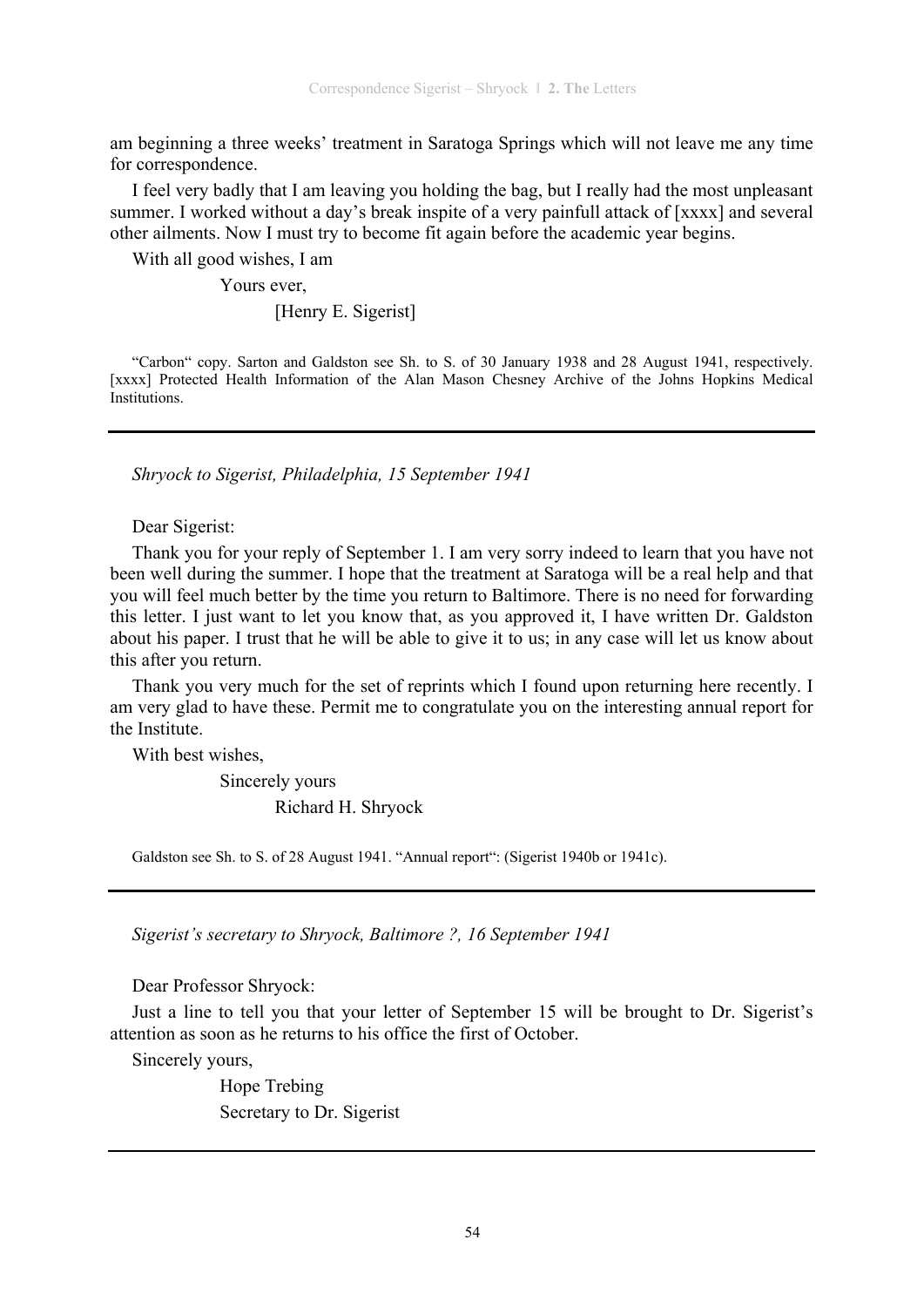am beginning a three weeks' treatment in Saratoga Springs which will not leave me any time for correspondence.

I feel very badly that I am leaving you holding the bag, but I really had the most unpleasant summer. I worked without a day's break inspite of a very painfull attack of [xxxx] and several other ailments. Now I must try to become fit again before the academic year begins.

With all good wishes, I am

Yours ever,

[Henry E. Sigerist]

"Carbon" copy. Sarton and Galdston see Sh. to S. of 30 January 1938 and 28 August 1941, respectively. [xxxx] Protected Health Information of the Alan Mason Chesney Archive of the Johns Hopkins Medical Institutions.

*Shryock to Sigerist, Philadelphia, 15 September 1941* 

Dear Sigerist:

Thank you for your reply of September 1. I am very sorry indeed to learn that you have not been well during the summer. I hope that the treatment at Saratoga will be a real help and that you will feel much better by the time you return to Baltimore. There is no need for forwarding this letter. I just want to let you know that, as you approved it, I have written Dr. Galdston about his paper. I trust that he will be able to give it to us; in any case will let us know about this after you return.

Thank you very much for the set of reprints which I found upon returning here recently. I am very glad to have these. Permit me to congratulate you on the interesting annual report for the Institute.

With best wishes,

 Sincerely yours Richard H. Shryock

Galdston see Sh. to S. of 28 August 1941. "Annual report": (Sigerist 1940b or 1941c).

*Sigerist's secretary to Shryock, Baltimore ?, 16 September 1941* 

Dear Professor Shryock:

Just a line to tell you that your letter of September 15 will be brought to Dr. Sigerist's attention as soon as he returns to his office the first of October.

Sincerely yours,

 Hope Trebing Secretary to Dr. Sigerist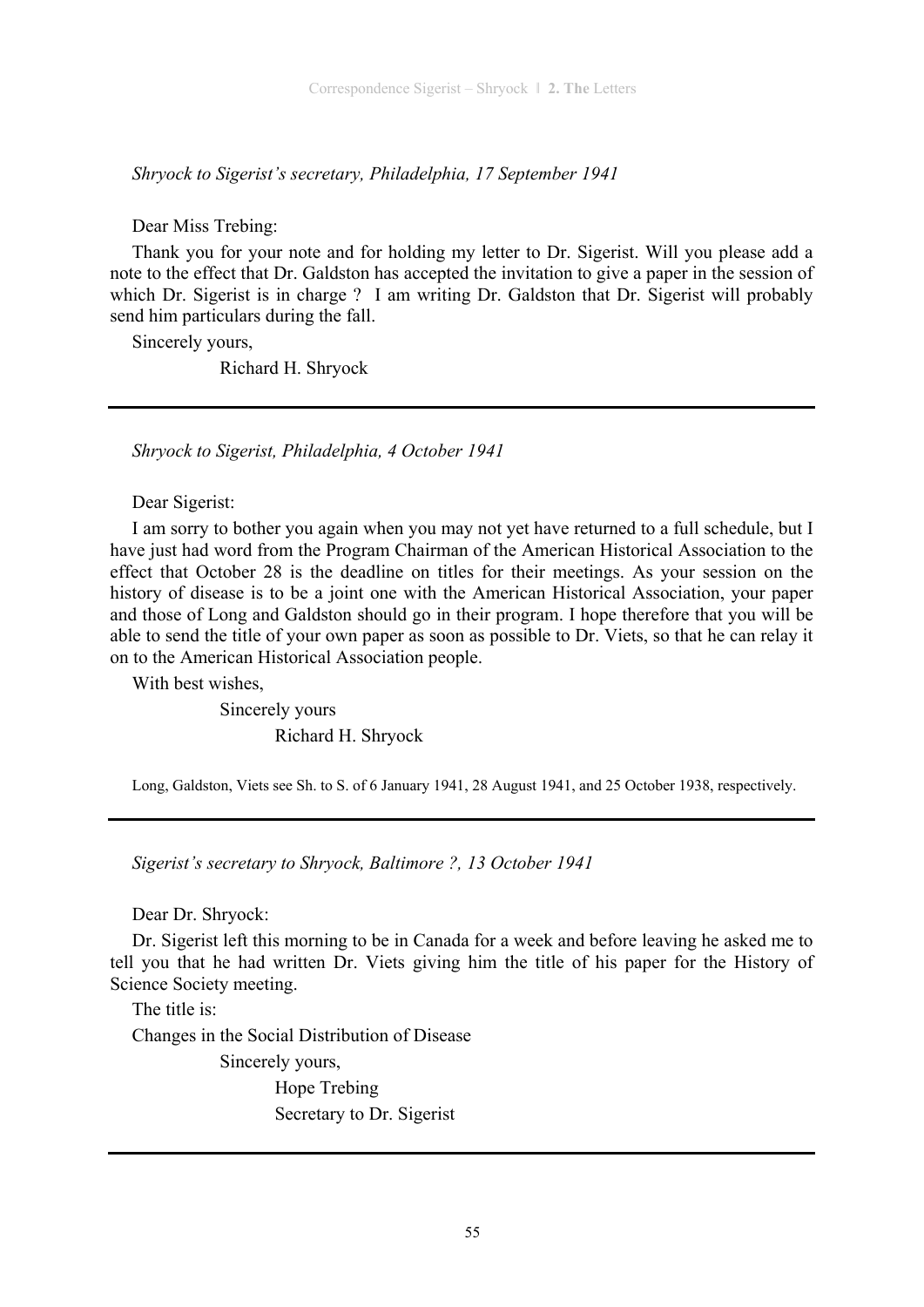*Shryock to Sigerist's secretary, Philadelphia, 17 September 1941* 

Dear Miss Trebing:

Thank you for your note and for holding my letter to Dr. Sigerist. Will you please add a note to the effect that Dr. Galdston has accepted the invitation to give a paper in the session of which Dr. Sigerist is in charge ? I am writing Dr. Galdston that Dr. Sigerist will probably send him particulars during the fall.

Sincerely yours,

Richard H. Shryock

*Shryock to Sigerist, Philadelphia, 4 October 1941* 

Dear Sigerist:

I am sorry to bother you again when you may not yet have returned to a full schedule, but I have just had word from the Program Chairman of the American Historical Association to the effect that October 28 is the deadline on titles for their meetings. As your session on the history of disease is to be a joint one with the American Historical Association, your paper and those of Long and Galdston should go in their program. I hope therefore that you will be able to send the title of your own paper as soon as possible to Dr. Viets, so that he can relay it on to the American Historical Association people.

With best wishes,

 Sincerely yours Richard H. Shryock

Long, Galdston, Viets see Sh. to S. of 6 January 1941, 28 August 1941, and 25 October 1938, respectively.

*Sigerist's secretary to Shryock, Baltimore ?, 13 October 1941* 

Dear Dr. Shryock:

Dr. Sigerist left this morning to be in Canada for a week and before leaving he asked me to tell you that he had written Dr. Viets giving him the title of his paper for the History of Science Society meeting.

The title is:

Changes in the Social Distribution of Disease

Sincerely yours,

 Hope Trebing Secretary to Dr. Sigerist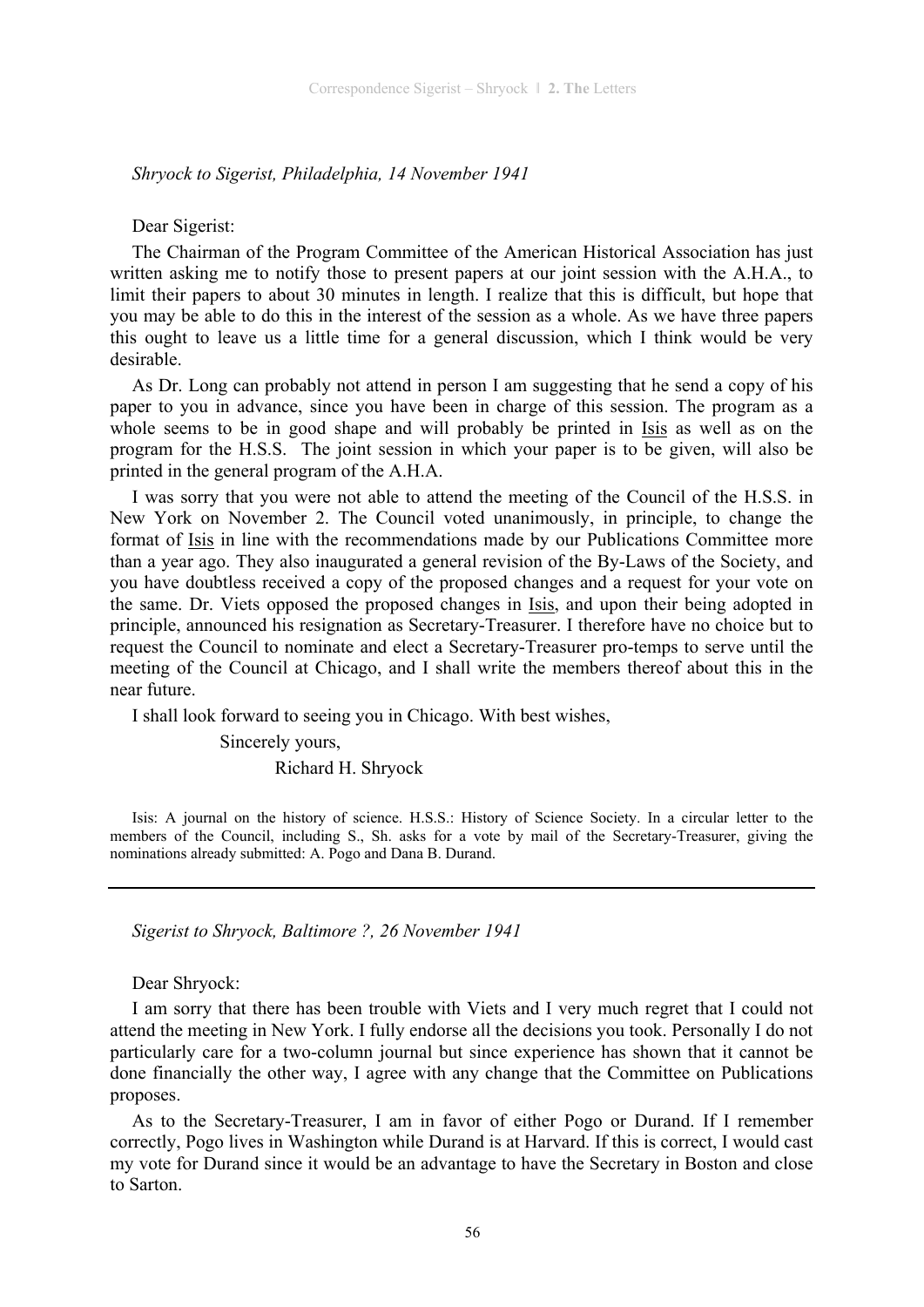*Shryock to Sigerist, Philadelphia, 14 November 1941* 

### Dear Sigerist:

The Chairman of the Program Committee of the American Historical Association has just written asking me to notify those to present papers at our joint session with the A.H.A., to limit their papers to about 30 minutes in length. I realize that this is difficult, but hope that you may be able to do this in the interest of the session as a whole. As we have three papers this ought to leave us a little time for a general discussion, which I think would be very desirable.

As Dr. Long can probably not attend in person I am suggesting that he send a copy of his paper to you in advance, since you have been in charge of this session. The program as a whole seems to be in good shape and will probably be printed in Isis as well as on the program for the H.S.S. The joint session in which your paper is to be given, will also be printed in the general program of the A.H.A.

I was sorry that you were not able to attend the meeting of the Council of the H.S.S. in New York on November 2. The Council voted unanimously, in principle, to change the format of Isis in line with the recommendations made by our Publications Committee more than a year ago. They also inaugurated a general revision of the By-Laws of the Society, and you have doubtless received a copy of the proposed changes and a request for your vote on the same. Dr. Viets opposed the proposed changes in Isis, and upon their being adopted in principle, announced his resignation as Secretary-Treasurer. I therefore have no choice but to request the Council to nominate and elect a Secretary-Treasurer pro-temps to serve until the meeting of the Council at Chicago, and I shall write the members thereof about this in the near future.

I shall look forward to seeing you in Chicago. With best wishes,

 Sincerely yours, Richard H. Shryock

Isis: A journal on the history of science. H.S.S.: History of Science Society. In a circular letter to the members of the Council, including S., Sh. asks for a vote by mail of the Secretary-Treasurer, giving the nominations already submitted: A. Pogo and Dana B. Durand.

*Sigerist to Shryock, Baltimore ?, 26 November 1941* 

Dear Shryock:

I am sorry that there has been trouble with Viets and I very much regret that I could not attend the meeting in New York. I fully endorse all the decisions you took. Personally I do not particularly care for a two-column journal but since experience has shown that it cannot be done financially the other way, I agree with any change that the Committee on Publications proposes.

As to the Secretary-Treasurer, I am in favor of either Pogo or Durand. If I remember correctly, Pogo lives in Washington while Durand is at Harvard. If this is correct, I would cast my vote for Durand since it would be an advantage to have the Secretary in Boston and close to Sarton.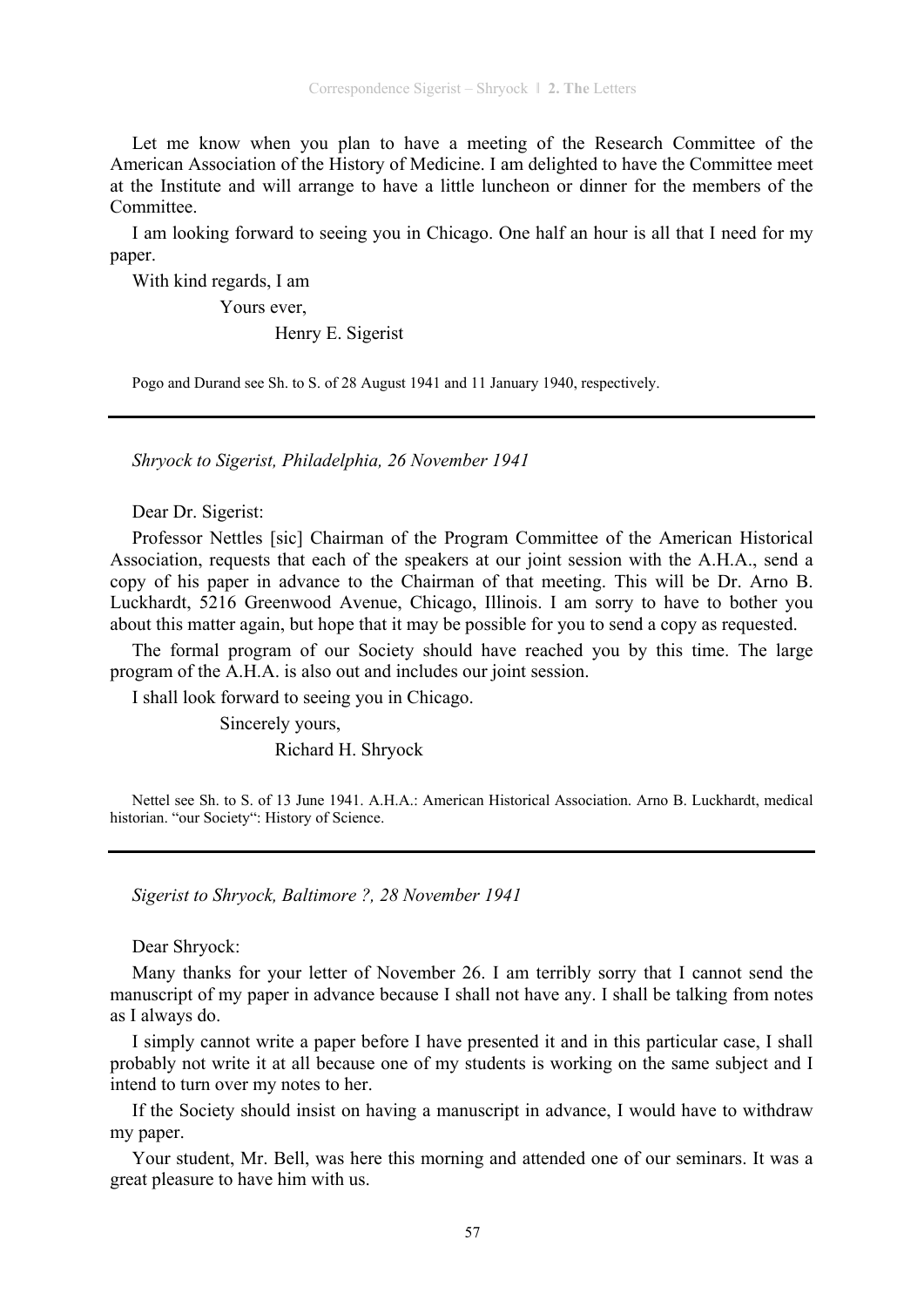Let me know when you plan to have a meeting of the Research Committee of the American Association of the History of Medicine. I am delighted to have the Committee meet at the Institute and will arrange to have a little luncheon or dinner for the members of the **Committee** 

I am looking forward to seeing you in Chicago. One half an hour is all that I need for my paper.

With kind regards, I am

Yours ever,

Henry E. Sigerist

Pogo and Durand see Sh. to S. of 28 August 1941 and 11 January 1940, respectively.

*Shryock to Sigerist, Philadelphia, 26 November 1941* 

Dear Dr. Sigerist:

Professor Nettles [sic] Chairman of the Program Committee of the American Historical Association, requests that each of the speakers at our joint session with the A.H.A., send a copy of his paper in advance to the Chairman of that meeting. This will be Dr. Arno B. Luckhardt, 5216 Greenwood Avenue, Chicago, Illinois. I am sorry to have to bother you about this matter again, but hope that it may be possible for you to send a copy as requested.

The formal program of our Society should have reached you by this time. The large program of the A.H.A. is also out and includes our joint session.

I shall look forward to seeing you in Chicago.

 Sincerely yours, Richard H. Shryock

Nettel see Sh. to S. of 13 June 1941. A.H.A.: American Historical Association. Arno B. Luckhardt, medical historian. "our Society": History of Science.

*Sigerist to Shryock, Baltimore ?, 28 November 1941* 

Dear Shryock:

Many thanks for your letter of November 26. I am terribly sorry that I cannot send the manuscript of my paper in advance because I shall not have any. I shall be talking from notes as I always do.

I simply cannot write a paper before I have presented it and in this particular case, I shall probably not write it at all because one of my students is working on the same subject and I intend to turn over my notes to her.

If the Society should insist on having a manuscript in advance, I would have to withdraw my paper.

Your student, Mr. Bell, was here this morning and attended one of our seminars. It was a great pleasure to have him with us.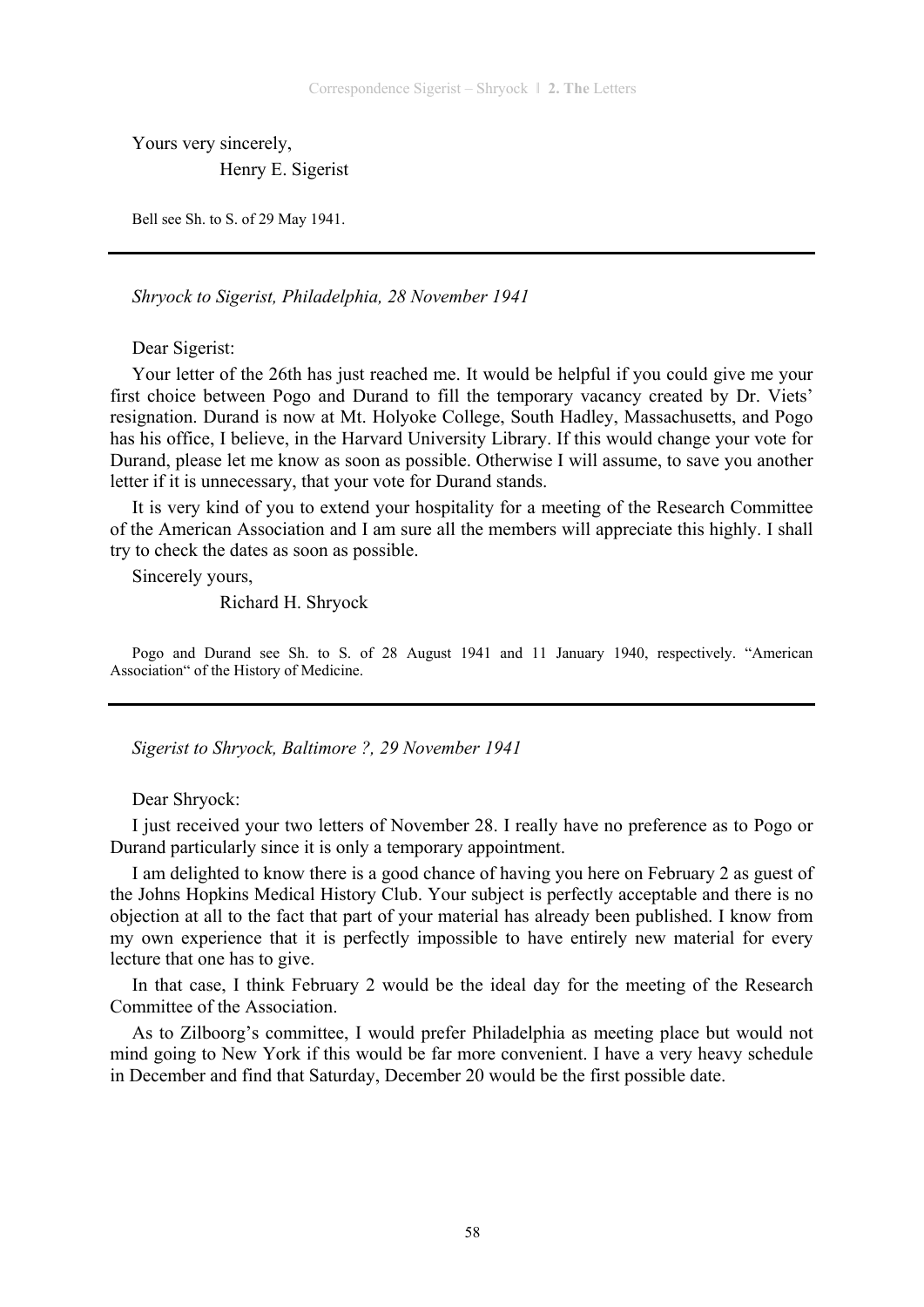Yours very sincerely,

Henry E. Sigerist

Bell see Sh. to S. of 29 May 1941.

*Shryock to Sigerist, Philadelphia, 28 November 1941* 

Dear Sigerist:

Your letter of the 26th has just reached me. It would be helpful if you could give me your first choice between Pogo and Durand to fill the temporary vacancy created by Dr. Viets' resignation. Durand is now at Mt. Holyoke College, South Hadley, Massachusetts, and Pogo has his office, I believe, in the Harvard University Library. If this would change your vote for Durand, please let me know as soon as possible. Otherwise I will assume, to save you another letter if it is unnecessary, that your vote for Durand stands.

It is very kind of you to extend your hospitality for a meeting of the Research Committee of the American Association and I am sure all the members will appreciate this highly. I shall try to check the dates as soon as possible.

Sincerely yours,

Richard H. Shryock

Pogo and Durand see Sh. to S. of 28 August 1941 and 11 January 1940, respectively. "American Association" of the History of Medicine.

*Sigerist to Shryock, Baltimore ?, 29 November 1941* 

Dear Shryock:

I just received your two letters of November 28. I really have no preference as to Pogo or Durand particularly since it is only a temporary appointment.

I am delighted to know there is a good chance of having you here on February 2 as guest of the Johns Hopkins Medical History Club. Your subject is perfectly acceptable and there is no objection at all to the fact that part of your material has already been published. I know from my own experience that it is perfectly impossible to have entirely new material for every lecture that one has to give.

In that case, I think February 2 would be the ideal day for the meeting of the Research Committee of the Association.

As to Zilboorg's committee, I would prefer Philadelphia as meeting place but would not mind going to New York if this would be far more convenient. I have a very heavy schedule in December and find that Saturday, December 20 would be the first possible date.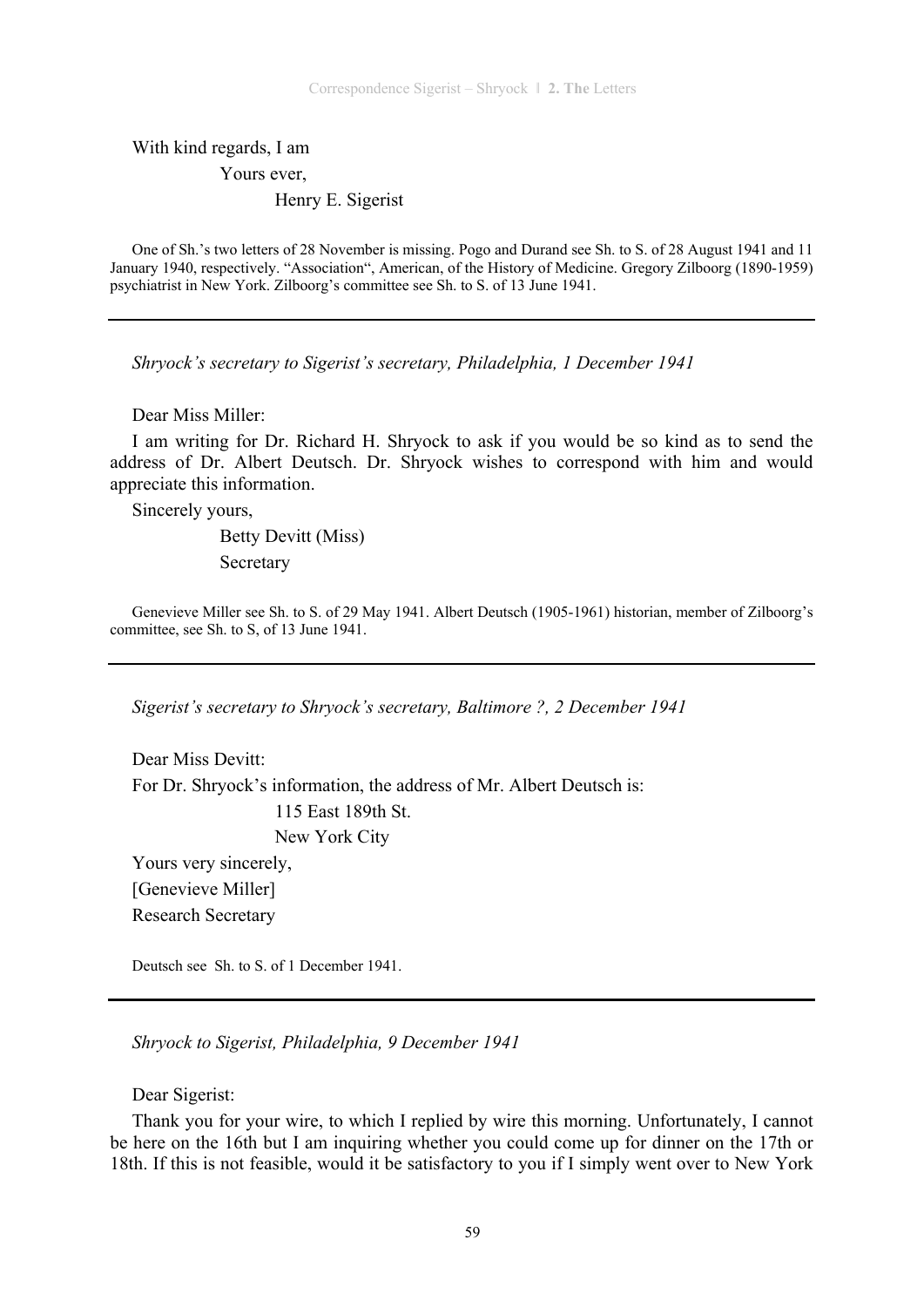With kind regards, I am Yours ever, Henry E. Sigerist

One of Sh.'s two letters of 28 November is missing. Pogo and Durand see Sh. to S. of 28 August 1941 and 11 January 1940, respectively. "Association", American, of the History of Medicine. Gregory Zilboorg (1890-1959) psychiatrist in New York. Zilboorg's committee see Sh. to S. of 13 June 1941.

*Shryock's secretary to Sigerist's secretary, Philadelphia, 1 December 1941* 

Dear Miss Miller:

I am writing for Dr. Richard H. Shryock to ask if you would be so kind as to send the address of Dr. Albert Deutsch. Dr. Shryock wishes to correspond with him and would appreciate this information.

Sincerely yours,

 Betty Devitt (Miss) Secretary

Genevieve Miller see Sh. to S. of 29 May 1941. Albert Deutsch (1905-1961) historian, member of Zilboorg's committee, see Sh. to S, of 13 June 1941.

*Sigerist's secretary to Shryock's secretary, Baltimore ?, 2 December 1941* 

Dear Miss Devitt<sup>.</sup> For Dr. Shryock's information, the address of Mr. Albert Deutsch is: 115 East 189th St. New York City Yours very sincerely, [Genevieve Miller] Research Secretary

Deutsch see Sh. to S. of 1 December 1941.

*Shryock to Sigerist, Philadelphia, 9 December 1941* 

Dear Sigerist:

Thank you for your wire, to which I replied by wire this morning. Unfortunately, I cannot be here on the 16th but I am inquiring whether you could come up for dinner on the 17th or 18th. If this is not feasible, would it be satisfactory to you if I simply went over to New York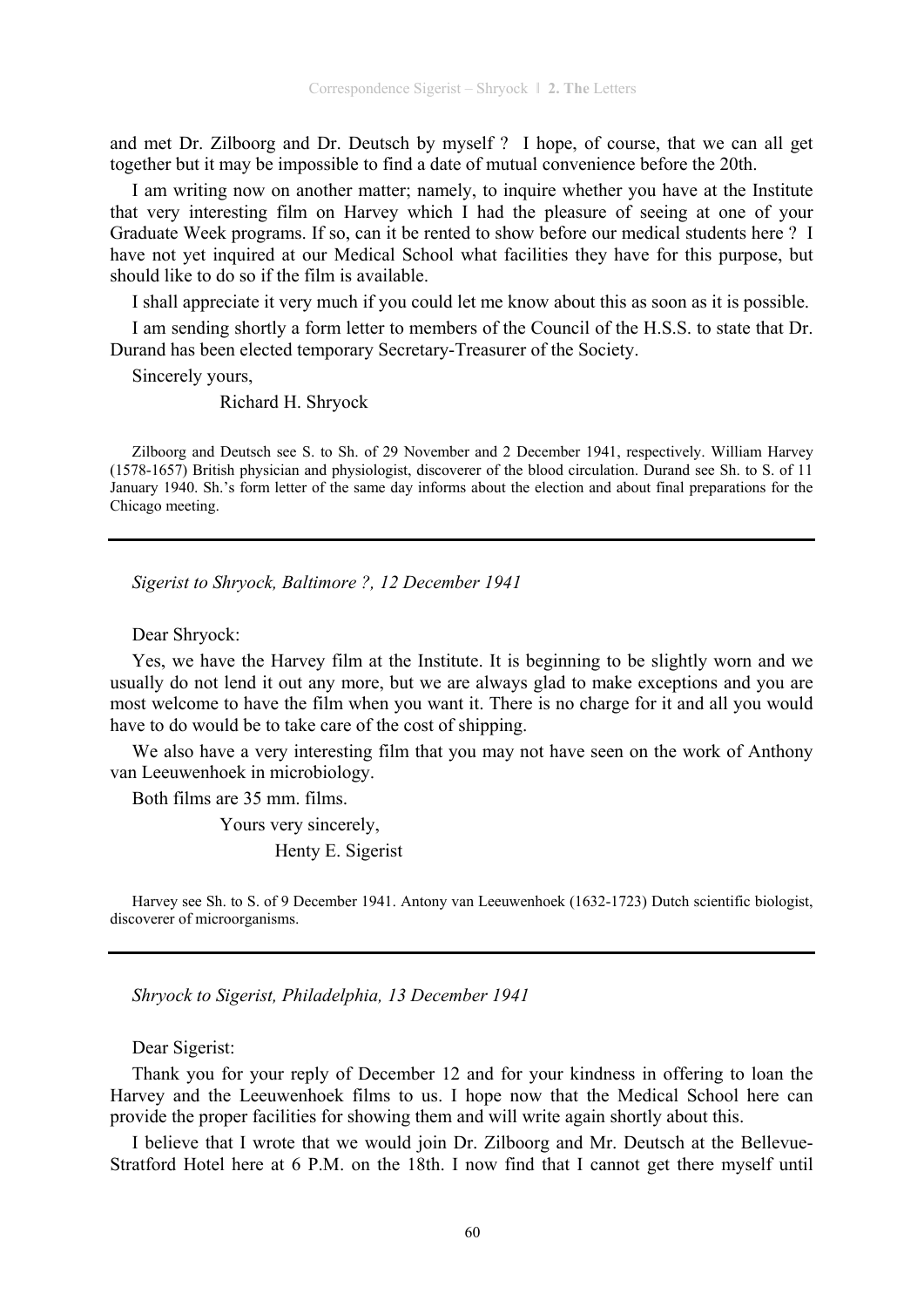and met Dr. Zilboorg and Dr. Deutsch by myself ? I hope, of course, that we can all get together but it may be impossible to find a date of mutual convenience before the 20th.

I am writing now on another matter; namely, to inquire whether you have at the Institute that very interesting film on Harvey which I had the pleasure of seeing at one of your Graduate Week programs. If so, can it be rented to show before our medical students here ? I have not yet inquired at our Medical School what facilities they have for this purpose, but should like to do so if the film is available.

I shall appreciate it very much if you could let me know about this as soon as it is possible.

I am sending shortly a form letter to members of the Council of the H.S.S. to state that Dr. Durand has been elected temporary Secretary-Treasurer of the Society.

Sincerely yours,

Richard H. Shryock

Zilboorg and Deutsch see S. to Sh. of 29 November and 2 December 1941, respectively. William Harvey (1578-1657) British physician and physiologist, discoverer of the blood circulation. Durand see Sh. to S. of 11 January 1940. Sh.'s form letter of the same day informs about the election and about final preparations for the Chicago meeting.

*Sigerist to Shryock, Baltimore ?, 12 December 1941* 

Dear Shryock:

Yes, we have the Harvey film at the Institute. It is beginning to be slightly worn and we usually do not lend it out any more, but we are always glad to make exceptions and you are most welcome to have the film when you want it. There is no charge for it and all you would have to do would be to take care of the cost of shipping.

We also have a very interesting film that you may not have seen on the work of Anthony van Leeuwenhoek in microbiology.

Both films are 35 mm. films.

Yours very sincerely,

Henty E. Sigerist

Harvey see Sh. to S. of 9 December 1941. Antony van Leeuwenhoek (1632-1723) Dutch scientific biologist, discoverer of microorganisms.

*Shryock to Sigerist, Philadelphia, 13 December 1941* 

Dear Sigerist:

Thank you for your reply of December 12 and for your kindness in offering to loan the Harvey and the Leeuwenhoek films to us. I hope now that the Medical School here can provide the proper facilities for showing them and will write again shortly about this.

I believe that I wrote that we would join Dr. Zilboorg and Mr. Deutsch at the Bellevue-Stratford Hotel here at 6 P.M. on the 18th. I now find that I cannot get there myself until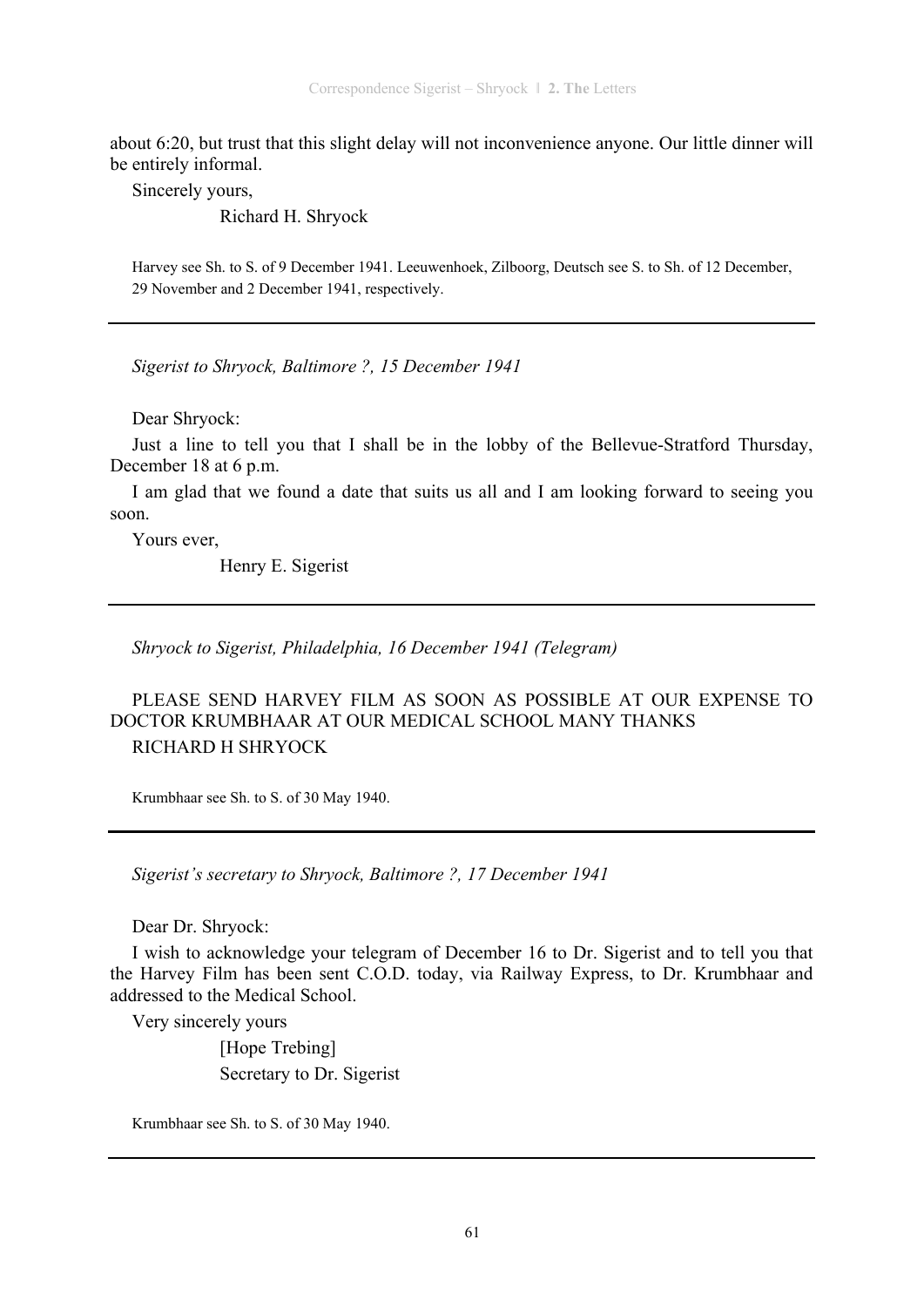about 6:20, but trust that this slight delay will not inconvenience anyone. Our little dinner will be entirely informal.

Sincerely yours,

Richard H. Shryock

Harvey see Sh. to S. of 9 December 1941. Leeuwenhoek, Zilboorg, Deutsch see S. to Sh. of 12 December, 29 November and 2 December 1941, respectively.

*Sigerist to Shryock, Baltimore ?, 15 December 1941* 

Dear Shryock:

Just a line to tell you that I shall be in the lobby of the Bellevue-Stratford Thursday, December 18 at 6 p.m.

I am glad that we found a date that suits us all and I am looking forward to seeing you soon.

Yours ever,

Henry E. Sigerist

*Shryock to Sigerist, Philadelphia, 16 December 1941 (Telegram)* 

PLEASE SEND HARVEY FILM AS SOON AS POSSIBLE AT OUR EXPENSE TO DOCTOR KRUMBHAAR AT OUR MEDICAL SCHOOL MANY THANKS RICHARD H SHRYOCK

Krumbhaar see Sh. to S. of 30 May 1940.

*Sigerist's secretary to Shryock, Baltimore ?, 17 December 1941* 

Dear Dr. Shryock:

I wish to acknowledge your telegram of December 16 to Dr. Sigerist and to tell you that the Harvey Film has been sent C.O.D. today, via Railway Express, to Dr. Krumbhaar and addressed to the Medical School.

Very sincerely yours

 [Hope Trebing] Secretary to Dr. Sigerist

Krumbhaar see Sh. to S. of 30 May 1940.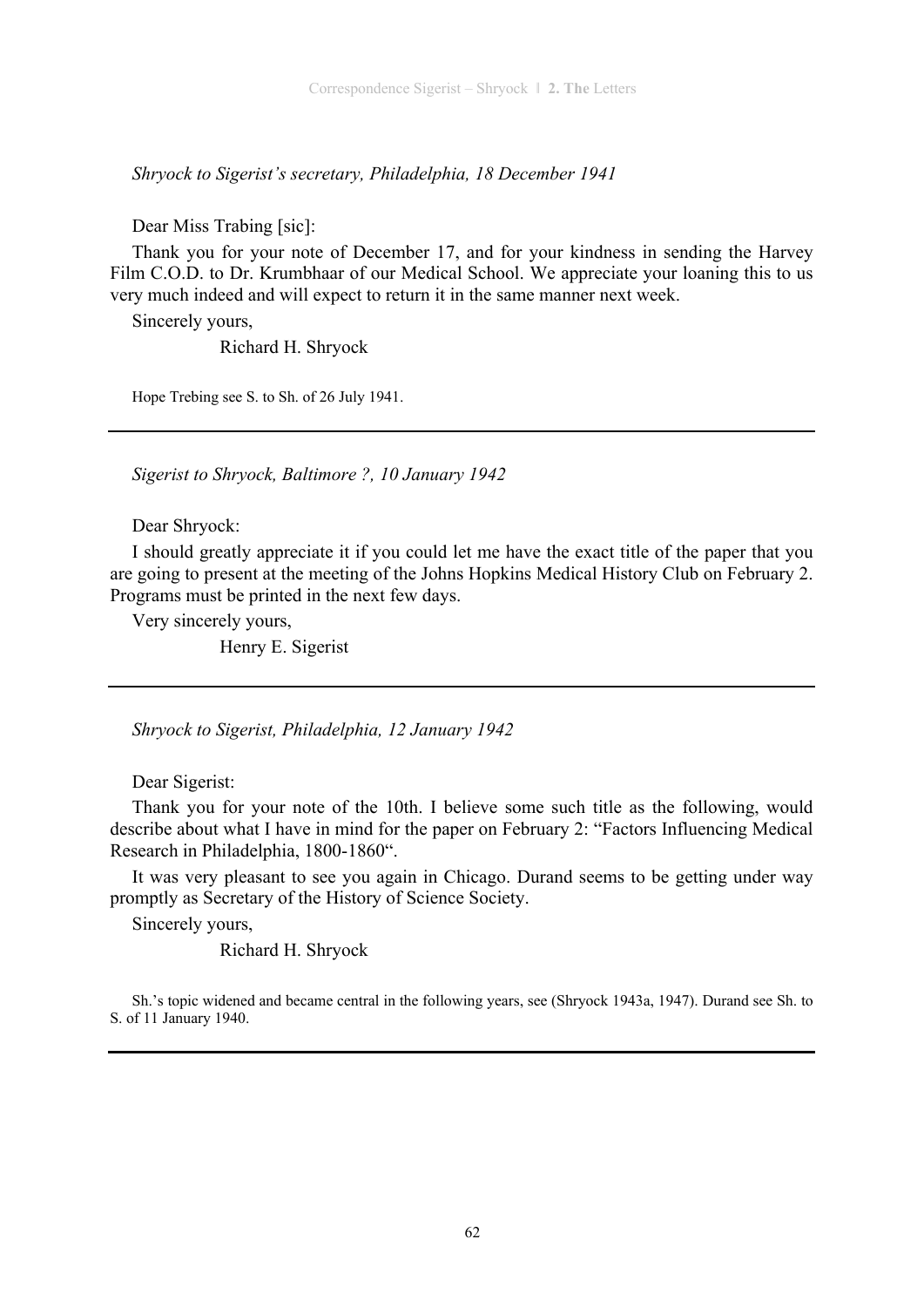*Shryock to Sigerist's secretary, Philadelphia, 18 December 1941* 

Dear Miss Trabing [sic]:

Thank you for your note of December 17, and for your kindness in sending the Harvey Film C.O.D. to Dr. Krumbhaar of our Medical School. We appreciate your loaning this to us very much indeed and will expect to return it in the same manner next week.

Sincerely yours,

Richard H. Shryock

Hope Trebing see S. to Sh. of 26 July 1941.

*Sigerist to Shryock, Baltimore ?, 10 January 1942* 

Dear Shryock:

I should greatly appreciate it if you could let me have the exact title of the paper that you are going to present at the meeting of the Johns Hopkins Medical History Club on February 2. Programs must be printed in the next few days.

Very sincerely yours, Henry E. Sigerist

*Shryock to Sigerist, Philadelphia, 12 January 1942* 

Dear Sigerist:

Thank you for your note of the 10th. I believe some such title as the following, would describe about what I have in mind for the paper on February 2: "Factors Influencing Medical Research in Philadelphia, 1800-1860".

It was very pleasant to see you again in Chicago. Durand seems to be getting under way promptly as Secretary of the History of Science Society.

Sincerely yours,

Richard H. Shryock

Sh.'s topic widened and became central in the following years, see (Shryock 1943a, 1947). Durand see Sh. to S. of 11 January 1940.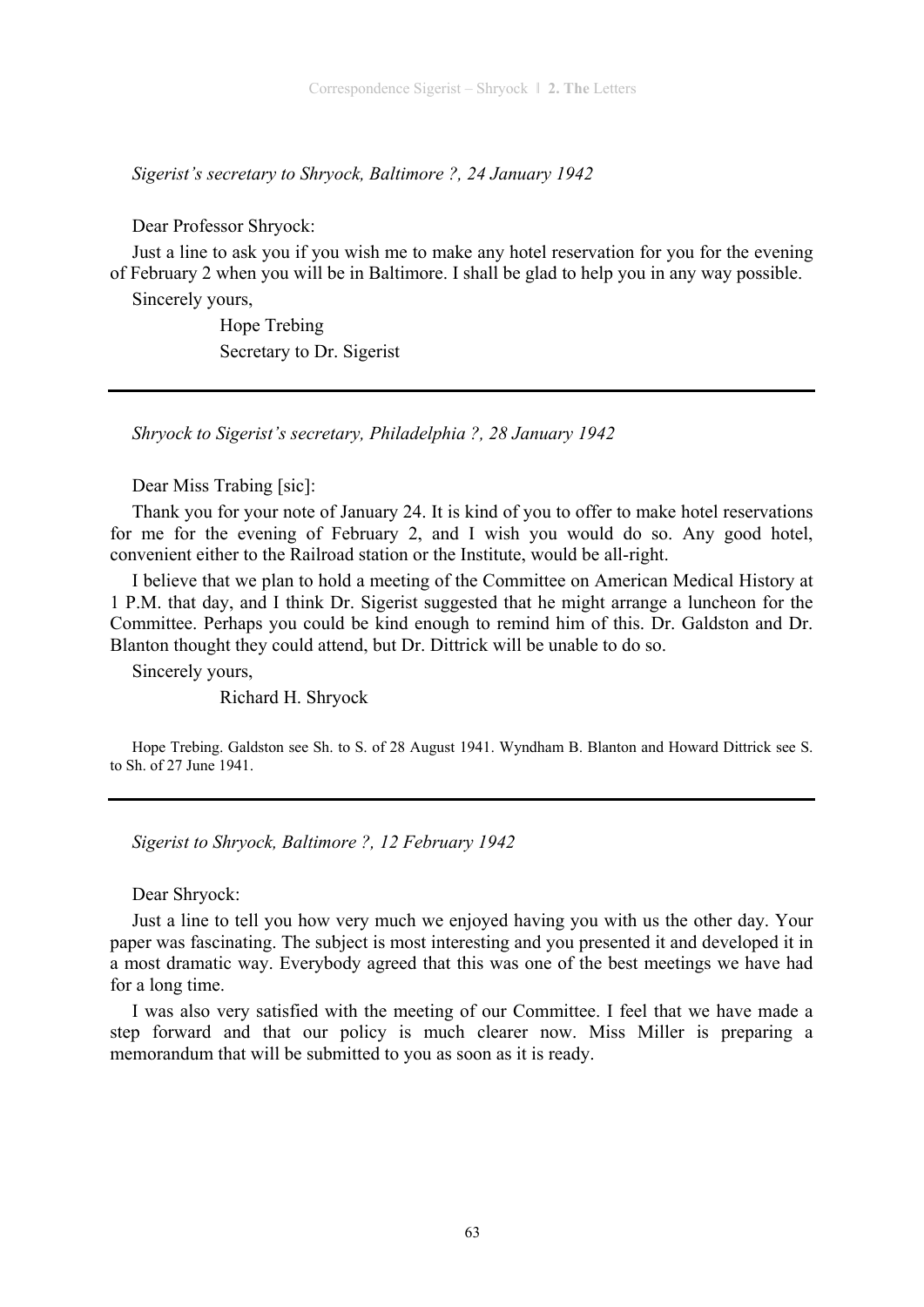*Sigerist's secretary to Shryock, Baltimore ?, 24 January 1942* 

Dear Professor Shryock:

Just a line to ask you if you wish me to make any hotel reservation for you for the evening of February 2 when you will be in Baltimore. I shall be glad to help you in any way possible.

Sincerely yours,

 Hope Trebing Secretary to Dr. Sigerist

*Shryock to Sigerist's secretary, Philadelphia ?, 28 January 1942* 

Dear Miss Trabing [sic]:

Thank you for your note of January 24. It is kind of you to offer to make hotel reservations for me for the evening of February 2, and I wish you would do so. Any good hotel, convenient either to the Railroad station or the Institute, would be all-right.

I believe that we plan to hold a meeting of the Committee on American Medical History at 1 P.M. that day, and I think Dr. Sigerist suggested that he might arrange a luncheon for the Committee. Perhaps you could be kind enough to remind him of this. Dr. Galdston and Dr. Blanton thought they could attend, but Dr. Dittrick will be unable to do so.

Sincerely yours,

Richard H. Shryock

Hope Trebing. Galdston see Sh. to S. of 28 August 1941. Wyndham B. Blanton and Howard Dittrick see S. to Sh. of 27 June 1941.

*Sigerist to Shryock, Baltimore ?, 12 February 1942* 

Dear Shryock:

Just a line to tell you how very much we enjoyed having you with us the other day. Your paper was fascinating. The subject is most interesting and you presented it and developed it in a most dramatic way. Everybody agreed that this was one of the best meetings we have had for a long time.

I was also very satisfied with the meeting of our Committee. I feel that we have made a step forward and that our policy is much clearer now. Miss Miller is preparing a memorandum that will be submitted to you as soon as it is ready.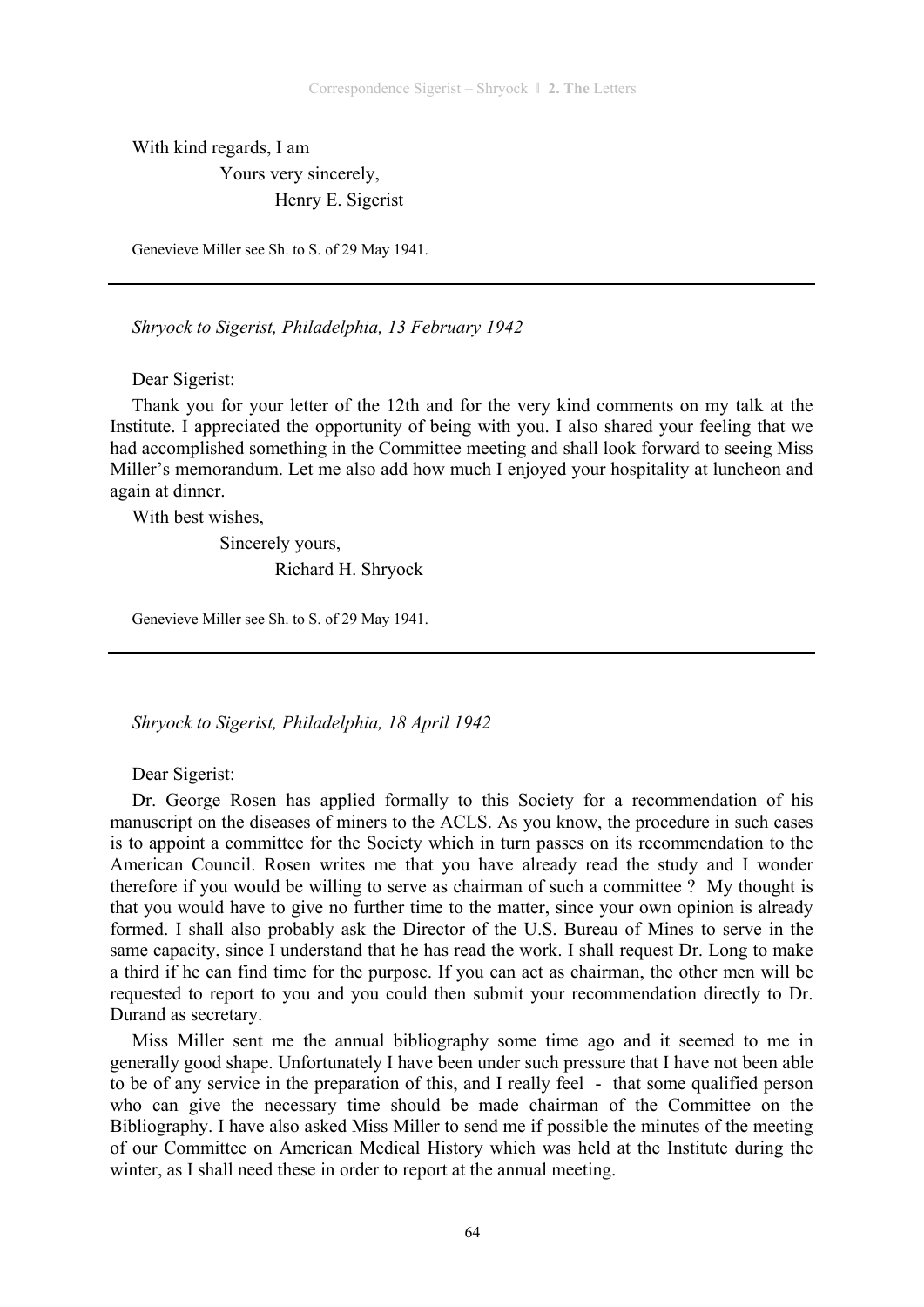With kind regards, I am

 Yours very sincerely, Henry E. Sigerist

Genevieve Miller see Sh. to S. of 29 May 1941.

*Shryock to Sigerist, Philadelphia, 13 February 1942* 

Dear Sigerist:

Thank you for your letter of the 12th and for the very kind comments on my talk at the Institute. I appreciated the opportunity of being with you. I also shared your feeling that we had accomplished something in the Committee meeting and shall look forward to seeing Miss Miller's memorandum. Let me also add how much I enjoyed your hospitality at luncheon and again at dinner.

With best wishes,

 Sincerely yours, Richard H. Shryock

Genevieve Miller see Sh. to S. of 29 May 1941.

*Shryock to Sigerist, Philadelphia, 18 April 1942* 

Dear Sigerist:

Dr. George Rosen has applied formally to this Society for a recommendation of his manuscript on the diseases of miners to the ACLS. As you know, the procedure in such cases is to appoint a committee for the Society which in turn passes on its recommendation to the American Council. Rosen writes me that you have already read the study and I wonder therefore if you would be willing to serve as chairman of such a committee ? My thought is that you would have to give no further time to the matter, since your own opinion is already formed. I shall also probably ask the Director of the U.S. Bureau of Mines to serve in the same capacity, since I understand that he has read the work. I shall request Dr. Long to make a third if he can find time for the purpose. If you can act as chairman, the other men will be requested to report to you and you could then submit your recommendation directly to Dr. Durand as secretary.

Miss Miller sent me the annual bibliography some time ago and it seemed to me in generally good shape. Unfortunately I have been under such pressure that I have not been able to be of any service in the preparation of this, and I really feel - that some qualified person who can give the necessary time should be made chairman of the Committee on the Bibliography. I have also asked Miss Miller to send me if possible the minutes of the meeting of our Committee on American Medical History which was held at the Institute during the winter, as I shall need these in order to report at the annual meeting.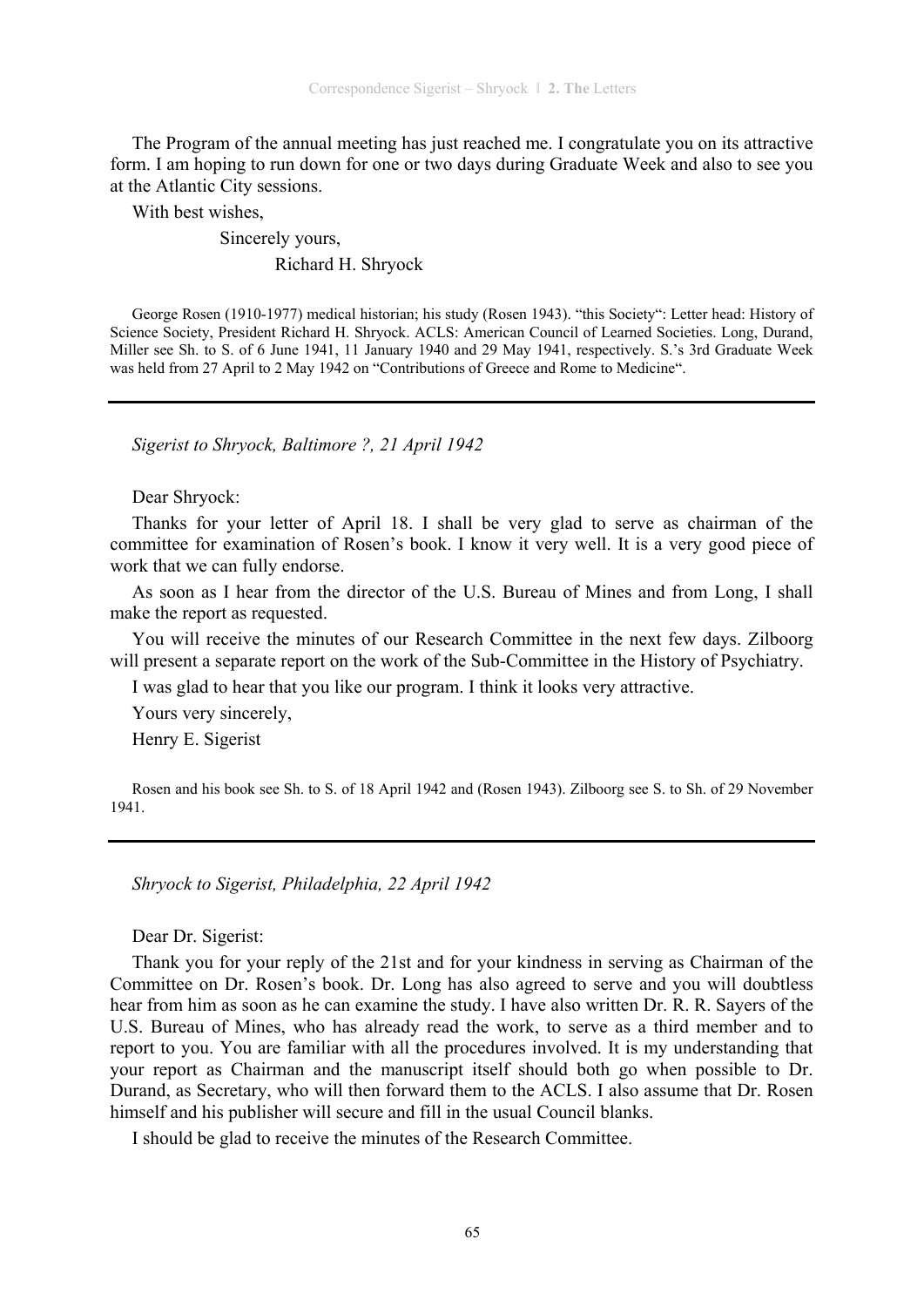The Program of the annual meeting has just reached me. I congratulate you on its attractive form. I am hoping to run down for one or two days during Graduate Week and also to see you at the Atlantic City sessions.

With best wishes,

## Sincerely yours, Richard H. Shryock

George Rosen (1910-1977) medical historian; his study (Rosen 1943). "this Society": Letter head: History of Science Society, President Richard H. Shryock. ACLS: American Council of Learned Societies. Long, Durand, Miller see Sh. to S. of 6 June 1941, 11 January 1940 and 29 May 1941, respectively. S.'s 3rd Graduate Week was held from 27 April to 2 May 1942 on "Contributions of Greece and Rome to Medicine".

*Sigerist to Shryock, Baltimore ?, 21 April 1942* 

Dear Shryock:

Thanks for your letter of April 18. I shall be very glad to serve as chairman of the committee for examination of Rosen's book. I know it very well. It is a very good piece of work that we can fully endorse.

As soon as I hear from the director of the U.S. Bureau of Mines and from Long, I shall make the report as requested.

You will receive the minutes of our Research Committee in the next few days. Zilboorg will present a separate report on the work of the Sub-Committee in the History of Psychiatry.

I was glad to hear that you like our program. I think it looks very attractive.

Yours very sincerely,

Henry E. Sigerist

Rosen and his book see Sh. to S. of 18 April 1942 and (Rosen 1943). Zilboorg see S. to Sh. of 29 November 1941.

*Shryock to Sigerist, Philadelphia, 22 April 1942* 

Dear Dr. Sigerist:

Thank you for your reply of the 21st and for your kindness in serving as Chairman of the Committee on Dr. Rosen's book. Dr. Long has also agreed to serve and you will doubtless hear from him as soon as he can examine the study. I have also written Dr. R. R. Sayers of the U.S. Bureau of Mines, who has already read the work, to serve as a third member and to report to you. You are familiar with all the procedures involved. It is my understanding that your report as Chairman and the manuscript itself should both go when possible to Dr. Durand, as Secretary, who will then forward them to the ACLS. I also assume that Dr. Rosen himself and his publisher will secure and fill in the usual Council blanks.

I should be glad to receive the minutes of the Research Committee.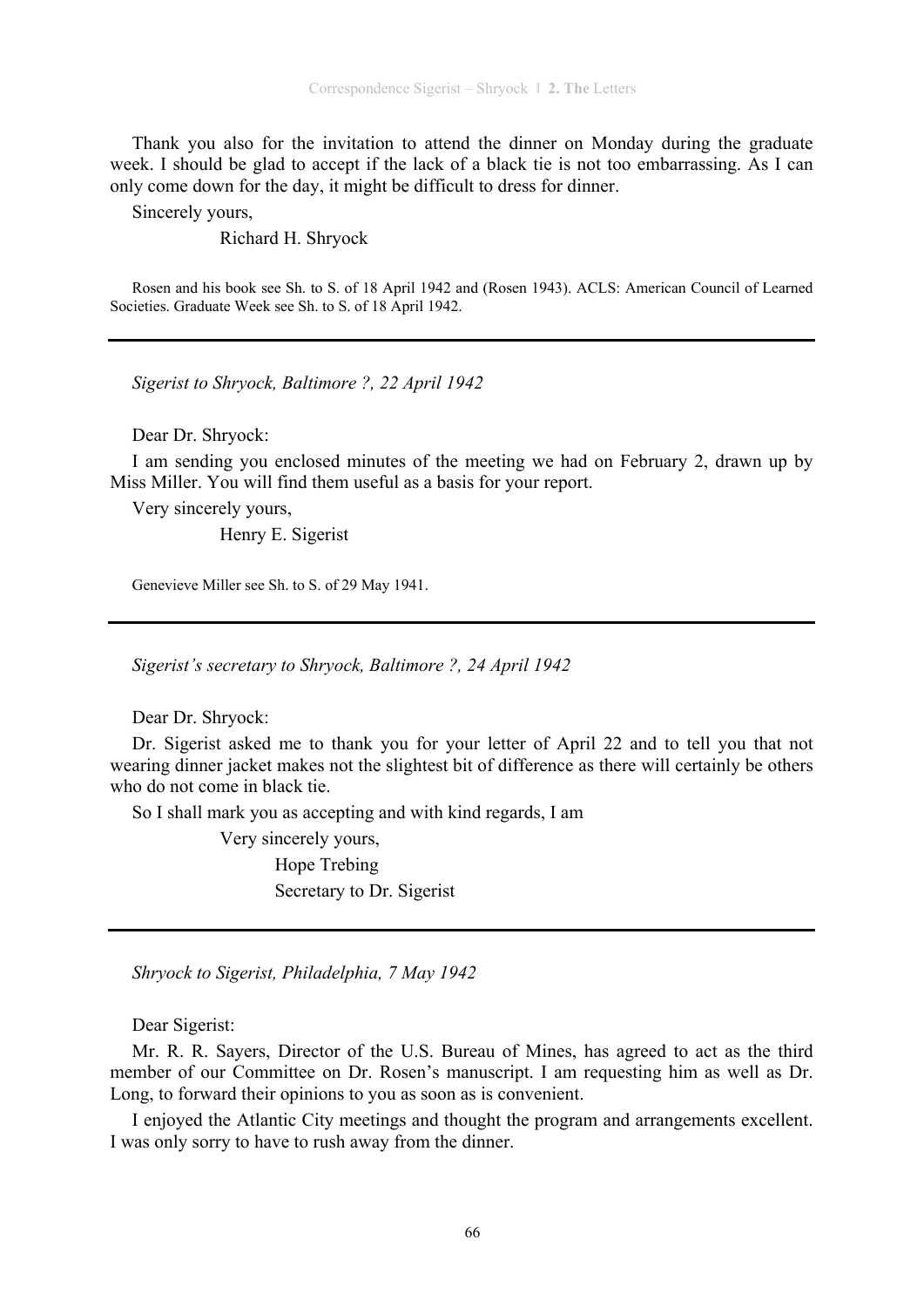Thank you also for the invitation to attend the dinner on Monday during the graduate week. I should be glad to accept if the lack of a black tie is not too embarrassing. As I can only come down for the day, it might be difficult to dress for dinner.

Sincerely yours,

Richard H. Shryock

Rosen and his book see Sh. to S. of 18 April 1942 and (Rosen 1943). ACLS: American Council of Learned Societies. Graduate Week see Sh. to S. of 18 April 1942.

*Sigerist to Shryock, Baltimore ?, 22 April 1942* 

Dear Dr. Shryock:

I am sending you enclosed minutes of the meeting we had on February 2, drawn up by Miss Miller. You will find them useful as a basis for your report.

Very sincerely yours,

Henry E. Sigerist

Genevieve Miller see Sh. to S. of 29 May 1941.

*Sigerist's secretary to Shryock, Baltimore ?, 24 April 1942* 

Dear Dr. Shryock:

Dr. Sigerist asked me to thank you for your letter of April 22 and to tell you that not wearing dinner jacket makes not the slightest bit of difference as there will certainly be others who do not come in black tie.

So I shall mark you as accepting and with kind regards, I am

 Very sincerely yours, Hope Trebing Secretary to Dr. Sigerist

*Shryock to Sigerist, Philadelphia, 7 May 1942* 

Dear Sigerist:

Mr. R. R. Sayers, Director of the U.S. Bureau of Mines, has agreed to act as the third member of our Committee on Dr. Rosen's manuscript. I am requesting him as well as Dr. Long, to forward their opinions to you as soon as is convenient.

I enjoyed the Atlantic City meetings and thought the program and arrangements excellent. I was only sorry to have to rush away from the dinner.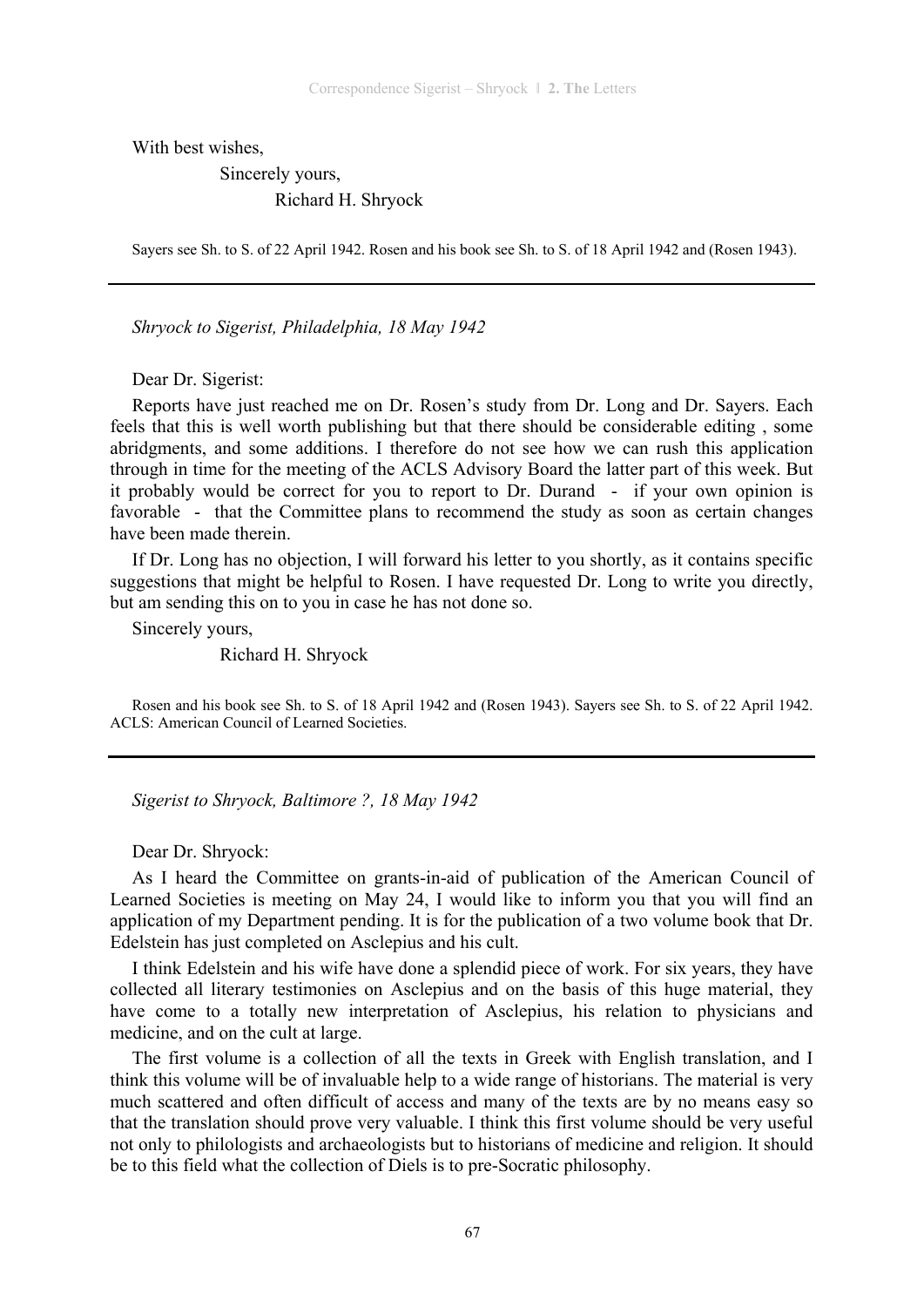With best wishes,

 Sincerely yours, Richard H. Shryock

Sayers see Sh. to S. of 22 April 1942. Rosen and his book see Sh. to S. of 18 April 1942 and (Rosen 1943).

*Shryock to Sigerist, Philadelphia, 18 May 1942* 

Dear Dr. Sigerist:

Reports have just reached me on Dr. Rosen's study from Dr. Long and Dr. Sayers. Each feels that this is well worth publishing but that there should be considerable editing , some abridgments, and some additions. I therefore do not see how we can rush this application through in time for the meeting of the ACLS Advisory Board the latter part of this week. But it probably would be correct for you to report to Dr. Durand - if your own opinion is favorable - that the Committee plans to recommend the study as soon as certain changes have been made therein.

If Dr. Long has no objection, I will forward his letter to you shortly, as it contains specific suggestions that might be helpful to Rosen. I have requested Dr. Long to write you directly, but am sending this on to you in case he has not done so.

Sincerely yours,

Richard H. Shryock

Rosen and his book see Sh. to S. of 18 April 1942 and (Rosen 1943). Sayers see Sh. to S. of 22 April 1942. ACLS: American Council of Learned Societies.

*Sigerist to Shryock, Baltimore ?, 18 May 1942* 

Dear Dr. Shryock:

As I heard the Committee on grants-in-aid of publication of the American Council of Learned Societies is meeting on May 24, I would like to inform you that you will find an application of my Department pending. It is for the publication of a two volume book that Dr. Edelstein has just completed on Asclepius and his cult.

I think Edelstein and his wife have done a splendid piece of work. For six years, they have collected all literary testimonies on Asclepius and on the basis of this huge material, they have come to a totally new interpretation of Asclepius, his relation to physicians and medicine, and on the cult at large.

The first volume is a collection of all the texts in Greek with English translation, and I think this volume will be of invaluable help to a wide range of historians. The material is very much scattered and often difficult of access and many of the texts are by no means easy so that the translation should prove very valuable. I think this first volume should be very useful not only to philologists and archaeologists but to historians of medicine and religion. It should be to this field what the collection of Diels is to pre-Socratic philosophy.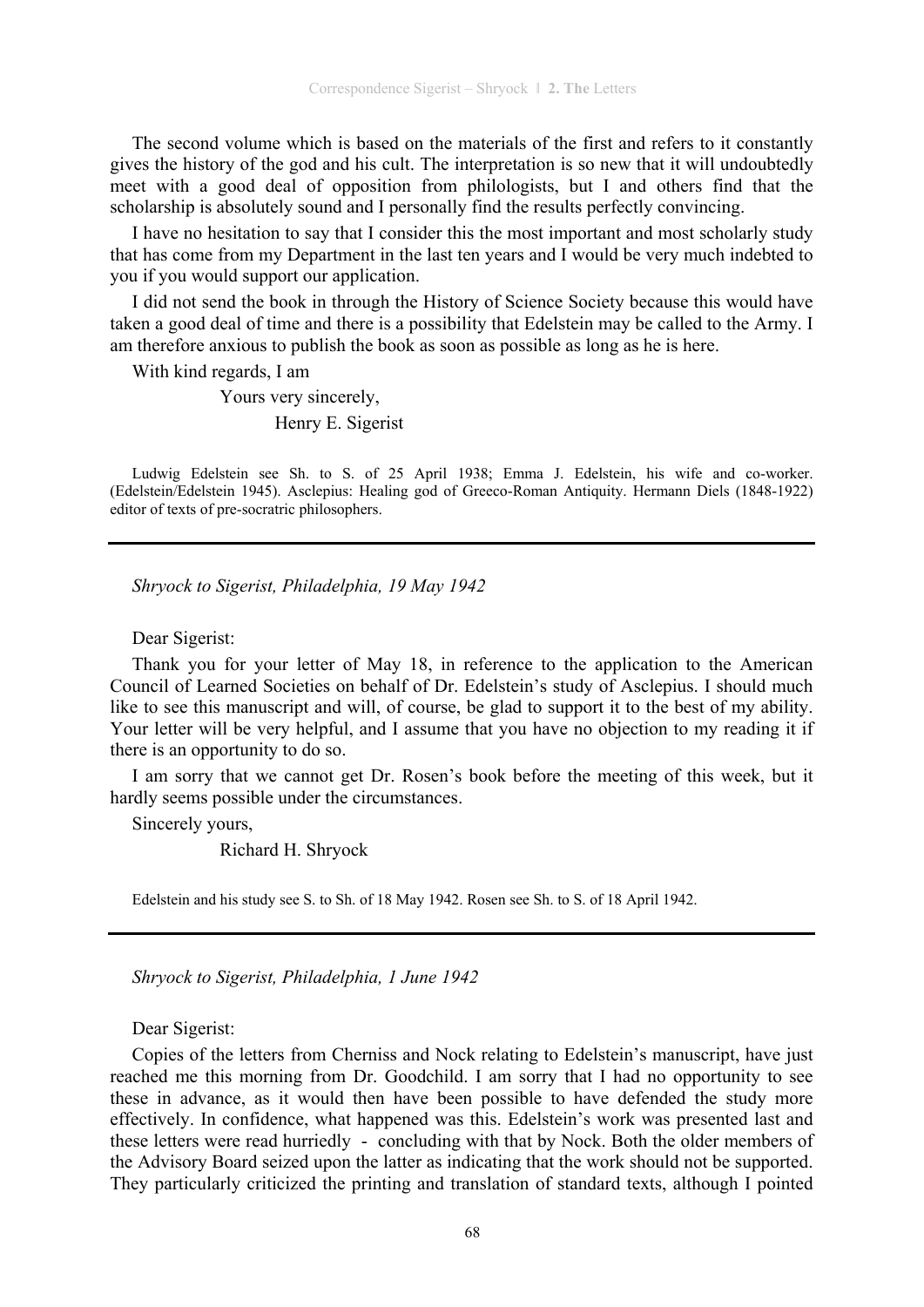The second volume which is based on the materials of the first and refers to it constantly gives the history of the god and his cult. The interpretation is so new that it will undoubtedly meet with a good deal of opposition from philologists, but I and others find that the scholarship is absolutely sound and I personally find the results perfectly convincing.

I have no hesitation to say that I consider this the most important and most scholarly study that has come from my Department in the last ten years and I would be very much indebted to you if you would support our application.

I did not send the book in through the History of Science Society because this would have taken a good deal of time and there is a possibility that Edelstein may be called to the Army. I am therefore anxious to publish the book as soon as possible as long as he is here.

With kind regards, I am

 Yours very sincerely, Henry E. Sigerist

Ludwig Edelstein see Sh. to S. of 25 April 1938; Emma J. Edelstein, his wife and co-worker. (Edelstein/Edelstein 1945). Asclepius: Healing god of Greeco-Roman Antiquity. Hermann Diels (1848-1922) editor of texts of pre-socratric philosophers.

*Shryock to Sigerist, Philadelphia, 19 May 1942* 

Dear Sigerist:

Thank you for your letter of May 18, in reference to the application to the American Council of Learned Societies on behalf of Dr. Edelstein's study of Asclepius. I should much like to see this manuscript and will, of course, be glad to support it to the best of my ability. Your letter will be very helpful, and I assume that you have no objection to my reading it if there is an opportunity to do so.

I am sorry that we cannot get Dr. Rosen's book before the meeting of this week, but it hardly seems possible under the circumstances.

Sincerely yours,

Richard H. Shryock

Edelstein and his study see S. to Sh. of 18 May 1942. Rosen see Sh. to S. of 18 April 1942.

*Shryock to Sigerist, Philadelphia, 1 June 1942* 

Dear Sigerist:

Copies of the letters from Cherniss and Nock relating to Edelstein's manuscript, have just reached me this morning from Dr. Goodchild. I am sorry that I had no opportunity to see these in advance, as it would then have been possible to have defended the study more effectively. In confidence, what happened was this. Edelstein's work was presented last and these letters were read hurriedly - concluding with that by Nock. Both the older members of the Advisory Board seized upon the latter as indicating that the work should not be supported. They particularly criticized the printing and translation of standard texts, although I pointed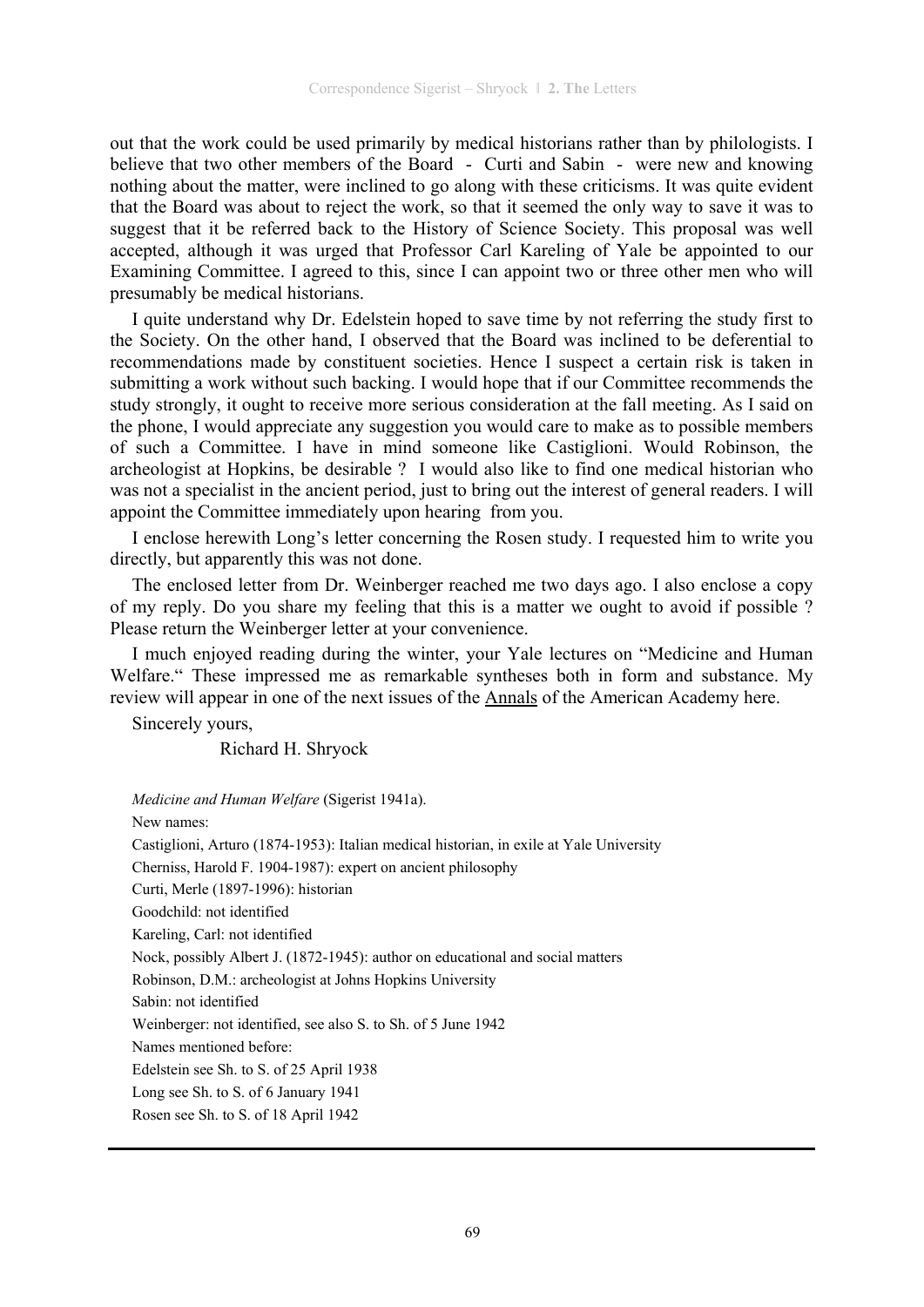out that the work could be used primarily by medical historians rather than by philologists. I believe that two other members of the Board - Curti and Sabin - were new and knowing nothing about the matter, were inclined to go along with these criticisms. It was quite evident that the Board was about to reject the work, so that it seemed the only way to save it was to suggest that it be referred back to the History of Science Society. This proposal was well accepted, although it was urged that Professor Carl Kareling of Yale be appointed to our Examining Committee. I agreed to this, since I can appoint two or three other men who will presumably be medical historians.

I quite understand why Dr. Edelstein hoped to save time by not referring the study first to the Society. On the other hand, I observed that the Board was inclined to be deferential to recommendations made by constituent societies. Hence I suspect a certain risk is taken in submitting a work without such backing. I would hope that if our Committee recommends the study strongly, it ought to receive more serious consideration at the fall meeting. As I said on the phone, I would appreciate any suggestion you would care to make as to possible members of such a Committee. I have in mind someone like Castiglioni. Would Robinson, the archeologist at Hopkins, be desirable ? I would also like to find one medical historian who was not a specialist in the ancient period, just to bring out the interest of general readers. I will appoint the Committee immediately upon hearing from you.

I enclose herewith Long's letter concerning the Rosen study. I requested him to write you directly, but apparently this was not done.

The enclosed letter from Dr. Weinberger reached me two days ago. I also enclose a copy of my reply. Do you share my feeling that this is a matter we ought to avoid if possible ? Please return the Weinberger letter at your convenience.

I much enjoyed reading during the winter, your Yale lectures on "Medicine and Human Welfare." These impressed me as remarkable syntheses both in form and substance. My review will appear in one of the next issues of the Annals of the American Academy here.

Sincerely yours,

Richard H. Shryock

*Medicine and Human Welfare* (Sigerist 1941a).

New names:

Castiglioni, Arturo (1874-1953): Italian medical historian, in exile at Yale University

Cherniss, Harold F. 1904-1987): expert on ancient philosophy

Curti, Merle (1897-1996): historian

Goodchild: not identified

Kareling, Carl: not identified

Nock, possibly Albert J. (1872-1945): author on educational and social matters

Robinson, D.M.: archeologist at Johns Hopkins University

Sabin: not identified

Weinberger: not identified, see also S. to Sh. of 5 June 1942

Names mentioned before:

Edelstein see Sh. to S. of 25 April 1938

Long see Sh. to S. of 6 January 1941

Rosen see Sh. to S. of 18 April 1942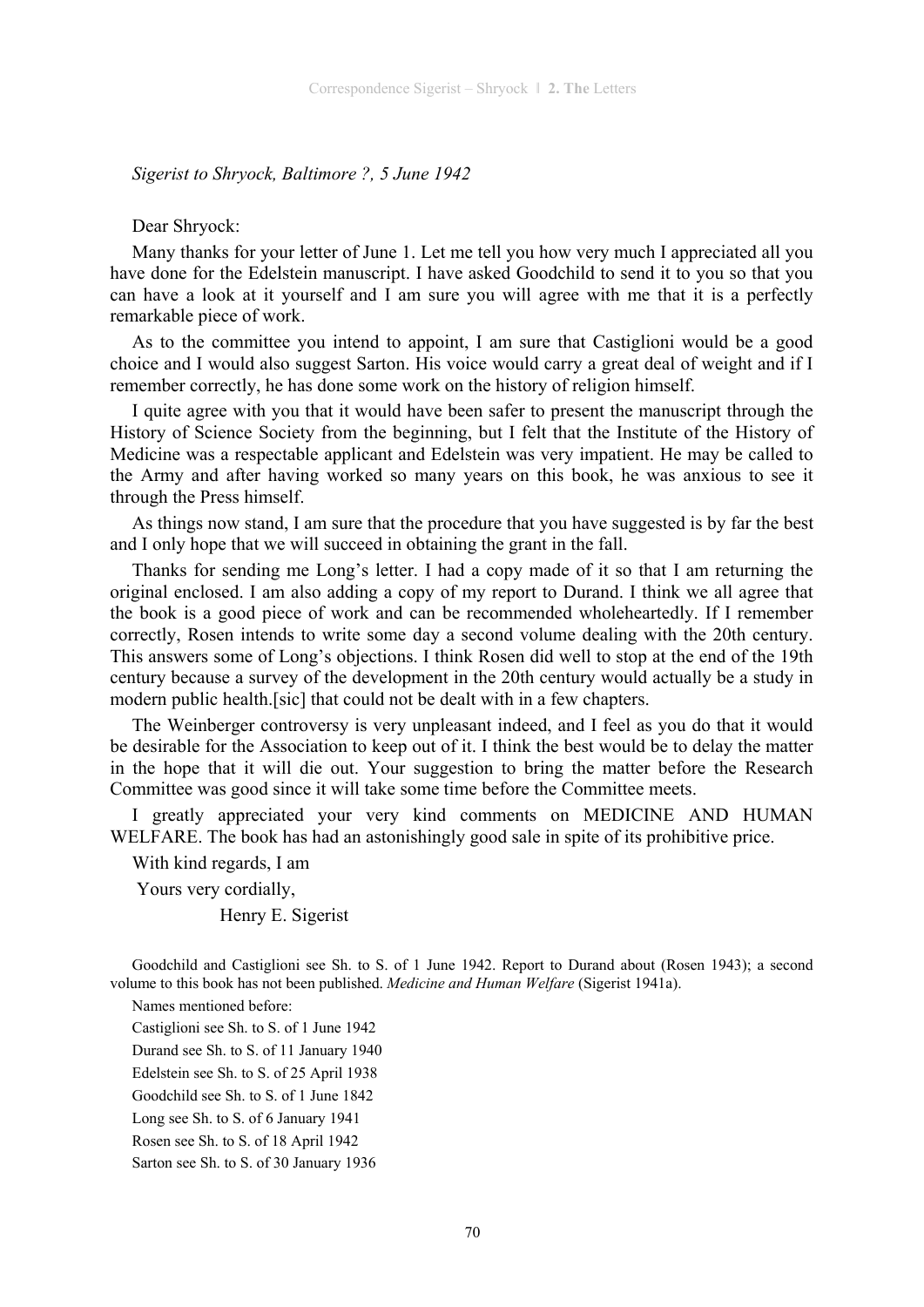### *Sigerist to Shryock, Baltimore ?, 5 June 1942*

### Dear Shryock:

Many thanks for your letter of June 1. Let me tell you how very much I appreciated all you have done for the Edelstein manuscript. I have asked Goodchild to send it to you so that you can have a look at it yourself and I am sure you will agree with me that it is a perfectly remarkable piece of work.

As to the committee you intend to appoint, I am sure that Castiglioni would be a good choice and I would also suggest Sarton. His voice would carry a great deal of weight and if I remember correctly, he has done some work on the history of religion himself.

I quite agree with you that it would have been safer to present the manuscript through the History of Science Society from the beginning, but I felt that the Institute of the History of Medicine was a respectable applicant and Edelstein was very impatient. He may be called to the Army and after having worked so many years on this book, he was anxious to see it through the Press himself.

As things now stand, I am sure that the procedure that you have suggested is by far the best and I only hope that we will succeed in obtaining the grant in the fall.

Thanks for sending me Long's letter. I had a copy made of it so that I am returning the original enclosed. I am also adding a copy of my report to Durand. I think we all agree that the book is a good piece of work and can be recommended wholeheartedly. If I remember correctly, Rosen intends to write some day a second volume dealing with the 20th century. This answers some of Long's objections. I think Rosen did well to stop at the end of the 19th century because a survey of the development in the 20th century would actually be a study in modern public health.[sic] that could not be dealt with in a few chapters.

The Weinberger controversy is very unpleasant indeed, and I feel as you do that it would be desirable for the Association to keep out of it. I think the best would be to delay the matter in the hope that it will die out. Your suggestion to bring the matter before the Research Committee was good since it will take some time before the Committee meets.

I greatly appreciated your very kind comments on MEDICINE AND HUMAN WELFARE. The book has had an astonishingly good sale in spite of its prohibitive price.

With kind regards, I am

Yours very cordially,

Henry E. Sigerist

Goodchild and Castiglioni see Sh. to S. of 1 June 1942. Report to Durand about (Rosen 1943); a second volume to this book has not been published. *Medicine and Human Welfare* (Sigerist 1941a).

Names mentioned before:

Castiglioni see Sh. to S. of 1 June 1942

Durand see Sh. to S. of 11 January 1940

Edelstein see Sh. to S. of 25 April 1938

Goodchild see Sh. to S. of 1 June 1842

Long see Sh. to S. of 6 January 1941

Rosen see Sh. to S. of 18 April 1942

Sarton see Sh. to S. of 30 January 1936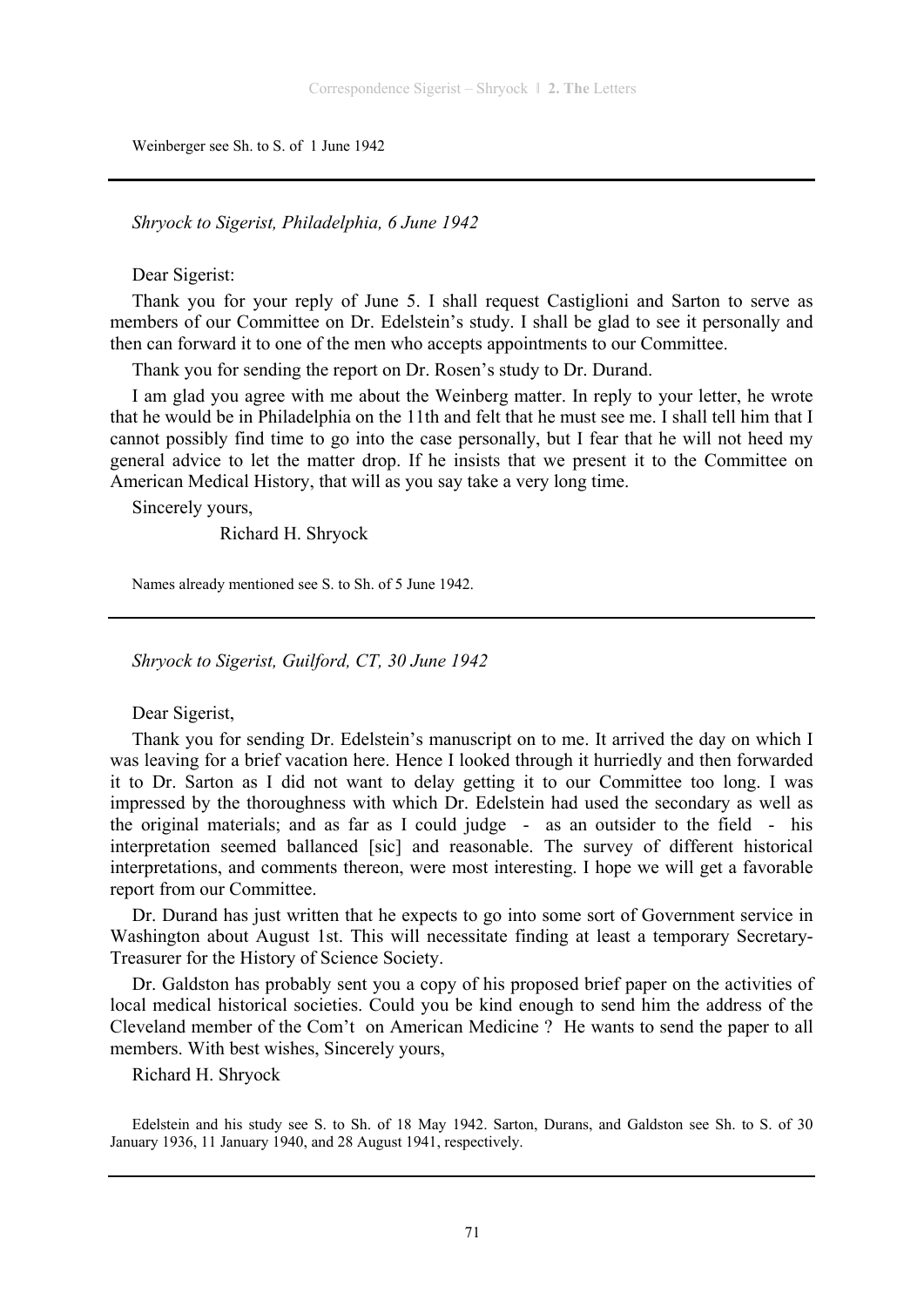Weinberger see Sh. to S. of 1 June 1942

*Shryock to Sigerist, Philadelphia, 6 June 1942* 

Dear Sigerist:

Thank you for your reply of June 5. I shall request Castiglioni and Sarton to serve as members of our Committee on Dr. Edelstein's study. I shall be glad to see it personally and then can forward it to one of the men who accepts appointments to our Committee.

Thank you for sending the report on Dr. Rosen's study to Dr. Durand.

I am glad you agree with me about the Weinberg matter. In reply to your letter, he wrote that he would be in Philadelphia on the 11th and felt that he must see me. I shall tell him that I cannot possibly find time to go into the case personally, but I fear that he will not heed my general advice to let the matter drop. If he insists that we present it to the Committee on American Medical History, that will as you say take a very long time.

Sincerely yours,

Richard H. Shryock

Names already mentioned see S. to Sh. of 5 June 1942.

*Shryock to Sigerist, Guilford, CT, 30 June 1942* 

Dear Sigerist,

Thank you for sending Dr. Edelstein's manuscript on to me. It arrived the day on which I was leaving for a brief vacation here. Hence I looked through it hurriedly and then forwarded it to Dr. Sarton as I did not want to delay getting it to our Committee too long. I was impressed by the thoroughness with which Dr. Edelstein had used the secondary as well as the original materials; and as far as I could judge - as an outsider to the field - his interpretation seemed ballanced [sic] and reasonable. The survey of different historical interpretations, and comments thereon, were most interesting. I hope we will get a favorable report from our Committee.

Dr. Durand has just written that he expects to go into some sort of Government service in Washington about August 1st. This will necessitate finding at least a temporary Secretary-Treasurer for the History of Science Society.

Dr. Galdston has probably sent you a copy of his proposed brief paper on the activities of local medical historical societies. Could you be kind enough to send him the address of the Cleveland member of the Com't on American Medicine ? He wants to send the paper to all members. With best wishes, Sincerely yours,

Richard H. Shryock

Edelstein and his study see S. to Sh. of 18 May 1942. Sarton, Durans, and Galdston see Sh. to S. of 30 January 1936, 11 January 1940, and 28 August 1941, respectively.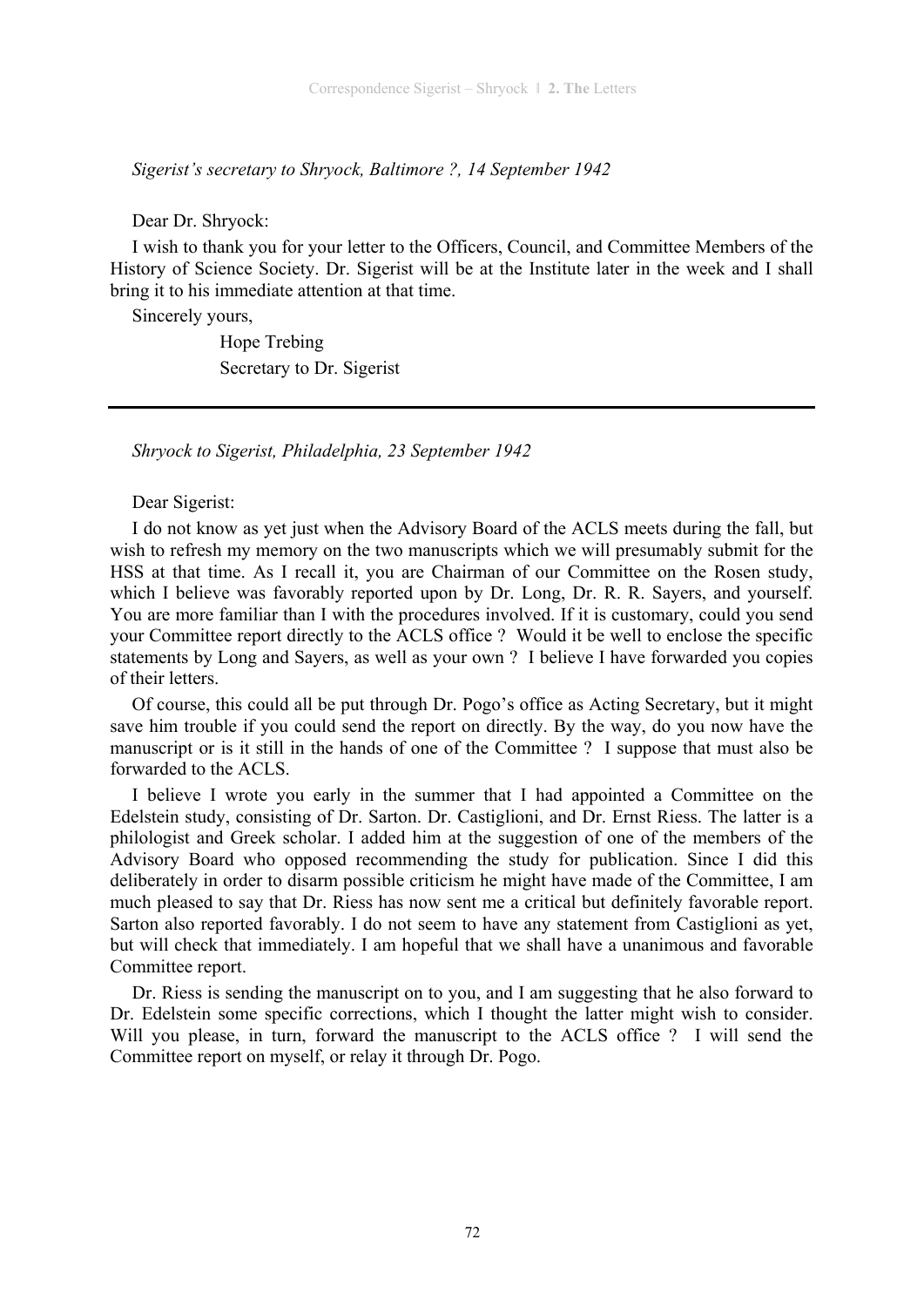*Sigerist's secretary to Shryock, Baltimore ?, 14 September 1942* 

Dear Dr. Shryock:

I wish to thank you for your letter to the Officers, Council, and Committee Members of the History of Science Society. Dr. Sigerist will be at the Institute later in the week and I shall bring it to his immediate attention at that time.

Sincerely yours,

 Hope Trebing Secretary to Dr. Sigerist

*Shryock to Sigerist, Philadelphia, 23 September 1942* 

Dear Sigerist:

I do not know as yet just when the Advisory Board of the ACLS meets during the fall, but wish to refresh my memory on the two manuscripts which we will presumably submit for the HSS at that time. As I recall it, you are Chairman of our Committee on the Rosen study, which I believe was favorably reported upon by Dr. Long, Dr. R. R. Sayers, and yourself. You are more familiar than I with the procedures involved. If it is customary, could you send your Committee report directly to the ACLS office ? Would it be well to enclose the specific statements by Long and Sayers, as well as your own ? I believe I have forwarded you copies of their letters.

Of course, this could all be put through Dr. Pogo's office as Acting Secretary, but it might save him trouble if you could send the report on directly. By the way, do you now have the manuscript or is it still in the hands of one of the Committee ? I suppose that must also be forwarded to the ACLS.

I believe I wrote you early in the summer that I had appointed a Committee on the Edelstein study, consisting of Dr. Sarton. Dr. Castiglioni, and Dr. Ernst Riess. The latter is a philologist and Greek scholar. I added him at the suggestion of one of the members of the Advisory Board who opposed recommending the study for publication. Since I did this deliberately in order to disarm possible criticism he might have made of the Committee, I am much pleased to say that Dr. Riess has now sent me a critical but definitely favorable report. Sarton also reported favorably. I do not seem to have any statement from Castiglioni as yet, but will check that immediately. I am hopeful that we shall have a unanimous and favorable Committee report.

Dr. Riess is sending the manuscript on to you, and I am suggesting that he also forward to Dr. Edelstein some specific corrections, which I thought the latter might wish to consider. Will you please, in turn, forward the manuscript to the ACLS office ? I will send the Committee report on myself, or relay it through Dr. Pogo.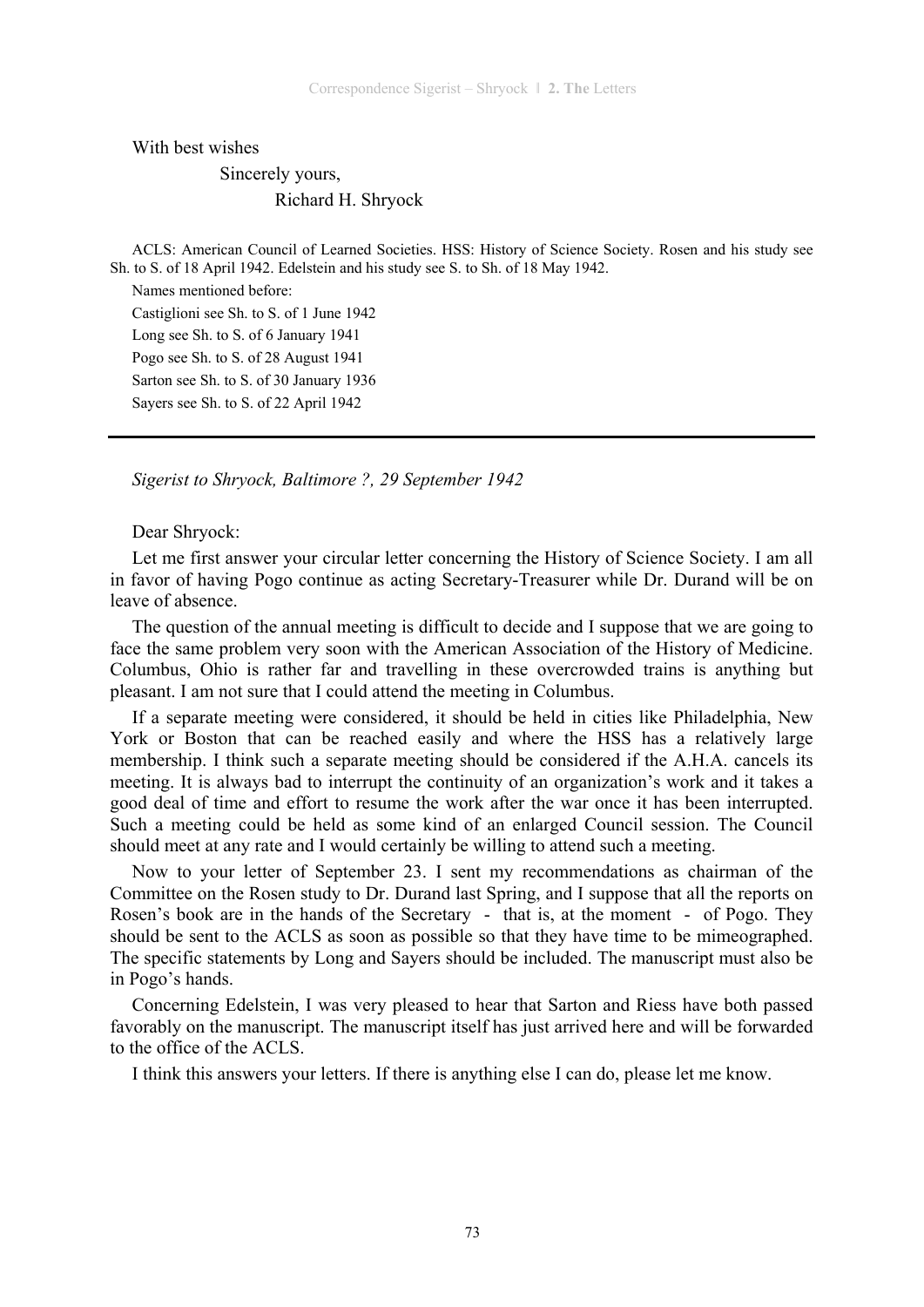With best wishes

 Sincerely yours, Richard H. Shryock

ACLS: American Council of Learned Societies. HSS: History of Science Society. Rosen and his study see Sh. to S. of 18 April 1942. Edelstein and his study see S. to Sh. of 18 May 1942.

Names mentioned before: Castiglioni see Sh. to S. of 1 June 1942 Long see Sh. to S. of 6 January 1941 Pogo see Sh. to S. of 28 August 1941 Sarton see Sh. to S. of 30 January 1936 Sayers see Sh. to S. of 22 April 1942

*Sigerist to Shryock, Baltimore ?, 29 September 1942* 

Dear Shryock:

Let me first answer your circular letter concerning the History of Science Society. I am all in favor of having Pogo continue as acting Secretary-Treasurer while Dr. Durand will be on leave of absence.

The question of the annual meeting is difficult to decide and I suppose that we are going to face the same problem very soon with the American Association of the History of Medicine. Columbus, Ohio is rather far and travelling in these overcrowded trains is anything but pleasant. I am not sure that I could attend the meeting in Columbus.

If a separate meeting were considered, it should be held in cities like Philadelphia, New York or Boston that can be reached easily and where the HSS has a relatively large membership. I think such a separate meeting should be considered if the A.H.A. cancels its meeting. It is always bad to interrupt the continuity of an organization's work and it takes a good deal of time and effort to resume the work after the war once it has been interrupted. Such a meeting could be held as some kind of an enlarged Council session. The Council should meet at any rate and I would certainly be willing to attend such a meeting.

Now to your letter of September 23. I sent my recommendations as chairman of the Committee on the Rosen study to Dr. Durand last Spring, and I suppose that all the reports on Rosen's book are in the hands of the Secretary - that is, at the moment - of Pogo. They should be sent to the ACLS as soon as possible so that they have time to be mimeographed. The specific statements by Long and Sayers should be included. The manuscript must also be in Pogo's hands.

Concerning Edelstein, I was very pleased to hear that Sarton and Riess have both passed favorably on the manuscript. The manuscript itself has just arrived here and will be forwarded to the office of the ACLS.

I think this answers your letters. If there is anything else I can do, please let me know.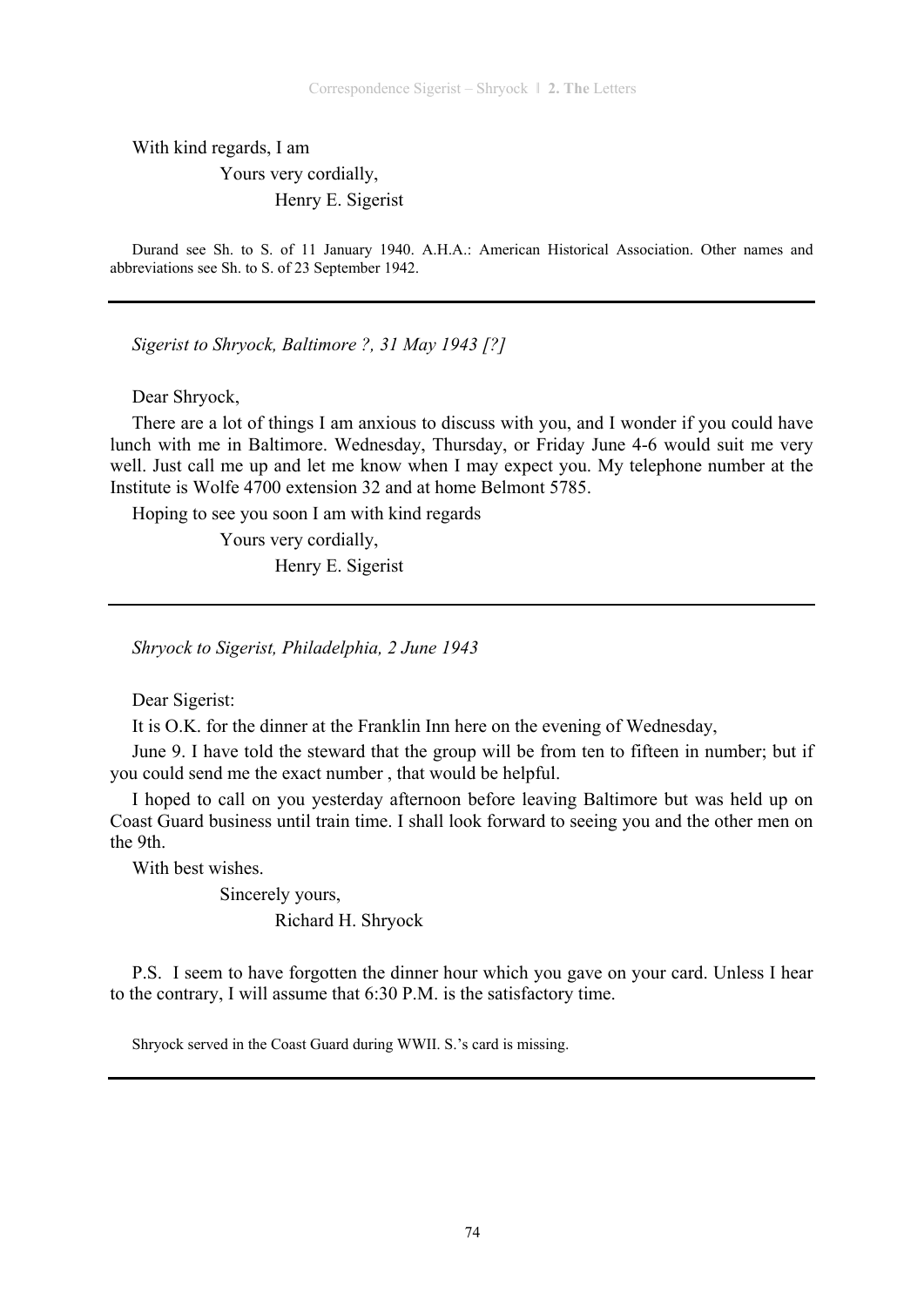With kind regards, I am

 Yours very cordially, Henry E. Sigerist

Durand see Sh. to S. of 11 January 1940. A.H.A.: American Historical Association. Other names and abbreviations see Sh. to S. of 23 September 1942.

*Sigerist to Shryock, Baltimore ?, 31 May 1943 [?]* 

Dear Shryock,

There are a lot of things I am anxious to discuss with you, and I wonder if you could have lunch with me in Baltimore. Wednesday, Thursday, or Friday June 4-6 would suit me very well. Just call me up and let me know when I may expect you. My telephone number at the Institute is Wolfe 4700 extension 32 and at home Belmont 5785.

Hoping to see you soon I am with kind regards

 Yours very cordially, Henry E. Sigerist

*Shryock to Sigerist, Philadelphia, 2 June 1943* 

Dear Sigerist:

It is O.K. for the dinner at the Franklin Inn here on the evening of Wednesday,

June 9. I have told the steward that the group will be from ten to fifteen in number; but if you could send me the exact number , that would be helpful.

I hoped to call on you yesterday afternoon before leaving Baltimore but was held up on Coast Guard business until train time. I shall look forward to seeing you and the other men on the 9th.

With best wishes.

 Sincerely yours, Richard H. Shryock

P.S. I seem to have forgotten the dinner hour which you gave on your card. Unless I hear to the contrary, I will assume that 6:30 P.M. is the satisfactory time.

Shryock served in the Coast Guard during WWII. S.'s card is missing.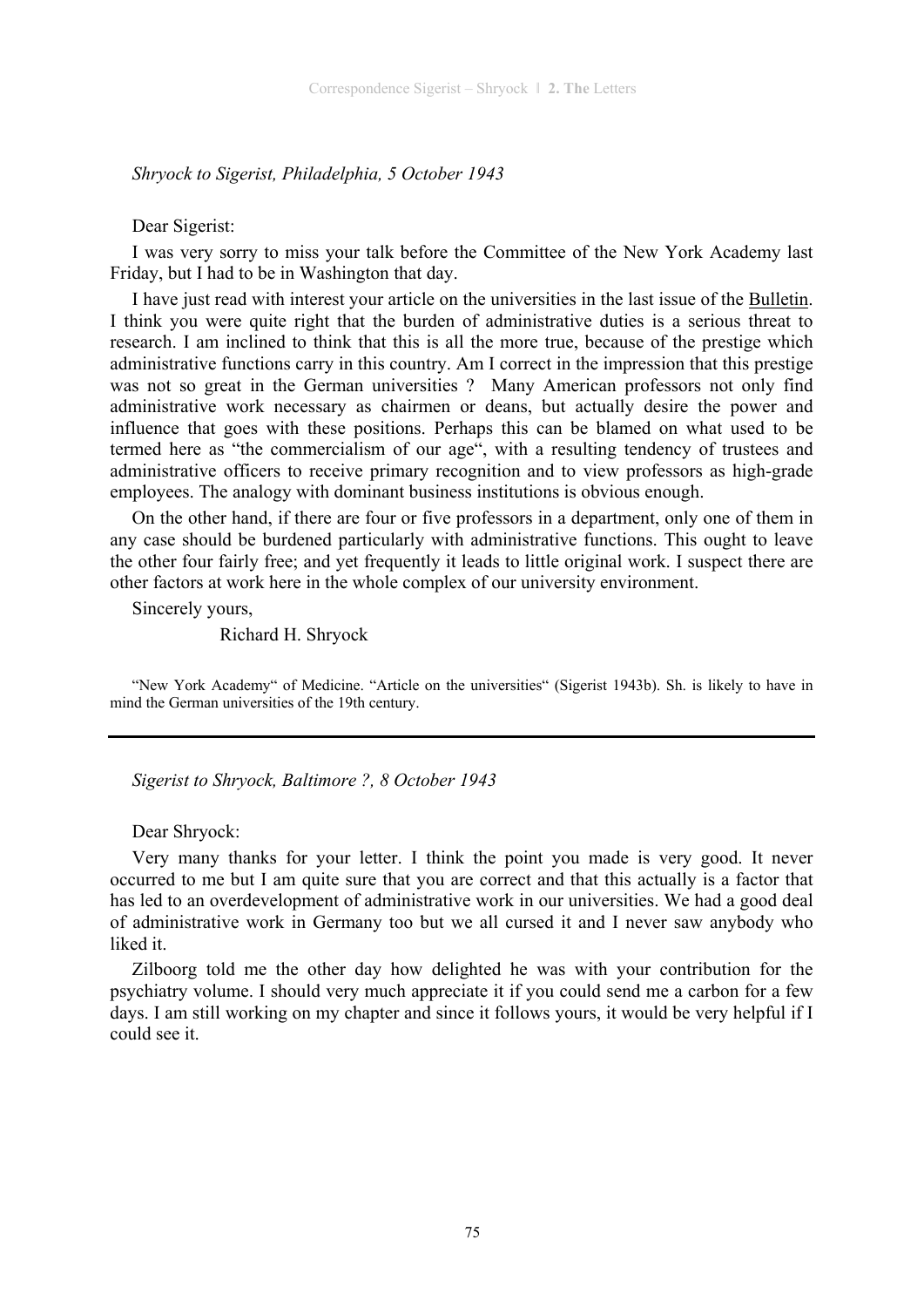*Shryock to Sigerist, Philadelphia, 5 October 1943* 

#### Dear Sigerist:

I was very sorry to miss your talk before the Committee of the New York Academy last Friday, but I had to be in Washington that day.

I have just read with interest your article on the universities in the last issue of the Bulletin. I think you were quite right that the burden of administrative duties is a serious threat to research. I am inclined to think that this is all the more true, because of the prestige which administrative functions carry in this country. Am I correct in the impression that this prestige was not so great in the German universities ? Many American professors not only find administrative work necessary as chairmen or deans, but actually desire the power and influence that goes with these positions. Perhaps this can be blamed on what used to be termed here as "the commercialism of our age", with a resulting tendency of trustees and administrative officers to receive primary recognition and to view professors as high-grade employees. The analogy with dominant business institutions is obvious enough.

On the other hand, if there are four or five professors in a department, only one of them in any case should be burdened particularly with administrative functions. This ought to leave the other four fairly free; and yet frequently it leads to little original work. I suspect there are other factors at work here in the whole complex of our university environment.

Sincerely yours,

Richard H. Shryock

"New York Academy" of Medicine. "Article on the universities" (Sigerist 1943b). Sh. is likely to have in mind the German universities of the 19th century.

*Sigerist to Shryock, Baltimore ?, 8 October 1943* 

#### Dear Shryock:

Very many thanks for your letter. I think the point you made is very good. It never occurred to me but I am quite sure that you are correct and that this actually is a factor that has led to an overdevelopment of administrative work in our universities. We had a good deal of administrative work in Germany too but we all cursed it and I never saw anybody who liked it.

Zilboorg told me the other day how delighted he was with your contribution for the psychiatry volume. I should very much appreciate it if you could send me a carbon for a few days. I am still working on my chapter and since it follows yours, it would be very helpful if I could see it.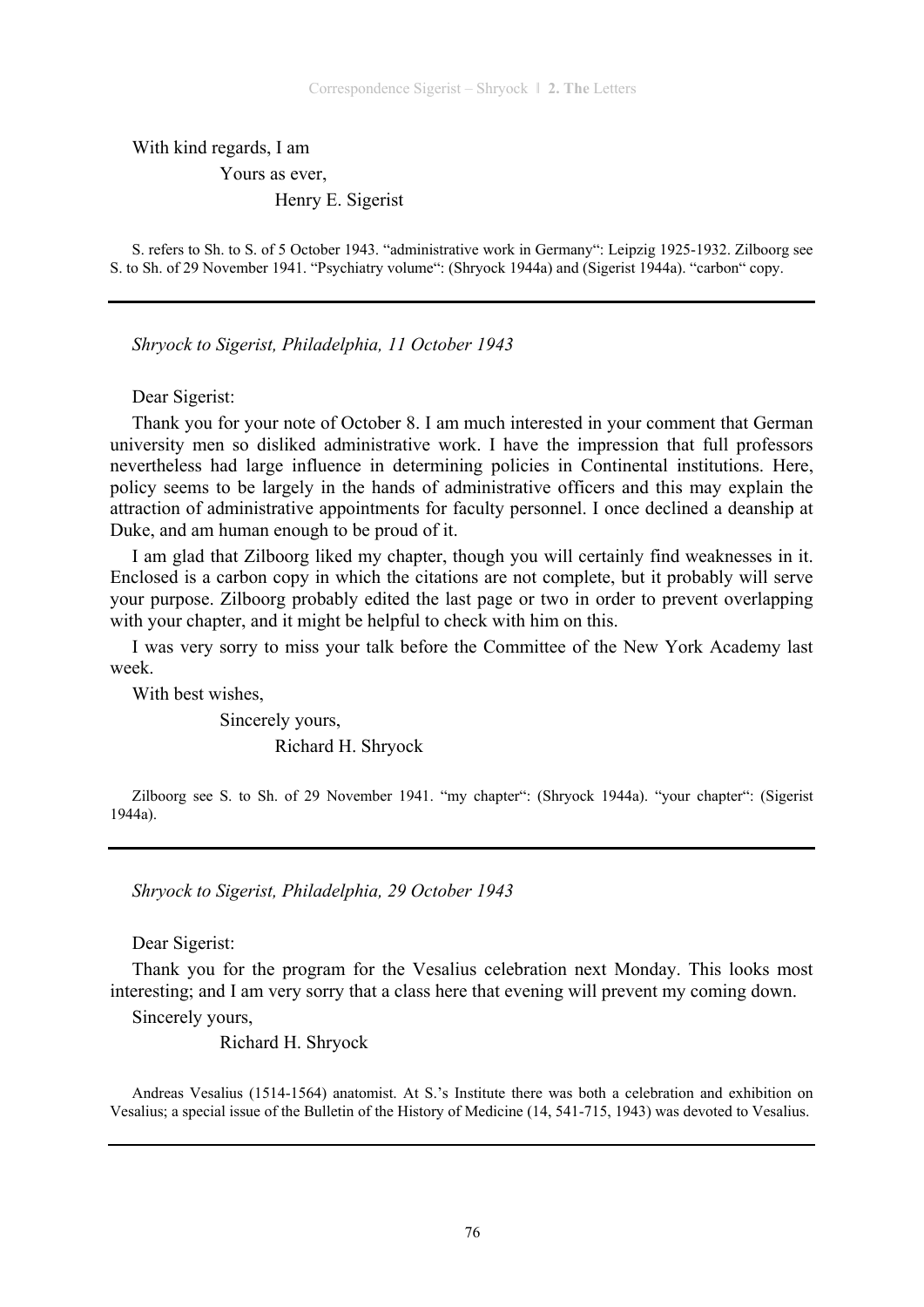With kind regards, I am

Yours as ever,

Henry E. Sigerist

S. refers to Sh. to S. of 5 October 1943. "administrative work in Germany": Leipzig 1925-1932. Zilboorg see S. to Sh. of 29 November 1941. "Psychiatry volume": (Shryock 1944a) and (Sigerist 1944a). "carbon" copy.

*Shryock to Sigerist, Philadelphia, 11 October 1943* 

Dear Sigerist:

Thank you for your note of October 8. I am much interested in your comment that German university men so disliked administrative work. I have the impression that full professors nevertheless had large influence in determining policies in Continental institutions. Here, policy seems to be largely in the hands of administrative officers and this may explain the attraction of administrative appointments for faculty personnel. I once declined a deanship at Duke, and am human enough to be proud of it.

I am glad that Zilboorg liked my chapter, though you will certainly find weaknesses in it. Enclosed is a carbon copy in which the citations are not complete, but it probably will serve your purpose. Zilboorg probably edited the last page or two in order to prevent overlapping with your chapter, and it might be helpful to check with him on this.

I was very sorry to miss your talk before the Committee of the New York Academy last week.

With best wishes,

 Sincerely yours, Richard H. Shryock

Zilboorg see S. to Sh. of 29 November 1941. "my chapter": (Shryock 1944a). "your chapter": (Sigerist 1944a).

*Shryock to Sigerist, Philadelphia, 29 October 1943* 

Dear Sigerist:

Thank you for the program for the Vesalius celebration next Monday. This looks most interesting; and I am very sorry that a class here that evening will prevent my coming down.

Sincerely yours,

Richard H. Shryock

Andreas Vesalius (1514-1564) anatomist. At S.'s Institute there was both a celebration and exhibition on Vesalius; a special issue of the Bulletin of the History of Medicine (14, 541-715, 1943) was devoted to Vesalius.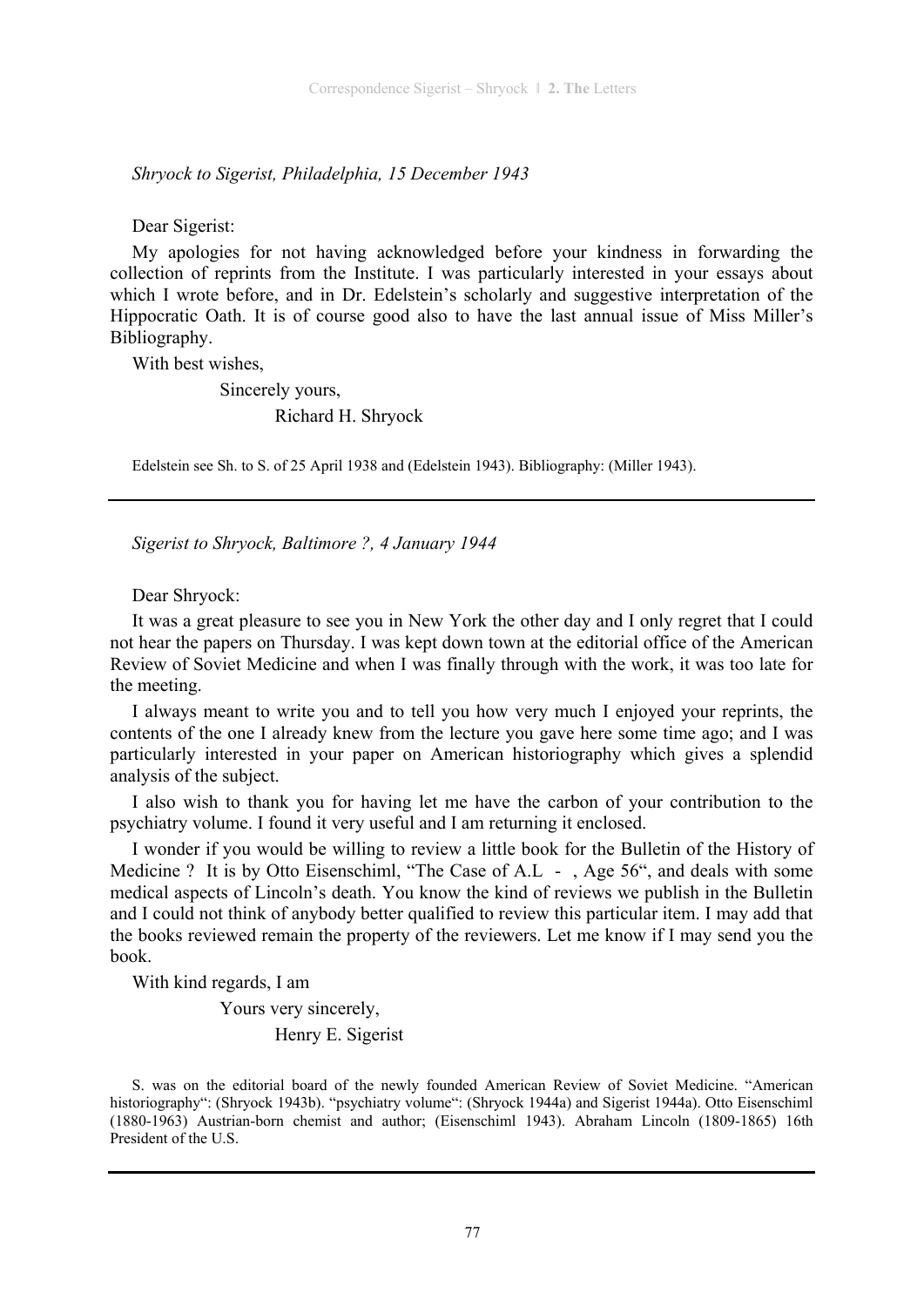*Shryock to Sigerist, Philadelphia, 15 December 1943* 

Dear Sigerist:

My apologies for not having acknowledged before your kindness in forwarding the collection of reprints from the Institute. I was particularly interested in your essays about which I wrote before, and in Dr. Edelstein's scholarly and suggestive interpretation of the Hippocratic Oath. It is of course good also to have the last annual issue of Miss Miller's Bibliography.

With best wishes,

Sincerely yours,

Richard H. Shryock

Edelstein see Sh. to S. of 25 April 1938 and (Edelstein 1943). Bibliography: (Miller 1943).

*Sigerist to Shryock, Baltimore ?, 4 January 1944* 

Dear Shryock:

It was a great pleasure to see you in New York the other day and I only regret that I could not hear the papers on Thursday. I was kept down town at the editorial office of the American Review of Soviet Medicine and when I was finally through with the work, it was too late for the meeting.

I always meant to write you and to tell you how very much I enjoyed your reprints, the contents of the one I already knew from the lecture you gave here some time ago; and I was particularly interested in your paper on American historiography which gives a splendid analysis of the subject.

I also wish to thank you for having let me have the carbon of your contribution to the psychiatry volume. I found it very useful and I am returning it enclosed.

I wonder if you would be willing to review a little book for the Bulletin of the History of Medicine ? It is by Otto Eisenschiml, "The Case of A.L -, Age 56", and deals with some medical aspects of Lincoln's death. You know the kind of reviews we publish in the Bulletin and I could not think of anybody better qualified to review this particular item. I may add that the books reviewed remain the property of the reviewers. Let me know if I may send you the book.

With kind regards, I am

Yours very sincerely,

Henry E. Sigerist

S. was on the editorial board of the newly founded American Review of Soviet Medicine. "American historiography": (Shryock 1943b). "psychiatry volume": (Shryock 1944a) and Sigerist 1944a). Otto Eisenschiml (1880-1963) Austrian-born chemist and author; (Eisenschiml 1943). Abraham Lincoln (1809-1865) 16th President of the U.S.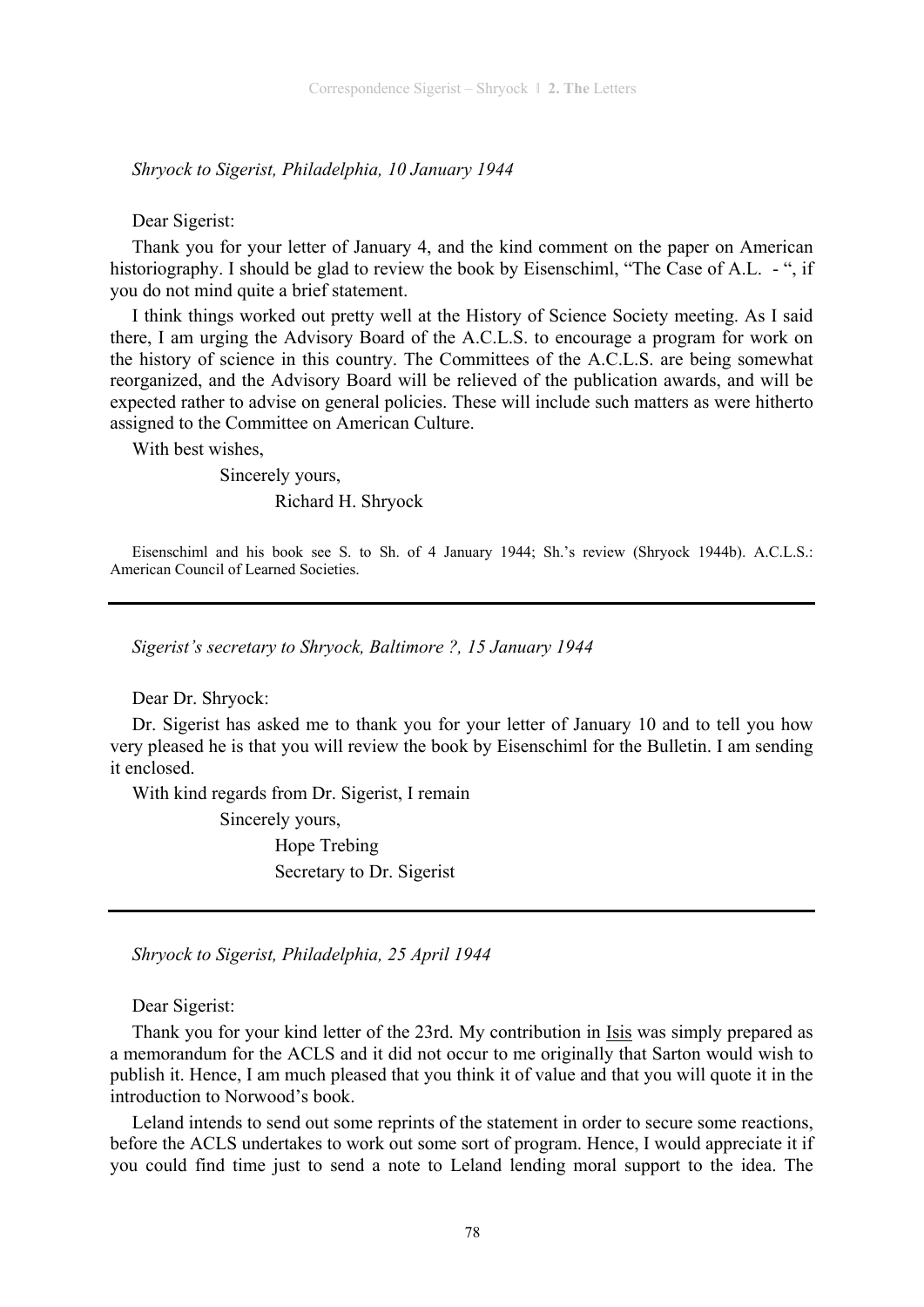*Shryock to Sigerist, Philadelphia, 10 January 1944* 

Dear Sigerist:

Thank you for your letter of January 4, and the kind comment on the paper on American historiography. I should be glad to review the book by Eisenschiml, "The Case of A.L. - ", if you do not mind quite a brief statement.

I think things worked out pretty well at the History of Science Society meeting. As I said there, I am urging the Advisory Board of the A.C.L.S. to encourage a program for work on the history of science in this country. The Committees of the A.C.L.S. are being somewhat reorganized, and the Advisory Board will be relieved of the publication awards, and will be expected rather to advise on general policies. These will include such matters as were hitherto assigned to the Committee on American Culture.

With best wishes,

 Sincerely yours, Richard H. Shryock

Eisenschiml and his book see S. to Sh. of 4 January 1944; Sh.'s review (Shryock 1944b). A.C.L.S.:

*Sigerist's secretary to Shryock, Baltimore ?, 15 January 1944* 

Dear Dr. Shryock:

American Council of Learned Societies.

Dr. Sigerist has asked me to thank you for your letter of January 10 and to tell you how very pleased he is that you will review the book by Eisenschiml for the Bulletin. I am sending it enclosed.

With kind regards from Dr. Sigerist, I remain

Sincerely yours,

 Hope Trebing Secretary to Dr. Sigerist

*Shryock to Sigerist, Philadelphia, 25 April 1944* 

Dear Sigerist:

Thank you for your kind letter of the 23rd. My contribution in Isis was simply prepared as a memorandum for the ACLS and it did not occur to me originally that Sarton would wish to publish it. Hence, I am much pleased that you think it of value and that you will quote it in the introduction to Norwood's book.

Leland intends to send out some reprints of the statement in order to secure some reactions, before the ACLS undertakes to work out some sort of program. Hence, I would appreciate it if you could find time just to send a note to Leland lending moral support to the idea. The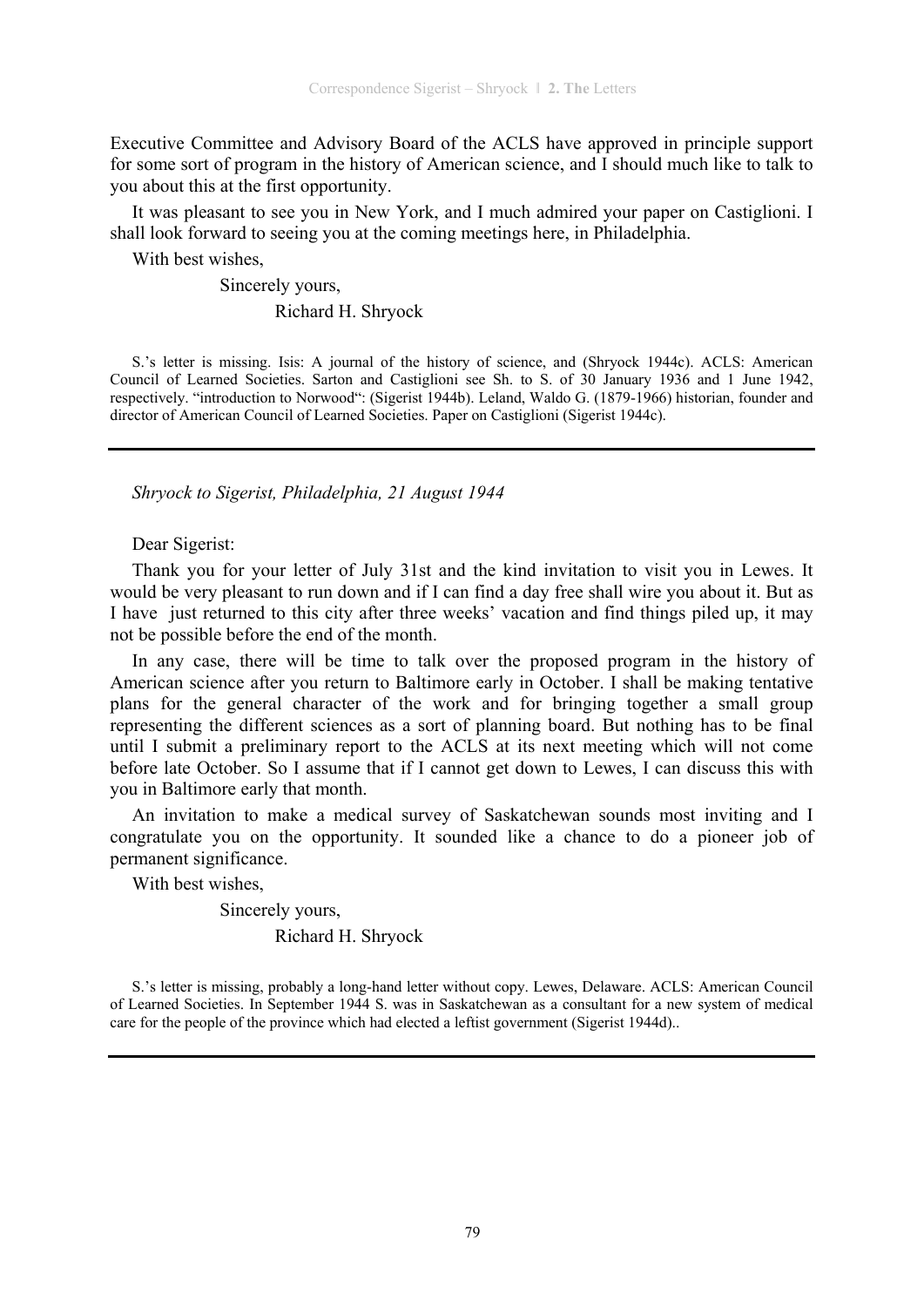Executive Committee and Advisory Board of the ACLS have approved in principle support for some sort of program in the history of American science, and I should much like to talk to you about this at the first opportunity.

It was pleasant to see you in New York, and I much admired your paper on Castiglioni. I shall look forward to seeing you at the coming meetings here, in Philadelphia.

With best wishes,

Sincerely yours,

#### Richard H. Shryock

S.'s letter is missing. Isis: A journal of the history of science, and (Shryock 1944c). ACLS: American Council of Learned Societies. Sarton and Castiglioni see Sh. to S. of 30 January 1936 and 1 June 1942, respectively. "introduction to Norwood": (Sigerist 1944b). Leland, Waldo G. (1879-1966) historian, founder and director of American Council of Learned Societies. Paper on Castiglioni (Sigerist 1944c).

*Shryock to Sigerist, Philadelphia, 21 August 1944* 

## Dear Sigerist:

Thank you for your letter of July 31st and the kind invitation to visit you in Lewes. It would be very pleasant to run down and if I can find a day free shall wire you about it. But as I have just returned to this city after three weeks' vacation and find things piled up, it may not be possible before the end of the month.

In any case, there will be time to talk over the proposed program in the history of American science after you return to Baltimore early in October. I shall be making tentative plans for the general character of the work and for bringing together a small group representing the different sciences as a sort of planning board. But nothing has to be final until I submit a preliminary report to the ACLS at its next meeting which will not come before late October. So I assume that if I cannot get down to Lewes, I can discuss this with you in Baltimore early that month.

An invitation to make a medical survey of Saskatchewan sounds most inviting and I congratulate you on the opportunity. It sounded like a chance to do a pioneer job of permanent significance.

With best wishes,

 Sincerely yours, Richard H. Shryock

S.'s letter is missing, probably a long-hand letter without copy. Lewes, Delaware. ACLS: American Council of Learned Societies. In September 1944 S. was in Saskatchewan as a consultant for a new system of medical care for the people of the province which had elected a leftist government (Sigerist 1944d)..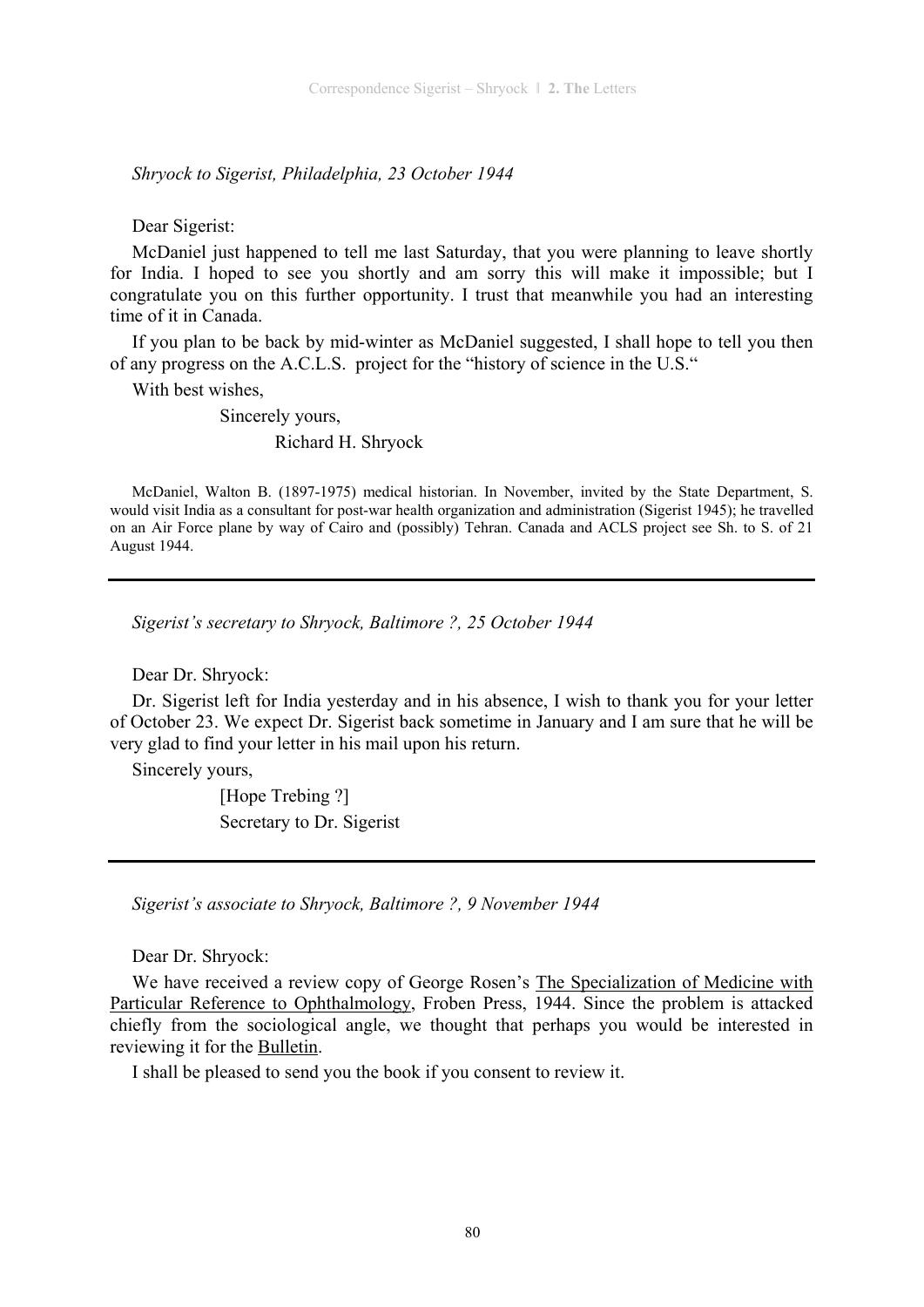*Shryock to Sigerist, Philadelphia, 23 October 1944* 

Dear Sigerist:

McDaniel just happened to tell me last Saturday, that you were planning to leave shortly for India. I hoped to see you shortly and am sorry this will make it impossible; but I congratulate you on this further opportunity. I trust that meanwhile you had an interesting time of it in Canada.

If you plan to be back by mid-winter as McDaniel suggested, I shall hope to tell you then of any progress on the A.C.L.S. project for the "history of science in the U.S."

With best wishes,

Sincerely yours,

Richard H. Shryock

McDaniel, Walton B. (1897-1975) medical historian. In November, invited by the State Department, S. would visit India as a consultant for post-war health organization and administration (Sigerist 1945); he travelled on an Air Force plane by way of Cairo and (possibly) Tehran. Canada and ACLS project see Sh. to S. of 21 August 1944.

*Sigerist's secretary to Shryock, Baltimore ?, 25 October 1944* 

Dear Dr. Shryock:

Dr. Sigerist left for India yesterday and in his absence, I wish to thank you for your letter of October 23. We expect Dr. Sigerist back sometime in January and I am sure that he will be very glad to find your letter in his mail upon his return.

Sincerely yours,

 [Hope Trebing ?] Secretary to Dr. Sigerist

*Sigerist's associate to Shryock, Baltimore ?, 9 November 1944* 

Dear Dr. Shryock:

We have received a review copy of George Rosen's The Specialization of Medicine with Particular Reference to Ophthalmology, Froben Press, 1944. Since the problem is attacked chiefly from the sociological angle, we thought that perhaps you would be interested in reviewing it for the Bulletin.

I shall be pleased to send you the book if you consent to review it.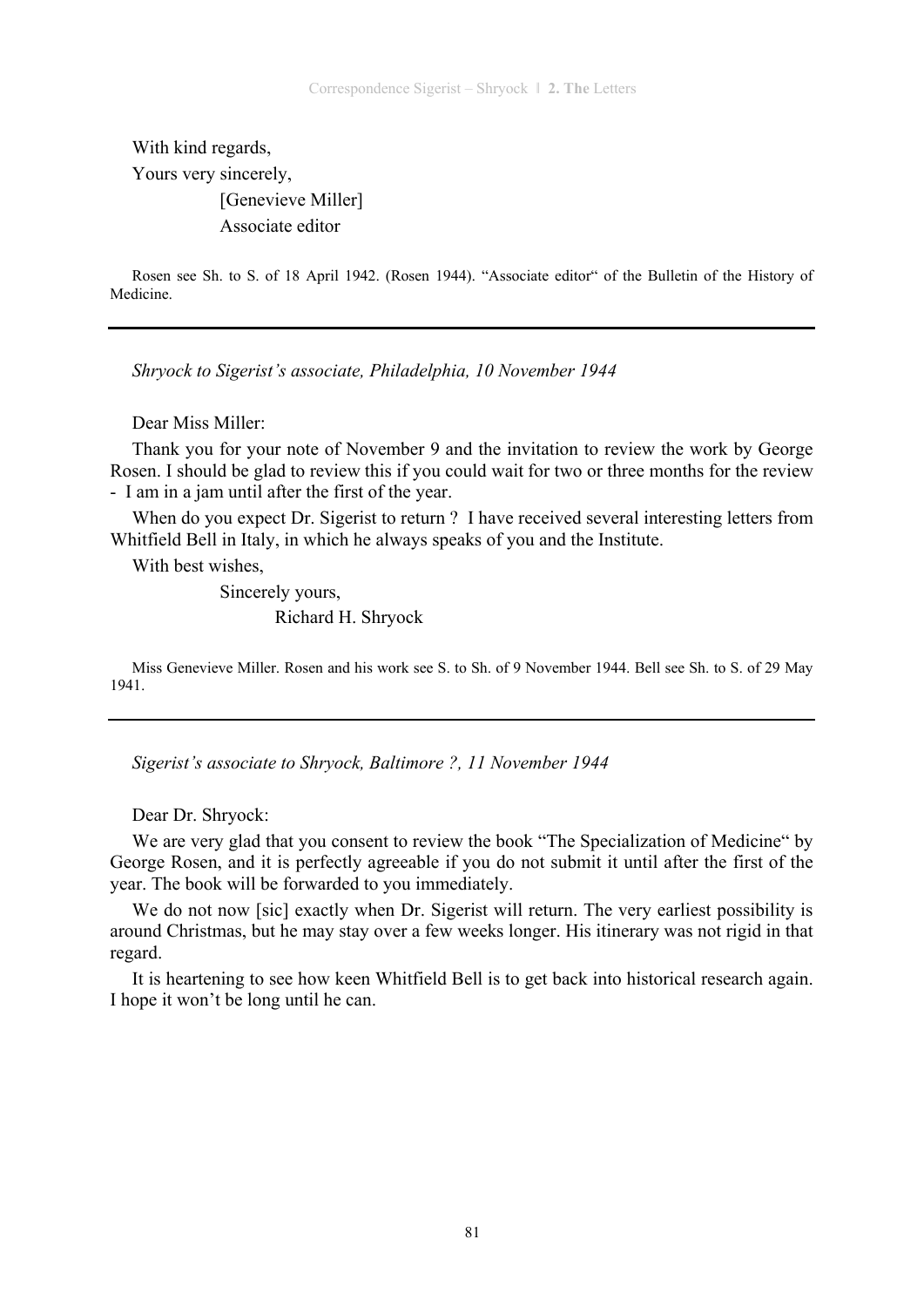With kind regards, Yours very sincerely, [Genevieve Miller] Associate editor

Rosen see Sh. to S. of 18 April 1942. (Rosen 1944). "Associate editor" of the Bulletin of the History of Medicine.

*Shryock to Sigerist's associate, Philadelphia, 10 November 1944* 

Dear Miss Miller:

Thank you for your note of November 9 and the invitation to review the work by George Rosen. I should be glad to review this if you could wait for two or three months for the review - I am in a jam until after the first of the year.

When do you expect Dr. Sigerist to return ? I have received several interesting letters from Whitfield Bell in Italy, in which he always speaks of you and the Institute.

With best wishes,

 Sincerely yours, Richard H. Shryock

Miss Genevieve Miller. Rosen and his work see S. to Sh. of 9 November 1944. Bell see Sh. to S. of 29 May 1941.

*Sigerist's associate to Shryock, Baltimore ?, 11 November 1944* 

Dear Dr. Shryock:

We are very glad that you consent to review the book "The Specialization of Medicine" by George Rosen, and it is perfectly agreeable if you do not submit it until after the first of the year. The book will be forwarded to you immediately.

We do not now [sic] exactly when Dr. Sigerist will return. The very earliest possibility is around Christmas, but he may stay over a few weeks longer. His itinerary was not rigid in that regard.

It is heartening to see how keen Whitfield Bell is to get back into historical research again. I hope it won't be long until he can.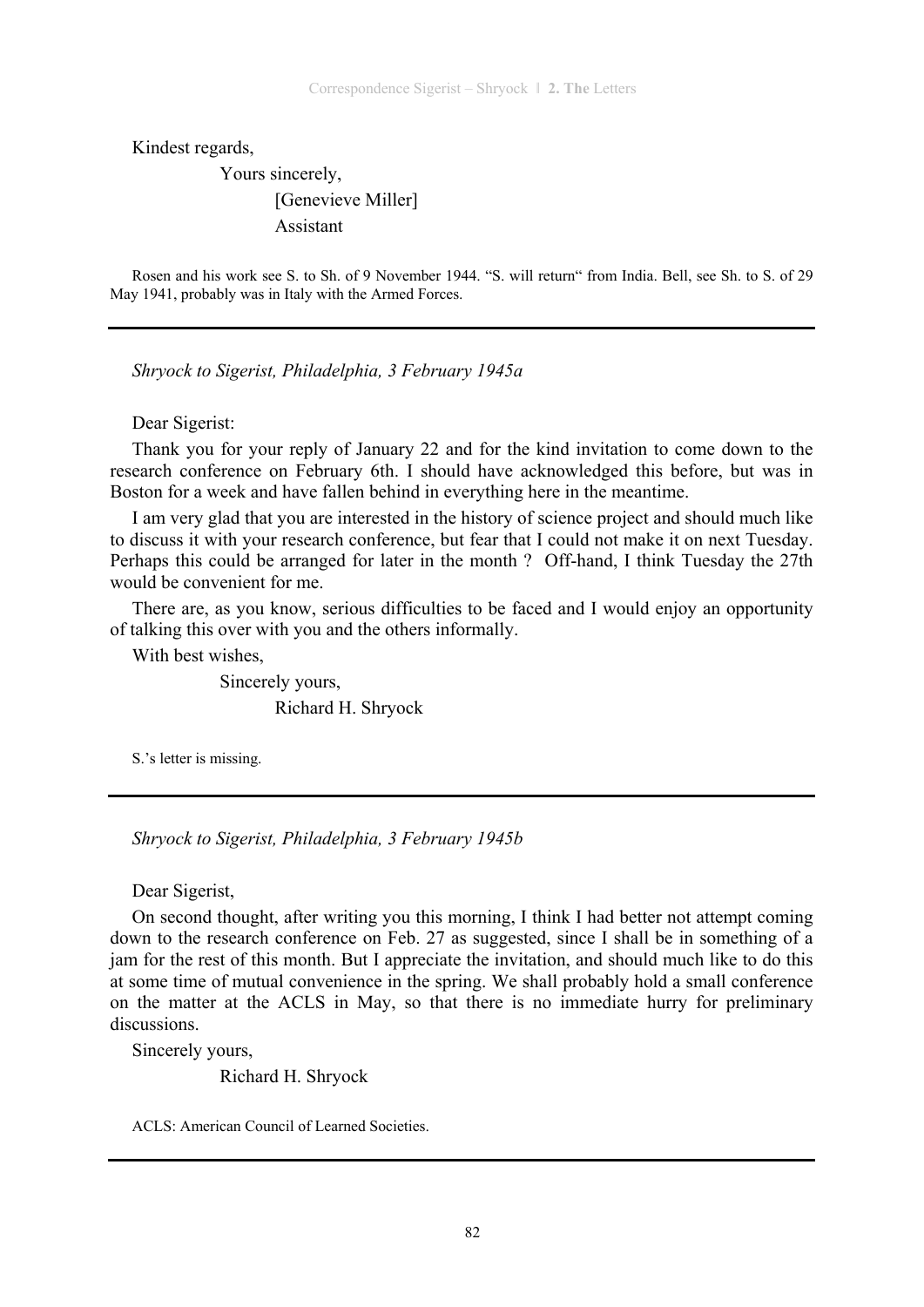Kindest regards,

 Yours sincerely, [Genevieve Miller] Assistant

Rosen and his work see S. to Sh. of 9 November 1944. "S. will return" from India. Bell, see Sh. to S. of 29 May 1941, probably was in Italy with the Armed Forces.

*Shryock to Sigerist, Philadelphia, 3 February 1945a* 

Dear Sigerist:

Thank you for your reply of January 22 and for the kind invitation to come down to the research conference on February 6th. I should have acknowledged this before, but was in Boston for a week and have fallen behind in everything here in the meantime.

I am very glad that you are interested in the history of science project and should much like to discuss it with your research conference, but fear that I could not make it on next Tuesday. Perhaps this could be arranged for later in the month ? Off-hand, I think Tuesday the 27th would be convenient for me.

There are, as you know, serious difficulties to be faced and I would enjoy an opportunity of talking this over with you and the others informally.

With best wishes,

 Sincerely yours, Richard H. Shryock

S.'s letter is missing.

*Shryock to Sigerist, Philadelphia, 3 February 1945b* 

Dear Sigerist,

On second thought, after writing you this morning, I think I had better not attempt coming down to the research conference on Feb. 27 as suggested, since I shall be in something of a jam for the rest of this month. But I appreciate the invitation, and should much like to do this at some time of mutual convenience in the spring. We shall probably hold a small conference on the matter at the ACLS in May, so that there is no immediate hurry for preliminary discussions.

Sincerely yours,

Richard H. Shryock

ACLS: American Council of Learned Societies.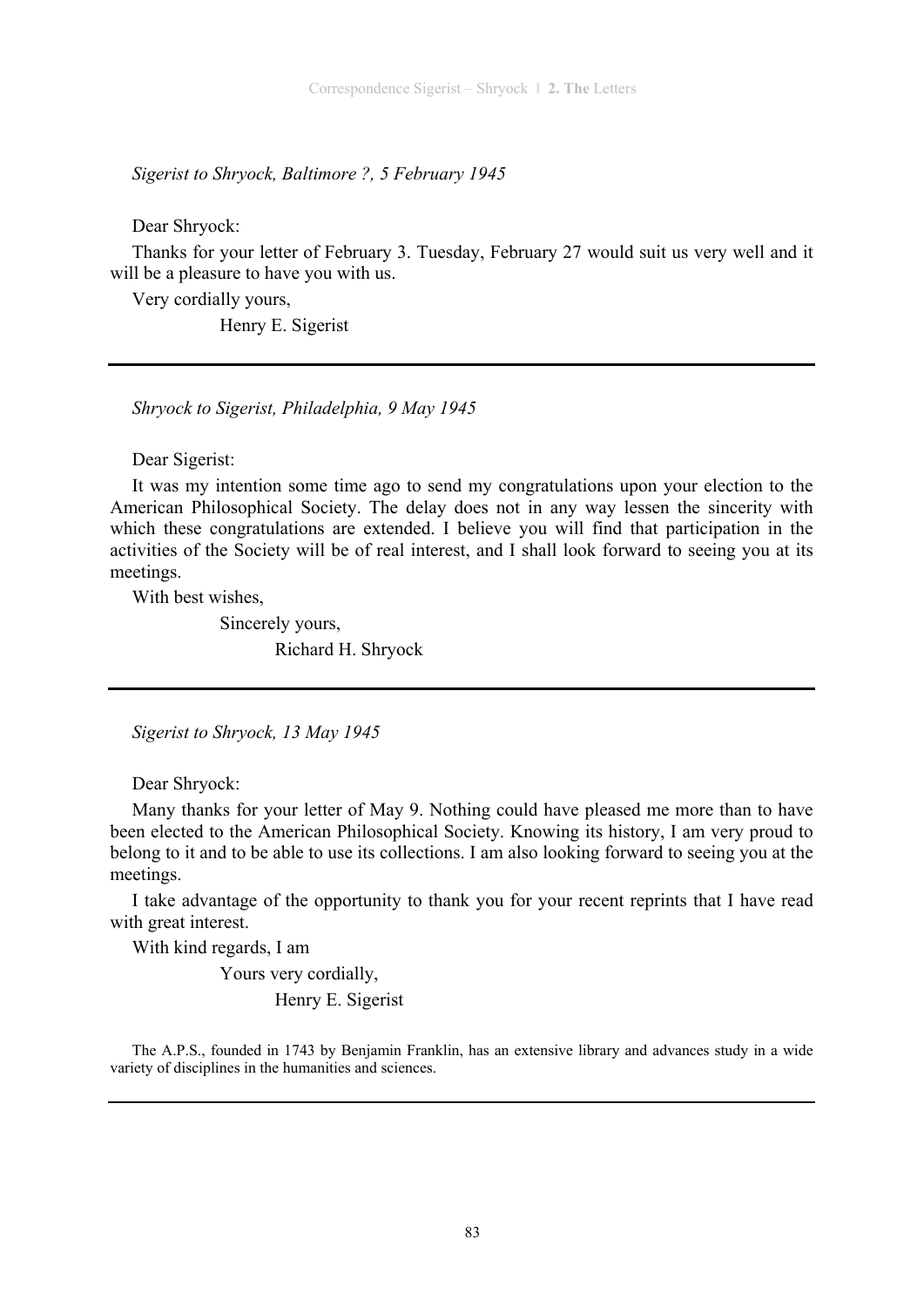*Sigerist to Shryock, Baltimore ?, 5 February 1945* 

Dear Shryock:

Thanks for your letter of February 3. Tuesday, February 27 would suit us very well and it will be a pleasure to have you with us.

Very cordially yours,

Henry E. Sigerist

*Shryock to Sigerist, Philadelphia, 9 May 1945* 

Dear Sigerist:

It was my intention some time ago to send my congratulations upon your election to the American Philosophical Society. The delay does not in any way lessen the sincerity with which these congratulations are extended. I believe you will find that participation in the activities of the Society will be of real interest, and I shall look forward to seeing you at its meetings.

With best wishes,

 Sincerely yours, Richard H. Shryock

*Sigerist to Shryock, 13 May 1945* 

Dear Shryock:

Many thanks for your letter of May 9. Nothing could have pleased me more than to have been elected to the American Philosophical Society. Knowing its history, I am very proud to belong to it and to be able to use its collections. I am also looking forward to seeing you at the meetings.

I take advantage of the opportunity to thank you for your recent reprints that I have read with great interest.

With kind regards, I am

Yours very cordially,

Henry E. Sigerist

The A.P.S., founded in 1743 by Benjamin Franklin, has an extensive library and advances study in a wide variety of disciplines in the humanities and sciences.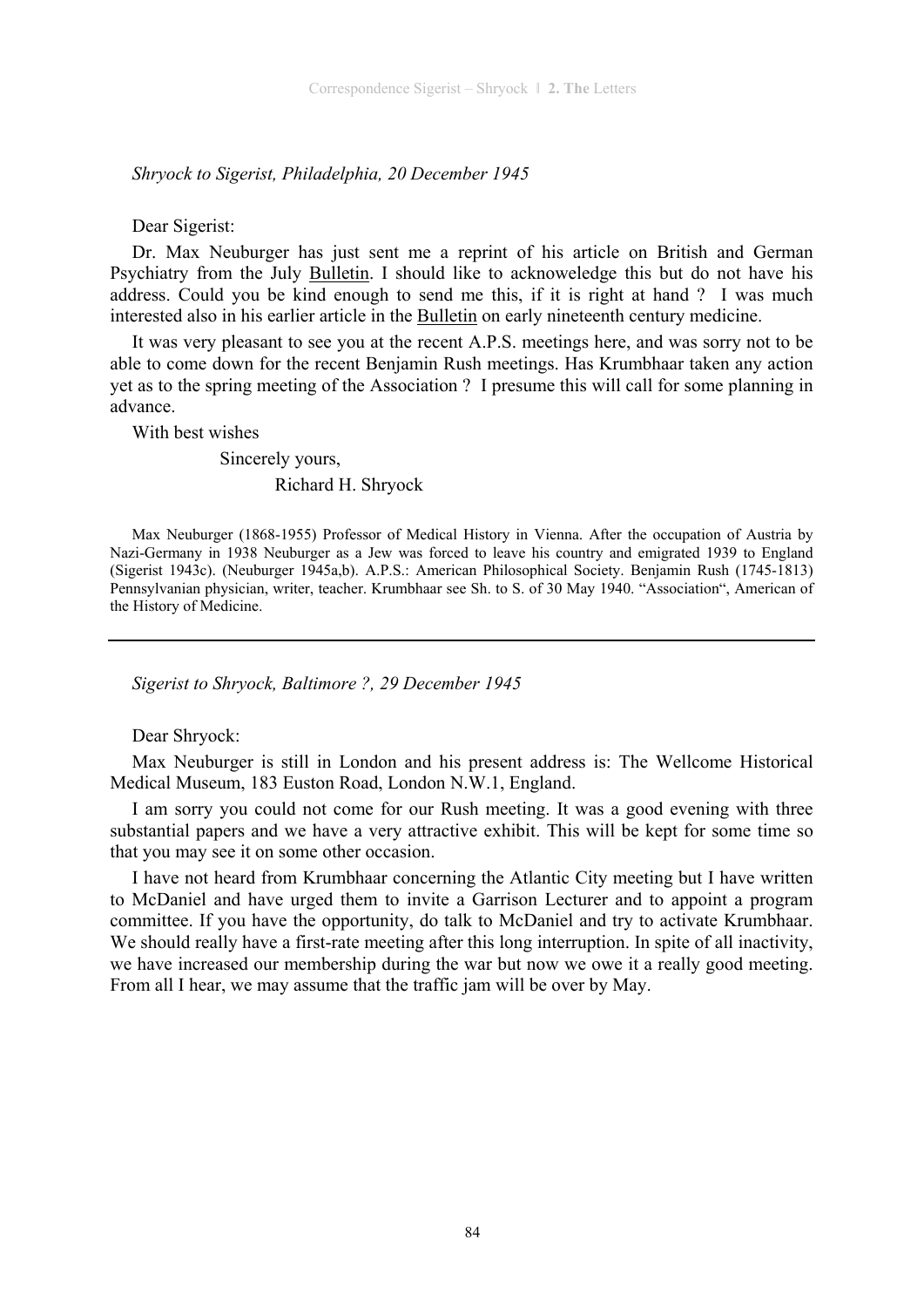*Shryock to Sigerist, Philadelphia, 20 December 1945* 

#### Dear Sigerist:

Dr. Max Neuburger has just sent me a reprint of his article on British and German Psychiatry from the July Bulletin. I should like to acknoweledge this but do not have his address. Could you be kind enough to send me this, if it is right at hand ? I was much interested also in his earlier article in the Bulletin on early nineteenth century medicine.

It was very pleasant to see you at the recent A.P.S. meetings here, and was sorry not to be able to come down for the recent Benjamin Rush meetings. Has Krumbhaar taken any action yet as to the spring meeting of the Association ? I presume this will call for some planning in advance.

With best wishes

 Sincerely yours, Richard H. Shryock

Max Neuburger (1868-1955) Professor of Medical History in Vienna. After the occupation of Austria by Nazi-Germany in 1938 Neuburger as a Jew was forced to leave his country and emigrated 1939 to England (Sigerist 1943c). (Neuburger 1945a,b). A.P.S.: American Philosophical Society. Benjamin Rush (1745-1813) Pennsylvanian physician, writer, teacher. Krumbhaar see Sh. to S. of 30 May 1940. "Association", American of the History of Medicine.

#### *Sigerist to Shryock, Baltimore ?, 29 December 1945*

Dear Shryock:

Max Neuburger is still in London and his present address is: The Wellcome Historical Medical Museum, 183 Euston Road, London N.W.1, England.

I am sorry you could not come for our Rush meeting. It was a good evening with three substantial papers and we have a very attractive exhibit. This will be kept for some time so that you may see it on some other occasion.

I have not heard from Krumbhaar concerning the Atlantic City meeting but I have written to McDaniel and have urged them to invite a Garrison Lecturer and to appoint a program committee. If you have the opportunity, do talk to McDaniel and try to activate Krumbhaar. We should really have a first-rate meeting after this long interruption. In spite of all inactivity, we have increased our membership during the war but now we owe it a really good meeting. From all I hear, we may assume that the traffic jam will be over by May.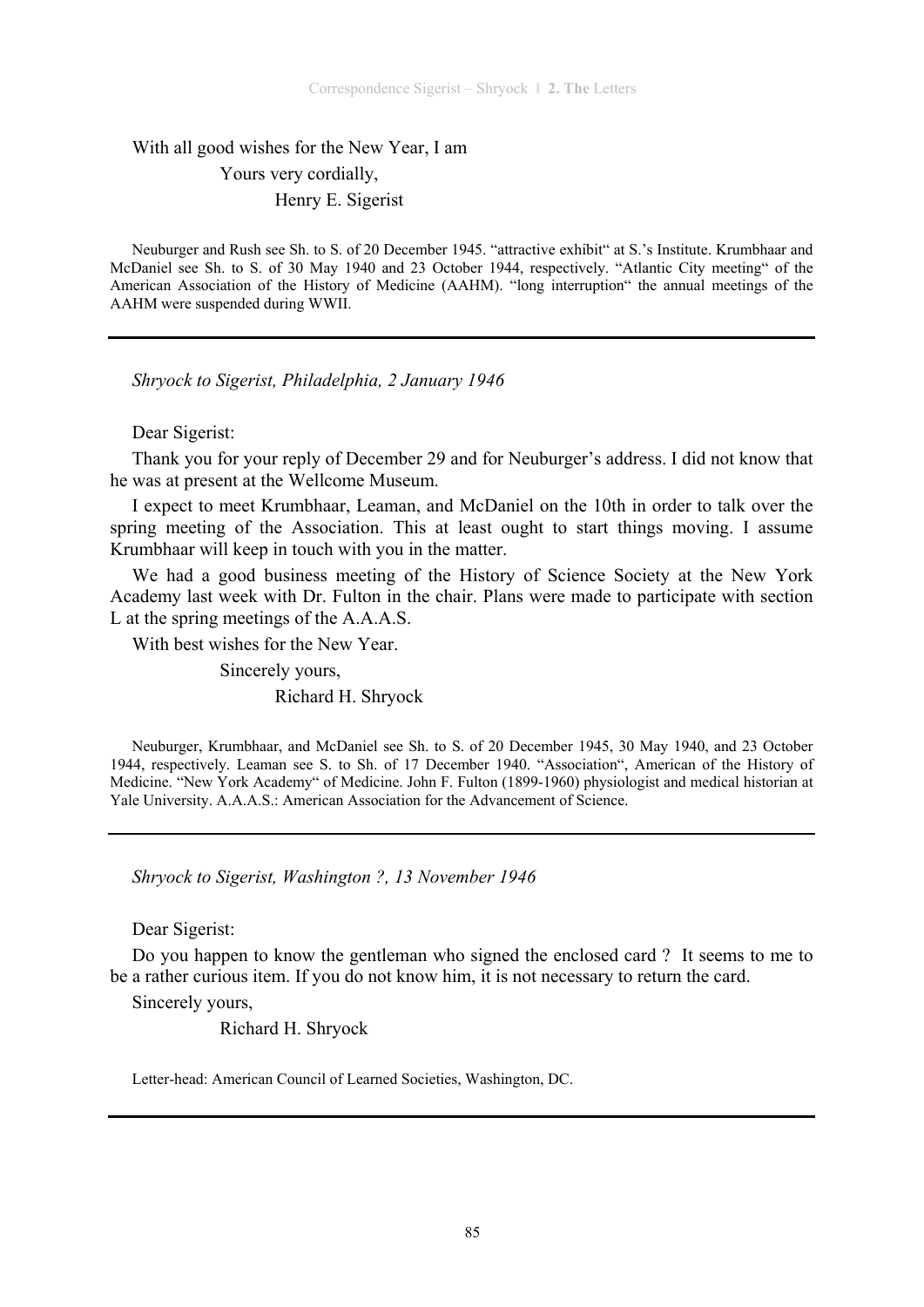# With all good wishes for the New Year, I am Yours very cordially, Henry E. Sigerist

Neuburger and Rush see Sh. to S. of 20 December 1945. "attractive exhibit" at S.'s Institute. Krumbhaar and McDaniel see Sh. to S. of 30 May 1940 and 23 October 1944, respectively. "Atlantic City meeting" of the American Association of the History of Medicine (AAHM). "long interruption" the annual meetings of the AAHM were suspended during WWII.

*Shryock to Sigerist, Philadelphia, 2 January 1946* 

# Dear Sigerist:

Thank you for your reply of December 29 and for Neuburger's address. I did not know that he was at present at the Wellcome Museum.

I expect to meet Krumbhaar, Leaman, and McDaniel on the 10th in order to talk over the spring meeting of the Association. This at least ought to start things moving. I assume Krumbhaar will keep in touch with you in the matter.

We had a good business meeting of the History of Science Society at the New York Academy last week with Dr. Fulton in the chair. Plans were made to participate with section L at the spring meetings of the A.A.A.S.

With best wishes for the New Year.

Sincerely yours,

Richard H. Shryock

Neuburger, Krumbhaar, and McDaniel see Sh. to S. of 20 December 1945, 30 May 1940, and 23 October 1944, respectively. Leaman see S. to Sh. of 17 December 1940. "Association", American of the History of Medicine. "New York Academy" of Medicine. John F. Fulton (1899-1960) physiologist and medical historian at Yale University. A.A.A.S.: American Association for the Advancement of Science.

*Shryock to Sigerist, Washington ?, 13 November 1946* 

Dear Sigerist:

Do you happen to know the gentleman who signed the enclosed card ? It seems to me to be a rather curious item. If you do not know him, it is not necessary to return the card.

Sincerely yours,

Richard H. Shryock

Letter-head: American Council of Learned Societies, Washington, DC.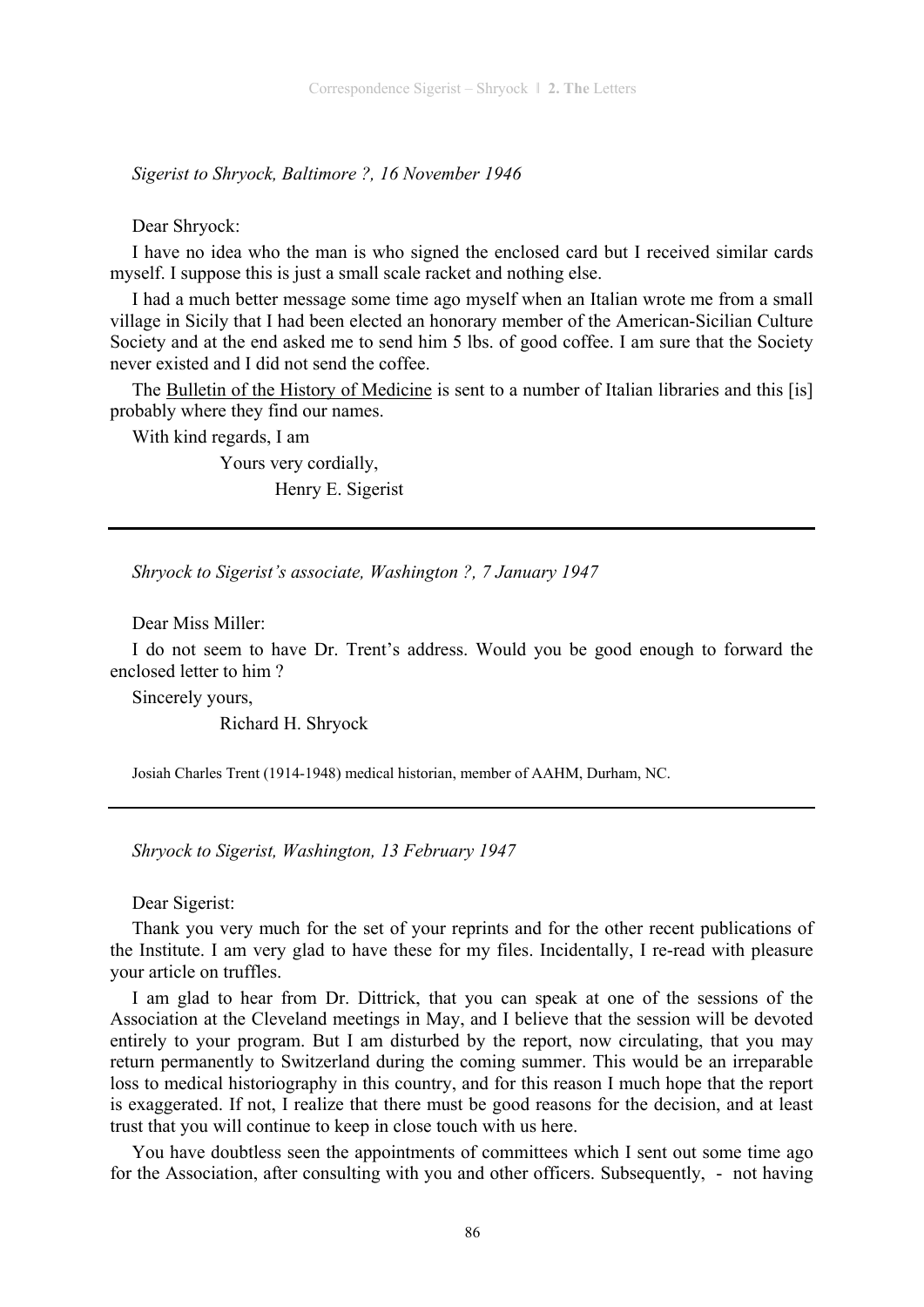*Sigerist to Shryock, Baltimore ?, 16 November 1946* 

Dear Shryock:

I have no idea who the man is who signed the enclosed card but I received similar cards myself. I suppose this is just a small scale racket and nothing else.

I had a much better message some time ago myself when an Italian wrote me from a small village in Sicily that I had been elected an honorary member of the American-Sicilian Culture Society and at the end asked me to send him 5 lbs. of good coffee. I am sure that the Society never existed and I did not send the coffee.

The Bulletin of the History of Medicine is sent to a number of Italian libraries and this [is] probably where they find our names.

With kind regards, I am

 Yours very cordially, Henry E. Sigerist

*Shryock to Sigerist's associate, Washington ?, 7 January 1947* 

Dear Miss Miller:

I do not seem to have Dr. Trent's address. Would you be good enough to forward the enclosed letter to him ?

Sincerely yours,

Richard H. Shryock

Josiah Charles Trent (1914-1948) medical historian, member of AAHM, Durham, NC.

*Shryock to Sigerist, Washington, 13 February 1947* 

Dear Sigerist:

Thank you very much for the set of your reprints and for the other recent publications of the Institute. I am very glad to have these for my files. Incidentally, I re-read with pleasure your article on truffles.

I am glad to hear from Dr. Dittrick, that you can speak at one of the sessions of the Association at the Cleveland meetings in May, and I believe that the session will be devoted entirely to your program. But I am disturbed by the report, now circulating, that you may return permanently to Switzerland during the coming summer. This would be an irreparable loss to medical historiography in this country, and for this reason I much hope that the report is exaggerated. If not, I realize that there must be good reasons for the decision, and at least trust that you will continue to keep in close touch with us here.

You have doubtless seen the appointments of committees which I sent out some time ago for the Association, after consulting with you and other officers. Subsequently, - not having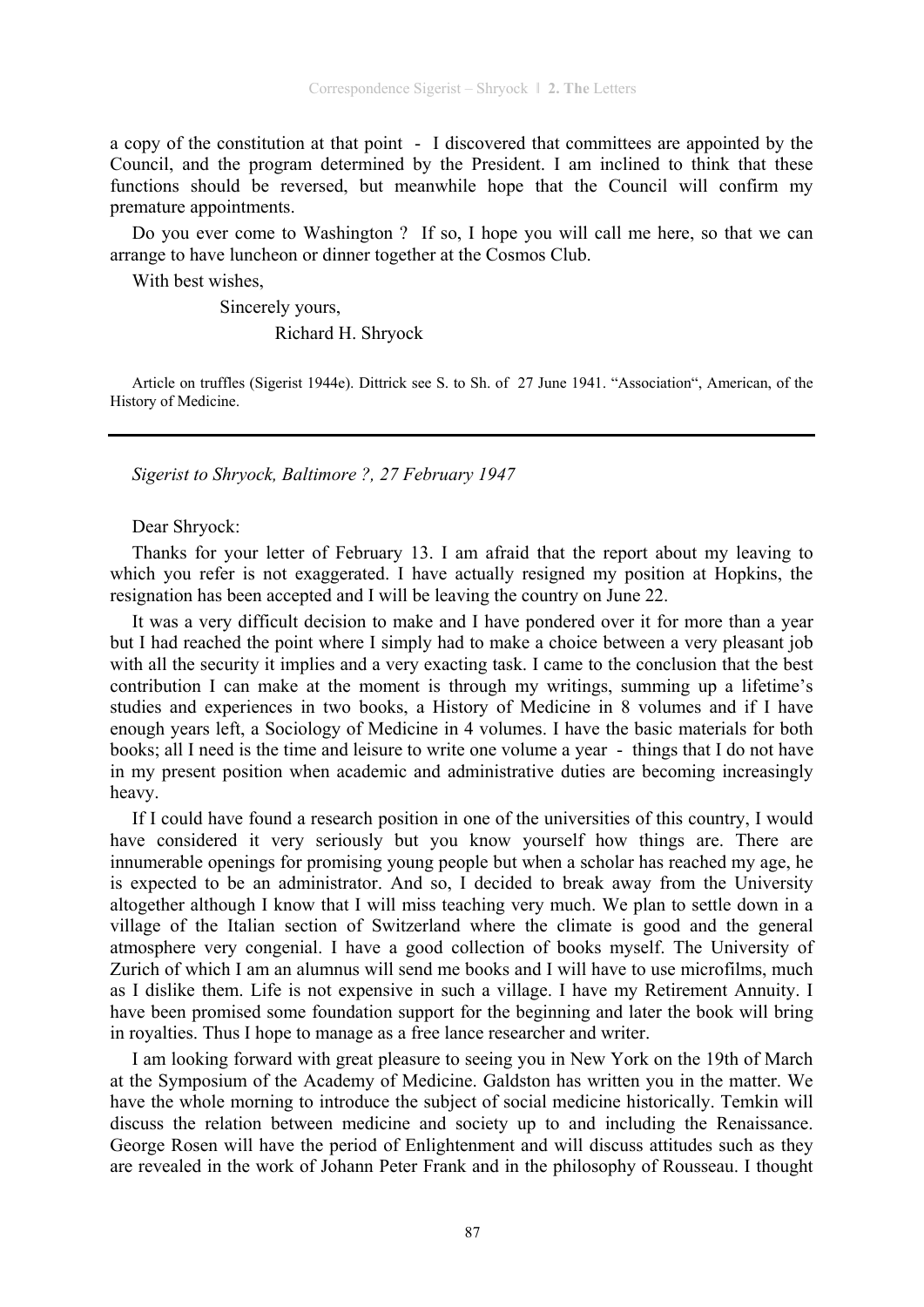a copy of the constitution at that point - I discovered that committees are appointed by the Council, and the program determined by the President. I am inclined to think that these functions should be reversed, but meanwhile hope that the Council will confirm my premature appointments.

Do you ever come to Washington ? If so, I hope you will call me here, so that we can arrange to have luncheon or dinner together at the Cosmos Club.

With best wishes,

 Sincerely yours, Richard H. Shryock

Article on truffles (Sigerist 1944e). Dittrick see S. to Sh. of 27 June 1941. "Association", American, of the History of Medicine.

*Sigerist to Shryock, Baltimore ?, 27 February 1947* 

Dear Shryock:

Thanks for your letter of February 13. I am afraid that the report about my leaving to which you refer is not exaggerated. I have actually resigned my position at Hopkins, the resignation has been accepted and I will be leaving the country on June 22.

It was a very difficult decision to make and I have pondered over it for more than a year but I had reached the point where I simply had to make a choice between a very pleasant job with all the security it implies and a very exacting task. I came to the conclusion that the best contribution I can make at the moment is through my writings, summing up a lifetime's studies and experiences in two books, a History of Medicine in 8 volumes and if I have enough years left, a Sociology of Medicine in 4 volumes. I have the basic materials for both books; all I need is the time and leisure to write one volume a year - things that I do not have in my present position when academic and administrative duties are becoming increasingly heavy.

If I could have found a research position in one of the universities of this country, I would have considered it very seriously but you know yourself how things are. There are innumerable openings for promising young people but when a scholar has reached my age, he is expected to be an administrator. And so, I decided to break away from the University altogether although I know that I will miss teaching very much. We plan to settle down in a village of the Italian section of Switzerland where the climate is good and the general atmosphere very congenial. I have a good collection of books myself. The University of Zurich of which I am an alumnus will send me books and I will have to use microfilms, much as I dislike them. Life is not expensive in such a village. I have my Retirement Annuity. I have been promised some foundation support for the beginning and later the book will bring in royalties. Thus I hope to manage as a free lance researcher and writer.

I am looking forward with great pleasure to seeing you in New York on the 19th of March at the Symposium of the Academy of Medicine. Galdston has written you in the matter. We have the whole morning to introduce the subject of social medicine historically. Temkin will discuss the relation between medicine and society up to and including the Renaissance. George Rosen will have the period of Enlightenment and will discuss attitudes such as they are revealed in the work of Johann Peter Frank and in the philosophy of Rousseau. I thought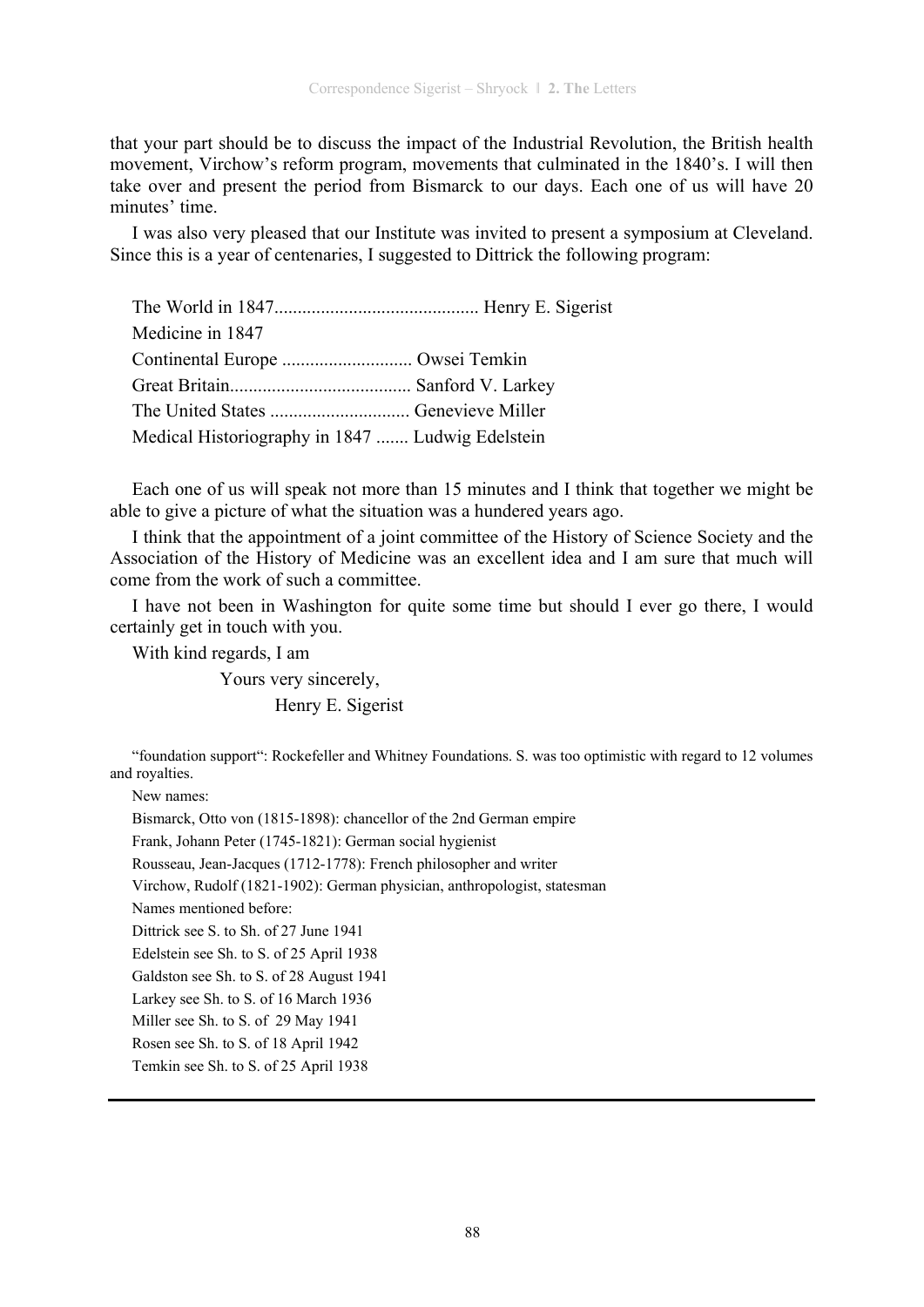that your part should be to discuss the impact of the Industrial Revolution, the British health movement, Virchow's reform program, movements that culminated in the 1840's. I will then take over and present the period from Bismarck to our days. Each one of us will have 20 minutes' time.

I was also very pleased that our Institute was invited to present a symposium at Cleveland. Since this is a year of centenaries, I suggested to Dittrick the following program:

| Medicine in 1847                                 |  |
|--------------------------------------------------|--|
| Continental Europe  Owsei Temkin                 |  |
|                                                  |  |
| The United States  Genevieve Miller              |  |
| Medical Historiography in 1847  Ludwig Edelstein |  |

Each one of us will speak not more than 15 minutes and I think that together we might be able to give a picture of what the situation was a hundered years ago.

I think that the appointment of a joint committee of the History of Science Society and the Association of the History of Medicine was an excellent idea and I am sure that much will come from the work of such a committee.

I have not been in Washington for quite some time but should I ever go there, I would certainly get in touch with you.

With kind regards, I am

 Yours very sincerely, Henry E. Sigerist

"foundation support": Rockefeller and Whitney Foundations. S. was too optimistic with regard to 12 volumes and royalties.

New names:

Bismarck, Otto von (1815-1898): chancellor of the 2nd German empire

Frank, Johann Peter (1745-1821): German social hygienist

Rousseau, Jean-Jacques (1712-1778): French philosopher and writer

Virchow, Rudolf (1821-1902): German physician, anthropologist, statesman

Names mentioned before:

Dittrick see S. to Sh. of 27 June 1941

Edelstein see Sh. to S. of 25 April 1938

Galdston see Sh. to S. of 28 August 1941

Larkey see Sh. to S. of 16 March 1936

Miller see Sh. to S. of 29 May 1941

Rosen see Sh. to S. of 18 April 1942

Temkin see Sh. to S. of 25 April 1938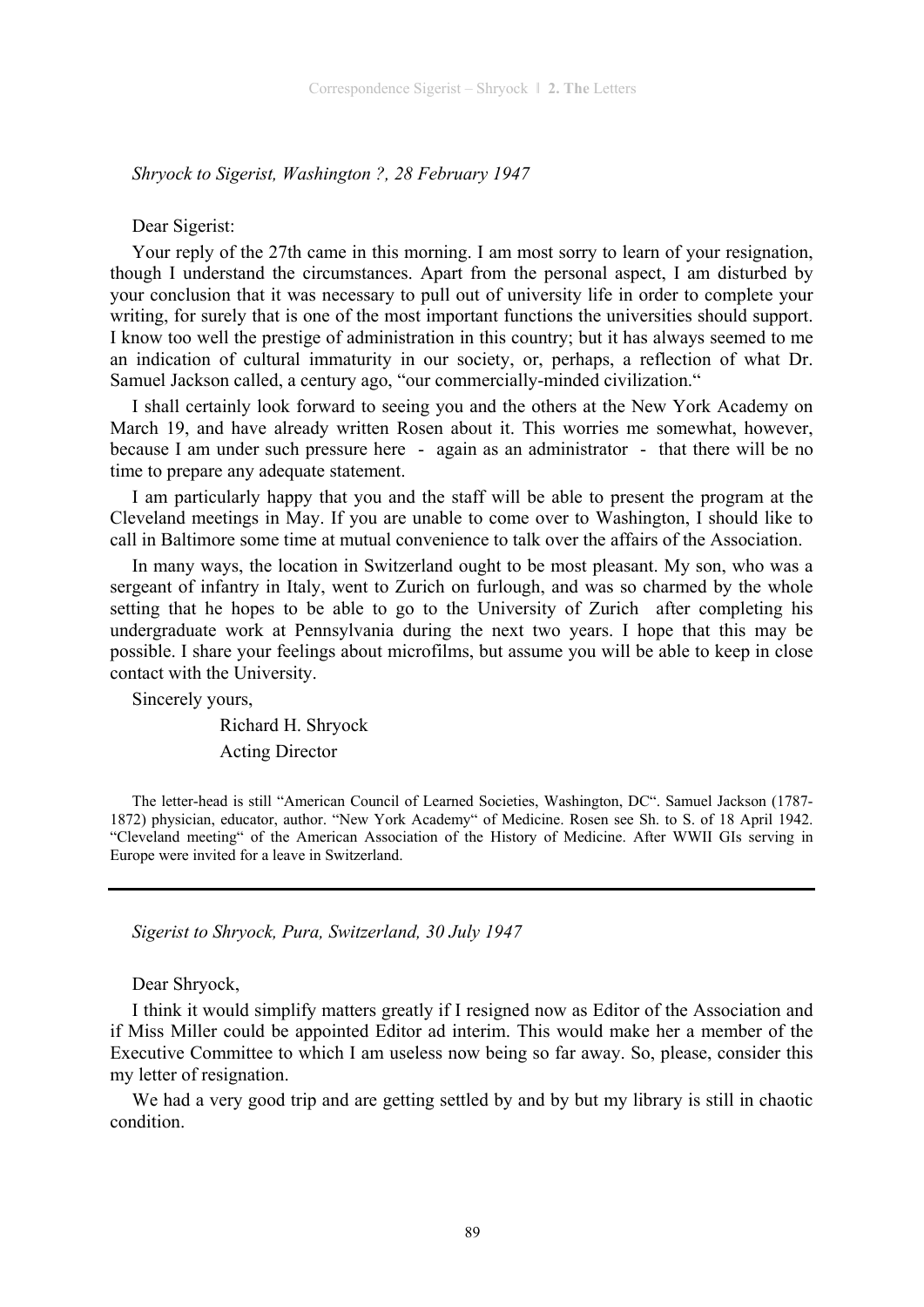*Shryock to Sigerist, Washington ?, 28 February 1947* 

#### Dear Sigerist:

Your reply of the 27th came in this morning. I am most sorry to learn of your resignation, though I understand the circumstances. Apart from the personal aspect, I am disturbed by your conclusion that it was necessary to pull out of university life in order to complete your writing, for surely that is one of the most important functions the universities should support. I know too well the prestige of administration in this country; but it has always seemed to me an indication of cultural immaturity in our society, or, perhaps, a reflection of what Dr. Samuel Jackson called, a century ago, "our commercially-minded civilization."

I shall certainly look forward to seeing you and the others at the New York Academy on March 19, and have already written Rosen about it. This worries me somewhat, however, because I am under such pressure here - again as an administrator - that there will be no time to prepare any adequate statement.

I am particularly happy that you and the staff will be able to present the program at the Cleveland meetings in May. If you are unable to come over to Washington, I should like to call in Baltimore some time at mutual convenience to talk over the affairs of the Association.

In many ways, the location in Switzerland ought to be most pleasant. My son, who was a sergeant of infantry in Italy, went to Zurich on furlough, and was so charmed by the whole setting that he hopes to be able to go to the University of Zurich after completing his undergraduate work at Pennsylvania during the next two years. I hope that this may be possible. I share your feelings about microfilms, but assume you will be able to keep in close contact with the University.

Sincerely yours,

 Richard H. Shryock Acting Director

The letter-head is still "American Council of Learned Societies, Washington, DC". Samuel Jackson (1787- 1872) physician, educator, author. "New York Academy" of Medicine. Rosen see Sh. to S. of 18 April 1942. "Cleveland meeting" of the American Association of the History of Medicine. After WWII GIs serving in Europe were invited for a leave in Switzerland.

*Sigerist to Shryock, Pura, Switzerland, 30 July 1947* 

Dear Shryock,

I think it would simplify matters greatly if I resigned now as Editor of the Association and if Miss Miller could be appointed Editor ad interim. This would make her a member of the Executive Committee to which I am useless now being so far away. So, please, consider this my letter of resignation.

We had a very good trip and are getting settled by and by but my library is still in chaotic condition.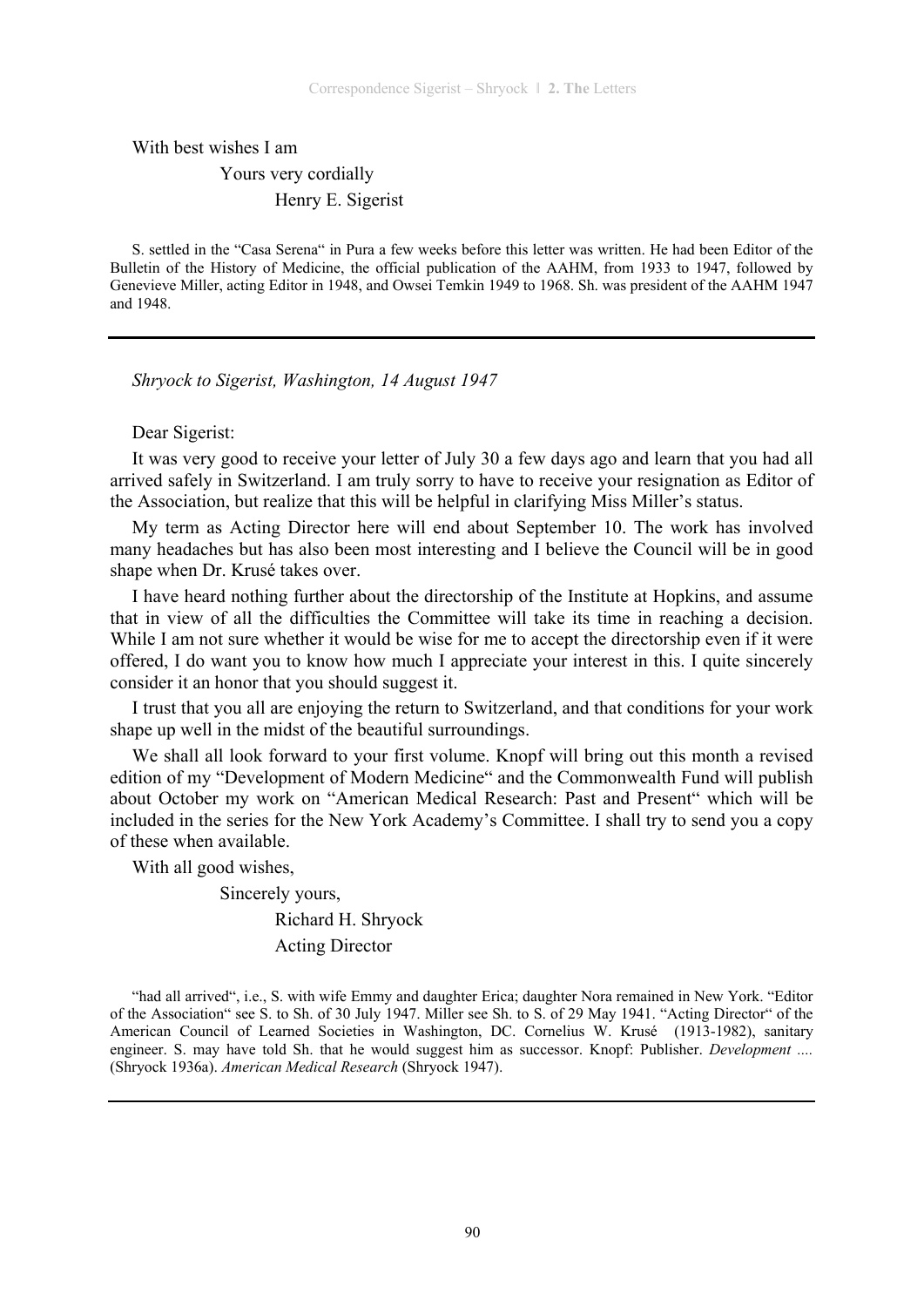With best wishes I am

# Yours very cordially Henry E. Sigerist

S. settled in the "Casa Serena" in Pura a few weeks before this letter was written. He had been Editor of the Bulletin of the History of Medicine, the official publication of the AAHM, from 1933 to 1947, followed by Genevieve Miller, acting Editor in 1948, and Owsei Temkin 1949 to 1968. Sh. was president of the AAHM 1947 and 1948.

*Shryock to Sigerist, Washington, 14 August 1947* 

## Dear Sigerist:

It was very good to receive your letter of July 30 a few days ago and learn that you had all arrived safely in Switzerland. I am truly sorry to have to receive your resignation as Editor of the Association, but realize that this will be helpful in clarifying Miss Miller's status.

My term as Acting Director here will end about September 10. The work has involved many headaches but has also been most interesting and I believe the Council will be in good shape when Dr. Krusé takes over.

I have heard nothing further about the directorship of the Institute at Hopkins, and assume that in view of all the difficulties the Committee will take its time in reaching a decision. While I am not sure whether it would be wise for me to accept the directorship even if it were offered, I do want you to know how much I appreciate your interest in this. I quite sincerely consider it an honor that you should suggest it.

I trust that you all are enjoying the return to Switzerland, and that conditions for your work shape up well in the midst of the beautiful surroundings.

We shall all look forward to your first volume. Knopf will bring out this month a revised edition of my "Development of Modern Medicine" and the Commonwealth Fund will publish about October my work on "American Medical Research: Past and Present" which will be included in the series for the New York Academy's Committee. I shall try to send you a copy of these when available.

With all good wishes,

 Sincerely yours, Richard H. Shryock Acting Director

"had all arrived", i.e., S. with wife Emmy and daughter Erica; daughter Nora remained in New York. "Editor of the Association" see S. to Sh. of 30 July 1947. Miller see Sh. to S. of 29 May 1941. "Acting Director" of the American Council of Learned Societies in Washington, DC. Cornelius W. Krusé (1913-1982), sanitary engineer. S. may have told Sh. that he would suggest him as successor. Knopf: Publisher. *Development ....*  (Shryock 1936a). *American Medical Research* (Shryock 1947).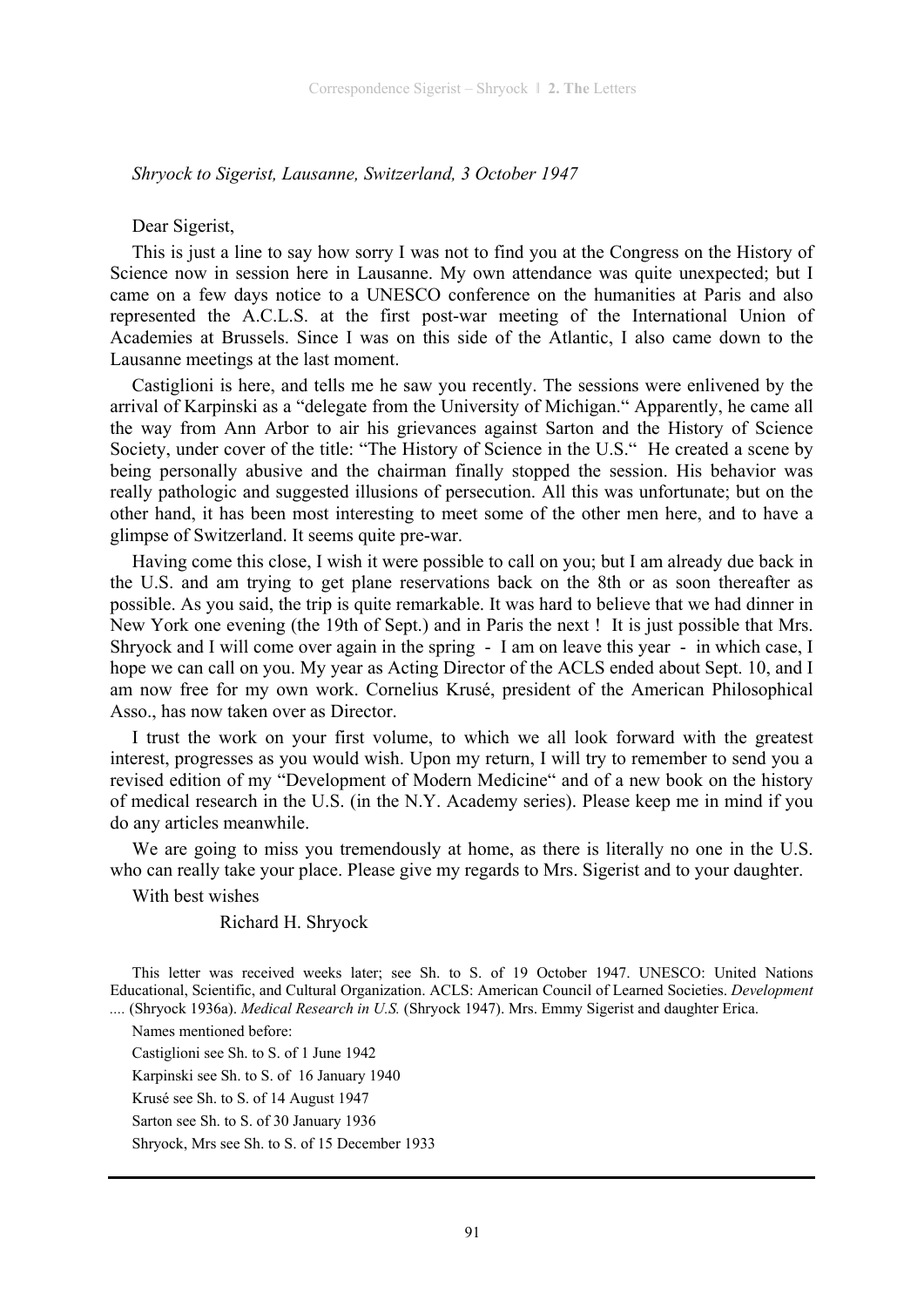*Shryock to Sigerist, Lausanne, Switzerland, 3 October 1947* 

Dear Sigerist,

This is just a line to say how sorry I was not to find you at the Congress on the History of Science now in session here in Lausanne. My own attendance was quite unexpected; but I came on a few days notice to a UNESCO conference on the humanities at Paris and also represented the A.C.L.S. at the first post-war meeting of the International Union of Academies at Brussels. Since I was on this side of the Atlantic, I also came down to the Lausanne meetings at the last moment.

Castiglioni is here, and tells me he saw you recently. The sessions were enlivened by the arrival of Karpinski as a "delegate from the University of Michigan." Apparently, he came all the way from Ann Arbor to air his grievances against Sarton and the History of Science Society, under cover of the title: "The History of Science in the U.S." He created a scene by being personally abusive and the chairman finally stopped the session. His behavior was really pathologic and suggested illusions of persecution. All this was unfortunate; but on the other hand, it has been most interesting to meet some of the other men here, and to have a glimpse of Switzerland. It seems quite pre-war.

Having come this close, I wish it were possible to call on you; but I am already due back in the U.S. and am trying to get plane reservations back on the 8th or as soon thereafter as possible. As you said, the trip is quite remarkable. It was hard to believe that we had dinner in New York one evening (the 19th of Sept.) and in Paris the next ! It is just possible that Mrs. Shryock and I will come over again in the spring - I am on leave this year - in which case, I hope we can call on you. My year as Acting Director of the ACLS ended about Sept. 10, and I am now free for my own work. Cornelius Krusé, president of the American Philosophical Asso has now taken over as Director.

I trust the work on your first volume, to which we all look forward with the greatest interest, progresses as you would wish. Upon my return, I will try to remember to send you a revised edition of my "Development of Modern Medicine" and of a new book on the history of medical research in the U.S. (in the N.Y. Academy series). Please keep me in mind if you do any articles meanwhile.

We are going to miss you tremendously at home, as there is literally no one in the U.S. who can really take your place. Please give my regards to Mrs. Sigerist and to your daughter.

With best wishes

#### Richard H. Shryock

This letter was received weeks later; see Sh. to S. of 19 October 1947. UNESCO: United Nations Educational, Scientific, and Cultural Organization. ACLS: American Council of Learned Societies. *Development ....* (Shryock 1936a). *Medical Research in U.S.* (Shryock 1947). Mrs. Emmy Sigerist and daughter Erica.

Names mentioned before: Castiglioni see Sh. to S. of 1 June 1942 Karpinski see Sh. to S. of 16 January 1940 Krusé see Sh. to S. of 14 August 1947 Sarton see Sh. to S. of 30 January 1936 Shryock, Mrs see Sh. to S. of 15 December 1933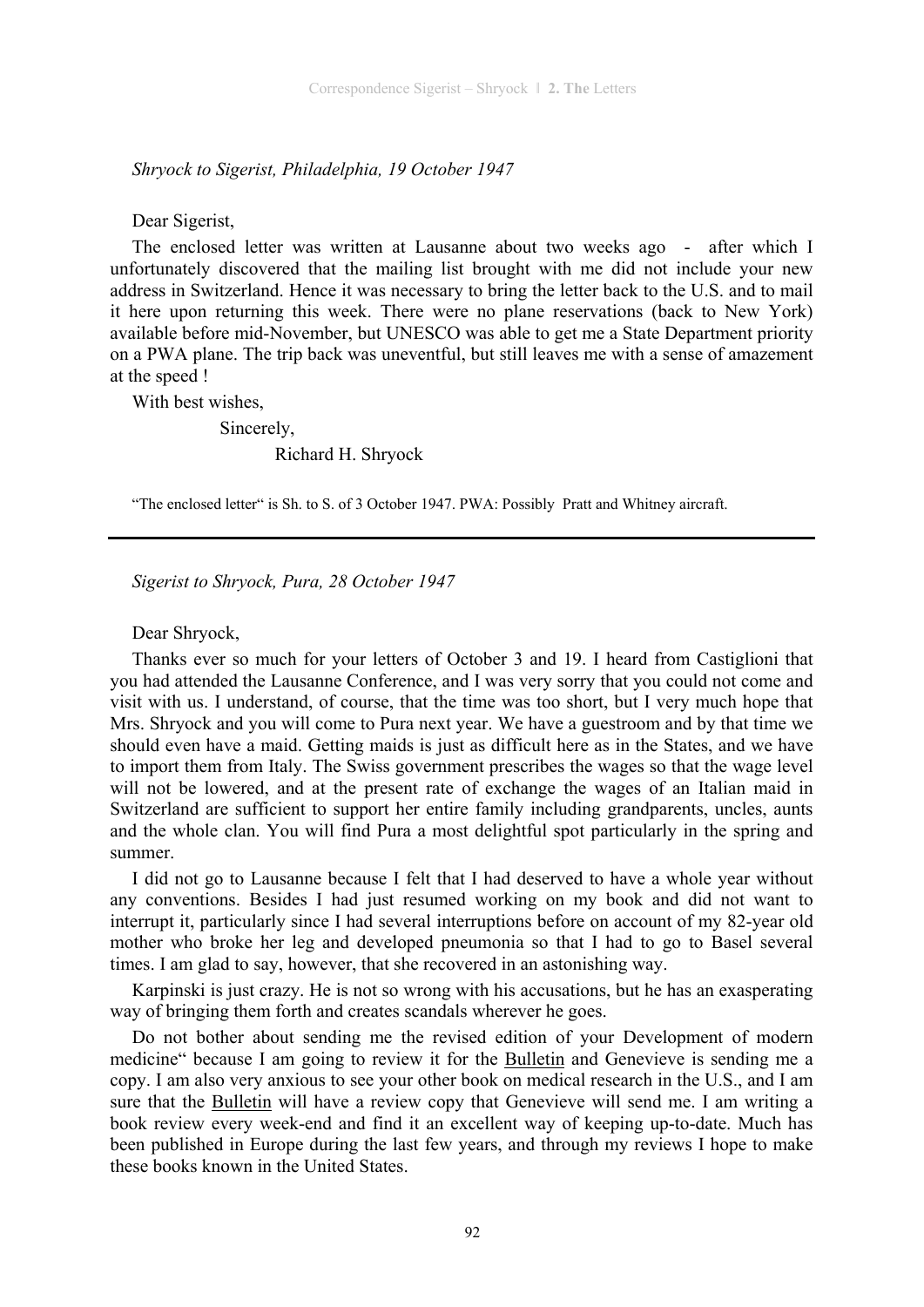*Shryock to Sigerist, Philadelphia, 19 October 1947* 

Dear Sigerist,

The enclosed letter was written at Lausanne about two weeks ago - after which I unfortunately discovered that the mailing list brought with me did not include your new address in Switzerland. Hence it was necessary to bring the letter back to the U.S. and to mail it here upon returning this week. There were no plane reservations (back to New York) available before mid-November, but UNESCO was able to get me a State Department priority on a PWA plane. The trip back was uneventful, but still leaves me with a sense of amazement at the speed !

With best wishes,

 Sincerely, Richard H. Shryock

"The enclosed letter" is Sh. to S. of 3 October 1947. PWA: Possibly Pratt and Whitney aircraft.

*Sigerist to Shryock, Pura, 28 October 1947* 

Dear Shryock,

Thanks ever so much for your letters of October 3 and 19. I heard from Castiglioni that you had attended the Lausanne Conference, and I was very sorry that you could not come and visit with us. I understand, of course, that the time was too short, but I very much hope that Mrs. Shryock and you will come to Pura next year. We have a guestroom and by that time we should even have a maid. Getting maids is just as difficult here as in the States, and we have to import them from Italy. The Swiss government prescribes the wages so that the wage level will not be lowered, and at the present rate of exchange the wages of an Italian maid in Switzerland are sufficient to support her entire family including grandparents, uncles, aunts and the whole clan. You will find Pura a most delightful spot particularly in the spring and summer.

I did not go to Lausanne because I felt that I had deserved to have a whole year without any conventions. Besides I had just resumed working on my book and did not want to interrupt it, particularly since I had several interruptions before on account of my 82-year old mother who broke her leg and developed pneumonia so that I had to go to Basel several times. I am glad to say, however, that she recovered in an astonishing way.

Karpinski is just crazy. He is not so wrong with his accusations, but he has an exasperating way of bringing them forth and creates scandals wherever he goes.

Do not bother about sending me the revised edition of your Development of modern medicine" because I am going to review it for the Bulletin and Genevieve is sending me a copy. I am also very anxious to see your other book on medical research in the U.S., and I am sure that the Bulletin will have a review copy that Genevieve will send me. I am writing a book review every week-end and find it an excellent way of keeping up-to-date. Much has been published in Europe during the last few years, and through my reviews I hope to make these books known in the United States.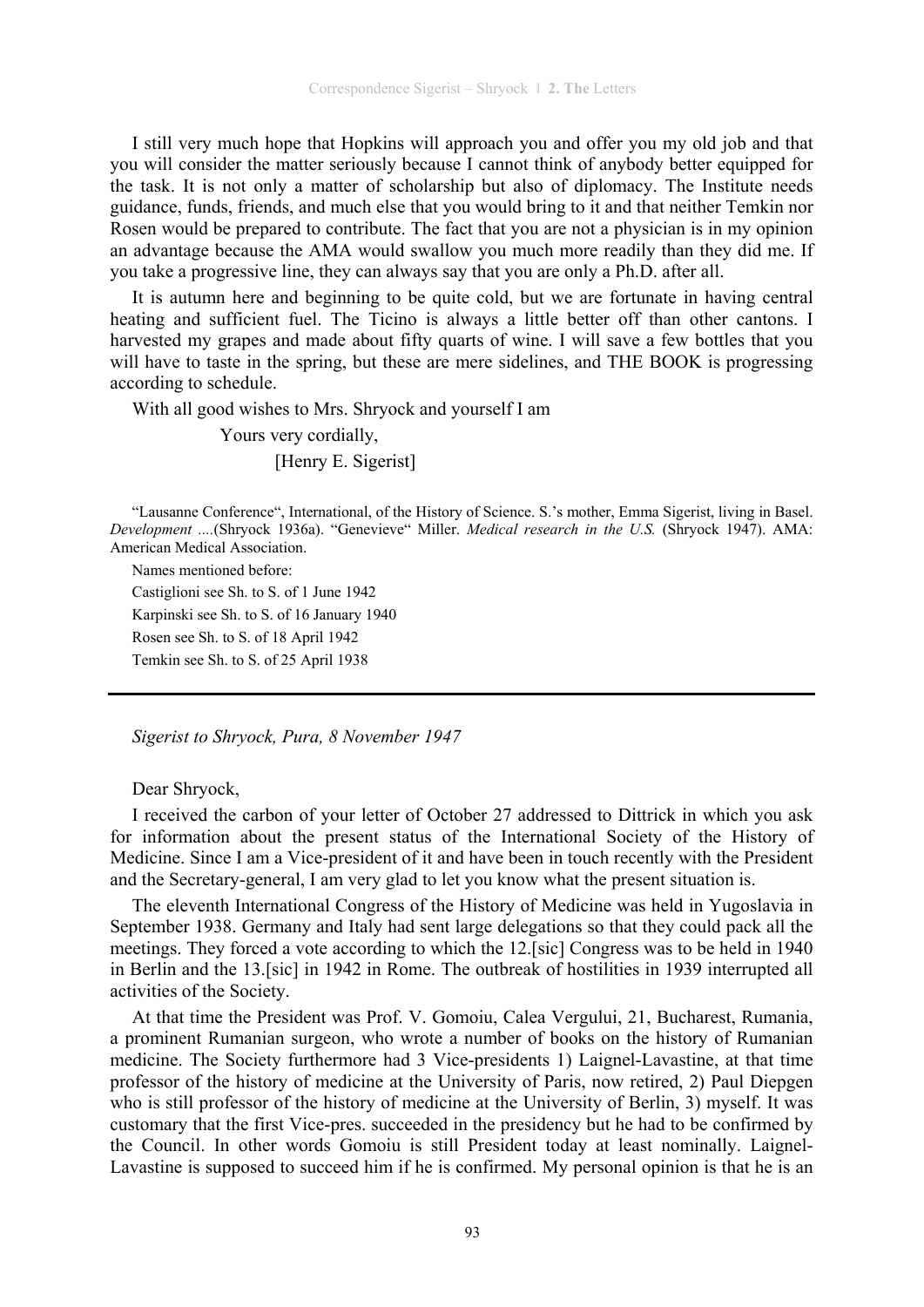I still very much hope that Hopkins will approach you and offer you my old job and that you will consider the matter seriously because I cannot think of anybody better equipped for the task. It is not only a matter of scholarship but also of diplomacy. The Institute needs guidance, funds, friends, and much else that you would bring to it and that neither Temkin nor Rosen would be prepared to contribute. The fact that you are not a physician is in my opinion an advantage because the AMA would swallow you much more readily than they did me. If you take a progressive line, they can always say that you are only a Ph.D. after all.

It is autumn here and beginning to be quite cold, but we are fortunate in having central heating and sufficient fuel. The Ticino is always a little better off than other cantons. I harvested my grapes and made about fifty quarts of wine. I will save a few bottles that you will have to taste in the spring, but these are mere sidelines, and THE BOOK is progressing according to schedule.

With all good wishes to Mrs. Shryock and yourself I am

 Yours very cordially, [Henry E. Sigerist]

"Lausanne Conference", International, of the History of Science. S.'s mother, Emma Sigerist, living in Basel. *Development ....*(Shryock 1936a). "Genevieve" Miller. *Medical research in the U.S.* (Shryock 1947). AMA: American Medical Association.

Names mentioned before:

Castiglioni see Sh. to S. of 1 June 1942 Karpinski see Sh. to S. of 16 January 1940 Rosen see Sh. to S. of 18 April 1942 Temkin see Sh. to S. of 25 April 1938

*Sigerist to Shryock, Pura, 8 November 1947* 

Dear Shryock,

I received the carbon of your letter of October 27 addressed to Dittrick in which you ask for information about the present status of the International Society of the History of Medicine. Since I am a Vice-president of it and have been in touch recently with the President and the Secretary-general, I am very glad to let you know what the present situation is.

The eleventh International Congress of the History of Medicine was held in Yugoslavia in September 1938. Germany and Italy had sent large delegations so that they could pack all the meetings. They forced a vote according to which the 12.[sic] Congress was to be held in 1940 in Berlin and the 13.[sic] in 1942 in Rome. The outbreak of hostilities in 1939 interrupted all activities of the Society.

At that time the President was Prof. V. Gomoiu, Calea Vergului, 21, Bucharest, Rumania, a prominent Rumanian surgeon, who wrote a number of books on the history of Rumanian medicine. The Society furthermore had 3 Vice-presidents 1) Laignel-Lavastine, at that time professor of the history of medicine at the University of Paris, now retired, 2) Paul Diepgen who is still professor of the history of medicine at the University of Berlin, 3) myself. It was customary that the first Vice-pres. succeeded in the presidency but he had to be confirmed by the Council. In other words Gomoiu is still President today at least nominally. Laignel-Lavastine is supposed to succeed him if he is confirmed. My personal opinion is that he is an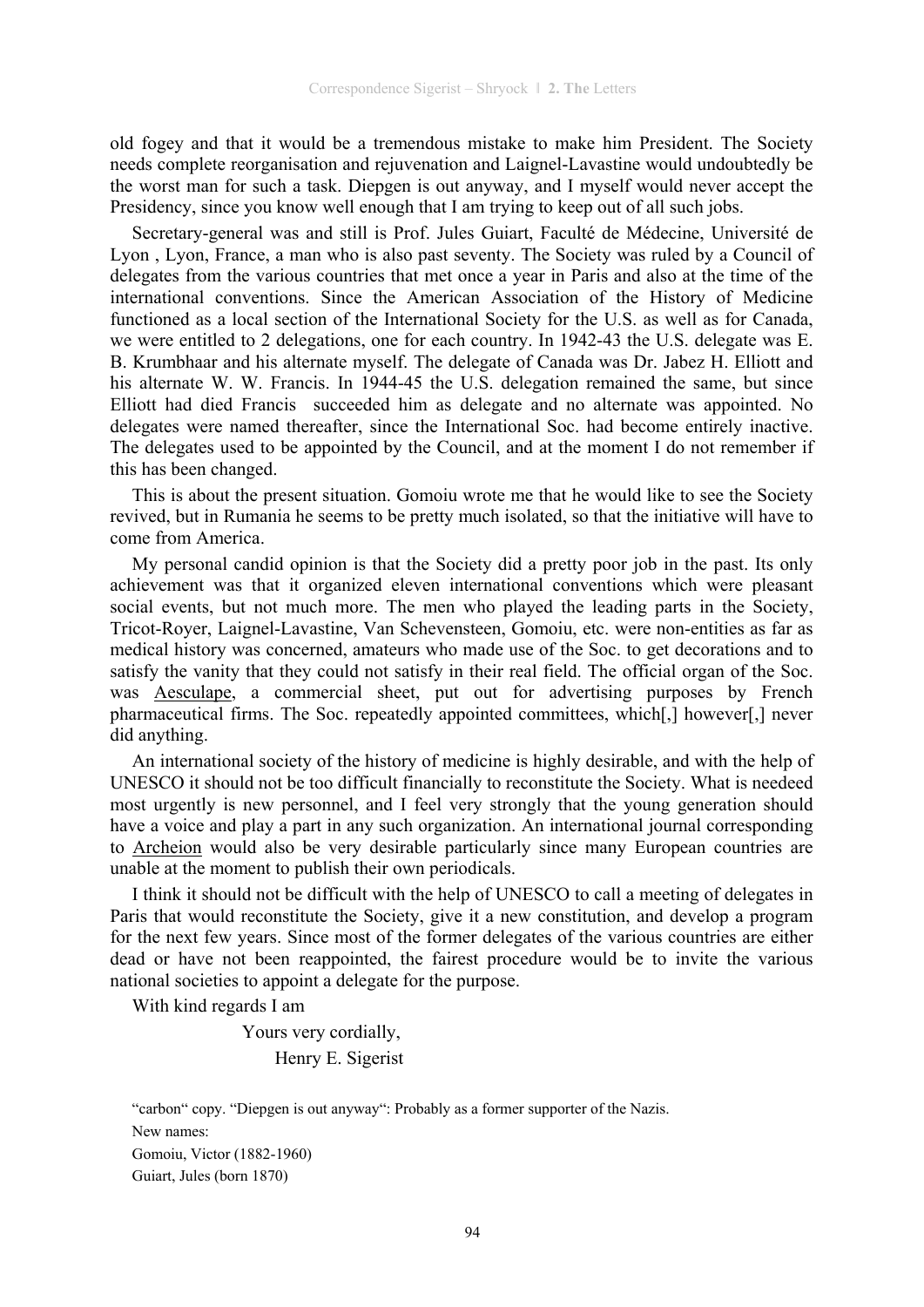old fogey and that it would be a tremendous mistake to make him President. The Society needs complete reorganisation and rejuvenation and Laignel-Lavastine would undoubtedly be the worst man for such a task. Diepgen is out anyway, and I myself would never accept the Presidency, since you know well enough that I am trying to keep out of all such jobs.

Secretary-general was and still is Prof. Jules Guiart, Faculté de Médecine, Université de Lyon , Lyon, France, a man who is also past seventy. The Society was ruled by a Council of delegates from the various countries that met once a year in Paris and also at the time of the international conventions. Since the American Association of the History of Medicine functioned as a local section of the International Society for the U.S. as well as for Canada, we were entitled to 2 delegations, one for each country. In 1942-43 the U.S. delegate was E. B. Krumbhaar and his alternate myself. The delegate of Canada was Dr. Jabez H. Elliott and his alternate W. W. Francis. In 1944-45 the U.S. delegation remained the same, but since Elliott had died Francis succeeded him as delegate and no alternate was appointed. No delegates were named thereafter, since the International Soc. had become entirely inactive. The delegates used to be appointed by the Council, and at the moment I do not remember if this has been changed.

This is about the present situation. Gomoiu wrote me that he would like to see the Society revived, but in Rumania he seems to be pretty much isolated, so that the initiative will have to come from America.

My personal candid opinion is that the Society did a pretty poor job in the past. Its only achievement was that it organized eleven international conventions which were pleasant social events, but not much more. The men who played the leading parts in the Society, Tricot-Royer, Laignel-Lavastine, Van Schevensteen, Gomoiu, etc. were non-entities as far as medical history was concerned, amateurs who made use of the Soc. to get decorations and to satisfy the vanity that they could not satisfy in their real field. The official organ of the Soc. was Aesculape, a commercial sheet, put out for advertising purposes by French pharmaceutical firms. The Soc. repeatedly appointed committees, which[,] however[,] never did anything.

An international society of the history of medicine is highly desirable, and with the help of UNESCO it should not be too difficult financially to reconstitute the Society. What is needeed most urgently is new personnel, and I feel very strongly that the young generation should have a voice and play a part in any such organization. An international journal corresponding to Archeion would also be very desirable particularly since many European countries are unable at the moment to publish their own periodicals.

I think it should not be difficult with the help of UNESCO to call a meeting of delegates in Paris that would reconstitute the Society, give it a new constitution, and develop a program for the next few years. Since most of the former delegates of the various countries are either dead or have not been reappointed, the fairest procedure would be to invite the various national societies to appoint a delegate for the purpose.

With kind regards I am

 Yours very cordially, Henry E. Sigerist

"carbon" copy. "Diepgen is out anyway": Probably as a former supporter of the Nazis. New names: Gomoiu, Victor (1882-1960) Guiart, Jules (born 1870)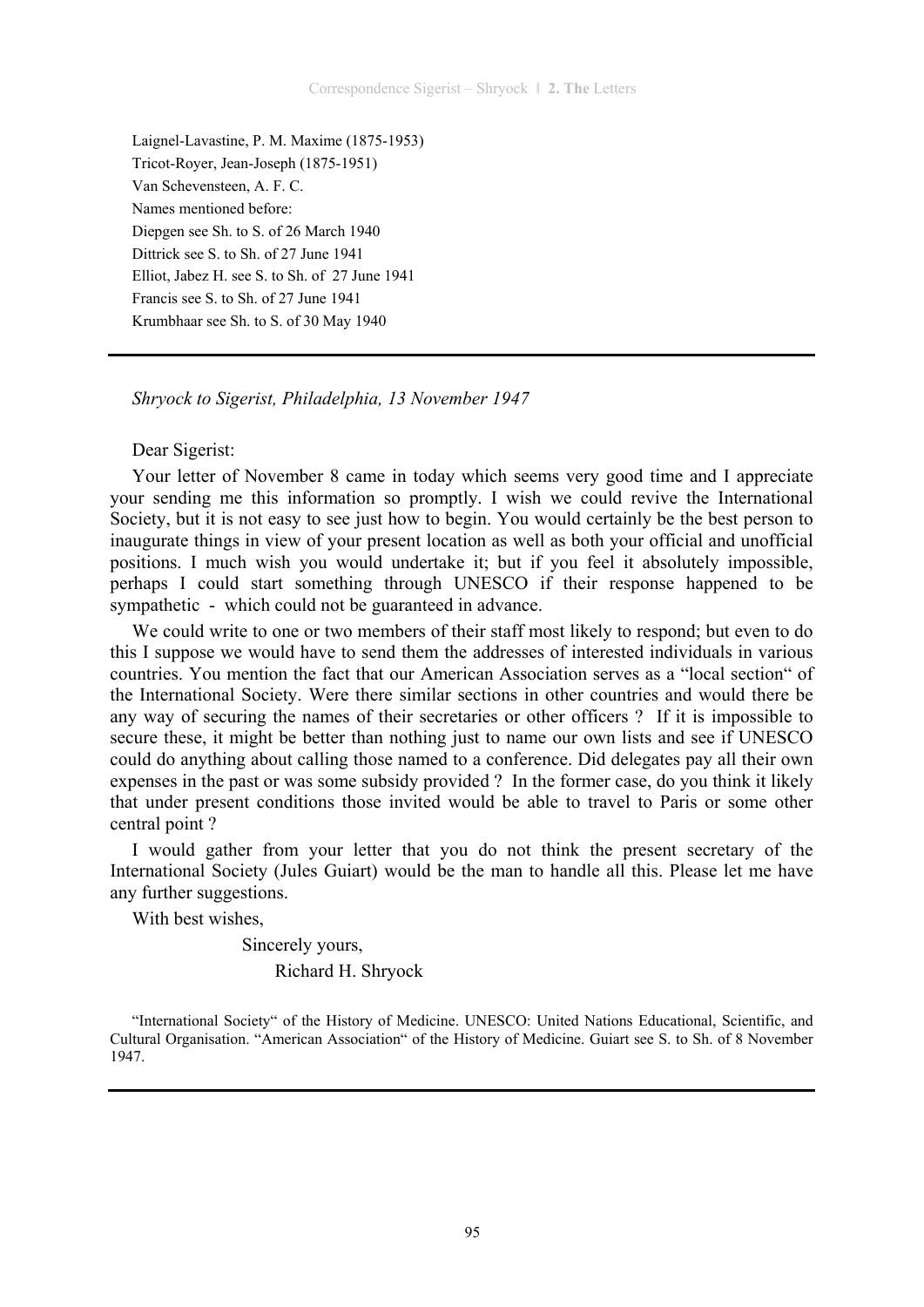Laignel-Lavastine, P. M. Maxime (1875-1953) Tricot-Royer, Jean-Joseph (1875-1951) Van Schevensteen, A. F. C. Names mentioned before: Diepgen see Sh. to S. of 26 March 1940 Dittrick see S. to Sh. of 27 June 1941 Elliot, Jabez H. see S. to Sh. of 27 June 1941 Francis see S. to Sh. of 27 June 1941 Krumbhaar see Sh. to S. of 30 May 1940

*Shryock to Sigerist, Philadelphia, 13 November 1947* 

## Dear Sigerist:

Your letter of November 8 came in today which seems very good time and I appreciate your sending me this information so promptly. I wish we could revive the International Society, but it is not easy to see just how to begin. You would certainly be the best person to inaugurate things in view of your present location as well as both your official and unofficial positions. I much wish you would undertake it; but if you feel it absolutely impossible, perhaps I could start something through UNESCO if their response happened to be sympathetic - which could not be guaranteed in advance.

We could write to one or two members of their staff most likely to respond; but even to do this I suppose we would have to send them the addresses of interested individuals in various countries. You mention the fact that our American Association serves as a "local section" of the International Society. Were there similar sections in other countries and would there be any way of securing the names of their secretaries or other officers ? If it is impossible to secure these, it might be better than nothing just to name our own lists and see if UNESCO could do anything about calling those named to a conference. Did delegates pay all their own expenses in the past or was some subsidy provided ? In the former case, do you think it likely that under present conditions those invited would be able to travel to Paris or some other central point ?

I would gather from your letter that you do not think the present secretary of the International Society (Jules Guiart) would be the man to handle all this. Please let me have any further suggestions.

With best wishes,

 Sincerely yours, Richard H. Shryock

"International Society" of the History of Medicine. UNESCO: United Nations Educational, Scientific, and Cultural Organisation. "American Association" of the History of Medicine. Guiart see S. to Sh. of 8 November 1947.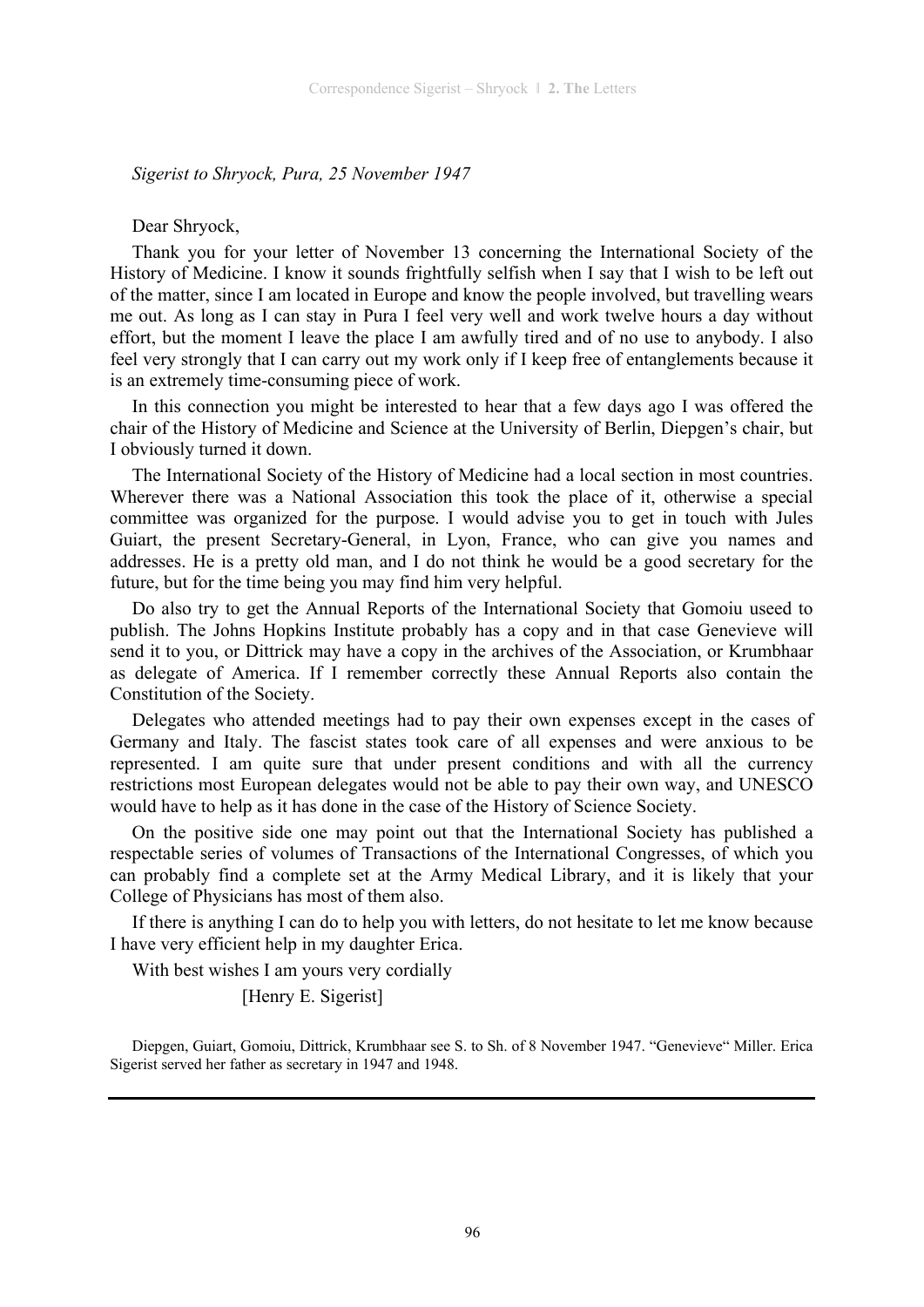*Sigerist to Shryock, Pura, 25 November 1947* 

#### Dear Shryock,

Thank you for your letter of November 13 concerning the International Society of the History of Medicine. I know it sounds frightfully selfish when I say that I wish to be left out of the matter, since I am located in Europe and know the people involved, but travelling wears me out. As long as I can stay in Pura I feel very well and work twelve hours a day without effort, but the moment I leave the place I am awfully tired and of no use to anybody. I also feel very strongly that I can carry out my work only if I keep free of entanglements because it is an extremely time-consuming piece of work.

In this connection you might be interested to hear that a few days ago I was offered the chair of the History of Medicine and Science at the University of Berlin, Diepgen's chair, but I obviously turned it down.

The International Society of the History of Medicine had a local section in most countries. Wherever there was a National Association this took the place of it, otherwise a special committee was organized for the purpose. I would advise you to get in touch with Jules Guiart, the present Secretary-General, in Lyon, France, who can give you names and addresses. He is a pretty old man, and I do not think he would be a good secretary for the future, but for the time being you may find him very helpful.

Do also try to get the Annual Reports of the International Society that Gomoiu useed to publish. The Johns Hopkins Institute probably has a copy and in that case Genevieve will send it to you, or Dittrick may have a copy in the archives of the Association, or Krumbhaar as delegate of America. If I remember correctly these Annual Reports also contain the Constitution of the Society.

Delegates who attended meetings had to pay their own expenses except in the cases of Germany and Italy. The fascist states took care of all expenses and were anxious to be represented. I am quite sure that under present conditions and with all the currency restrictions most European delegates would not be able to pay their own way, and UNESCO would have to help as it has done in the case of the History of Science Society.

On the positive side one may point out that the International Society has published a respectable series of volumes of Transactions of the International Congresses, of which you can probably find a complete set at the Army Medical Library, and it is likely that your College of Physicians has most of them also.

If there is anything I can do to help you with letters, do not hesitate to let me know because I have very efficient help in my daughter Erica.

With best wishes I am yours very cordially

[Henry E. Sigerist]

Diepgen, Guiart, Gomoiu, Dittrick, Krumbhaar see S. to Sh. of 8 November 1947. "Genevieve" Miller. Erica Sigerist served her father as secretary in 1947 and 1948.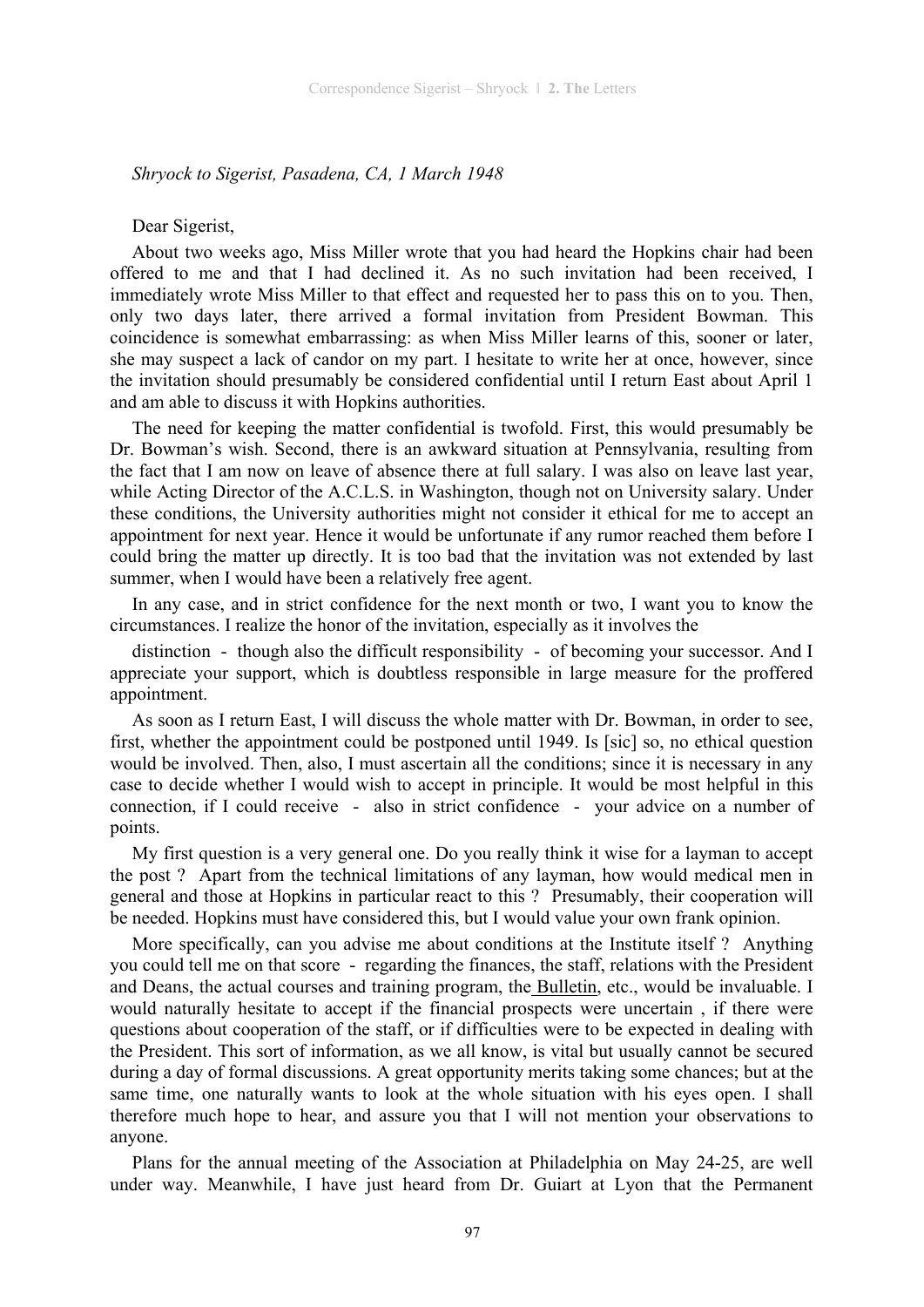*Shryock to Sigerist, Pasadena, CA, 1 March 1948* 

#### Dear Sigerist,

About two weeks ago, Miss Miller wrote that you had heard the Hopkins chair had been offered to me and that I had declined it. As no such invitation had been received, I immediately wrote Miss Miller to that effect and requested her to pass this on to you. Then, only two days later, there arrived a formal invitation from President Bowman. This coincidence is somewhat embarrassing: as when Miss Miller learns of this, sooner or later, she may suspect a lack of candor on my part. I hesitate to write her at once, however, since the invitation should presumably be considered confidential until I return East about April 1 and am able to discuss it with Hopkins authorities.

The need for keeping the matter confidential is twofold. First, this would presumably be Dr. Bowman's wish. Second, there is an awkward situation at Pennsylvania, resulting from the fact that I am now on leave of absence there at full salary. I was also on leave last year, while Acting Director of the A.C.L.S. in Washington, though not on University salary. Under these conditions, the University authorities might not consider it ethical for me to accept an appointment for next year. Hence it would be unfortunate if any rumor reached them before I could bring the matter up directly. It is too bad that the invitation was not extended by last summer, when I would have been a relatively free agent.

In any case, and in strict confidence for the next month or two, I want you to know the circumstances. I realize the honor of the invitation, especially as it involves the

distinction - though also the difficult responsibility - of becoming your successor. And I appreciate your support, which is doubtless responsible in large measure for the proffered appointment.

As soon as I return East, I will discuss the whole matter with Dr. Bowman, in order to see, first, whether the appointment could be postponed until 1949. Is [sic] so, no ethical question would be involved. Then, also, I must ascertain all the conditions; since it is necessary in any case to decide whether I would wish to accept in principle. It would be most helpful in this connection, if I could receive - also in strict confidence - your advice on a number of points.

My first question is a very general one. Do you really think it wise for a layman to accept the post ? Apart from the technical limitations of any layman, how would medical men in general and those at Hopkins in particular react to this ? Presumably, their cooperation will be needed. Hopkins must have considered this, but I would value your own frank opinion.

More specifically, can you advise me about conditions at the Institute itself ? Anything you could tell me on that score - regarding the finances, the staff, relations with the President and Deans, the actual courses and training program, the Bulletin, etc., would be invaluable. I would naturally hesitate to accept if the financial prospects were uncertain , if there were questions about cooperation of the staff, or if difficulties were to be expected in dealing with the President. This sort of information, as we all know, is vital but usually cannot be secured during a day of formal discussions. A great opportunity merits taking some chances; but at the same time, one naturally wants to look at the whole situation with his eyes open. I shall therefore much hope to hear, and assure you that I will not mention your observations to anyone.

Plans for the annual meeting of the Association at Philadelphia on May 24-25, are well under way. Meanwhile, I have just heard from Dr. Guiart at Lyon that the Permanent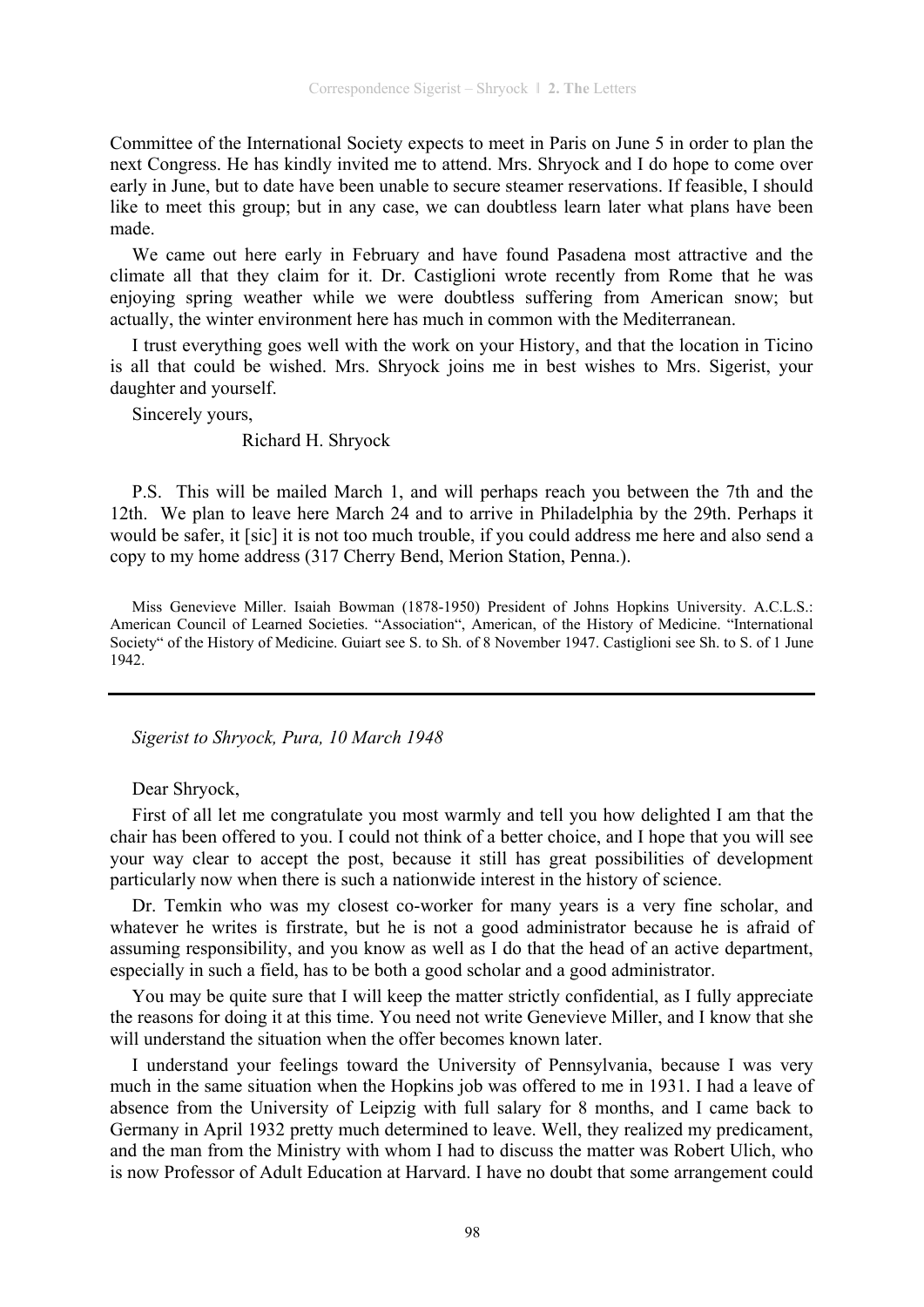Committee of the International Society expects to meet in Paris on June 5 in order to plan the next Congress. He has kindly invited me to attend. Mrs. Shryock and I do hope to come over early in June, but to date have been unable to secure steamer reservations. If feasible, I should like to meet this group; but in any case, we can doubtless learn later what plans have been made.

We came out here early in February and have found Pasadena most attractive and the climate all that they claim for it. Dr. Castiglioni wrote recently from Rome that he was enjoying spring weather while we were doubtless suffering from American snow; but actually, the winter environment here has much in common with the Mediterranean.

I trust everything goes well with the work on your History, and that the location in Ticino is all that could be wished. Mrs. Shryock joins me in best wishes to Mrs. Sigerist, your daughter and yourself.

Sincerely yours,

## Richard H. Shryock

P.S. This will be mailed March 1, and will perhaps reach you between the 7th and the 12th. We plan to leave here March 24 and to arrive in Philadelphia by the 29th. Perhaps it would be safer, it [sic] it is not too much trouble, if you could address me here and also send a copy to my home address (317 Cherry Bend, Merion Station, Penna.).

Miss Genevieve Miller. Isaiah Bowman (1878-1950) President of Johns Hopkins University. A.C.L.S.: American Council of Learned Societies. "Association", American, of the History of Medicine. "International Society" of the History of Medicine. Guiart see S. to Sh. of 8 November 1947. Castiglioni see Sh. to S. of 1 June 1942.

*Sigerist to Shryock, Pura, 10 March 1948* 

# Dear Shryock,

First of all let me congratulate you most warmly and tell you how delighted I am that the chair has been offered to you. I could not think of a better choice, and I hope that you will see your way clear to accept the post, because it still has great possibilities of development particularly now when there is such a nationwide interest in the history of science.

Dr. Temkin who was my closest co-worker for many years is a very fine scholar, and whatever he writes is firstrate, but he is not a good administrator because he is afraid of assuming responsibility, and you know as well as I do that the head of an active department, especially in such a field, has to be both a good scholar and a good administrator.

You may be quite sure that I will keep the matter strictly confidential, as I fully appreciate the reasons for doing it at this time. You need not write Genevieve Miller, and I know that she will understand the situation when the offer becomes known later.

I understand your feelings toward the University of Pennsylvania, because I was very much in the same situation when the Hopkins job was offered to me in 1931. I had a leave of absence from the University of Leipzig with full salary for 8 months, and I came back to Germany in April 1932 pretty much determined to leave. Well, they realized my predicament, and the man from the Ministry with whom I had to discuss the matter was Robert Ulich, who is now Professor of Adult Education at Harvard. I have no doubt that some arrangement could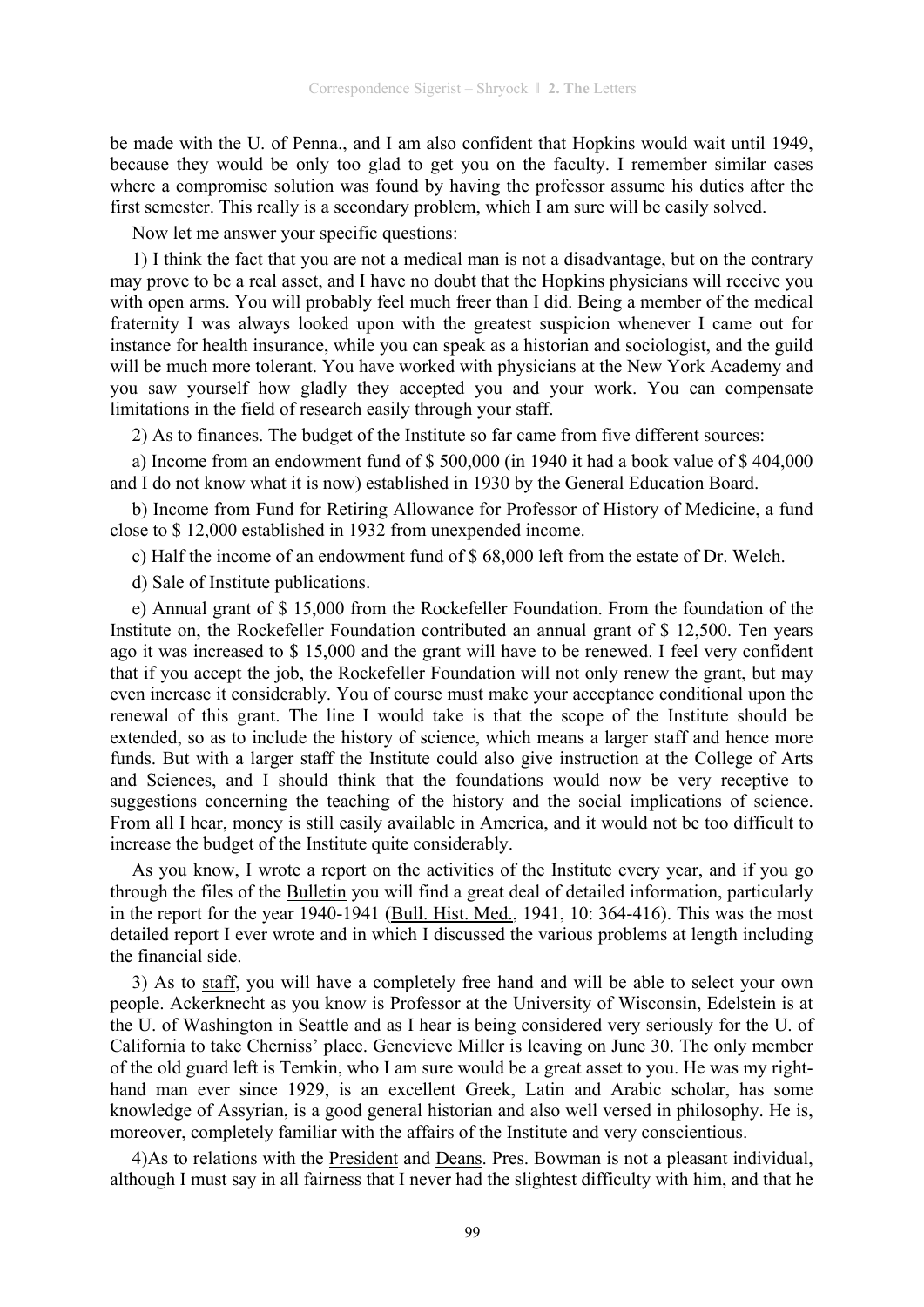be made with the U. of Penna., and I am also confident that Hopkins would wait until 1949, because they would be only too glad to get you on the faculty. I remember similar cases where a compromise solution was found by having the professor assume his duties after the first semester. This really is a secondary problem, which I am sure will be easily solved.

Now let me answer your specific questions:

1) I think the fact that you are not a medical man is not a disadvantage, but on the contrary may prove to be a real asset, and I have no doubt that the Hopkins physicians will receive you with open arms. You will probably feel much freer than I did. Being a member of the medical fraternity I was always looked upon with the greatest suspicion whenever I came out for instance for health insurance, while you can speak as a historian and sociologist, and the guild will be much more tolerant. You have worked with physicians at the New York Academy and you saw yourself how gladly they accepted you and your work. You can compensate limitations in the field of research easily through your staff.

2) As to finances. The budget of the Institute so far came from five different sources:

a) Income from an endowment fund of \$ 500,000 (in 1940 it had a book value of \$ 404,000 and I do not know what it is now) established in 1930 by the General Education Board.

b) Income from Fund for Retiring Allowance for Professor of History of Medicine, a fund close to \$ 12,000 established in 1932 from unexpended income.

c) Half the income of an endowment fund of \$ 68,000 left from the estate of Dr. Welch.

d) Sale of Institute publications.

e) Annual grant of \$ 15,000 from the Rockefeller Foundation. From the foundation of the Institute on, the Rockefeller Foundation contributed an annual grant of \$ 12,500. Ten years ago it was increased to \$ 15,000 and the grant will have to be renewed. I feel very confident that if you accept the job, the Rockefeller Foundation will not only renew the grant, but may even increase it considerably. You of course must make your acceptance conditional upon the renewal of this grant. The line I would take is that the scope of the Institute should be extended, so as to include the history of science, which means a larger staff and hence more funds. But with a larger staff the Institute could also give instruction at the College of Arts and Sciences, and I should think that the foundations would now be very receptive to suggestions concerning the teaching of the history and the social implications of science. From all I hear, money is still easily available in America, and it would not be too difficult to increase the budget of the Institute quite considerably.

As you know, I wrote a report on the activities of the Institute every year, and if you go through the files of the Bulletin you will find a great deal of detailed information, particularly in the report for the year 1940-1941 (Bull. Hist. Med., 1941, 10: 364-416). This was the most detailed report I ever wrote and in which I discussed the various problems at length including the financial side.

3) As to staff, you will have a completely free hand and will be able to select your own people. Ackerknecht as you know is Professor at the University of Wisconsin, Edelstein is at the U. of Washington in Seattle and as I hear is being considered very seriously for the U. of California to take Cherniss' place. Genevieve Miller is leaving on June 30. The only member of the old guard left is Temkin, who I am sure would be a great asset to you. He was my righthand man ever since 1929, is an excellent Greek, Latin and Arabic scholar, has some knowledge of Assyrian, is a good general historian and also well versed in philosophy. He is, moreover, completely familiar with the affairs of the Institute and very conscientious.

4)As to relations with the President and Deans. Pres. Bowman is not a pleasant individual, although I must say in all fairness that I never had the slightest difficulty with him, and that he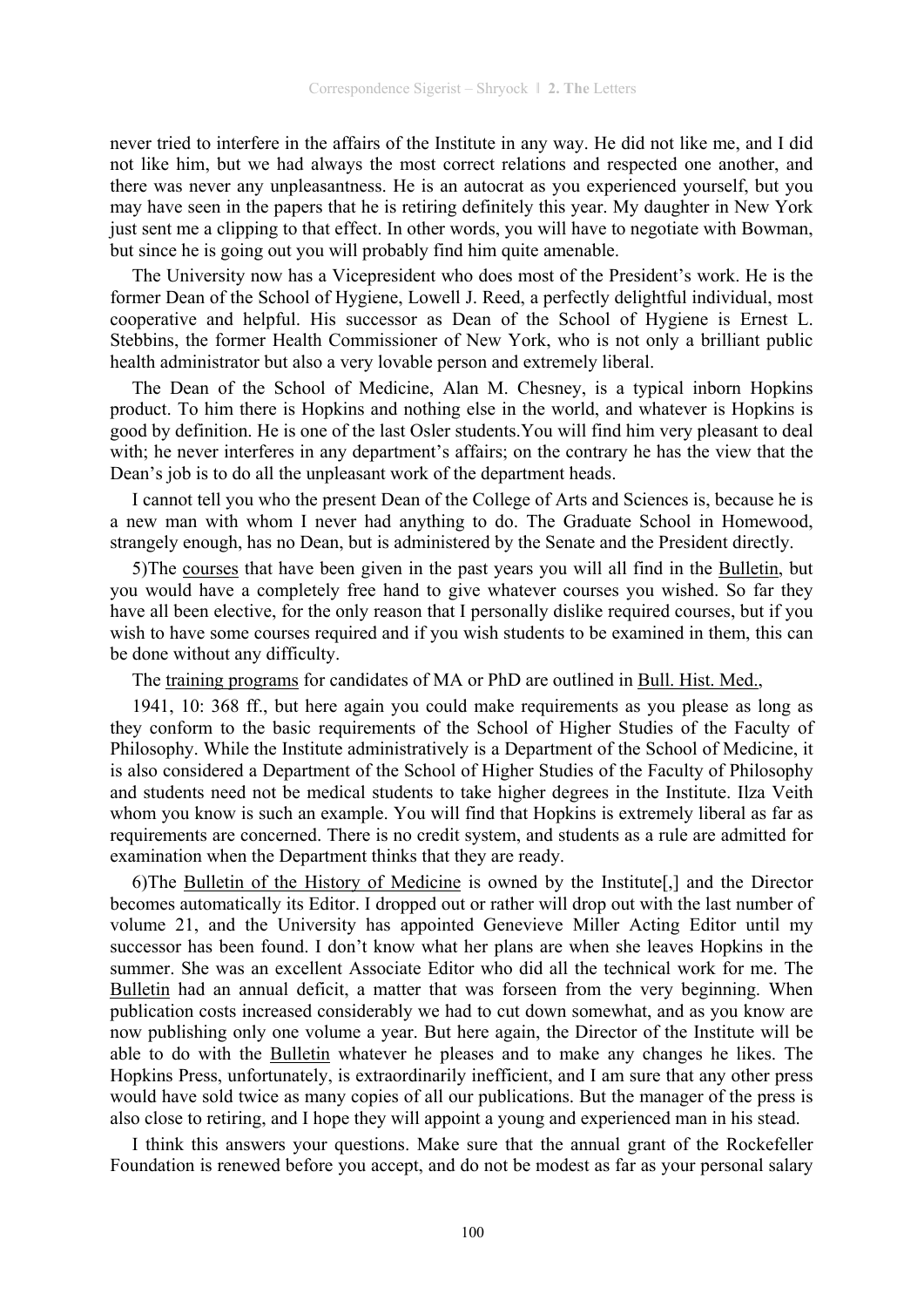never tried to interfere in the affairs of the Institute in any way. He did not like me, and I did not like him, but we had always the most correct relations and respected one another, and there was never any unpleasantness. He is an autocrat as you experienced yourself, but you may have seen in the papers that he is retiring definitely this year. My daughter in New York just sent me a clipping to that effect. In other words, you will have to negotiate with Bowman, but since he is going out you will probably find him quite amenable.

The University now has a Vicepresident who does most of the President's work. He is the former Dean of the School of Hygiene, Lowell J. Reed, a perfectly delightful individual, most cooperative and helpful. His successor as Dean of the School of Hygiene is Ernest L. Stebbins, the former Health Commissioner of New York, who is not only a brilliant public health administrator but also a very lovable person and extremely liberal.

The Dean of the School of Medicine, Alan M. Chesney, is a typical inborn Hopkins product. To him there is Hopkins and nothing else in the world, and whatever is Hopkins is good by definition. He is one of the last Osler students.You will find him very pleasant to deal with; he never interferes in any department's affairs; on the contrary he has the view that the Dean's job is to do all the unpleasant work of the department heads.

I cannot tell you who the present Dean of the College of Arts and Sciences is, because he is a new man with whom I never had anything to do. The Graduate School in Homewood, strangely enough, has no Dean, but is administered by the Senate and the President directly.

5)The courses that have been given in the past years you will all find in the Bulletin, but you would have a completely free hand to give whatever courses you wished. So far they have all been elective, for the only reason that I personally dislike required courses, but if you wish to have some courses required and if you wish students to be examined in them, this can be done without any difficulty.

The training programs for candidates of MA or PhD are outlined in Bull. Hist. Med.,

1941, 10: 368 ff., but here again you could make requirements as you please as long as they conform to the basic requirements of the School of Higher Studies of the Faculty of Philosophy. While the Institute administratively is a Department of the School of Medicine, it is also considered a Department of the School of Higher Studies of the Faculty of Philosophy and students need not be medical students to take higher degrees in the Institute. Ilza Veith whom you know is such an example. You will find that Hopkins is extremely liberal as far as requirements are concerned. There is no credit system, and students as a rule are admitted for examination when the Department thinks that they are ready.

6)The Bulletin of the History of Medicine is owned by the Institute[,] and the Director becomes automatically its Editor. I dropped out or rather will drop out with the last number of volume 21, and the University has appointed Genevieve Miller Acting Editor until my successor has been found. I don't know what her plans are when she leaves Hopkins in the summer. She was an excellent Associate Editor who did all the technical work for me. The Bulletin had an annual deficit, a matter that was forseen from the very beginning. When publication costs increased considerably we had to cut down somewhat, and as you know are now publishing only one volume a year. But here again, the Director of the Institute will be able to do with the Bulletin whatever he pleases and to make any changes he likes. The Hopkins Press, unfortunately, is extraordinarily inefficient, and I am sure that any other press would have sold twice as many copies of all our publications. But the manager of the press is also close to retiring, and I hope they will appoint a young and experienced man in his stead.

I think this answers your questions. Make sure that the annual grant of the Rockefeller Foundation is renewed before you accept, and do not be modest as far as your personal salary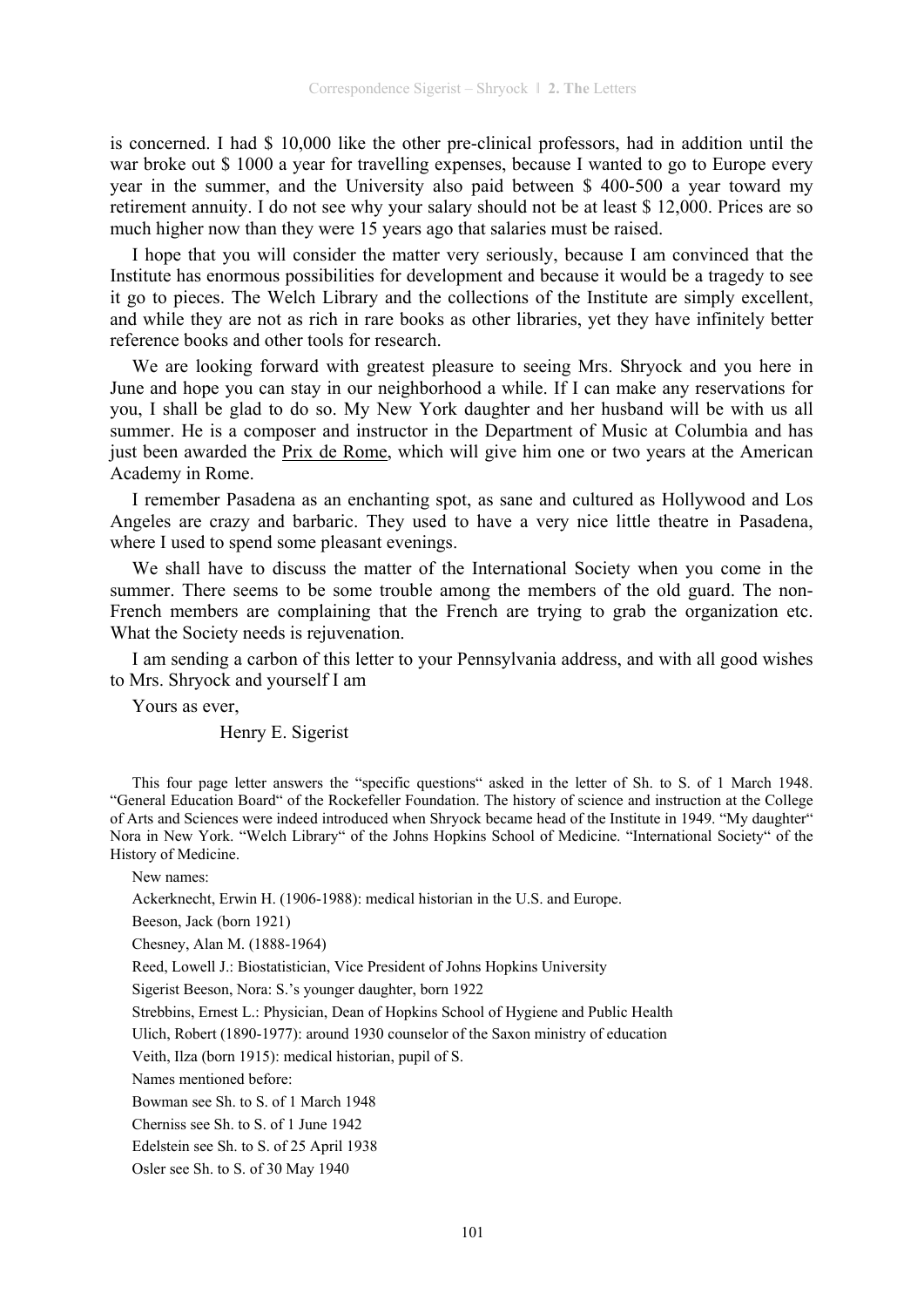is concerned. I had \$ 10,000 like the other pre-clinical professors, had in addition until the war broke out \$ 1000 a year for travelling expenses, because I wanted to go to Europe every year in the summer, and the University also paid between \$ 400-500 a year toward my retirement annuity. I do not see why your salary should not be at least \$ 12,000. Prices are so much higher now than they were 15 years ago that salaries must be raised.

I hope that you will consider the matter very seriously, because I am convinced that the Institute has enormous possibilities for development and because it would be a tragedy to see it go to pieces. The Welch Library and the collections of the Institute are simply excellent, and while they are not as rich in rare books as other libraries, yet they have infinitely better reference books and other tools for research.

We are looking forward with greatest pleasure to seeing Mrs. Shryock and you here in June and hope you can stay in our neighborhood a while. If I can make any reservations for you, I shall be glad to do so. My New York daughter and her husband will be with us all summer. He is a composer and instructor in the Department of Music at Columbia and has just been awarded the Prix de Rome, which will give him one or two years at the American Academy in Rome.

I remember Pasadena as an enchanting spot, as sane and cultured as Hollywood and Los Angeles are crazy and barbaric. They used to have a very nice little theatre in Pasadena, where I used to spend some pleasant evenings.

We shall have to discuss the matter of the International Society when you come in the summer. There seems to be some trouble among the members of the old guard. The non-French members are complaining that the French are trying to grab the organization etc. What the Society needs is rejuvenation.

I am sending a carbon of this letter to your Pennsylvania address, and with all good wishes to Mrs. Shryock and yourself I am

Yours as ever

Henry E. Sigerist

This four page letter answers the "specific questions" asked in the letter of Sh. to S. of 1 March 1948. "General Education Board" of the Rockefeller Foundation. The history of science and instruction at the College of Arts and Sciences were indeed introduced when Shryock became head of the Institute in 1949. "My daughter" Nora in New York. "Welch Library" of the Johns Hopkins School of Medicine. "International Society" of the History of Medicine.

New names:

Ackerknecht, Erwin H. (1906-1988): medical historian in the U.S. and Europe.

Beeson, Jack (born 1921)

Chesney, Alan M. (1888-1964)

Reed, Lowell J.: Biostatistician, Vice President of Johns Hopkins University

Sigerist Beeson, Nora: S.'s younger daughter, born 1922

Strebbins, Ernest L.: Physician, Dean of Hopkins School of Hygiene and Public Health

Ulich, Robert (1890-1977): around 1930 counselor of the Saxon ministry of education

Veith, Ilza (born 1915): medical historian, pupil of S.

Names mentioned before:

Bowman see Sh. to S. of 1 March 1948

Cherniss see Sh. to S. of 1 June 1942

Edelstein see Sh. to S. of 25 April 1938

Osler see Sh. to S. of 30 May 1940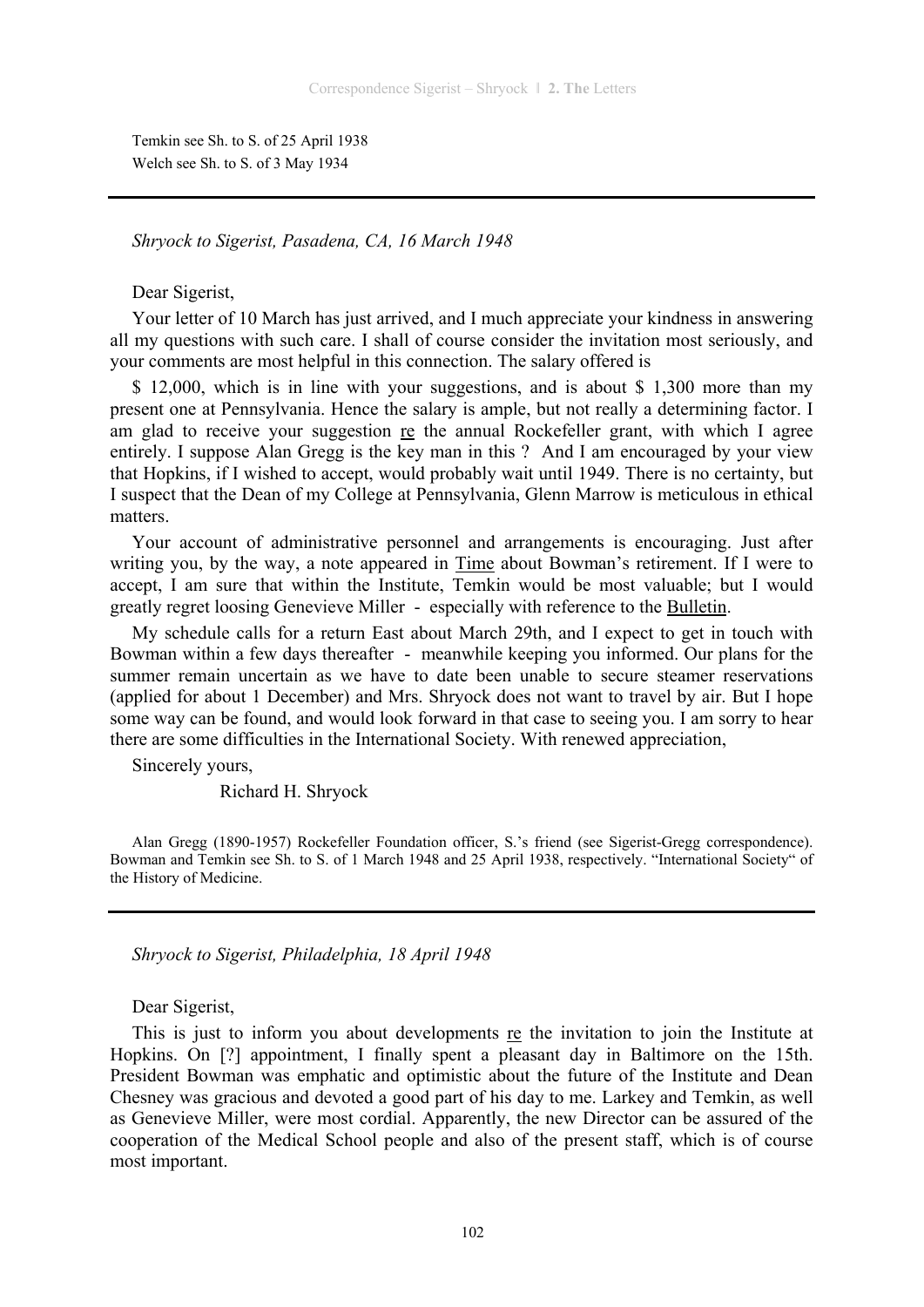Temkin see Sh. to S. of 25 April 1938 Welch see Sh. to S. of 3 May 1934

# *Shryock to Sigerist, Pasadena, CA, 16 March 1948*

Dear Sigerist,

Your letter of 10 March has just arrived, and I much appreciate your kindness in answering all my questions with such care. I shall of course consider the invitation most seriously, and your comments are most helpful in this connection. The salary offered is

\$ 12,000, which is in line with your suggestions, and is about \$ 1,300 more than my present one at Pennsylvania. Hence the salary is ample, but not really a determining factor. I am glad to receive your suggestion re the annual Rockefeller grant, with which I agree entirely. I suppose Alan Gregg is the key man in this ? And I am encouraged by your view that Hopkins, if I wished to accept, would probably wait until 1949. There is no certainty, but I suspect that the Dean of my College at Pennsylvania, Glenn Marrow is meticulous in ethical matters.

Your account of administrative personnel and arrangements is encouraging. Just after writing you, by the way, a note appeared in Time about Bowman's retirement. If I were to accept, I am sure that within the Institute, Temkin would be most valuable; but I would greatly regret loosing Genevieve Miller - especially with reference to the Bulletin.

My schedule calls for a return East about March 29th, and I expect to get in touch with Bowman within a few days thereafter - meanwhile keeping you informed. Our plans for the summer remain uncertain as we have to date been unable to secure steamer reservations (applied for about 1 December) and Mrs. Shryock does not want to travel by air. But I hope some way can be found, and would look forward in that case to seeing you. I am sorry to hear there are some difficulties in the International Society. With renewed appreciation,

Sincerely yours,

Richard H. Shryock

Alan Gregg (1890-1957) Rockefeller Foundation officer, S.'s friend (see Sigerist-Gregg correspondence). Bowman and Temkin see Sh. to S. of 1 March 1948 and 25 April 1938, respectively. "International Society" of the History of Medicine.

*Shryock to Sigerist, Philadelphia, 18 April 1948* 

Dear Sigerist,

This is just to inform you about developments re the invitation to join the Institute at Hopkins. On [?] appointment, I finally spent a pleasant day in Baltimore on the 15th. President Bowman was emphatic and optimistic about the future of the Institute and Dean Chesney was gracious and devoted a good part of his day to me. Larkey and Temkin, as well as Genevieve Miller, were most cordial. Apparently, the new Director can be assured of the cooperation of the Medical School people and also of the present staff, which is of course most important.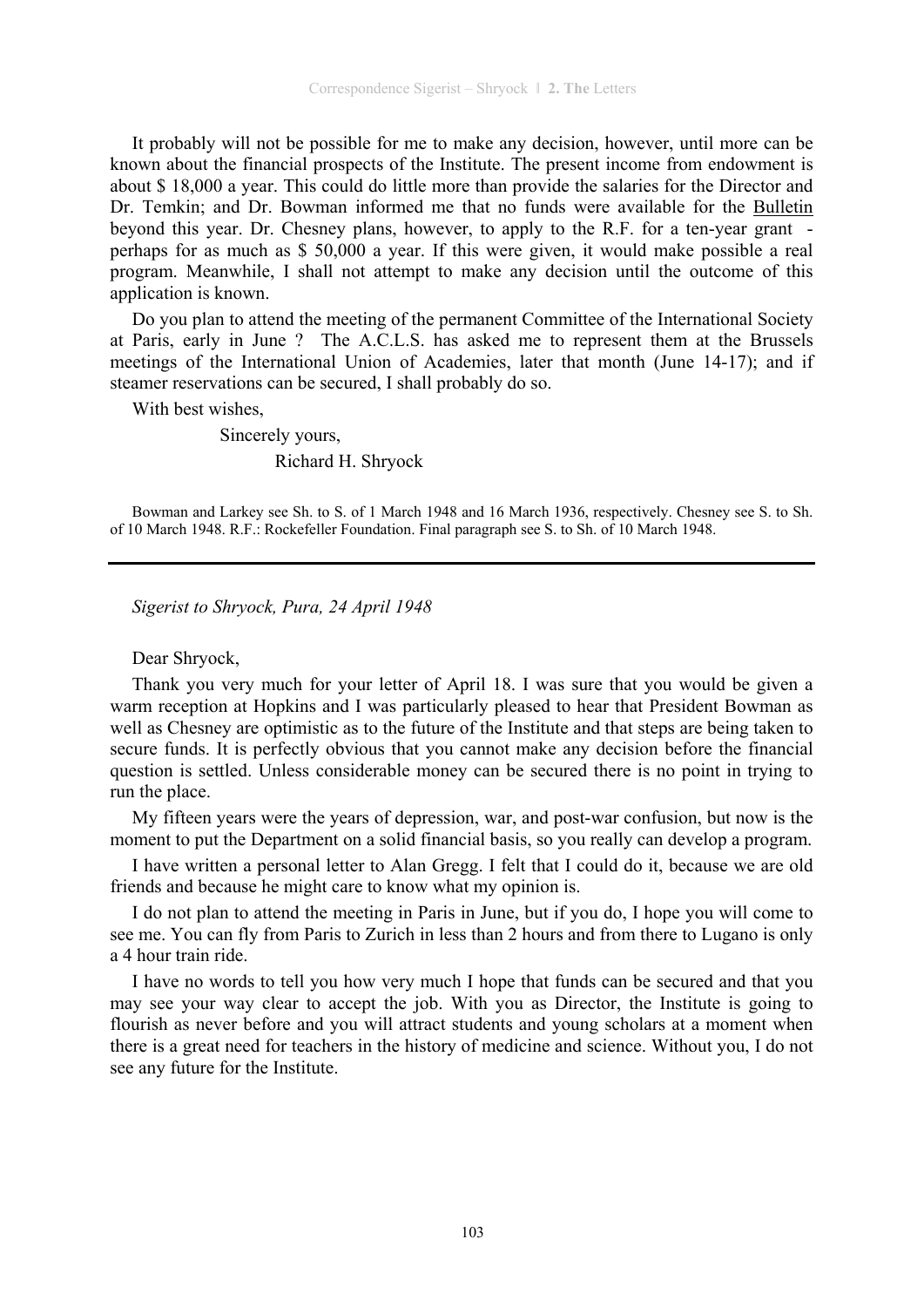It probably will not be possible for me to make any decision, however, until more can be known about the financial prospects of the Institute. The present income from endowment is about \$ 18,000 a year. This could do little more than provide the salaries for the Director and Dr. Temkin; and Dr. Bowman informed me that no funds were available for the Bulletin beyond this year. Dr. Chesney plans, however, to apply to the R.F. for a ten-year grant perhaps for as much as \$ 50,000 a year. If this were given, it would make possible a real program. Meanwhile, I shall not attempt to make any decision until the outcome of this application is known.

Do you plan to attend the meeting of the permanent Committee of the International Society at Paris, early in June ? The A.C.L.S. has asked me to represent them at the Brussels meetings of the International Union of Academies, later that month (June 14-17); and if steamer reservations can be secured, I shall probably do so.

With best wishes,

 Sincerely yours, Richard H. Shryock

Bowman and Larkey see Sh. to S. of 1 March 1948 and 16 March 1936, respectively. Chesney see S. to Sh. of 10 March 1948. R.F.: Rockefeller Foundation. Final paragraph see S. to Sh. of 10 March 1948.

*Sigerist to Shryock, Pura, 24 April 1948* 

Dear Shryock,

Thank you very much for your letter of April 18. I was sure that you would be given a warm reception at Hopkins and I was particularly pleased to hear that President Bowman as well as Chesney are optimistic as to the future of the Institute and that steps are being taken to secure funds. It is perfectly obvious that you cannot make any decision before the financial question is settled. Unless considerable money can be secured there is no point in trying to run the place.

My fifteen years were the years of depression, war, and post-war confusion, but now is the moment to put the Department on a solid financial basis, so you really can develop a program.

I have written a personal letter to Alan Gregg. I felt that I could do it, because we are old friends and because he might care to know what my opinion is.

I do not plan to attend the meeting in Paris in June, but if you do, I hope you will come to see me. You can fly from Paris to Zurich in less than 2 hours and from there to Lugano is only a 4 hour train ride.

I have no words to tell you how very much I hope that funds can be secured and that you may see your way clear to accept the job. With you as Director, the Institute is going to flourish as never before and you will attract students and young scholars at a moment when there is a great need for teachers in the history of medicine and science. Without you, I do not see any future for the Institute.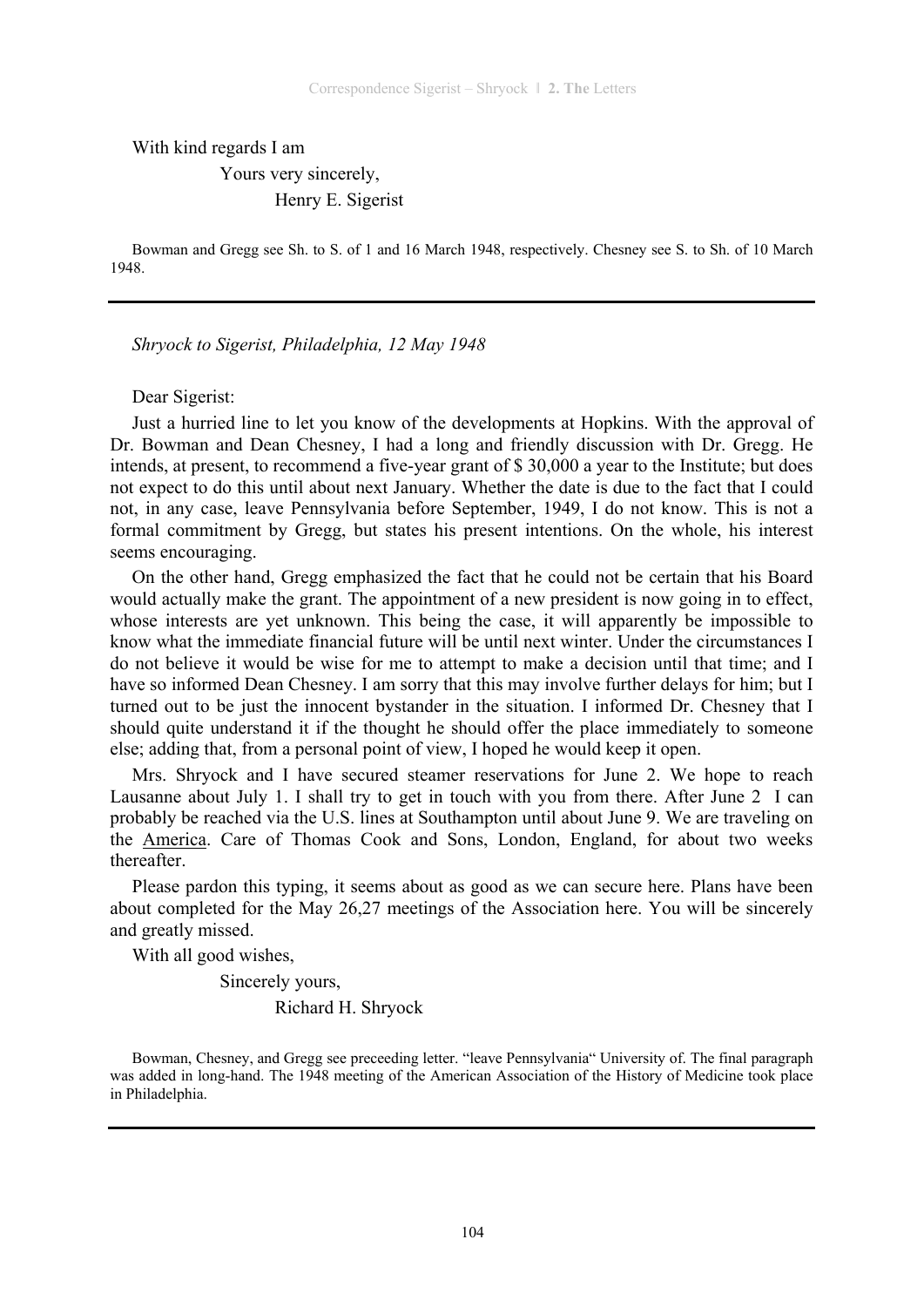With kind regards I am

 Yours very sincerely, Henry E. Sigerist

Bowman and Gregg see Sh. to S. of 1 and 16 March 1948, respectively. Chesney see S. to Sh. of 10 March 1948.

*Shryock to Sigerist, Philadelphia, 12 May 1948* 

#### Dear Sigerist:

Just a hurried line to let you know of the developments at Hopkins. With the approval of Dr. Bowman and Dean Chesney, I had a long and friendly discussion with Dr. Gregg. He intends, at present, to recommend a five-year grant of \$ 30,000 a year to the Institute; but does not expect to do this until about next January. Whether the date is due to the fact that I could not, in any case, leave Pennsylvania before September, 1949, I do not know. This is not a formal commitment by Gregg, but states his present intentions. On the whole, his interest seems encouraging.

On the other hand, Gregg emphasized the fact that he could not be certain that his Board would actually make the grant. The appointment of a new president is now going in to effect, whose interests are yet unknown. This being the case, it will apparently be impossible to know what the immediate financial future will be until next winter. Under the circumstances I do not believe it would be wise for me to attempt to make a decision until that time; and I have so informed Dean Chesney. I am sorry that this may involve further delays for him; but I turned out to be just the innocent bystander in the situation. I informed Dr. Chesney that I should quite understand it if the thought he should offer the place immediately to someone else; adding that, from a personal point of view, I hoped he would keep it open.

Mrs. Shryock and I have secured steamer reservations for June 2. We hope to reach Lausanne about July 1. I shall try to get in touch with you from there. After June 2 I can probably be reached via the U.S. lines at Southampton until about June 9. We are traveling on the America. Care of Thomas Cook and Sons, London, England, for about two weeks thereafter.

Please pardon this typing, it seems about as good as we can secure here. Plans have been about completed for the May 26,27 meetings of the Association here. You will be sincerely and greatly missed.

With all good wishes,

 Sincerely yours, Richard H. Shryock

Bowman, Chesney, and Gregg see preceeding letter. "leave Pennsylvania" University of. The final paragraph was added in long-hand. The 1948 meeting of the American Association of the History of Medicine took place in Philadelphia.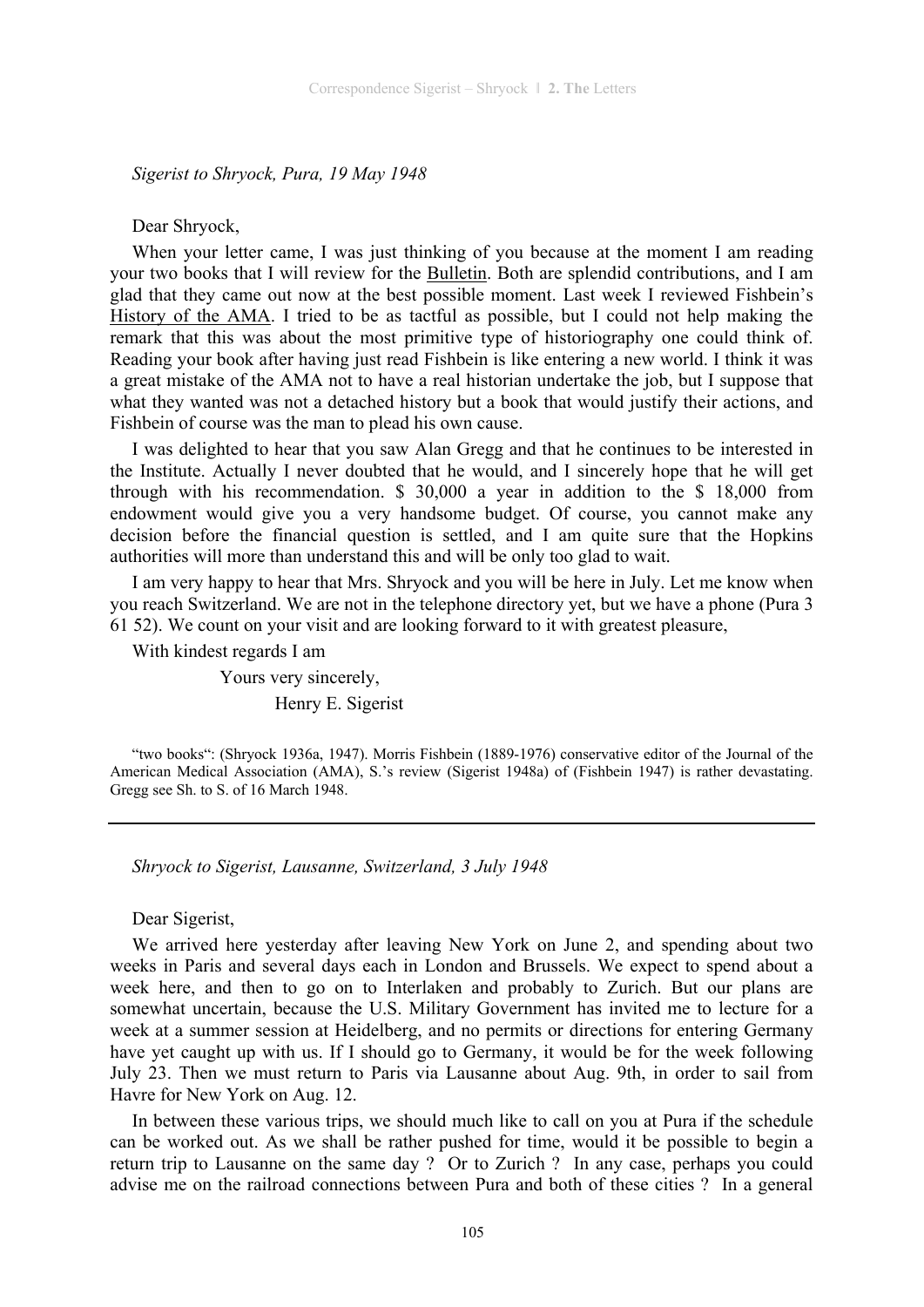*Sigerist to Shryock, Pura, 19 May 1948* 

Dear Shryock,

When your letter came, I was just thinking of you because at the moment I am reading your two books that I will review for the Bulletin. Both are splendid contributions, and I am glad that they came out now at the best possible moment. Last week I reviewed Fishbein's History of the AMA. I tried to be as tactful as possible, but I could not help making the remark that this was about the most primitive type of historiography one could think of. Reading your book after having just read Fishbein is like entering a new world. I think it was a great mistake of the AMA not to have a real historian undertake the job, but I suppose that what they wanted was not a detached history but a book that would justify their actions, and Fishbein of course was the man to plead his own cause.

I was delighted to hear that you saw Alan Gregg and that he continues to be interested in the Institute. Actually I never doubted that he would, and I sincerely hope that he will get through with his recommendation. \$ 30,000 a year in addition to the \$ 18,000 from endowment would give you a very handsome budget. Of course, you cannot make any decision before the financial question is settled, and I am quite sure that the Hopkins authorities will more than understand this and will be only too glad to wait.

I am very happy to hear that Mrs. Shryock and you will be here in July. Let me know when you reach Switzerland. We are not in the telephone directory yet, but we have a phone (Pura 3 61 52). We count on your visit and are looking forward to it with greatest pleasure,

With kindest regards I am Yours very sincerely,

Henry E. Sigerist

"two books": (Shryock 1936a, 1947). Morris Fishbein (1889-1976) conservative editor of the Journal of the American Medical Association (AMA), S.'s review (Sigerist 1948a) of (Fishbein 1947) is rather devastating. Gregg see Sh. to S. of 16 March 1948.

*Shryock to Sigerist, Lausanne, Switzerland, 3 July 1948* 

# Dear Sigerist,

We arrived here yesterday after leaving New York on June 2, and spending about two weeks in Paris and several days each in London and Brussels. We expect to spend about a week here, and then to go on to Interlaken and probably to Zurich. But our plans are somewhat uncertain, because the U.S. Military Government has invited me to lecture for a week at a summer session at Heidelberg, and no permits or directions for entering Germany have yet caught up with us. If I should go to Germany, it would be for the week following July 23. Then we must return to Paris via Lausanne about Aug. 9th, in order to sail from Havre for New York on Aug. 12.

In between these various trips, we should much like to call on you at Pura if the schedule can be worked out. As we shall be rather pushed for time, would it be possible to begin a return trip to Lausanne on the same day ? Or to Zurich ? In any case, perhaps you could advise me on the railroad connections between Pura and both of these cities ? In a general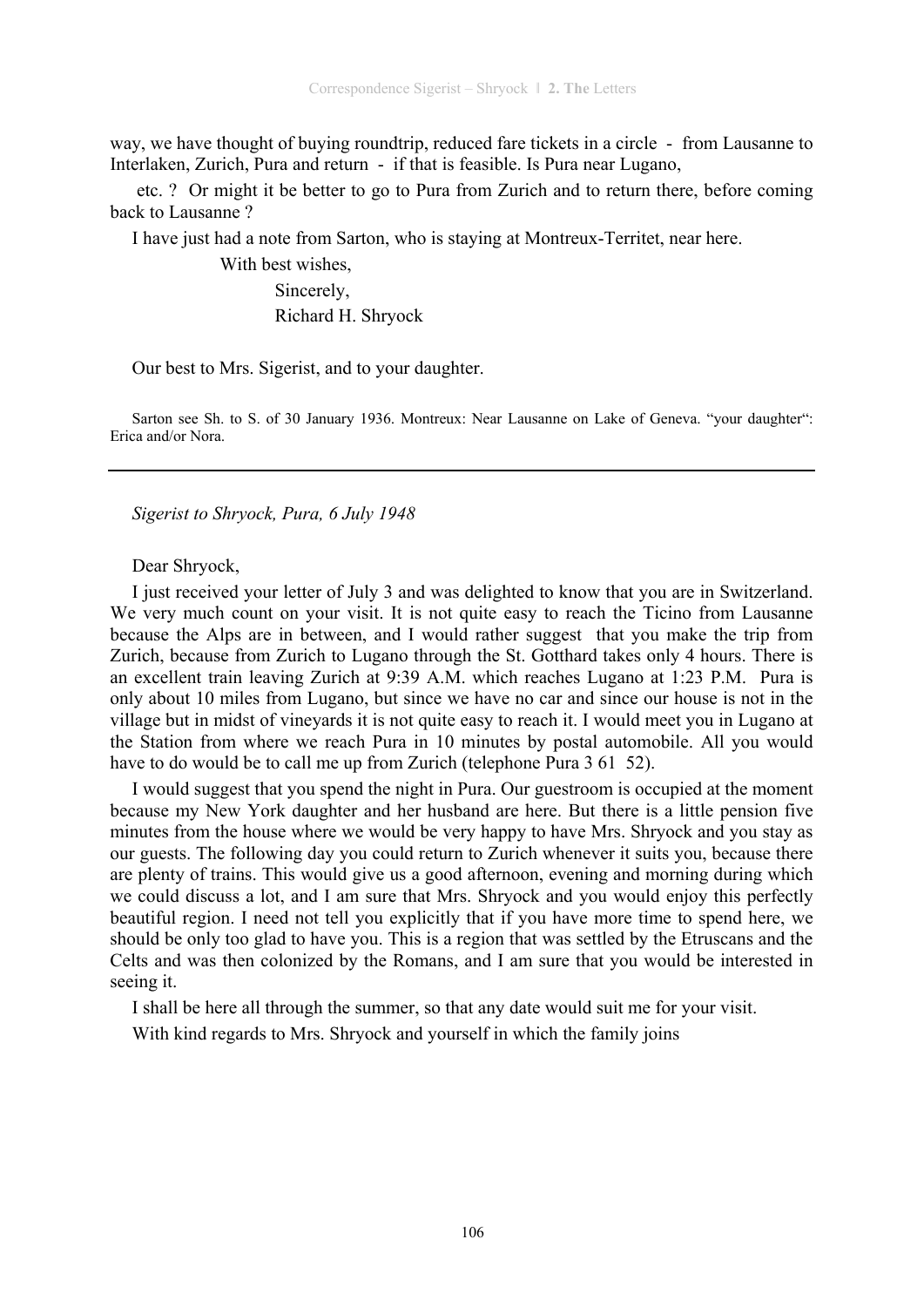way, we have thought of buying roundtrip, reduced fare tickets in a circle - from Lausanne to Interlaken, Zurich, Pura and return - if that is feasible. Is Pura near Lugano,

 etc. ? Or might it be better to go to Pura from Zurich and to return there, before coming back to Lausanne ?

I have just had a note from Sarton, who is staying at Montreux-Territet, near here.

 With best wishes, Sincerely, Richard H. Shryock

Our best to Mrs. Sigerist, and to your daughter.

Sarton see Sh. to S. of 30 January 1936. Montreux: Near Lausanne on Lake of Geneva. "your daughter": Erica and/or Nora.

*Sigerist to Shryock, Pura, 6 July 1948* 

Dear Shryock,

I just received your letter of July 3 and was delighted to know that you are in Switzerland. We very much count on your visit. It is not quite easy to reach the Ticino from Lausanne because the Alps are in between, and I would rather suggest that you make the trip from Zurich, because from Zurich to Lugano through the St. Gotthard takes only 4 hours. There is an excellent train leaving Zurich at 9:39 A.M. which reaches Lugano at 1:23 P.M. Pura is only about 10 miles from Lugano, but since we have no car and since our house is not in the village but in midst of vineyards it is not quite easy to reach it. I would meet you in Lugano at the Station from where we reach Pura in 10 minutes by postal automobile. All you would have to do would be to call me up from Zurich (telephone Pura 3 61 52).

I would suggest that you spend the night in Pura. Our guestroom is occupied at the moment because my New York daughter and her husband are here. But there is a little pension five minutes from the house where we would be very happy to have Mrs. Shryock and you stay as our guests. The following day you could return to Zurich whenever it suits you, because there are plenty of trains. This would give us a good afternoon, evening and morning during which we could discuss a lot, and I am sure that Mrs. Shryock and you would enjoy this perfectly beautiful region. I need not tell you explicitly that if you have more time to spend here, we should be only too glad to have you. This is a region that was settled by the Etruscans and the Celts and was then colonized by the Romans, and I am sure that you would be interested in seeing it.

I shall be here all through the summer, so that any date would suit me for your visit.

With kind regards to Mrs. Shryock and yourself in which the family joins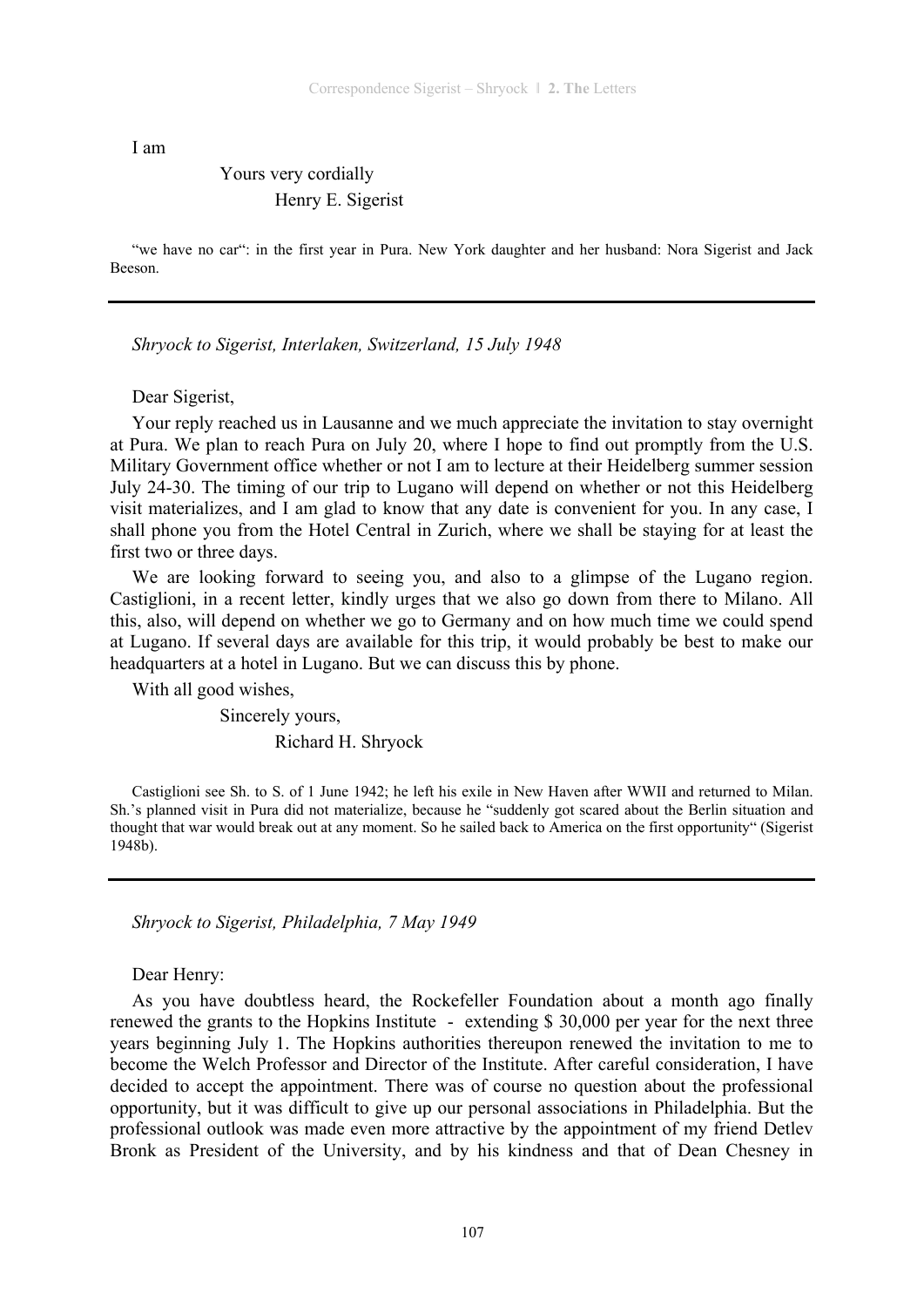I am

# Yours very cordially Henry E. Sigerist

"we have no car": in the first year in Pura. New York daughter and her husband: Nora Sigerist and Jack Beeson.

*Shryock to Sigerist, Interlaken, Switzerland, 15 July 1948* 

Dear Sigerist,

Your reply reached us in Lausanne and we much appreciate the invitation to stay overnight at Pura. We plan to reach Pura on July 20, where I hope to find out promptly from the U.S. Military Government office whether or not I am to lecture at their Heidelberg summer session July 24-30. The timing of our trip to Lugano will depend on whether or not this Heidelberg visit materializes, and I am glad to know that any date is convenient for you. In any case, I shall phone you from the Hotel Central in Zurich, where we shall be staying for at least the first two or three days.

We are looking forward to seeing you, and also to a glimpse of the Lugano region. Castiglioni, in a recent letter, kindly urges that we also go down from there to Milano. All this, also, will depend on whether we go to Germany and on how much time we could spend at Lugano. If several days are available for this trip, it would probably be best to make our headquarters at a hotel in Lugano. But we can discuss this by phone.

With all good wishes,

 Sincerely yours, Richard H. Shryock

Castiglioni see Sh. to S. of 1 June 1942; he left his exile in New Haven after WWII and returned to Milan. Sh.'s planned visit in Pura did not materialize, because he "suddenly got scared about the Berlin situation and thought that war would break out at any moment. So he sailed back to America on the first opportunity" (Sigerist 1948b).

*Shryock to Sigerist, Philadelphia, 7 May 1949* 

Dear Henry:

As you have doubtless heard, the Rockefeller Foundation about a month ago finally renewed the grants to the Hopkins Institute - extending \$ 30,000 per year for the next three years beginning July 1. The Hopkins authorities thereupon renewed the invitation to me to become the Welch Professor and Director of the Institute. After careful consideration, I have decided to accept the appointment. There was of course no question about the professional opportunity, but it was difficult to give up our personal associations in Philadelphia. But the professional outlook was made even more attractive by the appointment of my friend Detlev Bronk as President of the University, and by his kindness and that of Dean Chesney in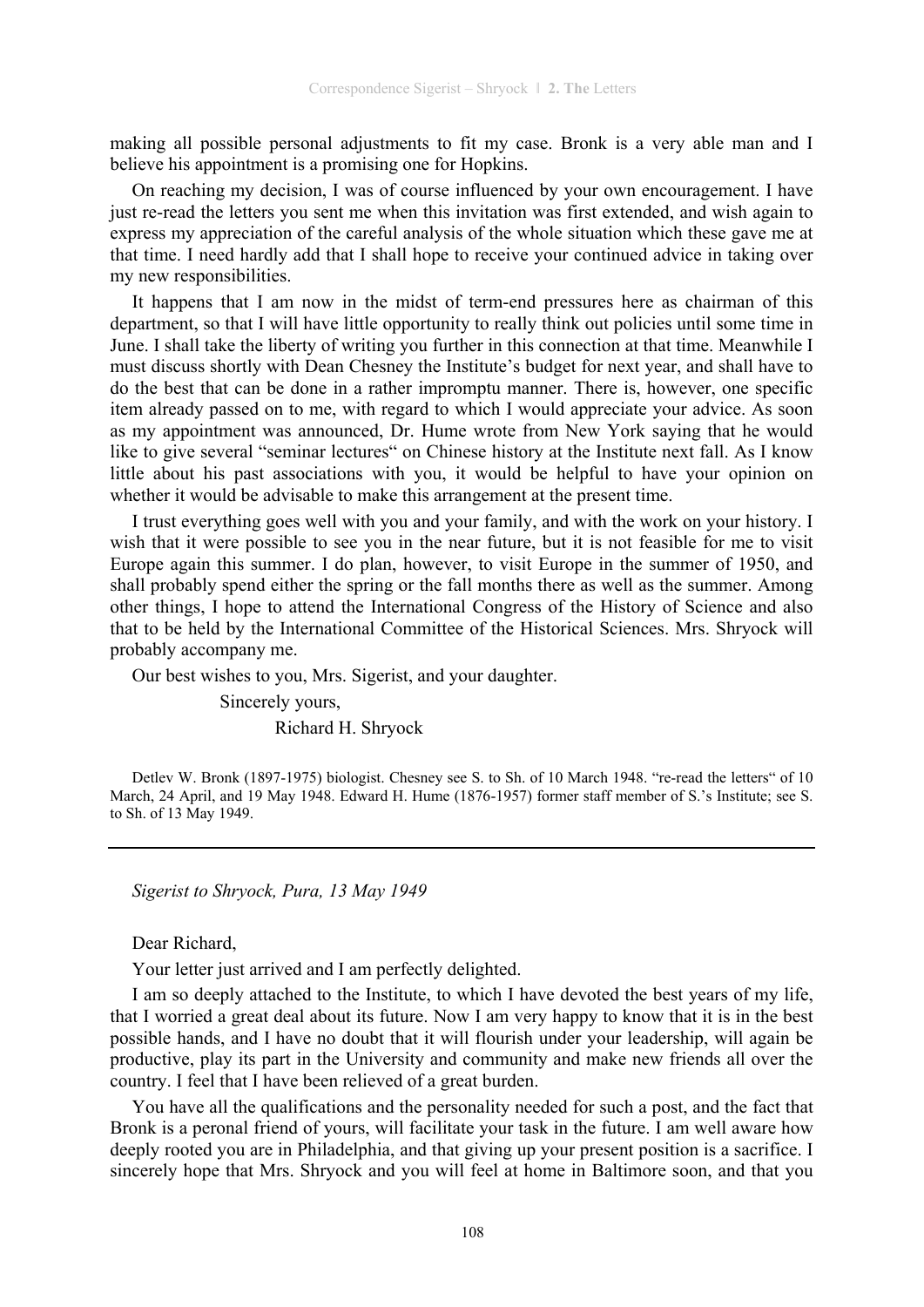making all possible personal adjustments to fit my case. Bronk is a very able man and I believe his appointment is a promising one for Hopkins.

On reaching my decision, I was of course influenced by your own encouragement. I have just re-read the letters you sent me when this invitation was first extended, and wish again to express my appreciation of the careful analysis of the whole situation which these gave me at that time. I need hardly add that I shall hope to receive your continued advice in taking over my new responsibilities.

It happens that I am now in the midst of term-end pressures here as chairman of this department, so that I will have little opportunity to really think out policies until some time in June. I shall take the liberty of writing you further in this connection at that time. Meanwhile I must discuss shortly with Dean Chesney the Institute's budget for next year, and shall have to do the best that can be done in a rather impromptu manner. There is, however, one specific item already passed on to me, with regard to which I would appreciate your advice. As soon as my appointment was announced, Dr. Hume wrote from New York saying that he would like to give several "seminar lectures" on Chinese history at the Institute next fall. As I know little about his past associations with you, it would be helpful to have your opinion on whether it would be advisable to make this arrangement at the present time.

I trust everything goes well with you and your family, and with the work on your history. I wish that it were possible to see you in the near future, but it is not feasible for me to visit Europe again this summer. I do plan, however, to visit Europe in the summer of 1950, and shall probably spend either the spring or the fall months there as well as the summer. Among other things, I hope to attend the International Congress of the History of Science and also that to be held by the International Committee of the Historical Sciences. Mrs. Shryock will probably accompany me.

Our best wishes to you, Mrs. Sigerist, and your daughter.

 Sincerely yours, Richard H. Shryock

Detlev W. Bronk (1897-1975) biologist. Chesney see S. to Sh. of 10 March 1948. "re-read the letters" of 10 March, 24 April, and 19 May 1948. Edward H. Hume (1876-1957) former staff member of S.'s Institute; see S. to Sh. of 13 May 1949.

*Sigerist to Shryock, Pura, 13 May 1949* 

Dear Richard,

Your letter just arrived and I am perfectly delighted.

I am so deeply attached to the Institute, to which I have devoted the best years of my life, that I worried a great deal about its future. Now I am very happy to know that it is in the best possible hands, and I have no doubt that it will flourish under your leadership, will again be productive, play its part in the University and community and make new friends all over the country. I feel that I have been relieved of a great burden.

You have all the qualifications and the personality needed for such a post, and the fact that Bronk is a peronal friend of yours, will facilitate your task in the future. I am well aware how deeply rooted you are in Philadelphia, and that giving up your present position is a sacrifice. I sincerely hope that Mrs. Shryock and you will feel at home in Baltimore soon, and that you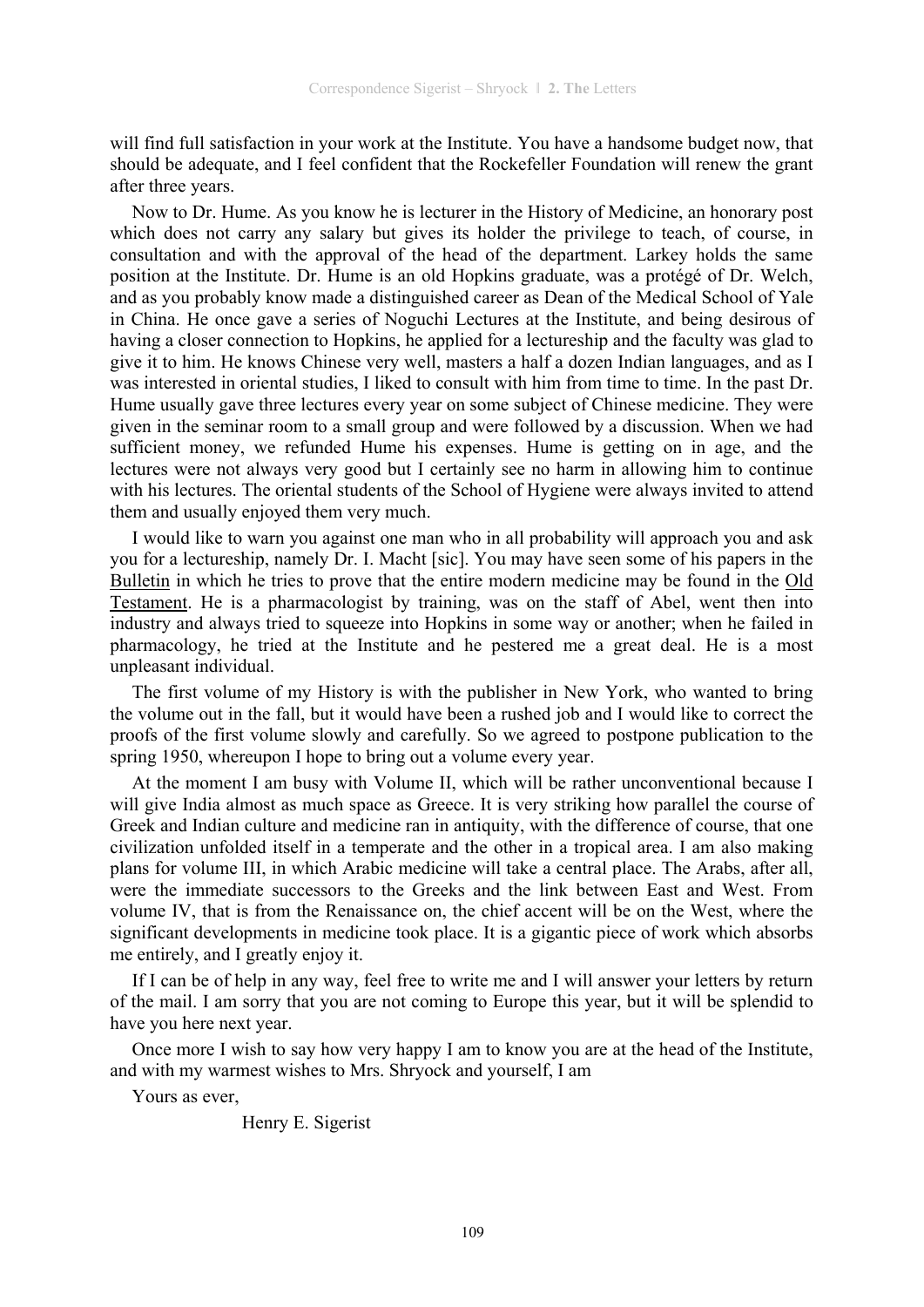will find full satisfaction in your work at the Institute. You have a handsome budget now, that should be adequate, and I feel confident that the Rockefeller Foundation will renew the grant after three years.

Now to Dr. Hume. As you know he is lecturer in the History of Medicine, an honorary post which does not carry any salary but gives its holder the privilege to teach, of course, in consultation and with the approval of the head of the department. Larkey holds the same position at the Institute. Dr. Hume is an old Hopkins graduate, was a protégé of Dr. Welch, and as you probably know made a distinguished career as Dean of the Medical School of Yale in China. He once gave a series of Noguchi Lectures at the Institute, and being desirous of having a closer connection to Hopkins, he applied for a lectureship and the faculty was glad to give it to him. He knows Chinese very well, masters a half a dozen Indian languages, and as I was interested in oriental studies, I liked to consult with him from time to time. In the past Dr. Hume usually gave three lectures every year on some subject of Chinese medicine. They were given in the seminar room to a small group and were followed by a discussion. When we had sufficient money, we refunded Hume his expenses. Hume is getting on in age, and the lectures were not always very good but I certainly see no harm in allowing him to continue with his lectures. The oriental students of the School of Hygiene were always invited to attend them and usually enjoyed them very much.

I would like to warn you against one man who in all probability will approach you and ask you for a lectureship, namely Dr. I. Macht [sic]. You may have seen some of his papers in the Bulletin in which he tries to prove that the entire modern medicine may be found in the Old Testament. He is a pharmacologist by training, was on the staff of Abel, went then into industry and always tried to squeeze into Hopkins in some way or another; when he failed in pharmacology, he tried at the Institute and he pestered me a great deal. He is a most unpleasant individual.

The first volume of my History is with the publisher in New York, who wanted to bring the volume out in the fall, but it would have been a rushed job and I would like to correct the proofs of the first volume slowly and carefully. So we agreed to postpone publication to the spring 1950, whereupon I hope to bring out a volume every year.

At the moment I am busy with Volume II, which will be rather unconventional because I will give India almost as much space as Greece. It is very striking how parallel the course of Greek and Indian culture and medicine ran in antiquity, with the difference of course, that one civilization unfolded itself in a temperate and the other in a tropical area. I am also making plans for volume III, in which Arabic medicine will take a central place. The Arabs, after all, were the immediate successors to the Greeks and the link between East and West. From volume IV, that is from the Renaissance on, the chief accent will be on the West, where the significant developments in medicine took place. It is a gigantic piece of work which absorbs me entirely, and I greatly enjoy it.

If I can be of help in any way, feel free to write me and I will answer your letters by return of the mail. I am sorry that you are not coming to Europe this year, but it will be splendid to have you here next year.

Once more I wish to say how very happy I am to know you are at the head of the Institute, and with my warmest wishes to Mrs. Shryock and yourself, I am

Yours as ever,

Henry E. Sigerist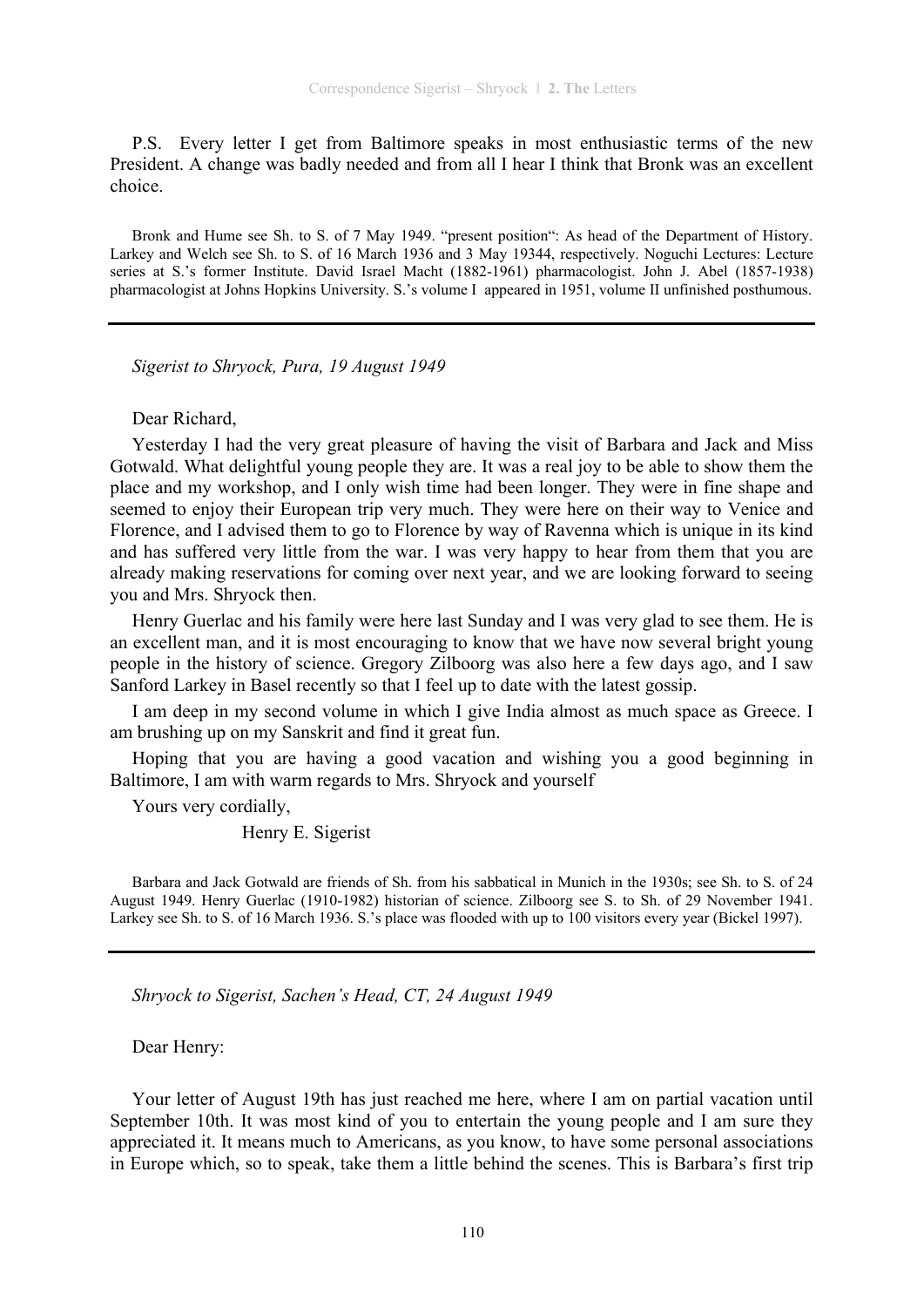P.S. Every letter I get from Baltimore speaks in most enthusiastic terms of the new President. A change was badly needed and from all I hear I think that Bronk was an excellent choice.

Bronk and Hume see Sh. to S. of 7 May 1949. "present position": As head of the Department of History. Larkey and Welch see Sh. to S. of 16 March 1936 and 3 May 19344, respectively. Noguchi Lectures: Lecture series at S.'s former Institute. David Israel Macht (1882-1961) pharmacologist. John J. Abel (1857-1938) pharmacologist at Johns Hopkins University. S.'s volume I appeared in 1951, volume II unfinished posthumous.

*Sigerist to Shryock, Pura, 19 August 1949* 

Dear Richard,

Yesterday I had the very great pleasure of having the visit of Barbara and Jack and Miss Gotwald. What delightful young people they are. It was a real joy to be able to show them the place and my workshop, and I only wish time had been longer. They were in fine shape and seemed to enjoy their European trip very much. They were here on their way to Venice and Florence, and I advised them to go to Florence by way of Ravenna which is unique in its kind and has suffered very little from the war. I was very happy to hear from them that you are already making reservations for coming over next year, and we are looking forward to seeing you and Mrs. Shryock then.

Henry Guerlac and his family were here last Sunday and I was very glad to see them. He is an excellent man, and it is most encouraging to know that we have now several bright young people in the history of science. Gregory Zilboorg was also here a few days ago, and I saw Sanford Larkey in Basel recently so that I feel up to date with the latest gossip.

I am deep in my second volume in which I give India almost as much space as Greece. I am brushing up on my Sanskrit and find it great fun.

Hoping that you are having a good vacation and wishing you a good beginning in Baltimore, I am with warm regards to Mrs. Shryock and yourself

Yours very cordially,

Henry E. Sigerist

Barbara and Jack Gotwald are friends of Sh. from his sabbatical in Munich in the 1930s; see Sh. to S. of 24 August 1949. Henry Guerlac (1910-1982) historian of science. Zilboorg see S. to Sh. of 29 November 1941. Larkey see Sh. to S. of 16 March 1936. S.'s place was flooded with up to 100 visitors every year (Bickel 1997).

*Shryock to Sigerist, Sachen's Head, CT, 24 August 1949* 

Dear Henry:

Your letter of August 19th has just reached me here, where I am on partial vacation until September 10th. It was most kind of you to entertain the young people and I am sure they appreciated it. It means much to Americans, as you know, to have some personal associations in Europe which, so to speak, take them a little behind the scenes. This is Barbara's first trip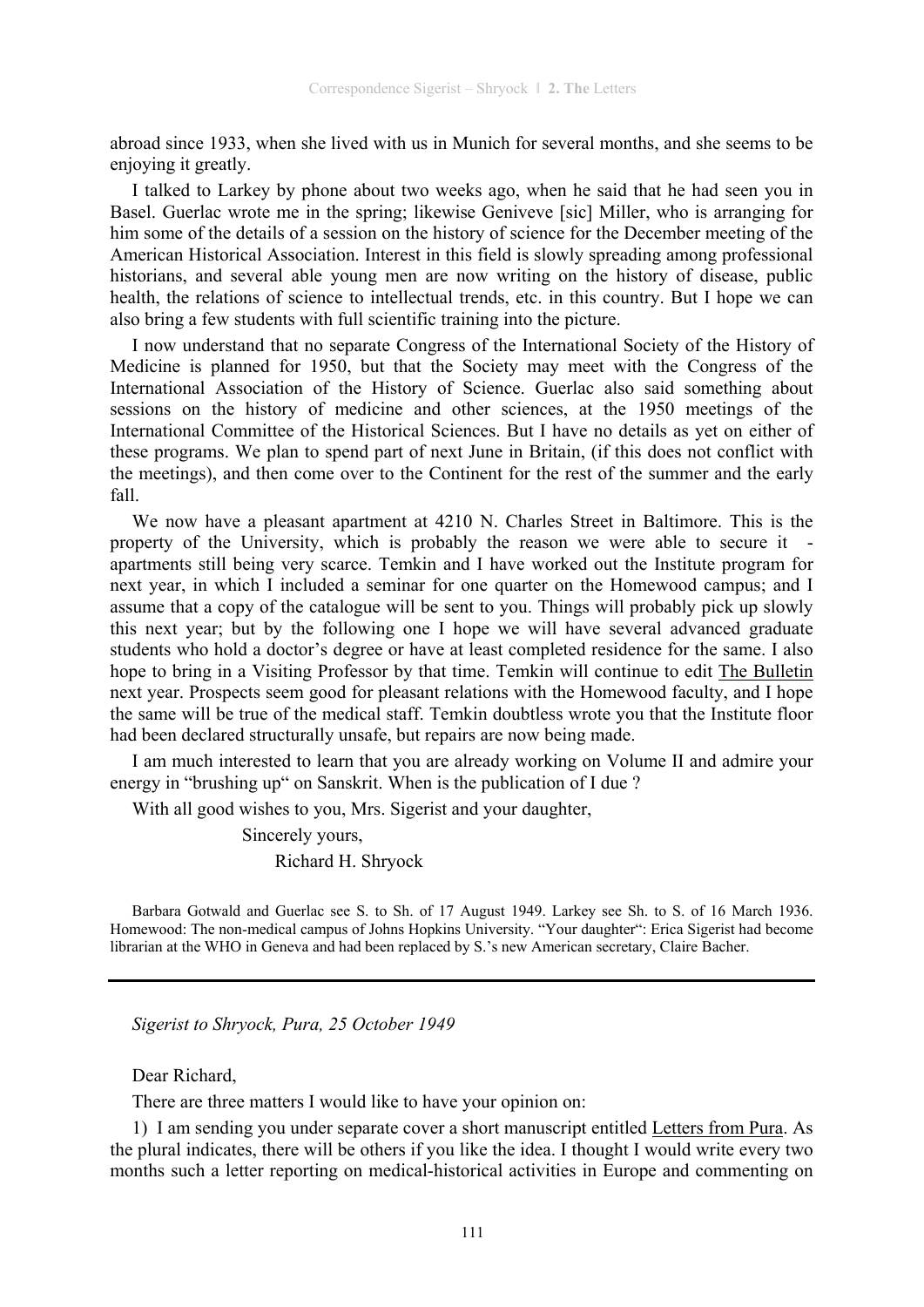abroad since 1933, when she lived with us in Munich for several months, and she seems to be enjoying it greatly.

I talked to Larkey by phone about two weeks ago, when he said that he had seen you in Basel. Guerlac wrote me in the spring; likewise Geniveve [sic] Miller, who is arranging for him some of the details of a session on the history of science for the December meeting of the American Historical Association. Interest in this field is slowly spreading among professional historians, and several able young men are now writing on the history of disease, public health, the relations of science to intellectual trends, etc. in this country. But I hope we can also bring a few students with full scientific training into the picture.

I now understand that no separate Congress of the International Society of the History of Medicine is planned for 1950, but that the Society may meet with the Congress of the International Association of the History of Science. Guerlac also said something about sessions on the history of medicine and other sciences, at the 1950 meetings of the International Committee of the Historical Sciences. But I have no details as yet on either of these programs. We plan to spend part of next June in Britain, (if this does not conflict with the meetings), and then come over to the Continent for the rest of the summer and the early fall.

We now have a pleasant apartment at 4210 N. Charles Street in Baltimore. This is the property of the University, which is probably the reason we were able to secure it apartments still being very scarce. Temkin and I have worked out the Institute program for next year, in which I included a seminar for one quarter on the Homewood campus; and I assume that a copy of the catalogue will be sent to you. Things will probably pick up slowly this next year; but by the following one I hope we will have several advanced graduate students who hold a doctor's degree or have at least completed residence for the same. I also hope to bring in a Visiting Professor by that time. Temkin will continue to edit The Bulletin next year. Prospects seem good for pleasant relations with the Homewood faculty, and I hope the same will be true of the medical staff. Temkin doubtless wrote you that the Institute floor had been declared structurally unsafe, but repairs are now being made.

I am much interested to learn that you are already working on Volume II and admire your energy in "brushing up" on Sanskrit. When is the publication of I due ?

With all good wishes to you, Mrs. Sigerist and your daughter,

 Sincerely yours, Richard H. Shryock

Barbara Gotwald and Guerlac see S. to Sh. of 17 August 1949. Larkey see Sh. to S. of 16 March 1936. Homewood: The non-medical campus of Johns Hopkins University. "Your daughter": Erica Sigerist had become librarian at the WHO in Geneva and had been replaced by S.'s new American secretary, Claire Bacher.

*Sigerist to Shryock, Pura, 25 October 1949* 

Dear Richard,

There are three matters I would like to have your opinion on:

1) I am sending you under separate cover a short manuscript entitled Letters from Pura. As the plural indicates, there will be others if you like the idea. I thought I would write every two months such a letter reporting on medical-historical activities in Europe and commenting on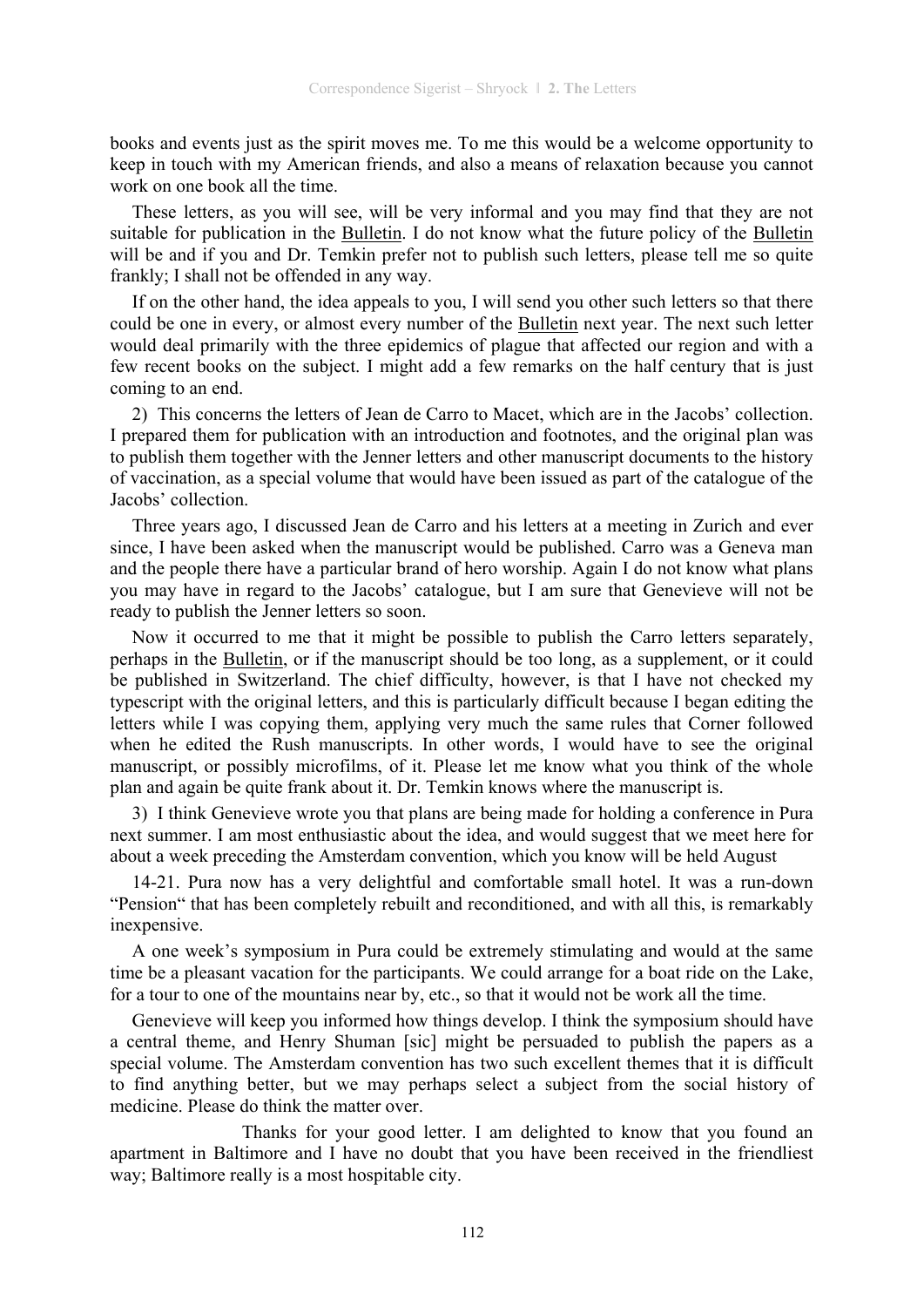books and events just as the spirit moves me. To me this would be a welcome opportunity to keep in touch with my American friends, and also a means of relaxation because you cannot work on one book all the time.

These letters, as you will see, will be very informal and you may find that they are not suitable for publication in the Bulletin. I do not know what the future policy of the Bulletin will be and if you and Dr. Temkin prefer not to publish such letters, please tell me so quite frankly; I shall not be offended in any way.

If on the other hand, the idea appeals to you, I will send you other such letters so that there could be one in every, or almost every number of the Bulletin next year. The next such letter would deal primarily with the three epidemics of plague that affected our region and with a few recent books on the subject. I might add a few remarks on the half century that is just coming to an end.

2) This concerns the letters of Jean de Carro to Macet, which are in the Jacobs' collection. I prepared them for publication with an introduction and footnotes, and the original plan was to publish them together with the Jenner letters and other manuscript documents to the history of vaccination, as a special volume that would have been issued as part of the catalogue of the Jacobs' collection.

Three years ago, I discussed Jean de Carro and his letters at a meeting in Zurich and ever since, I have been asked when the manuscript would be published. Carro was a Geneva man and the people there have a particular brand of hero worship. Again I do not know what plans you may have in regard to the Jacobs' catalogue, but I am sure that Genevieve will not be ready to publish the Jenner letters so soon.

Now it occurred to me that it might be possible to publish the Carro letters separately, perhaps in the Bulletin, or if the manuscript should be too long, as a supplement, or it could be published in Switzerland. The chief difficulty, however, is that I have not checked my typescript with the original letters, and this is particularly difficult because I began editing the letters while I was copying them, applying very much the same rules that Corner followed when he edited the Rush manuscripts. In other words, I would have to see the original manuscript, or possibly microfilms, of it. Please let me know what you think of the whole plan and again be quite frank about it. Dr. Temkin knows where the manuscript is.

3) I think Genevieve wrote you that plans are being made for holding a conference in Pura next summer. I am most enthusiastic about the idea, and would suggest that we meet here for about a week preceding the Amsterdam convention, which you know will be held August

14-21. Pura now has a very delightful and comfortable small hotel. It was a run-down "Pension" that has been completely rebuilt and reconditioned, and with all this, is remarkably inexpensive.

A one week's symposium in Pura could be extremely stimulating and would at the same time be a pleasant vacation for the participants. We could arrange for a boat ride on the Lake, for a tour to one of the mountains near by, etc., so that it would not be work all the time.

Genevieve will keep you informed how things develop. I think the symposium should have a central theme, and Henry Shuman [sic] might be persuaded to publish the papers as a special volume. The Amsterdam convention has two such excellent themes that it is difficult to find anything better, but we may perhaps select a subject from the social history of medicine. Please do think the matter over.

 Thanks for your good letter. I am delighted to know that you found an apartment in Baltimore and I have no doubt that you have been received in the friendliest way; Baltimore really is a most hospitable city.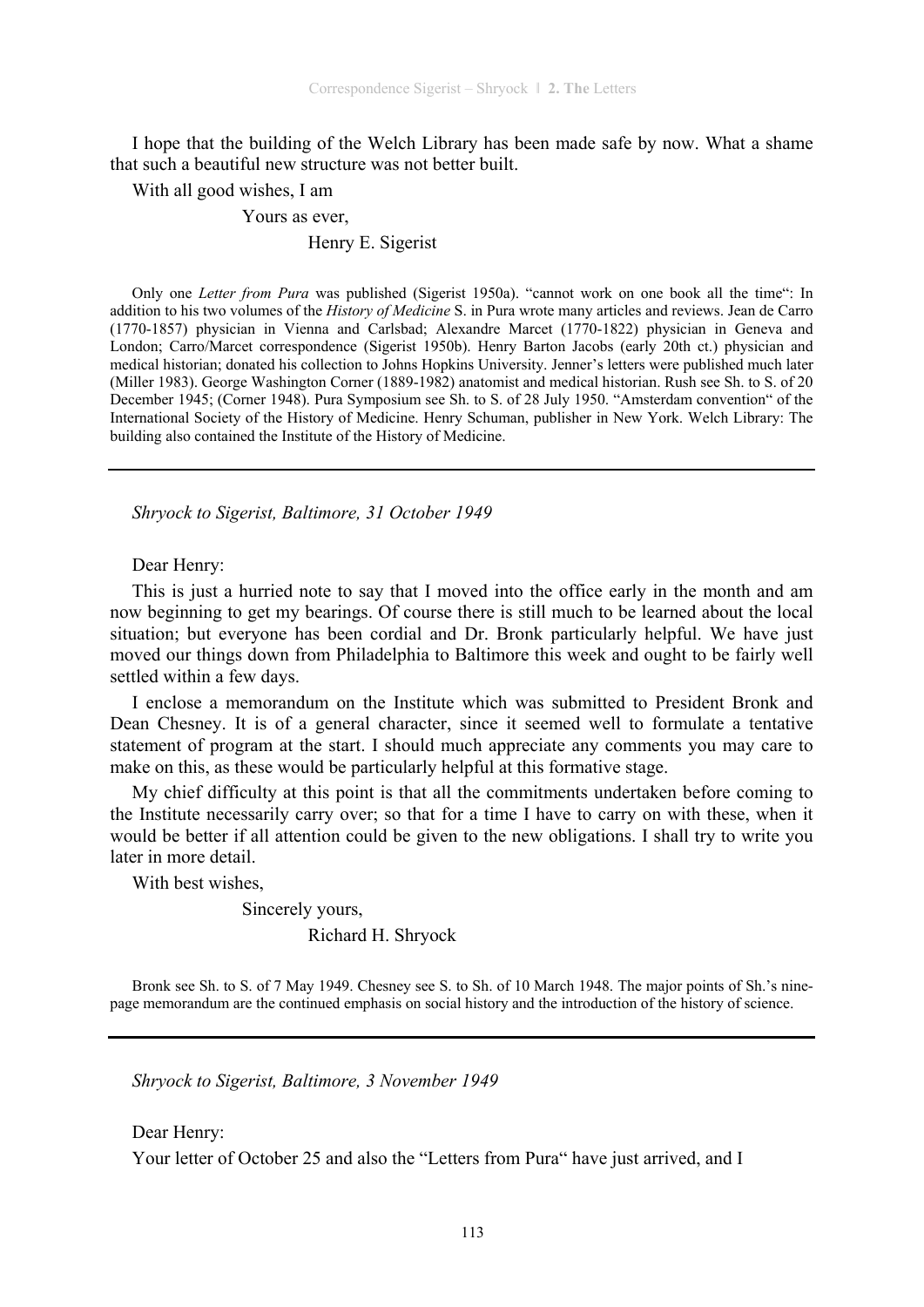I hope that the building of the Welch Library has been made safe by now. What a shame that such a beautiful new structure was not better built.

With all good wishes, I am

Yours as ever,

Henry E. Sigerist

Only one *Letter from Pura* was published (Sigerist 1950a). "cannot work on one book all the time": In addition to his two volumes of the *History of Medicine* S. in Pura wrote many articles and reviews. Jean de Carro (1770-1857) physician in Vienna and Carlsbad; Alexandre Marcet (1770-1822) physician in Geneva and London; Carro/Marcet correspondence (Sigerist 1950b). Henry Barton Jacobs (early 20th ct.) physician and medical historian; donated his collection to Johns Hopkins University. Jenner's letters were published much later (Miller 1983). George Washington Corner (1889-1982) anatomist and medical historian. Rush see Sh. to S. of 20 December 1945; (Corner 1948). Pura Symposium see Sh. to S. of 28 July 1950. "Amsterdam convention" of the International Society of the History of Medicine. Henry Schuman, publisher in New York. Welch Library: The building also contained the Institute of the History of Medicine.

*Shryock to Sigerist, Baltimore, 31 October 1949* 

Dear Henry:

This is just a hurried note to say that I moved into the office early in the month and am now beginning to get my bearings. Of course there is still much to be learned about the local situation; but everyone has been cordial and Dr. Bronk particularly helpful. We have just moved our things down from Philadelphia to Baltimore this week and ought to be fairly well settled within a few days.

I enclose a memorandum on the Institute which was submitted to President Bronk and Dean Chesney. It is of a general character, since it seemed well to formulate a tentative statement of program at the start. I should much appreciate any comments you may care to make on this, as these would be particularly helpful at this formative stage.

My chief difficulty at this point is that all the commitments undertaken before coming to the Institute necessarily carry over; so that for a time I have to carry on with these, when it would be better if all attention could be given to the new obligations. I shall try to write you later in more detail.

With best wishes,

Sincerely yours,

#### Richard H. Shryock

Bronk see Sh. to S. of 7 May 1949. Chesney see S. to Sh. of 10 March 1948. The major points of Sh.'s ninepage memorandum are the continued emphasis on social history and the introduction of the history of science.

*Shryock to Sigerist, Baltimore, 3 November 1949* 

Dear Henry:

Your letter of October 25 and also the "Letters from Pura" have just arrived, and I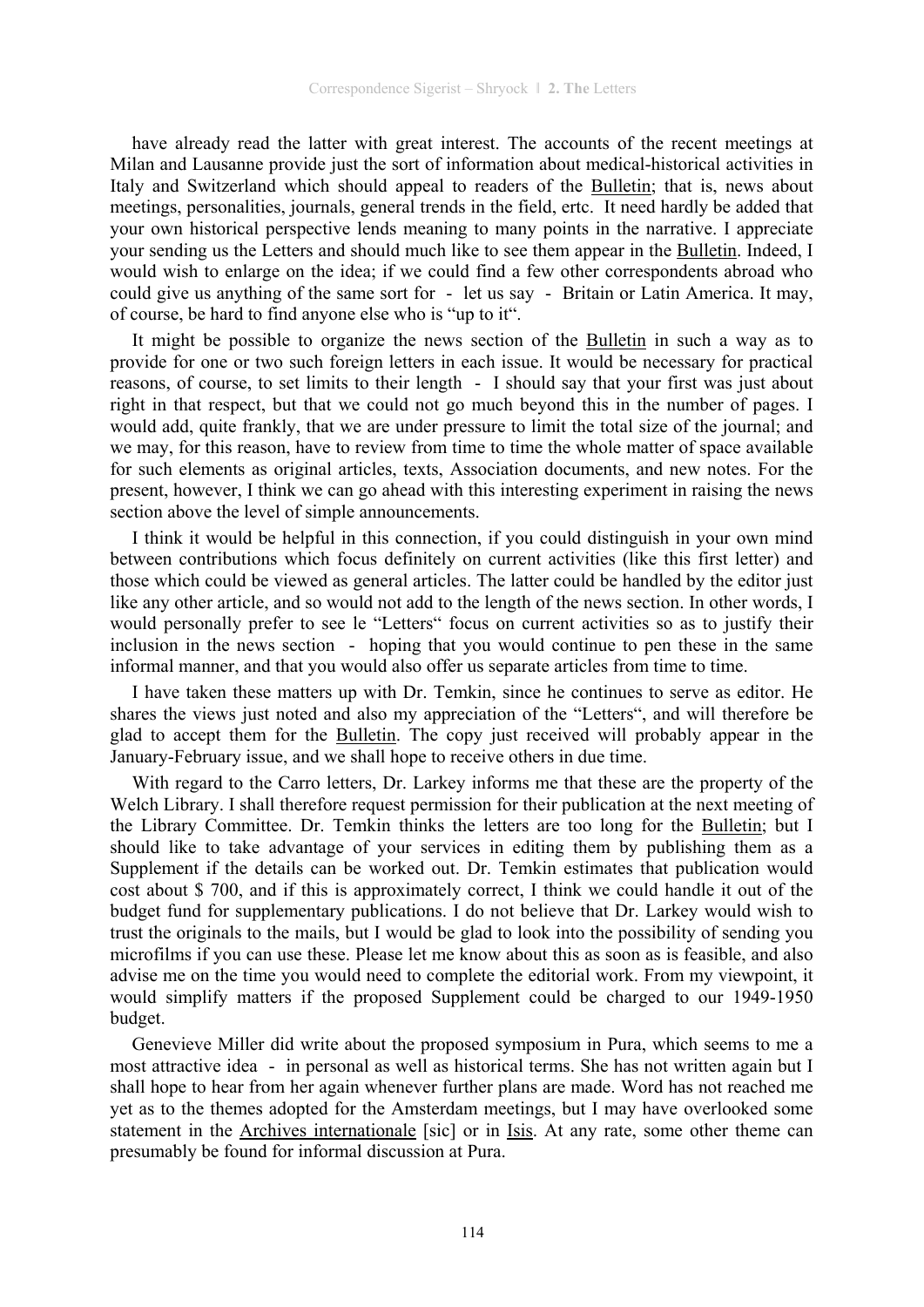have already read the latter with great interest. The accounts of the recent meetings at Milan and Lausanne provide just the sort of information about medical-historical activities in Italy and Switzerland which should appeal to readers of the Bulletin; that is, news about meetings, personalities, journals, general trends in the field, ertc. It need hardly be added that your own historical perspective lends meaning to many points in the narrative. I appreciate your sending us the Letters and should much like to see them appear in the Bulletin. Indeed, I would wish to enlarge on the idea; if we could find a few other correspondents abroad who could give us anything of the same sort for - let us say - Britain or Latin America. It may, of course, be hard to find anyone else who is "up to it".

It might be possible to organize the news section of the Bulletin in such a way as to provide for one or two such foreign letters in each issue. It would be necessary for practical reasons, of course, to set limits to their length - I should say that your first was just about right in that respect, but that we could not go much beyond this in the number of pages. I would add, quite frankly, that we are under pressure to limit the total size of the journal; and we may, for this reason, have to review from time to time the whole matter of space available for such elements as original articles, texts, Association documents, and new notes. For the present, however, I think we can go ahead with this interesting experiment in raising the news section above the level of simple announcements.

I think it would be helpful in this connection, if you could distinguish in your own mind between contributions which focus definitely on current activities (like this first letter) and those which could be viewed as general articles. The latter could be handled by the editor just like any other article, and so would not add to the length of the news section. In other words, I would personally prefer to see le "Letters" focus on current activities so as to justify their inclusion in the news section - hoping that you would continue to pen these in the same informal manner, and that you would also offer us separate articles from time to time.

I have taken these matters up with Dr. Temkin, since he continues to serve as editor. He shares the views just noted and also my appreciation of the "Letters", and will therefore be glad to accept them for the Bulletin. The copy just received will probably appear in the January-February issue, and we shall hope to receive others in due time.

With regard to the Carro letters, Dr. Larkey informs me that these are the property of the Welch Library. I shall therefore request permission for their publication at the next meeting of the Library Committee. Dr. Temkin thinks the letters are too long for the Bulletin; but I should like to take advantage of your services in editing them by publishing them as a Supplement if the details can be worked out. Dr. Temkin estimates that publication would cost about \$ 700, and if this is approximately correct, I think we could handle it out of the budget fund for supplementary publications. I do not believe that Dr. Larkey would wish to trust the originals to the mails, but I would be glad to look into the possibility of sending you microfilms if you can use these. Please let me know about this as soon as is feasible, and also advise me on the time you would need to complete the editorial work. From my viewpoint, it would simplify matters if the proposed Supplement could be charged to our 1949-1950 budget.

Genevieve Miller did write about the proposed symposium in Pura, which seems to me a most attractive idea - in personal as well as historical terms. She has not written again but I shall hope to hear from her again whenever further plans are made. Word has not reached me yet as to the themes adopted for the Amsterdam meetings, but I may have overlooked some statement in the Archives internationale [sic] or in Isis. At any rate, some other theme can presumably be found for informal discussion at Pura.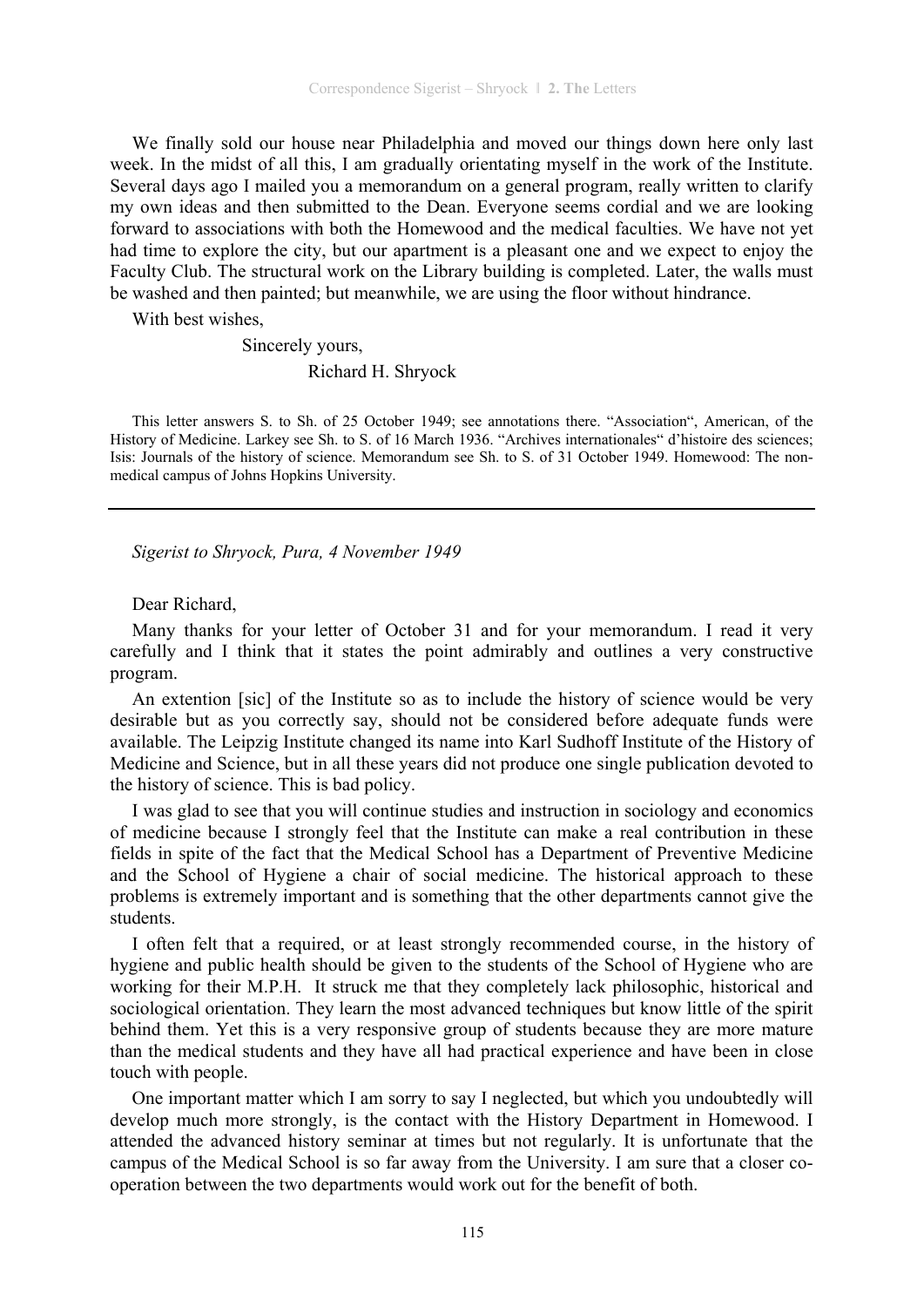We finally sold our house near Philadelphia and moved our things down here only last week. In the midst of all this, I am gradually orientating myself in the work of the Institute. Several days ago I mailed you a memorandum on a general program, really written to clarify my own ideas and then submitted to the Dean. Everyone seems cordial and we are looking forward to associations with both the Homewood and the medical faculties. We have not yet had time to explore the city, but our apartment is a pleasant one and we expect to enjoy the Faculty Club. The structural work on the Library building is completed. Later, the walls must be washed and then painted; but meanwhile, we are using the floor without hindrance.

With best wishes

Sincerely yours,

Richard H. Shryock

This letter answers S. to Sh. of 25 October 1949; see annotations there. "Association", American, of the History of Medicine. Larkey see Sh. to S. of 16 March 1936. "Archives internationales" d'histoire des sciences; Isis: Journals of the history of science. Memorandum see Sh. to S. of 31 October 1949. Homewood: The nonmedical campus of Johns Hopkins University.

*Sigerist to Shryock, Pura, 4 November 1949* 

Dear Richard,

Many thanks for your letter of October 31 and for your memorandum. I read it very carefully and I think that it states the point admirably and outlines a very constructive program.

An extention [sic] of the Institute so as to include the history of science would be very desirable but as you correctly say, should not be considered before adequate funds were available. The Leipzig Institute changed its name into Karl Sudhoff Institute of the History of Medicine and Science, but in all these years did not produce one single publication devoted to the history of science. This is bad policy.

I was glad to see that you will continue studies and instruction in sociology and economics of medicine because I strongly feel that the Institute can make a real contribution in these fields in spite of the fact that the Medical School has a Department of Preventive Medicine and the School of Hygiene a chair of social medicine. The historical approach to these problems is extremely important and is something that the other departments cannot give the students.

I often felt that a required, or at least strongly recommended course, in the history of hygiene and public health should be given to the students of the School of Hygiene who are working for their M.P.H. It struck me that they completely lack philosophic, historical and sociological orientation. They learn the most advanced techniques but know little of the spirit behind them. Yet this is a very responsive group of students because they are more mature than the medical students and they have all had practical experience and have been in close touch with people.

One important matter which I am sorry to say I neglected, but which you undoubtedly will develop much more strongly, is the contact with the History Department in Homewood. I attended the advanced history seminar at times but not regularly. It is unfortunate that the campus of the Medical School is so far away from the University. I am sure that a closer cooperation between the two departments would work out for the benefit of both.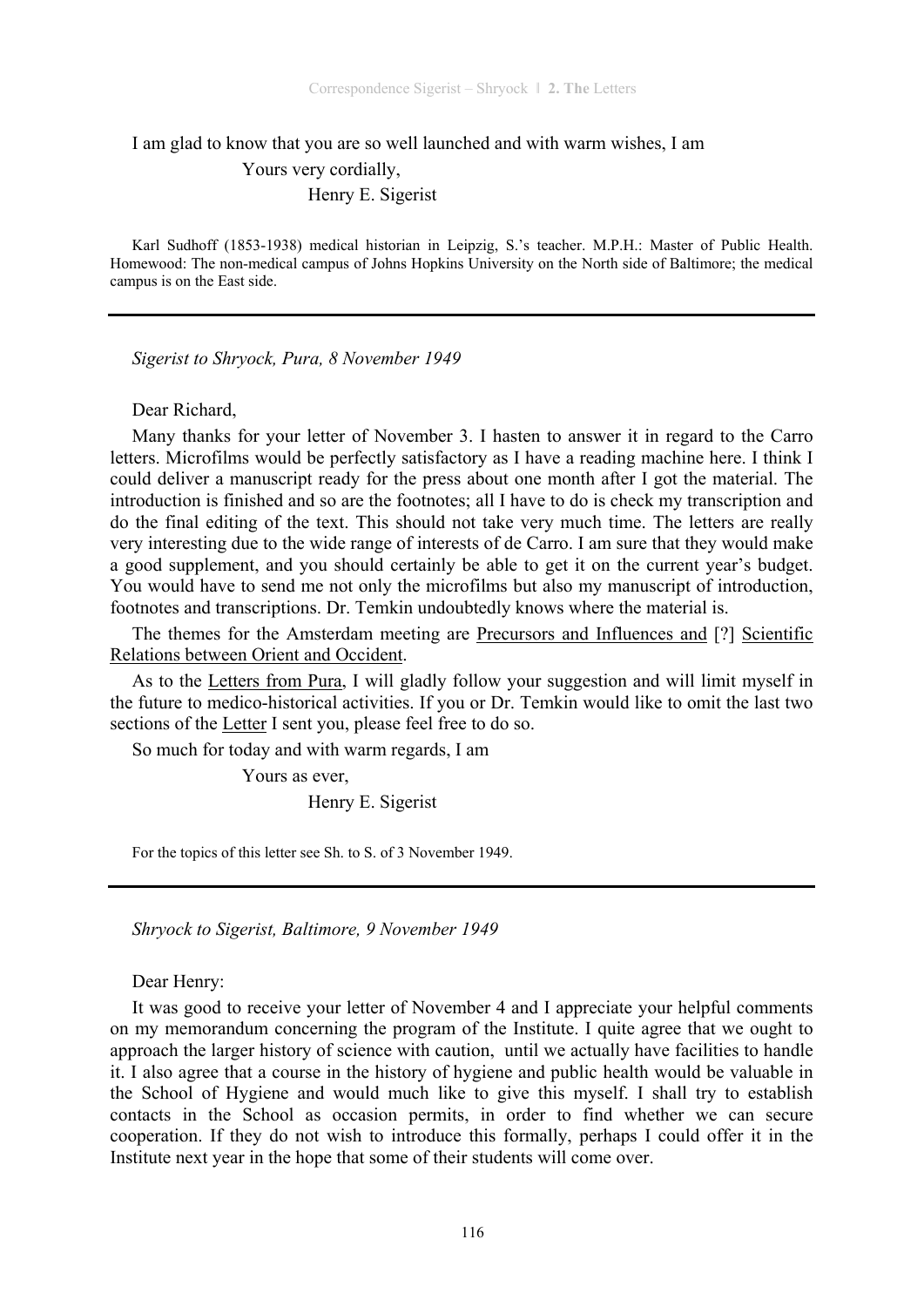I am glad to know that you are so well launched and with warm wishes, I am Yours very cordially, Henry E. Sigerist

Karl Sudhoff (1853-1938) medical historian in Leipzig, S.'s teacher. M.P.H.: Master of Public Health. Homewood: The non-medical campus of Johns Hopkins University on the North side of Baltimore; the medical campus is on the East side.

*Sigerist to Shryock, Pura, 8 November 1949* 

Dear Richard,

Many thanks for your letter of November 3. I hasten to answer it in regard to the Carro letters. Microfilms would be perfectly satisfactory as I have a reading machine here. I think I could deliver a manuscript ready for the press about one month after I got the material. The introduction is finished and so are the footnotes; all I have to do is check my transcription and do the final editing of the text. This should not take very much time. The letters are really very interesting due to the wide range of interests of de Carro. I am sure that they would make a good supplement, and you should certainly be able to get it on the current year's budget. You would have to send me not only the microfilms but also my manuscript of introduction, footnotes and transcriptions. Dr. Temkin undoubtedly knows where the material is.

The themes for the Amsterdam meeting are Precursors and Influences and [?] Scientific Relations between Orient and Occident.

As to the Letters from Pura, I will gladly follow your suggestion and will limit myself in the future to medico-historical activities. If you or Dr. Temkin would like to omit the last two sections of the Letter I sent you, please feel free to do so.

So much for today and with warm regards, I am

Yours as ever,

Henry E. Sigerist

For the topics of this letter see Sh. to S. of 3 November 1949.

*Shryock to Sigerist, Baltimore, 9 November 1949* 

Dear Henry:

It was good to receive your letter of November 4 and I appreciate your helpful comments on my memorandum concerning the program of the Institute. I quite agree that we ought to approach the larger history of science with caution, until we actually have facilities to handle it. I also agree that a course in the history of hygiene and public health would be valuable in the School of Hygiene and would much like to give this myself. I shall try to establish contacts in the School as occasion permits, in order to find whether we can secure cooperation. If they do not wish to introduce this formally, perhaps I could offer it in the Institute next year in the hope that some of their students will come over.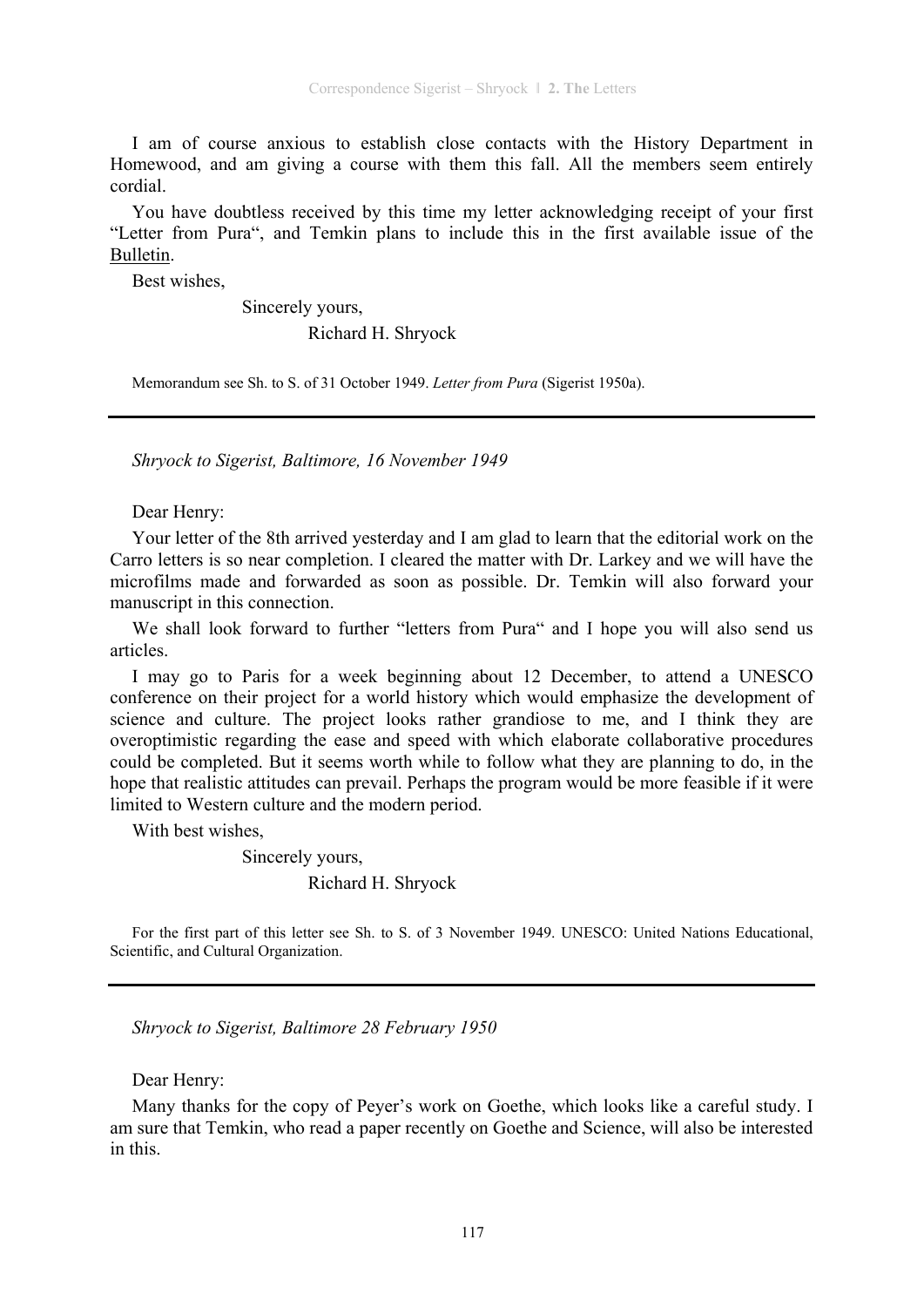I am of course anxious to establish close contacts with the History Department in Homewood, and am giving a course with them this fall. All the members seem entirely cordial.

You have doubtless received by this time my letter acknowledging receipt of your first "Letter from Pura", and Temkin plans to include this in the first available issue of the Bulletin.

Best wishes,

 Sincerely yours, Richard H. Shryock

Memorandum see Sh. to S. of 31 October 1949. *Letter from Pura* (Sigerist 1950a).

*Shryock to Sigerist, Baltimore, 16 November 1949* 

Dear Henry:

Your letter of the 8th arrived yesterday and I am glad to learn that the editorial work on the Carro letters is so near completion. I cleared the matter with Dr. Larkey and we will have the microfilms made and forwarded as soon as possible. Dr. Temkin will also forward your manuscript in this connection.

We shall look forward to further "letters from Pura" and I hope you will also send us articles.

I may go to Paris for a week beginning about 12 December, to attend a UNESCO conference on their project for a world history which would emphasize the development of science and culture. The project looks rather grandiose to me, and I think they are overoptimistic regarding the ease and speed with which elaborate collaborative procedures could be completed. But it seems worth while to follow what they are planning to do, in the hope that realistic attitudes can prevail. Perhaps the program would be more feasible if it were limited to Western culture and the modern period.

With best wishes,

Sincerely yours,

Richard H. Shryock

For the first part of this letter see Sh. to S. of 3 November 1949. UNESCO: United Nations Educational, Scientific, and Cultural Organization.

*Shryock to Sigerist, Baltimore 28 February 1950* 

Dear Henry:

Many thanks for the copy of Peyer's work on Goethe, which looks like a careful study. I am sure that Temkin, who read a paper recently on Goethe and Science, will also be interested in this.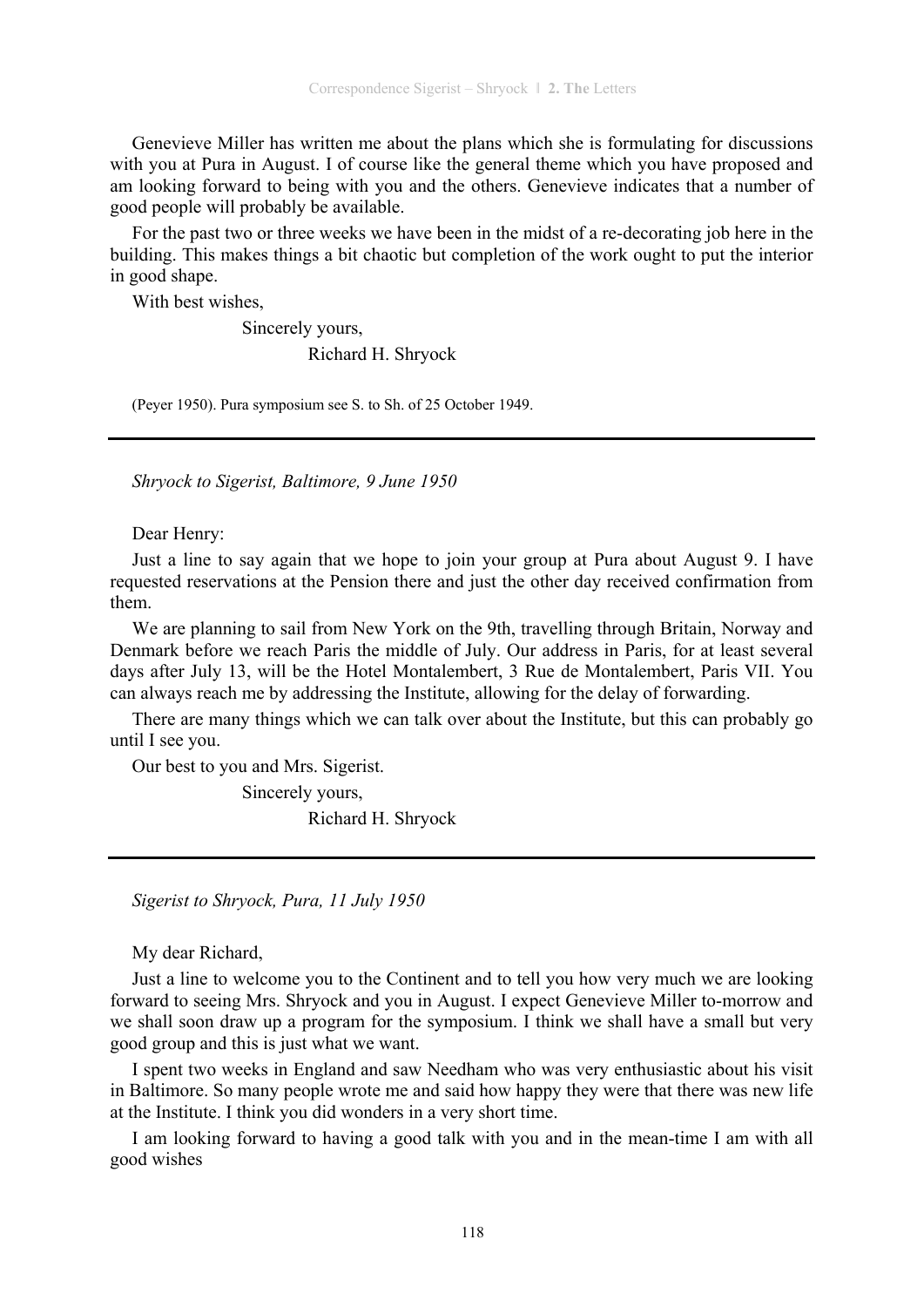Genevieve Miller has written me about the plans which she is formulating for discussions with you at Pura in August. I of course like the general theme which you have proposed and am looking forward to being with you and the others. Genevieve indicates that a number of good people will probably be available.

For the past two or three weeks we have been in the midst of a re-decorating job here in the building. This makes things a bit chaotic but completion of the work ought to put the interior in good shape.

With best wishes,

Sincerely yours,

Richard H. Shryock

(Peyer 1950). Pura symposium see S. to Sh. of 25 October 1949.

*Shryock to Sigerist, Baltimore, 9 June 1950* 

Dear Henry:

Just a line to say again that we hope to join your group at Pura about August 9. I have requested reservations at the Pension there and just the other day received confirmation from them.

We are planning to sail from New York on the 9th, travelling through Britain, Norway and Denmark before we reach Paris the middle of July. Our address in Paris, for at least several days after July 13, will be the Hotel Montalembert, 3 Rue de Montalembert, Paris VII. You can always reach me by addressing the Institute, allowing for the delay of forwarding.

There are many things which we can talk over about the Institute, but this can probably go until I see you.

Our best to you and Mrs. Sigerist.

 Sincerely yours, Richard H. Shryock

*Sigerist to Shryock, Pura, 11 July 1950* 

My dear Richard,

Just a line to welcome you to the Continent and to tell you how very much we are looking forward to seeing Mrs. Shryock and you in August. I expect Genevieve Miller to-morrow and we shall soon draw up a program for the symposium. I think we shall have a small but very good group and this is just what we want.

I spent two weeks in England and saw Needham who was very enthusiastic about his visit in Baltimore. So many people wrote me and said how happy they were that there was new life at the Institute. I think you did wonders in a very short time.

I am looking forward to having a good talk with you and in the mean-time I am with all good wishes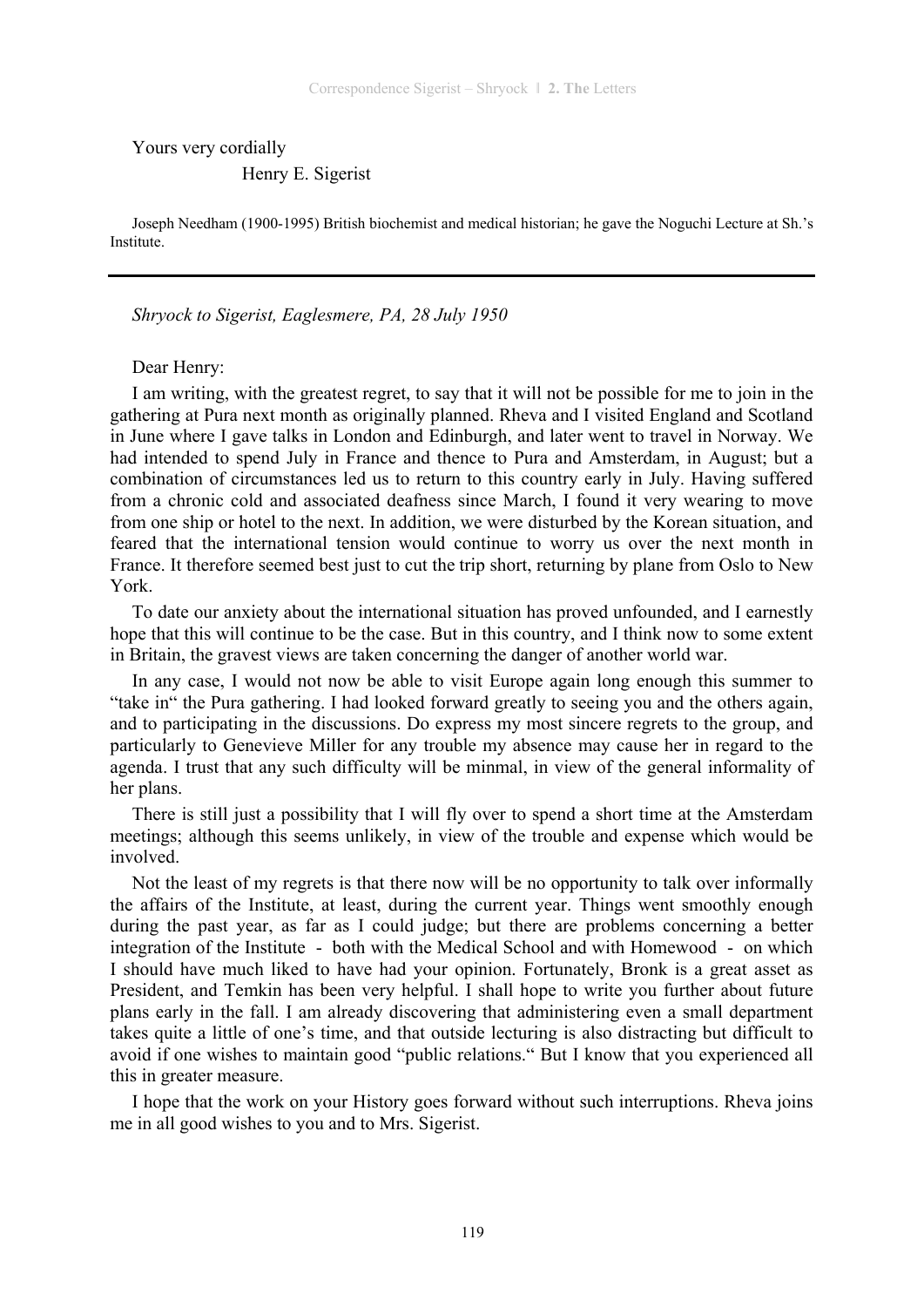Yours very cordially

#### Henry E. Sigerist

Joseph Needham (1900-1995) British biochemist and medical historian; he gave the Noguchi Lecture at Sh.'s Institute.

*Shryock to Sigerist, Eaglesmere, PA, 28 July 1950* 

#### Dear Henry:

I am writing, with the greatest regret, to say that it will not be possible for me to join in the gathering at Pura next month as originally planned. Rheva and I visited England and Scotland in June where I gave talks in London and Edinburgh, and later went to travel in Norway. We had intended to spend July in France and thence to Pura and Amsterdam, in August; but a combination of circumstances led us to return to this country early in July. Having suffered from a chronic cold and associated deafness since March, I found it very wearing to move from one ship or hotel to the next. In addition, we were disturbed by the Korean situation, and feared that the international tension would continue to worry us over the next month in France. It therefore seemed best just to cut the trip short, returning by plane from Oslo to New York.

To date our anxiety about the international situation has proved unfounded, and I earnestly hope that this will continue to be the case. But in this country, and I think now to some extent in Britain, the gravest views are taken concerning the danger of another world war.

In any case, I would not now be able to visit Europe again long enough this summer to "take in" the Pura gathering. I had looked forward greatly to seeing you and the others again, and to participating in the discussions. Do express my most sincere regrets to the group, and particularly to Genevieve Miller for any trouble my absence may cause her in regard to the agenda. I trust that any such difficulty will be minmal, in view of the general informality of her plans.

There is still just a possibility that I will fly over to spend a short time at the Amsterdam meetings; although this seems unlikely, in view of the trouble and expense which would be involved.

Not the least of my regrets is that there now will be no opportunity to talk over informally the affairs of the Institute, at least, during the current year. Things went smoothly enough during the past year, as far as I could judge; but there are problems concerning a better integration of the Institute - both with the Medical School and with Homewood - on which I should have much liked to have had your opinion. Fortunately, Bronk is a great asset as President, and Temkin has been very helpful. I shall hope to write you further about future plans early in the fall. I am already discovering that administering even a small department takes quite a little of one's time, and that outside lecturing is also distracting but difficult to avoid if one wishes to maintain good "public relations." But I know that you experienced all this in greater measure.

I hope that the work on your History goes forward without such interruptions. Rheva joins me in all good wishes to you and to Mrs. Sigerist.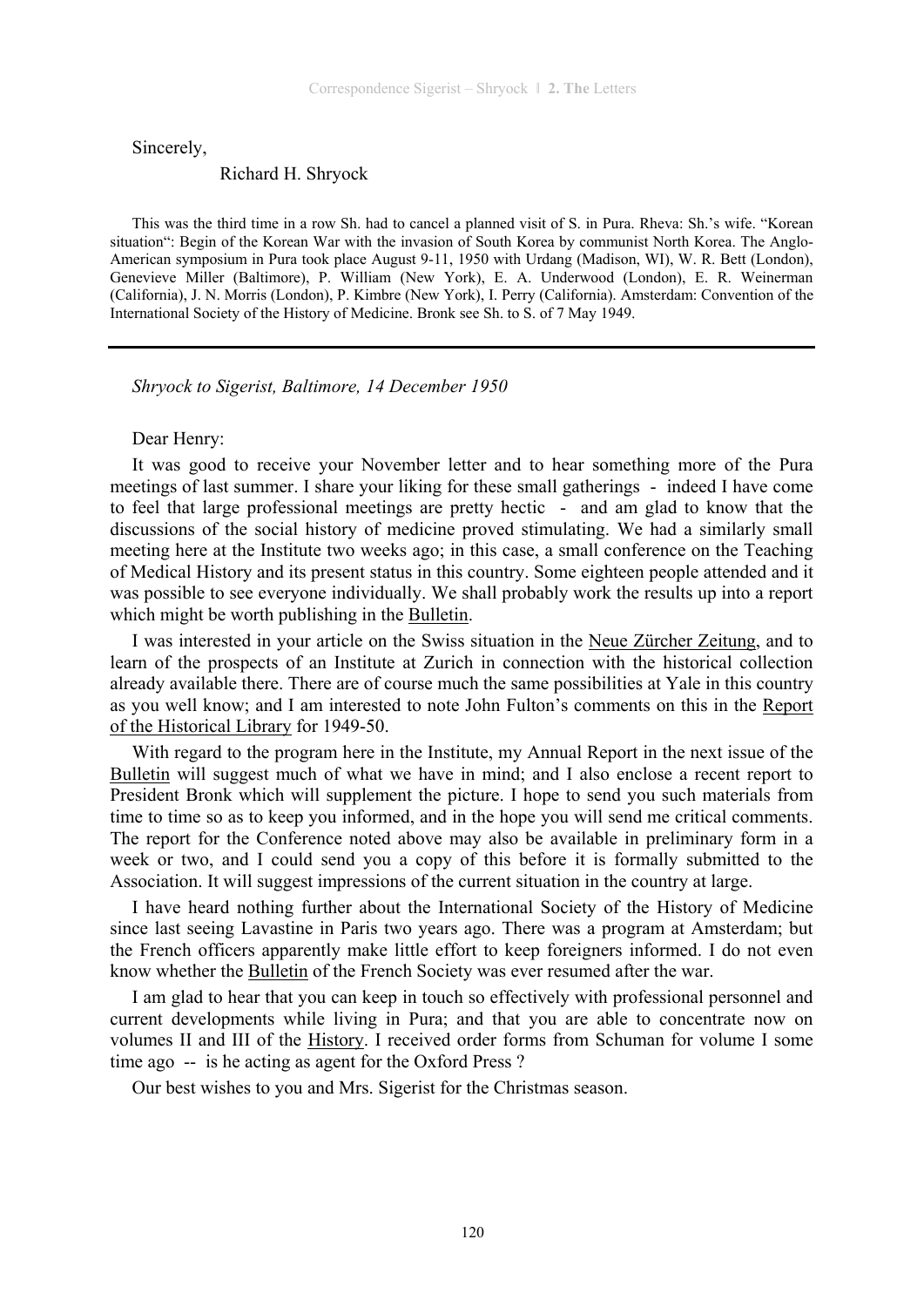Sincerely,

#### Richard H. Shryock

This was the third time in a row Sh. had to cancel a planned visit of S. in Pura. Rheva: Sh.'s wife. "Korean situation": Begin of the Korean War with the invasion of South Korea by communist North Korea. The Anglo-American symposium in Pura took place August 9-11, 1950 with Urdang (Madison, WI), W. R. Bett (London), Genevieve Miller (Baltimore), P. William (New York), E. A. Underwood (London), E. R. Weinerman (California), J. N. Morris (London), P. Kimbre (New York), I. Perry (California). Amsterdam: Convention of the International Society of the History of Medicine. Bronk see Sh. to S. of 7 May 1949.

*Shryock to Sigerist, Baltimore, 14 December 1950* 

#### Dear Henry:

It was good to receive your November letter and to hear something more of the Pura meetings of last summer. I share your liking for these small gatherings - indeed I have come to feel that large professional meetings are pretty hectic - and am glad to know that the discussions of the social history of medicine proved stimulating. We had a similarly small meeting here at the Institute two weeks ago; in this case, a small conference on the Teaching of Medical History and its present status in this country. Some eighteen people attended and it was possible to see everyone individually. We shall probably work the results up into a report which might be worth publishing in the Bulletin.

I was interested in your article on the Swiss situation in the Neue Zürcher Zeitung, and to learn of the prospects of an Institute at Zurich in connection with the historical collection already available there. There are of course much the same possibilities at Yale in this country as you well know; and I am interested to note John Fulton's comments on this in the Report of the Historical Library for 1949-50.

With regard to the program here in the Institute, my Annual Report in the next issue of the Bulletin will suggest much of what we have in mind; and I also enclose a recent report to President Bronk which will supplement the picture. I hope to send you such materials from time to time so as to keep you informed, and in the hope you will send me critical comments. The report for the Conference noted above may also be available in preliminary form in a week or two, and I could send you a copy of this before it is formally submitted to the Association. It will suggest impressions of the current situation in the country at large.

I have heard nothing further about the International Society of the History of Medicine since last seeing Lavastine in Paris two years ago. There was a program at Amsterdam; but the French officers apparently make little effort to keep foreigners informed. I do not even know whether the Bulletin of the French Society was ever resumed after the war.

I am glad to hear that you can keep in touch so effectively with professional personnel and current developments while living in Pura; and that you are able to concentrate now on volumes II and III of the History. I received order forms from Schuman for volume I some time ago -- is he acting as agent for the Oxford Press ?

Our best wishes to you and Mrs. Sigerist for the Christmas season.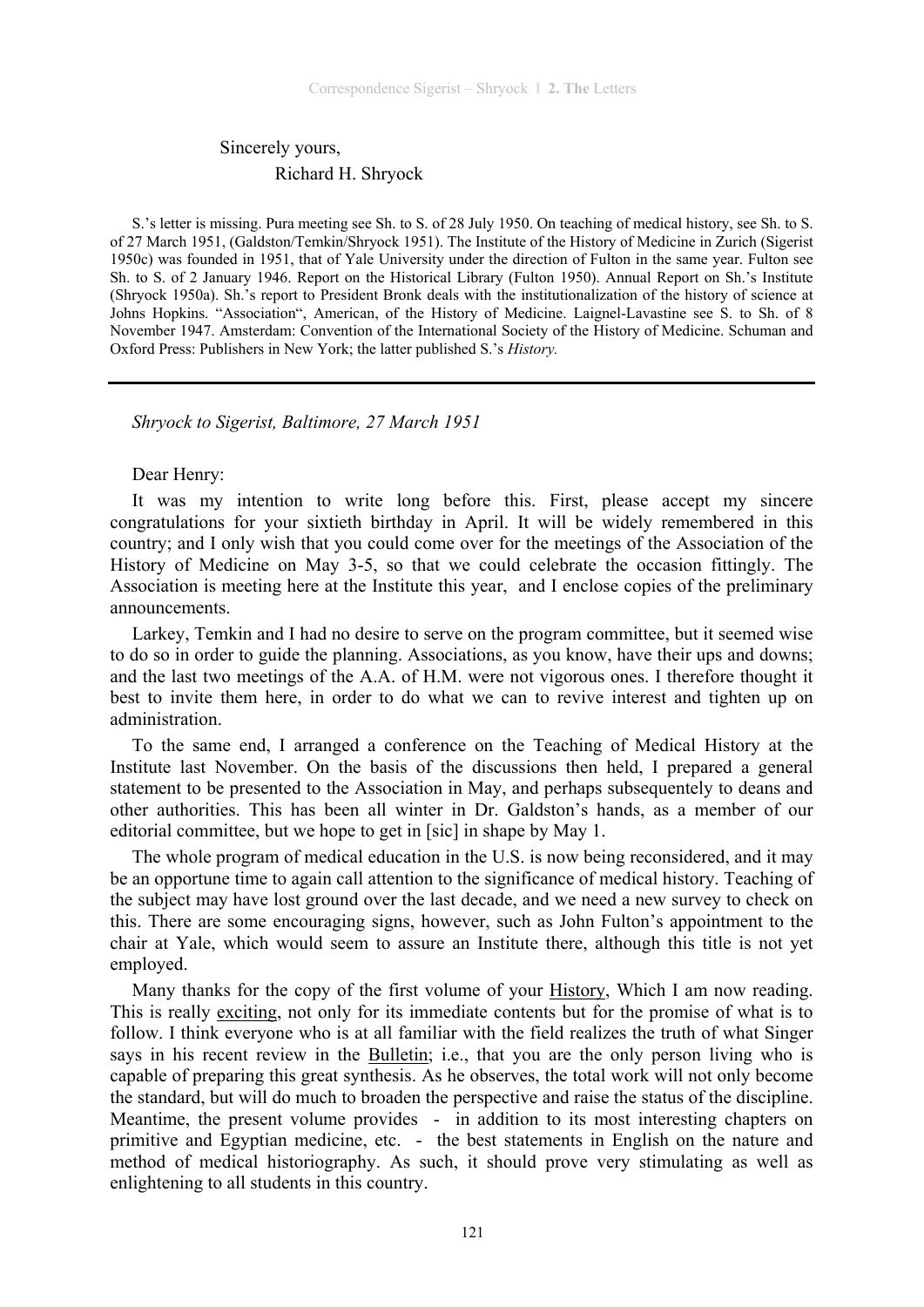## Sincerely yours, Richard H. Shryock

S.'s letter is missing. Pura meeting see Sh. to S. of 28 July 1950. On teaching of medical history, see Sh. to S. of 27 March 1951, (Galdston/Temkin/Shryock 1951). The Institute of the History of Medicine in Zurich (Sigerist 1950c) was founded in 1951, that of Yale University under the direction of Fulton in the same year. Fulton see Sh. to S. of 2 January 1946. Report on the Historical Library (Fulton 1950). Annual Report on Sh.'s Institute (Shryock 1950a). Sh.'s report to President Bronk deals with the institutionalization of the history of science at Johns Hopkins. "Association", American, of the History of Medicine. Laignel-Lavastine see S. to Sh. of 8 November 1947. Amsterdam: Convention of the International Society of the History of Medicine. Schuman and Oxford Press: Publishers in New York; the latter published S.'s *History.* 

*Shryock to Sigerist, Baltimore, 27 March 1951* 

Dear Henry:

It was my intention to write long before this. First, please accept my sincere congratulations for your sixtieth birthday in April. It will be widely remembered in this country; and I only wish that you could come over for the meetings of the Association of the History of Medicine on May 3-5, so that we could celebrate the occasion fittingly. The Association is meeting here at the Institute this year, and I enclose copies of the preliminary announcements.

Larkey, Temkin and I had no desire to serve on the program committee, but it seemed wise to do so in order to guide the planning. Associations, as you know, have their ups and downs; and the last two meetings of the A.A. of H.M. were not vigorous ones. I therefore thought it best to invite them here, in order to do what we can to revive interest and tighten up on administration.

To the same end, I arranged a conference on the Teaching of Medical History at the Institute last November. On the basis of the discussions then held, I prepared a general statement to be presented to the Association in May, and perhaps subsequentely to deans and other authorities. This has been all winter in Dr. Galdston's hands, as a member of our editorial committee, but we hope to get in [sic] in shape by May 1.

The whole program of medical education in the U.S. is now being reconsidered, and it may be an opportune time to again call attention to the significance of medical history. Teaching of the subject may have lost ground over the last decade, and we need a new survey to check on this. There are some encouraging signs, however, such as John Fulton's appointment to the chair at Yale, which would seem to assure an Institute there, although this title is not yet employed.

Many thanks for the copy of the first volume of your History, Which I am now reading. This is really exciting, not only for its immediate contents but for the promise of what is to follow. I think everyone who is at all familiar with the field realizes the truth of what Singer says in his recent review in the Bulletin; i.e., that you are the only person living who is capable of preparing this great synthesis. As he observes, the total work will not only become the standard, but will do much to broaden the perspective and raise the status of the discipline. Meantime, the present volume provides - in addition to its most interesting chapters on primitive and Egyptian medicine, etc. - the best statements in English on the nature and method of medical historiography. As such, it should prove very stimulating as well as enlightening to all students in this country.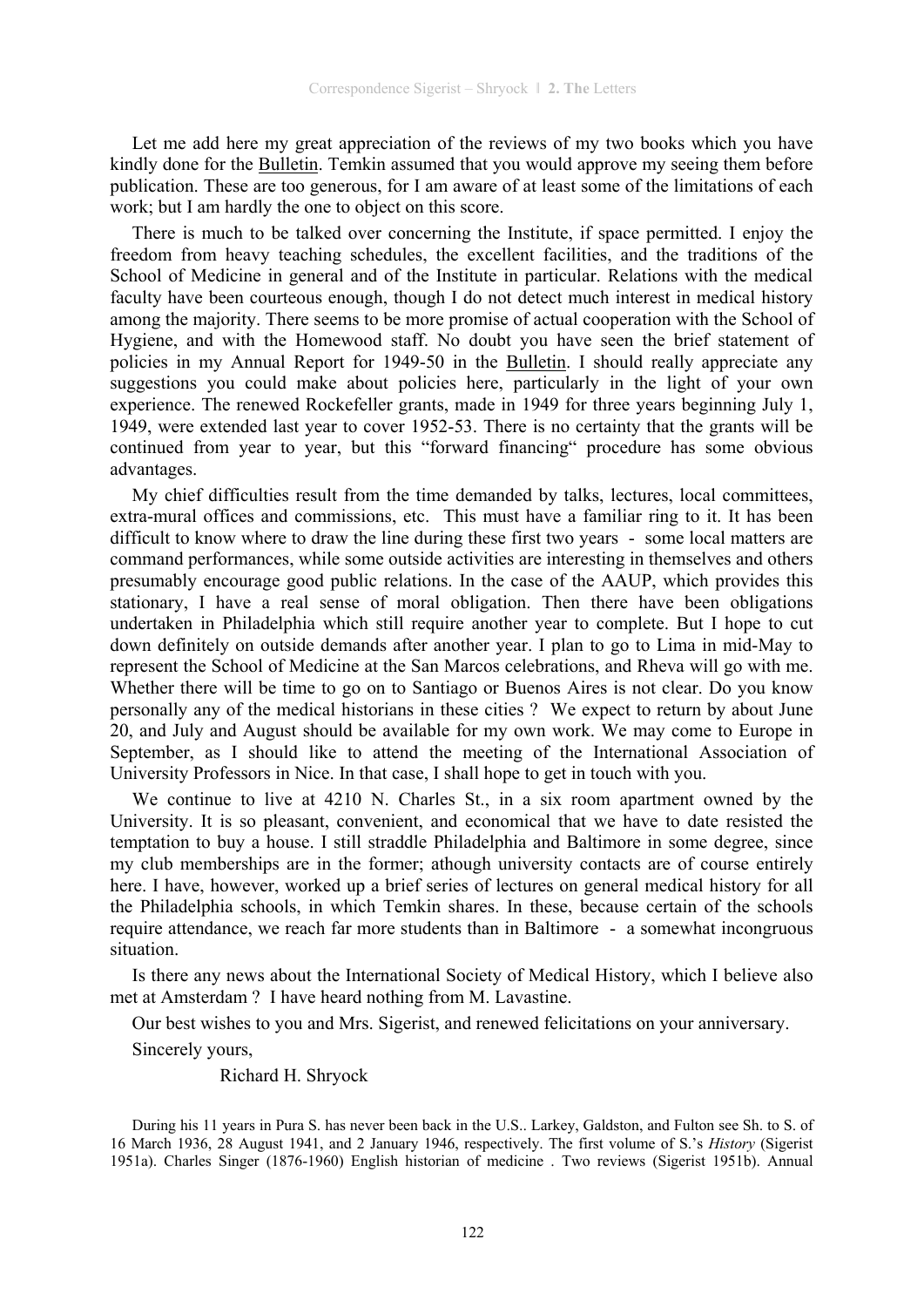Let me add here my great appreciation of the reviews of my two books which you have kindly done for the Bulletin. Temkin assumed that you would approve my seeing them before publication. These are too generous, for I am aware of at least some of the limitations of each work; but I am hardly the one to object on this score.

There is much to be talked over concerning the Institute, if space permitted. I enjoy the freedom from heavy teaching schedules, the excellent facilities, and the traditions of the School of Medicine in general and of the Institute in particular. Relations with the medical faculty have been courteous enough, though I do not detect much interest in medical history among the majority. There seems to be more promise of actual cooperation with the School of Hygiene, and with the Homewood staff. No doubt you have seen the brief statement of policies in my Annual Report for 1949-50 in the Bulletin. I should really appreciate any suggestions you could make about policies here, particularly in the light of your own experience. The renewed Rockefeller grants, made in 1949 for three years beginning July 1, 1949, were extended last year to cover 1952-53. There is no certainty that the grants will be continued from year to year, but this "forward financing" procedure has some obvious advantages.

My chief difficulties result from the time demanded by talks, lectures, local committees, extra-mural offices and commissions, etc. This must have a familiar ring to it. It has been difficult to know where to draw the line during these first two years - some local matters are command performances, while some outside activities are interesting in themselves and others presumably encourage good public relations. In the case of the AAUP, which provides this stationary, I have a real sense of moral obligation. Then there have been obligations undertaken in Philadelphia which still require another year to complete. But I hope to cut down definitely on outside demands after another year. I plan to go to Lima in mid-May to represent the School of Medicine at the San Marcos celebrations, and Rheva will go with me. Whether there will be time to go on to Santiago or Buenos Aires is not clear. Do you know personally any of the medical historians in these cities ? We expect to return by about June 20, and July and August should be available for my own work. We may come to Europe in September, as I should like to attend the meeting of the International Association of University Professors in Nice. In that case, I shall hope to get in touch with you.

We continue to live at 4210 N. Charles St., in a six room apartment owned by the University. It is so pleasant, convenient, and economical that we have to date resisted the temptation to buy a house. I still straddle Philadelphia and Baltimore in some degree, since my club memberships are in the former; athough university contacts are of course entirely here. I have, however, worked up a brief series of lectures on general medical history for all the Philadelphia schools, in which Temkin shares. In these, because certain of the schools require attendance, we reach far more students than in Baltimore - a somewhat incongruous situation.

Is there any news about the International Society of Medical History, which I believe also met at Amsterdam ? I have heard nothing from M. Lavastine.

Our best wishes to you and Mrs. Sigerist, and renewed felicitations on your anniversary.

Sincerely yours,

Richard H. Shryock

During his 11 years in Pura S. has never been back in the U.S.. Larkey, Galdston, and Fulton see Sh. to S. of 16 March 1936, 28 August 1941, and 2 January 1946, respectively. The first volume of S.'s *History* (Sigerist 1951a). Charles Singer (1876-1960) English historian of medicine . Two reviews (Sigerist 1951b). Annual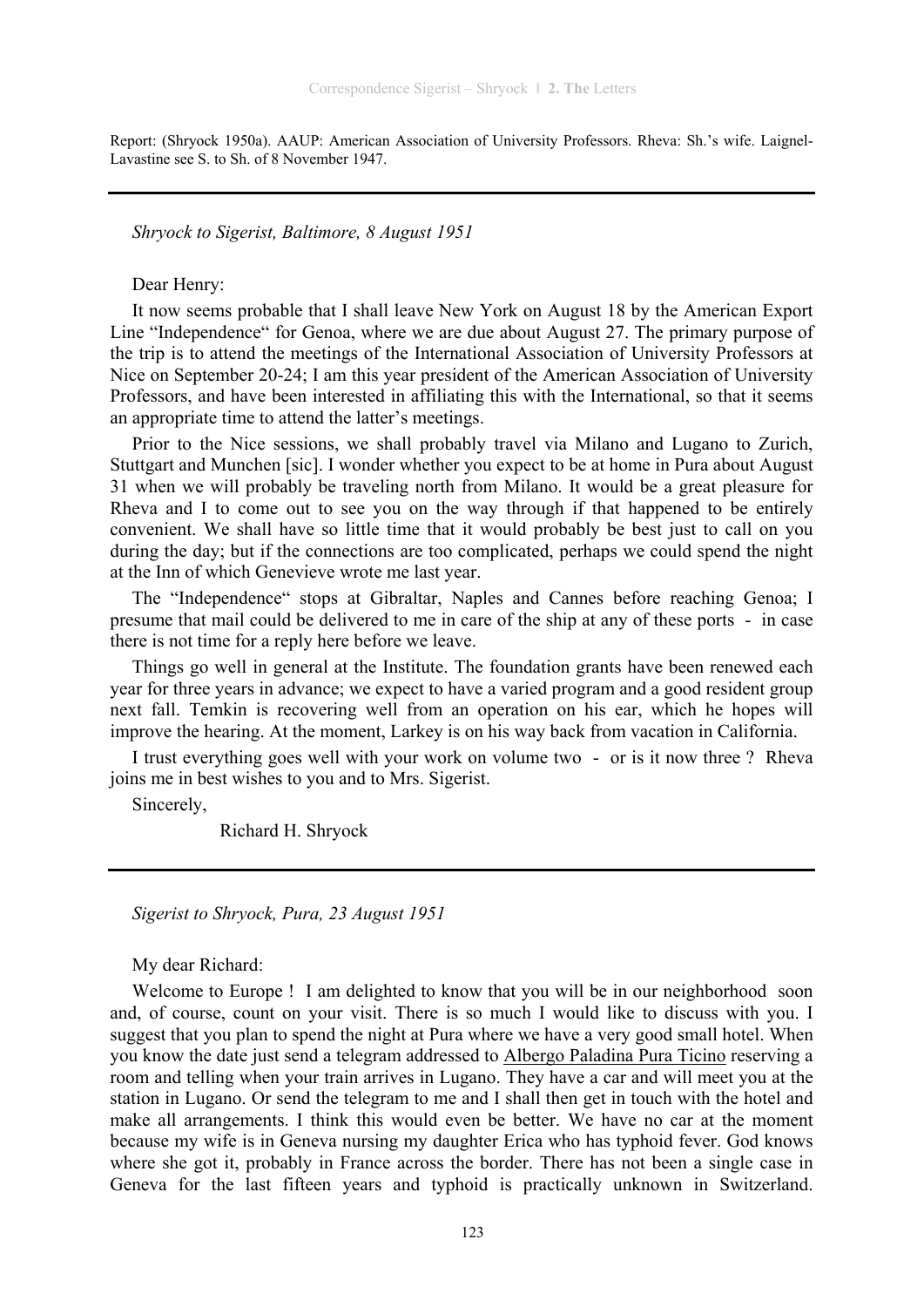Report: (Shryock 1950a). AAUP: American Association of University Professors. Rheva: Sh.'s wife. Laignel-Lavastine see S. to Sh. of 8 November 1947.

*Shryock to Sigerist, Baltimore, 8 August 1951* 

Dear Henry:

It now seems probable that I shall leave New York on August 18 by the American Export Line "Independence" for Genoa, where we are due about August 27. The primary purpose of the trip is to attend the meetings of the International Association of University Professors at Nice on September 20-24; I am this year president of the American Association of University Professors, and have been interested in affiliating this with the International, so that it seems an appropriate time to attend the latter's meetings.

Prior to the Nice sessions, we shall probably travel via Milano and Lugano to Zurich, Stuttgart and Munchen [sic]. I wonder whether you expect to be at home in Pura about August 31 when we will probably be traveling north from Milano. It would be a great pleasure for Rheva and I to come out to see you on the way through if that happened to be entirely convenient. We shall have so little time that it would probably be best just to call on you during the day; but if the connections are too complicated, perhaps we could spend the night at the Inn of which Genevieve wrote me last year.

The "Independence" stops at Gibraltar, Naples and Cannes before reaching Genoa; I presume that mail could be delivered to me in care of the ship at any of these ports - in case there is not time for a reply here before we leave.

Things go well in general at the Institute. The foundation grants have been renewed each year for three years in advance; we expect to have a varied program and a good resident group next fall. Temkin is recovering well from an operation on his ear, which he hopes will improve the hearing. At the moment, Larkey is on his way back from vacation in California.

I trust everything goes well with your work on volume two - or is it now three ? Rheva joins me in best wishes to you and to Mrs. Sigerist.

Sincerely,

Richard H. Shryock

*Sigerist to Shryock, Pura, 23 August 1951* 

My dear Richard:

Welcome to Europe ! I am delighted to know that you will be in our neighborhood soon and, of course, count on your visit. There is so much I would like to discuss with you. I suggest that you plan to spend the night at Pura where we have a very good small hotel. When you know the date just send a telegram addressed to Albergo Paladina Pura Ticino reserving a room and telling when your train arrives in Lugano. They have a car and will meet you at the station in Lugano. Or send the telegram to me and I shall then get in touch with the hotel and make all arrangements. I think this would even be better. We have no car at the moment because my wife is in Geneva nursing my daughter Erica who has typhoid fever. God knows where she got it, probably in France across the border. There has not been a single case in Geneva for the last fifteen years and typhoid is practically unknown in Switzerland.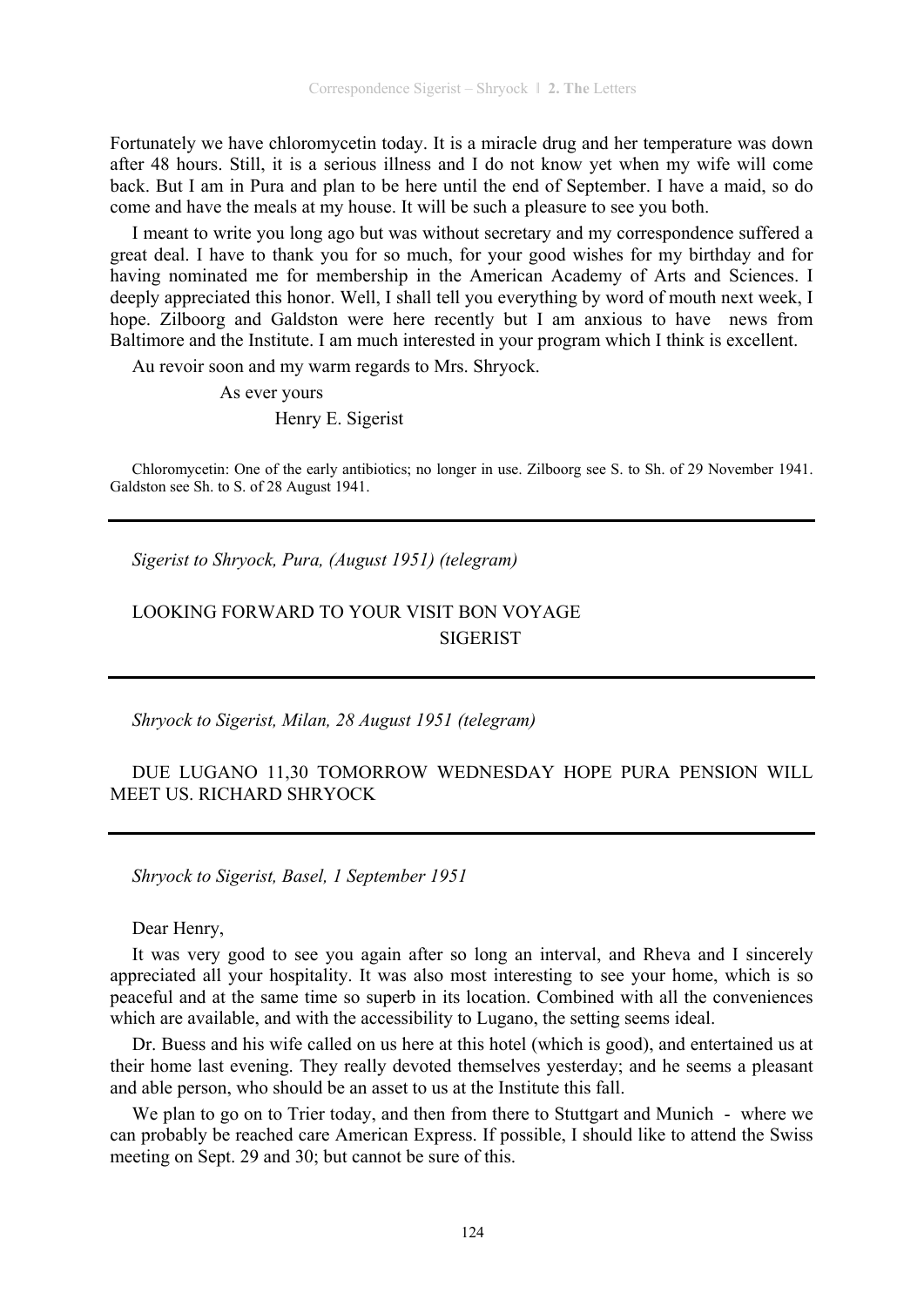Fortunately we have chloromycetin today. It is a miracle drug and her temperature was down after 48 hours. Still, it is a serious illness and I do not know yet when my wife will come back. But I am in Pura and plan to be here until the end of September. I have a maid, so do come and have the meals at my house. It will be such a pleasure to see you both.

I meant to write you long ago but was without secretary and my correspondence suffered a great deal. I have to thank you for so much, for your good wishes for my birthday and for having nominated me for membership in the American Academy of Arts and Sciences. I deeply appreciated this honor. Well, I shall tell you everything by word of mouth next week, I hope. Zilboorg and Galdston were here recently but I am anxious to have news from Baltimore and the Institute. I am much interested in your program which I think is excellent.

Au revoir soon and my warm regards to Mrs. Shryock.

As ever yours

Henry E. Sigerist

Chloromycetin: One of the early antibiotics; no longer in use. Zilboorg see S. to Sh. of 29 November 1941. Galdston see Sh. to S. of 28 August 1941.

*Sigerist to Shryock, Pura, (August 1951) (telegram)* 

# LOOKING FORWARD TO YOUR VISIT BON VOYAGE SIGERIST

*Shryock to Sigerist, Milan, 28 August 1951 (telegram)* 

### DUE LUGANO 11,30 TOMORROW WEDNESDAY HOPE PURA PENSION WILL MEET US. RICHARD SHRYOCK

*Shryock to Sigerist, Basel, 1 September 1951* 

Dear Henry,

It was very good to see you again after so long an interval, and Rheva and I sincerely appreciated all your hospitality. It was also most interesting to see your home, which is so peaceful and at the same time so superb in its location. Combined with all the conveniences which are available, and with the accessibility to Lugano, the setting seems ideal.

Dr. Buess and his wife called on us here at this hotel (which is good), and entertained us at their home last evening. They really devoted themselves yesterday; and he seems a pleasant and able person, who should be an asset to us at the Institute this fall.

We plan to go on to Trier today, and then from there to Stuttgart and Munich - where we can probably be reached care American Express. If possible, I should like to attend the Swiss meeting on Sept. 29 and 30; but cannot be sure of this.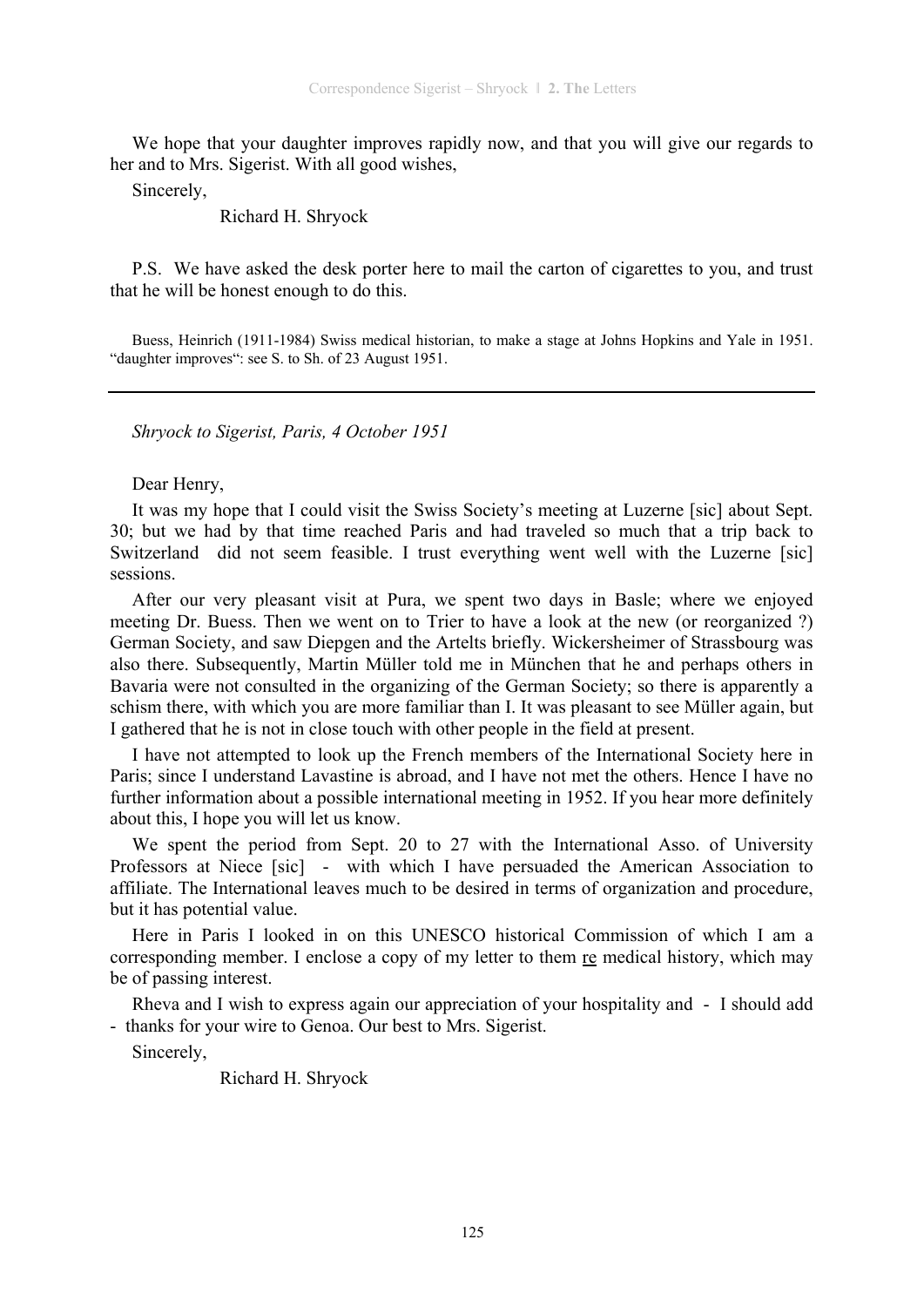We hope that your daughter improves rapidly now, and that you will give our regards to her and to Mrs. Sigerist. With all good wishes,

Sincerely,

Richard H. Shryock

P.S. We have asked the desk porter here to mail the carton of cigarettes to you, and trust that he will be honest enough to do this.

Buess, Heinrich (1911-1984) Swiss medical historian, to make a stage at Johns Hopkins and Yale in 1951. "daughter improves": see S. to Sh. of 23 August 1951.

*Shryock to Sigerist, Paris, 4 October 1951* 

Dear Henry,

It was my hope that I could visit the Swiss Society's meeting at Luzerne [sic] about Sept. 30; but we had by that time reached Paris and had traveled so much that a trip back to Switzerland did not seem feasible. I trust everything went well with the Luzerne [sic] sessions.

After our very pleasant visit at Pura, we spent two days in Basle; where we enjoyed meeting Dr. Buess. Then we went on to Trier to have a look at the new (or reorganized ?) German Society, and saw Diepgen and the Artelts briefly. Wickersheimer of Strassbourg was also there. Subsequently, Martin Müller told me in München that he and perhaps others in Bavaria were not consulted in the organizing of the German Society; so there is apparently a schism there, with which you are more familiar than I. It was pleasant to see Müller again, but I gathered that he is not in close touch with other people in the field at present.

I have not attempted to look up the French members of the International Society here in Paris; since I understand Lavastine is abroad, and I have not met the others. Hence I have no further information about a possible international meeting in 1952. If you hear more definitely about this, I hope you will let us know.

We spent the period from Sept. 20 to 27 with the International Asso. of University Professors at Niece [sic] - with which I have persuaded the American Association to affiliate. The International leaves much to be desired in terms of organization and procedure, but it has potential value.

Here in Paris I looked in on this UNESCO historical Commission of which I am a corresponding member. I enclose a copy of my letter to them re medical history, which may be of passing interest.

Rheva and I wish to express again our appreciation of your hospitality and - I should add - thanks for your wire to Genoa. Our best to Mrs. Sigerist.

Sincerely,

Richard H. Shryock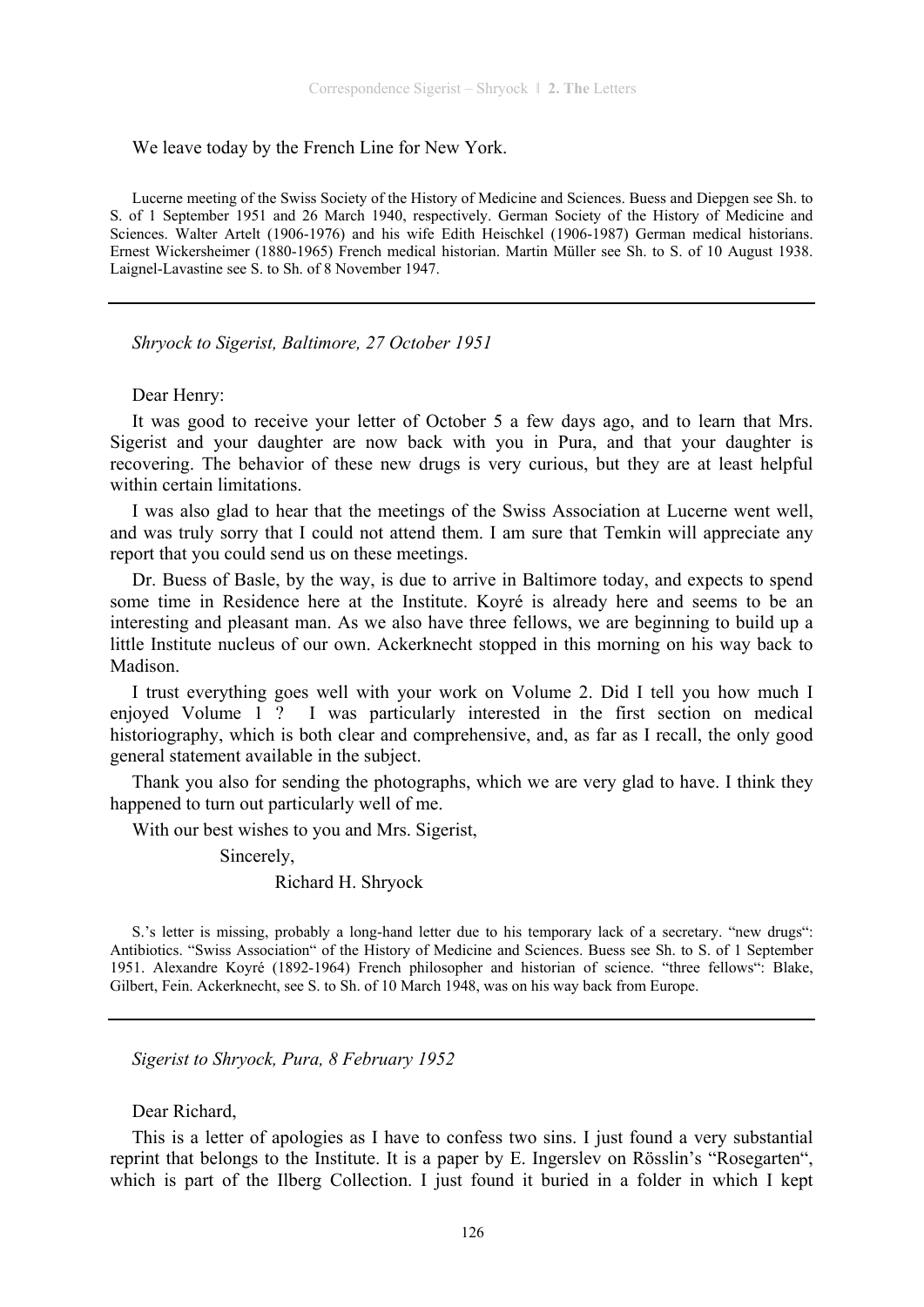#### We leave today by the French Line for New York.

Lucerne meeting of the Swiss Society of the History of Medicine and Sciences. Buess and Diepgen see Sh. to S. of 1 September 1951 and 26 March 1940, respectively. German Society of the History of Medicine and Sciences. Walter Artelt (1906-1976) and his wife Edith Heischkel (1906-1987) German medical historians. Ernest Wickersheimer (1880-1965) French medical historian. Martin Müller see Sh. to S. of 10 August 1938. Laignel-Lavastine see S. to Sh. of 8 November 1947.

*Shryock to Sigerist, Baltimore, 27 October 1951* 

Dear Henry:

It was good to receive your letter of October 5 a few days ago, and to learn that Mrs. Sigerist and your daughter are now back with you in Pura, and that your daughter is recovering. The behavior of these new drugs is very curious, but they are at least helpful within certain limitations.

I was also glad to hear that the meetings of the Swiss Association at Lucerne went well, and was truly sorry that I could not attend them. I am sure that Temkin will appreciate any report that you could send us on these meetings.

Dr. Buess of Basle, by the way, is due to arrive in Baltimore today, and expects to spend some time in Residence here at the Institute. Koyré is already here and seems to be an interesting and pleasant man. As we also have three fellows, we are beginning to build up a little Institute nucleus of our own. Ackerknecht stopped in this morning on his way back to Madison.

I trust everything goes well with your work on Volume 2. Did I tell you how much I enjoyed Volume 1 ? I was particularly interested in the first section on medical historiography, which is both clear and comprehensive, and, as far as I recall, the only good general statement available in the subject.

Thank you also for sending the photographs, which we are very glad to have. I think they happened to turn out particularly well of me.

With our best wishes to you and Mrs. Sigerist,

Sincerely,

#### Richard H. Shryock

S.'s letter is missing, probably a long-hand letter due to his temporary lack of a secretary. "new drugs": Antibiotics. "Swiss Association" of the History of Medicine and Sciences. Buess see Sh. to S. of 1 September 1951. Alexandre Koyré (1892-1964) French philosopher and historian of science. "three fellows": Blake, Gilbert, Fein. Ackerknecht, see S. to Sh. of 10 March 1948, was on his way back from Europe.

*Sigerist to Shryock, Pura, 8 February 1952* 

Dear Richard,

This is a letter of apologies as I have to confess two sins. I just found a very substantial reprint that belongs to the Institute. It is a paper by E. Ingerslev on Rösslin's "Rosegarten", which is part of the Ilberg Collection. I just found it buried in a folder in which I kept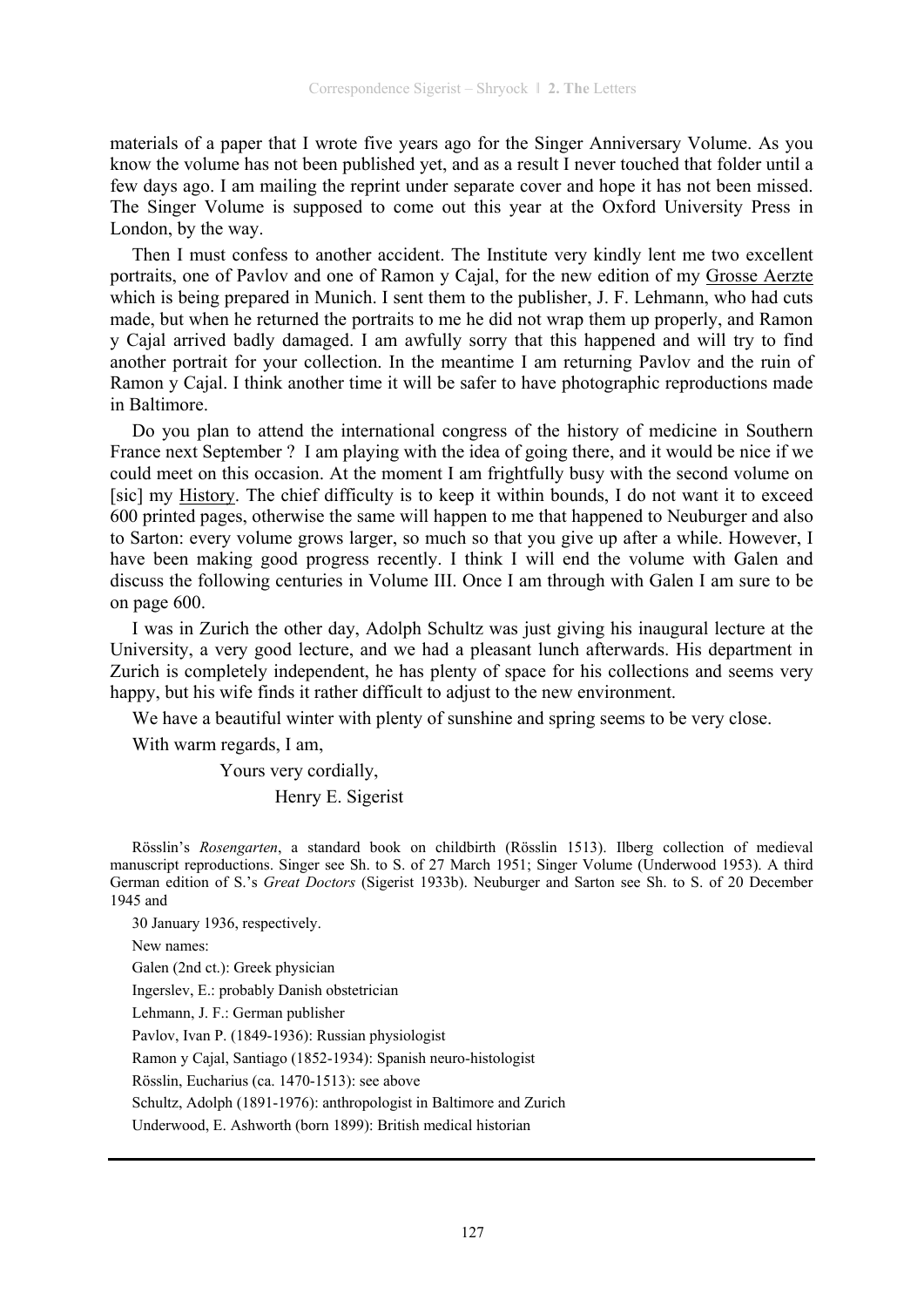materials of a paper that I wrote five years ago for the Singer Anniversary Volume. As you know the volume has not been published yet, and as a result I never touched that folder until a few days ago. I am mailing the reprint under separate cover and hope it has not been missed. The Singer Volume is supposed to come out this year at the Oxford University Press in London, by the way.

Then I must confess to another accident. The Institute very kindly lent me two excellent portraits, one of Pavlov and one of Ramon y Cajal, for the new edition of my Grosse Aerzte which is being prepared in Munich. I sent them to the publisher, J. F. Lehmann, who had cuts made, but when he returned the portraits to me he did not wrap them up properly, and Ramon y Cajal arrived badly damaged. I am awfully sorry that this happened and will try to find another portrait for your collection. In the meantime I am returning Pavlov and the ruin of Ramon y Cajal. I think another time it will be safer to have photographic reproductions made in Baltimore.

Do you plan to attend the international congress of the history of medicine in Southern France next September ? I am playing with the idea of going there, and it would be nice if we could meet on this occasion. At the moment I am frightfully busy with the second volume on [sic] my History. The chief difficulty is to keep it within bounds, I do not want it to exceed 600 printed pages, otherwise the same will happen to me that happened to Neuburger and also to Sarton: every volume grows larger, so much so that you give up after a while. However, I have been making good progress recently. I think I will end the volume with Galen and discuss the following centuries in Volume III. Once I am through with Galen I am sure to be on page 600.

I was in Zurich the other day, Adolph Schultz was just giving his inaugural lecture at the University, a very good lecture, and we had a pleasant lunch afterwards. His department in Zurich is completely independent, he has plenty of space for his collections and seems very happy, but his wife finds it rather difficult to adjust to the new environment.

We have a beautiful winter with plenty of sunshine and spring seems to be very close.

With warm regards, I am,

Yours very cordially,

Henry E. Sigerist

Rösslin's *Rosengarten*, a standard book on childbirth (Rösslin 1513). Ilberg collection of medieval manuscript reproductions. Singer see Sh. to S. of 27 March 1951; Singer Volume (Underwood 1953). A third German edition of S.'s *Great Doctors* (Sigerist 1933b). Neuburger and Sarton see Sh. to S. of 20 December 1945 and

30 January 1936, respectively. New names: Galen (2nd ct.): Greek physician Ingerslev, E.: probably Danish obstetrician Lehmann, J. F.: German publisher Pavlov, Ivan P. (1849-1936): Russian physiologist Ramon y Cajal, Santiago (1852-1934): Spanish neuro-histologist Rösslin, Eucharius (ca. 1470-1513): see above Schultz, Adolph (1891-1976): anthropologist in Baltimore and Zurich Underwood, E. Ashworth (born 1899): British medical historian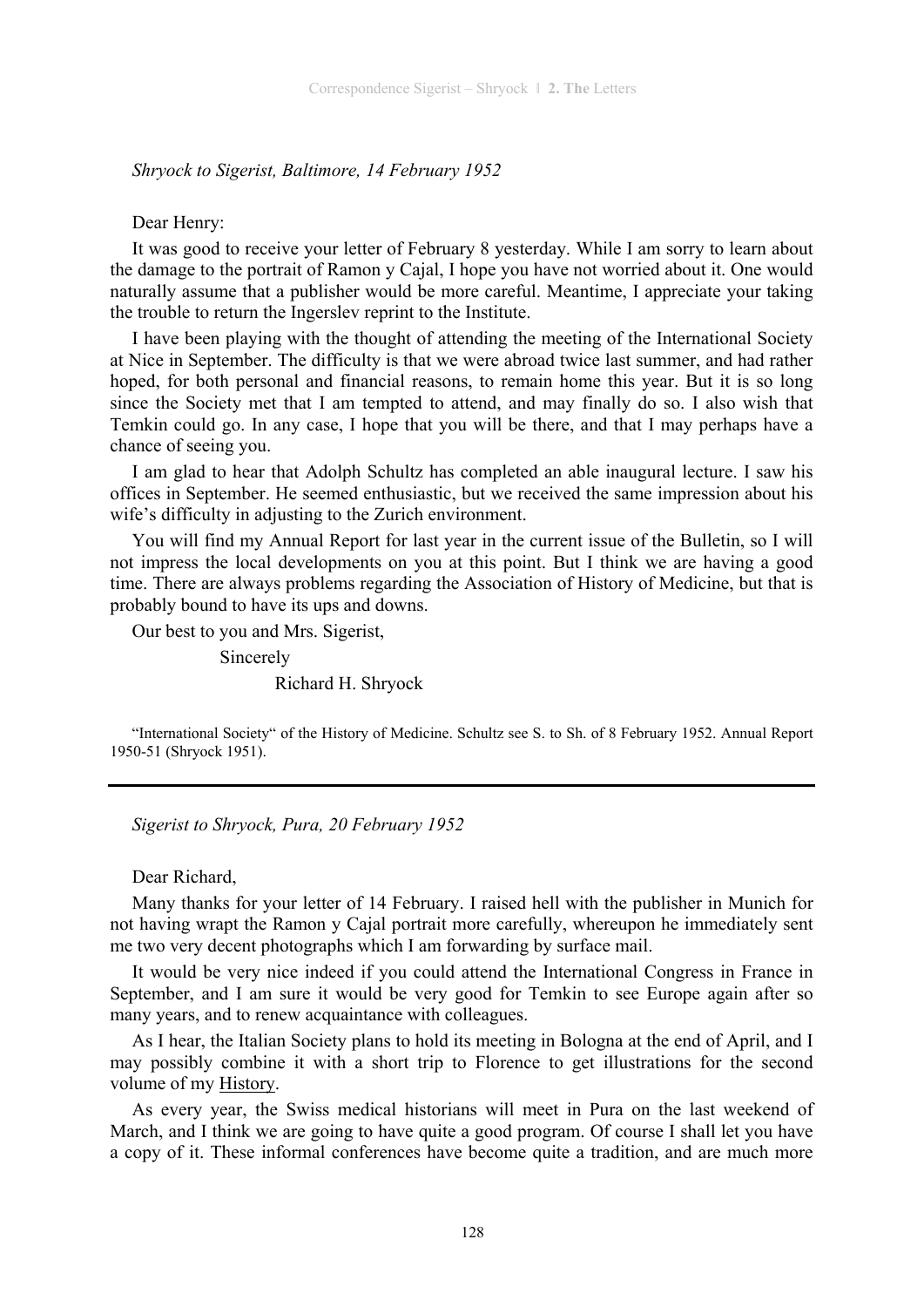*Shryock to Sigerist, Baltimore, 14 February 1952* 

Dear Henry:

It was good to receive your letter of February 8 yesterday. While I am sorry to learn about the damage to the portrait of Ramon y Cajal, I hope you have not worried about it. One would naturally assume that a publisher would be more careful. Meantime, I appreciate your taking the trouble to return the Ingerslev reprint to the Institute.

I have been playing with the thought of attending the meeting of the International Society at Nice in September. The difficulty is that we were abroad twice last summer, and had rather hoped, for both personal and financial reasons, to remain home this year. But it is so long since the Society met that I am tempted to attend, and may finally do so. I also wish that Temkin could go. In any case, I hope that you will be there, and that I may perhaps have a chance of seeing you.

I am glad to hear that Adolph Schultz has completed an able inaugural lecture. I saw his offices in September. He seemed enthusiastic, but we received the same impression about his wife's difficulty in adjusting to the Zurich environment.

You will find my Annual Report for last year in the current issue of the Bulletin, so I will not impress the local developments on you at this point. But I think we are having a good time. There are always problems regarding the Association of History of Medicine, but that is probably bound to have its ups and downs.

Our best to you and Mrs. Sigerist,

 Sincerely Richard H. Shryock

"International Society" of the History of Medicine. Schultz see S. to Sh. of 8 February 1952. Annual Report 1950-51 (Shryock 1951).

*Sigerist to Shryock, Pura, 20 February 1952* 

Dear Richard,

Many thanks for your letter of 14 February. I raised hell with the publisher in Munich for not having wrapt the Ramon y Cajal portrait more carefully, whereupon he immediately sent me two very decent photographs which I am forwarding by surface mail.

It would be very nice indeed if you could attend the International Congress in France in September, and I am sure it would be very good for Temkin to see Europe again after so many years, and to renew acquaintance with colleagues.

As I hear, the Italian Society plans to hold its meeting in Bologna at the end of April, and I may possibly combine it with a short trip to Florence to get illustrations for the second volume of my History.

As every year, the Swiss medical historians will meet in Pura on the last weekend of March, and I think we are going to have quite a good program. Of course I shall let you have a copy of it. These informal conferences have become quite a tradition, and are much more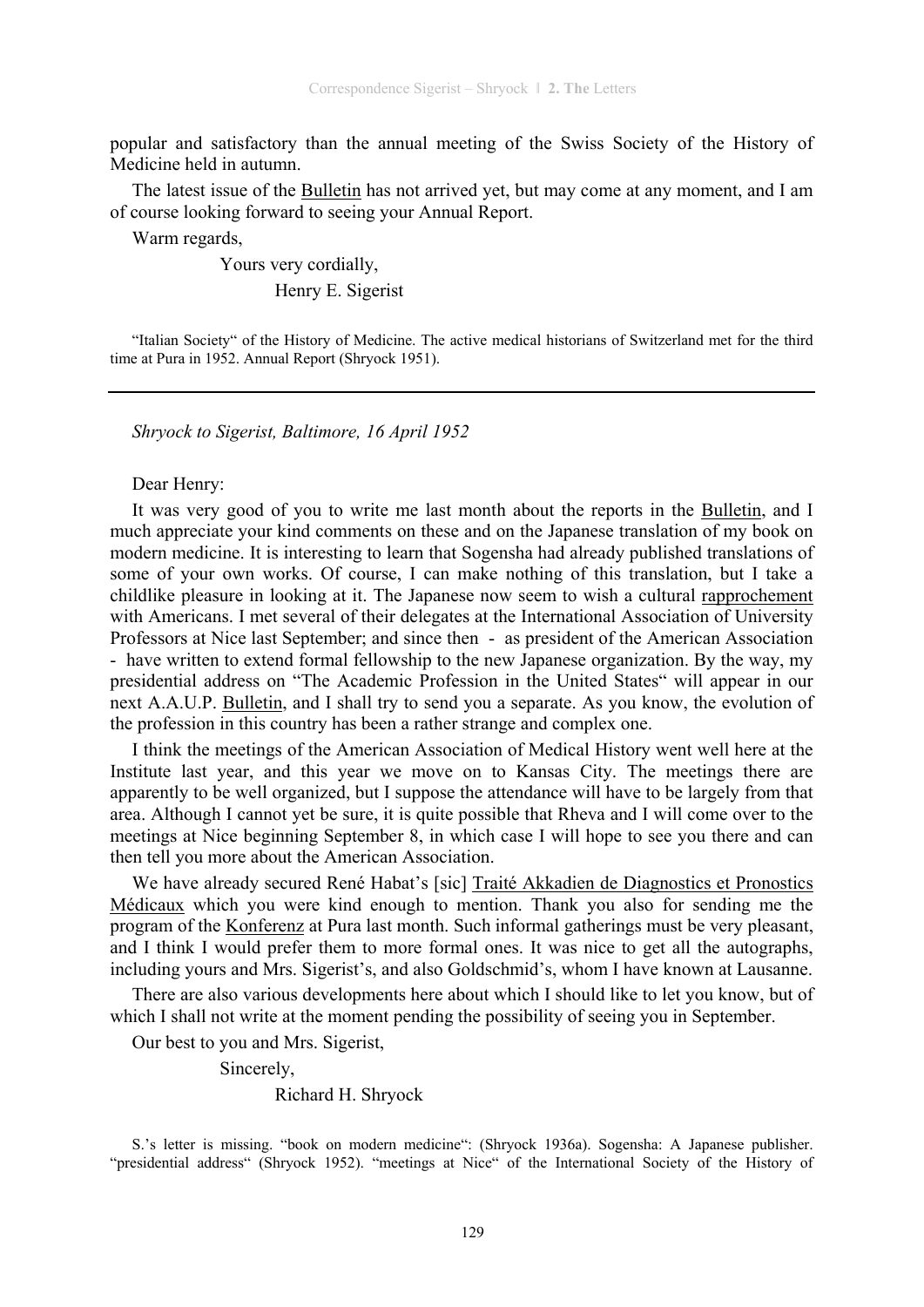popular and satisfactory than the annual meeting of the Swiss Society of the History of Medicine held in autumn.

The latest issue of the Bulletin has not arrived yet, but may come at any moment, and I am of course looking forward to seeing your Annual Report.

Warm regards,

Yours very cordially,

Henry E. Sigerist

"Italian Society" of the History of Medicine. The active medical historians of Switzerland met for the third time at Pura in 1952. Annual Report (Shryock 1951).

*Shryock to Sigerist, Baltimore, 16 April 1952* 

#### Dear Henry:

It was very good of you to write me last month about the reports in the Bulletin, and I much appreciate your kind comments on these and on the Japanese translation of my book on modern medicine. It is interesting to learn that Sogensha had already published translations of some of your own works. Of course, I can make nothing of this translation, but I take a childlike pleasure in looking at it. The Japanese now seem to wish a cultural rapprochement with Americans. I met several of their delegates at the International Association of University Professors at Nice last September; and since then - as president of the American Association - have written to extend formal fellowship to the new Japanese organization. By the way, my presidential address on "The Academic Profession in the United States" will appear in our next A.A.U.P. Bulletin, and I shall try to send you a separate. As you know, the evolution of the profession in this country has been a rather strange and complex one.

I think the meetings of the American Association of Medical History went well here at the Institute last year, and this year we move on to Kansas City. The meetings there are apparently to be well organized, but I suppose the attendance will have to be largely from that area. Although I cannot yet be sure, it is quite possible that Rheva and I will come over to the meetings at Nice beginning September 8, in which case I will hope to see you there and can then tell you more about the American Association.

We have already secured René Habat's [sic] Traité Akkadien de Diagnostics et Pronostics Médicaux which you were kind enough to mention. Thank you also for sending me the program of the Konferenz at Pura last month. Such informal gatherings must be very pleasant, and I think I would prefer them to more formal ones. It was nice to get all the autographs, including yours and Mrs. Sigerist's, and also Goldschmid's, whom I have known at Lausanne.

There are also various developments here about which I should like to let you know, but of which I shall not write at the moment pending the possibility of seeing you in September.

Our best to you and Mrs. Sigerist,

Sincerely,

Richard H. Shryock

S.'s letter is missing. "book on modern medicine": (Shryock 1936a). Sogensha: A Japanese publisher. "presidential address" (Shryock 1952). "meetings at Nice" of the International Society of the History of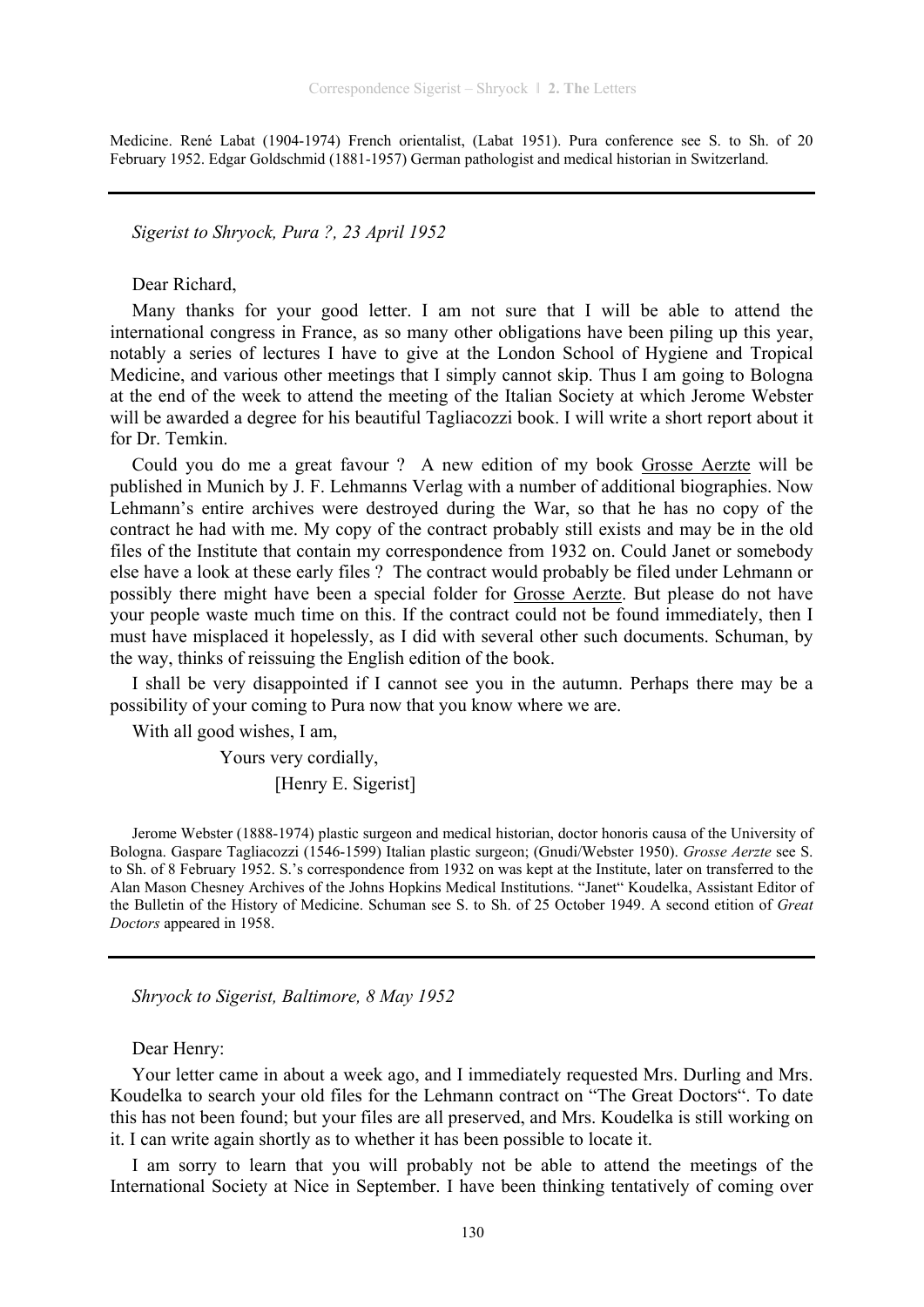Medicine. René Labat (1904-1974) French orientalist, (Labat 1951). Pura conference see S. to Sh. of 20 February 1952. Edgar Goldschmid (1881-1957) German pathologist and medical historian in Switzerland.

*Sigerist to Shryock, Pura ?, 23 April 1952* 

Dear Richard,

Many thanks for your good letter. I am not sure that I will be able to attend the international congress in France, as so many other obligations have been piling up this year, notably a series of lectures I have to give at the London School of Hygiene and Tropical Medicine, and various other meetings that I simply cannot skip. Thus I am going to Bologna at the end of the week to attend the meeting of the Italian Society at which Jerome Webster will be awarded a degree for his beautiful Tagliacozzi book. I will write a short report about it for Dr. Temkin.

Could you do me a great favour ? A new edition of my book Grosse Aerzte will be published in Munich by J. F. Lehmanns Verlag with a number of additional biographies. Now Lehmann's entire archives were destroyed during the War, so that he has no copy of the contract he had with me. My copy of the contract probably still exists and may be in the old files of the Institute that contain my correspondence from 1932 on. Could Janet or somebody else have a look at these early files ? The contract would probably be filed under Lehmann or possibly there might have been a special folder for Grosse Aerzte. But please do not have your people waste much time on this. If the contract could not be found immediately, then I must have misplaced it hopelessly, as I did with several other such documents. Schuman, by the way, thinks of reissuing the English edition of the book.

I shall be very disappointed if I cannot see you in the autumn. Perhaps there may be a possibility of your coming to Pura now that you know where we are.

With all good wishes, I am,

 Yours very cordially, [Henry E. Sigerist]

Jerome Webster (1888-1974) plastic surgeon and medical historian, doctor honoris causa of the University of Bologna. Gaspare Tagliacozzi (1546-1599) Italian plastic surgeon; (Gnudi/Webster 1950). *Grosse Aerzte* see S. to Sh. of 8 February 1952. S.'s correspondence from 1932 on was kept at the Institute, later on transferred to the Alan Mason Chesney Archives of the Johns Hopkins Medical Institutions. "Janet" Koudelka, Assistant Editor of the Bulletin of the History of Medicine. Schuman see S. to Sh. of 25 October 1949. A second etition of *Great Doctors* appeared in 1958.

*Shryock to Sigerist, Baltimore, 8 May 1952* 

Dear Henry:

Your letter came in about a week ago, and I immediately requested Mrs. Durling and Mrs. Koudelka to search your old files for the Lehmann contract on "The Great Doctors". To date this has not been found; but your files are all preserved, and Mrs. Koudelka is still working on it. I can write again shortly as to whether it has been possible to locate it.

I am sorry to learn that you will probably not be able to attend the meetings of the International Society at Nice in September. I have been thinking tentatively of coming over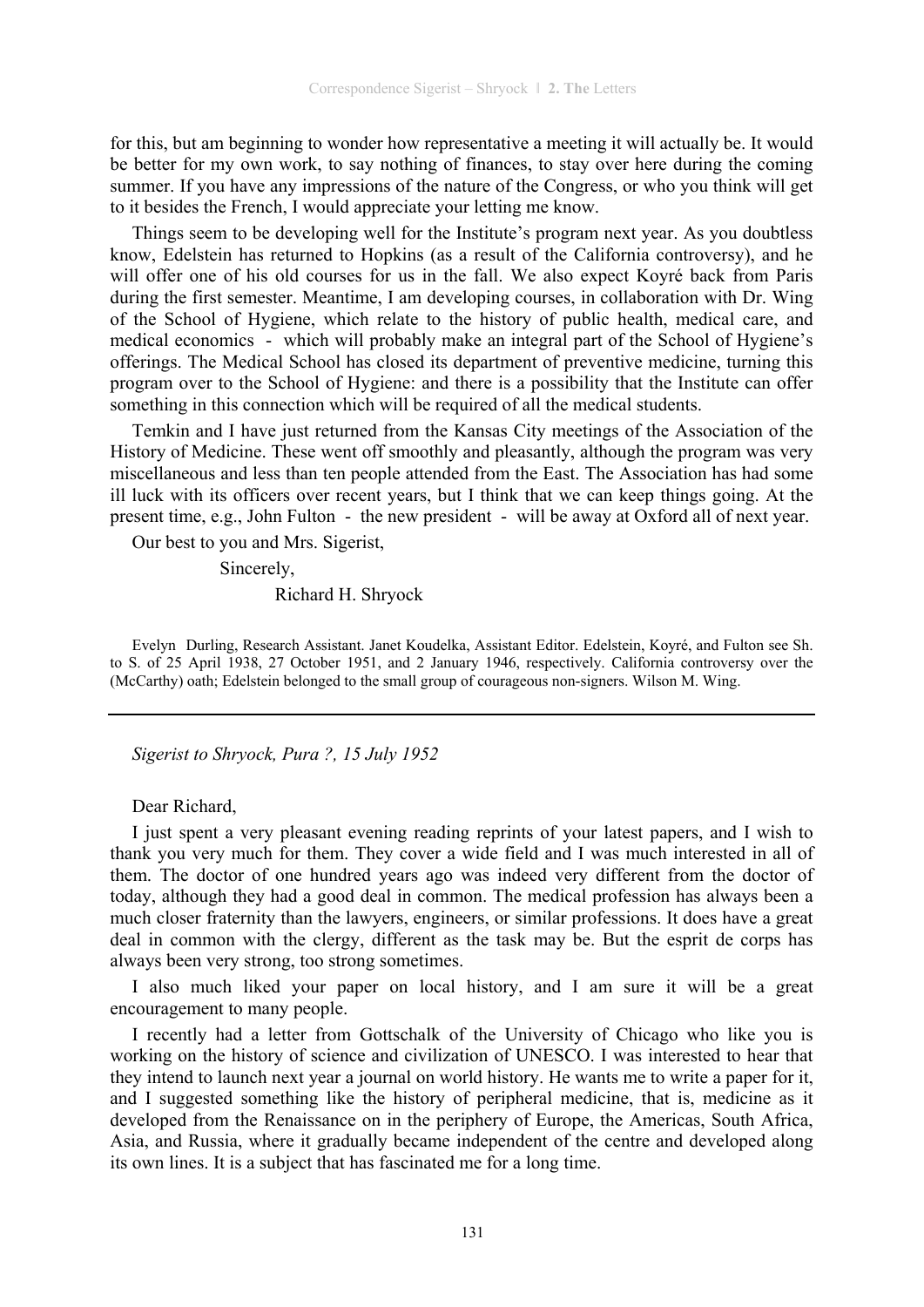for this, but am beginning to wonder how representative a meeting it will actually be. It would be better for my own work, to say nothing of finances, to stay over here during the coming summer. If you have any impressions of the nature of the Congress, or who you think will get to it besides the French, I would appreciate your letting me know.

Things seem to be developing well for the Institute's program next year. As you doubtless know, Edelstein has returned to Hopkins (as a result of the California controversy), and he will offer one of his old courses for us in the fall. We also expect Koyré back from Paris during the first semester. Meantime, I am developing courses, in collaboration with Dr. Wing of the School of Hygiene, which relate to the history of public health, medical care, and medical economics - which will probably make an integral part of the School of Hygiene's offerings. The Medical School has closed its department of preventive medicine, turning this program over to the School of Hygiene: and there is a possibility that the Institute can offer something in this connection which will be required of all the medical students.

Temkin and I have just returned from the Kansas City meetings of the Association of the History of Medicine. These went off smoothly and pleasantly, although the program was very miscellaneous and less than ten people attended from the East. The Association has had some ill luck with its officers over recent years, but I think that we can keep things going. At the present time, e.g., John Fulton - the new president - will be away at Oxford all of next year.

Our best to you and Mrs. Sigerist,

Sincerely,

Richard H. Shryock

Evelyn Durling, Research Assistant. Janet Koudelka, Assistant Editor. Edelstein, Koyré, and Fulton see Sh. to S. of 25 April 1938, 27 October 1951, and 2 January 1946, respectively. California controversy over the (McCarthy) oath; Edelstein belonged to the small group of courageous non-signers. Wilson M. Wing.

*Sigerist to Shryock, Pura ?, 15 July 1952* 

Dear Richard,

I just spent a very pleasant evening reading reprints of your latest papers, and I wish to thank you very much for them. They cover a wide field and I was much interested in all of them. The doctor of one hundred years ago was indeed very different from the doctor of today, although they had a good deal in common. The medical profession has always been a much closer fraternity than the lawyers, engineers, or similar professions. It does have a great deal in common with the clergy, different as the task may be. But the esprit de corps has always been very strong, too strong sometimes.

I also much liked your paper on local history, and I am sure it will be a great encouragement to many people.

I recently had a letter from Gottschalk of the University of Chicago who like you is working on the history of science and civilization of UNESCO. I was interested to hear that they intend to launch next year a journal on world history. He wants me to write a paper for it, and I suggested something like the history of peripheral medicine, that is, medicine as it developed from the Renaissance on in the periphery of Europe, the Americas, South Africa, Asia, and Russia, where it gradually became independent of the centre and developed along its own lines. It is a subject that has fascinated me for a long time.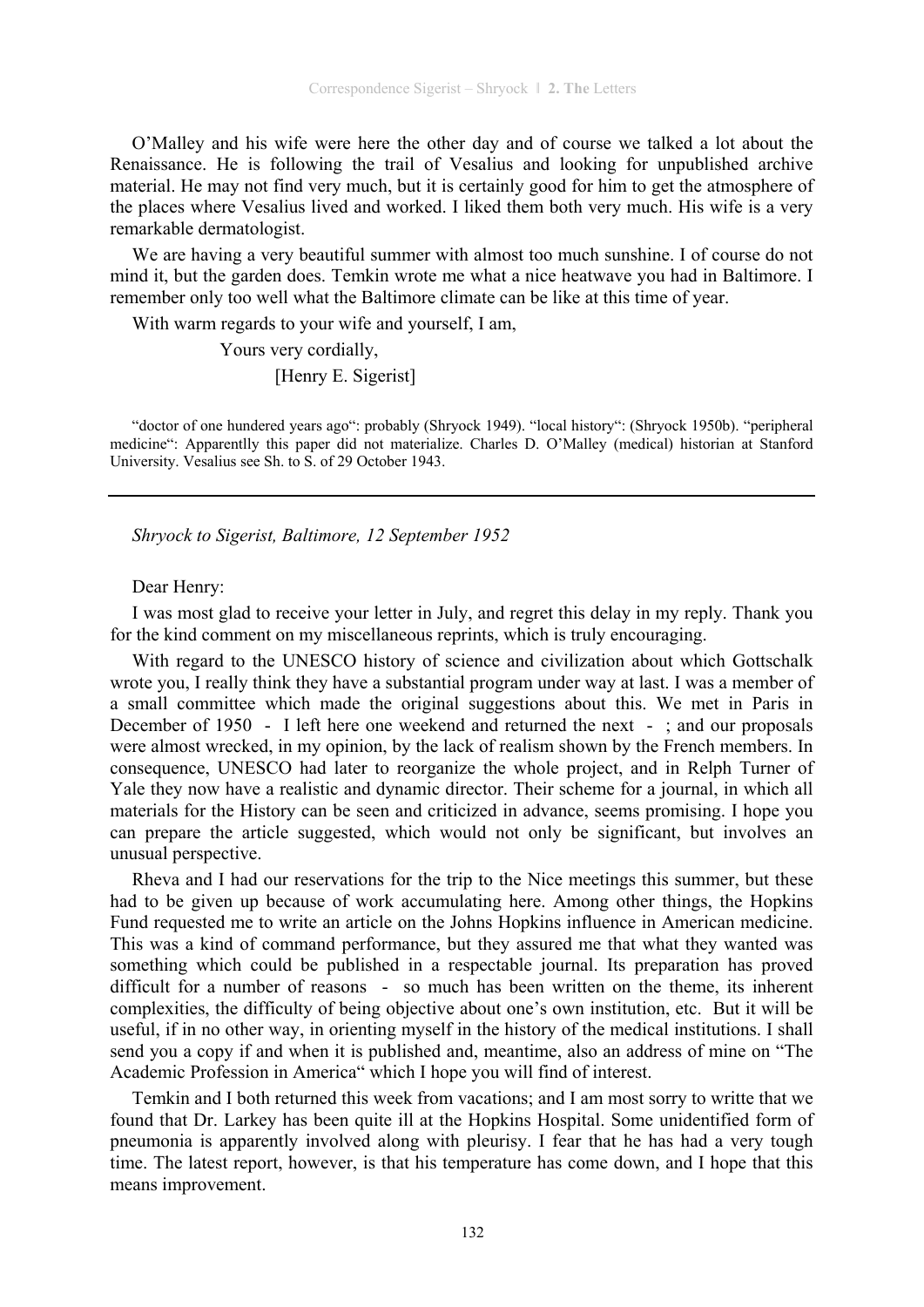O'Malley and his wife were here the other day and of course we talked a lot about the Renaissance. He is following the trail of Vesalius and looking for unpublished archive material. He may not find very much, but it is certainly good for him to get the atmosphere of the places where Vesalius lived and worked. I liked them both very much. His wife is a very remarkable dermatologist.

We are having a very beautiful summer with almost too much sunshine. I of course do not mind it, but the garden does. Temkin wrote me what a nice heatwave you had in Baltimore. I remember only too well what the Baltimore climate can be like at this time of year.

With warm regards to your wife and yourself, I am,

 Yours very cordially, [Henry E. Sigerist]

"doctor of one hundered years ago": probably (Shryock 1949). "local history": (Shryock 1950b). "peripheral medicine": Apparentlly this paper did not materialize. Charles D. O'Malley (medical) historian at Stanford University. Vesalius see Sh. to S. of 29 October 1943.

*Shryock to Sigerist, Baltimore, 12 September 1952* 

#### Dear Henry:

I was most glad to receive your letter in July, and regret this delay in my reply. Thank you for the kind comment on my miscellaneous reprints, which is truly encouraging.

With regard to the UNESCO history of science and civilization about which Gottschalk wrote you, I really think they have a substantial program under way at last. I was a member of a small committee which made the original suggestions about this. We met in Paris in December of 1950 - I left here one weekend and returned the next - ; and our proposals were almost wrecked, in my opinion, by the lack of realism shown by the French members. In consequence, UNESCO had later to reorganize the whole project, and in Relph Turner of Yale they now have a realistic and dynamic director. Their scheme for a journal, in which all materials for the History can be seen and criticized in advance, seems promising. I hope you can prepare the article suggested, which would not only be significant, but involves an unusual perspective.

Rheva and I had our reservations for the trip to the Nice meetings this summer, but these had to be given up because of work accumulating here. Among other things, the Hopkins Fund requested me to write an article on the Johns Hopkins influence in American medicine. This was a kind of command performance, but they assured me that what they wanted was something which could be published in a respectable journal. Its preparation has proved difficult for a number of reasons - so much has been written on the theme, its inherent complexities, the difficulty of being objective about one's own institution, etc. But it will be useful, if in no other way, in orienting myself in the history of the medical institutions. I shall send you a copy if and when it is published and, meantime, also an address of mine on "The Academic Profession in America" which I hope you will find of interest.

Temkin and I both returned this week from vacations; and I am most sorry to writte that we found that Dr. Larkey has been quite ill at the Hopkins Hospital. Some unidentified form of pneumonia is apparently involved along with pleurisy. I fear that he has had a very tough time. The latest report, however, is that his temperature has come down, and I hope that this means improvement.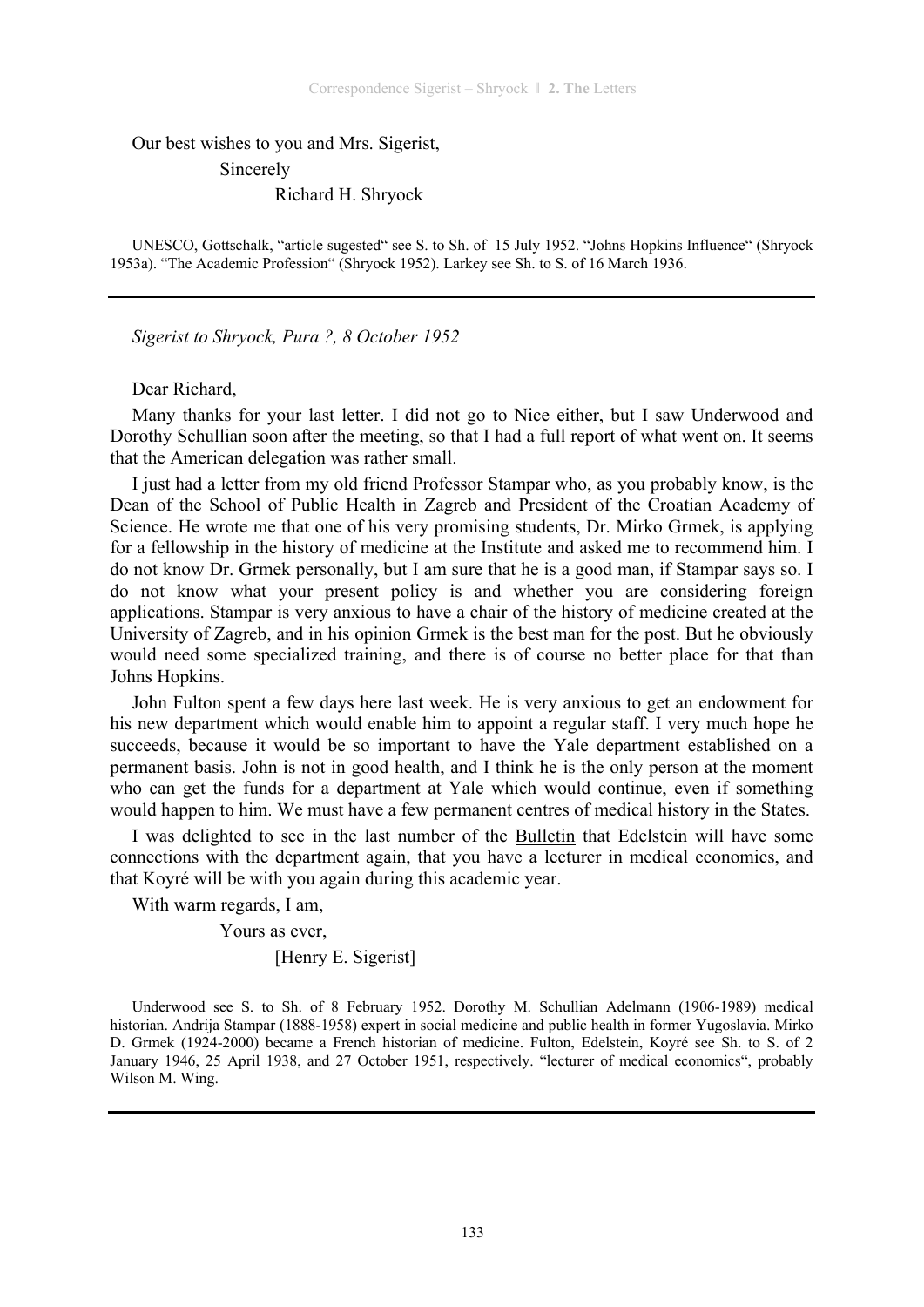Our best wishes to you and Mrs. Sigerist,

Sincerely

Richard H. Shryock

UNESCO, Gottschalk, "article sugested" see S. to Sh. of 15 July 1952. "Johns Hopkins Influence" (Shryock 1953a). "The Academic Profession" (Shryock 1952). Larkey see Sh. to S. of 16 March 1936.

*Sigerist to Shryock, Pura ?, 8 October 1952* 

Dear Richard,

Many thanks for your last letter. I did not go to Nice either, but I saw Underwood and Dorothy Schullian soon after the meeting, so that I had a full report of what went on. It seems that the American delegation was rather small.

I just had a letter from my old friend Professor Stampar who, as you probably know, is the Dean of the School of Public Health in Zagreb and President of the Croatian Academy of Science. He wrote me that one of his very promising students, Dr. Mirko Grmek, is applying for a fellowship in the history of medicine at the Institute and asked me to recommend him. I do not know Dr. Grmek personally, but I am sure that he is a good man, if Stampar says so. I do not know what your present policy is and whether you are considering foreign applications. Stampar is very anxious to have a chair of the history of medicine created at the University of Zagreb, and in his opinion Grmek is the best man for the post. But he obviously would need some specialized training, and there is of course no better place for that than Johns Hopkins.

John Fulton spent a few days here last week. He is very anxious to get an endowment for his new department which would enable him to appoint a regular staff. I very much hope he succeeds, because it would be so important to have the Yale department established on a permanent basis. John is not in good health, and I think he is the only person at the moment who can get the funds for a department at Yale which would continue, even if something would happen to him. We must have a few permanent centres of medical history in the States.

I was delighted to see in the last number of the Bulletin that Edelstein will have some connections with the department again, that you have a lecturer in medical economics, and that Koyré will be with you again during this academic year.

With warm regards, I am,

Yours as ever,

[Henry E. Sigerist]

Underwood see S. to Sh. of 8 February 1952. Dorothy M. Schullian Adelmann (1906-1989) medical historian. Andrija Stampar (1888-1958) expert in social medicine and public health in former Yugoslavia. Mirko D. Grmek (1924-2000) became a French historian of medicine. Fulton, Edelstein, Koyré see Sh. to S. of 2 January 1946, 25 April 1938, and 27 October 1951, respectively. "lecturer of medical economics", probably Wilson M. Wing.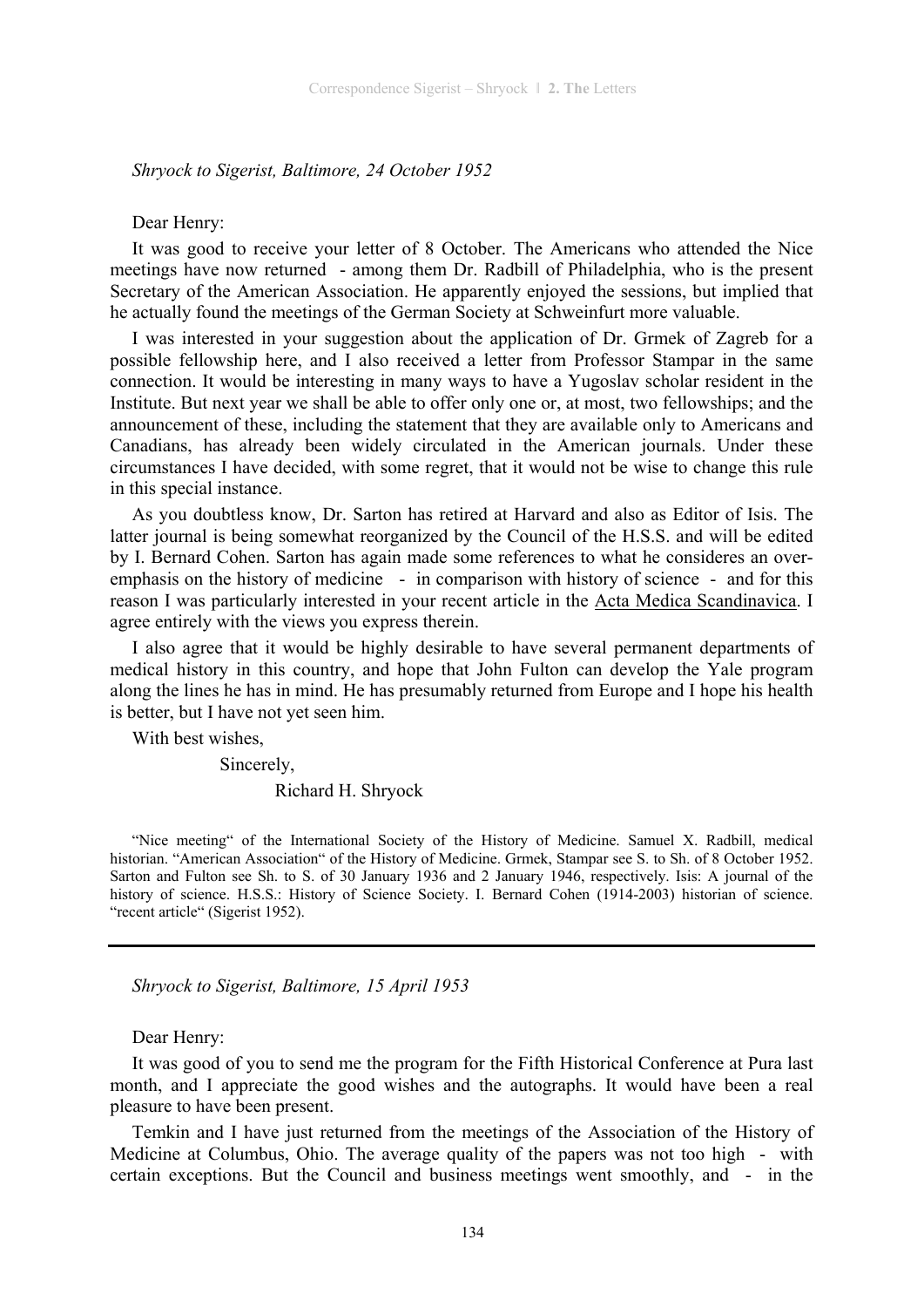#### *Shryock to Sigerist, Baltimore, 24 October 1952*

#### Dear Henry:

It was good to receive your letter of 8 October. The Americans who attended the Nice meetings have now returned - among them Dr. Radbill of Philadelphia, who is the present Secretary of the American Association. He apparently enjoyed the sessions, but implied that he actually found the meetings of the German Society at Schweinfurt more valuable.

I was interested in your suggestion about the application of Dr. Grmek of Zagreb for a possible fellowship here, and I also received a letter from Professor Stampar in the same connection. It would be interesting in many ways to have a Yugoslav scholar resident in the Institute. But next year we shall be able to offer only one or, at most, two fellowships; and the announcement of these, including the statement that they are available only to Americans and Canadians, has already been widely circulated in the American journals. Under these circumstances I have decided, with some regret, that it would not be wise to change this rule in this special instance.

As you doubtless know, Dr. Sarton has retired at Harvard and also as Editor of Isis. The latter journal is being somewhat reorganized by the Council of the H.S.S. and will be edited by I. Bernard Cohen. Sarton has again made some references to what he consideres an overemphasis on the history of medicine - in comparison with history of science - and for this reason I was particularly interested in your recent article in the Acta Medica Scandinavica. I agree entirely with the views you express therein.

I also agree that it would be highly desirable to have several permanent departments of medical history in this country, and hope that John Fulton can develop the Yale program along the lines he has in mind. He has presumably returned from Europe and I hope his health is better, but I have not yet seen him.

With best wishes,

Sincerely,

#### Richard H. Shryock

"Nice meeting" of the International Society of the History of Medicine. Samuel X. Radbill, medical historian. "American Association" of the History of Medicine. Grmek, Stampar see S. to Sh. of 8 October 1952. Sarton and Fulton see Sh. to S. of 30 January 1936 and 2 January 1946, respectively. Isis: A journal of the history of science. H.S.S.: History of Science Society. I. Bernard Cohen (1914-2003) historian of science. "recent article" (Sigerist 1952).

*Shryock to Sigerist, Baltimore, 15 April 1953* 

Dear Henry:

It was good of you to send me the program for the Fifth Historical Conference at Pura last month, and I appreciate the good wishes and the autographs. It would have been a real pleasure to have been present.

Temkin and I have just returned from the meetings of the Association of the History of Medicine at Columbus, Ohio. The average quality of the papers was not too high - with certain exceptions. But the Council and business meetings went smoothly, and - in the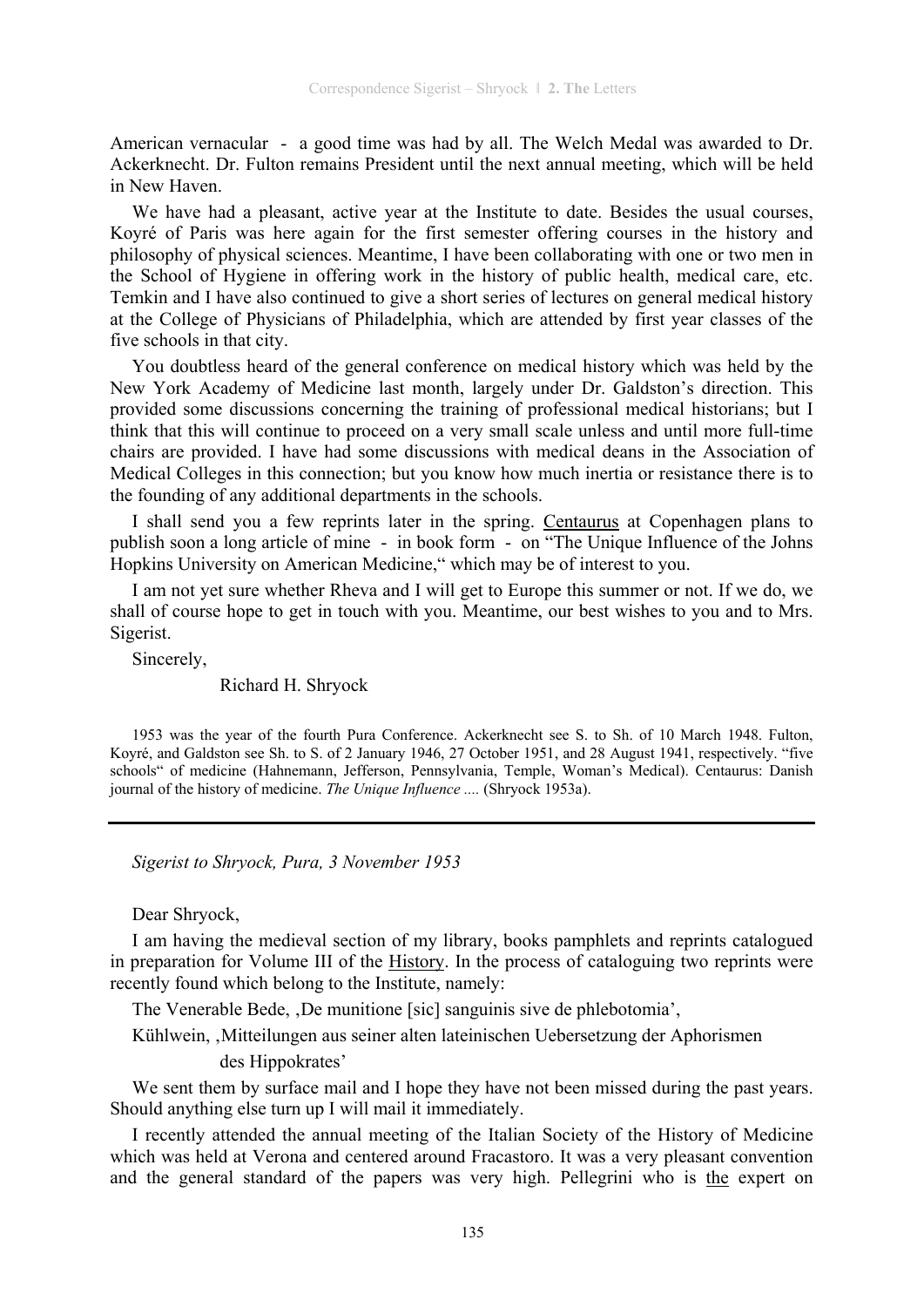American vernacular - a good time was had by all. The Welch Medal was awarded to Dr. Ackerknecht. Dr. Fulton remains President until the next annual meeting, which will be held in New Haven.

We have had a pleasant, active year at the Institute to date. Besides the usual courses, Koyré of Paris was here again for the first semester offering courses in the history and philosophy of physical sciences. Meantime, I have been collaborating with one or two men in the School of Hygiene in offering work in the history of public health, medical care, etc. Temkin and I have also continued to give a short series of lectures on general medical history at the College of Physicians of Philadelphia, which are attended by first year classes of the five schools in that city.

You doubtless heard of the general conference on medical history which was held by the New York Academy of Medicine last month, largely under Dr. Galdston's direction. This provided some discussions concerning the training of professional medical historians; but I think that this will continue to proceed on a very small scale unless and until more full-time chairs are provided. I have had some discussions with medical deans in the Association of Medical Colleges in this connection; but you know how much inertia or resistance there is to the founding of any additional departments in the schools.

I shall send you a few reprints later in the spring. Centaurus at Copenhagen plans to publish soon a long article of mine - in book form - on "The Unique Influence of the Johns Hopkins University on American Medicine," which may be of interest to you.

I am not yet sure whether Rheva and I will get to Europe this summer or not. If we do, we shall of course hope to get in touch with you. Meantime, our best wishes to you and to Mrs. Sigerist.

Sincerely,

Richard H. Shryock

1953 was the year of the fourth Pura Conference. Ackerknecht see S. to Sh. of 10 March 1948. Fulton, Koyré, and Galdston see Sh. to S. of 2 January 1946, 27 October 1951, and 28 August 1941, respectively. "five schools" of medicine (Hahnemann, Jefferson, Pennsylvania, Temple, Woman's Medical). Centaurus: Danish journal of the history of medicine. *The Unique Influence ....* (Shryock 1953a).

*Sigerist to Shryock, Pura, 3 November 1953* 

Dear Shryock,

I am having the medieval section of my library, books pamphlets and reprints catalogued in preparation for Volume III of the History. In the process of cataloguing two reprints were recently found which belong to the Institute, namely:

The Venerable Bede, De munitione [sic] sanguinis sive de phlebotomia',

Kühlwein, ,Mitteilungen aus seiner alten lateinischen Uebersetzung der Aphorismen

des Hippokrates'

We sent them by surface mail and I hope they have not been missed during the past years. Should anything else turn up I will mail it immediately.

I recently attended the annual meeting of the Italian Society of the History of Medicine which was held at Verona and centered around Fracastoro. It was a very pleasant convention and the general standard of the papers was very high. Pellegrini who is the expert on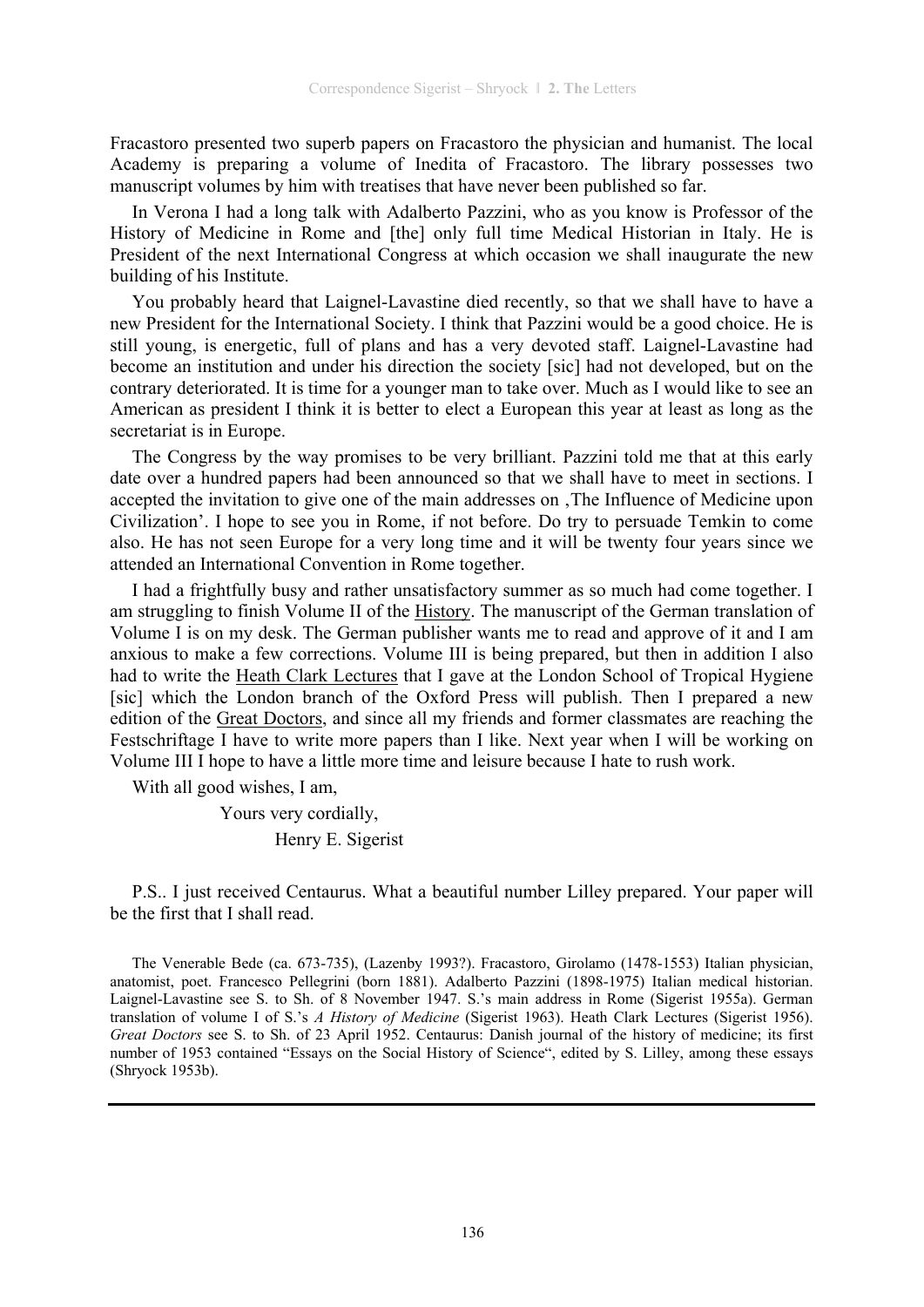Fracastoro presented two superb papers on Fracastoro the physician and humanist. The local Academy is preparing a volume of Inedita of Fracastoro. The library possesses two manuscript volumes by him with treatises that have never been published so far.

In Verona I had a long talk with Adalberto Pazzini, who as you know is Professor of the History of Medicine in Rome and [the] only full time Medical Historian in Italy. He is President of the next International Congress at which occasion we shall inaugurate the new building of his Institute.

You probably heard that Laignel-Lavastine died recently, so that we shall have to have a new President for the International Society. I think that Pazzini would be a good choice. He is still young, is energetic, full of plans and has a very devoted staff. Laignel-Lavastine had become an institution and under his direction the society [sic] had not developed, but on the contrary deteriorated. It is time for a younger man to take over. Much as I would like to see an American as president I think it is better to elect a European this year at least as long as the secretariat is in Europe.

The Congress by the way promises to be very brilliant. Pazzini told me that at this early date over a hundred papers had been announced so that we shall have to meet in sections. I accepted the invitation to give one of the main addresses on The Influence of Medicine upon Civilization'. I hope to see you in Rome, if not before. Do try to persuade Temkin to come also. He has not seen Europe for a very long time and it will be twenty four years since we attended an International Convention in Rome together.

I had a frightfully busy and rather unsatisfactory summer as so much had come together. I am struggling to finish Volume II of the History. The manuscript of the German translation of Volume I is on my desk. The German publisher wants me to read and approve of it and I am anxious to make a few corrections. Volume III is being prepared, but then in addition I also had to write the Heath Clark Lectures that I gave at the London School of Tropical Hygiene [sic] which the London branch of the Oxford Press will publish. Then I prepared a new edition of the Great Doctors, and since all my friends and former classmates are reaching the Festschriftage I have to write more papers than I like. Next year when I will be working on Volume III I hope to have a little more time and leisure because I hate to rush work.

With all good wishes, I am,

Yours very cordially,

Henry E. Sigerist

P.S.. I just received Centaurus. What a beautiful number Lilley prepared. Your paper will be the first that I shall read.

The Venerable Bede (ca. 673-735), (Lazenby 1993?). Fracastoro, Girolamo (1478-1553) Italian physician, anatomist, poet. Francesco Pellegrini (born 1881). Adalberto Pazzini (1898-1975) Italian medical historian. Laignel-Lavastine see S. to Sh. of 8 November 1947. S.'s main address in Rome (Sigerist 1955a). German translation of volume I of S.'s *A History of Medicine* (Sigerist 1963). Heath Clark Lectures (Sigerist 1956). *Great Doctors* see S. to Sh. of 23 April 1952. Centaurus: Danish journal of the history of medicine; its first number of 1953 contained "Essays on the Social History of Science", edited by S. Lilley, among these essays (Shryock 1953b).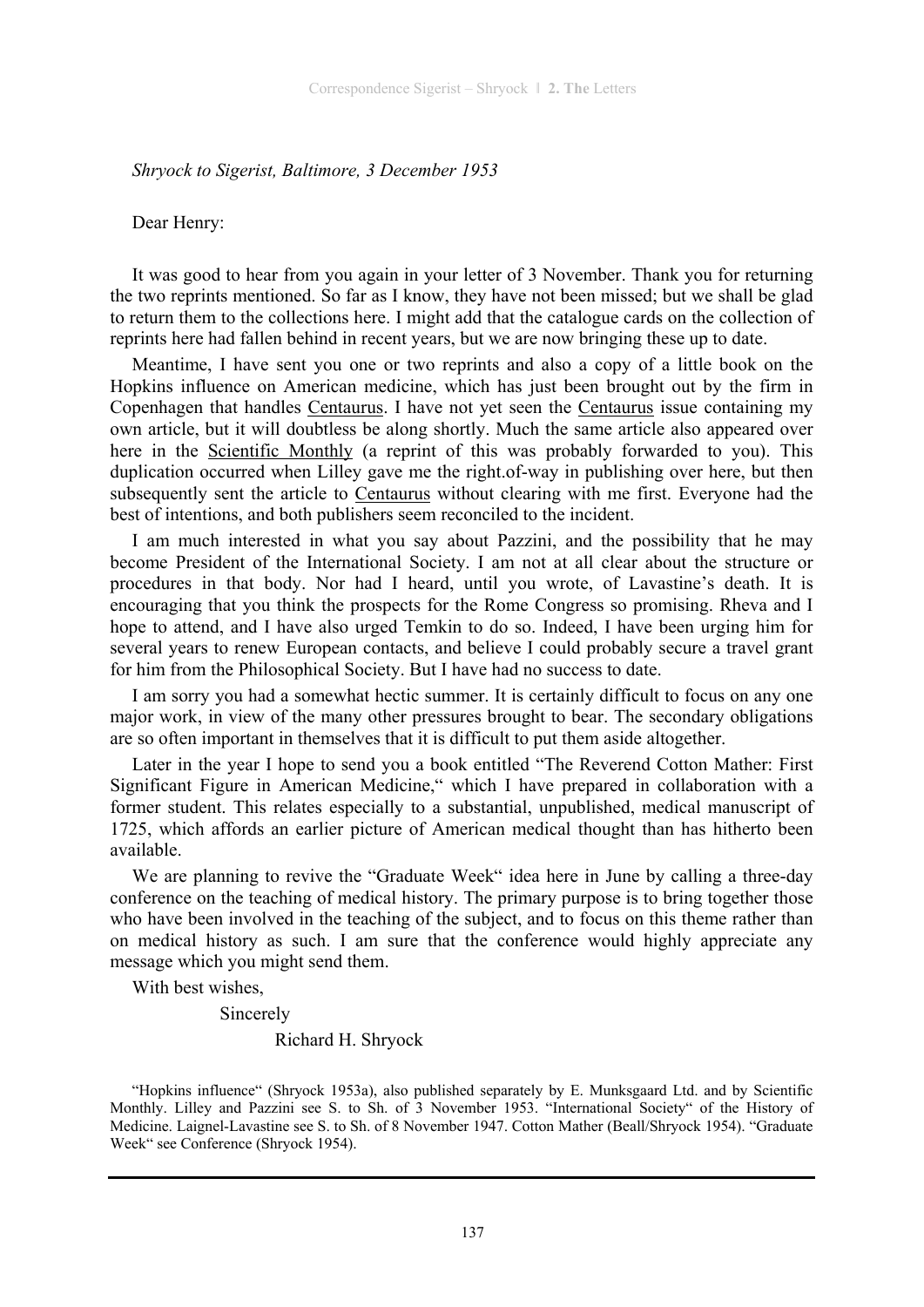#### *Shryock to Sigerist, Baltimore, 3 December 1953*

Dear Henry:

It was good to hear from you again in your letter of 3 November. Thank you for returning the two reprints mentioned. So far as I know, they have not been missed; but we shall be glad to return them to the collections here. I might add that the catalogue cards on the collection of reprints here had fallen behind in recent years, but we are now bringing these up to date.

Meantime, I have sent you one or two reprints and also a copy of a little book on the Hopkins influence on American medicine, which has just been brought out by the firm in Copenhagen that handles Centaurus. I have not yet seen the Centaurus issue containing my own article, but it will doubtless be along shortly. Much the same article also appeared over here in the Scientific Monthly (a reprint of this was probably forwarded to you). This duplication occurred when Lilley gave me the right.of-way in publishing over here, but then subsequently sent the article to Centaurus without clearing with me first. Everyone had the best of intentions, and both publishers seem reconciled to the incident.

I am much interested in what you say about Pazzini, and the possibility that he may become President of the International Society. I am not at all clear about the structure or procedures in that body. Nor had I heard, until you wrote, of Lavastine's death. It is encouraging that you think the prospects for the Rome Congress so promising. Rheva and I hope to attend, and I have also urged Temkin to do so. Indeed, I have been urging him for several years to renew European contacts, and believe I could probably secure a travel grant for him from the Philosophical Society. But I have had no success to date.

I am sorry you had a somewhat hectic summer. It is certainly difficult to focus on any one major work, in view of the many other pressures brought to bear. The secondary obligations are so often important in themselves that it is difficult to put them aside altogether.

Later in the year I hope to send you a book entitled "The Reverend Cotton Mather: First Significant Figure in American Medicine," which I have prepared in collaboration with a former student. This relates especially to a substantial, unpublished, medical manuscript of 1725, which affords an earlier picture of American medical thought than has hitherto been available.

We are planning to revive the "Graduate Week" idea here in June by calling a three-day conference on the teaching of medical history. The primary purpose is to bring together those who have been involved in the teaching of the subject, and to focus on this theme rather than on medical history as such. I am sure that the conference would highly appreciate any message which you might send them.

With best wishes,

Sincerely

Richard H. Shryock

<sup>&</sup>quot;Hopkins influence" (Shryock 1953a), also published separately by E. Munksgaard Ltd. and by Scientific Monthly. Lilley and Pazzini see S. to Sh. of 3 November 1953. "International Society" of the History of Medicine. Laignel-Lavastine see S. to Sh. of 8 November 1947. Cotton Mather (Beall/Shryock 1954). "Graduate Week" see Conference (Shryock 1954).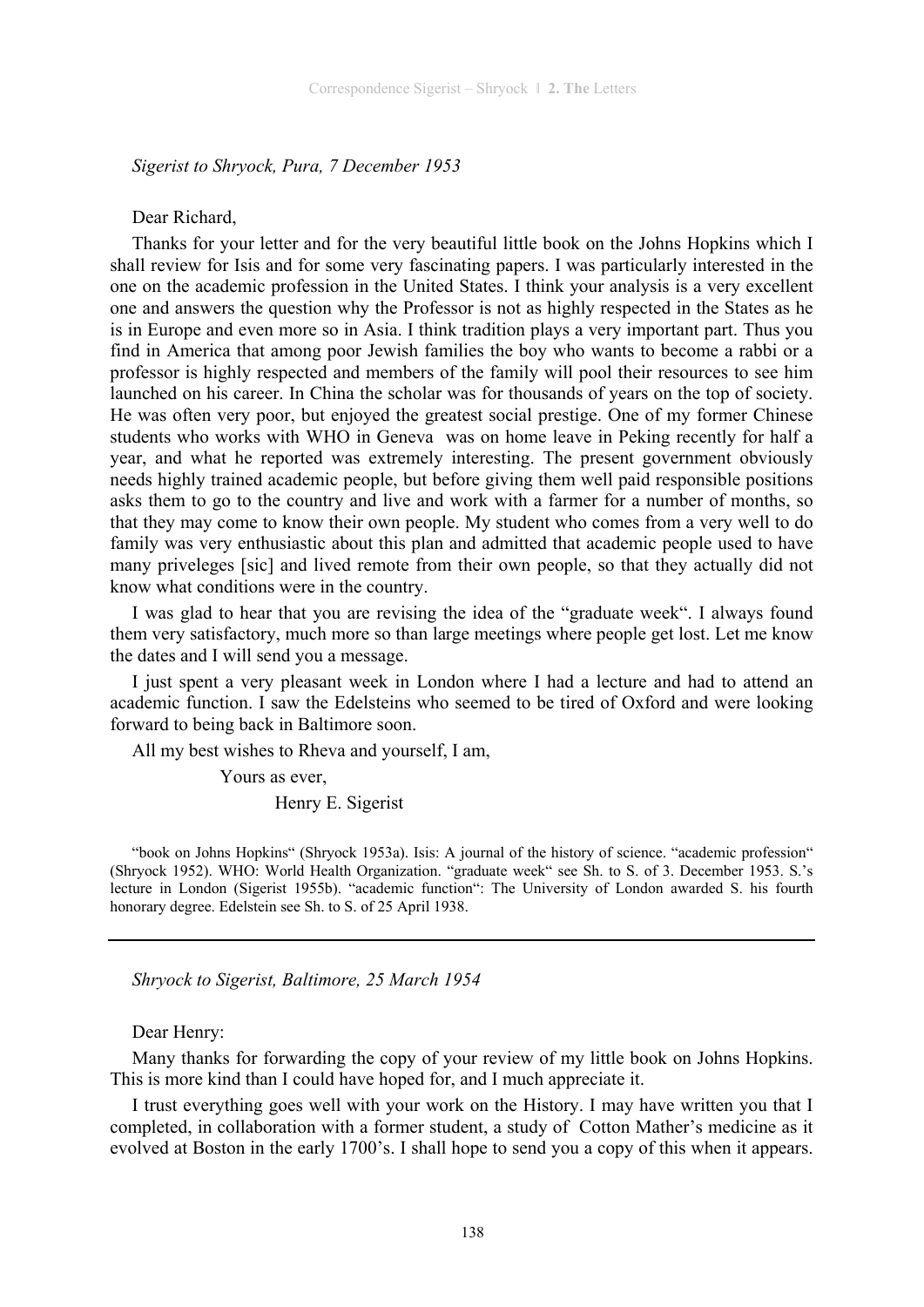*Sigerist to Shryock, Pura, 7 December 1953* 

#### Dear Richard,

Thanks for your letter and for the very beautiful little book on the Johns Hopkins which I shall review for Isis and for some very fascinating papers. I was particularly interested in the one on the academic profession in the United States. I think your analysis is a very excellent one and answers the question why the Professor is not as highly respected in the States as he is in Europe and even more so in Asia. I think tradition plays a very important part. Thus you find in America that among poor Jewish families the boy who wants to become a rabbi or a professor is highly respected and members of the family will pool their resources to see him launched on his career. In China the scholar was for thousands of years on the top of society. He was often very poor, but enjoyed the greatest social prestige. One of my former Chinese students who works with WHO in Geneva was on home leave in Peking recently for half a year, and what he reported was extremely interesting. The present government obviously needs highly trained academic people, but before giving them well paid responsible positions asks them to go to the country and live and work with a farmer for a number of months, so that they may come to know their own people. My student who comes from a very well to do family was very enthusiastic about this plan and admitted that academic people used to have many priveleges [sic] and lived remote from their own people, so that they actually did not know what conditions were in the country.

I was glad to hear that you are revising the idea of the "graduate week". I always found them very satisfactory, much more so than large meetings where people get lost. Let me know the dates and I will send you a message.

I just spent a very pleasant week in London where I had a lecture and had to attend an academic function. I saw the Edelsteins who seemed to be tired of Oxford and were looking forward to being back in Baltimore soon.

All my best wishes to Rheva and yourself, I am,

Yours as ever,

Henry E. Sigerist

"book on Johns Hopkins" (Shryock 1953a). Isis: A journal of the history of science. "academic profession" (Shryock 1952). WHO: World Health Organization. "graduate week" see Sh. to S. of 3. December 1953. S.'s lecture in London (Sigerist 1955b). "academic function": The University of London awarded S. his fourth honorary degree. Edelstein see Sh. to S. of 25 April 1938.

*Shryock to Sigerist, Baltimore, 25 March 1954* 

#### Dear Henry:

Many thanks for forwarding the copy of your review of my little book on Johns Hopkins. This is more kind than I could have hoped for, and I much appreciate it.

I trust everything goes well with your work on the History. I may have written you that I completed, in collaboration with a former student, a study of Cotton Mather's medicine as it evolved at Boston in the early 1700's. I shall hope to send you a copy of this when it appears.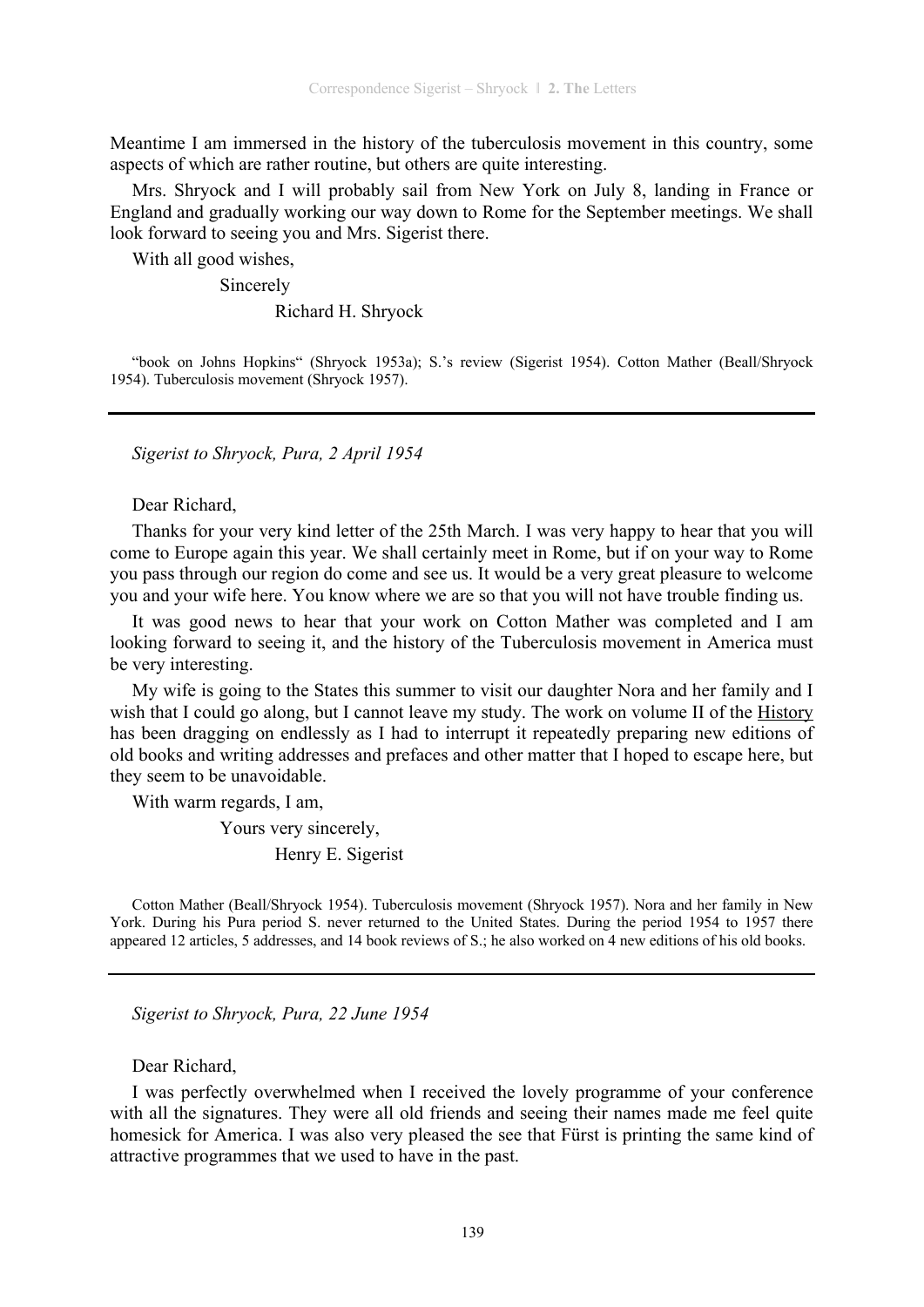Meantime I am immersed in the history of the tuberculosis movement in this country, some aspects of which are rather routine, but others are quite interesting.

Mrs. Shryock and I will probably sail from New York on July 8, landing in France or England and gradually working our way down to Rome for the September meetings. We shall look forward to seeing you and Mrs. Sigerist there.

With all good wishes,

Sincerely

Richard H. Shryock

"book on Johns Hopkins" (Shryock 1953a); S.'s review (Sigerist 1954). Cotton Mather (Beall/Shryock 1954). Tuberculosis movement (Shryock 1957).

*Sigerist to Shryock, Pura, 2 April 1954* 

Dear Richard,

Thanks for your very kind letter of the 25th March. I was very happy to hear that you will come to Europe again this year. We shall certainly meet in Rome, but if on your way to Rome you pass through our region do come and see us. It would be a very great pleasure to welcome you and your wife here. You know where we are so that you will not have trouble finding us.

It was good news to hear that your work on Cotton Mather was completed and I am looking forward to seeing it, and the history of the Tuberculosis movement in America must be very interesting.

My wife is going to the States this summer to visit our daughter Nora and her family and I wish that I could go along, but I cannot leave my study. The work on volume II of the History has been dragging on endlessly as I had to interrupt it repeatedly preparing new editions of old books and writing addresses and prefaces and other matter that I hoped to escape here, but they seem to be unavoidable.

With warm regards, I am,

Yours very sincerely,

Henry E. Sigerist

Cotton Mather (Beall/Shryock 1954). Tuberculosis movement (Shryock 1957). Nora and her family in New York. During his Pura period S. never returned to the United States. During the period 1954 to 1957 there appeared 12 articles, 5 addresses, and 14 book reviews of S.; he also worked on 4 new editions of his old books.

*Sigerist to Shryock, Pura, 22 June 1954* 

Dear Richard,

I was perfectly overwhelmed when I received the lovely programme of your conference with all the signatures. They were all old friends and seeing their names made me feel quite homesick for America. I was also very pleased the see that Fürst is printing the same kind of attractive programmes that we used to have in the past.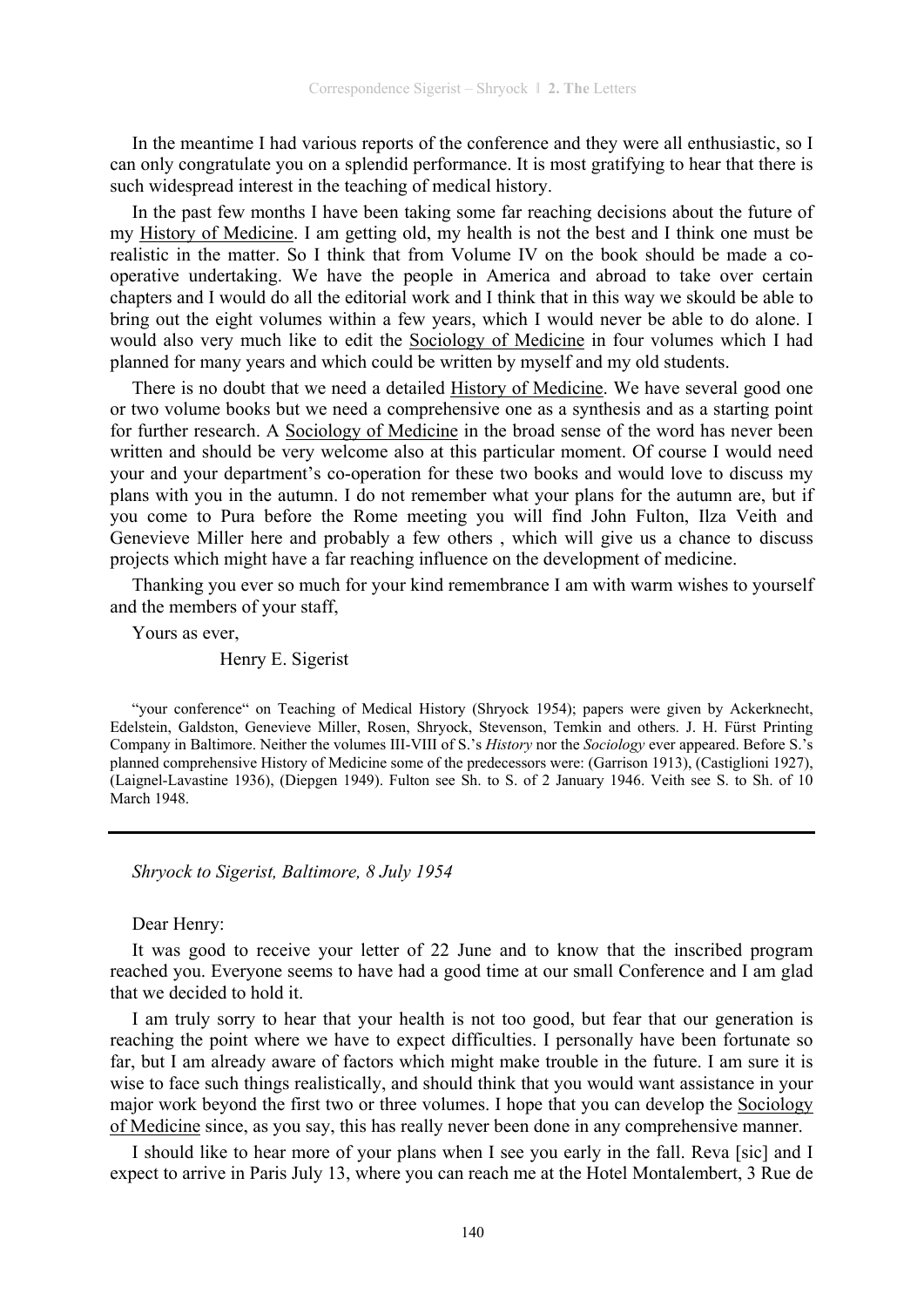In the meantime I had various reports of the conference and they were all enthusiastic, so I can only congratulate you on a splendid performance. It is most gratifying to hear that there is such widespread interest in the teaching of medical history.

In the past few months I have been taking some far reaching decisions about the future of my History of Medicine. I am getting old, my health is not the best and I think one must be realistic in the matter. So I think that from Volume IV on the book should be made a cooperative undertaking. We have the people in America and abroad to take over certain chapters and I would do all the editorial work and I think that in this way we skould be able to bring out the eight volumes within a few years, which I would never be able to do alone. I would also very much like to edit the Sociology of Medicine in four volumes which I had planned for many years and which could be written by myself and my old students.

There is no doubt that we need a detailed History of Medicine. We have several good one or two volume books but we need a comprehensive one as a synthesis and as a starting point for further research. A Sociology of Medicine in the broad sense of the word has never been written and should be very welcome also at this particular moment. Of course I would need your and your department's co-operation for these two books and would love to discuss my plans with you in the autumn. I do not remember what your plans for the autumn are, but if you come to Pura before the Rome meeting you will find John Fulton, Ilza Veith and Genevieve Miller here and probably a few others , which will give us a chance to discuss projects which might have a far reaching influence on the development of medicine.

Thanking you ever so much for your kind remembrance I am with warm wishes to yourself and the members of your staff,

Yours as ever,

Henry E. Sigerist

#### *Shryock to Sigerist, Baltimore, 8 July 1954*

Dear Henry:

It was good to receive your letter of 22 June and to know that the inscribed program reached you. Everyone seems to have had a good time at our small Conference and I am glad that we decided to hold it.

I am truly sorry to hear that your health is not too good, but fear that our generation is reaching the point where we have to expect difficulties. I personally have been fortunate so far, but I am already aware of factors which might make trouble in the future. I am sure it is wise to face such things realistically, and should think that you would want assistance in your major work beyond the first two or three volumes. I hope that you can develop the Sociology of Medicine since, as you say, this has really never been done in any comprehensive manner.

I should like to hear more of your plans when I see you early in the fall. Reva [sic] and I expect to arrive in Paris July 13, where you can reach me at the Hotel Montalembert, 3 Rue de

<sup>&</sup>quot;your conference" on Teaching of Medical History (Shryock 1954); papers were given by Ackerknecht, Edelstein, Galdston, Genevieve Miller, Rosen, Shryock, Stevenson, Temkin and others. J. H. Fürst Printing Company in Baltimore. Neither the volumes III-VIII of S.'s *History* nor the *Sociology* ever appeared. Before S.'s planned comprehensive History of Medicine some of the predecessors were: (Garrison 1913), (Castiglioni 1927), (Laignel-Lavastine 1936), (Diepgen 1949). Fulton see Sh. to S. of 2 January 1946. Veith see S. to Sh. of 10 March 1948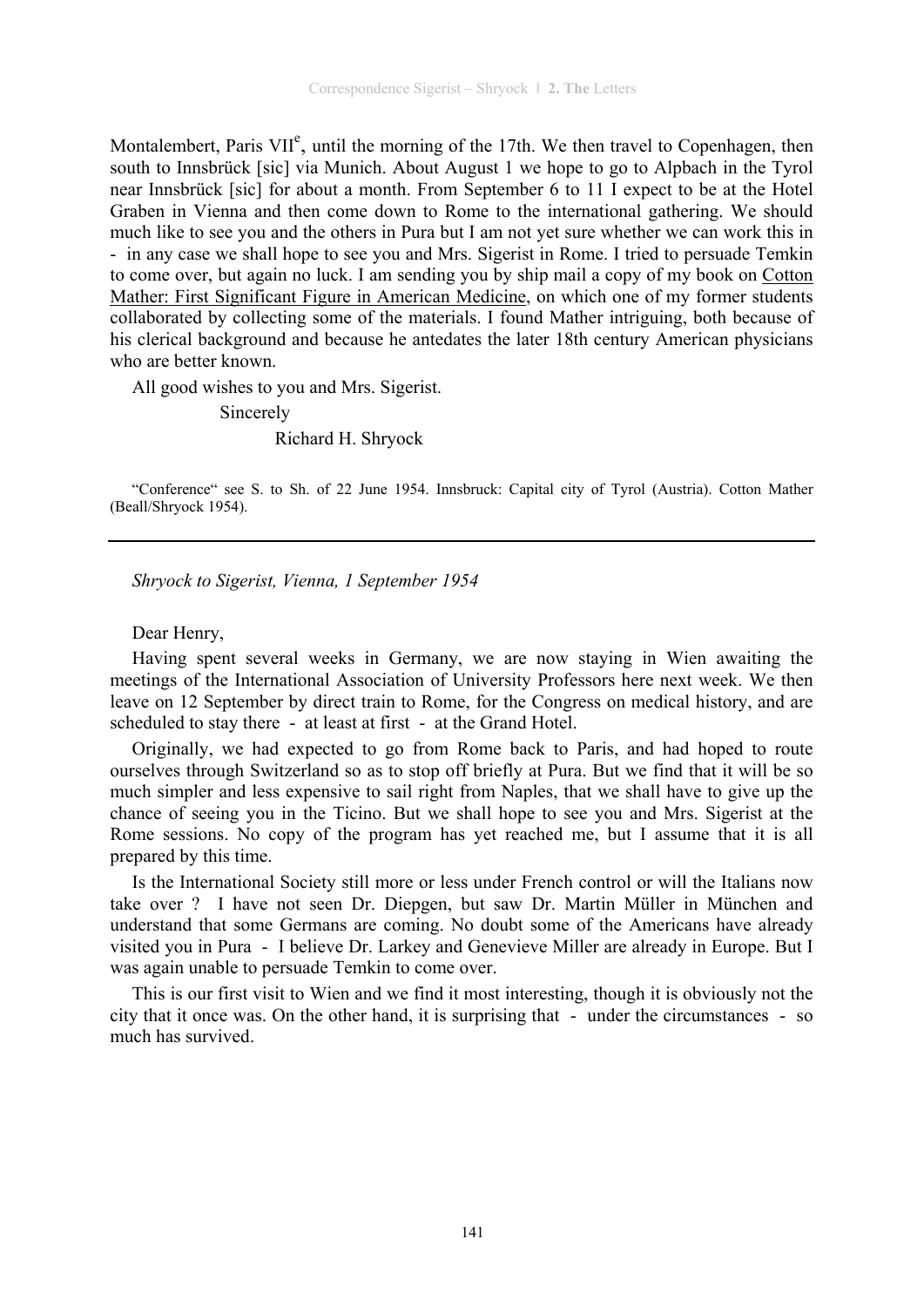Montalembert, Paris VII<sup>e</sup>, until the morning of the 17th. We then travel to Copenhagen, then south to Innsbrück [sic] via Munich. About August 1 we hope to go to Alpbach in the Tyrol near Innsbrück [sic] for about a month. From September 6 to 11 I expect to be at the Hotel Graben in Vienna and then come down to Rome to the international gathering. We should much like to see you and the others in Pura but I am not yet sure whether we can work this in - in any case we shall hope to see you and Mrs. Sigerist in Rome. I tried to persuade Temkin to come over, but again no luck. I am sending you by ship mail a copy of my book on Cotton Mather: First Significant Figure in American Medicine, on which one of my former students collaborated by collecting some of the materials. I found Mather intriguing, both because of his clerical background and because he antedates the later 18th century American physicians who are better known.

All good wishes to you and Mrs. Sigerist.

Sincerely

Richard H. Shryock

"Conference" see S. to Sh. of 22 June 1954. Innsbruck: Capital city of Tyrol (Austria). Cotton Mather (Beall/Shryock 1954).

*Shryock to Sigerist, Vienna, 1 September 1954* 

Dear Henry,

Having spent several weeks in Germany, we are now staying in Wien awaiting the meetings of the International Association of University Professors here next week. We then leave on 12 September by direct train to Rome, for the Congress on medical history, and are scheduled to stay there - at least at first - at the Grand Hotel.

Originally, we had expected to go from Rome back to Paris, and had hoped to route ourselves through Switzerland so as to stop off briefly at Pura. But we find that it will be so much simpler and less expensive to sail right from Naples, that we shall have to give up the chance of seeing you in the Ticino. But we shall hope to see you and Mrs. Sigerist at the Rome sessions. No copy of the program has yet reached me, but I assume that it is all prepared by this time.

Is the International Society still more or less under French control or will the Italians now take over ? I have not seen Dr. Diepgen, but saw Dr. Martin Müller in München and understand that some Germans are coming. No doubt some of the Americans have already visited you in Pura - I believe Dr. Larkey and Genevieve Miller are already in Europe. But I was again unable to persuade Temkin to come over.

This is our first visit to Wien and we find it most interesting, though it is obviously not the city that it once was. On the other hand, it is surprising that - under the circumstances - so much has survived.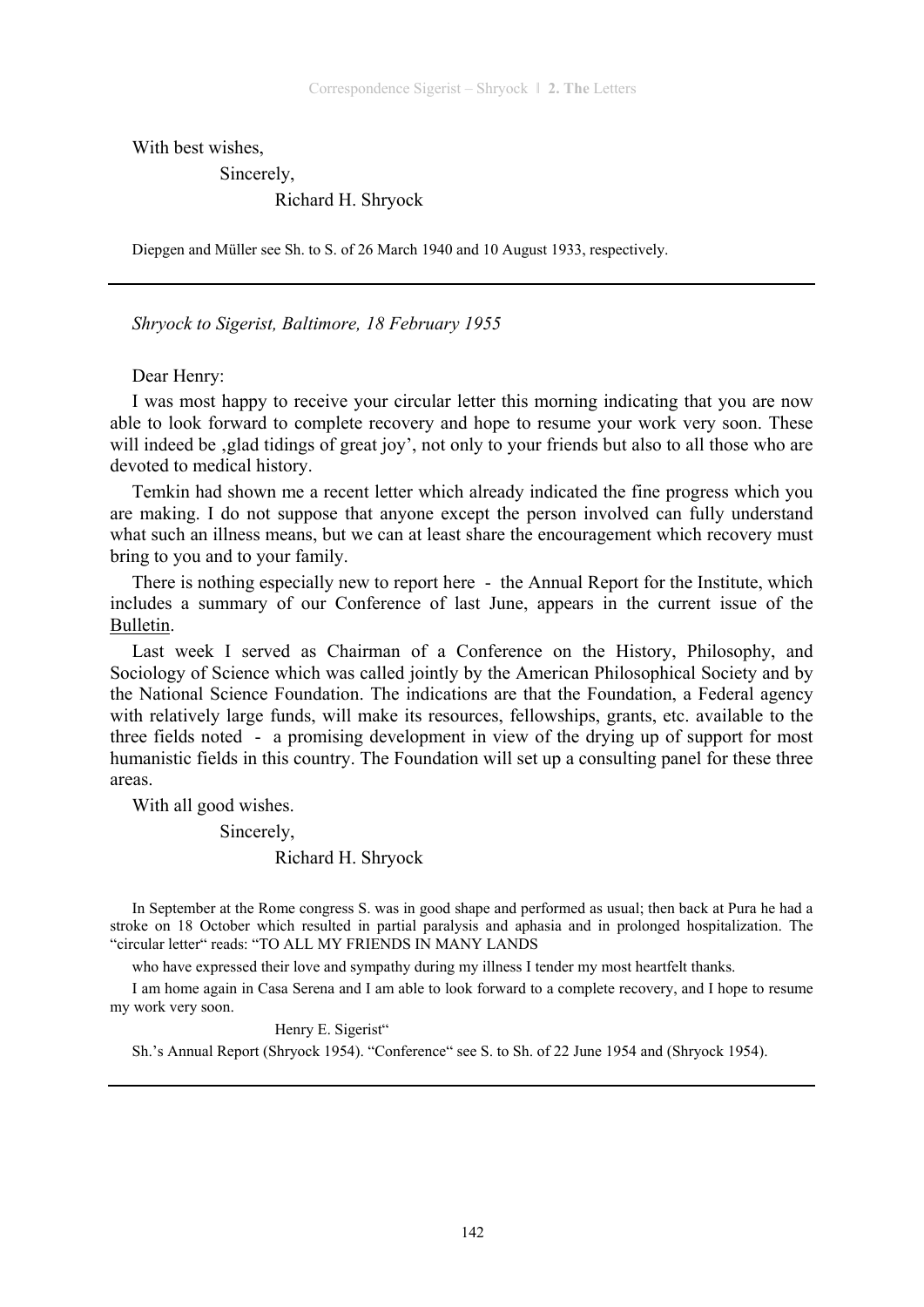With best wishes,

Sincerely,

#### Richard H. Shryock

Diepgen and Müller see Sh. to S. of 26 March 1940 and 10 August 1933, respectively.

*Shryock to Sigerist, Baltimore, 18 February 1955* 

Dear Henry:

I was most happy to receive your circular letter this morning indicating that you are now able to look forward to complete recovery and hope to resume your work very soon. These will indeed be , glad tidings of great joy', not only to your friends but also to all those who are devoted to medical history.

Temkin had shown me a recent letter which already indicated the fine progress which you are making. I do not suppose that anyone except the person involved can fully understand what such an illness means, but we can at least share the encouragement which recovery must bring to you and to your family.

There is nothing especially new to report here - the Annual Report for the Institute, which includes a summary of our Conference of last June, appears in the current issue of the Bulletin.

Last week I served as Chairman of a Conference on the History, Philosophy, and Sociology of Science which was called jointly by the American Philosophical Society and by the National Science Foundation. The indications are that the Foundation, a Federal agency with relatively large funds, will make its resources, fellowships, grants, etc. available to the three fields noted - a promising development in view of the drying up of support for most humanistic fields in this country. The Foundation will set up a consulting panel for these three areas.

With all good wishes.

Sincerely,

#### Richard H. Shryock

In September at the Rome congress S. was in good shape and performed as usual; then back at Pura he had a stroke on 18 October which resulted in partial paralysis and aphasia and in prolonged hospitalization. The "circular letter" reads: "TO ALL MY FRIENDS IN MANY LANDS

who have expressed their love and sympathy during my illness I tender my most heartfelt thanks.

I am home again in Casa Serena and I am able to look forward to a complete recovery, and I hope to resume my work very soon.

Henry E. Sigerist"

Sh.'s Annual Report (Shryock 1954). "Conference" see S. to Sh. of 22 June 1954 and (Shryock 1954).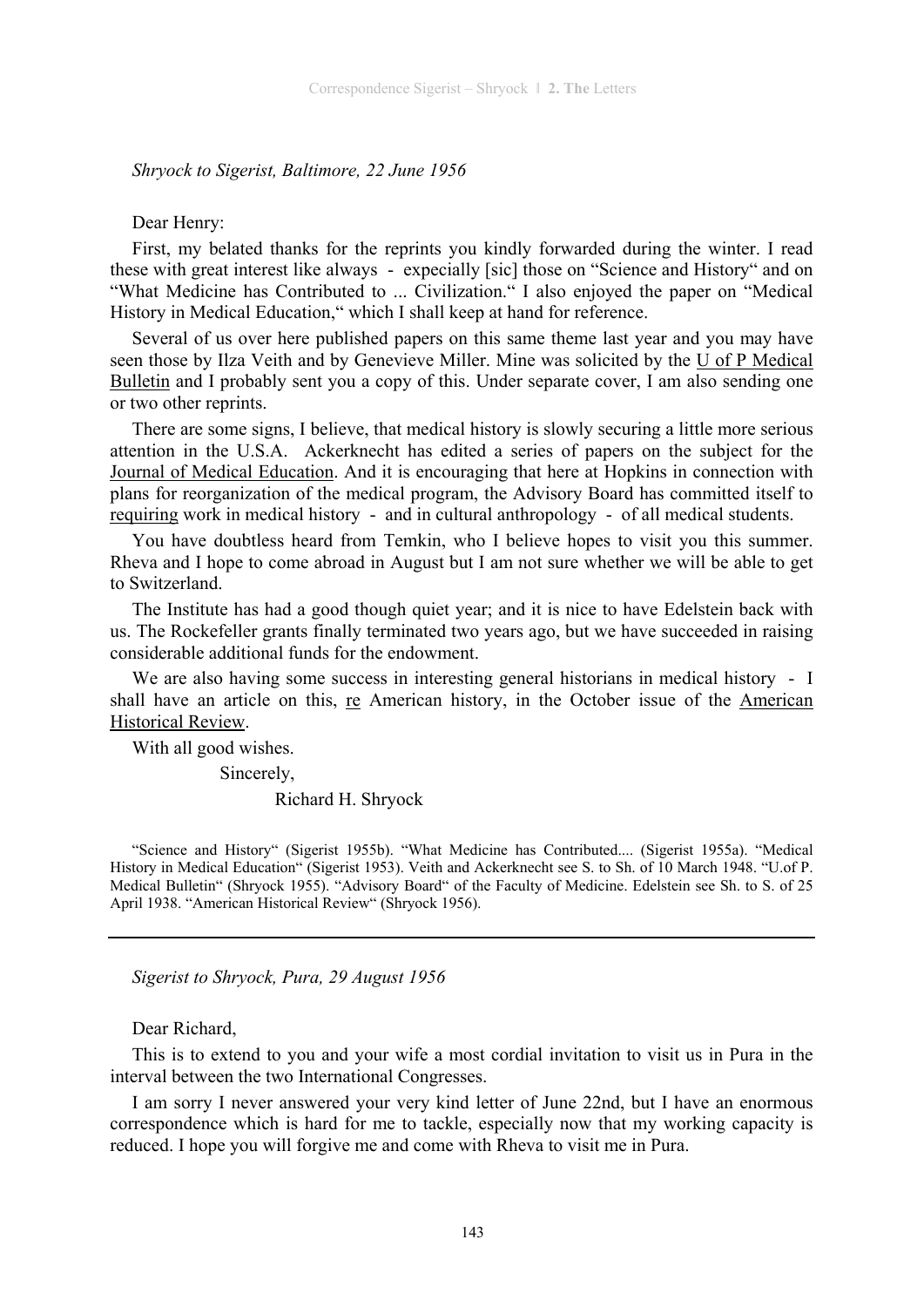#### *Shryock to Sigerist, Baltimore, 22 June 1956*

#### Dear Henry:

First, my belated thanks for the reprints you kindly forwarded during the winter. I read these with great interest like always - expecially [sic] those on "Science and History" and on "What Medicine has Contributed to ... Civilization." I also enjoyed the paper on "Medical History in Medical Education," which I shall keep at hand for reference.

Several of us over here published papers on this same theme last year and you may have seen those by Ilza Veith and by Genevieve Miller. Mine was solicited by the U of P Medical Bulletin and I probably sent you a copy of this. Under separate cover, I am also sending one or two other reprints.

There are some signs, I believe, that medical history is slowly securing a little more serious attention in the U.S.A. Ackerknecht has edited a series of papers on the subject for the Journal of Medical Education. And it is encouraging that here at Hopkins in connection with plans for reorganization of the medical program, the Advisory Board has committed itself to requiring work in medical history - and in cultural anthropology - of all medical students.

You have doubtless heard from Temkin, who I believe hopes to visit you this summer. Rheva and I hope to come abroad in August but I am not sure whether we will be able to get to Switzerland.

The Institute has had a good though quiet year; and it is nice to have Edelstein back with us. The Rockefeller grants finally terminated two years ago, but we have succeeded in raising considerable additional funds for the endowment.

We are also having some success in interesting general historians in medical history - I shall have an article on this, re American history, in the October issue of the American Historical Review.

With all good wishes.

Sincerely,

Richard H. Shryock

"Science and History" (Sigerist 1955b). "What Medicine has Contributed.... (Sigerist 1955a). "Medical History in Medical Education" (Sigerist 1953). Veith and Ackerknecht see S. to Sh. of 10 March 1948. "U.of P. Medical Bulletin" (Shryock 1955). "Advisory Board" of the Faculty of Medicine. Edelstein see Sh. to S. of 25 April 1938. "American Historical Review" (Shryock 1956).

*Sigerist to Shryock, Pura, 29 August 1956* 

Dear Richard,

This is to extend to you and your wife a most cordial invitation to visit us in Pura in the interval between the two International Congresses.

I am sorry I never answered your very kind letter of June 22nd, but I have an enormous correspondence which is hard for me to tackle, especially now that my working capacity is reduced. I hope you will forgive me and come with Rheva to visit me in Pura.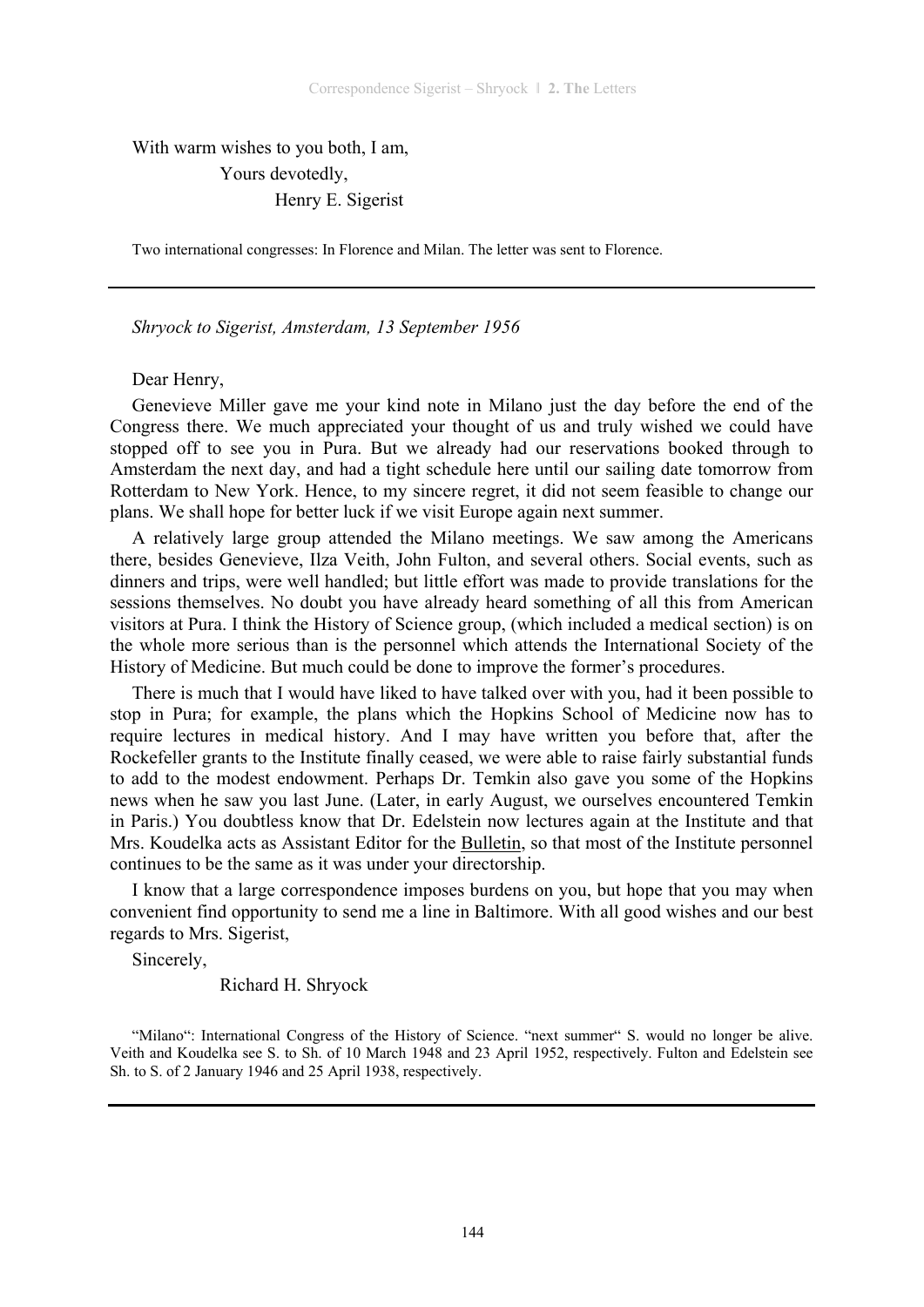# With warm wishes to you both, I am, Yours devotedly, Henry E. Sigerist

Two international congresses: In Florence and Milan. The letter was sent to Florence.

*Shryock to Sigerist, Amsterdam, 13 September 1956* 

#### Dear Henry,

Genevieve Miller gave me your kind note in Milano just the day before the end of the Congress there. We much appreciated your thought of us and truly wished we could have stopped off to see you in Pura. But we already had our reservations booked through to Amsterdam the next day, and had a tight schedule here until our sailing date tomorrow from Rotterdam to New York. Hence, to my sincere regret, it did not seem feasible to change our plans. We shall hope for better luck if we visit Europe again next summer.

A relatively large group attended the Milano meetings. We saw among the Americans there, besides Genevieve, Ilza Veith, John Fulton, and several others. Social events, such as dinners and trips, were well handled; but little effort was made to provide translations for the sessions themselves. No doubt you have already heard something of all this from American visitors at Pura. I think the History of Science group, (which included a medical section) is on the whole more serious than is the personnel which attends the International Society of the History of Medicine. But much could be done to improve the former's procedures.

There is much that I would have liked to have talked over with you, had it been possible to stop in Pura; for example, the plans which the Hopkins School of Medicine now has to require lectures in medical history. And I may have written you before that, after the Rockefeller grants to the Institute finally ceased, we were able to raise fairly substantial funds to add to the modest endowment. Perhaps Dr. Temkin also gave you some of the Hopkins news when he saw you last June. (Later, in early August, we ourselves encountered Temkin in Paris.) You doubtless know that Dr. Edelstein now lectures again at the Institute and that Mrs. Koudelka acts as Assistant Editor for the Bulletin, so that most of the Institute personnel continues to be the same as it was under your directorship.

I know that a large correspondence imposes burdens on you, but hope that you may when convenient find opportunity to send me a line in Baltimore. With all good wishes and our best regards to Mrs. Sigerist,

Sincerely,

Richard H. Shryock

"Milano": International Congress of the History of Science. "next summer" S. would no longer be alive. Veith and Koudelka see S. to Sh. of 10 March 1948 and 23 April 1952, respectively. Fulton and Edelstein see Sh. to S. of 2 January 1946 and 25 April 1938, respectively.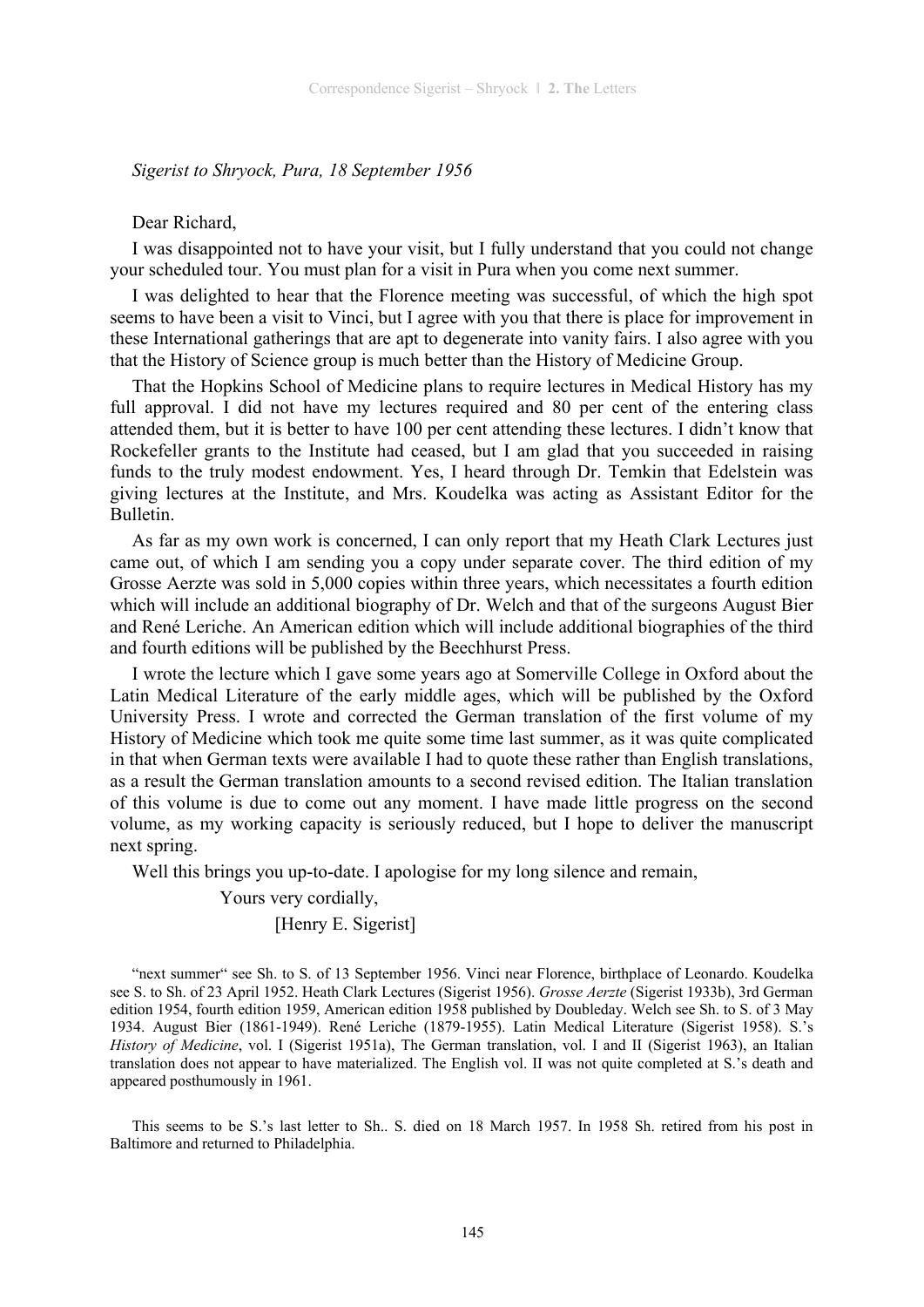### *Sigerist to Shryock, Pura, 18 September 1956*

#### Dear Richard,

I was disappointed not to have your visit, but I fully understand that you could not change your scheduled tour. You must plan for a visit in Pura when you come next summer.

I was delighted to hear that the Florence meeting was successful, of which the high spot seems to have been a visit to Vinci, but I agree with you that there is place for improvement in these International gatherings that are apt to degenerate into vanity fairs. I also agree with you that the History of Science group is much better than the History of Medicine Group.

That the Hopkins School of Medicine plans to require lectures in Medical History has my full approval. I did not have my lectures required and 80 per cent of the entering class attended them, but it is better to have 100 per cent attending these lectures. I didn't know that Rockefeller grants to the Institute had ceased, but I am glad that you succeeded in raising funds to the truly modest endowment. Yes, I heard through Dr. Temkin that Edelstein was giving lectures at the Institute, and Mrs. Koudelka was acting as Assistant Editor for the Bulletin.

As far as my own work is concerned, I can only report that my Heath Clark Lectures just came out, of which I am sending you a copy under separate cover. The third edition of my Grosse Aerzte was sold in 5,000 copies within three years, which necessitates a fourth edition which will include an additional biography of Dr. Welch and that of the surgeons August Bier and René Leriche. An American edition which will include additional biographies of the third and fourth editions will be published by the Beechhurst Press.

I wrote the lecture which I gave some years ago at Somerville College in Oxford about the Latin Medical Literature of the early middle ages, which will be published by the Oxford University Press. I wrote and corrected the German translation of the first volume of my History of Medicine which took me quite some time last summer, as it was quite complicated in that when German texts were available I had to quote these rather than English translations, as a result the German translation amounts to a second revised edition. The Italian translation of this volume is due to come out any moment. I have made little progress on the second volume, as my working capacity is seriously reduced, but I hope to deliver the manuscript next spring.

Well this brings you up-to-date. I apologise for my long silence and remain,

Yours very cordially,

### [Henry E. Sigerist]

"next summer" see Sh. to S. of 13 September 1956. Vinci near Florence, birthplace of Leonardo. Koudelka see S. to Sh. of 23 April 1952. Heath Clark Lectures (Sigerist 1956). *Grosse Aerzte* (Sigerist 1933b), 3rd German edition 1954, fourth edition 1959, American edition 1958 published by Doubleday. Welch see Sh. to S. of 3 May 1934. August Bier (1861-1949). René Leriche (1879-1955). Latin Medical Literature (Sigerist 1958). S.'s *History of Medicine*, vol. I (Sigerist 1951a), The German translation, vol. I and II (Sigerist 1963), an Italian translation does not appear to have materialized. The English vol. II was not quite completed at S.'s death and appeared posthumously in 1961.

This seems to be S.'s last letter to Sh.. S. died on 18 March 1957. In 1958 Sh. retired from his post in Baltimore and returned to Philadelphia.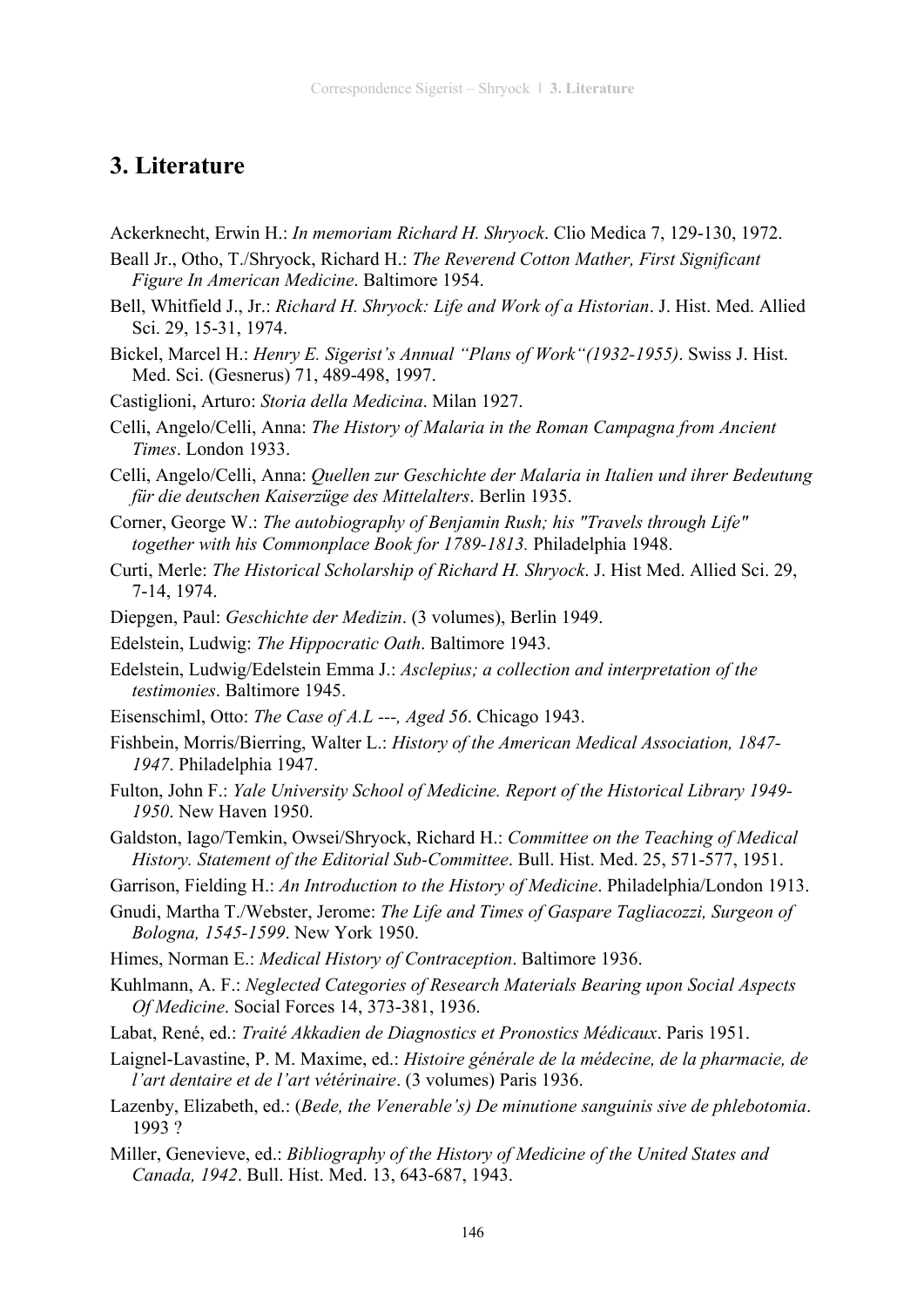# **3. Literature**

Ackerknecht, Erwin H.: *In memoriam Richard H. Shryock*. Clio Medica 7, 129-130, 1972.

- Beall Jr., Otho, T./Shryock, Richard H.: *The Reverend Cotton Mather, First Significant Figure In American Medicine*. Baltimore 1954.
- Bell, Whitfield J., Jr.: *Richard H. Shryock: Life and Work of a Historian*. J. Hist. Med. Allied Sci. 29, 15-31, 1974.
- Bickel, Marcel H.: *Henry E. Sigerist's Annual "Plans of Work"(1932-1955)*. Swiss J. Hist. Med. Sci. (Gesnerus) 71, 489-498, 1997.
- Castiglioni, Arturo: *Storia della Medicina*. Milan 1927.
- Celli, Angelo/Celli, Anna: *The History of Malaria in the Roman Campagna from Ancient Times*. London 1933.
- Celli, Angelo/Celli, Anna: *Quellen zur Geschichte der Malaria in Italien und ihrer Bedeutung für die deutschen Kaiserzüge des Mittelalters*. Berlin 1935.
- Corner, George W.: *The autobiography of Benjamin Rush; his "Travels through Life" together with his Commonplace Book for 1789-1813.* Philadelphia 1948.
- Curti, Merle: *The Historical Scholarship of Richard H. Shryock*. J. Hist Med. Allied Sci. 29, 7-14, 1974.
- Diepgen, Paul: *Geschichte der Medizin*. (3 volumes), Berlin 1949.
- Edelstein, Ludwig: *The Hippocratic Oath*. Baltimore 1943.
- Edelstein, Ludwig/Edelstein Emma J.: *Asclepius; a collection and interpretation of the testimonies*. Baltimore 1945.
- Eisenschiml, Otto: *The Case of A.L ---, Aged 56*. Chicago 1943.
- Fishbein, Morris/Bierring, Walter L.: *History of the American Medical Association, 1847- 1947*. Philadelphia 1947.
- Fulton, John F.: *Yale University School of Medicine. Report of the Historical Library 1949- 1950*. New Haven 1950.
- Galdston, Iago/Temkin, Owsei/Shryock, Richard H.: *Committee on the Teaching of Medical History. Statement of the Editorial Sub-Committee*. Bull. Hist. Med. 25, 571-577, 1951.
- Garrison, Fielding H.: *An Introduction to the History of Medicine*. Philadelphia/London 1913.
- Gnudi, Martha T./Webster, Jerome: *The Life and Times of Gaspare Tagliacozzi, Surgeon of Bologna, 1545-1599*. New York 1950.
- Himes, Norman E.: *Medical History of Contraception*. Baltimore 1936.
- Kuhlmann, A. F.: *Neglected Categories of Research Materials Bearing upon Social Aspects Of Medicine*. Social Forces 14, 373-381, 1936.
- Labat, René, ed.: *Traité Akkadien de Diagnostics et Pronostics Médicaux*. Paris 1951.
- Laignel-Lavastine, P. M. Maxime, ed.: *Histoire générale de la médecine, de la pharmacie, de l'art dentaire et de l'art vétérinaire*. (3 volumes) Paris 1936.
- Lazenby, Elizabeth, ed.: (*Bede, the Venerable's) De minutione sanguinis sive de phlebotomia*. 1993 ?
- Miller, Genevieve, ed.: *Bibliography of the History of Medicine of the United States and Canada, 1942*. Bull. Hist. Med. 13, 643-687, 1943.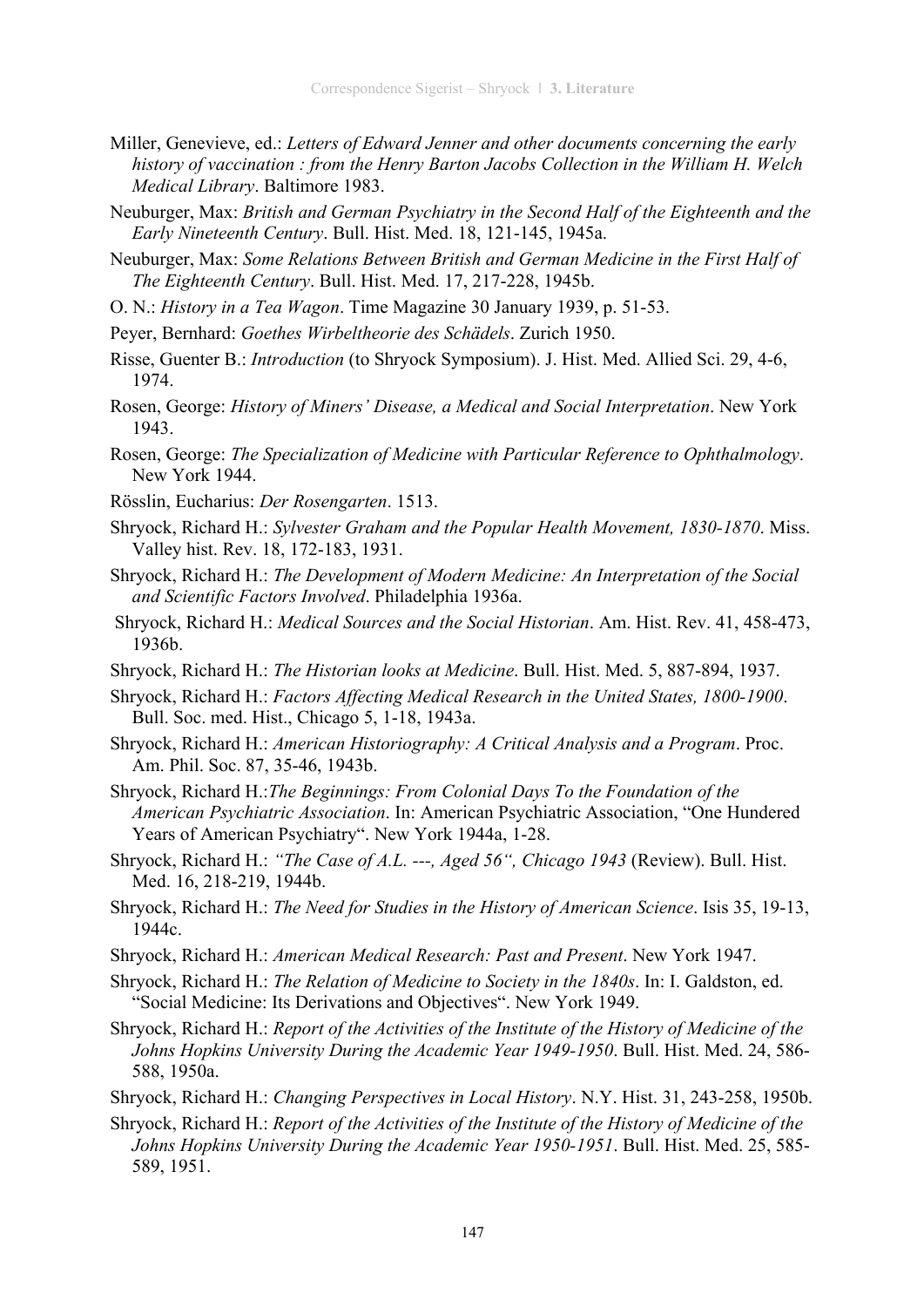- Miller, Genevieve, ed.: *Letters of Edward Jenner and other documents concerning the early history of vaccination : from the Henry Barton Jacobs Collection in the William H. Welch Medical Library*. Baltimore 1983.
- Neuburger, Max: *British and German Psychiatry in the Second Half of the Eighteenth and the Early Nineteenth Century*. Bull. Hist. Med. 18, 121-145, 1945a.
- Neuburger, Max: *Some Relations Between British and German Medicine in the First Half of The Eighteenth Century*. Bull. Hist. Med. 17, 217-228, 1945b.
- O. N.: *History in a Tea Wagon*. Time Magazine 30 January 1939, p. 51-53.
- Peyer, Bernhard: *Goethes Wirbeltheorie des Schädels*. Zurich 1950.
- Risse, Guenter B.: *Introduction* (to Shryock Symposium). J. Hist. Med. Allied Sci. 29, 4-6, 1974.
- Rosen, George: *History of Miners' Disease, a Medical and Social Interpretation*. New York 1943.
- Rosen, George: *The Specialization of Medicine with Particular Reference to Ophthalmology*. New York 1944.
- Rösslin, Eucharius: *Der Rosengarten*. 1513.
- Shryock, Richard H.: *Sylvester Graham and the Popular Health Movement, 1830-1870*. Miss. Valley hist. Rev. 18, 172-183, 1931.
- Shryock, Richard H.: *The Development of Modern Medicine: An Interpretation of the Social and Scientific Factors Involved*. Philadelphia 1936a.
- Shryock, Richard H.: *Medical Sources and the Social Historian*. Am. Hist. Rev. 41, 458-473, 1936b.
- Shryock, Richard H.: *The Historian looks at Medicine*. Bull. Hist. Med. 5, 887-894, 1937.
- Shryock, Richard H.: *Factors Affecting Medical Research in the United States, 1800-1900*. Bull. Soc. med. Hist., Chicago 5, 1-18, 1943a.
- Shryock, Richard H.: *American Historiography: A Critical Analysis and a Program*. Proc. Am. Phil. Soc. 87, 35-46, 1943b.
- Shryock, Richard H.:*The Beginnings: From Colonial Days To the Foundation of the American Psychiatric Association*. In: American Psychiatric Association, "One Hundered Years of American Psychiatry". New York 1944a, 1-28.
- Shryock, Richard H.: *"The Case of A.L. ---, Aged 56", Chicago 1943* (Review). Bull. Hist. Med. 16, 218-219, 1944b.
- Shryock, Richard H.: *The Need for Studies in the History of American Science*. Isis 35, 19-13, 1944c.
- Shryock, Richard H.: *American Medical Research: Past and Present*. New York 1947.
- Shryock, Richard H.: *The Relation of Medicine to Society in the 1840s*. In: I. Galdston, ed. "Social Medicine: Its Derivations and Objectives". New York 1949.
- Shryock, Richard H.: *Report of the Activities of the Institute of the History of Medicine of the Johns Hopkins University During the Academic Year 1949-1950*. Bull. Hist. Med. 24, 586- 588, 1950a.
- Shryock, Richard H.: *Changing Perspectives in Local History*. N.Y. Hist. 31, 243-258, 1950b.
- Shryock, Richard H.: *Report of the Activities of the Institute of the History of Medicine of the Johns Hopkins University During the Academic Year 1950-1951*. Bull. Hist. Med. 25, 585- 589, 1951.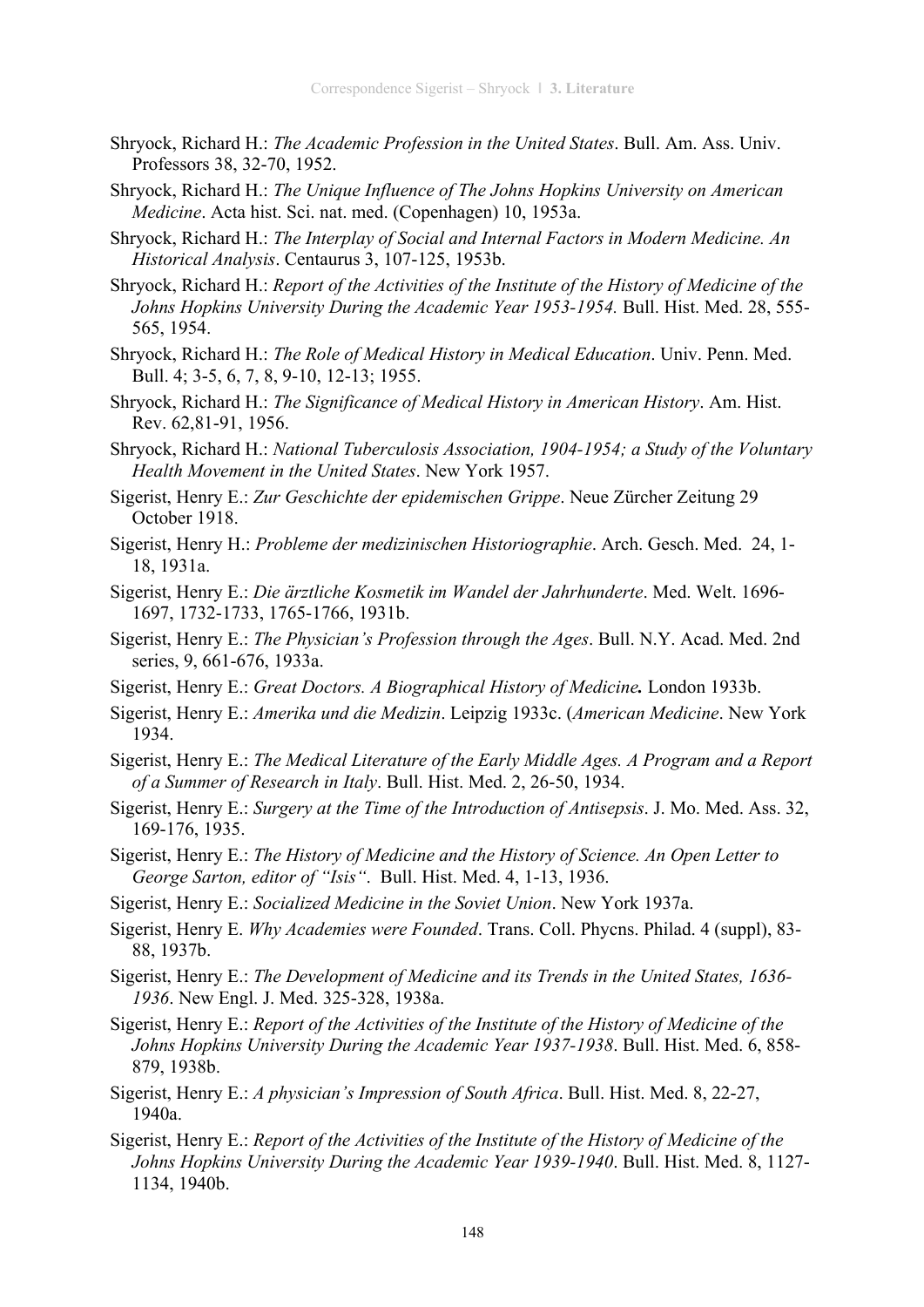- Shryock, Richard H.: *The Academic Profession in the United States*. Bull. Am. Ass. Univ. Professors 38, 32-70, 1952.
- Shryock, Richard H.: *The Unique Influence of The Johns Hopkins University on American Medicine*. Acta hist. Sci. nat. med. (Copenhagen) 10, 1953a.
- Shryock, Richard H.: *The Interplay of Social and Internal Factors in Modern Medicine. An Historical Analysis*. Centaurus 3, 107-125, 1953b.
- Shryock, Richard H.: *Report of the Activities of the Institute of the History of Medicine of the Johns Hopkins University During the Academic Year 1953-1954.* Bull. Hist. Med. 28, 555- 565, 1954.
- Shryock, Richard H.: *The Role of Medical History in Medical Education*. Univ. Penn. Med. Bull. 4; 3-5, 6, 7, 8, 9-10, 12-13; 1955.
- Shryock, Richard H.: *The Significance of Medical History in American History*. Am. Hist. Rev. 62,81-91, 1956.
- Shryock, Richard H.: *National Tuberculosis Association, 1904-1954; a Study of the Voluntary Health Movement in the United States*. New York 1957.
- Sigerist, Henry E.: *Zur Geschichte der epidemischen Grippe*. Neue Zürcher Zeitung 29 October 1918.
- Sigerist, Henry H.: *Probleme der medizinischen Historiographie*. Arch. Gesch. Med. 24, 1- 18, 1931a.
- Sigerist, Henry E.: *Die ärztliche Kosmetik im Wandel der Jahrhunderte*. Med. Welt. 1696- 1697, 1732-1733, 1765-1766, 1931b.
- Sigerist, Henry E.: *The Physician's Profession through the Ages*. Bull. N.Y. Acad. Med. 2nd series, 9, 661-676, 1933a.
- Sigerist, Henry E.: *Great Doctors. A Biographical History of Medicine.* London 1933b.
- Sigerist, Henry E.: *Amerika und die Medizin*. Leipzig 1933c. (*American Medicine*. New York 1934.
- Sigerist, Henry E.: *The Medical Literature of the Early Middle Ages. A Program and a Report of a Summer of Research in Italy*. Bull. Hist. Med. 2, 26-50, 1934.
- Sigerist, Henry E.: *Surgery at the Time of the Introduction of Antisepsis*. J. Mo. Med. Ass. 32, 169-176, 1935.
- Sigerist, Henry E.: *The History of Medicine and the History of Science. An Open Letter to George Sarton, editor of "Isis"*. Bull. Hist. Med. 4, 1-13, 1936.
- Sigerist, Henry E.: *Socialized Medicine in the Soviet Union*. New York 1937a.
- Sigerist, Henry E. *Why Academies were Founded*. Trans. Coll. Phycns. Philad. 4 (suppl), 83- 88, 1937b.
- Sigerist, Henry E.: *The Development of Medicine and its Trends in the United States, 1636- 1936*. New Engl. J. Med. 325-328, 1938a.
- Sigerist, Henry E.: *Report of the Activities of the Institute of the History of Medicine of the Johns Hopkins University During the Academic Year 1937-1938*. Bull. Hist. Med. 6, 858- 879, 1938b.
- Sigerist, Henry E.: *A physician's Impression of South Africa*. Bull. Hist. Med. 8, 22-27, 1940a.
- Sigerist, Henry E.: *Report of the Activities of the Institute of the History of Medicine of the Johns Hopkins University During the Academic Year 1939-1940*. Bull. Hist. Med. 8, 1127- 1134, 1940b.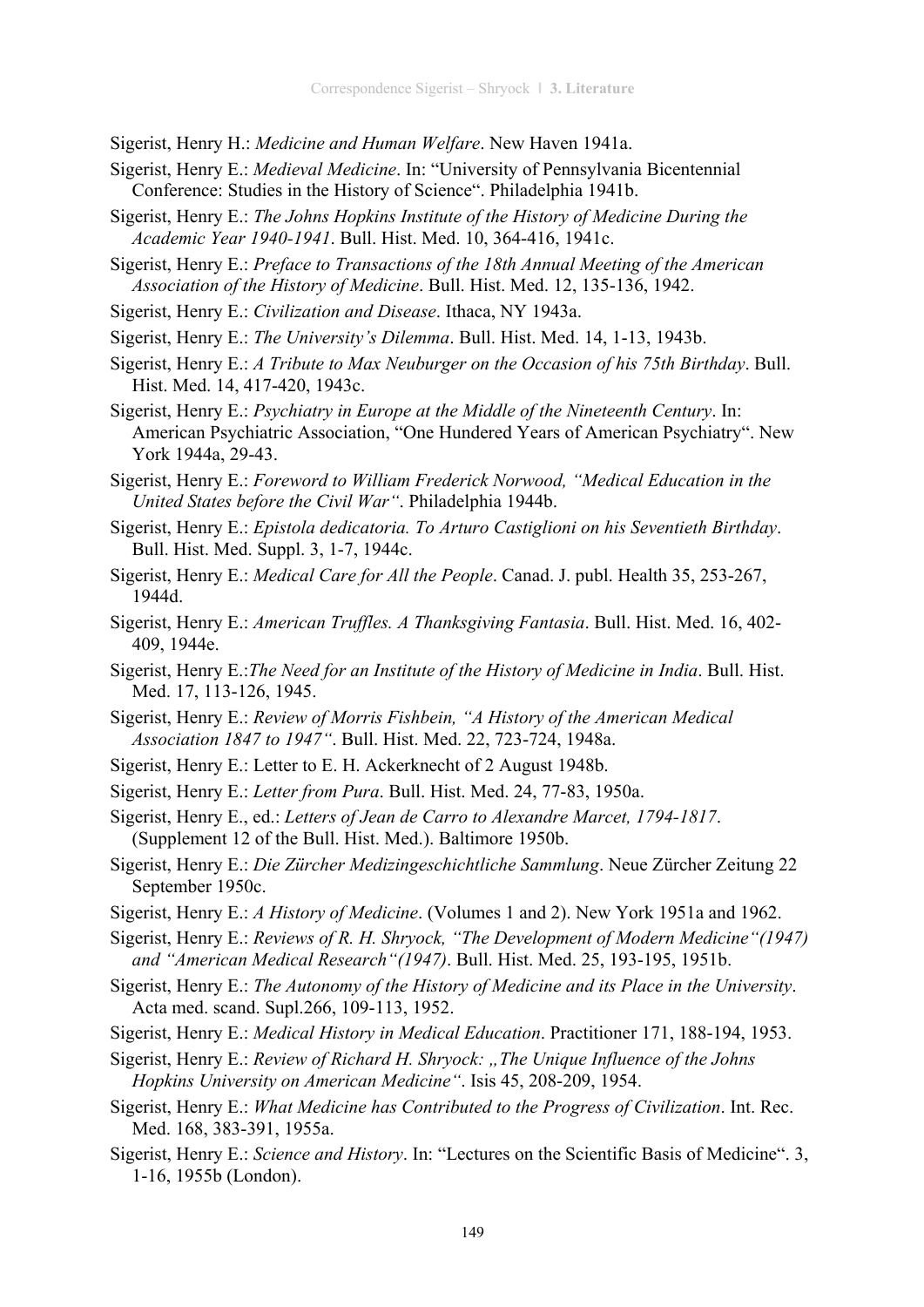Sigerist, Henry H.: *Medicine and Human Welfare*. New Haven 1941a.

- Sigerist, Henry E.: *Medieval Medicine*. In: "University of Pennsylvania Bicentennial Conference: Studies in the History of Science". Philadelphia 1941b.
- Sigerist, Henry E.: *The Johns Hopkins Institute of the History of Medicine During the Academic Year 1940-1941*. Bull. Hist. Med. 10, 364-416, 1941c.
- Sigerist, Henry E.: *Preface to Transactions of the 18th Annual Meeting of the American Association of the History of Medicine*. Bull. Hist. Med. 12, 135-136, 1942.
- Sigerist, Henry E.: *Civilization and Disease*. Ithaca, NY 1943a.
- Sigerist, Henry E.: *The University's Dilemma*. Bull. Hist. Med. 14, 1-13, 1943b.
- Sigerist, Henry E.: *A Tribute to Max Neuburger on the Occasion of his 75th Birthday*. Bull. Hist. Med. 14, 417-420, 1943c.
- Sigerist, Henry E.: *Psychiatry in Europe at the Middle of the Nineteenth Century*. In: American Psychiatric Association, "One Hundered Years of American Psychiatry". New York 1944a, 29-43.
- Sigerist, Henry E.: *Foreword to William Frederick Norwood, "Medical Education in the United States before the Civil War"*. Philadelphia 1944b.
- Sigerist, Henry E.: *Epistola dedicatoria. To Arturo Castiglioni on his Seventieth Birthday*. Bull. Hist. Med. Suppl. 3, 1-7, 1944c.
- Sigerist, Henry E.: *Medical Care for All the People*. Canad. J. publ. Health 35, 253-267, 1944d.
- Sigerist, Henry E.: *American Truffles. A Thanksgiving Fantasia*. Bull. Hist. Med. 16, 402- 409, 1944e.
- Sigerist, Henry E.:*The Need for an Institute of the History of Medicine in India*. Bull. Hist. Med. 17, 113-126, 1945.
- Sigerist, Henry E.: *Review of Morris Fishbein, "A History of the American Medical Association 1847 to 1947"*. Bull. Hist. Med. 22, 723-724, 1948a.
- Sigerist, Henry E.: Letter to E. H. Ackerknecht of 2 August 1948b.
- Sigerist, Henry E.: *Letter from Pura*. Bull. Hist. Med. 24, 77-83, 1950a.
- Sigerist, Henry E., ed.: *Letters of Jean de Carro to Alexandre Marcet, 1794-1817*. (Supplement 12 of the Bull. Hist. Med.). Baltimore 1950b.
- Sigerist, Henry E.: *Die Zürcher Medizingeschichtliche Sammlung*. Neue Zürcher Zeitung 22 September 1950c.
- Sigerist, Henry E.: *A History of Medicine*. (Volumes 1 and 2). New York 1951a and 1962.
- Sigerist, Henry E.: *Reviews of R. H. Shryock, "The Development of Modern Medicine"(1947) and "American Medical Research"(1947)*. Bull. Hist. Med. 25, 193-195, 1951b.
- Sigerist, Henry E.: *The Autonomy of the History of Medicine and its Place in the University*. Acta med. scand. Supl.266, 109-113, 1952.
- Sigerist, Henry E.: *Medical History in Medical Education*. Practitioner 171, 188-194, 1953.
- Sigerist, Henry E.: *Review of Richard H. Shryock: "The Unique Influence of the Johns Hopkins University on American Medicine"*. Isis 45, 208-209, 1954.
- Sigerist, Henry E.: *What Medicine has Contributed to the Progress of Civilization*. Int. Rec. Med. 168, 383-391, 1955a.
- Sigerist, Henry E.: *Science and History*. In: "Lectures on the Scientific Basis of Medicine". 3, 1-16, 1955b (London).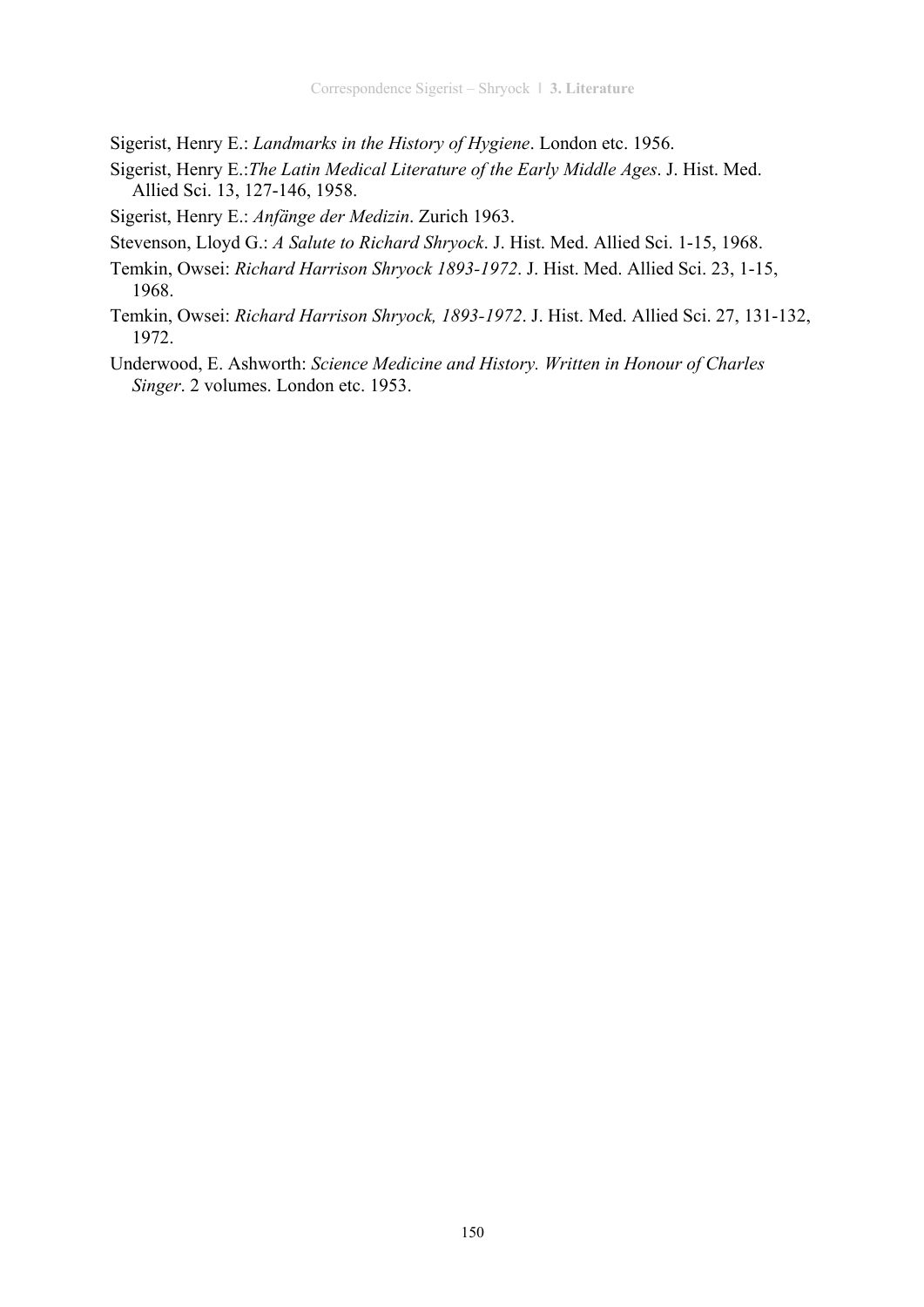Sigerist, Henry E.: *Landmarks in the History of Hygiene*. London etc. 1956.

- Sigerist, Henry E.:*The Latin Medical Literature of the Early Middle Ages*. J. Hist. Med. Allied Sci. 13, 127-146, 1958.
- Sigerist, Henry E.: *Anfänge der Medizin*. Zurich 1963.
- Stevenson, Lloyd G.: *A Salute to Richard Shryock*. J. Hist. Med. Allied Sci. 1-15, 1968.
- Temkin, Owsei: *Richard Harrison Shryock 1893-1972*. J. Hist. Med. Allied Sci. 23, 1-15, 1968.
- Temkin, Owsei: *Richard Harrison Shryock, 1893-1972*. J. Hist. Med. Allied Sci. 27, 131-132, 1972.
- Underwood, E. Ashworth: *Science Medicine and History. Written in Honour of Charles Singer*. 2 volumes. London etc. 1953.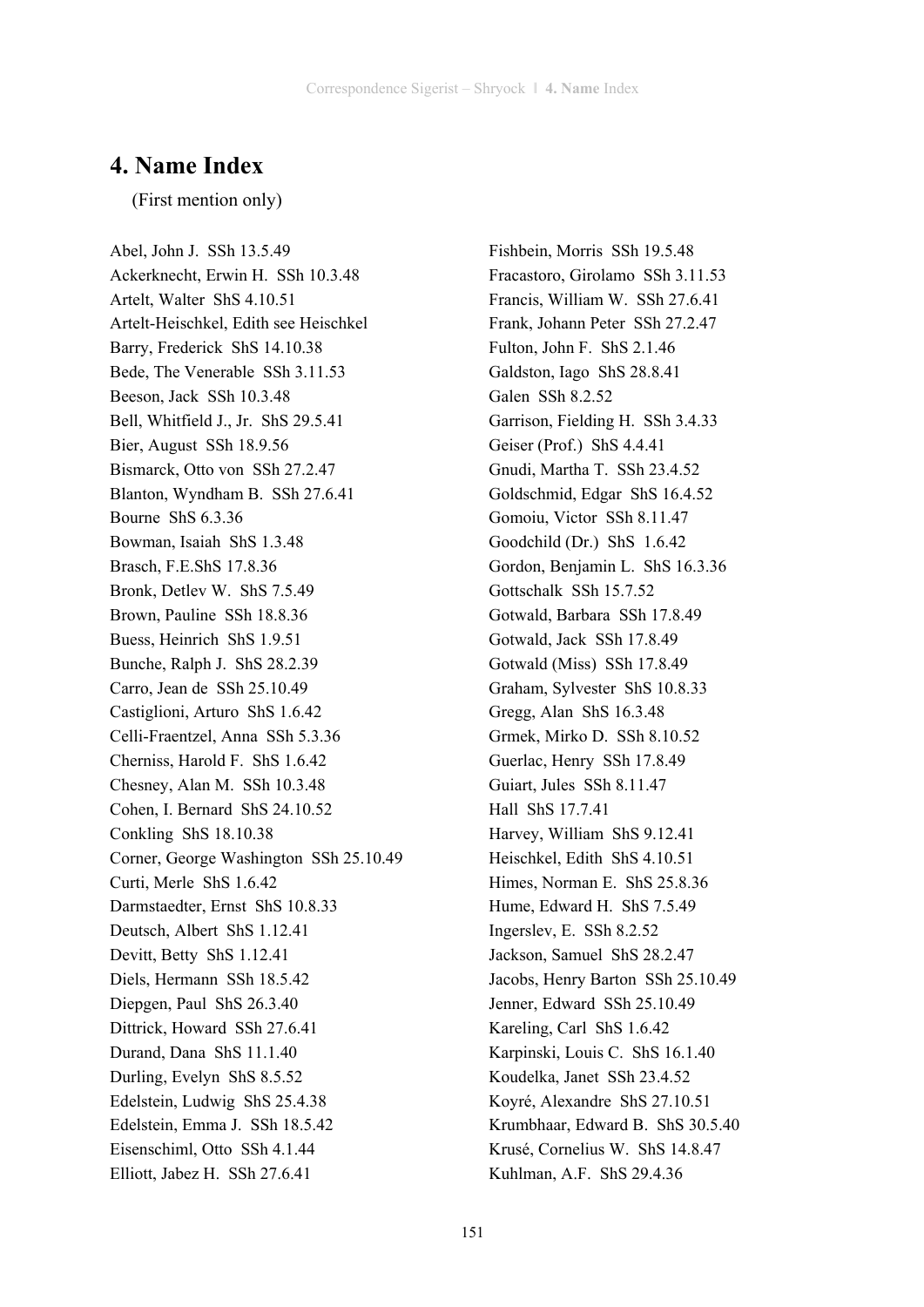# **4. Name Index**

(First mention only)

Abel, John J. SSh 13.5.49 Ackerknecht, Erwin H. SSh 10.3.48 Artelt, Walter ShS 4.10.51 Artelt-Heischkel, Edith see Heischkel Barry, Frederick ShS 14.10.38 Bede, The Venerable SSh 3.11.53 Beeson, Jack SSh 10.3.48 Bell, Whitfield J., Jr. ShS 29.5.41 Bier, August SSh 18.9.56 Bismarck, Otto von SSh 27.2.47 Blanton, Wyndham B. SSh 27.6.41 Bourne ShS 6.3.36 Bowman, Isaiah ShS 1.3.48 Brasch, F.E.ShS 17.8.36 Bronk, Detlev W. ShS 7.5.49 Brown, Pauline SSh 18.8.36 Buess, Heinrich ShS 1.9.51 Bunche, Ralph J. ShS 28.2.39 Carro, Jean de SSh 25.10.49 Castiglioni, Arturo ShS 1.6.42 Celli-Fraentzel, Anna SSh 5.3.36 Cherniss, Harold F. ShS 1.6.42 Chesney, Alan M. SSh 10.3.48 Cohen, I. Bernard ShS 24.10.52 Conkling ShS 18.10.38 Corner, George Washington SSh 25.10.49 Curti, Merle ShS 1.6.42 Darmstaedter, Ernst ShS 10.8.33 Deutsch, Albert ShS 1.12.41 Devitt, Betty ShS 1.12.41 Diels, Hermann SSh 18.5.42 Diepgen, Paul ShS 26.3.40 Dittrick, Howard SSh 27.6.41 Durand, Dana ShS 11.1.40 Durling, Evelyn ShS 8.5.52 Edelstein, Ludwig ShS 25.4.38 Edelstein, Emma J. SSh 18.5.42 Eisenschiml, Otto SSh 4.1.44 Elliott, Jabez H. SSh 27.6.41

Fishbein, Morris SSh 19.5.48 Fracastoro, Girolamo SSh 3.11.53 Francis, William W. SSh 27.6.41 Frank, Johann Peter SSh 27.2.47 Fulton, John F. ShS 2.1.46 Galdston, Iago ShS 28.8.41 Galen SSh 8.2.52 Garrison, Fielding H. SSh 3.4.33 Geiser (Prof.) ShS 4.4.41 Gnudi, Martha T. SSh 23.4.52 Goldschmid, Edgar ShS 16.4.52 Gomoiu, Victor SSh 8.11.47 Goodchild (Dr.) ShS 1.6.42 Gordon, Benjamin L. ShS 16.3.36 Gottschalk SSh 15.7.52 Gotwald, Barbara SSh 17.8.49 Gotwald, Jack SSh 17.8.49 Gotwald (Miss) SSh 17.8.49 Graham, Sylvester ShS 10.8.33 Gregg, Alan ShS 16.3.48 Grmek, Mirko D. SSh 8.10.52 Guerlac, Henry SSh 17.8.49 Guiart, Jules SSh 8.11.47 Hall ShS 17.7.41 Harvey, William ShS 9.12.41 Heischkel, Edith ShS 4.10.51 Himes, Norman E. ShS 25.8.36 Hume, Edward H. ShS 7.5.49 Ingerslev, E. SSh 8.2.52 Jackson, Samuel ShS 28.2.47 Jacobs, Henry Barton SSh 25.10.49 Jenner, Edward SSh 25.10.49 Kareling, Carl ShS 1.6.42 Karpinski, Louis C. ShS 16.1.40 Koudelka, Janet SSh 23.4.52 Koyré, Alexandre ShS 27.10.51 Krumbhaar, Edward B. ShS 30.5.40 Krusé, Cornelius W. ShS 14.8.47 Kuhlman, A.F. ShS 29.4.36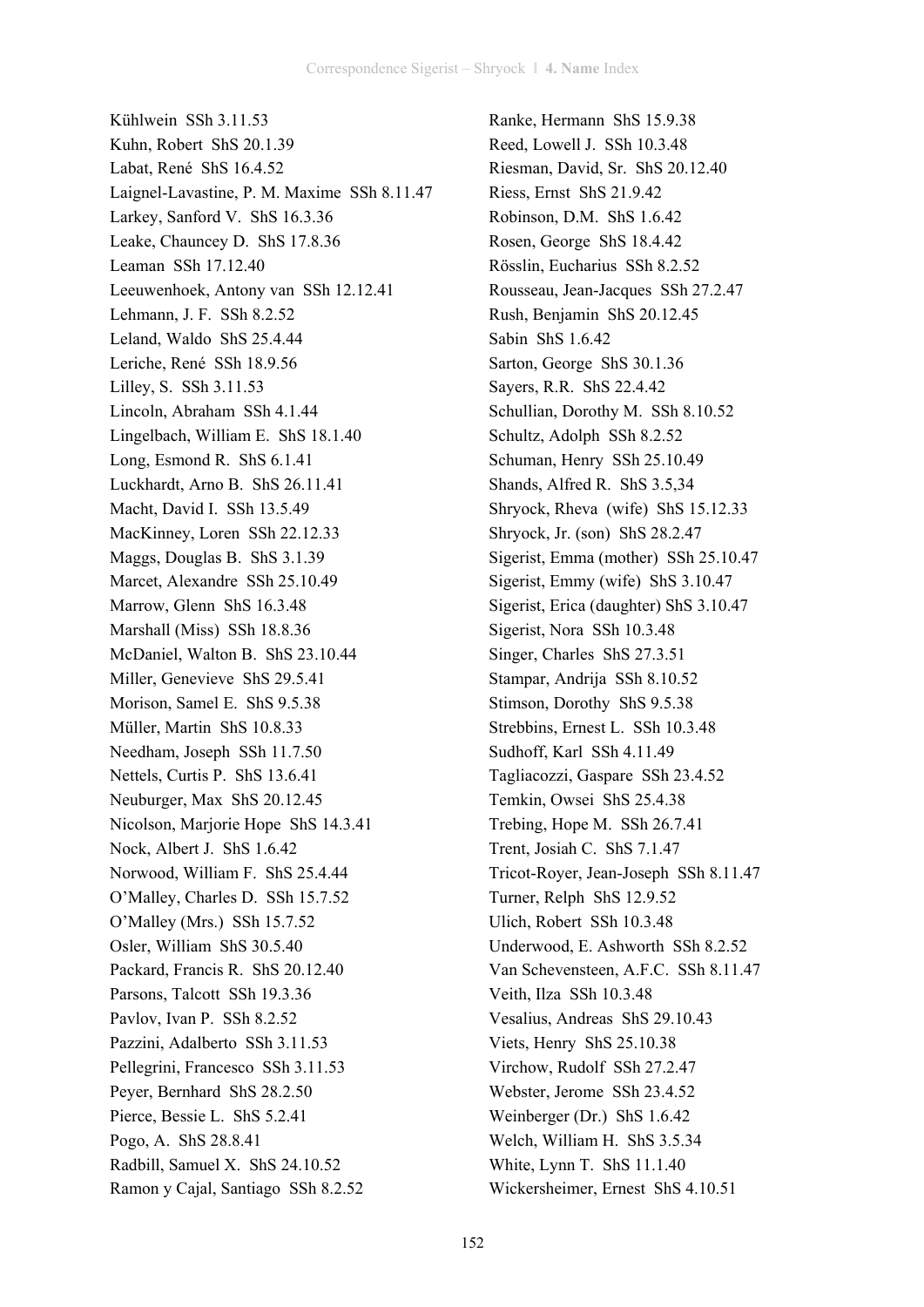Kühlwein SSh 3.11.53 Kuhn, Robert ShS 20.1.39 Labat, René ShS 16.4.52 Laignel-Lavastine, P. M. Maxime SSh 8.11.47 Larkey, Sanford V. ShS 16.3.36 Leake, Chauncey D. ShS 17.8.36 Leaman SSh 17.12.40 Leeuwenhoek, Antony van SSh 12.12.41 Lehmann, J. F. SSh 8.2.52 Leland, Waldo ShS 25.4.44 Leriche, René SSh 18.9.56 Lilley, S. SSh 3.11.53 Lincoln, Abraham SSh 4.1.44 Lingelbach, William E. ShS 18.1.40 Long, Esmond R. ShS 6.1.41 Luckhardt, Arno B. ShS 26.11.41 Macht, David I. SSh 13.5.49 MacKinney, Loren SSh 22.12.33 Maggs, Douglas B. ShS 3.1.39 Marcet, Alexandre SSh 25.10.49 Marrow, Glenn ShS 16.3.48 Marshall (Miss) SSh 18.8.36 McDaniel, Walton B. ShS 23.10.44 Miller, Genevieve ShS 29.5.41 Morison, Samel E. ShS 9.5.38 Müller, Martin ShS 10.8.33 Needham, Joseph SSh 11.7.50 Nettels, Curtis P. ShS 13.6.41 Neuburger, Max ShS 20.12.45 Nicolson, Marjorie Hope ShS 14.3.41 Nock, Albert J. ShS 1.6.42 Norwood, William F. ShS 25.4.44 O'Malley, Charles D. SSh 15.7.52 O'Malley (Mrs.) SSh 15.7.52 Osler, William ShS 30.5.40 Packard, Francis R. ShS 20.12.40 Parsons, Talcott SSh 19.3.36 Pavlov, Ivan P. SSh 8.2.52 Pazzini, Adalberto SSh 3.11.53 Pellegrini, Francesco SSh 3.11.53 Peyer, Bernhard ShS 28.2.50 Pierce, Bessie L. ShS 5.2.41 Pogo, A. ShS 28.8.41 Radbill, Samuel X. ShS 24.10.52 Ramon y Cajal, Santiago SSh 8.2.52

Ranke, Hermann ShS 15.9.38 Reed, Lowell J. SSh 10.3.48 Riesman, David, Sr. ShS 20.12.40 Riess, Ernst ShS 21.9.42 Robinson, D.M. ShS 1.6.42 Rosen, George ShS 18.4.42 Rösslin, Eucharius SSh 8.2.52 Rousseau, Jean-Jacques SSh 27.2.47 Rush, Benjamin ShS 20.12.45 Sabin ShS 1.6.42 Sarton, George ShS 30.1.36 Sayers, R.R. ShS 22.4.42 Schullian, Dorothy M. SSh 8.10.52 Schultz, Adolph SSh 8.2.52 Schuman, Henry SSh 25.10.49 Shands, Alfred R. ShS 3.5,34 Shryock, Rheva (wife) ShS 15.12.33 Shryock, Jr. (son) ShS 28.2.47 Sigerist, Emma (mother) SSh 25.10.47 Sigerist, Emmy (wife) ShS 3.10.47 Sigerist, Erica (daughter) ShS 3.10.47 Sigerist, Nora SSh 10.3.48 Singer, Charles ShS 27.3.51 Stampar, Andrija SSh 8.10.52 Stimson, Dorothy ShS 9.5.38 Strebbins, Ernest L. SSh 10.3.48 Sudhoff, Karl SSh 4.11.49 Tagliacozzi, Gaspare SSh 23.4.52 Temkin, Owsei ShS 25.4.38 Trebing, Hope M. SSh 26.7.41 Trent, Josiah C. ShS 7.1.47 Tricot-Royer, Jean-Joseph SSh 8.11.47 Turner, Relph ShS 12.9.52 Ulich, Robert SSh 10.3.48 Underwood, E. Ashworth SSh 8.2.52 Van Schevensteen, A.F.C. SSh 8.11.47 Veith, Ilza SSh 10.3.48 Vesalius, Andreas ShS 29.10.43 Viets, Henry ShS 25.10.38 Virchow, Rudolf SSh 27.2.47 Webster, Jerome SSh 23.4.52 Weinberger (Dr.) ShS 1.6.42 Welch, William H. ShS 3.5.34 White, Lynn T. ShS 11.1.40 Wickersheimer, Ernest ShS 4.10.51